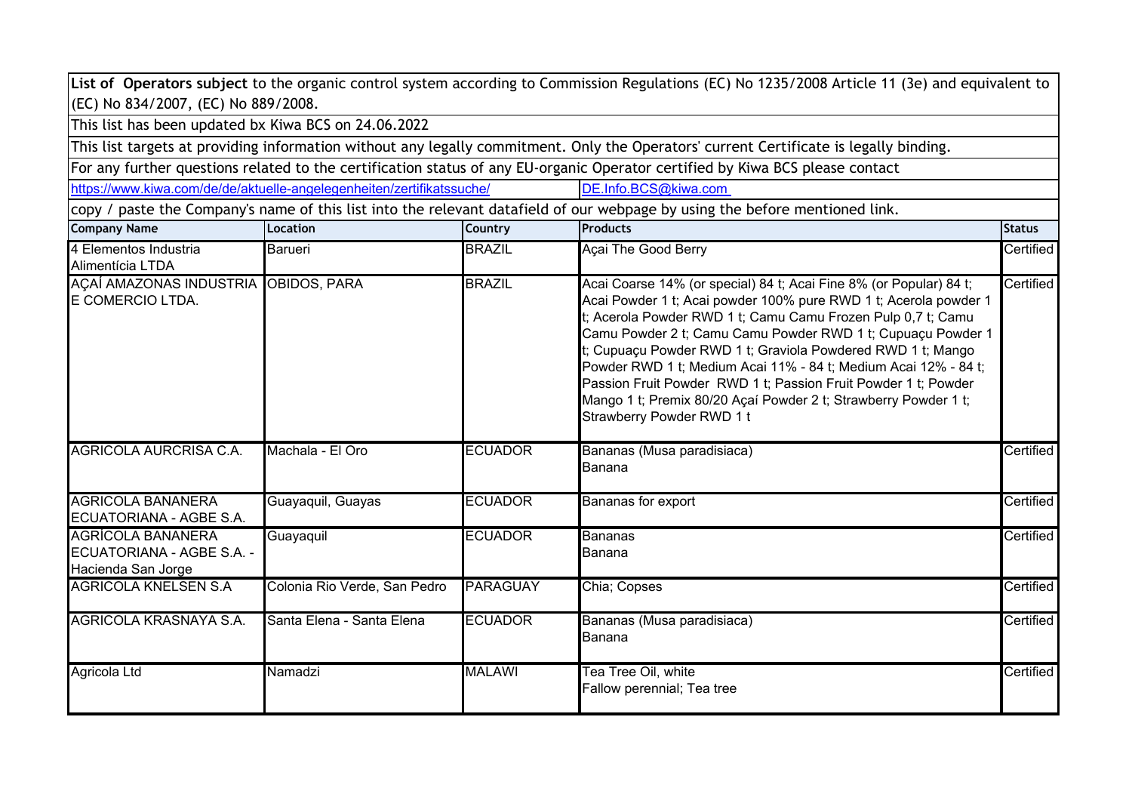|                                                                             |                                                                       |                 | List of Operators subject to the organic control system according to Commission Regulations (EC) No 1235/2008 Article 11 (3e) and equivalent to                                                                                                                                                                                                                                                                                                                                                                                                                           |                       |
|-----------------------------------------------------------------------------|-----------------------------------------------------------------------|-----------------|---------------------------------------------------------------------------------------------------------------------------------------------------------------------------------------------------------------------------------------------------------------------------------------------------------------------------------------------------------------------------------------------------------------------------------------------------------------------------------------------------------------------------------------------------------------------------|-----------------------|
| (EC) No 834/2007, (EC) No 889/2008.                                         |                                                                       |                 |                                                                                                                                                                                                                                                                                                                                                                                                                                                                                                                                                                           |                       |
| This list has been updated bx Kiwa BCS on 24.06.2022                        |                                                                       |                 |                                                                                                                                                                                                                                                                                                                                                                                                                                                                                                                                                                           |                       |
|                                                                             |                                                                       |                 | This list targets at providing information without any legally commitment. Only the Operators' current Certificate is legally binding.                                                                                                                                                                                                                                                                                                                                                                                                                                    |                       |
|                                                                             |                                                                       |                 | For any further questions related to the certification status of any EU-organic Operator certified by Kiwa BCS please contact                                                                                                                                                                                                                                                                                                                                                                                                                                             |                       |
|                                                                             | https://www.kiwa.com/de/de/aktuelle-angelegenheiten/zertifikatssuche/ |                 | DE.Info.BCS@kiwa.com                                                                                                                                                                                                                                                                                                                                                                                                                                                                                                                                                      |                       |
|                                                                             |                                                                       |                 | copy / paste the Company's name of this list into the relevant datafield of our webpage by using the before mentioned link.                                                                                                                                                                                                                                                                                                                                                                                                                                               |                       |
| <b>Company Name</b>                                                         | Location                                                              | Country         | <b>Products</b>                                                                                                                                                                                                                                                                                                                                                                                                                                                                                                                                                           | <b>Status</b>         |
| 4 Elementos Industria<br>Alimentícia LTDA                                   | Barueri                                                               | <b>BRAZIL</b>   | Açai The Good Berry                                                                                                                                                                                                                                                                                                                                                                                                                                                                                                                                                       | Certified             |
| AÇAÍ AMAZONAS INDUSTRIA OBIDOS, PARA<br>E COMERCIO LTDA.                    |                                                                       | <b>BRAZIL</b>   | Acai Coarse 14% (or special) 84 t; Acai Fine 8% (or Popular) 84 t;<br>Acai Powder 1 t; Acai powder 100% pure RWD 1 t; Acerola powder 1<br>t; Acerola Powder RWD 1 t; Camu Camu Frozen Pulp 0,7 t; Camu<br>Camu Powder 2 t; Camu Camu Powder RWD 1 t; Cupuaçu Powder 1<br>t; Cupuaçu Powder RWD 1 t; Graviola Powdered RWD 1 t; Mango<br>Powder RWD 1 t; Medium Acai 11% - 84 t; Medium Acai 12% - 84 t;<br>Passion Fruit Powder RWD 1 t; Passion Fruit Powder 1 t; Powder<br>Mango 1 t; Premix 80/20 Açaí Powder 2 t; Strawberry Powder 1 t;<br>Strawberry Powder RWD 1 t | Certified             |
| AGRICOLA AURCRISA C.A.                                                      | Machala - El Oro                                                      | <b>ECUADOR</b>  | Bananas (Musa paradisiaca)<br>Banana                                                                                                                                                                                                                                                                                                                                                                                                                                                                                                                                      | $\mathtt{Certified} $ |
| <b>AGRICOLA BANANERA</b><br>ECUATORIANA - AGBE S.A.                         | Guayaquil, Guayas                                                     | <b>ECUADOR</b>  | Bananas for export                                                                                                                                                                                                                                                                                                                                                                                                                                                                                                                                                        | <b>Certified</b>      |
| <b>AGRÍCOLA BANANERA</b><br>ECUATORIANA - AGBE S.A. -<br>Hacienda San Jorge | Guayaquil                                                             | <b>ECUADOR</b>  | <b>Bananas</b><br>Banana                                                                                                                                                                                                                                                                                                                                                                                                                                                                                                                                                  | Certified             |
| <b>AGRICOLA KNELSEN S.A</b>                                                 | Colonia Rio Verde, San Pedro                                          | <b>PARAGUAY</b> | Chia; Copses                                                                                                                                                                                                                                                                                                                                                                                                                                                                                                                                                              | Certified             |
| AGRICOLA KRASNAYA S.A.                                                      | Santa Elena - Santa Elena                                             | <b>ECUADOR</b>  | Bananas (Musa paradisiaca)<br>Banana                                                                                                                                                                                                                                                                                                                                                                                                                                                                                                                                      | Certified             |
| Agricola Ltd                                                                | Namadzi                                                               | <b>MALAWI</b>   | Tea Tree Oil, white<br>Fallow perennial; Tea tree                                                                                                                                                                                                                                                                                                                                                                                                                                                                                                                         | Certified             |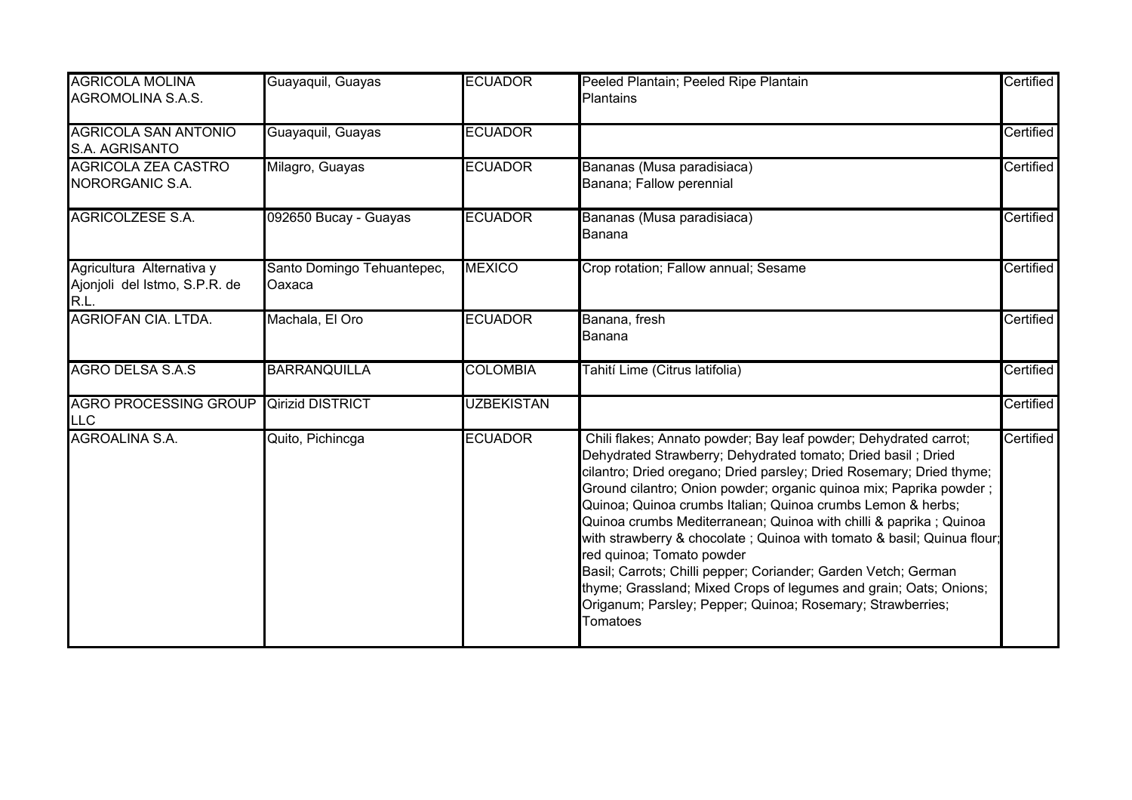| <b>AGRICOLA MOLINA</b><br><b>AGROMOLINA S.A.S.</b>                 | Guayaquil, Guayas                    | <b>ECUADOR</b>    | Peeled Plantain; Peeled Ripe Plantain<br><b>Plantains</b>                                                                                                                                                                                                                                                                                                                                                                                                                                                                                                                                                                                                                                                                                   | Certified |
|--------------------------------------------------------------------|--------------------------------------|-------------------|---------------------------------------------------------------------------------------------------------------------------------------------------------------------------------------------------------------------------------------------------------------------------------------------------------------------------------------------------------------------------------------------------------------------------------------------------------------------------------------------------------------------------------------------------------------------------------------------------------------------------------------------------------------------------------------------------------------------------------------------|-----------|
| <b>AGRICOLA SAN ANTONIO</b><br>S.A. AGRISANTO                      | Guayaquil, Guayas                    | <b>ECUADOR</b>    |                                                                                                                                                                                                                                                                                                                                                                                                                                                                                                                                                                                                                                                                                                                                             | Certified |
| <b>AGRICOLA ZEA CASTRO</b><br>NORORGANIC S.A.                      | Milagro, Guayas                      | <b>ECUADOR</b>    | Bananas (Musa paradisiaca)<br>Banana; Fallow perennial                                                                                                                                                                                                                                                                                                                                                                                                                                                                                                                                                                                                                                                                                      | Certified |
| <b>AGRICOLZESE S.A.</b>                                            | 092650 Bucay - Guayas                | <b>ECUADOR</b>    | Bananas (Musa paradisiaca)<br>Banana                                                                                                                                                                                                                                                                                                                                                                                                                                                                                                                                                                                                                                                                                                        | Certified |
| Agricultura Alternativa y<br>Ajonjoli del Istmo, S.P.R. de<br>R.L. | Santo Domingo Tehuantepec,<br>Oaxaca | <b>MEXICO</b>     | Crop rotation; Fallow annual; Sesame                                                                                                                                                                                                                                                                                                                                                                                                                                                                                                                                                                                                                                                                                                        | Certified |
| <b>AGRIOFAN CIA, LTDA.</b>                                         | Machala, El Oro                      | <b>ECUADOR</b>    | Banana, fresh<br>Banana                                                                                                                                                                                                                                                                                                                                                                                                                                                                                                                                                                                                                                                                                                                     | Certified |
| <b>AGRO DELSA S.A.S</b>                                            | <b>BARRANQUILLA</b>                  | <b>COLOMBIA</b>   | Tahití Lime (Citrus latifolia)                                                                                                                                                                                                                                                                                                                                                                                                                                                                                                                                                                                                                                                                                                              | Certified |
| <b>AGRO PROCESSING GROUP</b><br><b>LLC</b>                         | <b>Qirizid DISTRICT</b>              | <b>UZBEKISTAN</b> |                                                                                                                                                                                                                                                                                                                                                                                                                                                                                                                                                                                                                                                                                                                                             | Certified |
| <b>AGROALINA S.A.</b>                                              | Quito, Pichincga                     | <b>ECUADOR</b>    | Chili flakes; Annato powder; Bay leaf powder; Dehydrated carrot;<br>Dehydrated Strawberry; Dehydrated tomato; Dried basil; Dried<br>cilantro; Dried oregano; Dried parsley; Dried Rosemary; Dried thyme;<br>Ground cilantro; Onion powder; organic quinoa mix; Paprika powder;<br>Quinoa; Quinoa crumbs Italian; Quinoa crumbs Lemon & herbs;<br>Quinoa crumbs Mediterranean; Quinoa with chilli & paprika ; Quinoa<br>with strawberry & chocolate; Quinoa with tomato & basil; Quinua flour;<br>red quinoa; Tomato powder<br>Basil; Carrots; Chilli pepper; Coriander; Garden Vetch; German<br>thyme; Grassland; Mixed Crops of legumes and grain; Oats; Onions;<br>Origanum; Parsley; Pepper; Quinoa; Rosemary; Strawberries;<br>Tomatoes | Certified |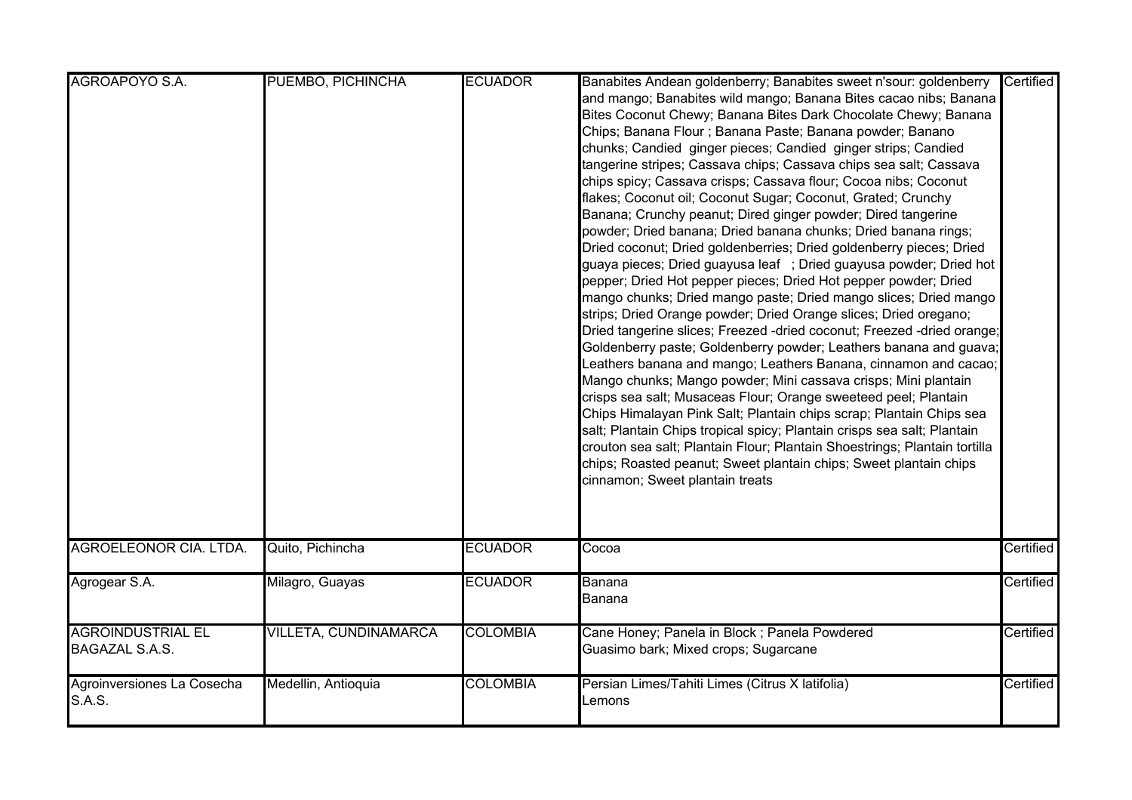| AGROAPOYO S.A.                                    | PUEMBO, PICHINCHA     | <b>ECUADOR</b>  | Banabites Andean goldenberry; Banabites sweet n'sour: goldenberry<br>and mango; Banabites wild mango; Banana Bites cacao nibs; Banana<br>Bites Coconut Chewy; Banana Bites Dark Chocolate Chewy; Banana<br>Chips; Banana Flour ; Banana Paste; Banana powder; Banano<br>chunks; Candied ginger pieces; Candied ginger strips; Candied<br>tangerine stripes; Cassava chips; Cassava chips sea salt; Cassava<br>chips spicy; Cassava crisps; Cassava flour; Cocoa nibs; Coconut                                                                                                                                                                                                                                                                                                                                                                                                                                                                                                                                                                                                                                                                                                                                                                        | Certified |
|---------------------------------------------------|-----------------------|-----------------|------------------------------------------------------------------------------------------------------------------------------------------------------------------------------------------------------------------------------------------------------------------------------------------------------------------------------------------------------------------------------------------------------------------------------------------------------------------------------------------------------------------------------------------------------------------------------------------------------------------------------------------------------------------------------------------------------------------------------------------------------------------------------------------------------------------------------------------------------------------------------------------------------------------------------------------------------------------------------------------------------------------------------------------------------------------------------------------------------------------------------------------------------------------------------------------------------------------------------------------------------|-----------|
|                                                   |                       |                 | flakes; Coconut oil; Coconut Sugar; Coconut, Grated; Crunchy<br>Banana; Crunchy peanut; Dired ginger powder; Dired tangerine<br>powder; Dried banana; Dried banana chunks; Dried banana rings;<br>Dried coconut; Dried goldenberries; Dried goldenberry pieces; Dried<br>guaya pieces; Dried guayusa leaf ; Dried guayusa powder; Dried hot<br>pepper; Dried Hot pepper pieces; Dried Hot pepper powder; Dried<br>mango chunks; Dried mango paste; Dried mango slices; Dried mango<br>strips; Dried Orange powder; Dried Orange slices; Dried oregano;<br>Dried tangerine slices; Freezed -dried coconut; Freezed -dried orange;<br>Goldenberry paste; Goldenberry powder; Leathers banana and guava;<br>Leathers banana and mango; Leathers Banana, cinnamon and cacao;<br>Mango chunks; Mango powder; Mini cassava crisps; Mini plantain<br>crisps sea salt; Musaceas Flour; Orange sweeteed peel; Plantain<br>Chips Himalayan Pink Salt; Plantain chips scrap; Plantain Chips sea<br>salt; Plantain Chips tropical spicy; Plantain crisps sea salt; Plantain<br>crouton sea salt; Plantain Flour; Plantain Shoestrings; Plantain tortilla<br>chips; Roasted peanut; Sweet plantain chips; Sweet plantain chips<br>cinnamon; Sweet plantain treats |           |
| <b>AGROELEONOR CIA. LTDA.</b>                     | Quito, Pichincha      | <b>ECUADOR</b>  | Cocoa                                                                                                                                                                                                                                                                                                                                                                                                                                                                                                                                                                                                                                                                                                                                                                                                                                                                                                                                                                                                                                                                                                                                                                                                                                                | Certified |
| Agrogear S.A.                                     | Milagro, Guayas       | <b>ECUADOR</b>  | Banana<br>Banana                                                                                                                                                                                                                                                                                                                                                                                                                                                                                                                                                                                                                                                                                                                                                                                                                                                                                                                                                                                                                                                                                                                                                                                                                                     | Certified |
| <b>AGROINDUSTRIAL EL</b><br><b>BAGAZAL S.A.S.</b> | VILLETA, CUNDINAMARCA | <b>COLOMBIA</b> | Cane Honey; Panela in Block; Panela Powdered<br>Guasimo bark; Mixed crops; Sugarcane                                                                                                                                                                                                                                                                                                                                                                                                                                                                                                                                                                                                                                                                                                                                                                                                                                                                                                                                                                                                                                                                                                                                                                 | Certified |
| Agroinversiones La Cosecha<br>S.A.S.              | Medellin, Antioquia   | <b>COLOMBIA</b> | Persian Limes/Tahiti Limes (Citrus X latifolia)<br>Lemons                                                                                                                                                                                                                                                                                                                                                                                                                                                                                                                                                                                                                                                                                                                                                                                                                                                                                                                                                                                                                                                                                                                                                                                            | Certified |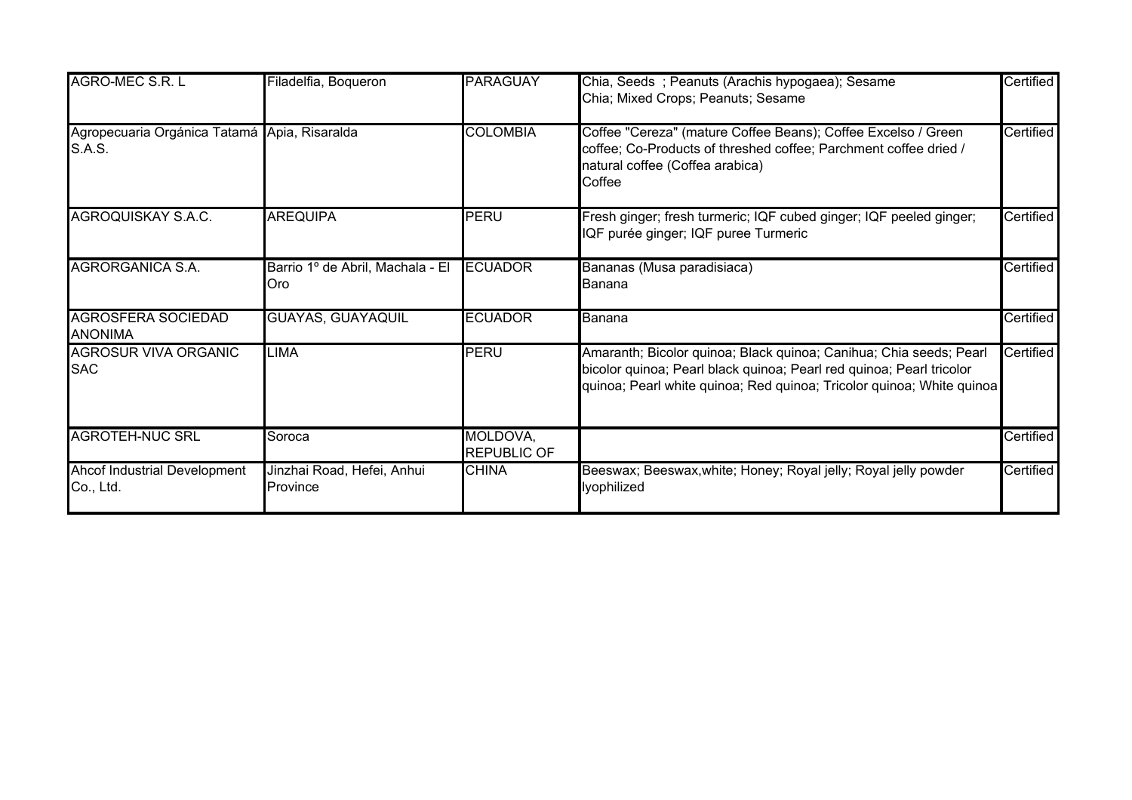| AGRO-MEC S.R. L                                        | Filadelfia, Boqueron                    | <b>PARAGUAY</b>                | Chia, Seeds ; Peanuts (Arachis hypogaea); Sesame<br>Chia; Mixed Crops; Peanuts; Sesame                                                                                                                              | Certified |
|--------------------------------------------------------|-----------------------------------------|--------------------------------|---------------------------------------------------------------------------------------------------------------------------------------------------------------------------------------------------------------------|-----------|
| Agropecuaria Orgánica Tatamá Apia, Risaralda<br>S.A.S. |                                         | <b>COLOMBIA</b>                | Coffee "Cereza" (mature Coffee Beans); Coffee Excelso / Green<br>coffee; Co-Products of threshed coffee; Parchment coffee dried /<br>natural coffee (Coffea arabica)<br>Coffee                                      | Certified |
| AGROQUISKAY S.A.C.                                     | <b>AREQUIPA</b>                         | PERU                           | Fresh ginger; fresh turmeric; IQF cubed ginger; IQF peeled ginger;<br>IQF purée ginger; IQF puree Turmeric                                                                                                          | Certified |
| <b>AGRORGANICA S.A.</b>                                | Barrio 1º de Abril, Machala - El<br>Oro | <b>ECUADOR</b>                 | Bananas (Musa paradisiaca)<br>Banana                                                                                                                                                                                | Certified |
| <b>AGROSFERA SOCIEDAD</b><br><b>ANONIMA</b>            | <b>GUAYAS, GUAYAQUIL</b>                | <b>ECUADOR</b>                 | Banana                                                                                                                                                                                                              | Certified |
| <b>AGROSUR VIVA ORGANIC</b><br><b>SAC</b>              | <b>LIMA</b>                             | <b>PERU</b>                    | Amaranth; Bicolor quinoa; Black quinoa; Canihua; Chia seeds; Pearl<br>bicolor quinoa; Pearl black quinoa; Pearl red quinoa; Pearl tricolor<br>quinoa; Pearl white quinoa; Red quinoa; Tricolor quinoa; White quinoa | Certified |
| <b>AGROTEH-NUC SRL</b>                                 | Soroca                                  | MOLDOVA,<br><b>REPUBLIC OF</b> |                                                                                                                                                                                                                     | Certified |
| Ahcof Industrial Development<br>Co., Ltd.              | Jinzhai Road, Hefei, Anhui<br>Province  | <b>CHINA</b>                   | Beeswax; Beeswax, white; Honey; Royal jelly; Royal jelly powder<br>lyophilized                                                                                                                                      | Certified |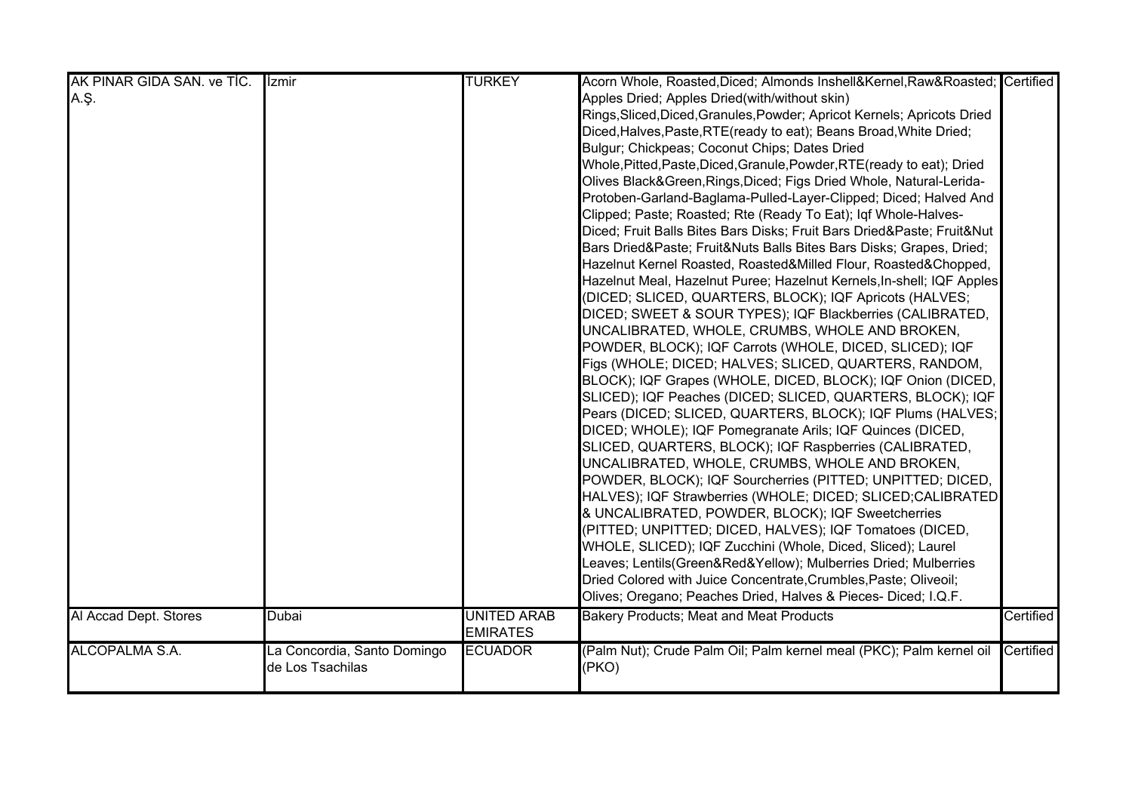| AK PINAR GIDA SAN. ve TİC. | <b>Izmir</b>                | <b>TURKEY</b>      | Acorn Whole, Roasted, Diced; Almonds Inshell&Kernel, Raw&Roasted Certified |           |
|----------------------------|-----------------------------|--------------------|----------------------------------------------------------------------------|-----------|
| A.Ş.                       |                             |                    | Apples Dried; Apples Dried(with/without skin)                              |           |
|                            |                             |                    | Rings, Sliced, Diced, Granules, Powder; Apricot Kernels; Apricots Dried    |           |
|                            |                             |                    | Diced, Halves, Paste, RTE (ready to eat); Beans Broad, White Dried;        |           |
|                            |                             |                    | Bulgur; Chickpeas; Coconut Chips; Dates Dried                              |           |
|                            |                             |                    | Whole, Pitted, Paste, Diced, Granule, Powder, RTE (ready to eat); Dried    |           |
|                            |                             |                    | Olives Black&Green, Rings, Diced; Figs Dried Whole, Natural-Lerida-        |           |
|                            |                             |                    | Protoben-Garland-Baglama-Pulled-Layer-Clipped; Diced; Halved And           |           |
|                            |                             |                    | Clipped; Paste; Roasted; Rte (Ready To Eat); Iqf Whole-Halves-             |           |
|                            |                             |                    | Diced; Fruit Balls Bites Bars Disks; Fruit Bars Dried&Paste Fruit&Nut      |           |
|                            |                             |                    | Bars Dried&Paste Fruit&Nuts Balls Bites Bars Disks; Grapes, Dried;         |           |
|                            |                             |                    | Hazelnut Kernel Roasted, Roasted&Milled Flour, Roasted&Chopped,            |           |
|                            |                             |                    | Hazelnut Meal, Hazelnut Puree; Hazelnut Kernels, In-shell; IQF Apples      |           |
|                            |                             |                    | (DICED; SLICED, QUARTERS, BLOCK); IQF Apricots (HALVES;                    |           |
|                            |                             |                    | DICED; SWEET & SOUR TYPES); IQF Blackberries (CALIBRATED,                  |           |
|                            |                             |                    | UNCALIBRATED, WHOLE, CRUMBS, WHOLE AND BROKEN,                             |           |
|                            |                             |                    | POWDER, BLOCK); IQF Carrots (WHOLE, DICED, SLICED); IQF                    |           |
|                            |                             |                    | Figs (WHOLE; DICED; HALVES; SLICED, QUARTERS, RANDOM,                      |           |
|                            |                             |                    | BLOCK); IQF Grapes (WHOLE, DICED, BLOCK); IQF Onion (DICED,                |           |
|                            |                             |                    | SLICED); IQF Peaches (DICED; SLICED, QUARTERS, BLOCK); IQF                 |           |
|                            |                             |                    | Pears (DICED; SLICED, QUARTERS, BLOCK); IQF Plums (HALVES;                 |           |
|                            |                             |                    | DICED; WHOLE); IQF Pomegranate Arils; IQF Quinces (DICED,                  |           |
|                            |                             |                    | SLICED, QUARTERS, BLOCK); IQF Raspberries (CALIBRATED,                     |           |
|                            |                             |                    | UNCALIBRATED, WHOLE, CRUMBS, WHOLE AND BROKEN,                             |           |
|                            |                             |                    | POWDER, BLOCK); IQF Sourcherries (PITTED; UNPITTED; DICED,                 |           |
|                            |                             |                    | HALVES); IQF Strawberries (WHOLE; DICED; SLICED; CALIBRATED                |           |
|                            |                             |                    | & UNCALIBRATED, POWDER, BLOCK); IQF Sweetcherries                          |           |
|                            |                             |                    | (PITTED; UNPITTED; DICED, HALVES); IQF Tomatoes (DICED,                    |           |
|                            |                             |                    | WHOLE, SLICED); IQF Zucchini (Whole, Diced, Sliced); Laurel                |           |
|                            |                             |                    | Leaves; Lentils(Green&Red&Yellow); Mulberries Dried; Mulberries            |           |
|                            |                             |                    | Dried Colored with Juice Concentrate, Crumbles, Paste; Oliveoil;           |           |
|                            |                             |                    | Olives; Oregano; Peaches Dried, Halves & Pieces- Diced; I.Q.F.             |           |
| Al Accad Dept. Stores      | <b>Dubai</b>                | <b>UNITED ARAB</b> | <b>Bakery Products; Meat and Meat Products</b>                             | Certified |
|                            |                             | <b>EMIRATES</b>    |                                                                            |           |
| ALCOPALMA S.A.             | La Concordia, Santo Domingo | <b>ECUADOR</b>     | (Palm Nut); Crude Palm Oil; Palm kernel meal (PKC); Palm kernel oil        | Certified |
|                            | de Los Tsachilas            |                    | (PKO)                                                                      |           |
|                            |                             |                    |                                                                            |           |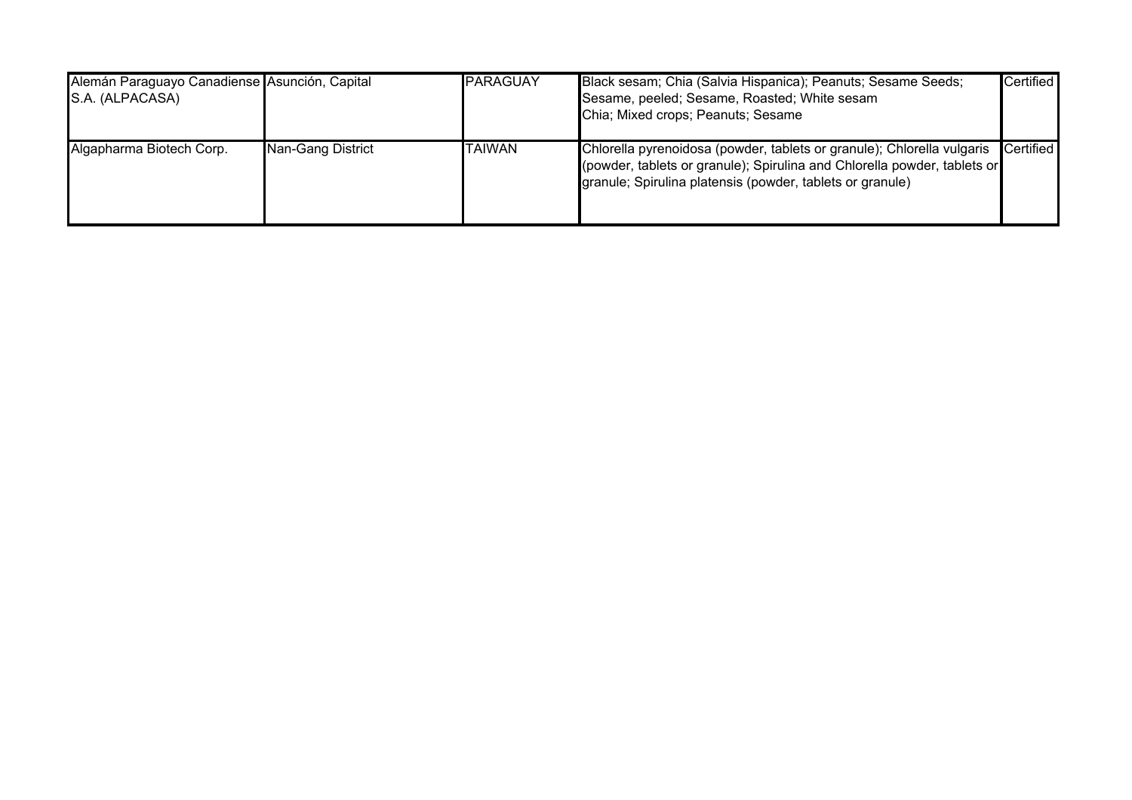| Alemán Paraguayo Canadiense Asunción, Capital<br>S.A. (ALPACASA) |                   | <b>PARAGUAY</b> | Black sesam; Chia (Salvia Hispanica); Peanuts; Sesame Seeds;<br>Sesame, peeled; Sesame, Roasted; White sesam<br>Chia; Mixed crops; Peanuts; Sesame                                                              | <b>Certified</b> |
|------------------------------------------------------------------|-------------------|-----------------|-----------------------------------------------------------------------------------------------------------------------------------------------------------------------------------------------------------------|------------------|
| Algapharma Biotech Corp.                                         | Nan-Gang District | <b>TAIWAN</b>   | Chlorella pyrenoidosa (powder, tablets or granule); Chlorella vulgaris<br>(powder, tablets or granule); Spirulina and Chlorella powder, tablets or<br>granule; Spirulina platensis (powder, tablets or granule) | <b>Certified</b> |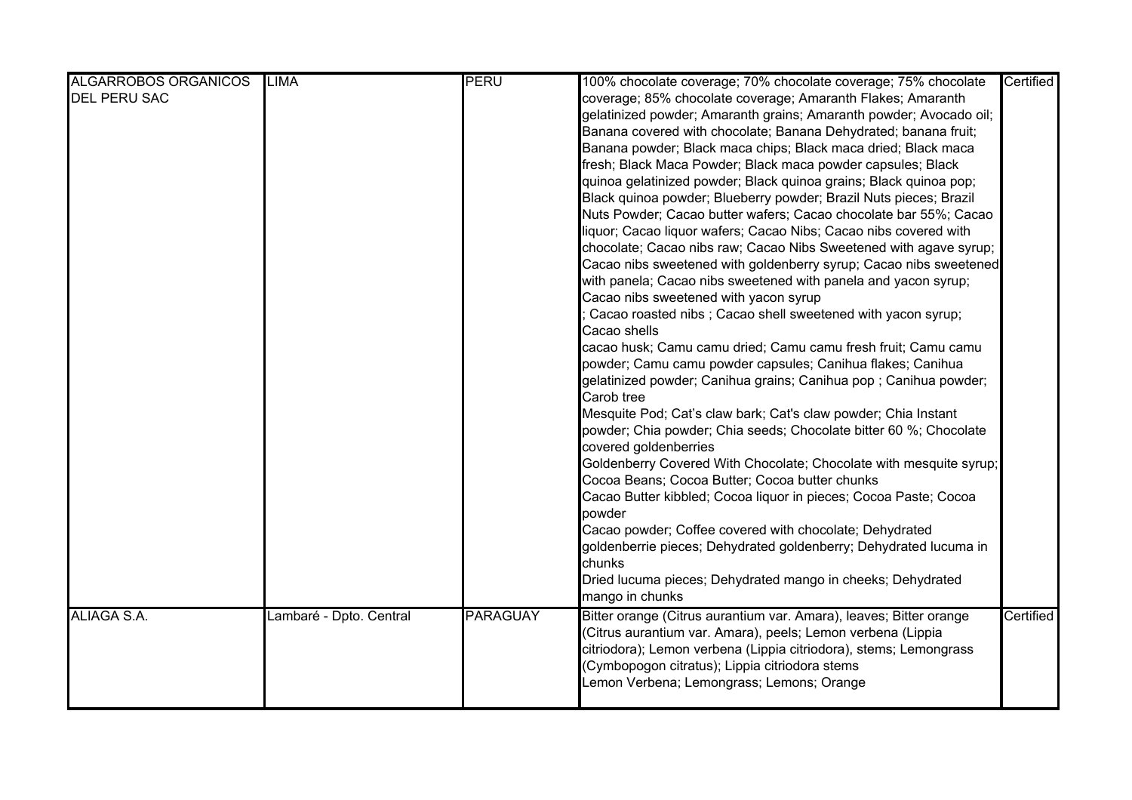| <b>ALGARROBOS ORGANICOS</b> | <b>LIMA</b>             | <b>PERU</b>     | 100% chocolate coverage; 70% chocolate coverage; 75% chocolate     | Certified |
|-----------------------------|-------------------------|-----------------|--------------------------------------------------------------------|-----------|
| <b>DEL PERU SAC</b>         |                         |                 | coverage; 85% chocolate coverage; Amaranth Flakes; Amaranth        |           |
|                             |                         |                 | gelatinized powder; Amaranth grains; Amaranth powder; Avocado oil; |           |
|                             |                         |                 | Banana covered with chocolate; Banana Dehydrated; banana fruit;    |           |
|                             |                         |                 | Banana powder; Black maca chips; Black maca dried; Black maca      |           |
|                             |                         |                 | fresh; Black Maca Powder; Black maca powder capsules; Black        |           |
|                             |                         |                 | quinoa gelatinized powder; Black quinoa grains; Black quinoa pop;  |           |
|                             |                         |                 | Black quinoa powder; Blueberry powder; Brazil Nuts pieces; Brazil  |           |
|                             |                         |                 | Nuts Powder; Cacao butter wafers; Cacao chocolate bar 55%; Cacao   |           |
|                             |                         |                 | liquor; Cacao liquor wafers; Cacao Nibs; Cacao nibs covered with   |           |
|                             |                         |                 | chocolate; Cacao nibs raw; Cacao Nibs Sweetened with agave syrup;  |           |
|                             |                         |                 | Cacao nibs sweetened with goldenberry syrup; Cacao nibs sweetened  |           |
|                             |                         |                 | with panela; Cacao nibs sweetened with panela and yacon syrup;     |           |
|                             |                         |                 | Cacao nibs sweetened with yacon syrup                              |           |
|                             |                         |                 | Cacao roasted nibs; Cacao shell sweetened with yacon syrup;        |           |
|                             |                         |                 | Cacao shells                                                       |           |
|                             |                         |                 | cacao husk; Camu camu dried; Camu camu fresh fruit; Camu camu      |           |
|                             |                         |                 | powder; Camu camu powder capsules; Canihua flakes; Canihua         |           |
|                             |                         |                 | gelatinized powder; Canihua grains; Canihua pop ; Canihua powder;  |           |
|                             |                         |                 | Carob tree                                                         |           |
|                             |                         |                 | Mesquite Pod; Cat's claw bark; Cat's claw powder; Chia Instant     |           |
|                             |                         |                 | powder; Chia powder; Chia seeds; Chocolate bitter 60 %; Chocolate  |           |
|                             |                         |                 | covered goldenberries                                              |           |
|                             |                         |                 | Goldenberry Covered With Chocolate; Chocolate with mesquite syrup; |           |
|                             |                         |                 | Cocoa Beans; Cocoa Butter; Cocoa butter chunks                     |           |
|                             |                         |                 | Cacao Butter kibbled; Cocoa liquor in pieces; Cocoa Paste; Cocoa   |           |
|                             |                         |                 | powder                                                             |           |
|                             |                         |                 | Cacao powder; Coffee covered with chocolate; Dehydrated            |           |
|                             |                         |                 | goldenberrie pieces; Dehydrated goldenberry; Dehydrated lucuma in  |           |
|                             |                         |                 | chunks                                                             |           |
|                             |                         |                 | Dried lucuma pieces; Dehydrated mango in cheeks; Dehydrated        |           |
|                             |                         |                 | mango in chunks                                                    |           |
| ALIAGA S.A.                 | Lambaré - Dpto. Central | <b>PARAGUAY</b> | Bitter orange (Citrus aurantium var. Amara), leaves; Bitter orange | Certified |
|                             |                         |                 | Citrus aurantium var. Amara), peels; Lemon verbena (Lippia         |           |
|                             |                         |                 | citriodora); Lemon verbena (Lippia citriodora), stems; Lemongrass  |           |
|                             |                         |                 | (Cymbopogon citratus); Lippia citriodora stems                     |           |
|                             |                         |                 | emon Verbena; Lemongrass; Lemons; Orange                           |           |
|                             |                         |                 |                                                                    |           |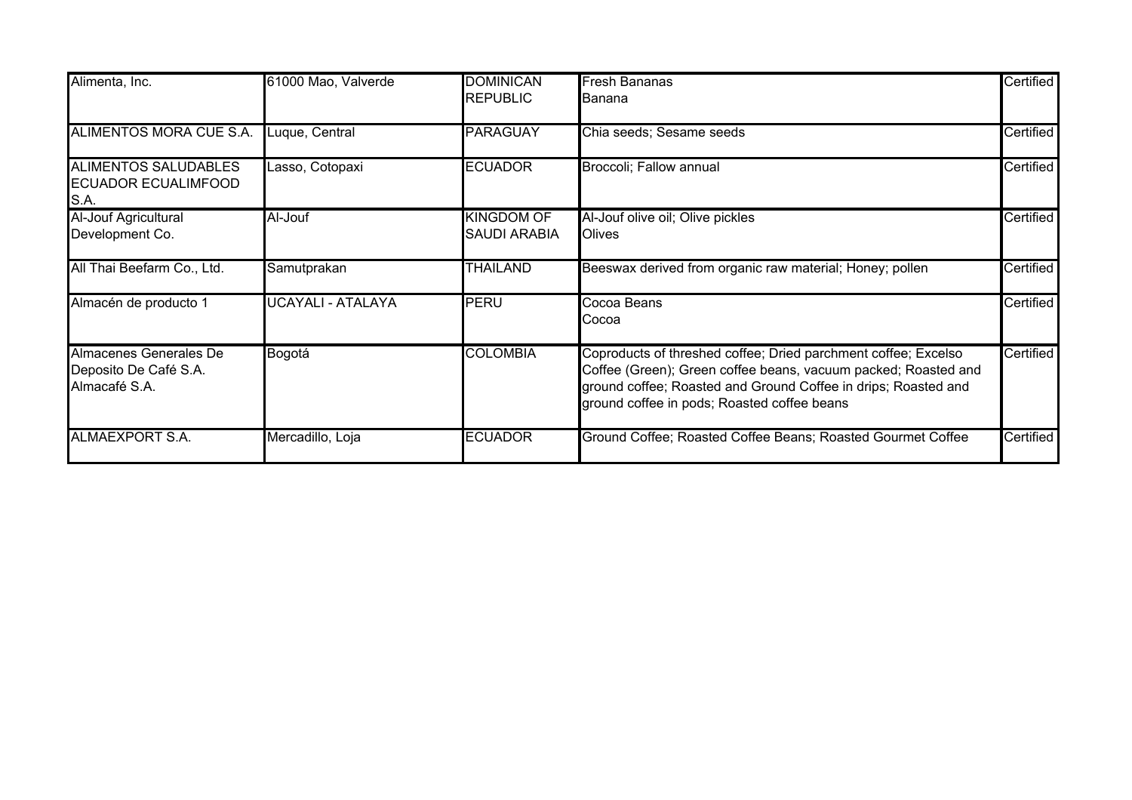| Alimenta, Inc.                                                    | 61000 Mao, Valverde | <b>DOMINICAN</b>                         | <b>Fresh Bananas</b>                                                                                                                                                                                                                              | Certified |
|-------------------------------------------------------------------|---------------------|------------------------------------------|---------------------------------------------------------------------------------------------------------------------------------------------------------------------------------------------------------------------------------------------------|-----------|
|                                                                   |                     | <b>REPUBLIC</b>                          | <b>I</b> Banana                                                                                                                                                                                                                                   |           |
| ALIMENTOS MORA CUE S.A.                                           | Luque, Central      | <b>PARAGUAY</b>                          | Chia seeds; Sesame seeds                                                                                                                                                                                                                          | Certified |
| <b>ALIMENTOS SALUDABLES</b><br><b>ECUADOR ECUALIMFOOD</b><br>S.A. | Lasso, Cotopaxi     | <b>ECUADOR</b>                           | Broccoli; Fallow annual                                                                                                                                                                                                                           | Certified |
| Al-Jouf Agricultural<br>Development Co.                           | Al-Jouf             | <b>KINGDOM OF</b><br><b>SAUDI ARABIA</b> | Al-Jouf olive oil; Olive pickles<br><b>Olives</b>                                                                                                                                                                                                 | Certified |
| All Thai Beefarm Co., Ltd.                                        | Samutprakan         | <b>THAILAND</b>                          | Beeswax derived from organic raw material; Honey; pollen                                                                                                                                                                                          | Certified |
| Almacén de producto 1                                             | UCAYALI - ATALAYA   | PERU                                     | Cocoa Beans<br>Cocoa                                                                                                                                                                                                                              | Certified |
| Almacenes Generales De<br>Deposito De Café S.A.<br>Almacafé S.A.  | Bogotá              | <b>COLOMBIA</b>                          | Coproducts of threshed coffee; Dried parchment coffee; Excelso<br>Coffee (Green); Green coffee beans, vacuum packed; Roasted and<br>ground coffee; Roasted and Ground Coffee in drips; Roasted and<br>ground coffee in pods; Roasted coffee beans | Certified |
| ALMAEXPORT S.A.                                                   | Mercadillo, Loja    | <b>ECUADOR</b>                           | Ground Coffee; Roasted Coffee Beans; Roasted Gourmet Coffee                                                                                                                                                                                       | Certified |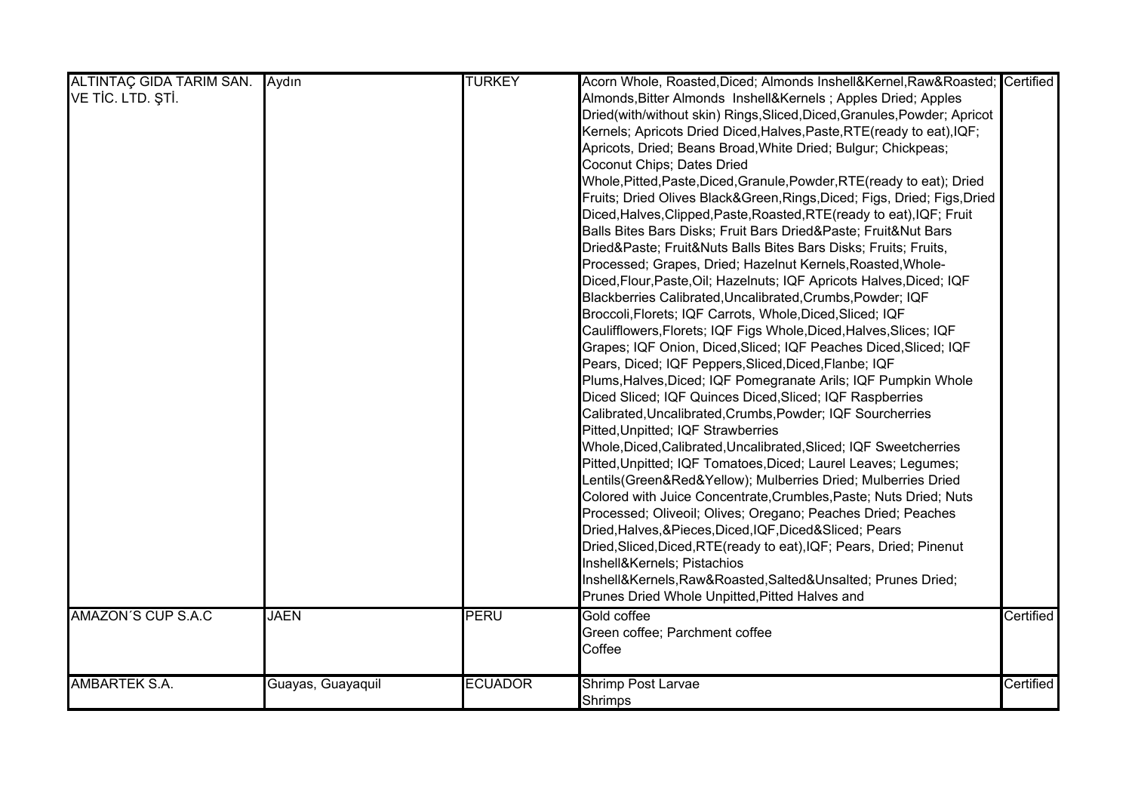| ALTINTAÇ GIDA TARIM SAN. Aydın |                   | <b>TURKEY</b>  | Acorn Whole, Roasted, Diced; Almonds Inshell&Kernel, Raw&Roasted Certified |           |
|--------------------------------|-------------------|----------------|----------------------------------------------------------------------------|-----------|
| VE TİC. LTD. ŞTİ.              |                   |                | Almonds, Bitter Almonds Inshell&Kernels Apples Dried; Apples               |           |
|                                |                   |                | Dried(with/without skin) Rings, Sliced, Diced, Granules, Powder; Apricot   |           |
|                                |                   |                | Kernels; Apricots Dried Diced, Halves, Paste, RTE (ready to eat), IQF;     |           |
|                                |                   |                | Apricots, Dried; Beans Broad, White Dried; Bulgur; Chickpeas;              |           |
|                                |                   |                | Coconut Chips; Dates Dried                                                 |           |
|                                |                   |                | Whole, Pitted, Paste, Diced, Granule, Powder, RTE (ready to eat); Dried    |           |
|                                |                   |                | Fruits; Dried Olives Black&Green, Rings, Diced; Figs, Dried; Figs, Dried   |           |
|                                |                   |                | Diced, Halves, Clipped, Paste, Roasted, RTE (ready to eat), IQF; Fruit     |           |
|                                |                   |                | Balls Bites Bars Disks; Fruit Bars Dried&Paste Fruit&Nut Bars              |           |
|                                |                   |                | Dried&Paste Fruit&Nuts Balls Bites Bars Disks; Fruits; Fruits,             |           |
|                                |                   |                | Processed; Grapes, Dried; Hazelnut Kernels, Roasted, Whole-                |           |
|                                |                   |                | Diced, Flour, Paste, Oil; Hazelnuts; IQF Apricots Halves, Diced; IQF       |           |
|                                |                   |                | Blackberries Calibrated, Uncalibrated, Crumbs, Powder; IQF                 |           |
|                                |                   |                | Broccoli, Florets; IQF Carrots, Whole, Diced, Sliced; IQF                  |           |
|                                |                   |                | Caulifflowers, Florets; IQF Figs Whole, Diced, Halves, Slices; IQF         |           |
|                                |                   |                | Grapes; IQF Onion, Diced, Sliced; IQF Peaches Diced, Sliced; IQF           |           |
|                                |                   |                | Pears, Diced; IQF Peppers, Sliced, Diced, Flanbe; IQF                      |           |
|                                |                   |                | Plums, Halves, Diced; IQF Pomegranate Arils; IQF Pumpkin Whole             |           |
|                                |                   |                | Diced Sliced; IQF Quinces Diced, Sliced; IQF Raspberries                   |           |
|                                |                   |                | Calibrated, Uncalibrated, Crumbs, Powder; IQF Sourcherries                 |           |
|                                |                   |                | Pitted, Unpitted; IQF Strawberries                                         |           |
|                                |                   |                | Whole, Diced, Calibrated, Uncalibrated, Sliced; IQF Sweetcherries          |           |
|                                |                   |                | Pitted, Unpitted; IQF Tomatoes, Diced; Laurel Leaves; Legumes;             |           |
|                                |                   |                | Lentils(Green&Red&Yellow); Mulberries Dried; Mulberries Dried              |           |
|                                |                   |                | Colored with Juice Concentrate, Crumbles, Paste; Nuts Dried; Nuts          |           |
|                                |                   |                | Processed; Oliveoil; Olives; Oregano; Peaches Dried; Peaches               |           |
|                                |                   |                | Dried, Halves, & Pieces, Diced, IQF, Diced& Sliced; Pears                  |           |
|                                |                   |                | Dried, Sliced, Diced, RTE (ready to eat), IQF; Pears, Dried; Pinenut       |           |
|                                |                   |                | Inshell&Kernels Pistachios                                                 |           |
|                                |                   |                |                                                                            |           |
|                                |                   |                | Inshell&Kernels, Raw&Roasted, Salted&Unsalted Prunes Dried;                |           |
|                                |                   |                | Prunes Dried Whole Unpitted, Pitted Halves and                             |           |
| <b>AMAZON'S CUP S.A.C</b>      | <b>JAEN</b>       | PERU           | Gold coffee                                                                | Certified |
|                                |                   |                | Green coffee; Parchment coffee                                             |           |
|                                |                   |                | Coffee                                                                     |           |
| <b>AMBARTEK S.A.</b>           | Guayas, Guayaquil | <b>ECUADOR</b> | Shrimp Post Larvae                                                         | Certified |
|                                |                   |                | <b>Shrimps</b>                                                             |           |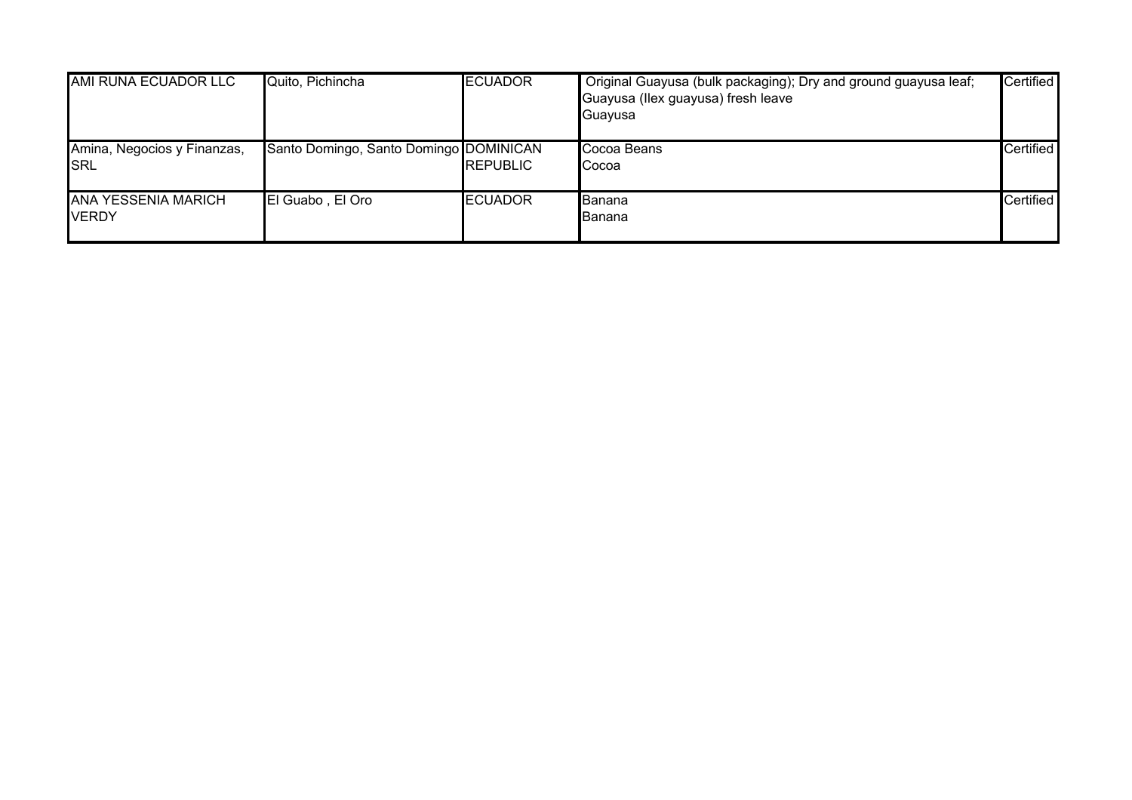| AMI RUNA ECUADOR LLC                       | Quito, Pichincha                       | <b>ECUADOR</b>  | Original Guayusa (bulk packaging); Dry and ground guayusa leaf;<br>Guayusa (Ilex guayusa) fresh leave<br>Guayusa | Certified |
|--------------------------------------------|----------------------------------------|-----------------|------------------------------------------------------------------------------------------------------------------|-----------|
| Amina, Negocios y Finanzas,<br>ISRL        | Santo Domingo, Santo Domingo DOMINICAN | <b>REPUBLIC</b> | Cocoa Beans<br>Cocoa                                                                                             | Certified |
| <b>ANA YESSENIA MARICH</b><br><b>VERDY</b> | El Guabo, El Oro                       | <b>IECUADOR</b> | Banana<br><b>Banana</b>                                                                                          | Certified |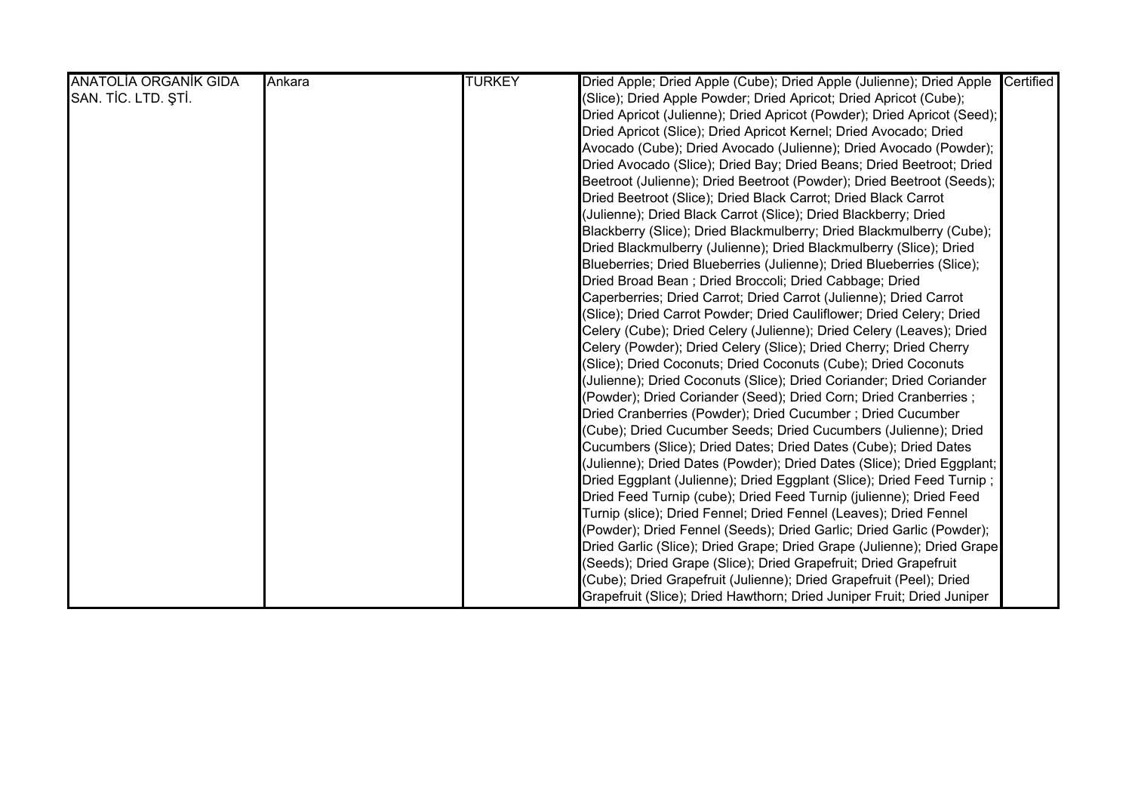| <b>ANATOLÍA ORGANÍK GIDA</b> | Ankara | <b>TURKEY</b> | Dried Apple; Dried Apple (Cube); Dried Apple (Julienne); Dried Apple    | Certified |
|------------------------------|--------|---------------|-------------------------------------------------------------------------|-----------|
| SAN. TİC. LTD. ŞTİ.          |        |               | (Slice); Dried Apple Powder; Dried Apricot; Dried Apricot (Cube);       |           |
|                              |        |               | Dried Apricot (Julienne); Dried Apricot (Powder); Dried Apricot (Seed); |           |
|                              |        |               | Dried Apricot (Slice); Dried Apricot Kernel; Dried Avocado; Dried       |           |
|                              |        |               | Avocado (Cube); Dried Avocado (Julienne); Dried Avocado (Powder);       |           |
|                              |        |               | Dried Avocado (Slice); Dried Bay; Dried Beans; Dried Beetroot; Dried    |           |
|                              |        |               | Beetroot (Julienne); Dried Beetroot (Powder); Dried Beetroot (Seeds);   |           |
|                              |        |               | Dried Beetroot (Slice); Dried Black Carrot; Dried Black Carrot          |           |
|                              |        |               | (Julienne); Dried Black Carrot (Slice); Dried Blackberry; Dried         |           |
|                              |        |               | Blackberry (Slice); Dried Blackmulberry; Dried Blackmulberry (Cube);    |           |
|                              |        |               | Dried Blackmulberry (Julienne); Dried Blackmulberry (Slice); Dried      |           |
|                              |        |               | Blueberries; Dried Blueberries (Julienne); Dried Blueberries (Slice);   |           |
|                              |        |               | Dried Broad Bean; Dried Broccoli; Dried Cabbage; Dried                  |           |
|                              |        |               | Caperberries; Dried Carrot; Dried Carrot (Julienne); Dried Carrot       |           |
|                              |        |               | (Slice); Dried Carrot Powder; Dried Cauliflower; Dried Celery; Dried    |           |
|                              |        |               | Celery (Cube); Dried Celery (Julienne); Dried Celery (Leaves); Dried    |           |
|                              |        |               | Celery (Powder); Dried Celery (Slice); Dried Cherry; Dried Cherry       |           |
|                              |        |               | (Slice); Dried Coconuts; Dried Coconuts (Cube); Dried Coconuts          |           |
|                              |        |               | (Julienne); Dried Coconuts (Slice); Dried Coriander; Dried Coriander    |           |
|                              |        |               | (Powder); Dried Coriander (Seed); Dried Corn; Dried Cranberries;        |           |
|                              |        |               | Dried Cranberries (Powder); Dried Cucumber ; Dried Cucumber             |           |
|                              |        |               | (Cube); Dried Cucumber Seeds; Dried Cucumbers (Julienne); Dried         |           |
|                              |        |               | Cucumbers (Slice); Dried Dates; Dried Dates (Cube); Dried Dates         |           |
|                              |        |               | (Julienne); Dried Dates (Powder); Dried Dates (Slice); Dried Eggplant;  |           |
|                              |        |               | Dried Eggplant (Julienne); Dried Eggplant (Slice); Dried Feed Turnip ;  |           |
|                              |        |               | Dried Feed Turnip (cube); Dried Feed Turnip (julienne); Dried Feed      |           |
|                              |        |               | Turnip (slice); Dried Fennel; Dried Fennel (Leaves); Dried Fennel       |           |
|                              |        |               | (Powder); Dried Fennel (Seeds); Dried Garlic; Dried Garlic (Powder);    |           |
|                              |        |               | Dried Garlic (Slice); Dried Grape; Dried Grape (Julienne); Dried Grape  |           |
|                              |        |               | (Seeds); Dried Grape (Slice); Dried Grapefruit; Dried Grapefruit        |           |
|                              |        |               | (Cube); Dried Grapefruit (Julienne); Dried Grapefruit (Peel); Dried     |           |
|                              |        |               | Grapefruit (Slice); Dried Hawthorn; Dried Juniper Fruit; Dried Juniper  |           |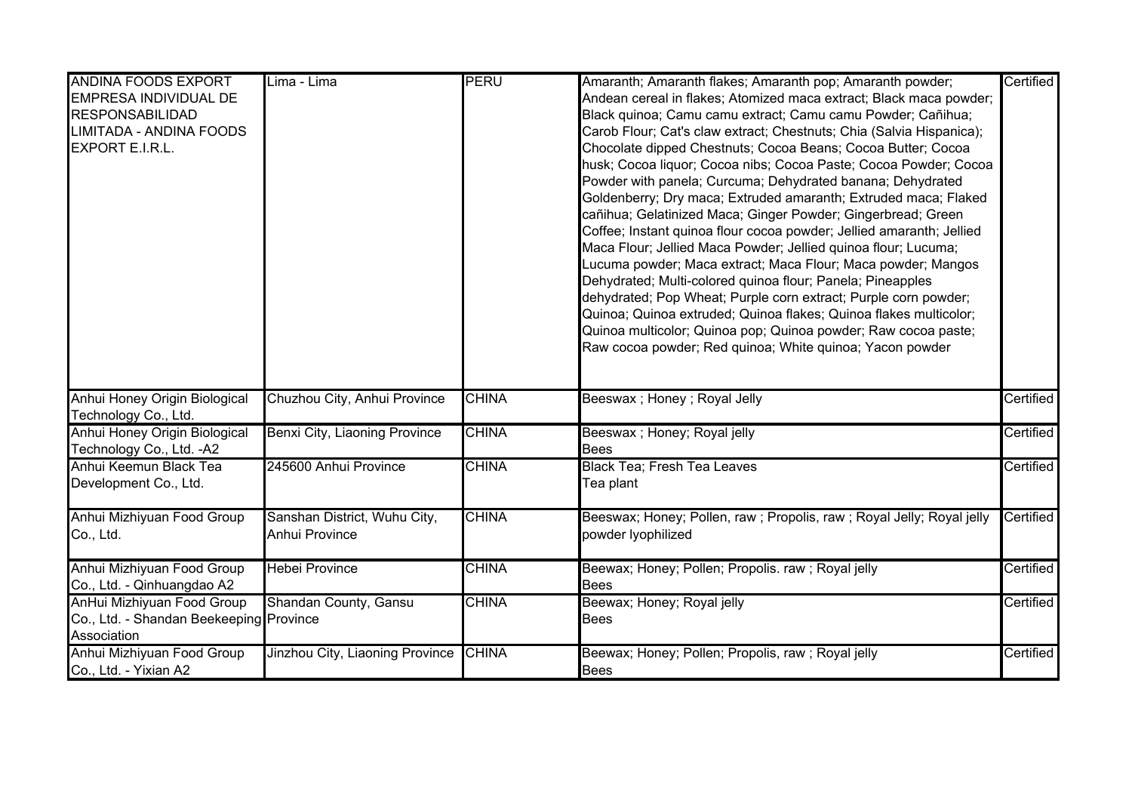| <b>ANDINA FOODS EXPORT</b>              | Lima - Lima                     | PERU         | Amaranth; Amaranth flakes; Amaranth pop; Amaranth powder;            | Certified |
|-----------------------------------------|---------------------------------|--------------|----------------------------------------------------------------------|-----------|
| EMPRESA INDIVIDUAL DE                   |                                 |              | Andean cereal in flakes; Atomized maca extract; Black maca powder;   |           |
| <b>RESPONSABILIDAD</b>                  |                                 |              | Black quinoa; Camu camu extract; Camu camu Powder; Cañihua;          |           |
| LIMITADA - ANDINA FOODS                 |                                 |              | Carob Flour; Cat's claw extract; Chestnuts; Chia (Salvia Hispanica); |           |
| EXPORT E.I.R.L.                         |                                 |              | Chocolate dipped Chestnuts; Cocoa Beans; Cocoa Butter; Cocoa         |           |
|                                         |                                 |              | husk; Cocoa liquor; Cocoa nibs; Cocoa Paste; Cocoa Powder; Cocoa     |           |
|                                         |                                 |              | Powder with panela; Curcuma; Dehydrated banana; Dehydrated           |           |
|                                         |                                 |              | Goldenberry; Dry maca; Extruded amaranth; Extruded maca; Flaked      |           |
|                                         |                                 |              | cañihua; Gelatinized Maca; Ginger Powder; Gingerbread; Green         |           |
|                                         |                                 |              | Coffee; Instant quinoa flour cocoa powder; Jellied amaranth; Jellied |           |
|                                         |                                 |              | Maca Flour; Jellied Maca Powder; Jellied quinoa flour; Lucuma;       |           |
|                                         |                                 |              | Lucuma powder; Maca extract; Maca Flour; Maca powder; Mangos         |           |
|                                         |                                 |              | Dehydrated; Multi-colored quinoa flour; Panela; Pineapples           |           |
|                                         |                                 |              | dehydrated; Pop Wheat; Purple corn extract; Purple corn powder;      |           |
|                                         |                                 |              | Quinoa; Quinoa extruded; Quinoa flakes; Quinoa flakes multicolor;    |           |
|                                         |                                 |              | Quinoa multicolor; Quinoa pop; Quinoa powder; Raw cocoa paste;       |           |
|                                         |                                 |              | Raw cocoa powder; Red quinoa; White quinoa; Yacon powder             |           |
|                                         |                                 |              |                                                                      |           |
|                                         |                                 |              |                                                                      |           |
| Anhui Honey Origin Biological           | Chuzhou City, Anhui Province    | <b>CHINA</b> | Beeswax ; Honey ; Royal Jelly                                        | Certified |
| Technology Co., Ltd.                    |                                 |              |                                                                      |           |
| Anhui Honey Origin Biological           | Benxi City, Liaoning Province   | <b>CHINA</b> | Beeswax ; Honey; Royal jelly                                         | Certified |
| Technology Co., Ltd. - A2               |                                 |              | <b>Bees</b>                                                          |           |
| Anhui Keemun Black Tea                  | 245600 Anhui Province           | <b>CHINA</b> | <b>Black Tea; Fresh Tea Leaves</b>                                   | Certified |
| Development Co., Ltd.                   |                                 |              | Tea plant                                                            |           |
| Anhui Mizhiyuan Food Group              | Sanshan District, Wuhu City,    | <b>CHINA</b> | Beeswax; Honey; Pollen, raw; Propolis, raw; Royal Jelly; Royal jelly | Certified |
| Co., Ltd.                               | <b>Anhui Province</b>           |              | powder lyophilized                                                   |           |
|                                         |                                 |              |                                                                      |           |
| Anhui Mizhiyuan Food Group              | <b>Hebei Province</b>           | <b>CHINA</b> | Beewax; Honey; Pollen; Propolis. raw ; Royal jelly                   | Certified |
| Co., Ltd. - Qinhuangdao A2              |                                 |              | lBees                                                                |           |
| AnHui Mizhiyuan Food Group              | Shandan County, Gansu           | <b>CHINA</b> | Beewax; Honey; Royal jelly                                           | Certified |
| Co., Ltd. - Shandan Beekeeping Province |                                 |              | <b>Bees</b>                                                          |           |
| Association                             |                                 |              |                                                                      |           |
| Anhui Mizhiyuan Food Group              | Jinzhou City, Liaoning Province | <b>CHINA</b> | Beewax; Honey; Pollen; Propolis, raw; Royal jelly                    | Certified |
| Co., Ltd. - Yixian A2                   |                                 |              | <b>Bees</b>                                                          |           |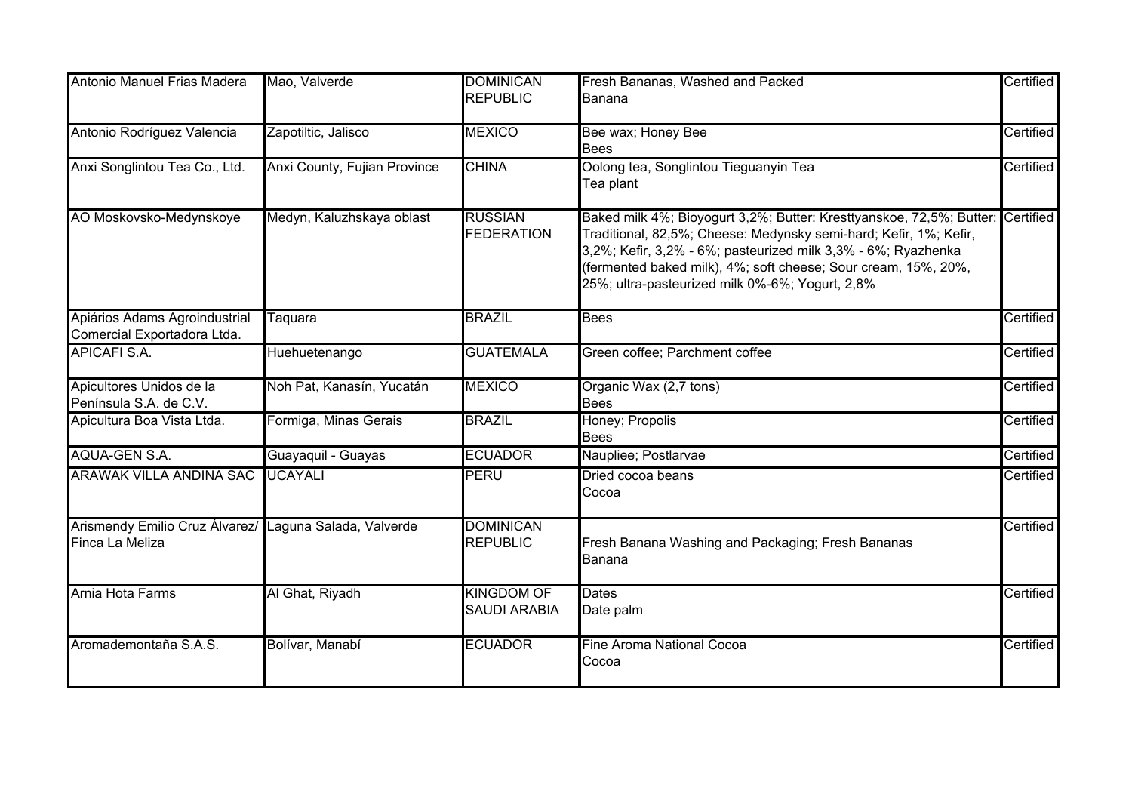| Antonio Manuel Frias Madera                                               | Mao, Valverde                | <b>DOMINICAN</b><br><b>REPUBLIC</b>      | Fresh Bananas, Washed and Packed<br>Banana                                                                                                                                                                                                                                                                                                | Certified |
|---------------------------------------------------------------------------|------------------------------|------------------------------------------|-------------------------------------------------------------------------------------------------------------------------------------------------------------------------------------------------------------------------------------------------------------------------------------------------------------------------------------------|-----------|
| Antonio Rodríguez Valencia                                                | Zapotiltic, Jalisco          | <b>MEXICO</b>                            | Bee wax; Honey Bee<br><b>Bees</b>                                                                                                                                                                                                                                                                                                         | Certified |
| Anxi Songlintou Tea Co., Ltd.                                             | Anxi County, Fujian Province | <b>CHINA</b>                             | Oolong tea, Songlintou Tieguanyin Tea<br>Tea plant                                                                                                                                                                                                                                                                                        | Certified |
| AO Moskovsko-Medynskoye                                                   | Medyn, Kaluzhskaya oblast    | <b>RUSSIAN</b><br><b>FEDERATION</b>      | Baked milk 4%; Bioyogurt 3,2%; Butter: Kresttyanskoe, 72,5%; Butter: Certified<br>Traditional, 82,5%; Cheese: Medynsky semi-hard; Kefir, 1%; Kefir,<br>3,2%; Kefir, 3,2% - 6%; pasteurized milk 3,3% - 6%; Ryazhenka<br>(fermented baked milk), 4%; soft cheese; Sour cream, 15%, 20%,<br>25%; ultra-pasteurized milk 0%-6%; Yogurt, 2,8% |           |
| Apiários Adams Agroindustrial<br>Comercial Exportadora Ltda.              | Taquara                      | <b>BRAZIL</b>                            | <b>Bees</b>                                                                                                                                                                                                                                                                                                                               | Certified |
| <b>APICAFI S.A.</b>                                                       | Huehuetenango                | <b>GUATEMALA</b>                         | Green coffee; Parchment coffee                                                                                                                                                                                                                                                                                                            | Certified |
| Apicultores Unidos de la<br>Península S.A. de C.V.                        | Noh Pat, Kanasín, Yucatán    | <b>MEXICO</b>                            | Organic Wax (2,7 tons)<br><b>Bees</b>                                                                                                                                                                                                                                                                                                     | Certified |
| Apicultura Boa Vista Ltda.                                                | Formiga, Minas Gerais        | <b>BRAZIL</b>                            | Honey; Propolis<br><b>Bees</b>                                                                                                                                                                                                                                                                                                            | Certified |
| AQUA-GEN S.A.                                                             | Guayaquil - Guayas           | <b>ECUADOR</b>                           | Naupliee; Postlarvae                                                                                                                                                                                                                                                                                                                      | Certified |
| <b>ARAWAK VILLA ANDINA SAC</b>                                            | <b>UCAYALI</b>               | PERU                                     | Dried cocoa beans<br>Cocoa                                                                                                                                                                                                                                                                                                                | Certified |
| Arismendy Emilio Cruz Álvarez/ Laguna Salada, Valverde<br>Finca La Meliza |                              | <b>DOMINICAN</b><br><b>REPUBLIC</b>      | Fresh Banana Washing and Packaging; Fresh Bananas<br>Banana                                                                                                                                                                                                                                                                               | Certified |
| Arnia Hota Farms                                                          | Al Ghat, Riyadh              | <b>KINGDOM OF</b><br><b>SAUDI ARABIA</b> | Dates<br>Date palm                                                                                                                                                                                                                                                                                                                        | Certified |
| Aromademontaña S.A.S.                                                     | Bolívar, Manabí              | <b>ECUADOR</b>                           | Fine Aroma National Cocoa<br>Cocoa                                                                                                                                                                                                                                                                                                        | Certified |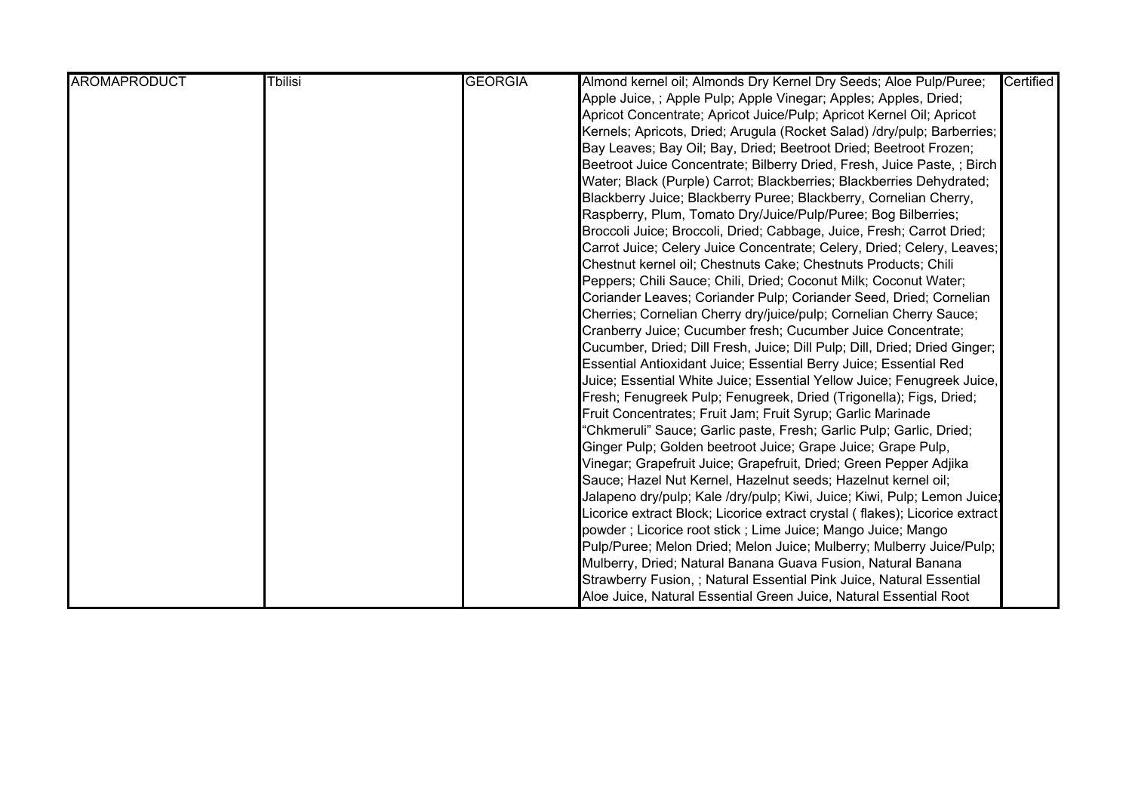| <b>AROMAPRODUCT</b> | <b>T</b> bilisi | <b>GEORGIA</b> | Almond kernel oil; Almonds Dry Kernel Dry Seeds; Aloe Pulp/Puree;            | Certified |
|---------------------|-----------------|----------------|------------------------------------------------------------------------------|-----------|
|                     |                 |                | Apple Juice,; Apple Pulp; Apple Vinegar; Apples; Apples, Dried;              |           |
|                     |                 |                | Apricot Concentrate; Apricot Juice/Pulp; Apricot Kernel Oil; Apricot         |           |
|                     |                 |                | Kernels; Apricots, Dried; Arugula (Rocket Salad) /dry/pulp; Barberries;      |           |
|                     |                 |                | Bay Leaves; Bay Oil; Bay, Dried; Beetroot Dried; Beetroot Frozen;            |           |
|                     |                 |                | Beetroot Juice Concentrate; Bilberry Dried, Fresh, Juice Paste, ; Birch      |           |
|                     |                 |                | Water; Black (Purple) Carrot; Blackberries; Blackberries Dehydrated;         |           |
|                     |                 |                | Blackberry Juice; Blackberry Puree; Blackberry, Cornelian Cherry,            |           |
|                     |                 |                | Raspberry, Plum, Tomato Dry/Juice/Pulp/Puree; Bog Bilberries;                |           |
|                     |                 |                | Broccoli Juice; Broccoli, Dried; Cabbage, Juice, Fresh; Carrot Dried;        |           |
|                     |                 |                | Carrot Juice; Celery Juice Concentrate; Celery, Dried; Celery, Leaves;       |           |
|                     |                 |                | Chestnut kernel oil; Chestnuts Cake; Chestnuts Products; Chili               |           |
|                     |                 |                | Peppers; Chili Sauce; Chili, Dried; Coconut Milk; Coconut Water;             |           |
|                     |                 |                | Coriander Leaves; Coriander Pulp; Coriander Seed, Dried; Cornelian           |           |
|                     |                 |                | Cherries; Cornelian Cherry dry/juice/pulp; Cornelian Cherry Sauce;           |           |
|                     |                 |                | Cranberry Juice; Cucumber fresh; Cucumber Juice Concentrate;                 |           |
|                     |                 |                | Cucumber, Dried; Dill Fresh, Juice; Dill Pulp; Dill, Dried; Dried Ginger;    |           |
|                     |                 |                | Essential Antioxidant Juice; Essential Berry Juice; Essential Red            |           |
|                     |                 |                | Juice; Essential White Juice; Essential Yellow Juice; Fenugreek Juice,       |           |
|                     |                 |                | Fresh; Fenugreek Pulp; Fenugreek, Dried (Trigonella); Figs, Dried;           |           |
|                     |                 |                | Fruit Concentrates; Fruit Jam; Fruit Syrup; Garlic Marinade                  |           |
|                     |                 |                | 'Chkmeruli" Sauce; Garlic paste, Fresh; Garlic Pulp; Garlic, Dried;          |           |
|                     |                 |                | Ginger Pulp; Golden beetroot Juice; Grape Juice; Grape Pulp,                 |           |
|                     |                 |                | Vinegar; Grapefruit Juice; Grapefruit, Dried; Green Pepper Adjika            |           |
|                     |                 |                | Sauce; Hazel Nut Kernel, Hazelnut seeds; Hazelnut kernel oil;                |           |
|                     |                 |                | Jalapeno dry/pulp; Kale /dry/pulp; Kiwi, Juice; Kiwi, Pulp; Lemon Juice;     |           |
|                     |                 |                | Licorice extract Block; Licorice extract crystal ( flakes); Licorice extract |           |
|                     |                 |                | powder; Licorice root stick; Lime Juice; Mango Juice; Mango                  |           |
|                     |                 |                | Pulp/Puree; Melon Dried; Melon Juice; Mulberry; Mulberry Juice/Pulp;         |           |
|                     |                 |                | Mulberry, Dried; Natural Banana Guava Fusion, Natural Banana                 |           |
|                     |                 |                | Strawberry Fusion, ; Natural Essential Pink Juice, Natural Essential         |           |
|                     |                 |                | Aloe Juice, Natural Essential Green Juice, Natural Essential Root            |           |

Juice, ; Natural Pulp Of Fruits and Vegetables; Nectarines, Juice,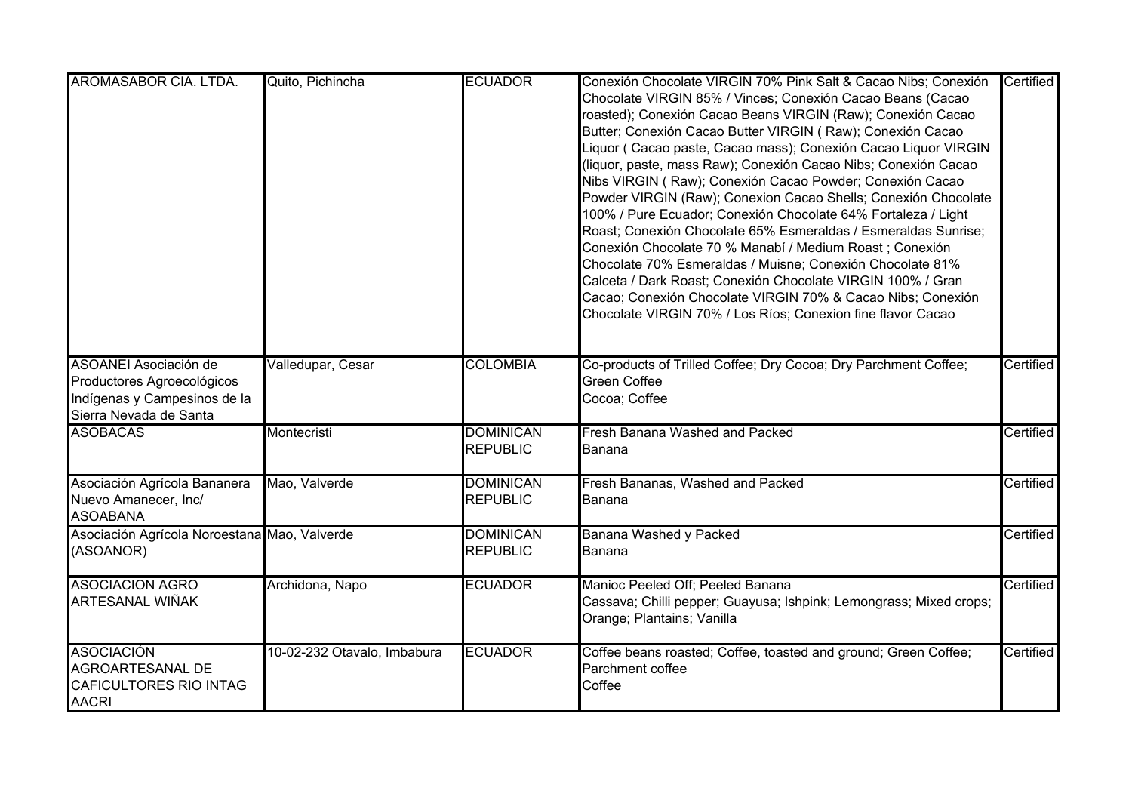| AROMASABOR CIA. LTDA.                                                                                                | Quito, Pichincha            | <b>ECUADOR</b>                      | Conexión Chocolate VIRGIN 70% Pink Salt & Cacao Nibs; Conexión<br>Chocolate VIRGIN 85% / Vinces; Conexión Cacao Beans (Cacao<br>roasted); Conexión Cacao Beans VIRGIN (Raw); Conexión Cacao<br>Butter; Conexión Cacao Butter VIRGIN (Raw); Conexión Cacao<br>Liquor (Cacao paste, Cacao mass); Conexión Cacao Liquor VIRGIN<br>(liquor, paste, mass Raw); Conexión Cacao Nibs; Conexión Cacao<br>Nibs VIRGIN (Raw); Conexión Cacao Powder; Conexión Cacao<br>Powder VIRGIN (Raw); Conexion Cacao Shells; Conexión Chocolate<br>100% / Pure Ecuador; Conexión Chocolate 64% Fortaleza / Light<br>Roast; Conexión Chocolate 65% Esmeraldas / Esmeraldas Sunrise;<br>Conexión Chocolate 70 % Manabí / Medium Roast; Conexión<br>Chocolate 70% Esmeraldas / Muisne; Conexión Chocolate 81%<br>Calceta / Dark Roast; Conexión Chocolate VIRGIN 100% / Gran<br>Cacao; Conexión Chocolate VIRGIN 70% & Cacao Nibs; Conexión<br>Chocolate VIRGIN 70% / Los Ríos; Conexion fine flavor Cacao | Certified |
|----------------------------------------------------------------------------------------------------------------------|-----------------------------|-------------------------------------|-------------------------------------------------------------------------------------------------------------------------------------------------------------------------------------------------------------------------------------------------------------------------------------------------------------------------------------------------------------------------------------------------------------------------------------------------------------------------------------------------------------------------------------------------------------------------------------------------------------------------------------------------------------------------------------------------------------------------------------------------------------------------------------------------------------------------------------------------------------------------------------------------------------------------------------------------------------------------------------|-----------|
| <b>ASOANEI Asociación de</b><br>Productores Agroecológicos<br>Indígenas y Campesinos de la<br>Sierra Nevada de Santa | Valledupar, Cesar           | <b>COLOMBIA</b>                     | Co-products of Trilled Coffee; Dry Cocoa; Dry Parchment Coffee;<br><b>Green Coffee</b><br>Cocoa; Coffee                                                                                                                                                                                                                                                                                                                                                                                                                                                                                                                                                                                                                                                                                                                                                                                                                                                                             | Certified |
| <b>ASOBACAS</b>                                                                                                      | Montecristi                 | <b>DOMINICAN</b><br><b>REPUBLIC</b> | Fresh Banana Washed and Packed<br>Banana                                                                                                                                                                                                                                                                                                                                                                                                                                                                                                                                                                                                                                                                                                                                                                                                                                                                                                                                            | Certified |
| Asociación Agrícola Bananera<br>Nuevo Amanecer, Inc/<br><b>ASOABANA</b>                                              | Mao, Valverde               | <b>DOMINICAN</b><br><b>REPUBLIC</b> | Fresh Bananas, Washed and Packed<br>Banana                                                                                                                                                                                                                                                                                                                                                                                                                                                                                                                                                                                                                                                                                                                                                                                                                                                                                                                                          | Certified |
| Asociación Agrícola Noroestana Mao, Valverde<br>(ASOANOR)                                                            |                             | <b>DOMINICAN</b><br><b>REPUBLIC</b> | <b>Banana Washed y Packed</b><br>lBanana                                                                                                                                                                                                                                                                                                                                                                                                                                                                                                                                                                                                                                                                                                                                                                                                                                                                                                                                            | Certified |
| <b>ASOCIACION AGRO</b><br><b>ARTESANAL WIÑAK</b>                                                                     | Archidona, Napo             | <b>ECUADOR</b>                      | Manioc Peeled Off; Peeled Banana<br>Cassava; Chilli pepper; Guayusa; Ishpink; Lemongrass; Mixed crops;<br>Orange; Plantains; Vanilla                                                                                                                                                                                                                                                                                                                                                                                                                                                                                                                                                                                                                                                                                                                                                                                                                                                | Certified |
| <b>ASOCIACIÓN</b><br>AGROARTESANAL DE<br>CAFICULTORES RIO INTAG<br><b>AACRI</b>                                      | 10-02-232 Otavalo, Imbabura | <b>ECUADOR</b>                      | Coffee beans roasted; Coffee, toasted and ground; Green Coffee;<br>Parchment coffee<br>Coffee                                                                                                                                                                                                                                                                                                                                                                                                                                                                                                                                                                                                                                                                                                                                                                                                                                                                                       | Certified |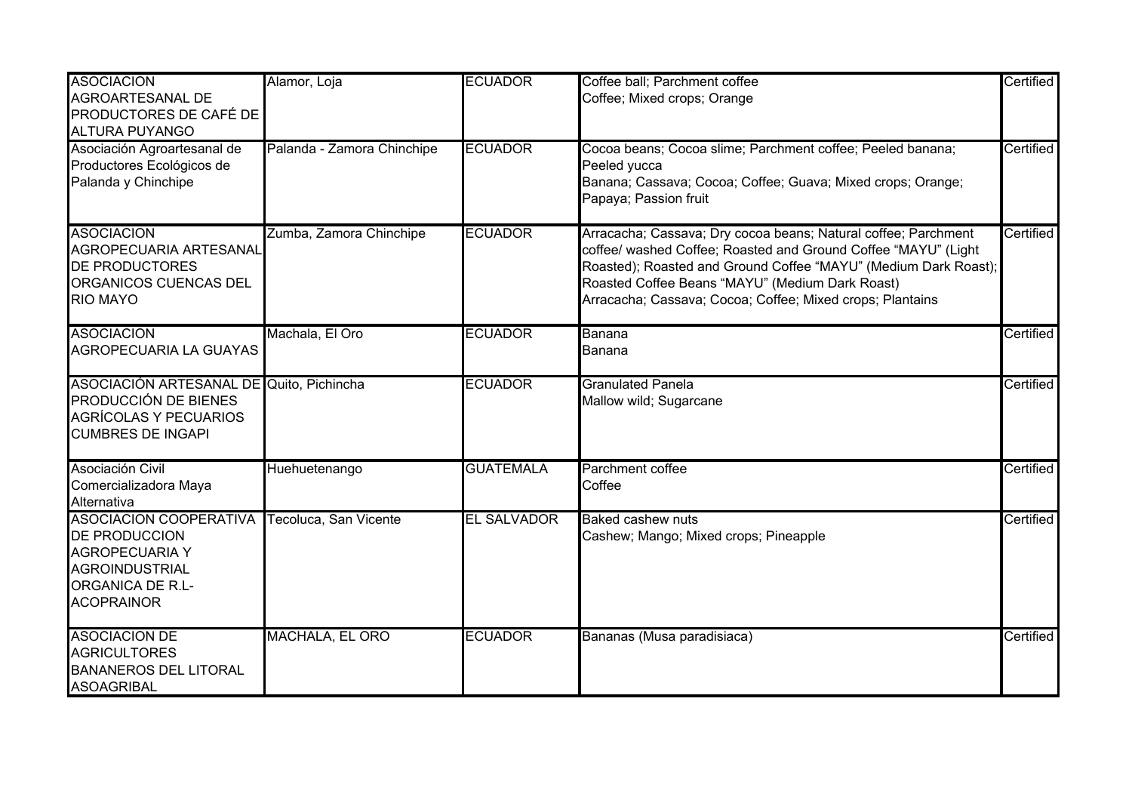| <b>ASOCIACION</b><br>AGROARTESANAL DE<br>PRODUCTORES DE CAFÉ DE<br><b>ALTURA PUYANGO</b>                                                                | Alamor, Loja               | <b>ECUADOR</b>     | Coffee ball; Parchment coffee<br>Coffee; Mixed crops; Orange                                                                                                                                                                                                                                                        | Certified |
|---------------------------------------------------------------------------------------------------------------------------------------------------------|----------------------------|--------------------|---------------------------------------------------------------------------------------------------------------------------------------------------------------------------------------------------------------------------------------------------------------------------------------------------------------------|-----------|
| Asociación Agroartesanal de<br>Productores Ecológicos de<br>Palanda y Chinchipe                                                                         | Palanda - Zamora Chinchipe | <b>ECUADOR</b>     | Cocoa beans; Cocoa slime; Parchment coffee; Peeled banana;<br>Peeled yucca<br>Banana; Cassava; Cocoa; Coffee; Guava; Mixed crops; Orange;<br>Papaya; Passion fruit                                                                                                                                                  | Certified |
| <b>ASOCIACION</b><br><b>AGROPECUARIA ARTESANAL</b><br><b>DE PRODUCTORES</b><br>ORGANICOS CUENCAS DEL<br><b>RIO MAYO</b>                                 | Zumba, Zamora Chinchipe    | <b>ECUADOR</b>     | Arracacha; Cassava; Dry cocoa beans; Natural coffee; Parchment<br>coffee/ washed Coffee; Roasted and Ground Coffee "MAYU" (Light<br>Roasted); Roasted and Ground Coffee "MAYU" (Medium Dark Roast);<br>Roasted Coffee Beans "MAYU" (Medium Dark Roast)<br>Arracacha; Cassava; Cocoa; Coffee; Mixed crops; Plantains | Certified |
| <b>ASOCIACION</b><br><b>AGROPECUARIA LA GUAYAS</b>                                                                                                      | Machala, El Oro            | <b>ECUADOR</b>     | Banana<br>Banana                                                                                                                                                                                                                                                                                                    | Certified |
| ASOCIACIÓN ARTESANAL DE Quito, Pichincha<br>PRODUCCIÓN DE BIENES<br><b>AGRÍCOLAS Y PECUARIOS</b><br><b>CUMBRES DE INGAPI</b>                            |                            | <b>ECUADOR</b>     | <b>Granulated Panela</b><br>Mallow wild; Sugarcane                                                                                                                                                                                                                                                                  | Certified |
| Asociación Civil<br>Comercializadora Maya<br>Alternativa                                                                                                | Huehuetenango              | <b>GUATEMALA</b>   | Parchment coffee<br>Coffee                                                                                                                                                                                                                                                                                          | Certified |
| <b>ASOCIACION COOPERATIVA</b><br><b>DE PRODUCCION</b><br><b>AGROPECUARIA Y</b><br><b>AGROINDUSTRIAL</b><br><b>ORGANICA DE R.L-</b><br><b>ACOPRAINOR</b> | Tecoluca, San Vicente      | <b>EL SALVADOR</b> | <b>Baked cashew nuts</b><br>Cashew; Mango; Mixed crops; Pineapple                                                                                                                                                                                                                                                   | Certified |
| <b>ASOCIACION DE</b><br><b>AGRICULTORES</b><br><b>BANANEROS DEL LITORAL</b><br><b>ASOAGRIBAL</b>                                                        | MACHALA, EL ORO            | <b>ECUADOR</b>     | Bananas (Musa paradisiaca)                                                                                                                                                                                                                                                                                          | Certified |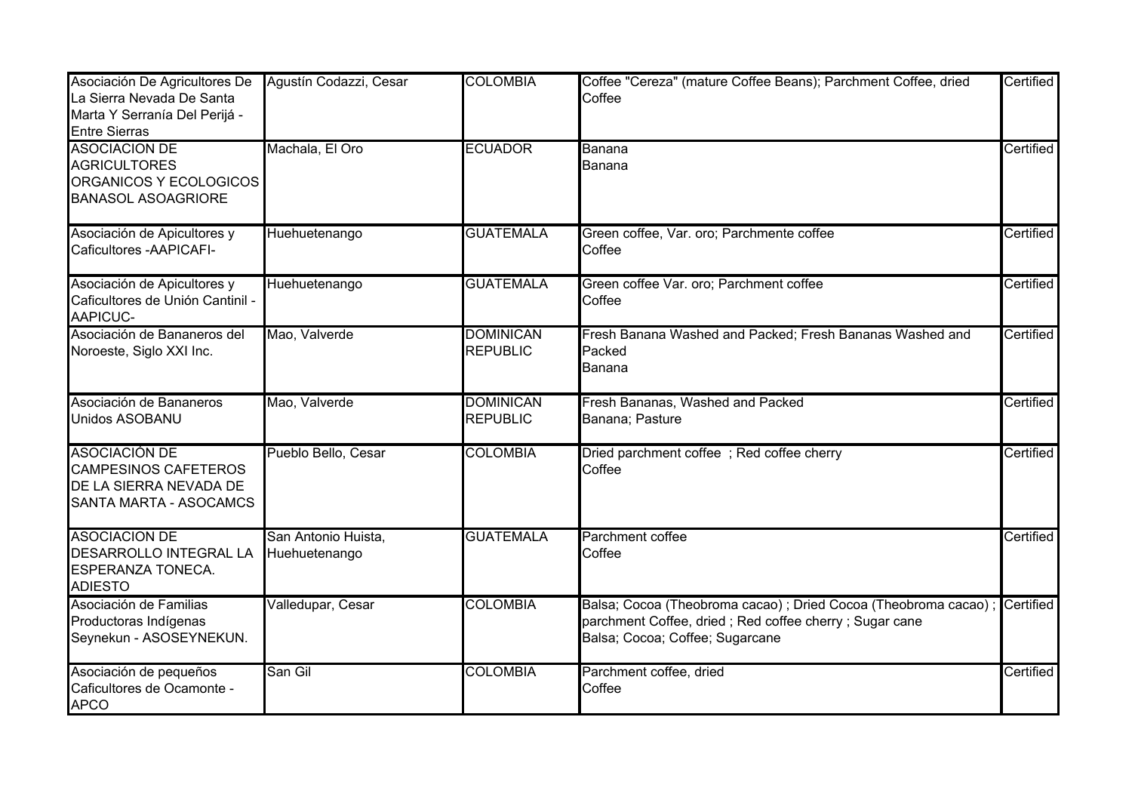| Asociación De Agricultores De<br>La Sierra Nevada De Santa<br>Marta Y Serranía Del Perijá -<br><b>Entre Sierras</b> | Agustín Codazzi, Cesar               | <b>COLOMBIA</b>                     | Coffee "Cereza" (mature Coffee Beans); Parchment Coffee, dried<br>Coffee                                                                                                | Certified |
|---------------------------------------------------------------------------------------------------------------------|--------------------------------------|-------------------------------------|-------------------------------------------------------------------------------------------------------------------------------------------------------------------------|-----------|
| <b>ASOCIACION DE</b><br><b>AGRICULTORES</b><br>ORGANICOS Y ECOLOGICOS<br><b>BANASOL ASOAGRIORE</b>                  | Machala, El Oro                      | <b>ECUADOR</b>                      | Banana<br>Banana                                                                                                                                                        | Certified |
| Asociación de Apicultores y<br>Caficultores - AAPICAFI-                                                             | Huehuetenango                        | <b>GUATEMALA</b>                    | Green coffee, Var. oro; Parchmente coffee<br>Coffee                                                                                                                     | Certified |
| Asociación de Apicultores y<br>Caficultores de Unión Cantinil -<br>AAPICUC-                                         | Huehuetenango                        | <b>GUATEMALA</b>                    | Green coffee Var. oro; Parchment coffee<br>Coffee                                                                                                                       | Certified |
| Asociación de Bananeros del<br>Noroeste, Siglo XXI Inc.                                                             | Mao, Valverde                        | <b>DOMINICAN</b><br><b>REPUBLIC</b> | Fresh Banana Washed and Packed; Fresh Bananas Washed and<br>Packed<br>Banana                                                                                            | Certified |
| Asociación de Bananeros<br>Unidos ASOBANU                                                                           | Mao, Valverde                        | <b>DOMINICAN</b><br><b>REPUBLIC</b> | Fresh Bananas, Washed and Packed<br>Banana; Pasture                                                                                                                     | Certified |
| <b>ASOCIACIÓN DE</b><br><b>CAMPESINOS CAFETEROS</b><br>DE LA SIERRA NEVADA DE<br>SANTA MARTA - ASOCAMCS             | Pueblo Bello, Cesar                  | <b>COLOMBIA</b>                     | Dried parchment coffee; Red coffee cherry<br>Coffee                                                                                                                     | Certified |
| <b>ASOCIACION DE</b><br>DESARROLLO INTEGRAL LA<br><b>ESPERANZA TONECA.</b><br><b>ADIESTO</b>                        | San Antonio Huista,<br>Huehuetenango | <b>GUATEMALA</b>                    | Parchment coffee<br>Coffee                                                                                                                                              | Certified |
| Asociación de Familias<br>Productoras Indígenas<br>Seynekun - ASOSEYNEKUN.                                          | Valledupar, Cesar                    | <b>COLOMBIA</b>                     | Balsa; Cocoa (Theobroma cacao) ; Dried Cocoa (Theobroma cacao) ; Certified<br>parchment Coffee, dried; Red coffee cherry; Sugar cane<br>Balsa; Cocoa; Coffee; Sugarcane |           |
| Asociación de pequeños<br>Caficultores de Ocamonte -<br><b>APCO</b>                                                 | San Gil                              | <b>COLOMBIA</b>                     | Parchment coffee, dried<br>Coffee                                                                                                                                       | Certified |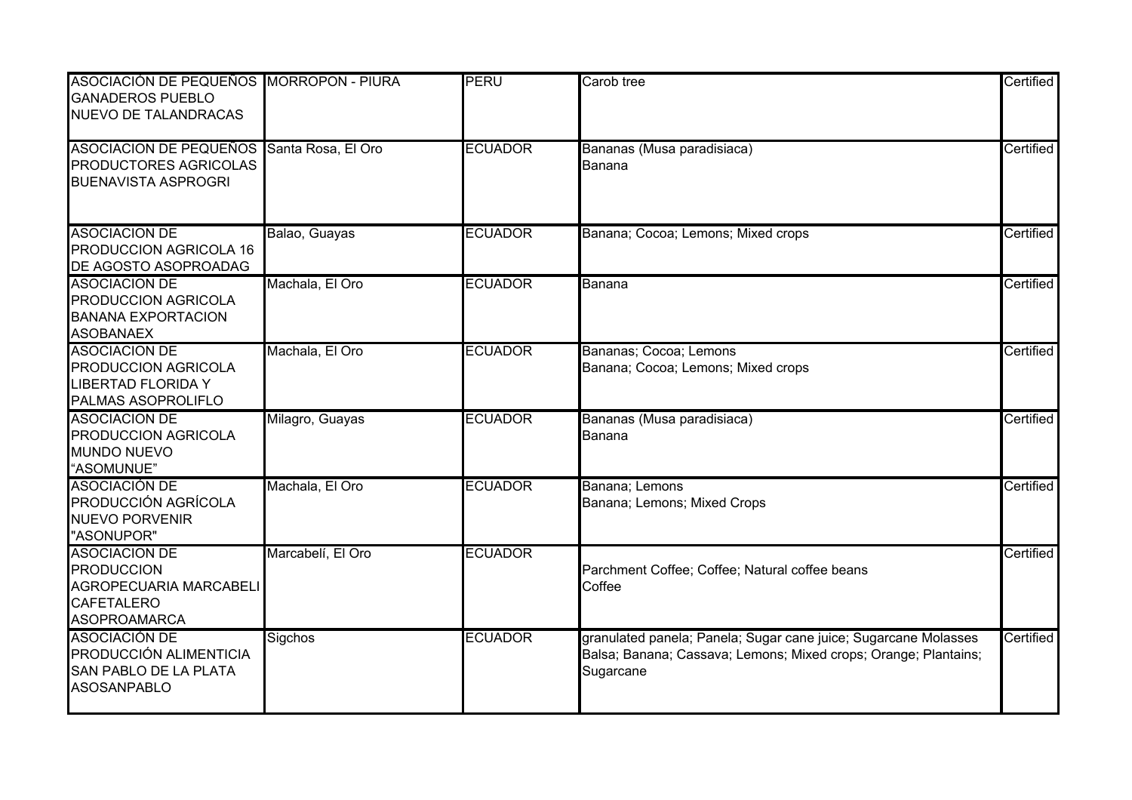| ASOCIACIÓN DE PEQUEÑOS MORROPON - PIURA<br><b>GANADEROS PUEBLO</b><br><b>NUEVO DE TALANDRACAS</b>               |                   | <b>PERU</b>    | Carob tree                                                                                                                                      | Certified |
|-----------------------------------------------------------------------------------------------------------------|-------------------|----------------|-------------------------------------------------------------------------------------------------------------------------------------------------|-----------|
| ASOCIACION DE PEQUEÑOS Santa Rosa, El Oro<br><b>PRODUCTORES AGRICOLAS</b><br><b>BUENAVISTA ASPROGRI</b>         |                   | <b>ECUADOR</b> | Bananas (Musa paradisiaca)<br>Banana                                                                                                            | Certified |
| <b>ASOCIACION DE</b><br><b>PRODUCCION AGRICOLA 16</b><br>DE AGOSTO ASOPROADAG                                   | Balao, Guayas     | <b>ECUADOR</b> | Banana; Cocoa; Lemons; Mixed crops                                                                                                              | Certified |
| <b>ASOCIACION DE</b><br>PRODUCCION AGRICOLA<br><b>BANANA EXPORTACION</b><br><b>ASOBANAEX</b>                    | Machala, El Oro   | <b>ECUADOR</b> | Banana                                                                                                                                          | Certified |
| <b>ASOCIACION DE</b><br><b>PRODUCCION AGRICOLA</b><br><b>LIBERTAD FLORIDA Y</b><br>PALMAS ASOPROLIFLO           | Machala, El Oro   | <b>ECUADOR</b> | Bananas; Cocoa; Lemons<br>Banana; Cocoa; Lemons; Mixed crops                                                                                    | Certified |
| <b>ASOCIACION DE</b><br><b>PRODUCCION AGRICOLA</b><br><b>MUNDO NUEVO</b><br>"ASOMUNUE"                          | Milagro, Guayas   | <b>ECUADOR</b> | Bananas (Musa paradisiaca)<br>Banana                                                                                                            | Certified |
| <b>ASOCIACIÓN DE</b><br><b>PRODUCCIÓN AGRÍCOLA</b><br><b>NUEVO PORVENIR</b><br>"ASONUPOR"                       | Machala, El Oro   | <b>ECUADOR</b> | Banana; Lemons<br>Banana; Lemons; Mixed Crops                                                                                                   | Certified |
| <b>ASOCIACION DE</b><br><b>PRODUCCION</b><br>AGROPECUARIA MARCABELI<br><b>CAFETALERO</b><br><b>ASOPROAMARCA</b> | Marcabelí, El Oro | <b>ECUADOR</b> | Parchment Coffee; Coffee; Natural coffee beans<br>Coffee                                                                                        | Certified |
| <b>ASOCIACIÓN DE</b><br>PRODUCCIÓN ALIMENTICIA<br>SAN PABLO DE LA PLATA<br><b>ASOSANPABLO</b>                   | Sigchos           | <b>ECUADOR</b> | granulated panela; Panela; Sugar cane juice; Sugarcane Molasses<br>Balsa; Banana; Cassava; Lemons; Mixed crops; Orange; Plantains;<br>Sugarcane | Certified |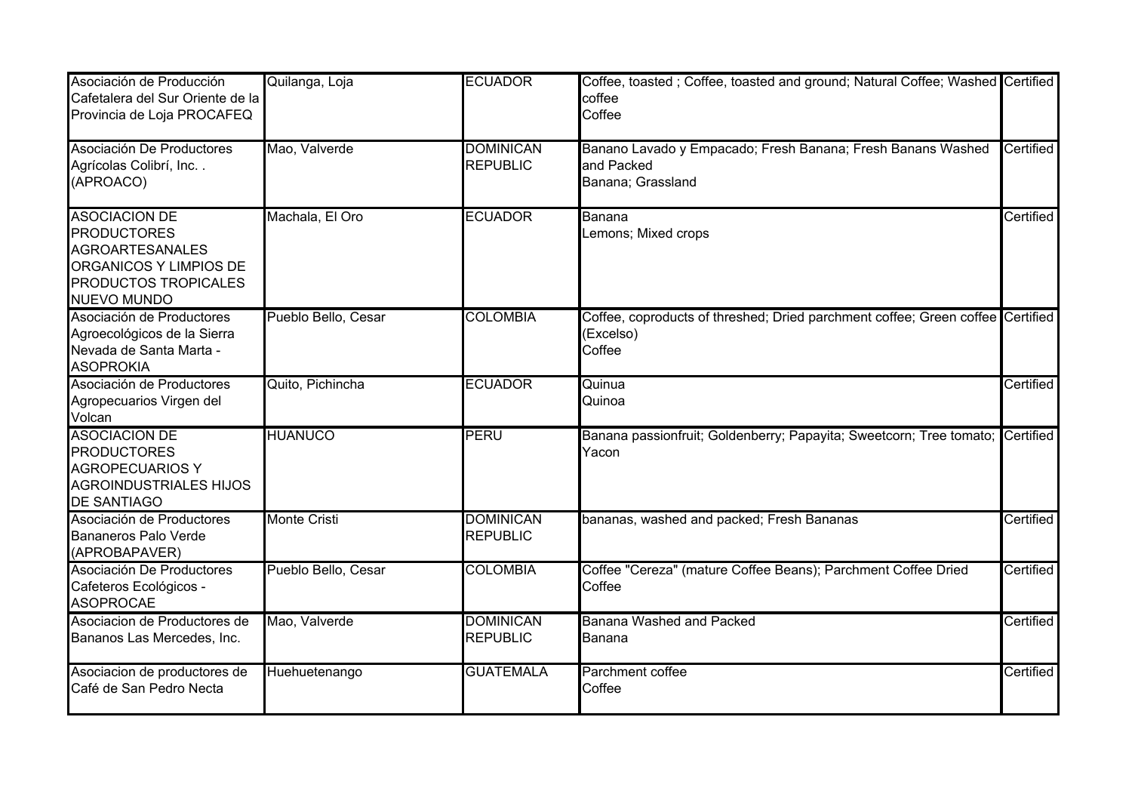| Asociación de Producción<br>Cafetalera del Sur Oriente de la<br>Provincia de Loja PROCAFEQ                                                   | Quilanga, Loja      | <b>ECUADOR</b>                      | Coffee, toasted; Coffee, toasted and ground; Natural Coffee; Washed Certified<br>coffee<br>Coffee     |           |
|----------------------------------------------------------------------------------------------------------------------------------------------|---------------------|-------------------------------------|-------------------------------------------------------------------------------------------------------|-----------|
| Asociación De Productores<br>Agrícolas Colibrí, Inc<br>(APROACO)                                                                             | Mao, Valverde       | <b>DOMINICAN</b><br><b>REPUBLIC</b> | Banano Lavado y Empacado; Fresh Banana; Fresh Banans Washed<br>and Packed<br>Banana; Grassland        | Certified |
| <b>ASOCIACION DE</b><br><b>PRODUCTORES</b><br><b>AGROARTESANALES</b><br>ORGANICOS Y LIMPIOS DE<br>PRODUCTOS TROPICALES<br><b>NUEVO MUNDO</b> | Machala, El Oro     | <b>ECUADOR</b>                      | Banana<br>Lemons; Mixed crops                                                                         | Certified |
| Asociación de Productores<br>Agroecológicos de la Sierra<br>Nevada de Santa Marta -<br><b>ASOPROKIA</b>                                      | Pueblo Bello, Cesar | <b>COLOMBIA</b>                     | Coffee, coproducts of threshed; Dried parchment coffee; Green coffee Certified<br>(Excelso)<br>Coffee |           |
| Asociación de Productores<br>Agropecuarios Virgen del<br>Volcan                                                                              | Quito, Pichincha    | <b>ECUADOR</b>                      | Quinua<br>Quinoa                                                                                      | Certified |
| <b>ASOCIACION DE</b><br><b>PRODUCTORES</b><br><b>AGROPECUARIOS Y</b><br><b>AGROINDUSTRIALES HIJOS</b><br><b>DE SANTIAGO</b>                  | <b>HUANUCO</b>      | <b>PERU</b>                         | Banana passionfruit; Goldenberry; Papayita; Sweetcorn; Tree tomato; Certified<br>Yacon                |           |
| Asociación de Productores<br><b>Bananeros Palo Verde</b><br>(APROBAPAVER)                                                                    | <b>Monte Cristi</b> | <b>DOMINICAN</b><br><b>REPUBLIC</b> | bananas, washed and packed; Fresh Bananas                                                             | Certified |
| Asociación De Productores<br>Cafeteros Ecológicos -<br><b>ASOPROCAE</b>                                                                      | Pueblo Bello, Cesar | <b>COLOMBIA</b>                     | Coffee "Cereza" (mature Coffee Beans); Parchment Coffee Dried<br>Coffee                               | Certified |
| Asociacion de Productores de<br>Bananos Las Mercedes, Inc.                                                                                   | Mao, Valverde       | <b>DOMINICAN</b><br><b>REPUBLIC</b> | Banana Washed and Packed<br>Banana                                                                    | Certified |
| Asociacion de productores de<br>Café de San Pedro Necta                                                                                      | Huehuetenango       | <b>GUATEMALA</b>                    | Parchment coffee<br>Coffee                                                                            | Certified |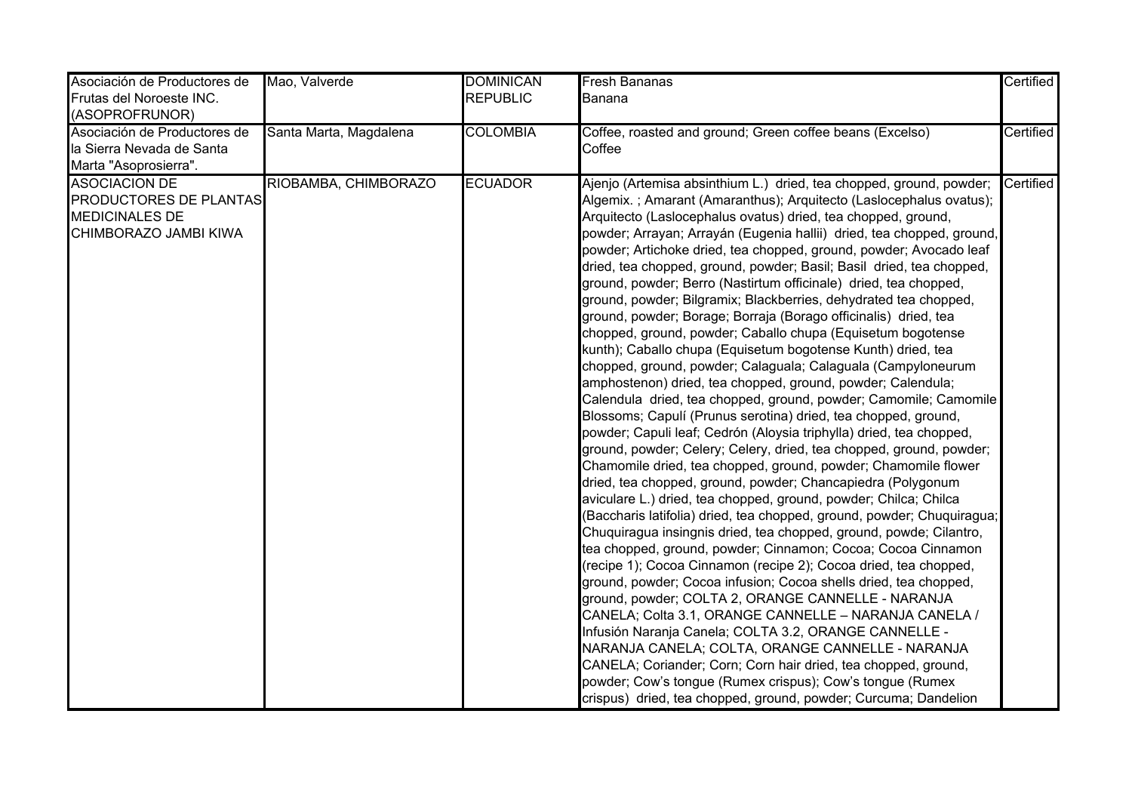| Asociación de Productores de<br>Frutas del Noroeste INC.<br>(ASOPROFRUNOR)                       | Mao, Valverde          | <b>DOMINICAN</b><br><b>REPUBLIC</b> | <b>Fresh Bananas</b><br>Banana                                                                                                                                                                                                                                                                                                                                                                                                                                                                                                                                                                                                                                                                                                                                                                                                                                                                                                                                                                                                                                                                                                                                                                                                                                                                                                                                                                                                                                                                                                                                                                                                                                                                                                                                                                                                                                                                                                                                                                                                                                                                                                                                                            | Certified |
|--------------------------------------------------------------------------------------------------|------------------------|-------------------------------------|-------------------------------------------------------------------------------------------------------------------------------------------------------------------------------------------------------------------------------------------------------------------------------------------------------------------------------------------------------------------------------------------------------------------------------------------------------------------------------------------------------------------------------------------------------------------------------------------------------------------------------------------------------------------------------------------------------------------------------------------------------------------------------------------------------------------------------------------------------------------------------------------------------------------------------------------------------------------------------------------------------------------------------------------------------------------------------------------------------------------------------------------------------------------------------------------------------------------------------------------------------------------------------------------------------------------------------------------------------------------------------------------------------------------------------------------------------------------------------------------------------------------------------------------------------------------------------------------------------------------------------------------------------------------------------------------------------------------------------------------------------------------------------------------------------------------------------------------------------------------------------------------------------------------------------------------------------------------------------------------------------------------------------------------------------------------------------------------------------------------------------------------------------------------------------------------|-----------|
| Asociación de Productores de<br>la Sierra Nevada de Santa<br>Marta "Asoprosierra".               | Santa Marta, Magdalena | <b>COLOMBIA</b>                     | Coffee, roasted and ground; Green coffee beans (Excelso)<br>Coffee                                                                                                                                                                                                                                                                                                                                                                                                                                                                                                                                                                                                                                                                                                                                                                                                                                                                                                                                                                                                                                                                                                                                                                                                                                                                                                                                                                                                                                                                                                                                                                                                                                                                                                                                                                                                                                                                                                                                                                                                                                                                                                                        | Certified |
| <b>ASOCIACION DE</b><br>PRODUCTORES DE PLANTAS<br><b>MEDICINALES DE</b><br>CHIMBORAZO JAMBI KIWA | RIOBAMBA, CHIMBORAZO   | <b>ECUADOR</b>                      | Ajenjo (Artemisa absinthium L.) dried, tea chopped, ground, powder;<br>Algemix.; Amarant (Amaranthus); Arquitecto (Laslocephalus ovatus);<br>Arquitecto (Laslocephalus ovatus) dried, tea chopped, ground,<br>powder; Arrayan; Arrayán (Eugenia hallii) dried, tea chopped, ground,<br>powder; Artichoke dried, tea chopped, ground, powder; Avocado leaf<br>dried, tea chopped, ground, powder; Basil; Basil dried, tea chopped,<br>ground, powder; Berro (Nastirtum officinale) dried, tea chopped,<br>ground, powder; Bilgramix; Blackberries, dehydrated tea chopped,<br>ground, powder; Borage; Borraja (Borago officinalis) dried, tea<br>chopped, ground, powder; Caballo chupa (Equisetum bogotense<br>kunth); Caballo chupa (Equisetum bogotense Kunth) dried, tea<br>chopped, ground, powder; Calaguala; Calaguala (Campyloneurum<br>amphostenon) dried, tea chopped, ground, powder; Calendula;<br>Calendula dried, tea chopped, ground, powder; Camomile; Camomile<br>Blossoms; Capulí (Prunus serotina) dried, tea chopped, ground,<br>powder; Capuli leaf; Cedrón (Aloysia triphylla) dried, tea chopped,<br>ground, powder; Celery; Celery, dried, tea chopped, ground, powder;<br>Chamomile dried, tea chopped, ground, powder; Chamomile flower<br>dried, tea chopped, ground, powder; Chancapiedra (Polygonum<br>aviculare L.) dried, tea chopped, ground, powder; Chilca; Chilca<br>(Baccharis latifolia) dried, tea chopped, ground, powder; Chuquiragua;<br>Chuquiragua insingnis dried, tea chopped, ground, powde; Cilantro,<br>tea chopped, ground, powder; Cinnamon; Cocoa; Cocoa Cinnamon<br>(recipe 1); Cocoa Cinnamon (recipe 2); Cocoa dried, tea chopped,<br>ground, powder; Cocoa infusion; Cocoa shells dried, tea chopped,<br>ground, powder; COLTA 2, ORANGE CANNELLE - NARANJA<br>CANELA; Colta 3.1, ORANGE CANNELLE - NARANJA CANELA /<br>Infusión Naranja Canela; COLTA 3.2, ORANGE CANNELLE -<br>NARANJA CANELA; COLTA, ORANGE CANNELLE - NARANJA<br>CANELA; Coriander; Corn; Corn hair dried, tea chopped, ground,<br>powder; Cow's tongue (Rumex crispus); Cow's tongue (Rumex<br>crispus) dried, tea chopped, ground, powder; Curcuma; Dandelion | Certified |

dried, tea chopped, ground, powder; Dehydrated goldenberry dried,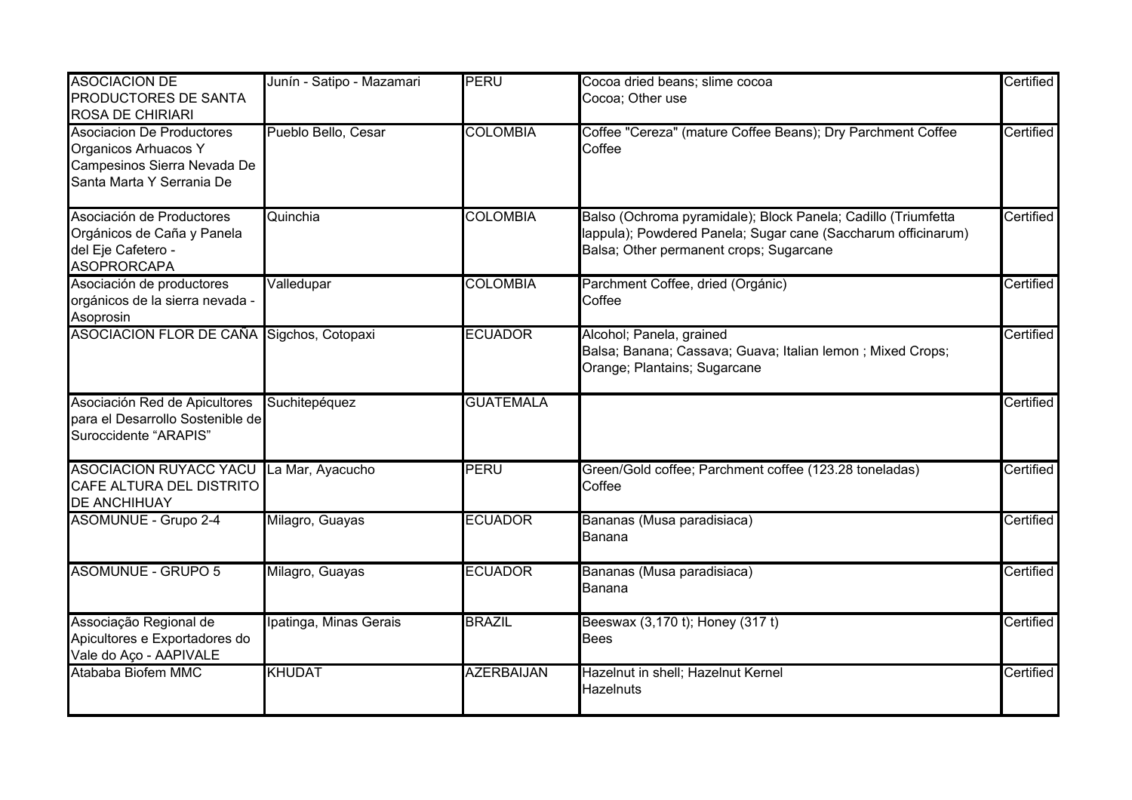| <b>ASOCIACION DE</b><br><b>PRODUCTORES DE SANTA</b><br><b>ROSA DE CHIRIARI</b>                                       | Junín - Satipo - Mazamari | PERU              | Cocoa dried beans; slime cocoa<br>Cocoa; Other use                                                                                                                        | Certified |
|----------------------------------------------------------------------------------------------------------------------|---------------------------|-------------------|---------------------------------------------------------------------------------------------------------------------------------------------------------------------------|-----------|
| <b>Asociacion De Productores</b><br>Organicos Arhuacos Y<br>Campesinos Sierra Nevada De<br>Santa Marta Y Serrania De | Pueblo Bello, Cesar       | <b>COLOMBIA</b>   | Coffee "Cereza" (mature Coffee Beans); Dry Parchment Coffee<br>Coffee                                                                                                     | Certified |
| Asociación de Productores<br>Orgánicos de Caña y Panela<br>del Eje Cafetero -<br>ASOPRORCAPA                         | Quinchia                  | <b>COLOMBIA</b>   | Balso (Ochroma pyramidale); Block Panela; Cadillo (Triumfetta<br>lappula); Powdered Panela; Sugar cane (Saccharum officinarum)<br>Balsa; Other permanent crops; Sugarcane | Certified |
| Asociación de productores<br>orgánicos de la sierra nevada -<br>Asoprosin                                            | Valledupar                | <b>COLOMBIA</b>   | Parchment Coffee, dried (Orgánic)<br>Coffee                                                                                                                               | Certified |
| ASOCIACION FLOR DE CAÑA Sigchos, Cotopaxi                                                                            |                           | <b>ECUADOR</b>    | Alcohol; Panela, grained<br>Balsa; Banana; Cassava; Guava; Italian lemon ; Mixed Crops;<br>Orange; Plantains; Sugarcane                                                   | Certified |
| Asociación Red de Apicultores<br>para el Desarrollo Sostenible de<br>Suroccidente "ARAPIS"                           | Suchitepéquez             | <b>GUATEMALA</b>  |                                                                                                                                                                           | Certified |
| <b>ASOCIACION RUYACC YACU La Mar, Ayacucho</b><br>CAFE ALTURA DEL DISTRITO<br><b>DE ANCHIHUAY</b>                    |                           | <b>PERU</b>       | Green/Gold coffee; Parchment coffee (123.28 toneladas)<br>Coffee                                                                                                          | Certified |
| <b>ASOMUNUE - Grupo 2-4</b>                                                                                          | Milagro, Guayas           | <b>ECUADOR</b>    | Bananas (Musa paradisiaca)<br>Banana                                                                                                                                      | Certified |
| <b>ASOMUNUE - GRUPO 5</b>                                                                                            | Milagro, Guayas           | <b>ECUADOR</b>    | Bananas (Musa paradisiaca)<br>Banana                                                                                                                                      | Certified |
| Associação Regional de<br>Apicultores e Exportadores do<br>Vale do Aço - AAPIVALE                                    | Ipatinga, Minas Gerais    | <b>BRAZIL</b>     | Beeswax (3,170 t); Honey (317 t)<br><b>Bees</b>                                                                                                                           | Certified |
| Atababa Biofem MMC                                                                                                   | <b>KHUDAT</b>             | <b>AZERBAIJAN</b> | Hazelnut in shell; Hazelnut Kernel<br><b>Hazelnuts</b>                                                                                                                    | Certified |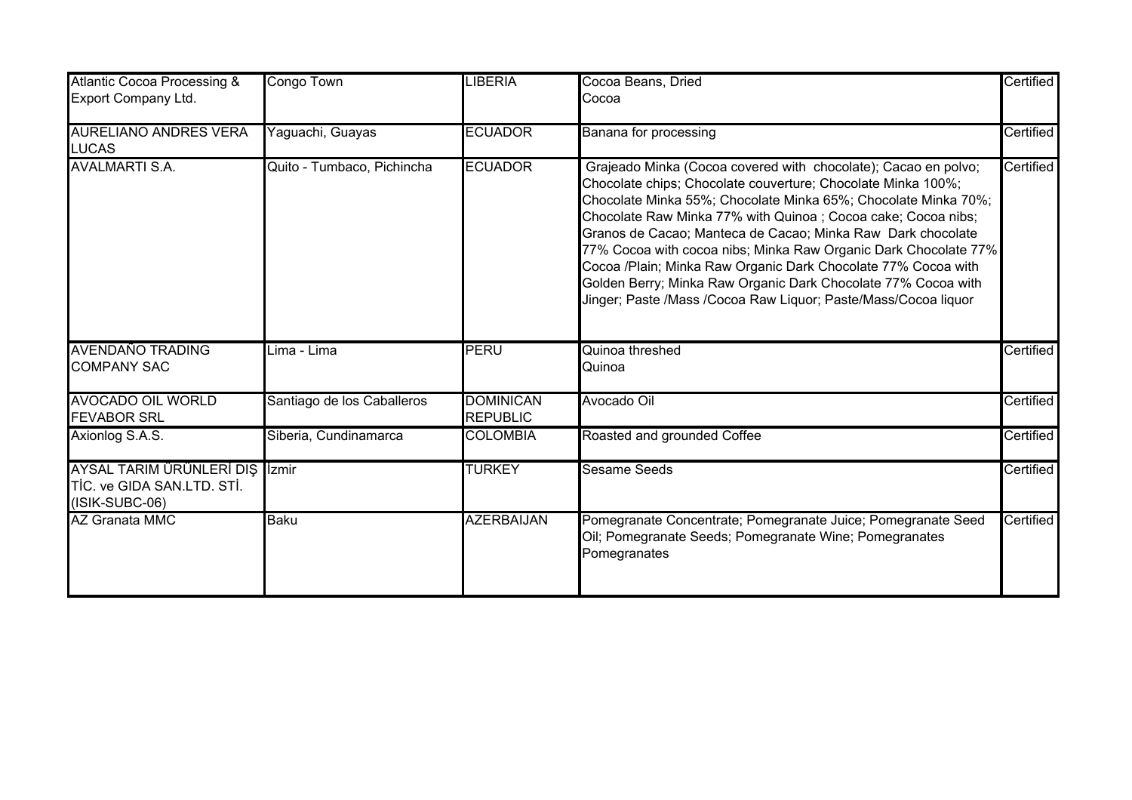| <b>Atlantic Cocoa Processing &amp;</b><br>Export Company Ltd.                  | Congo Town                 | <b>LIBERIA</b>                      | Cocoa Beans, Dried<br>Cocoa                                                                                                                                                                                                                                                                                                                                                                                                                                                                                                                                                                            | Certified |
|--------------------------------------------------------------------------------|----------------------------|-------------------------------------|--------------------------------------------------------------------------------------------------------------------------------------------------------------------------------------------------------------------------------------------------------------------------------------------------------------------------------------------------------------------------------------------------------------------------------------------------------------------------------------------------------------------------------------------------------------------------------------------------------|-----------|
| <b>AURELIANO ANDRES VERA</b><br><b>LUCAS</b>                                   | Yaguachi, Guayas           | <b>ECUADOR</b>                      | Banana for processing                                                                                                                                                                                                                                                                                                                                                                                                                                                                                                                                                                                  | Certified |
| <b>AVALMARTI S.A.</b>                                                          | Quito - Tumbaco, Pichincha | <b>ECUADOR</b>                      | Grajeado Minka (Cocoa covered with chocolate); Cacao en polvo;<br>Chocolate chips; Chocolate couverture; Chocolate Minka 100%;<br>Chocolate Minka 55%; Chocolate Minka 65%; Chocolate Minka 70%;<br>Chocolate Raw Minka 77% with Quinoa; Cocoa cake; Cocoa nibs;<br>Granos de Cacao; Manteca de Cacao; Minka Raw Dark chocolate<br>77% Cocoa with cocoa nibs; Minka Raw Organic Dark Chocolate 77%<br>Cocoa /Plain; Minka Raw Organic Dark Chocolate 77% Cocoa with<br>Golden Berry; Minka Raw Organic Dark Chocolate 77% Cocoa with<br>Jinger; Paste /Mass /Cocoa Raw Liquor; Paste/Mass/Cocoa liquor | Certified |
| <b>AVENDAÑO TRADING</b><br><b>COMPANY SAC</b>                                  | Lima - Lima                | <b>PERU</b>                         | Quinoa threshed<br>Quinoa                                                                                                                                                                                                                                                                                                                                                                                                                                                                                                                                                                              | Certified |
| <b>AVOCADO OIL WORLD</b><br><b>FEVABOR SRL</b>                                 | Santiago de los Caballeros | <b>DOMINICAN</b><br><b>REPUBLIC</b> | Avocado Oil                                                                                                                                                                                                                                                                                                                                                                                                                                                                                                                                                                                            | Certified |
| Axionlog S.A.S.                                                                | Siberia, Cundinamarca      | <b>COLOMBIA</b>                     | Roasted and grounded Coffee                                                                                                                                                                                                                                                                                                                                                                                                                                                                                                                                                                            | Certified |
| AYSAL TARIM ÜRÜNLERİ DIŞ İzmir<br>TİC. ve GIDA SAN.LTD. STİ.<br>(ISIK-SUBC-06) |                            | <b>TURKEY</b>                       | <b>Sesame Seeds</b>                                                                                                                                                                                                                                                                                                                                                                                                                                                                                                                                                                                    | Certified |
| <b>AZ Granata MMC</b>                                                          | <b>Baku</b>                | <b>AZERBAIJAN</b>                   | Pomegranate Concentrate; Pomegranate Juice; Pomegranate Seed<br>Oil; Pomegranate Seeds; Pomegranate Wine; Pomegranates<br>Pomegranates                                                                                                                                                                                                                                                                                                                                                                                                                                                                 | Certified |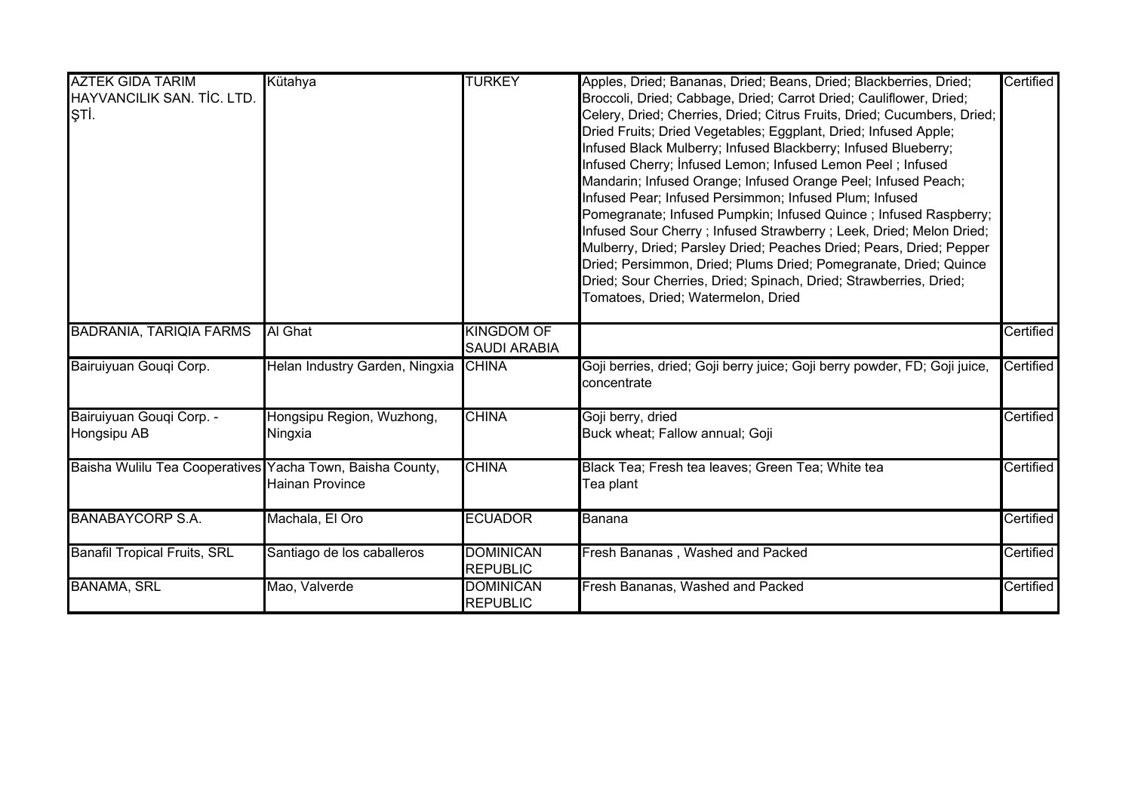| <b>AZTEK GIDA TARIM</b>                                   | Kütahya                        | <b>TURKEY</b>       | Apples, Dried; Bananas, Dried; Beans, Dried; Blackberries, Dried;                        | Certified |
|-----------------------------------------------------------|--------------------------------|---------------------|------------------------------------------------------------------------------------------|-----------|
| HAYVANCILIK SAN. TİC. LTD.                                |                                |                     | Broccoli, Dried; Cabbage, Dried; Carrot Dried; Cauliflower, Dried;                       |           |
| ŞTİ.                                                      |                                |                     | Celery, Dried; Cherries, Dried; Citrus Fruits, Dried; Cucumbers, Dried;                  |           |
|                                                           |                                |                     | Dried Fruits; Dried Vegetables; Eggplant, Dried; Infused Apple;                          |           |
|                                                           |                                |                     | Infused Black Mulberry; Infused Blackberry; Infused Blueberry;                           |           |
|                                                           |                                |                     | Infused Cherry; Infused Lemon; Infused Lemon Peel; Infused                               |           |
|                                                           |                                |                     | Mandarin; Infused Orange; Infused Orange Peel; Infused Peach;                            |           |
|                                                           |                                |                     | Infused Pear; Infused Persimmon; Infused Plum; Infused                                   |           |
|                                                           |                                |                     | Pomegranate; Infused Pumpkin; Infused Quince; Infused Raspberry;                         |           |
|                                                           |                                |                     | Infused Sour Cherry; Infused Strawberry; Leek, Dried; Melon Dried;                       |           |
|                                                           |                                |                     | Mulberry, Dried; Parsley Dried; Peaches Dried; Pears, Dried; Pepper                      |           |
|                                                           |                                |                     | Dried; Persimmon, Dried; Plums Dried; Pomegranate, Dried; Quince                         |           |
|                                                           |                                |                     | Dried; Sour Cherries, Dried; Spinach, Dried; Strawberries, Dried;                        |           |
|                                                           |                                |                     | Tomatoes, Dried; Watermelon, Dried                                                       |           |
|                                                           |                                |                     |                                                                                          |           |
| <b>BADRANIA, TARIQIA FARMS</b>                            | Al Ghat                        | <b>KINGDOM OF</b>   |                                                                                          | Certified |
|                                                           |                                | <b>SAUDI ARABIA</b> |                                                                                          |           |
| Bairuiyuan Gougi Corp.                                    | Helan Industry Garden, Ningxia | <b>CHINA</b>        | Goji berries, dried; Goji berry juice; Goji berry powder, FD; Goji juice,<br>concentrate | Certified |
| Bairuiyuan Gouqi Corp. -                                  | Hongsipu Region, Wuzhong,      | <b>CHINA</b>        | Goji berry, dried                                                                        | Certified |
| Hongsipu AB                                               | Ningxia                        |                     | Buck wheat; Fallow annual; Goji                                                          |           |
|                                                           |                                |                     |                                                                                          |           |
| Baisha Wulilu Tea Cooperatives Yacha Town, Baisha County, |                                | <b>CHINA</b>        | Black Tea; Fresh tea leaves; Green Tea; White tea                                        | Certified |
|                                                           | <b>Hainan Province</b>         |                     | Tea plant                                                                                |           |
|                                                           |                                |                     |                                                                                          |           |
| <b>BANABAYCORP S.A.</b>                                   | Machala, El Oro                | <b>ECUADOR</b>      | Banana                                                                                   | Certified |
|                                                           |                                |                     |                                                                                          |           |
| <b>Banafil Tropical Fruits, SRL</b>                       | Santiago de los caballeros     | <b>DOMINICAN</b>    | Fresh Bananas, Washed and Packed                                                         | Certified |
|                                                           |                                | <b>REPUBLIC</b>     |                                                                                          |           |
| <b>BANAMA, SRL</b>                                        | Mao, Valverde                  | <b>DOMINICAN</b>    | Fresh Bananas, Washed and Packed                                                         | Certified |
|                                                           |                                | <b>REPUBLIC</b>     |                                                                                          |           |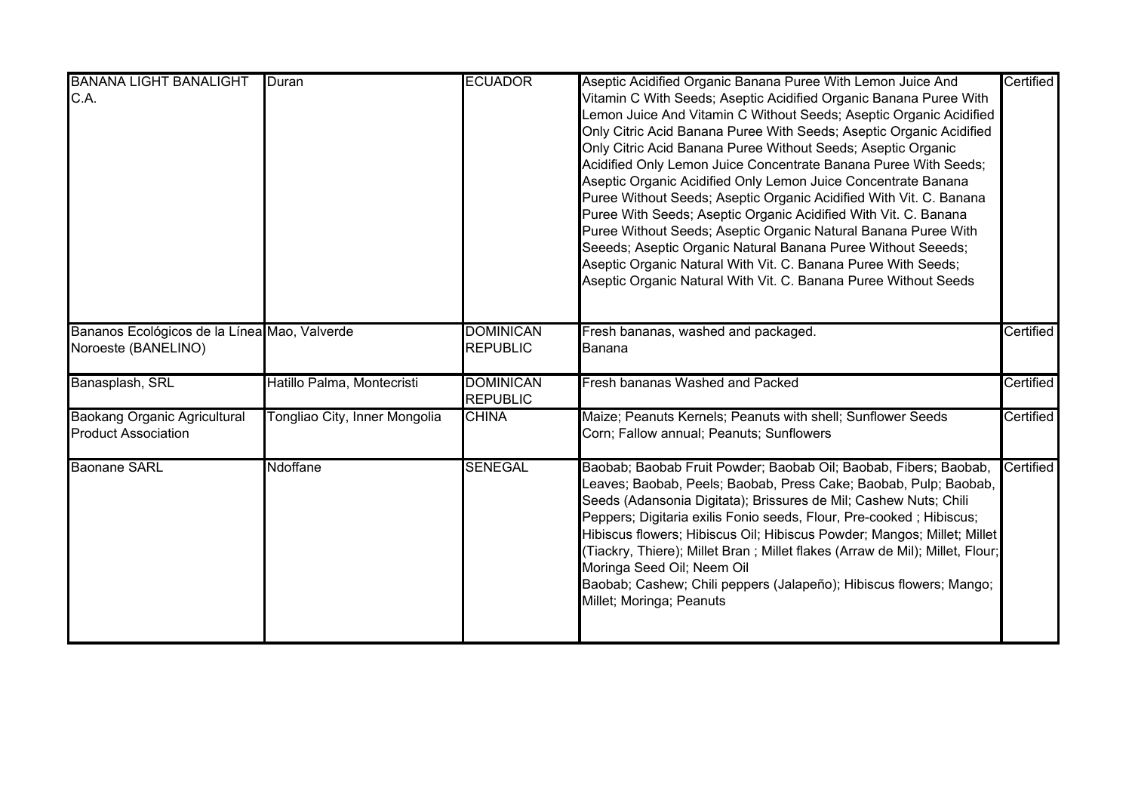| <b>BANANA LIGHT BANALIGHT</b><br>C.A.                               | Duran                         | <b>ECUADOR</b>                      | Aseptic Acidified Organic Banana Puree With Lemon Juice And<br>Vitamin C With Seeds; Aseptic Acidified Organic Banana Puree With<br>Lemon Juice And Vitamin C Without Seeds; Aseptic Organic Acidified<br>Only Citric Acid Banana Puree With Seeds; Aseptic Organic Acidified<br>Only Citric Acid Banana Puree Without Seeds; Aseptic Organic<br>Acidified Only Lemon Juice Concentrate Banana Puree With Seeds;<br>Aseptic Organic Acidified Only Lemon Juice Concentrate Banana<br>Puree Without Seeds; Aseptic Organic Acidified With Vit. C. Banana<br>Puree With Seeds; Aseptic Organic Acidified With Vit. C. Banana<br>Puree Without Seeds; Aseptic Organic Natural Banana Puree With<br>Seeeds; Aseptic Organic Natural Banana Puree Without Seeeds;<br>Aseptic Organic Natural With Vit. C. Banana Puree With Seeds;<br>Aseptic Organic Natural With Vit. C. Banana Puree Without Seeds | Certified |
|---------------------------------------------------------------------|-------------------------------|-------------------------------------|--------------------------------------------------------------------------------------------------------------------------------------------------------------------------------------------------------------------------------------------------------------------------------------------------------------------------------------------------------------------------------------------------------------------------------------------------------------------------------------------------------------------------------------------------------------------------------------------------------------------------------------------------------------------------------------------------------------------------------------------------------------------------------------------------------------------------------------------------------------------------------------------------|-----------|
| Bananos Ecológicos de la Línea Mao, Valverde<br>Noroeste (BANELINO) |                               | <b>DOMINICAN</b><br><b>REPUBLIC</b> | Fresh bananas, washed and packaged.<br>Banana                                                                                                                                                                                                                                                                                                                                                                                                                                                                                                                                                                                                                                                                                                                                                                                                                                                    | Certified |
| Banasplash, SRL                                                     | Hatillo Palma, Montecristi    | <b>DOMINICAN</b><br><b>REPUBLIC</b> | Fresh bananas Washed and Packed                                                                                                                                                                                                                                                                                                                                                                                                                                                                                                                                                                                                                                                                                                                                                                                                                                                                  | Certified |
| <b>Baokang Organic Agricultural</b><br><b>Product Association</b>   | Tongliao City, Inner Mongolia | <b>CHINA</b>                        | Maize; Peanuts Kernels; Peanuts with shell; Sunflower Seeds<br>Corn; Fallow annual; Peanuts; Sunflowers                                                                                                                                                                                                                                                                                                                                                                                                                                                                                                                                                                                                                                                                                                                                                                                          | Certified |
| <b>Baonane SARL</b>                                                 | Ndoffane                      | <b>SENEGAL</b>                      | Baobab; Baobab Fruit Powder; Baobab Oil; Baobab, Fibers; Baobab,<br>Leaves; Baobab, Peels; Baobab, Press Cake; Baobab, Pulp; Baobab,<br>Seeds (Adansonia Digitata); Brissures de Mil; Cashew Nuts; Chili<br>Peppers; Digitaria exilis Fonio seeds, Flour, Pre-cooked; Hibiscus;<br>Hibiscus flowers; Hibiscus Oil; Hibiscus Powder; Mangos; Millet; Millet<br>(Tiackry, Thiere); Millet Bran ; Millet flakes (Arraw de Mil); Millet, Flour;<br>Moringa Seed Oil; Neem Oil<br>Baobab; Cashew; Chili peppers (Jalapeño); Hibiscus flowers; Mango;<br>Millet; Moringa; Peanuts                                                                                                                                                                                                                                                                                                                      | Certified |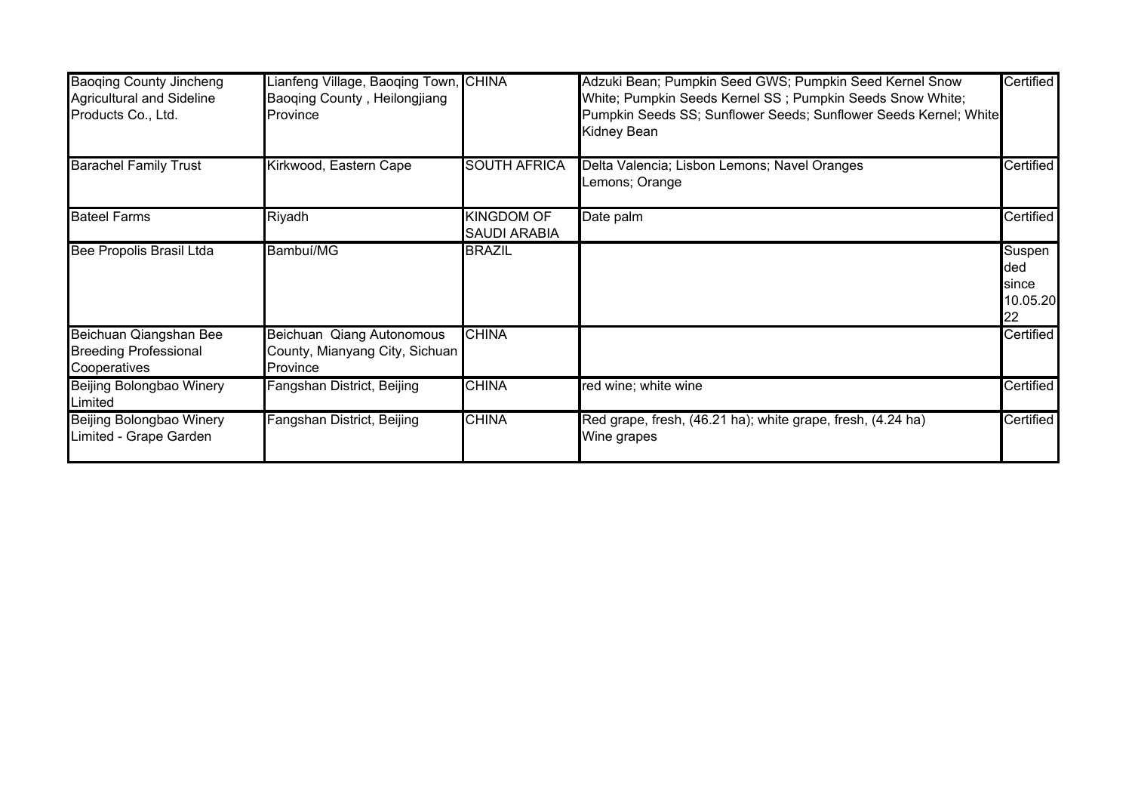| <b>Baoqing County Jincheng</b><br><b>Agricultural and Sideline</b><br>Products Co., Ltd. | ianfeng Village, Baoqing Town, CHINA<br>Baoqing County, Heilongjiang<br><b>Province</b> |                                          | Adzuki Bean; Pumpkin Seed GWS; Pumpkin Seed Kernel Snow<br>White; Pumpkin Seeds Kernel SS; Pumpkin Seeds Snow White;<br>Pumpkin Seeds SS; Sunflower Seeds; Sunflower Seeds Kernel; White | Certified                                |
|------------------------------------------------------------------------------------------|-----------------------------------------------------------------------------------------|------------------------------------------|------------------------------------------------------------------------------------------------------------------------------------------------------------------------------------------|------------------------------------------|
|                                                                                          |                                                                                         |                                          | <b>Kidney Bean</b>                                                                                                                                                                       |                                          |
| <b>Barachel Family Trust</b>                                                             | Kirkwood, Eastern Cape                                                                  | <b>SOUTH AFRICA</b>                      | Delta Valencia; Lisbon Lemons; Navel Oranges<br>Lemons; Orange                                                                                                                           | Certified                                |
| <b>Bateel Farms</b>                                                                      | <b>Riyadh</b>                                                                           | <b>KINGDOM OF</b><br><b>SAUDI ARABIA</b> | Date palm                                                                                                                                                                                | Certified                                |
| <b>Bee Propolis Brasil Ltda</b>                                                          | Bambuí/MG                                                                               | <b>BRAZIL</b>                            |                                                                                                                                                                                          | Suspen<br>ded<br>since<br>10.05.20<br>22 |
| Beichuan Qiangshan Bee<br><b>Breeding Professional</b><br>Cooperatives                   | <b>Beichuan Qiang Autonomous</b><br>County, Mianyang City, Sichuan<br>Province          | <b>CHINA</b>                             |                                                                                                                                                                                          | Certified                                |
| Beijing Bolongbao Winery<br>Limited                                                      | Fangshan District, Beijing                                                              | <b>CHINA</b>                             | red wine; white wine                                                                                                                                                                     | Certified                                |
| Beijing Bolongbao Winery<br>Limited - Grape Garden                                       | Fangshan District, Beijing                                                              | <b>CHINA</b>                             | Red grape, fresh, (46.21 ha); white grape, fresh, (4.24 ha)<br>Wine grapes                                                                                                               | Certified                                |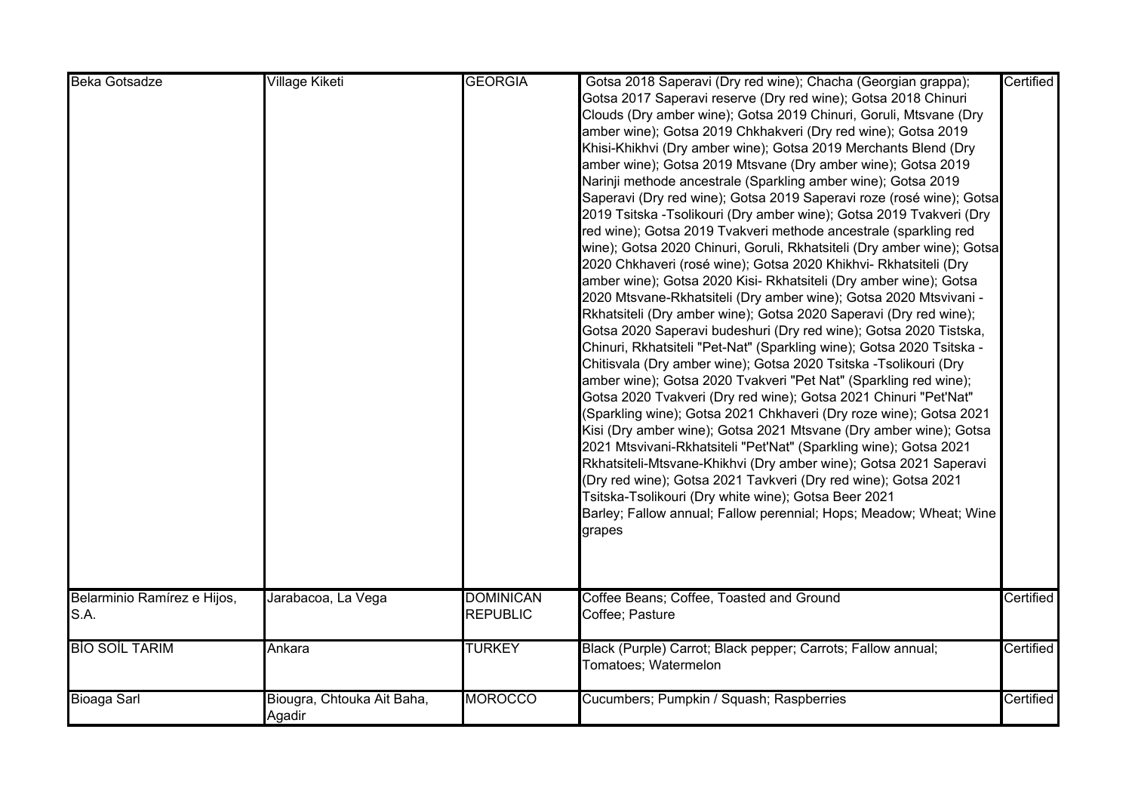| <b>Beka Gotsadze</b>        | Village Kiketi             | <b>GEORGIA</b>   | Gotsa 2018 Saperavi (Dry red wine); Chacha (Georgian grappa);          | Certified |
|-----------------------------|----------------------------|------------------|------------------------------------------------------------------------|-----------|
|                             |                            |                  | Gotsa 2017 Saperavi reserve (Dry red wine); Gotsa 2018 Chinuri         |           |
|                             |                            |                  | Clouds (Dry amber wine); Gotsa 2019 Chinuri, Goruli, Mtsvane (Dry      |           |
|                             |                            |                  | amber wine); Gotsa 2019 Chkhakveri (Dry red wine); Gotsa 2019          |           |
|                             |                            |                  | Khisi-Khikhvi (Dry amber wine); Gotsa 2019 Merchants Blend (Dry        |           |
|                             |                            |                  | amber wine); Gotsa 2019 Mtsvane (Dry amber wine); Gotsa 2019           |           |
|                             |                            |                  | Narinji methode ancestrale (Sparkling amber wine); Gotsa 2019          |           |
|                             |                            |                  | Saperavi (Dry red wine); Gotsa 2019 Saperavi roze (rosé wine); Gotsa   |           |
|                             |                            |                  | 2019 Tsitska -Tsolikouri (Dry amber wine); Gotsa 2019 Tvakveri (Dry    |           |
|                             |                            |                  | red wine); Gotsa 2019 Tvakveri methode ancestrale (sparkling red       |           |
|                             |                            |                  | wine); Gotsa 2020 Chinuri, Goruli, Rkhatsiteli (Dry amber wine); Gotsa |           |
|                             |                            |                  | 2020 Chkhaveri (rosé wine); Gotsa 2020 Khikhvi- Rkhatsiteli (Dry       |           |
|                             |                            |                  | amber wine); Gotsa 2020 Kisi- Rkhatsiteli (Dry amber wine); Gotsa      |           |
|                             |                            |                  | 2020 Mtsvane-Rkhatsiteli (Dry amber wine); Gotsa 2020 Mtsvivani -      |           |
|                             |                            |                  | Rkhatsiteli (Dry amber wine); Gotsa 2020 Saperavi (Dry red wine);      |           |
|                             |                            |                  | Gotsa 2020 Saperavi budeshuri (Dry red wine); Gotsa 2020 Tistska,      |           |
|                             |                            |                  | Chinuri, Rkhatsiteli "Pet-Nat" (Sparkling wine); Gotsa 2020 Tsitska -  |           |
|                             |                            |                  | Chitisvala (Dry amber wine); Gotsa 2020 Tsitska -Tsolikouri (Dry       |           |
|                             |                            |                  | amber wine); Gotsa 2020 Tvakveri "Pet Nat" (Sparkling red wine);       |           |
|                             |                            |                  | Gotsa 2020 Tvakveri (Dry red wine); Gotsa 2021 Chinuri "Pet'Nat"       |           |
|                             |                            |                  | (Sparkling wine); Gotsa 2021 Chkhaveri (Dry roze wine); Gotsa 2021     |           |
|                             |                            |                  | Kisi (Dry amber wine); Gotsa 2021 Mtsvane (Dry amber wine); Gotsa      |           |
|                             |                            |                  | 2021 Mtsvivani-Rkhatsiteli "Pet'Nat" (Sparkling wine); Gotsa 2021      |           |
|                             |                            |                  | Rkhatsiteli-Mtsvane-Khikhvi (Dry amber wine); Gotsa 2021 Saperavi      |           |
|                             |                            |                  | (Dry red wine); Gotsa 2021 Tavkveri (Dry red wine); Gotsa 2021         |           |
|                             |                            |                  |                                                                        |           |
|                             |                            |                  | Tsitska-Tsolikouri (Dry white wine); Gotsa Beer 2021                   |           |
|                             |                            |                  | Barley; Fallow annual; Fallow perennial; Hops; Meadow; Wheat; Wine     |           |
|                             |                            |                  | grapes                                                                 |           |
|                             |                            |                  |                                                                        |           |
|                             |                            |                  |                                                                        |           |
| Belarminio Ramírez e Hijos, | Jarabacoa, La Vega         | <b>DOMINICAN</b> | Coffee Beans; Coffee, Toasted and Ground                               | Certified |
| S.A.                        |                            | <b>REPUBLIC</b>  | Coffee; Pasture                                                        |           |
|                             |                            |                  |                                                                        |           |
| <b>BIO SOIL TARIM</b>       | Ankara                     | <b>TURKEY</b>    | Black (Purple) Carrot; Black pepper; Carrots; Fallow annual;           | Certified |
|                             |                            |                  | Tomatoes; Watermelon                                                   |           |
|                             |                            |                  |                                                                        |           |
| <b>Bioaga Sarl</b>          | Biougra, Chtouka Ait Baha, | <b>MOROCCO</b>   | Cucumbers; Pumpkin / Squash; Raspberries                               | Certified |
|                             | Agadir                     |                  |                                                                        |           |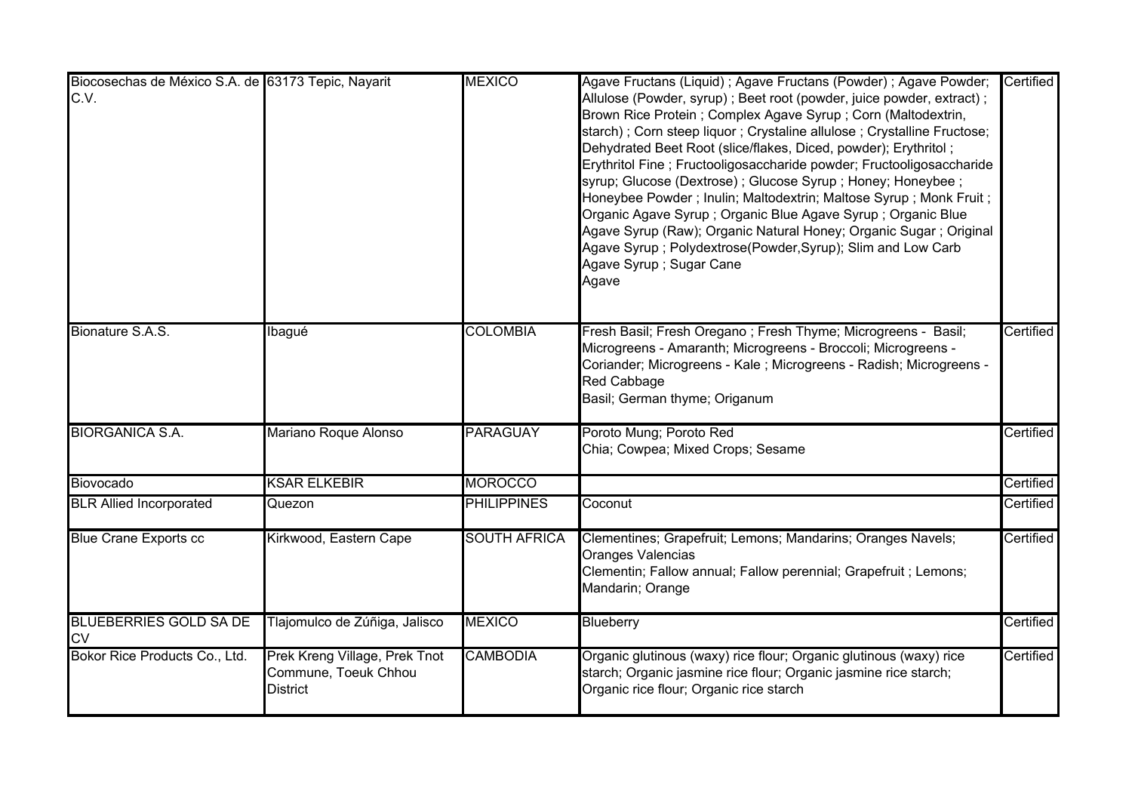| Biocosechas de México S.A. de 63173 Tepic, Nayarit<br>C.V. |                                                                          | <b>MEXICO</b>       | Agave Fructans (Liquid) ; Agave Fructans (Powder) ; Agave Powder;<br>Allulose (Powder, syrup) ; Beet root (powder, juice powder, extract) ;<br>Brown Rice Protein; Complex Agave Syrup; Corn (Maltodextrin,<br>starch) ; Corn steep liquor ; Crystaline allulose ; Crystalline Fructose;<br>Dehydrated Beet Root (slice/flakes, Diced, powder); Erythritol;<br>Erythritol Fine; Fructooligosaccharide powder; Fructooligosaccharide<br>syrup; Glucose (Dextrose) ; Glucose Syrup ; Honey; Honeybee ;<br>Honeybee Powder; Inulin; Maltodextrin; Maltose Syrup; Monk Fruit;<br>Organic Agave Syrup ; Organic Blue Agave Syrup ; Organic Blue<br>Agave Syrup (Raw); Organic Natural Honey; Organic Sugar ; Original<br>Agave Syrup; Polydextrose(Powder, Syrup); Slim and Low Carb<br>Agave Syrup ; Sugar Cane<br>Agave | Certified |
|------------------------------------------------------------|--------------------------------------------------------------------------|---------------------|----------------------------------------------------------------------------------------------------------------------------------------------------------------------------------------------------------------------------------------------------------------------------------------------------------------------------------------------------------------------------------------------------------------------------------------------------------------------------------------------------------------------------------------------------------------------------------------------------------------------------------------------------------------------------------------------------------------------------------------------------------------------------------------------------------------------|-----------|
| Bionature S.A.S.                                           | Ibagué                                                                   | <b>COLOMBIA</b>     | Fresh Basil; Fresh Oregano; Fresh Thyme; Microgreens - Basil;<br>Microgreens - Amaranth; Microgreens - Broccoli; Microgreens -<br>Coriander; Microgreens - Kale ; Microgreens - Radish; Microgreens -<br>Red Cabbage<br>Basil; German thyme; Origanum                                                                                                                                                                                                                                                                                                                                                                                                                                                                                                                                                                | Certified |
| <b>BIORGANICA S.A.</b>                                     | Mariano Roque Alonso                                                     | <b>PARAGUAY</b>     | Poroto Mung; Poroto Red<br>Chia; Cowpea; Mixed Crops; Sesame                                                                                                                                                                                                                                                                                                                                                                                                                                                                                                                                                                                                                                                                                                                                                         | Certified |
| Biovocado                                                  | <b>KSAR ELKEBIR</b>                                                      | <b>MOROCCO</b>      |                                                                                                                                                                                                                                                                                                                                                                                                                                                                                                                                                                                                                                                                                                                                                                                                                      | Certified |
| <b>BLR Allied Incorporated</b>                             | Quezon                                                                   | <b>PHILIPPINES</b>  | Coconut                                                                                                                                                                                                                                                                                                                                                                                                                                                                                                                                                                                                                                                                                                                                                                                                              | Certified |
| <b>Blue Crane Exports cc</b>                               | Kirkwood, Eastern Cape                                                   | <b>SOUTH AFRICA</b> | Clementines; Grapefruit; Lemons; Mandarins; Oranges Navels;<br>Oranges Valencias<br>Clementin; Fallow annual; Fallow perennial; Grapefruit ; Lemons;<br>Mandarin; Orange                                                                                                                                                                                                                                                                                                                                                                                                                                                                                                                                                                                                                                             | Certified |
| <b>BLUEBERRIES GOLD SA DE</b><br><b>CV</b>                 | Tlajomulco de Zúñiga, Jalisco                                            | <b>MEXICO</b>       | Blueberry                                                                                                                                                                                                                                                                                                                                                                                                                                                                                                                                                                                                                                                                                                                                                                                                            | Certified |
| Bokor Rice Products Co., Ltd.                              | Prek Kreng Village, Prek Tnot<br>Commune, Toeuk Chhou<br><b>District</b> | <b>CAMBODIA</b>     | Organic glutinous (waxy) rice flour; Organic glutinous (waxy) rice<br>starch; Organic jasmine rice flour; Organic jasmine rice starch;<br>Organic rice flour; Organic rice starch                                                                                                                                                                                                                                                                                                                                                                                                                                                                                                                                                                                                                                    | Certified |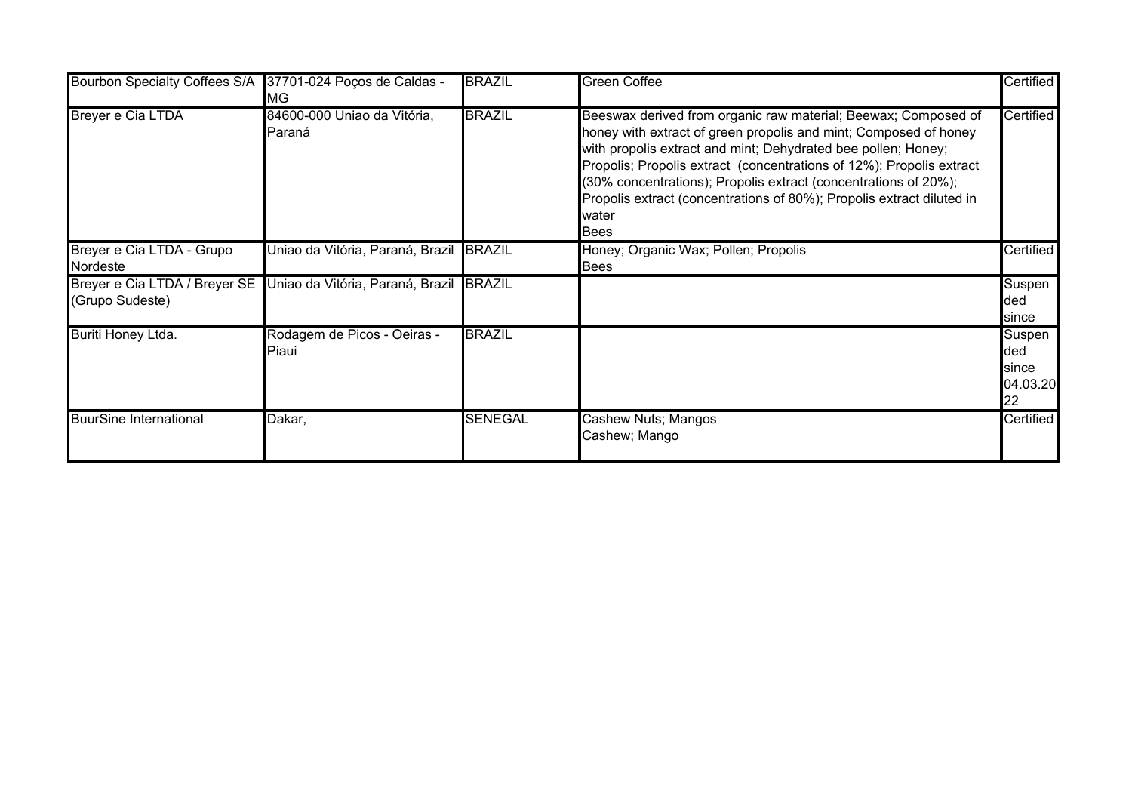| Bourbon Specialty Coffees S/A 37701-024 Poços de Caldas - | МG                                                                    | <b>BRAZIL</b>  | <b>Green Coffee</b>                                                                                                                                                                                                                                                                                                                                                                                                                             | Certified                                |
|-----------------------------------------------------------|-----------------------------------------------------------------------|----------------|-------------------------------------------------------------------------------------------------------------------------------------------------------------------------------------------------------------------------------------------------------------------------------------------------------------------------------------------------------------------------------------------------------------------------------------------------|------------------------------------------|
| Breyer e Cia LTDA                                         | 84600-000 Uniao da Vitória,<br>Paraná                                 | <b>BRAZIL</b>  | Beeswax derived from organic raw material; Beewax; Composed of<br>honey with extract of green propolis and mint; Composed of honey<br>with propolis extract and mint; Dehydrated bee pollen; Honey;<br>Propolis; Propolis extract (concentrations of 12%); Propolis extract<br>(30% concentrations); Propolis extract (concentrations of 20%);<br>Propolis extract (concentrations of 80%); Propolis extract diluted in<br>water<br><b>Bees</b> | Certified                                |
| Breyer e Cia LTDA - Grupo<br>Nordeste                     | Uniao da Vitória, Paraná, Brazil BRAZIL                               |                | Honey; Organic Wax; Pollen; Propolis<br>Bees                                                                                                                                                                                                                                                                                                                                                                                                    | Certified                                |
| (Grupo Sudeste)                                           | Breyer e Cia LTDA / Breyer SE Uniao da Vitória, Paraná, Brazil BRAZIL |                |                                                                                                                                                                                                                                                                                                                                                                                                                                                 | Suspen<br>ded<br>since                   |
| Buriti Honey Ltda.                                        | Rodagem de Picos - Oeiras -<br>Piaui                                  | <b>BRAZIL</b>  |                                                                                                                                                                                                                                                                                                                                                                                                                                                 | Suspen<br>ded<br>since<br>04.03.20<br>22 |
| <b>BuurSine International</b>                             | Dakar,                                                                | <b>SENEGAL</b> | Cashew Nuts; Mangos<br>Cashew; Mango                                                                                                                                                                                                                                                                                                                                                                                                            | Certified                                |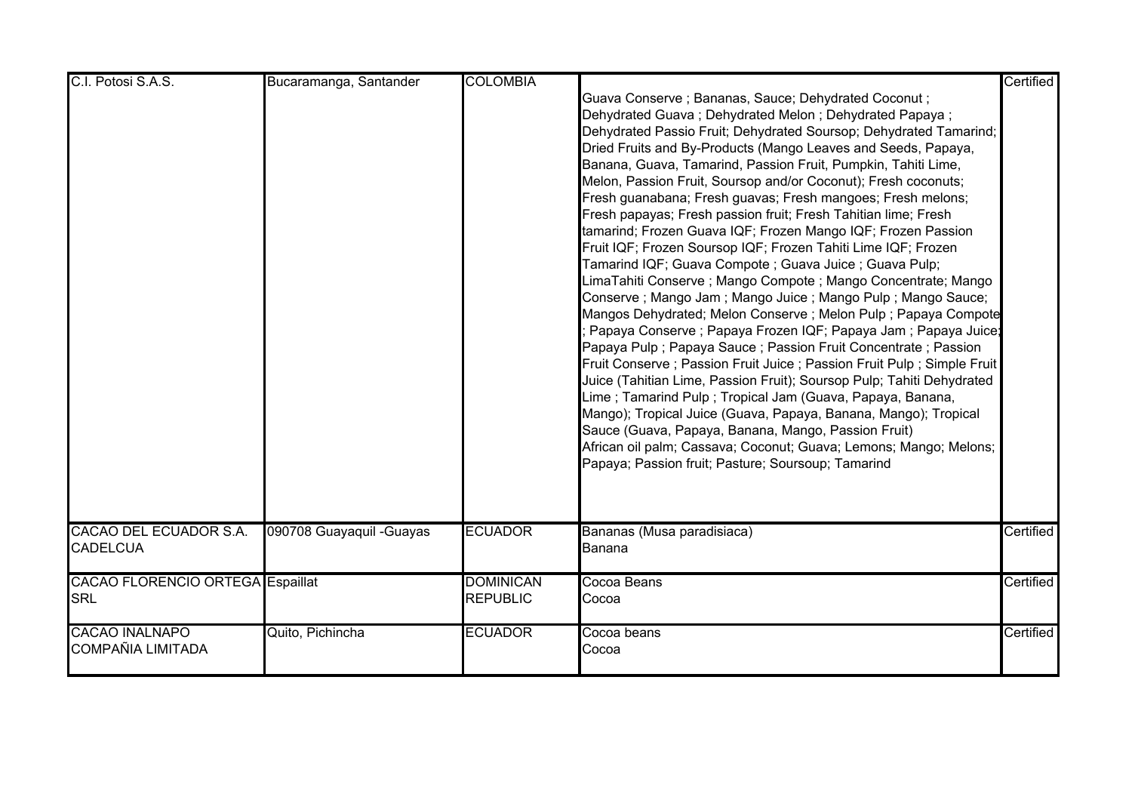| C.I. Potosi S.A.S.                                    | Bucaramanga, Santander    | <b>COLOMBIA</b>                     | Guava Conserve; Bananas, Sauce; Dehydrated Coconut;<br>Dehydrated Guava; Dehydrated Melon; Dehydrated Papaya;<br>Dehydrated Passio Fruit; Dehydrated Soursop; Dehydrated Tamarind;<br>Dried Fruits and By-Products (Mango Leaves and Seeds, Papaya,<br>Banana, Guava, Tamarind, Passion Fruit, Pumpkin, Tahiti Lime,<br>Melon, Passion Fruit, Soursop and/or Coconut); Fresh coconuts;<br>Fresh guanabana; Fresh guavas; Fresh mangoes; Fresh melons;<br>Fresh papayas; Fresh passion fruit; Fresh Tahitian lime; Fresh                                                                                                                                                                                                                                                                                                                                                                                                                                                                               | Certified        |
|-------------------------------------------------------|---------------------------|-------------------------------------|-------------------------------------------------------------------------------------------------------------------------------------------------------------------------------------------------------------------------------------------------------------------------------------------------------------------------------------------------------------------------------------------------------------------------------------------------------------------------------------------------------------------------------------------------------------------------------------------------------------------------------------------------------------------------------------------------------------------------------------------------------------------------------------------------------------------------------------------------------------------------------------------------------------------------------------------------------------------------------------------------------|------------------|
|                                                       |                           |                                     | tamarind; Frozen Guava IQF; Frozen Mango IQF; Frozen Passion<br>Fruit IQF; Frozen Soursop IQF; Frozen Tahiti Lime IQF; Frozen<br>Tamarind IQF; Guava Compote ; Guava Juice ; Guava Pulp;<br>LimaTahiti Conserve ; Mango Compote ; Mango Concentrate; Mango<br>Conserve ; Mango Jam ; Mango Juice ; Mango Pulp ; Mango Sauce;<br>Mangos Dehydrated; Melon Conserve; Melon Pulp; Papaya Compote<br>Papaya Conserve ; Papaya Frozen IQF; Papaya Jam ; Papaya Juice;<br>Papaya Pulp; Papaya Sauce; Passion Fruit Concentrate; Passion<br>Fruit Conserve; Passion Fruit Juice; Passion Fruit Pulp; Simple Fruit<br>Juice (Tahitian Lime, Passion Fruit); Soursop Pulp; Tahiti Dehydrated<br>Lime; Tamarind Pulp; Tropical Jam (Guava, Papaya, Banana,<br>Mango); Tropical Juice (Guava, Papaya, Banana, Mango); Tropical<br>Sauce (Guava, Papaya, Banana, Mango, Passion Fruit)<br>African oil palm; Cassava; Coconut; Guava; Lemons; Mango; Melons;<br>Papaya; Passion fruit; Pasture; Soursoup; Tamarind |                  |
| CACAO DEL ECUADOR S.A.<br><b>CADELCUA</b>             | 090708 Guayaquil - Guayas | <b>ECUADOR</b>                      | Bananas (Musa paradisiaca)<br>Banana                                                                                                                                                                                                                                                                                                                                                                                                                                                                                                                                                                                                                                                                                                                                                                                                                                                                                                                                                                  | Certified        |
| <b>CACAO FLORENCIO ORTEGA Espaillat</b><br><b>SRL</b> |                           | <b>DOMINICAN</b><br><b>REPUBLIC</b> | Cocoa Beans<br>Cocoa                                                                                                                                                                                                                                                                                                                                                                                                                                                                                                                                                                                                                                                                                                                                                                                                                                                                                                                                                                                  | <b>Certified</b> |
| <b>CACAO INALNAPO</b><br><b>COMPAÑIA LIMITADA</b>     | Quito, Pichincha          | <b>ECUADOR</b>                      | Cocoa beans<br>Cocoa                                                                                                                                                                                                                                                                                                                                                                                                                                                                                                                                                                                                                                                                                                                                                                                                                                                                                                                                                                                  | Certified        |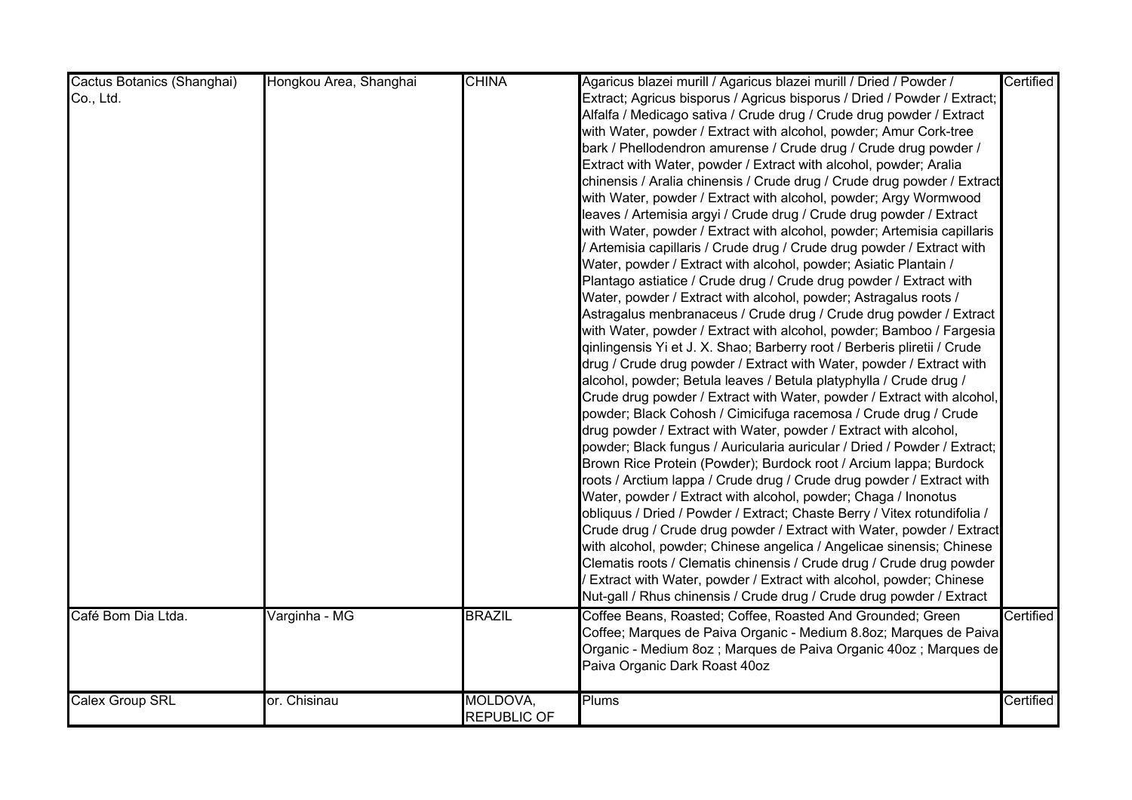| Cactus Botanics (Shanghai)      | Hongkou Area, Shanghai | <b>CHINA</b>                   | Agaricus blazei murill / Agaricus blazei murill / Dried / Powder /                                                                                                                                                                                                                                                                                                                                                                                                                                                                                                                                                                                                                                                                                                                                                                                                                                                                                                                                                                                                                                                                                                                                                                                                                                                                                                                                                                                                                                                                                                                                                                                                                                                                                                                                                                                                                                                                                                                                                                                                                                                                                                                                                                                                                                                                                          | Certified |
|---------------------------------|------------------------|--------------------------------|-------------------------------------------------------------------------------------------------------------------------------------------------------------------------------------------------------------------------------------------------------------------------------------------------------------------------------------------------------------------------------------------------------------------------------------------------------------------------------------------------------------------------------------------------------------------------------------------------------------------------------------------------------------------------------------------------------------------------------------------------------------------------------------------------------------------------------------------------------------------------------------------------------------------------------------------------------------------------------------------------------------------------------------------------------------------------------------------------------------------------------------------------------------------------------------------------------------------------------------------------------------------------------------------------------------------------------------------------------------------------------------------------------------------------------------------------------------------------------------------------------------------------------------------------------------------------------------------------------------------------------------------------------------------------------------------------------------------------------------------------------------------------------------------------------------------------------------------------------------------------------------------------------------------------------------------------------------------------------------------------------------------------------------------------------------------------------------------------------------------------------------------------------------------------------------------------------------------------------------------------------------------------------------------------------------------------------------------------------------|-----------|
| Co., Ltd.<br>Café Bom Dia Ltda. | Varginha - MG          | <b>BRAZIL</b>                  | Extract; Agricus bisporus / Agricus bisporus / Dried / Powder / Extract;<br>Alfalfa / Medicago sativa / Crude drug / Crude drug powder / Extract<br>with Water, powder / Extract with alcohol, powder; Amur Cork-tree<br>bark / Phellodendron amurense / Crude drug / Crude drug powder /<br>Extract with Water, powder / Extract with alcohol, powder; Aralia<br>chinensis / Aralia chinensis / Crude drug / Crude drug powder / Extract<br>with Water, powder / Extract with alcohol, powder; Argy Wormwood<br>leaves / Artemisia argyi / Crude drug / Crude drug powder / Extract<br>with Water, powder / Extract with alcohol, powder; Artemisia capillaris<br>Artemisia capillaris / Crude drug / Crude drug powder / Extract with<br>Water, powder / Extract with alcohol, powder; Asiatic Plantain /<br>Plantago astiatice / Crude drug / Crude drug powder / Extract with<br>Water, powder / Extract with alcohol, powder; Astragalus roots /<br>Astragalus menbranaceus / Crude drug / Crude drug powder / Extract<br>with Water, powder / Extract with alcohol, powder; Bamboo / Fargesia<br>qinlingensis Yi et J. X. Shao; Barberry root / Berberis pliretii / Crude<br>drug / Crude drug powder / Extract with Water, powder / Extract with<br>alcohol, powder; Betula leaves / Betula platyphylla / Crude drug /<br>Crude drug powder / Extract with Water, powder / Extract with alcohol,<br>powder; Black Cohosh / Cimicifuga racemosa / Crude drug / Crude<br>drug powder / Extract with Water, powder / Extract with alcohol,<br>powder; Black fungus / Auricularia auricular / Dried / Powder / Extract;<br>Brown Rice Protein (Powder); Burdock root / Arcium lappa; Burdock<br>roots / Arctium lappa / Crude drug / Crude drug powder / Extract with<br>Water, powder / Extract with alcohol, powder; Chaga / Inonotus<br>obliquus / Dried / Powder / Extract; Chaste Berry / Vitex rotundifolia /<br>Crude drug / Crude drug powder / Extract with Water, powder / Extract<br>with alcohol, powder; Chinese angelica / Angelicae sinensis; Chinese<br>Clematis roots / Clematis chinensis / Crude drug / Crude drug powder<br>Extract with Water, powder / Extract with alcohol, powder; Chinese<br>Nut-gall / Rhus chinensis / Crude drug / Crude drug powder / Extract<br>Coffee Beans, Roasted; Coffee, Roasted And Grounded; Green | Certified |
|                                 |                        |                                | Coffee; Marques de Paiva Organic - Medium 8.8oz; Marques de Paiva<br>Organic - Medium 8oz ; Marques de Paiva Organic 40oz ; Marques de<br>Paiva Organic Dark Roast 40oz                                                                                                                                                                                                                                                                                                                                                                                                                                                                                                                                                                                                                                                                                                                                                                                                                                                                                                                                                                                                                                                                                                                                                                                                                                                                                                                                                                                                                                                                                                                                                                                                                                                                                                                                                                                                                                                                                                                                                                                                                                                                                                                                                                                     |           |
| Calex Group SRL                 | or. Chisinau           | MOLDOVA,<br><b>REPUBLIC OF</b> | Plums                                                                                                                                                                                                                                                                                                                                                                                                                                                                                                                                                                                                                                                                                                                                                                                                                                                                                                                                                                                                                                                                                                                                                                                                                                                                                                                                                                                                                                                                                                                                                                                                                                                                                                                                                                                                                                                                                                                                                                                                                                                                                                                                                                                                                                                                                                                                                       | Certified |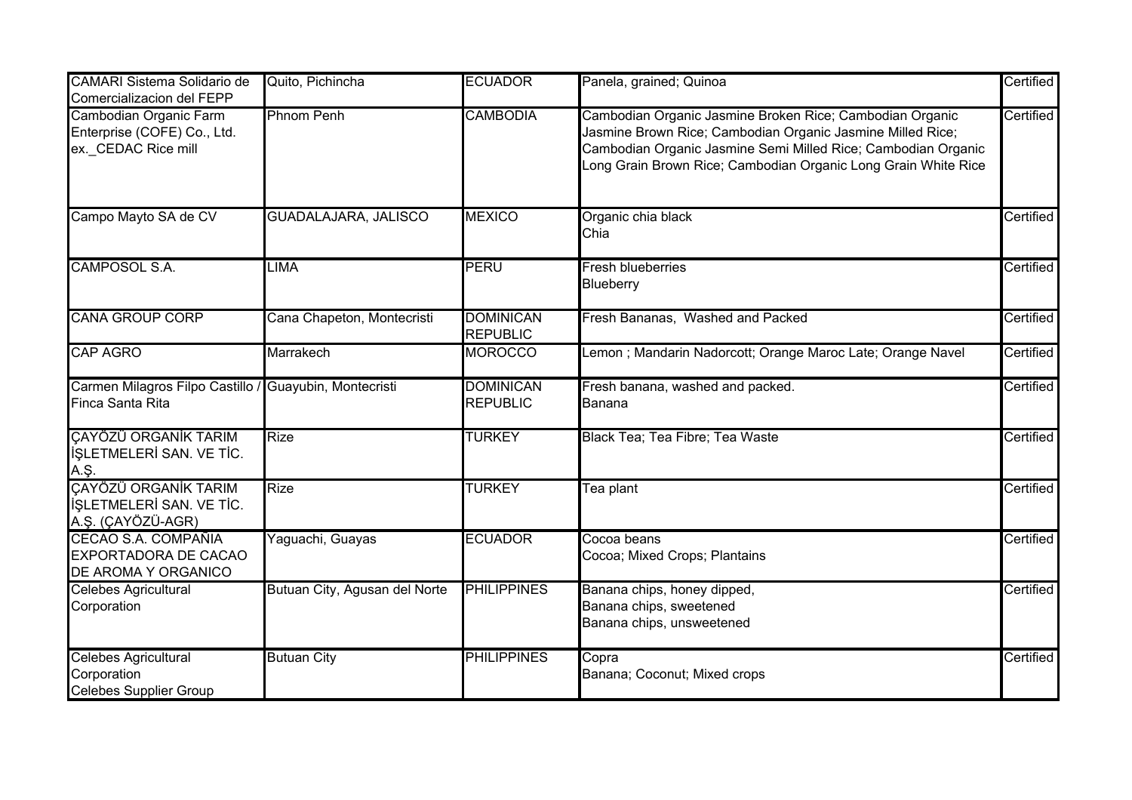| <b>CAMARI Sistema Solidario de</b><br>Comercializacion del FEPP              | Quito, Pichincha              | <b>ECUADOR</b>                      | Panela, grained; Quinoa                                                                                                                                                                                                                                   | Certified |
|------------------------------------------------------------------------------|-------------------------------|-------------------------------------|-----------------------------------------------------------------------------------------------------------------------------------------------------------------------------------------------------------------------------------------------------------|-----------|
| Cambodian Organic Farm<br>Enterprise (COFE) Co., Ltd.<br>ex. CEDAC Rice mill | <b>Phnom Penh</b>             | <b>CAMBODIA</b>                     | Cambodian Organic Jasmine Broken Rice; Cambodian Organic<br>Jasmine Brown Rice; Cambodian Organic Jasmine Milled Rice;<br>Cambodian Organic Jasmine Semi Milled Rice; Cambodian Organic<br>Long Grain Brown Rice; Cambodian Organic Long Grain White Rice | Certified |
| Campo Mayto SA de CV                                                         | GUADALAJARA, JALISCO          | <b>MEXICO</b>                       | Organic chia black<br>Chia                                                                                                                                                                                                                                | Certified |
| CAMPOSOL S.A.                                                                | <b>LIMA</b>                   | <b>PERU</b>                         | <b>Fresh blueberries</b><br>Blueberry                                                                                                                                                                                                                     | Certified |
| <b>CANA GROUP CORP</b>                                                       | Cana Chapeton, Montecristi    | <b>DOMINICAN</b><br><b>REPUBLIC</b> | Fresh Bananas, Washed and Packed                                                                                                                                                                                                                          | Certified |
| <b>CAP AGRO</b>                                                              | Marrakech                     | <b>MOROCCO</b>                      | Lemon ; Mandarin Nadorcott; Orange Maroc Late; Orange Navel                                                                                                                                                                                               | Certified |
| Carmen Milagros Filpo Castillo / Guayubin, Montecristi<br>Finca Santa Rita   |                               | <b>DOMINICAN</b><br><b>REPUBLIC</b> | Fresh banana, washed and packed.<br>Banana                                                                                                                                                                                                                | Certified |
| CAYÖZÜ ORGANİK TARIM<br>İŞLETMELERİ SAN. VE TİC.<br>A.Ş.                     | <b>Rize</b>                   | <b>TURKEY</b>                       | Black Tea; Tea Fibre; Tea Waste                                                                                                                                                                                                                           | Certified |
| CAYÖZÜ ORGANİK TARIM<br><b>İSLETMELERİ SAN. VE TİC.</b><br>A.Ş. (ÇAYÖZÜ-AGR) | <b>Rize</b>                   | <b>TURKEY</b>                       | Tea plant                                                                                                                                                                                                                                                 | Certified |
| CECAO S.A. COMPAÑIA<br>EXPORTADORA DE CACAO<br>DE AROMA Y ORGANICO           | Yaguachi, Guayas              | <b>ECUADOR</b>                      | Cocoa beans<br>Cocoa; Mixed Crops; Plantains                                                                                                                                                                                                              | Certified |
| <b>Celebes Agricultural</b><br>Corporation                                   | Butuan City, Agusan del Norte | <b>PHILIPPINES</b>                  | Banana chips, honey dipped,<br>Banana chips, sweetened<br>Banana chips, unsweetened                                                                                                                                                                       | Certified |
| <b>Celebes Agricultural</b><br>Corporation<br><b>Celebes Supplier Group</b>  | <b>Butuan City</b>            | <b>PHILIPPINES</b>                  | Copra<br>Banana; Coconut; Mixed crops                                                                                                                                                                                                                     | Certified |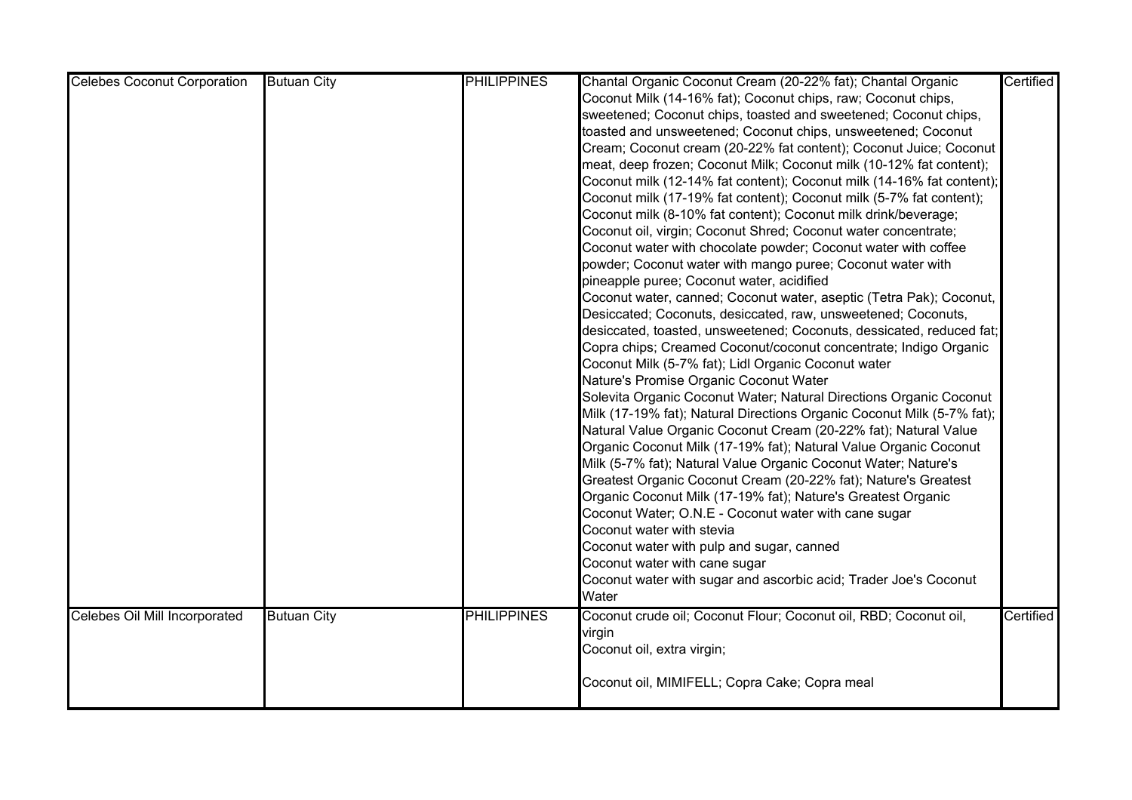| <b>Celebes Coconut Corporation</b> | <b>Butuan City</b> | <b>PHILIPPINES</b> | Chantal Organic Coconut Cream (20-22% fat); Chantal Organic            | Certified |
|------------------------------------|--------------------|--------------------|------------------------------------------------------------------------|-----------|
|                                    |                    |                    | Coconut Milk (14-16% fat); Coconut chips, raw; Coconut chips,          |           |
|                                    |                    |                    | sweetened; Coconut chips, toasted and sweetened; Coconut chips,        |           |
|                                    |                    |                    | toasted and unsweetened; Coconut chips, unsweetened; Coconut           |           |
|                                    |                    |                    | Cream; Coconut cream (20-22% fat content); Coconut Juice; Coconut      |           |
|                                    |                    |                    | meat, deep frozen; Coconut Milk; Coconut milk (10-12% fat content);    |           |
|                                    |                    |                    | Coconut milk (12-14% fat content); Coconut milk (14-16% fat content);  |           |
|                                    |                    |                    | Coconut milk (17-19% fat content); Coconut milk (5-7% fat content);    |           |
|                                    |                    |                    | Coconut milk (8-10% fat content); Coconut milk drink/beverage;         |           |
|                                    |                    |                    | Coconut oil, virgin; Coconut Shred; Coconut water concentrate;         |           |
|                                    |                    |                    | Coconut water with chocolate powder; Coconut water with coffee         |           |
|                                    |                    |                    | powder; Coconut water with mango puree; Coconut water with             |           |
|                                    |                    |                    | pineapple puree; Coconut water, acidified                              |           |
|                                    |                    |                    | Coconut water, canned; Coconut water, aseptic (Tetra Pak); Coconut,    |           |
|                                    |                    |                    | Desiccated; Coconuts, desiccated, raw, unsweetened; Coconuts,          |           |
|                                    |                    |                    | desiccated, toasted, unsweetened; Coconuts, dessicated, reduced fat;   |           |
|                                    |                    |                    | Copra chips; Creamed Coconut/coconut concentrate; Indigo Organic       |           |
|                                    |                    |                    | Coconut Milk (5-7% fat); Lidl Organic Coconut water                    |           |
|                                    |                    |                    | Nature's Promise Organic Coconut Water                                 |           |
|                                    |                    |                    | Solevita Organic Coconut Water; Natural Directions Organic Coconut     |           |
|                                    |                    |                    | Milk (17-19% fat); Natural Directions Organic Coconut Milk (5-7% fat); |           |
|                                    |                    |                    | Natural Value Organic Coconut Cream (20-22% fat); Natural Value        |           |
|                                    |                    |                    | Organic Coconut Milk (17-19% fat); Natural Value Organic Coconut       |           |
|                                    |                    |                    | Milk (5-7% fat); Natural Value Organic Coconut Water; Nature's         |           |
|                                    |                    |                    | Greatest Organic Coconut Cream (20-22% fat); Nature's Greatest         |           |
|                                    |                    |                    | Organic Coconut Milk (17-19% fat); Nature's Greatest Organic           |           |
|                                    |                    |                    | Coconut Water; O.N.E - Coconut water with cane sugar                   |           |
|                                    |                    |                    | Coconut water with stevia                                              |           |
|                                    |                    |                    | Coconut water with pulp and sugar, canned                              |           |
|                                    |                    |                    | Coconut water with cane sugar                                          |           |
|                                    |                    |                    | Coconut water with sugar and ascorbic acid; Trader Joe's Coconut       |           |
|                                    |                    |                    | Water                                                                  |           |
| Celebes Oil Mill Incorporated      | <b>Butuan City</b> | <b>PHILIPPINES</b> | Coconut crude oil; Coconut Flour; Coconut oil, RBD; Coconut oil,       | Certified |
|                                    |                    |                    | virgin                                                                 |           |
|                                    |                    |                    | Coconut oil, extra virgin;                                             |           |
|                                    |                    |                    |                                                                        |           |
|                                    |                    |                    | Coconut oil, MIMIFELL; Copra Cake; Copra meal                          |           |
|                                    |                    |                    |                                                                        |           |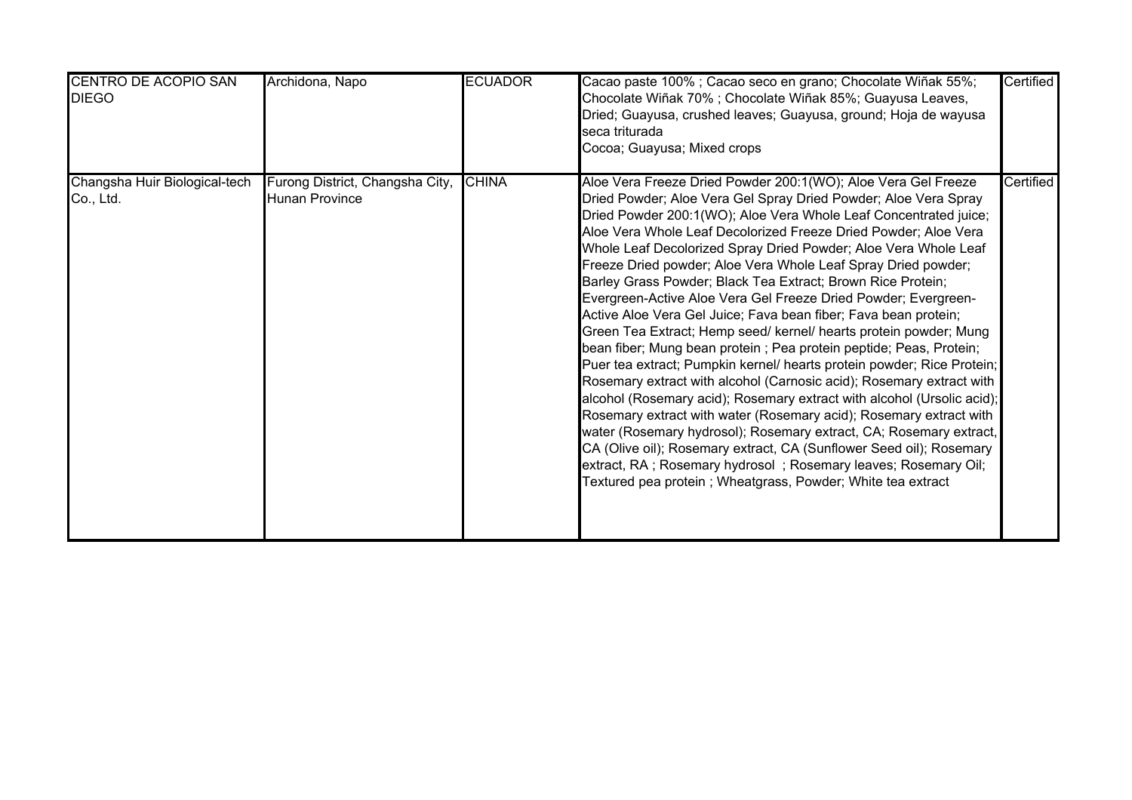| CENTRO DE ACOPIO SAN<br><b>DIEGO</b>       | Archidona, Napo                                          | <b>ECUADOR</b> | Cacao paste 100%; Cacao seco en grano; Chocolate Wiñak 55%;<br>Chocolate Wiñak 70%; Chocolate Wiñak 85%; Guayusa Leaves,<br>Dried; Guayusa, crushed leaves; Guayusa, ground; Hoja de wayusa<br>seca triturada<br>Cocoa; Guayusa; Mixed crops                                                                                                                                                                                                                                                                                                                                                                                                                                                                                                                                                                                                                                                                                                                                                                                                                                                                                                                                                                                                                                                                                                | Certified |
|--------------------------------------------|----------------------------------------------------------|----------------|---------------------------------------------------------------------------------------------------------------------------------------------------------------------------------------------------------------------------------------------------------------------------------------------------------------------------------------------------------------------------------------------------------------------------------------------------------------------------------------------------------------------------------------------------------------------------------------------------------------------------------------------------------------------------------------------------------------------------------------------------------------------------------------------------------------------------------------------------------------------------------------------------------------------------------------------------------------------------------------------------------------------------------------------------------------------------------------------------------------------------------------------------------------------------------------------------------------------------------------------------------------------------------------------------------------------------------------------|-----------|
| Changsha Huir Biological-tech<br>Co., Ltd. | Furong District, Changsha City,<br><b>Hunan Province</b> | <b>CHINA</b>   | Aloe Vera Freeze Dried Powder 200:1(WO); Aloe Vera Gel Freeze<br>Dried Powder; Aloe Vera Gel Spray Dried Powder; Aloe Vera Spray<br>Dried Powder 200:1(WO); Aloe Vera Whole Leaf Concentrated juice;<br>Aloe Vera Whole Leaf Decolorized Freeze Dried Powder; Aloe Vera<br>Whole Leaf Decolorized Spray Dried Powder; Aloe Vera Whole Leaf<br>Freeze Dried powder; Aloe Vera Whole Leaf Spray Dried powder;<br>Barley Grass Powder; Black Tea Extract; Brown Rice Protein;<br>Evergreen-Active Aloe Vera Gel Freeze Dried Powder; Evergreen-<br>Active Aloe Vera Gel Juice; Fava bean fiber; Fava bean protein;<br>Green Tea Extract; Hemp seed/ kernel/ hearts protein powder; Mung<br>bean fiber; Mung bean protein; Pea protein peptide; Peas, Protein;<br>Puer tea extract; Pumpkin kernel/ hearts protein powder; Rice Protein;<br>Rosemary extract with alcohol (Carnosic acid); Rosemary extract with<br>alcohol (Rosemary acid); Rosemary extract with alcohol (Ursolic acid);<br>Rosemary extract with water (Rosemary acid); Rosemary extract with<br>water (Rosemary hydrosol); Rosemary extract, CA; Rosemary extract,<br>CA (Olive oil); Rosemary extract, CA (Sunflower Seed oil); Rosemary<br>extract, RA; Rosemary hydrosol; Rosemary leaves; Rosemary Oil;<br>Textured pea protein ; Wheatgrass, Powder; White tea extract | Certified |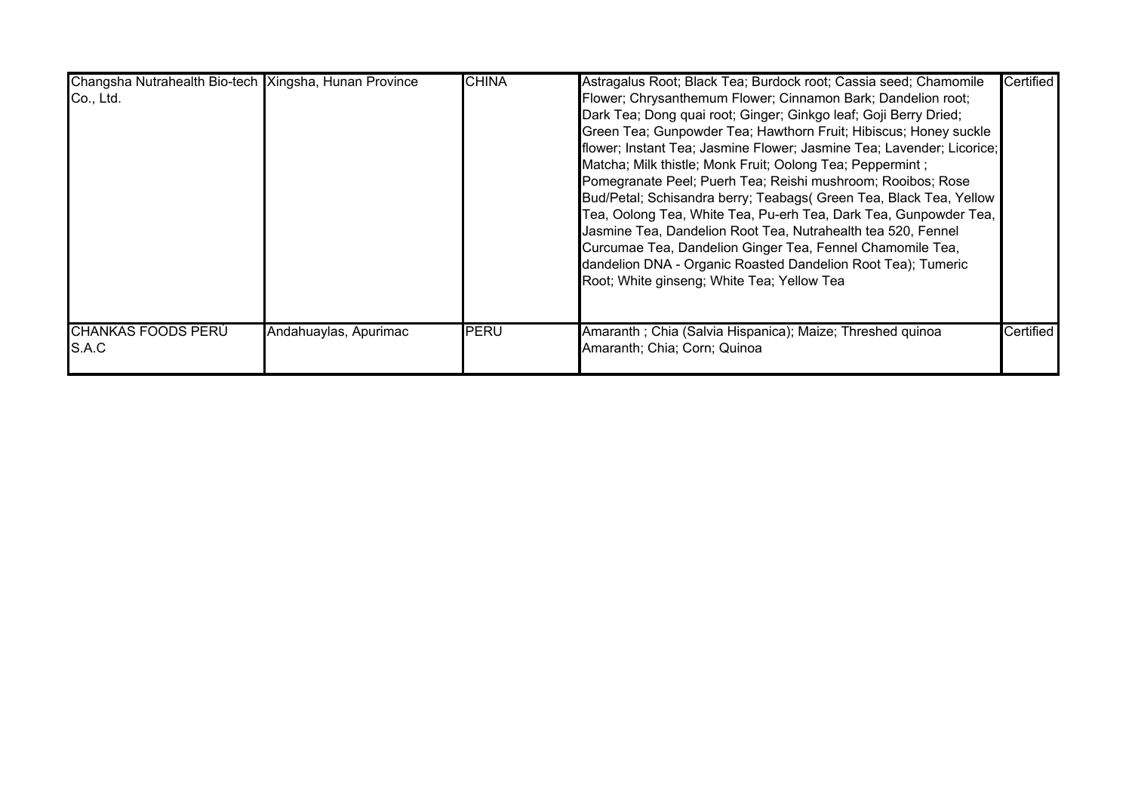| Changsha Nutrahealth Bio-tech Xingsha, Hunan Province<br>Co., Ltd. |                       | <b>CHINA</b> | Astragalus Root; Black Tea; Burdock root; Cassia seed; Chamomile<br>Flower; Chrysanthemum Flower; Cinnamon Bark; Dandelion root;<br>Dark Tea; Dong quai root; Ginger; Ginkgo leaf; Goji Berry Dried;<br>Green Tea; Gunpowder Tea; Hawthorn Fruit; Hibiscus; Honey suckle<br>flower; Instant Tea; Jasmine Flower; Jasmine Tea; Lavender; Licorice;<br>Matcha; Milk thistle; Monk Fruit; Oolong Tea; Peppermint;<br>Pomegranate Peel; Puerh Tea; Reishi mushroom; Rooibos; Rose<br>Bud/Petal; Schisandra berry; Teabags( Green Tea, Black Tea, Yellow<br>Tea, Oolong Tea, White Tea, Pu-erh Tea, Dark Tea, Gunpowder Tea,<br>Jasmine Tea, Dandelion Root Tea, Nutrahealth tea 520, Fennel<br>Curcumae Tea, Dandelion Ginger Tea, Fennel Chamomile Tea,<br>dandelion DNA - Organic Roasted Dandelion Root Tea); Tumeric<br>Root; White ginseng; White Tea; Yellow Tea | <b>Certified</b> |
|--------------------------------------------------------------------|-----------------------|--------------|--------------------------------------------------------------------------------------------------------------------------------------------------------------------------------------------------------------------------------------------------------------------------------------------------------------------------------------------------------------------------------------------------------------------------------------------------------------------------------------------------------------------------------------------------------------------------------------------------------------------------------------------------------------------------------------------------------------------------------------------------------------------------------------------------------------------------------------------------------------------|------------------|
| <b>CHANKAS FOODS PERÚ</b><br>S.A.C                                 | Andahuaylas, Apurimac | PERU         | Amaranth ; Chia (Salvia Hispanica); Maize; Threshed quinoa<br>Amaranth; Chia; Corn; Quinoa                                                                                                                                                                                                                                                                                                                                                                                                                                                                                                                                                                                                                                                                                                                                                                         | Certified        |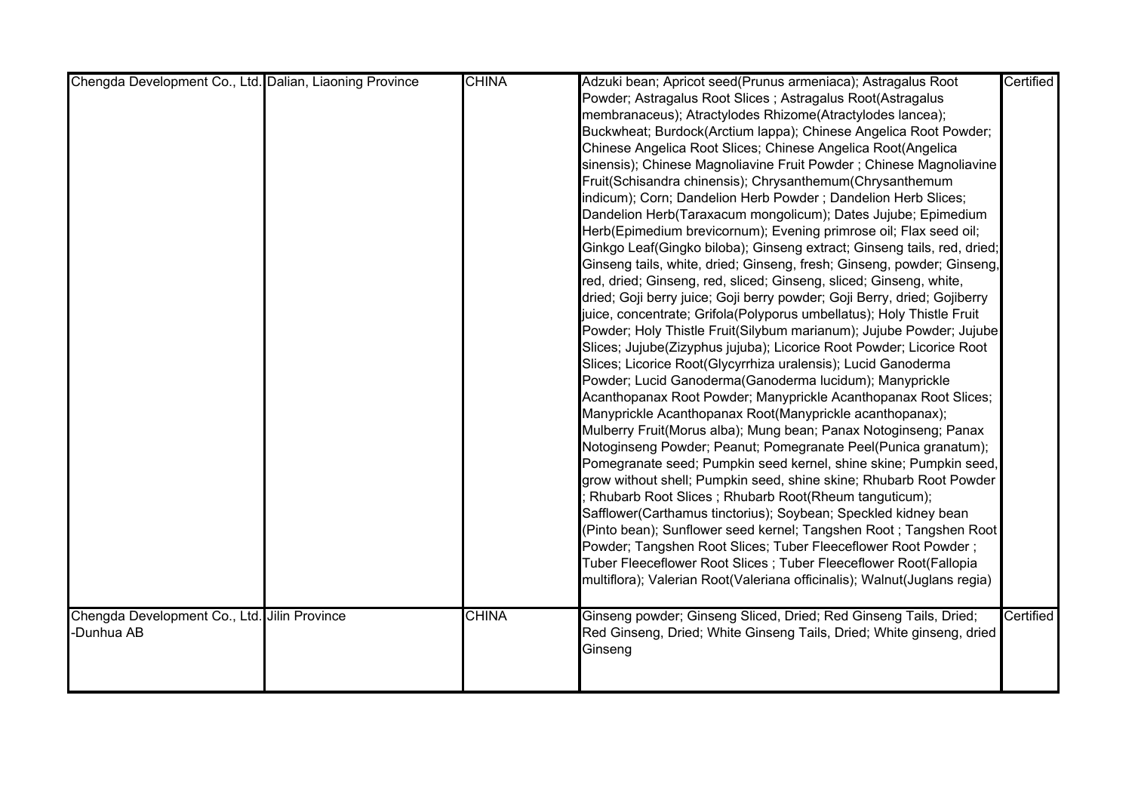| Chengda Development Co., Ltd. Dalian, Liaoning Province | <b>CHINA</b> | Adzuki bean; Apricot seed(Prunus armeniaca); Astragalus Root             | Certified |
|---------------------------------------------------------|--------------|--------------------------------------------------------------------------|-----------|
|                                                         |              | Powder; Astragalus Root Slices; Astragalus Root(Astragalus               |           |
|                                                         |              | membranaceus); Atractylodes Rhizome(Atractylodes lancea);                |           |
|                                                         |              | Buckwheat; Burdock(Arctium lappa); Chinese Angelica Root Powder;         |           |
|                                                         |              | Chinese Angelica Root Slices; Chinese Angelica Root(Angelica             |           |
|                                                         |              | sinensis); Chinese Magnoliavine Fruit Powder ; Chinese Magnoliavine      |           |
|                                                         |              | Fruit(Schisandra chinensis); Chrysanthemum(Chrysanthemum                 |           |
|                                                         |              | indicum); Corn; Dandelion Herb Powder; Dandelion Herb Slices;            |           |
|                                                         |              | Dandelion Herb(Taraxacum mongolicum); Dates Jujube; Epimedium            |           |
|                                                         |              | Herb(Epimedium brevicornum); Evening primrose oil; Flax seed oil;        |           |
|                                                         |              | Ginkgo Leaf(Gingko biloba); Ginseng extract; Ginseng tails, red, dried;  |           |
|                                                         |              | Ginseng tails, white, dried; Ginseng, fresh; Ginseng, powder; Ginseng,   |           |
|                                                         |              | red, dried; Ginseng, red, sliced; Ginseng, sliced; Ginseng, white,       |           |
|                                                         |              | dried; Goji berry juice; Goji berry powder; Goji Berry, dried; Gojiberry |           |
|                                                         |              | juice, concentrate; Grifola(Polyporus umbellatus); Holy Thistle Fruit    |           |
|                                                         |              | Powder; Holy Thistle Fruit(Silybum marianum); Jujube Powder; Jujube      |           |
|                                                         |              | Slices; Jujube(Zizyphus jujuba); Licorice Root Powder; Licorice Root     |           |
|                                                         |              | Slices; Licorice Root(Glycyrrhiza uralensis); Lucid Ganoderma            |           |
|                                                         |              | Powder; Lucid Ganoderma(Ganoderma lucidum); Manyprickle                  |           |
|                                                         |              | Acanthopanax Root Powder; Manyprickle Acanthopanax Root Slices;          |           |
|                                                         |              | Manyprickle Acanthopanax Root(Manyprickle acanthopanax);                 |           |
|                                                         |              | Mulberry Fruit(Morus alba); Mung bean; Panax Notoginseng; Panax          |           |
|                                                         |              | Notoginseng Powder; Peanut; Pomegranate Peel(Punica granatum);           |           |
|                                                         |              | Pomegranate seed; Pumpkin seed kernel, shine skine; Pumpkin seed,        |           |
|                                                         |              | grow without shell; Pumpkin seed, shine skine; Rhubarb Root Powder       |           |
|                                                         |              | Rhubarb Root Slices; Rhubarb Root(Rheum tanguticum);                     |           |
|                                                         |              | Safflower(Carthamus tinctorius); Soybean; Speckled kidney bean           |           |
|                                                         |              | (Pinto bean); Sunflower seed kernel; Tangshen Root ; Tangshen Root       |           |
|                                                         |              | Powder; Tangshen Root Slices; Tuber Fleeceflower Root Powder;            |           |
|                                                         |              | Tuber Fleeceflower Root Slices ; Tuber Fleeceflower Root(Fallopia        |           |
|                                                         |              | multiflora); Valerian Root(Valeriana officinalis); Walnut(Juglans regia) |           |
|                                                         |              |                                                                          |           |
| Chengda Development Co., Ltd. Jilin Province            | <b>CHINA</b> | Ginseng powder; Ginseng Sliced, Dried; Red Ginseng Tails, Dried;         | Certified |
| <b>Dunhua AB</b>                                        |              | Red Ginseng, Dried; White Ginseng Tails, Dried; White ginseng, dried     |           |
|                                                         |              | Ginseng                                                                  |           |
|                                                         |              |                                                                          |           |
|                                                         |              |                                                                          |           |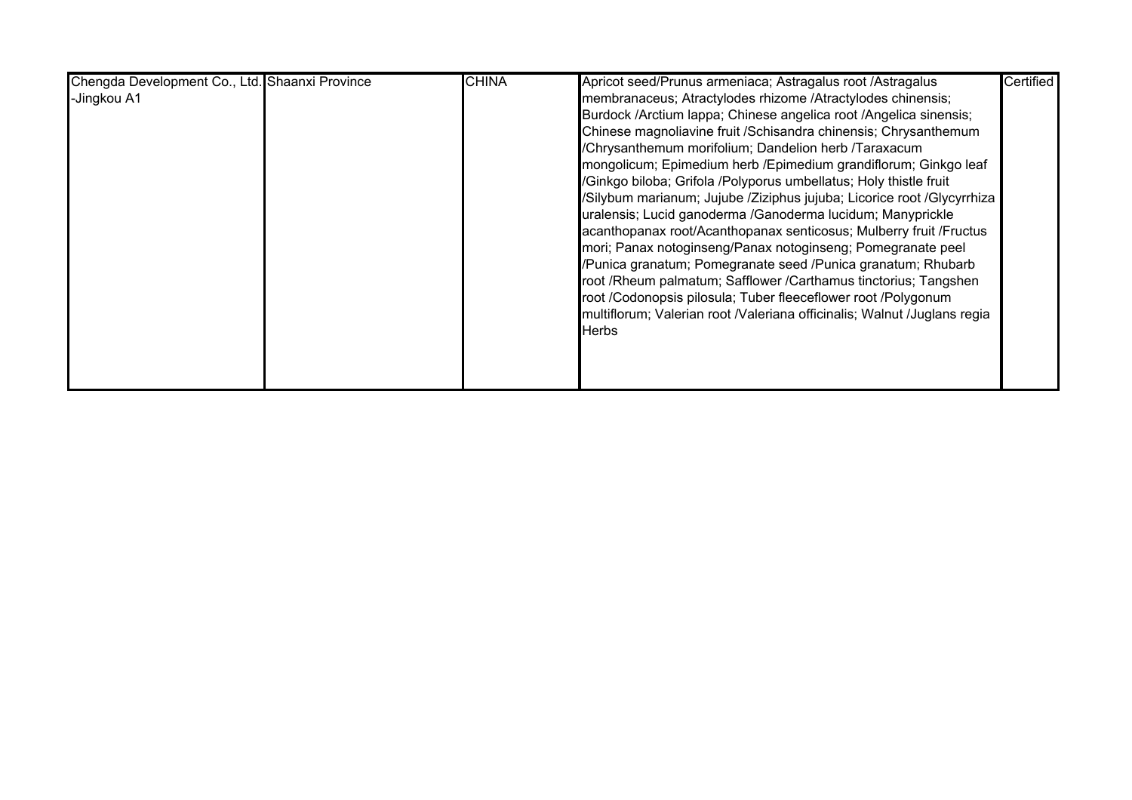| Chengda Development Co., Ltd. Shaanxi Province | <b>CHINA</b> | Apricot seed/Prunus armeniaca; Astragalus root /Astragalus               | Certified |
|------------------------------------------------|--------------|--------------------------------------------------------------------------|-----------|
| -Jingkou A1                                    |              | membranaceus; Atractylodes rhizome /Atractylodes chinensis;              |           |
|                                                |              | Burdock /Arctium lappa; Chinese angelica root /Angelica sinensis;        |           |
|                                                |              | Chinese magnoliavine fruit / Schisandra chinensis; Chrysanthemum         |           |
|                                                |              | /Chrysanthemum morifolium; Dandelion herb /Taraxacum                     |           |
|                                                |              | mongolicum; Epimedium herb / Epimedium grandiflorum; Ginkgo leaf         |           |
|                                                |              | /Ginkgo biloba; Grifola /Polyporus umbellatus; Holy thistle fruit        |           |
|                                                |              | /Silybum marianum; Jujube /Ziziphus jujuba; Licorice root /Glycyrrhiza   |           |
|                                                |              | uralensis; Lucid ganoderma /Ganoderma lucidum; Manyprickle               |           |
|                                                |              | acanthopanax root/Acanthopanax senticosus; Mulberry fruit / Fructus      |           |
|                                                |              | mori; Panax notoginseng/Panax notoginseng; Pomegranate peel              |           |
|                                                |              | /Punica granatum; Pomegranate seed /Punica granatum; Rhubarb             |           |
|                                                |              | root /Rheum palmatum; Safflower /Carthamus tinctorius; Tangshen          |           |
|                                                |              | root /Codonopsis pilosula; Tuber fleeceflower root /Polygonum            |           |
|                                                |              | multiflorum; Valerian root /Valeriana officinalis; Walnut /Juglans regia |           |
|                                                |              | Herbs                                                                    |           |
|                                                |              |                                                                          |           |
|                                                |              |                                                                          |           |
|                                                |              |                                                                          |           |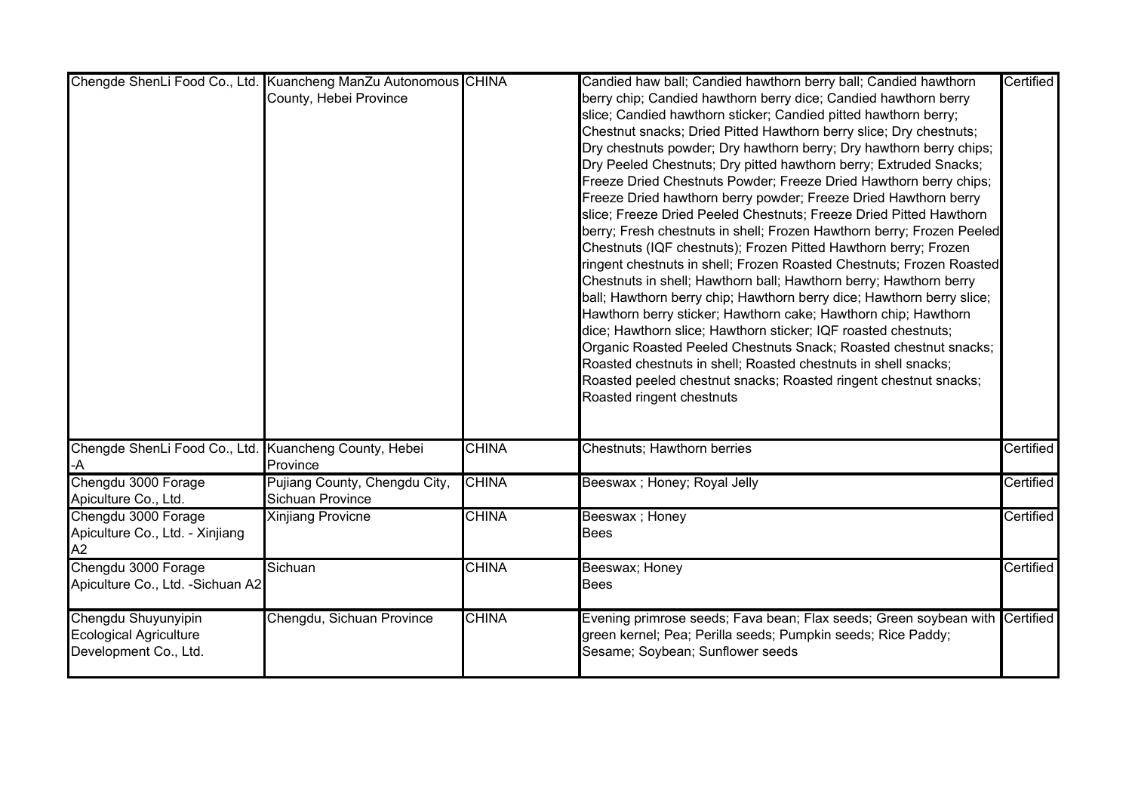|                                                       | Chengde ShenLi Food Co., Ltd. Kuancheng ManZu Autonomous CHINA |              | Candied haw ball; Candied hawthorn berry ball; Candied hawthorn             | Certified |
|-------------------------------------------------------|----------------------------------------------------------------|--------------|-----------------------------------------------------------------------------|-----------|
|                                                       | County, Hebei Province                                         |              | berry chip; Candied hawthorn berry dice; Candied hawthorn berry             |           |
|                                                       |                                                                |              | slice; Candied hawthorn sticker; Candied pitted hawthorn berry;             |           |
|                                                       |                                                                |              | Chestnut snacks; Dried Pitted Hawthorn berry slice; Dry chestnuts;          |           |
|                                                       |                                                                |              | Dry chestnuts powder; Dry hawthorn berry; Dry hawthorn berry chips;         |           |
|                                                       |                                                                |              | Dry Peeled Chestnuts; Dry pitted hawthorn berry; Extruded Snacks;           |           |
|                                                       |                                                                |              | Freeze Dried Chestnuts Powder; Freeze Dried Hawthorn berry chips;           |           |
|                                                       |                                                                |              | Freeze Dried hawthorn berry powder; Freeze Dried Hawthorn berry             |           |
|                                                       |                                                                |              | slice; Freeze Dried Peeled Chestnuts; Freeze Dried Pitted Hawthorn          |           |
|                                                       |                                                                |              | berry; Fresh chestnuts in shell; Frozen Hawthorn berry; Frozen Peeled       |           |
|                                                       |                                                                |              | Chestnuts (IQF chestnuts); Frozen Pitted Hawthorn berry; Frozen             |           |
|                                                       |                                                                |              | ringent chestnuts in shell; Frozen Roasted Chestnuts; Frozen Roasted        |           |
|                                                       |                                                                |              | Chestnuts in shell; Hawthorn ball; Hawthorn berry; Hawthorn berry           |           |
|                                                       |                                                                |              | ball; Hawthorn berry chip; Hawthorn berry dice; Hawthorn berry slice;       |           |
|                                                       |                                                                |              | Hawthorn berry sticker; Hawthorn cake; Hawthorn chip; Hawthorn              |           |
|                                                       |                                                                |              | dice; Hawthorn slice; Hawthorn sticker; IQF roasted chestnuts;              |           |
|                                                       |                                                                |              | Organic Roasted Peeled Chestnuts Snack; Roasted chestnut snacks;            |           |
|                                                       |                                                                |              | Roasted chestnuts in shell; Roasted chestnuts in shell snacks;              |           |
|                                                       |                                                                |              | Roasted peeled chestnut snacks; Roasted ringent chestnut snacks;            |           |
|                                                       |                                                                |              | Roasted ringent chestnuts                                                   |           |
|                                                       |                                                                |              |                                                                             |           |
| Chengde ShenLi Food Co., Ltd. Kuancheng County, Hebei |                                                                | <b>CHINA</b> | Chestnuts; Hawthorn berries                                                 | Certified |
|                                                       | Province                                                       |              |                                                                             |           |
| Chengdu 3000 Forage                                   | Pujiang County, Chengdu City,                                  | <b>CHINA</b> | Beeswax ; Honey; Royal Jelly                                                | Certified |
| Apiculture Co., Ltd.                                  | Sichuan Province                                               |              |                                                                             |           |
| Chengdu 3000 Forage                                   | <b>Xinjiang Provicne</b>                                       | <b>CHINA</b> | Beeswax; Honey                                                              | Certified |
| Apiculture Co., Ltd. - Xinjiang                       |                                                                |              | Bees                                                                        |           |
| A2                                                    |                                                                |              |                                                                             |           |
| Chengdu 3000 Forage                                   | Sichuan                                                        | <b>CHINA</b> | Beeswax; Honey                                                              | Certified |
| Apiculture Co., Ltd. - Sichuan A2                     |                                                                |              | <b>Bees</b>                                                                 |           |
| Chengdu Shuyunyipin                                   | Chengdu, Sichuan Province                                      | <b>CHINA</b> | Evening primrose seeds; Fava bean; Flax seeds; Green soybean with Certified |           |
| <b>Ecological Agriculture</b>                         |                                                                |              | green kernel; Pea; Perilla seeds; Pumpkin seeds; Rice Paddy;                |           |
| Development Co., Ltd.                                 |                                                                |              | Sesame; Soybean; Sunflower seeds                                            |           |
|                                                       |                                                                |              |                                                                             |           |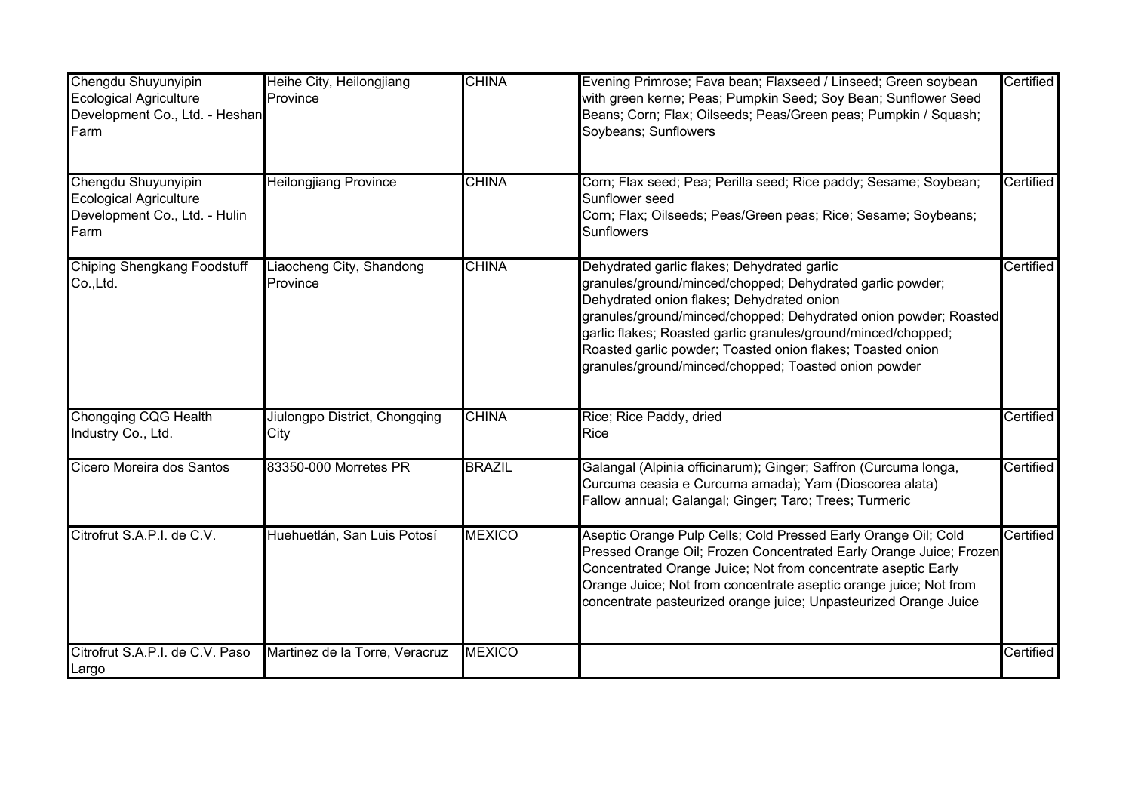| Chengdu Shuyunyipin<br><b>Ecological Agriculture</b><br>Development Co., Ltd. - Heshan<br>Farm | Heihe City, Heilongjiang<br>Province  | <b>CHINA</b>  | Evening Primrose; Fava bean; Flaxseed / Linseed; Green soybean<br>with green kerne; Peas; Pumpkin Seed; Soy Bean; Sunflower Seed<br>Beans; Corn; Flax; Oilseeds; Peas/Green peas; Pumpkin / Squash;<br>Soybeans; Sunflowers                                                                                                                                                                                      | Certified |
|------------------------------------------------------------------------------------------------|---------------------------------------|---------------|------------------------------------------------------------------------------------------------------------------------------------------------------------------------------------------------------------------------------------------------------------------------------------------------------------------------------------------------------------------------------------------------------------------|-----------|
| Chengdu Shuyunyipin<br><b>Ecological Agriculture</b><br>Development Co., Ltd. - Hulin<br>Farm  | <b>Heilongjiang Province</b>          | <b>CHINA</b>  | Corn; Flax seed; Pea; Perilla seed; Rice paddy; Sesame; Soybean;<br>Sunflower seed<br>Corn; Flax; Oilseeds; Peas/Green peas; Rice; Sesame; Soybeans;<br>Sunflowers                                                                                                                                                                                                                                               | Certified |
| <b>Chiping Shengkang Foodstuff</b><br>Co., Ltd.                                                | Liaocheng City, Shandong<br>Province  | <b>CHINA</b>  | Dehydrated garlic flakes; Dehydrated garlic<br>granules/ground/minced/chopped; Dehydrated garlic powder;<br>Dehydrated onion flakes; Dehydrated onion<br>granules/ground/minced/chopped; Dehydrated onion powder; Roasted<br>garlic flakes; Roasted garlic granules/ground/minced/chopped;<br>Roasted garlic powder; Toasted onion flakes; Toasted onion<br>granules/ground/minced/chopped; Toasted onion powder | Certified |
| <b>Chongqing CQG Health</b><br>Industry Co., Ltd.                                              | Jiulongpo District, Chongqing<br>City | <b>CHINA</b>  | Rice; Rice Paddy, dried<br>Rice                                                                                                                                                                                                                                                                                                                                                                                  | Certified |
| Cicero Moreira dos Santos                                                                      | 83350-000 Morretes PR                 | <b>BRAZIL</b> | Galangal (Alpinia officinarum); Ginger; Saffron (Curcuma longa,<br>Curcuma ceasia e Curcuma amada); Yam (Dioscorea alata)<br>Fallow annual; Galangal; Ginger; Taro; Trees; Turmeric                                                                                                                                                                                                                              | Certified |
| Citrofrut S.A.P.I. de C.V.                                                                     | Huehuetlán, San Luis Potosí           | <b>MEXICO</b> | Aseptic Orange Pulp Cells; Cold Pressed Early Orange Oil; Cold<br>Pressed Orange Oil; Frozen Concentrated Early Orange Juice; Frozen<br>Concentrated Orange Juice; Not from concentrate aseptic Early<br>Orange Juice; Not from concentrate aseptic orange juice; Not from<br>concentrate pasteurized orange juice; Unpasteurized Orange Juice                                                                   | Certified |
| Citrofrut S.A.P.I. de C.V. Paso<br>Largo                                                       | Martinez de la Torre, Veracruz        | <b>MEXICO</b> |                                                                                                                                                                                                                                                                                                                                                                                                                  | Certified |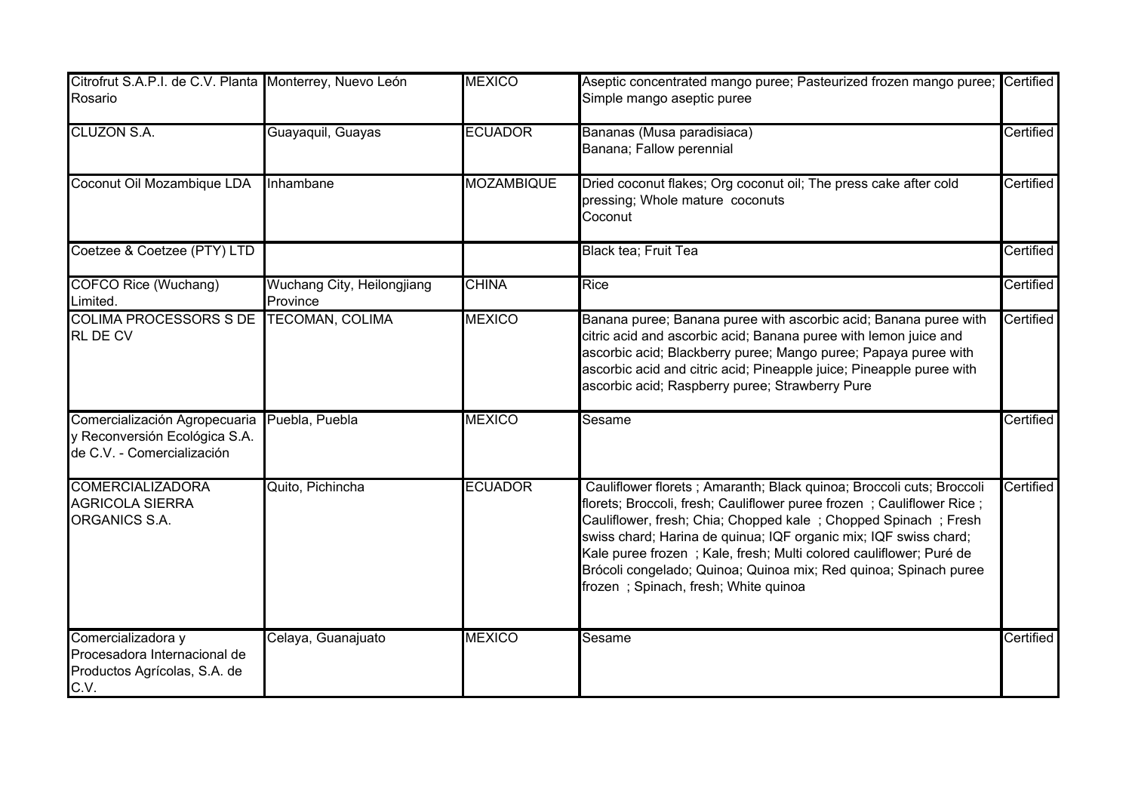| Citrofrut S.A.P.I. de C.V. Planta Monterrey, Nuevo León<br>Rosario                           |                                        | <b>MEXICO</b>     | Aseptic concentrated mango puree; Pasteurized frozen mango puree; Certified<br>Simple mango aseptic puree                                                                                                                                                                                                                                                                                                                                                               |           |
|----------------------------------------------------------------------------------------------|----------------------------------------|-------------------|-------------------------------------------------------------------------------------------------------------------------------------------------------------------------------------------------------------------------------------------------------------------------------------------------------------------------------------------------------------------------------------------------------------------------------------------------------------------------|-----------|
| <b>CLUZON S.A.</b>                                                                           | Guayaquil, Guayas                      | <b>ECUADOR</b>    | Bananas (Musa paradisiaca)<br>Banana; Fallow perennial                                                                                                                                                                                                                                                                                                                                                                                                                  | Certified |
| Coconut Oil Mozambique LDA                                                                   | Inhambane                              | <b>MOZAMBIQUE</b> | Dried coconut flakes; Org coconut oil; The press cake after cold<br>pressing; Whole mature coconuts<br>Coconut                                                                                                                                                                                                                                                                                                                                                          | Certified |
| Coetzee & Coetzee (PTY) LTD                                                                  |                                        |                   | Black tea; Fruit Tea                                                                                                                                                                                                                                                                                                                                                                                                                                                    | Certified |
| <b>COFCO Rice (Wuchang)</b><br>Limited.                                                      | Wuchang City, Heilongjiang<br>Province | <b>CHINA</b>      | <b>Rice</b>                                                                                                                                                                                                                                                                                                                                                                                                                                                             | Certified |
| <b>COLIMA PROCESSORS S DE</b><br><b>RL DE CV</b>                                             | <b>TECOMAN, COLIMA</b>                 | <b>MEXICO</b>     | Banana puree; Banana puree with ascorbic acid; Banana puree with<br>citric acid and ascorbic acid; Banana puree with lemon juice and<br>ascorbic acid; Blackberry puree; Mango puree; Papaya puree with<br>ascorbic acid and citric acid; Pineapple juice; Pineapple puree with<br>ascorbic acid; Raspberry puree; Strawberry Pure                                                                                                                                      | Certified |
| Comercialización Agropecuaria<br>y Reconversión Ecológica S.A.<br>de C.V. - Comercialización | Puebla, Puebla                         | <b>MEXICO</b>     | Sesame                                                                                                                                                                                                                                                                                                                                                                                                                                                                  | Certified |
| <b>COMERCIALIZADORA</b><br><b>AGRICOLA SIERRA</b><br>ORGANICS S.A.                           | Quito, Pichincha                       | <b>ECUADOR</b>    | Cauliflower florets ; Amaranth; Black quinoa; Broccoli cuts; Broccoli<br>florets; Broccoli, fresh; Cauliflower puree frozen; Cauliflower Rice;<br>Cauliflower, fresh; Chia; Chopped kale; Chopped Spinach; Fresh<br>swiss chard; Harina de quinua; IQF organic mix; IQF swiss chard;<br>Kale puree frozen ; Kale, fresh; Multi colored cauliflower; Puré de<br>Brócoli congelado; Quinoa; Quinoa mix; Red quinoa; Spinach puree<br>frozen; Spinach, fresh; White quinoa | Certified |
| Comercializadora y<br>Procesadora Internacional de<br>Productos Agrícolas, S.A. de<br>C.V.   | Celaya, Guanajuato                     | <b>MEXICO</b>     | Sesame                                                                                                                                                                                                                                                                                                                                                                                                                                                                  | Certified |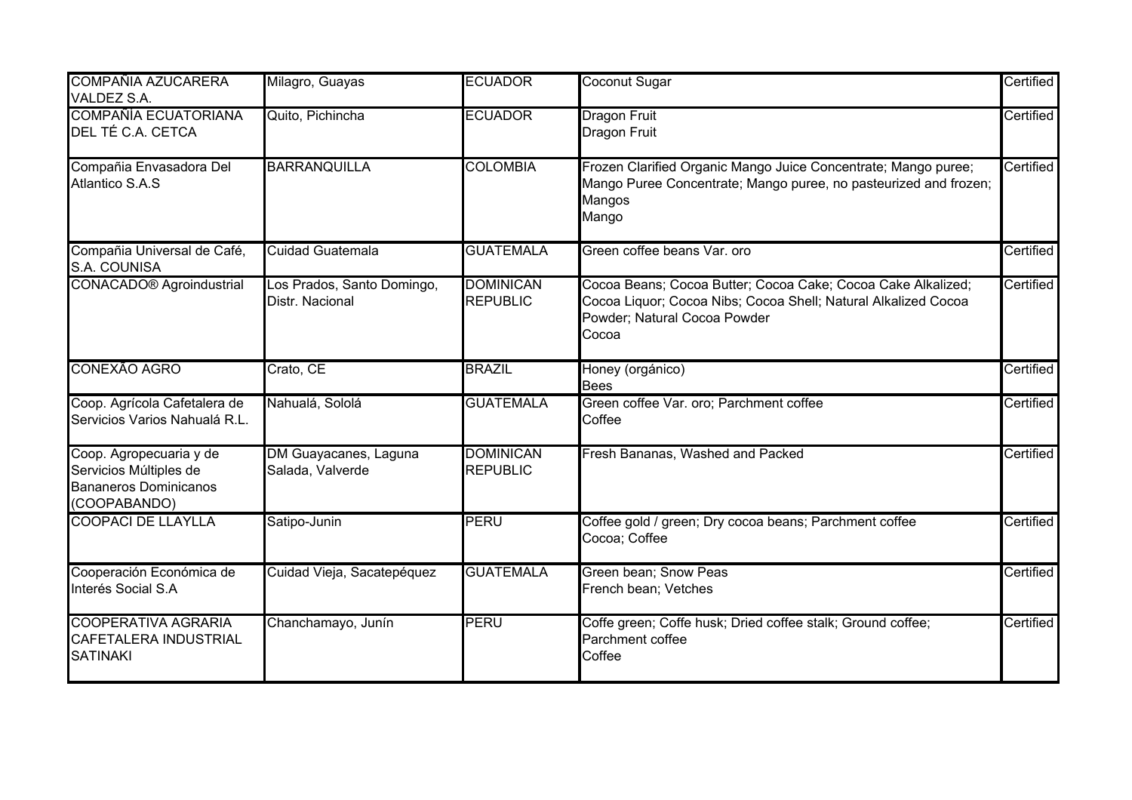| <b>COMPAÑIA AZUCARERA</b><br>VALDEZ S.A.                                                          | Milagro, Guayas                               | <b>ECUADOR</b>                      | Coconut Sugar                                                                                                                                                           | Certified |
|---------------------------------------------------------------------------------------------------|-----------------------------------------------|-------------------------------------|-------------------------------------------------------------------------------------------------------------------------------------------------------------------------|-----------|
| <b>COMPAÑÍA ECUATORIANA</b><br>DEL TÉ C.A. CETCA                                                  | Quito, Pichincha                              | <b>ECUADOR</b>                      | <b>Dragon Fruit</b><br><b>Dragon Fruit</b>                                                                                                                              | Certified |
| Compañia Envasadora Del<br>Atlantico S.A.S                                                        | <b>BARRANQUILLA</b>                           | <b>COLOMBIA</b>                     | Frozen Clarified Organic Mango Juice Concentrate; Mango puree;<br>Mango Puree Concentrate; Mango puree, no pasteurized and frozen;<br>Mangos<br>Mango                   | Certified |
| Compañia Universal de Café,<br>S.A. COUNISA                                                       | <b>Cuidad Guatemala</b>                       | <b>GUATEMALA</b>                    | Green coffee beans Var, oro                                                                                                                                             | Certified |
| <b>CONACADO®</b> Agroindustrial                                                                   | Los Prados, Santo Domingo,<br>Distr. Nacional | <b>DOMINICAN</b><br><b>REPUBLIC</b> | Cocoa Beans; Cocoa Butter; Cocoa Cake; Cocoa Cake Alkalized;<br>Cocoa Liquor; Cocoa Nibs; Cocoa Shell; Natural Alkalized Cocoa<br>Powder; Natural Cocoa Powder<br>Cocoa | Certified |
| CONEXÃO AGRO                                                                                      | Crato, CE                                     | <b>BRAZIL</b>                       | Honey (orgánico)<br><b>Bees</b>                                                                                                                                         | Certified |
| Coop. Agrícola Cafetalera de<br>Servicios Varios Nahualá R.L.                                     | Nahualá, Sololá                               | <b>GUATEMALA</b>                    | Green coffee Var. oro; Parchment coffee<br>Coffee                                                                                                                       | Certified |
| Coop. Agropecuaria y de<br>Servicios Múltiples de<br><b>Bananeros Dominicanos</b><br>(COOPABANDO) | DM Guayacanes, Laguna<br>Salada, Valverde     | <b>DOMINICAN</b><br><b>REPUBLIC</b> | Fresh Bananas, Washed and Packed                                                                                                                                        | Certified |
| <b>COOPACI DE LLAYLLA</b>                                                                         | Satipo-Junin                                  | PERU                                | Coffee gold / green; Dry cocoa beans; Parchment coffee<br>Cocoa; Coffee                                                                                                 | Certified |
| Cooperación Económica de<br>Interés Social S.A                                                    | Cuidad Vieja, Sacatepéquez                    | <b>GUATEMALA</b>                    | Green bean; Snow Peas<br>French bean; Vetches                                                                                                                           | Certified |
| <b>COOPERATIVA AGRARIA</b><br><b>CAFETALERA INDUSTRIAL</b><br><b>SATINAKI</b>                     | Chanchamayo, Junín                            | PERU                                | Coffe green; Coffe husk; Dried coffee stalk; Ground coffee;<br>Parchment coffee<br>Coffee                                                                               | Certified |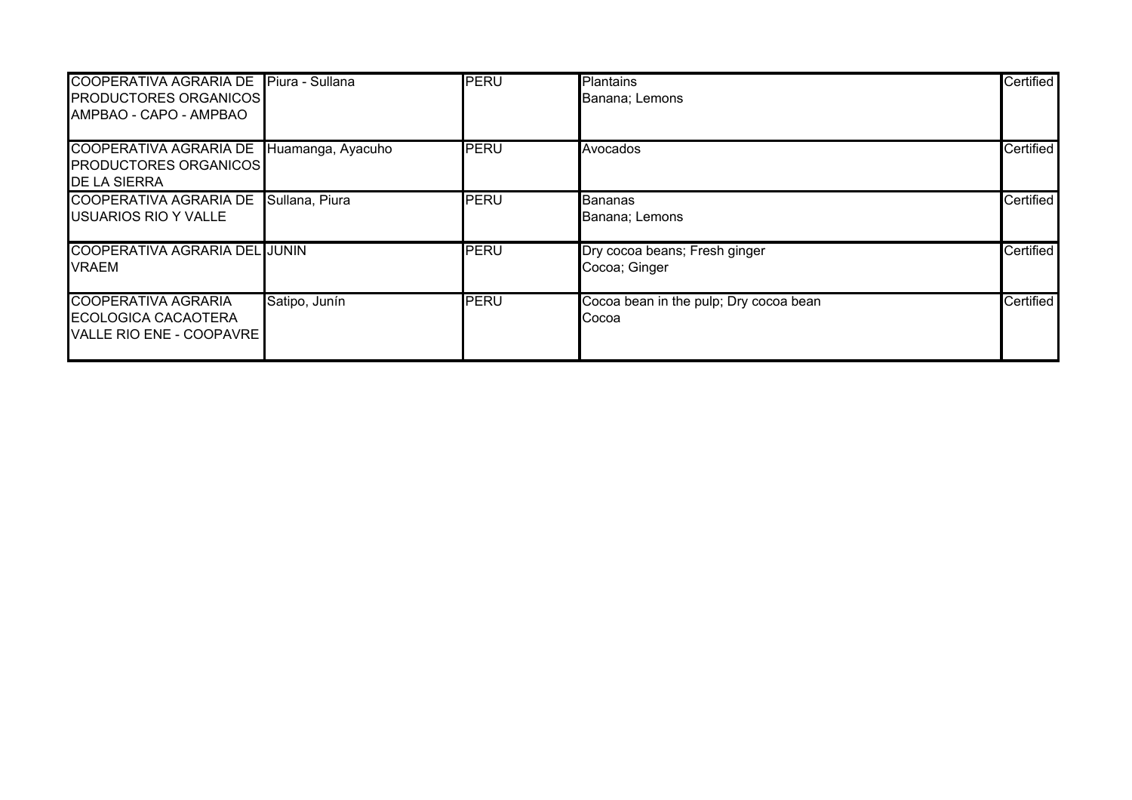| <b>COOPERATIVA AGRARIA DE</b><br><b>PRODUCTORES ORGANICOS</b><br>AMPBAO - CAPO - AMPBAO | Piura - Sullana   | PERU        | <b>Plantains</b><br>Banana; Lemons              | Certified |
|-----------------------------------------------------------------------------------------|-------------------|-------------|-------------------------------------------------|-----------|
| COOPERATIVA AGRARIA DE<br><b>PRODUCTORES ORGANICOS</b><br><b>IDE LA SIERRA</b>          | Huamanga, Ayacuho | PERU        | Avocados                                        | Certified |
| COOPERATIVA AGRARIA DE<br>USUARIOS RIO Y VALLE                                          | Sullana, Piura    | PERU        | Bananas<br>Banana; Lemons                       | Certified |
| <b>COOPERATIVA AGRARIA DEL JUNIN</b><br>VRAEM                                           |                   | <b>PERU</b> | Dry cocoa beans; Fresh ginger<br>Cocoa; Ginger  | Certified |
| COOPERATIVA AGRARIA<br>ECOLOGICA CACAOTERA<br>VALLE RIO ENE - COOPAVRE                  | Satipo, Junín     | <b>PERU</b> | Cocoa bean in the pulp; Dry cocoa bean<br>Cocoa | Certified |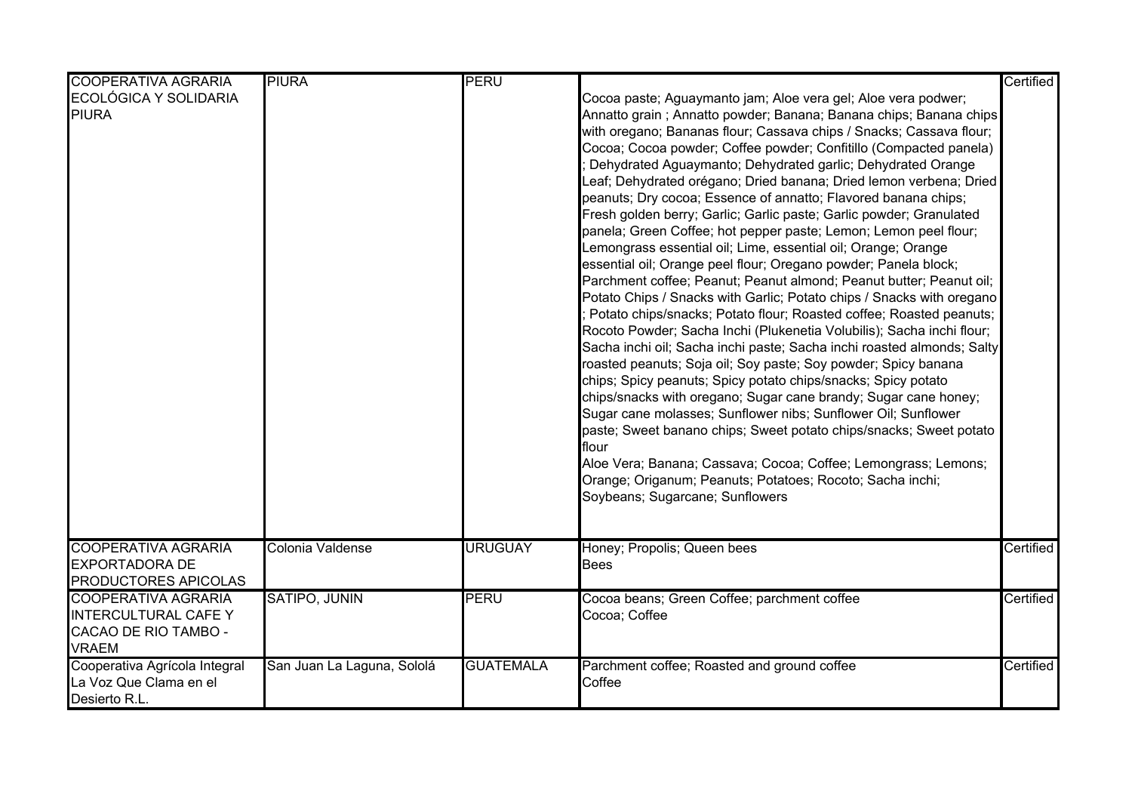| <b>COOPERATIVA AGRARIA</b>                                                                        | <b>PIURA</b>               | <b>PERU</b>      |                                                                                                                                                                                                                                                                                                                                                                                                                                                                                                                                                                                                                                                                                                                                                                                                                                                                                                                                                                                                                                                                                                                                                                                                                                                                                                                                                                                                                                                                                                                                                                                                                                                                        | Certified |
|---------------------------------------------------------------------------------------------------|----------------------------|------------------|------------------------------------------------------------------------------------------------------------------------------------------------------------------------------------------------------------------------------------------------------------------------------------------------------------------------------------------------------------------------------------------------------------------------------------------------------------------------------------------------------------------------------------------------------------------------------------------------------------------------------------------------------------------------------------------------------------------------------------------------------------------------------------------------------------------------------------------------------------------------------------------------------------------------------------------------------------------------------------------------------------------------------------------------------------------------------------------------------------------------------------------------------------------------------------------------------------------------------------------------------------------------------------------------------------------------------------------------------------------------------------------------------------------------------------------------------------------------------------------------------------------------------------------------------------------------------------------------------------------------------------------------------------------------|-----------|
| ECOLÓGICA Y SOLIDARIA<br><b>PIURA</b>                                                             |                            |                  | Cocoa paste; Aguaymanto jam; Aloe vera gel; Aloe vera podwer;<br>Annatto grain; Annatto powder; Banana; Banana chips; Banana chips<br>with oregano; Bananas flour; Cassava chips / Snacks; Cassava flour;<br>Cocoa; Cocoa powder; Coffee powder; Confitillo (Compacted panela)<br>Dehydrated Aguaymanto; Dehydrated garlic; Dehydrated Orange<br>Leaf; Dehydrated orégano; Dried banana; Dried lemon verbena; Dried<br>peanuts; Dry cocoa; Essence of annatto; Flavored banana chips;<br>Fresh golden berry; Garlic; Garlic paste; Garlic powder; Granulated<br>panela; Green Coffee; hot pepper paste; Lemon; Lemon peel flour;<br>Lemongrass essential oil; Lime, essential oil; Orange; Orange<br>essential oil; Orange peel flour; Oregano powder; Panela block;<br>Parchment coffee; Peanut; Peanut almond; Peanut butter; Peanut oil;<br>Potato Chips / Snacks with Garlic; Potato chips / Snacks with oregano<br>Potato chips/snacks; Potato flour; Roasted coffee; Roasted peanuts;<br>Rocoto Powder; Sacha Inchi (Plukenetia Volubilis); Sacha inchi flour;<br>Sacha inchi oil; Sacha inchi paste; Sacha inchi roasted almonds; Salty<br>roasted peanuts; Soja oil; Soy paste; Soy powder; Spicy banana<br>chips; Spicy peanuts; Spicy potato chips/snacks; Spicy potato<br>chips/snacks with oregano; Sugar cane brandy; Sugar cane honey;<br>Sugar cane molasses; Sunflower nibs; Sunflower Oil; Sunflower<br>paste; Sweet banano chips; Sweet potato chips/snacks; Sweet potato<br>flour<br>Aloe Vera; Banana; Cassava; Cocoa; Coffee; Lemongrass; Lemons;<br>Orange; Origanum; Peanuts; Potatoes; Rocoto; Sacha inchi;<br>Soybeans; Sugarcane; Sunflowers |           |
| <b>COOPERATIVA AGRARIA</b><br><b>EXPORTADORA DE</b><br>PRODUCTORES APICOLAS                       | Colonia Valdense           | <b>URUGUAY</b>   | Honey; Propolis; Queen bees<br><b>Bees</b>                                                                                                                                                                                                                                                                                                                                                                                                                                                                                                                                                                                                                                                                                                                                                                                                                                                                                                                                                                                                                                                                                                                                                                                                                                                                                                                                                                                                                                                                                                                                                                                                                             | Certified |
| <b>COOPERATIVA AGRARIA</b><br><b>INTERCULTURAL CAFE Y</b><br>CACAO DE RIO TAMBO -<br><b>VRAEM</b> | SATIPO, JUNIN              | <b>PERU</b>      | Cocoa beans; Green Coffee; parchment coffee<br>Cocoa; Coffee                                                                                                                                                                                                                                                                                                                                                                                                                                                                                                                                                                                                                                                                                                                                                                                                                                                                                                                                                                                                                                                                                                                                                                                                                                                                                                                                                                                                                                                                                                                                                                                                           | Certified |
| Cooperativa Agrícola Integral<br>La Voz Que Clama en el<br>Desierto R.L.                          | San Juan La Laguna, Sololá | <b>GUATEMALA</b> | Parchment coffee; Roasted and ground coffee<br>Coffee                                                                                                                                                                                                                                                                                                                                                                                                                                                                                                                                                                                                                                                                                                                                                                                                                                                                                                                                                                                                                                                                                                                                                                                                                                                                                                                                                                                                                                                                                                                                                                                                                  | Certified |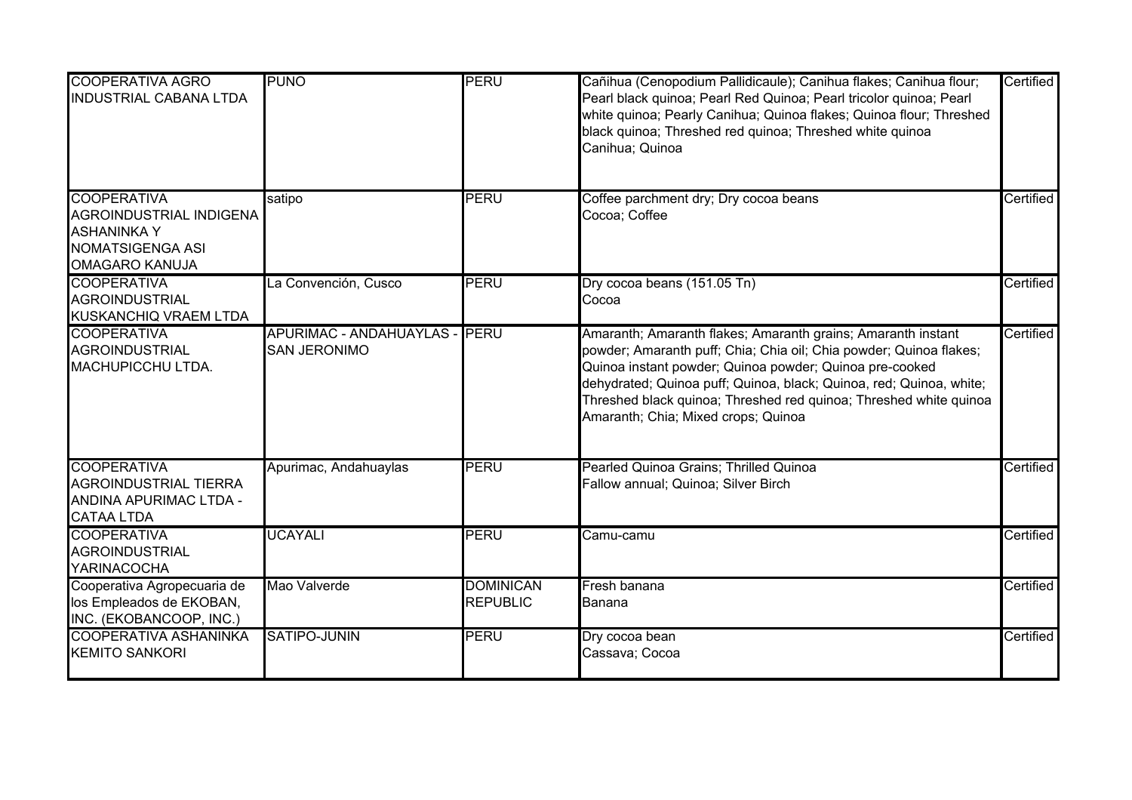| <b>COOPERATIVA AGRO</b><br><b>INDUSTRIAL CABANA LTDA</b>                                                                | <b>PUNO</b>                                          | <b>PERU</b>                         | Cañihua (Cenopodium Pallidicaule); Canihua flakes; Canihua flour;<br>Pearl black quinoa; Pearl Red Quinoa; Pearl tricolor quinoa; Pearl<br>white quinoa; Pearly Canihua; Quinoa flakes; Quinoa flour; Threshed<br>black quinoa; Threshed red quinoa; Threshed white quinoa<br>Canihua; Quinoa                                                                                    | Certified |
|-------------------------------------------------------------------------------------------------------------------------|------------------------------------------------------|-------------------------------------|----------------------------------------------------------------------------------------------------------------------------------------------------------------------------------------------------------------------------------------------------------------------------------------------------------------------------------------------------------------------------------|-----------|
| <b>COOPERATIVA</b><br>AGROINDUSTRIAL INDIGENA<br><b>ASHANINKA Y</b><br><b>NOMATSIGENGA ASI</b><br><b>OMAGARO KANUJA</b> | satipo                                               | PERU                                | Coffee parchment dry; Dry cocoa beans<br>Cocoa; Coffee                                                                                                                                                                                                                                                                                                                           | Certified |
| <b>COOPERATIVA</b><br><b>AGROINDUSTRIAL</b><br>KUSKANCHIQ VRAEM LTDA                                                    | La Convención, Cusco                                 | <b>PERU</b>                         | Dry cocoa beans (151.05 Tn)<br>Cocoa                                                                                                                                                                                                                                                                                                                                             | Certified |
| <b>COOPERATIVA</b><br><b>AGROINDUSTRIAL</b><br>MACHUPICCHU LTDA.                                                        | <b>APURIMAC - ANDAHUAYLAS</b><br><b>SAN JERONIMO</b> | <b>IPERU</b>                        | Amaranth; Amaranth flakes; Amaranth grains; Amaranth instant<br>powder; Amaranth puff; Chia; Chia oil; Chia powder; Quinoa flakes;<br>Quinoa instant powder; Quinoa powder; Quinoa pre-cooked<br>dehydrated; Quinoa puff; Quinoa, black; Quinoa, red; Quinoa, white;<br>Threshed black quinoa; Threshed red quinoa; Threshed white quinoa<br>Amaranth; Chia; Mixed crops; Quinoa | Certified |
| <b>COOPERATIVA</b><br><b>AGROINDUSTRIAL TIERRA</b><br>ANDINA APURIMAC LTDA -<br><b>CATAA LTDA</b>                       | Apurimac, Andahuaylas                                | PERU                                | Pearled Quinoa Grains; Thrilled Quinoa<br>Fallow annual; Quinoa; Silver Birch                                                                                                                                                                                                                                                                                                    | Certified |
| <b>COOPERATIVA</b><br><b>AGROINDUSTRIAL</b><br><b>YARINACOCHA</b>                                                       | <b>UCAYALI</b>                                       | <b>PERU</b>                         | Camu-camu                                                                                                                                                                                                                                                                                                                                                                        | Certified |
| Cooperativa Agropecuaria de<br>los Empleados de EKOBAN,<br>INC. (EKOBANCOOP, INC.)                                      | Mao Valverde                                         | <b>DOMINICAN</b><br><b>REPUBLIC</b> | Fresh banana<br>Banana                                                                                                                                                                                                                                                                                                                                                           | Certified |
| <b>COOPERATIVA ASHANINKA</b><br><b>KEMITO SANKORI</b>                                                                   | <b>SATIPO-JUNIN</b>                                  | PERU                                | Dry cocoa bean<br>Cassava; Cocoa                                                                                                                                                                                                                                                                                                                                                 | Certified |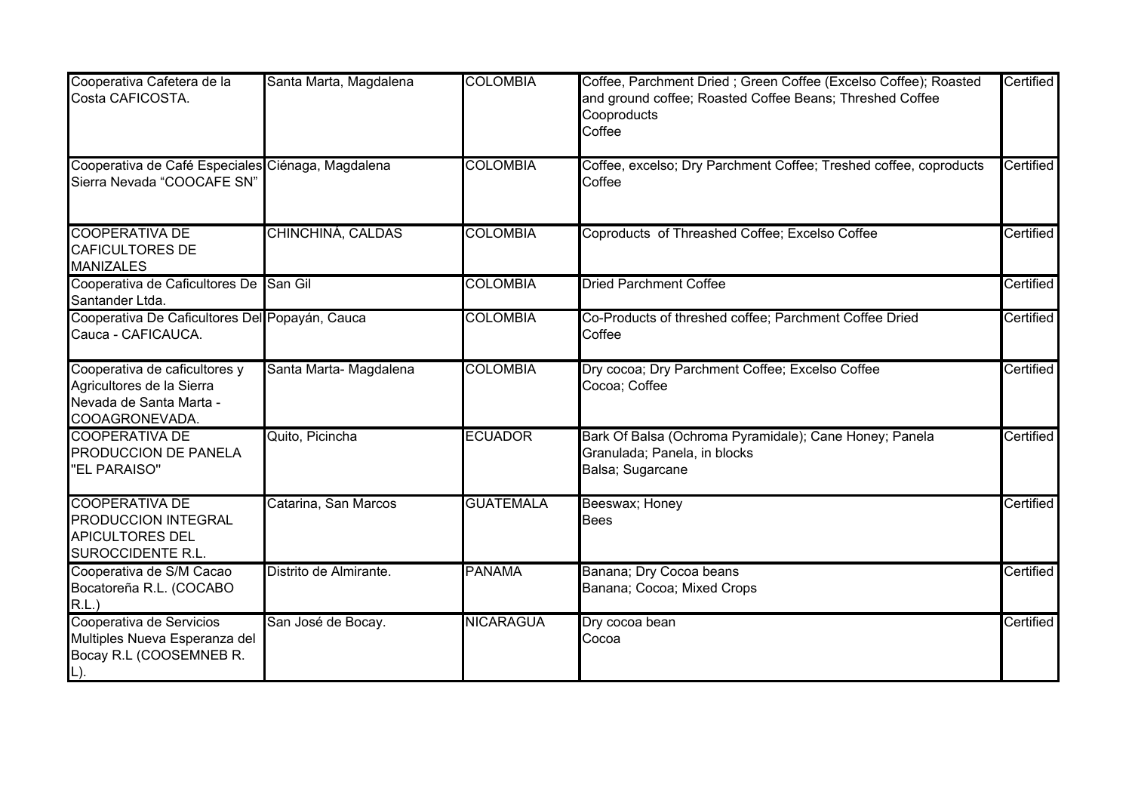| Cooperativa Cafetera de la<br>Costa CAFICOSTA.                                                          | Santa Marta, Magdalena | <b>COLOMBIA</b>  | Coffee, Parchment Dried ; Green Coffee (Excelso Coffee); Roasted<br>and ground coffee; Roasted Coffee Beans; Threshed Coffee<br>Cooproducts<br>Coffee | Certified |
|---------------------------------------------------------------------------------------------------------|------------------------|------------------|-------------------------------------------------------------------------------------------------------------------------------------------------------|-----------|
| Cooperativa de Café Especiales Ciénaga, Magdalena<br>Sierra Nevada "COOCAFE SN"                         |                        | <b>COLOMBIA</b>  | Coffee, excelso; Dry Parchment Coffee; Treshed coffee, coproducts<br>Coffee                                                                           | Certified |
| <b>COOPERATIVA DE</b><br><b>CAFICULTORES DE</b><br><b>MANIZALES</b>                                     | CHINCHINÁ, CALDAS      | <b>COLOMBIA</b>  | Coproducts of Threashed Coffee; Excelso Coffee                                                                                                        | Certified |
| Cooperativa de Caficultores De San Gil<br>Santander Ltda.                                               |                        | <b>COLOMBIA</b>  | <b>Dried Parchment Coffee</b>                                                                                                                         | Certified |
| Cooperativa De Caficultores Del Popayán, Cauca<br>Cauca - CAFICAUCA.                                    |                        | <b>COLOMBIA</b>  | Co-Products of threshed coffee; Parchment Coffee Dried<br>Coffee                                                                                      | Certified |
| Cooperativa de caficultores y<br>Agricultores de la Sierra<br>Nevada de Santa Marta -<br>COOAGRONEVADA. | Santa Marta- Magdalena | <b>COLOMBIA</b>  | Dry cocoa; Dry Parchment Coffee; Excelso Coffee<br>Cocoa; Coffee                                                                                      | Certified |
| <b>COOPERATIVA DE</b><br>PRODUCCION DE PANELA<br>"EL PARAISO"                                           | Quito, Picincha        | <b>ECUADOR</b>   | Bark Of Balsa (Ochroma Pyramidale); Cane Honey; Panela<br>Granulada; Panela, in blocks<br>Balsa; Sugarcane                                            | Certified |
| <b>COOPERATIVA DE</b><br>PRODUCCION INTEGRAL<br><b>APICULTORES DEL</b><br>SUROCCIDENTE R.L.             | Catarina, San Marcos   | <b>GUATEMALA</b> | Beeswax; Honey<br><b>Bees</b>                                                                                                                         | Certified |
| Cooperativa de S/M Cacao<br>Bocatoreña R.L. (COCABO<br>R.L.                                             | Distrito de Almirante. | <b>PANAMA</b>    | Banana; Dry Cocoa beans<br>Banana; Cocoa; Mixed Crops                                                                                                 | Certified |
| Cooperativa de Servicios<br>Multiples Nueva Esperanza del<br>Bocay R.L (COOSEMNEB R.                    | San José de Bocay.     | <b>NICARAGUA</b> | Dry cocoa bean<br>Cocoa                                                                                                                               | Certified |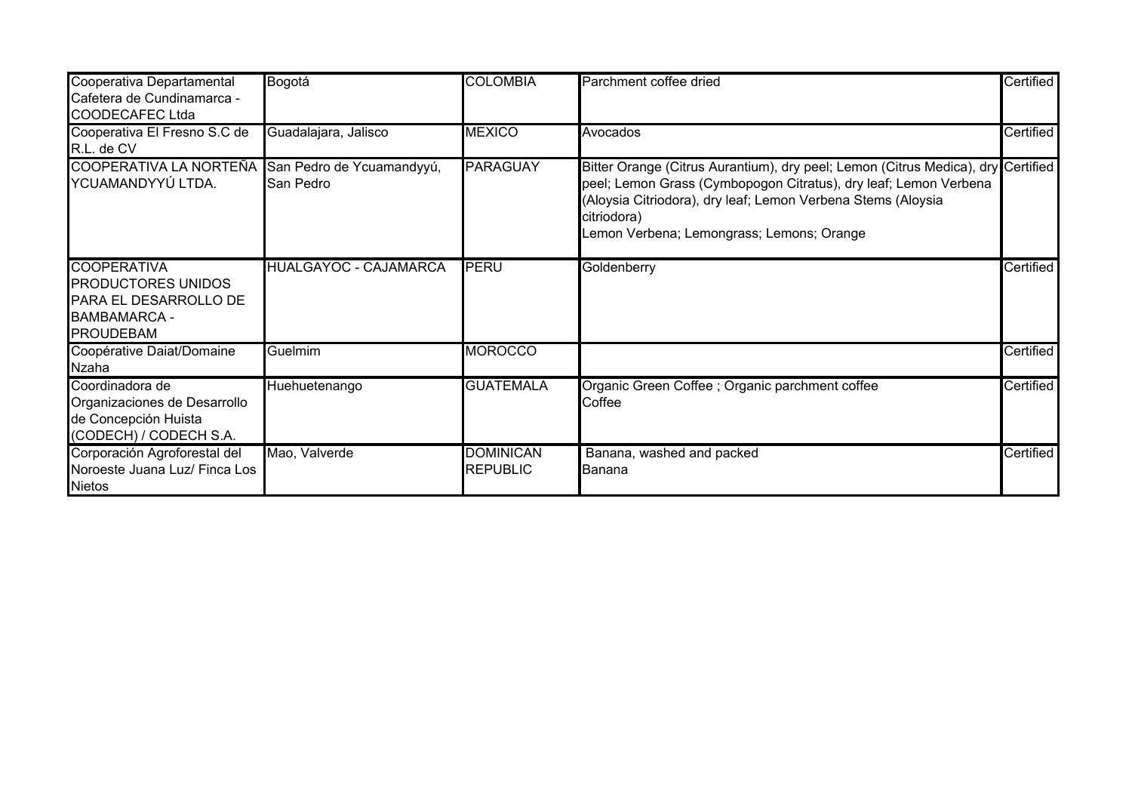| Cooperativa Departamental<br>Cafetera de Cundinamarca -<br><b>COODECAFEC Ltda</b>                            | Bogotá                                 | <b>COLOMBIA</b>                     | Parchment coffee dried                                                                                                                                                                                                                                                           | Certified |
|--------------------------------------------------------------------------------------------------------------|----------------------------------------|-------------------------------------|----------------------------------------------------------------------------------------------------------------------------------------------------------------------------------------------------------------------------------------------------------------------------------|-----------|
| Cooperativa El Fresno S.C de<br>R.L. de CV                                                                   | Guadalajara, Jalisco                   | <b>MEXICO</b>                       | Avocados                                                                                                                                                                                                                                                                         | Certified |
| <b>COOPERATIVA LA NORTEÑA</b><br>YCUAMANDYYÚ LTDA.                                                           | San Pedro de Ycuamandyyú,<br>San Pedro | <b>PARAGUAY</b>                     | Bitter Orange (Citrus Aurantium), dry peel; Lemon (Citrus Medica), dry Certified<br>peel; Lemon Grass (Cymbopogon Citratus), dry leaf; Lemon Verbena<br>(Aloysia Citriodora), dry leaf; Lemon Verbena Stems (Aloysia<br>citriodora)<br>Lemon Verbena; Lemongrass; Lemons; Orange |           |
| <b>COOPERATIVA</b><br><b>PRODUCTORES UNIDOS</b><br>PARA EL DESARROLLO DE<br>BAMBAMARCA -<br><b>PROUDEBAM</b> | <b>HUALGAYOC - CAJAMARCA</b>           | <b>PERU</b>                         | Goldenberry                                                                                                                                                                                                                                                                      | Certified |
| Coopérative Daiat/Domaine<br><b>Nzaha</b>                                                                    | Guelmim                                | <b>MOROCCO</b>                      |                                                                                                                                                                                                                                                                                  | Certified |
| Coordinadora de<br>Organizaciones de Desarrollo<br>de Concepción Huista<br>(CODECH) / CODECH S.A.            | Huehuetenango                          | <b>GUATEMALA</b>                    | Organic Green Coffee ; Organic parchment coffee<br>Coffee                                                                                                                                                                                                                        | Certified |
| Corporación Agroforestal del<br>Noroeste Juana Luz/ Finca Los<br><b>Nietos</b>                               | Mao, Valverde                          | <b>DOMINICAN</b><br><b>REPUBLIC</b> | Banana, washed and packed<br>Banana                                                                                                                                                                                                                                              | Certified |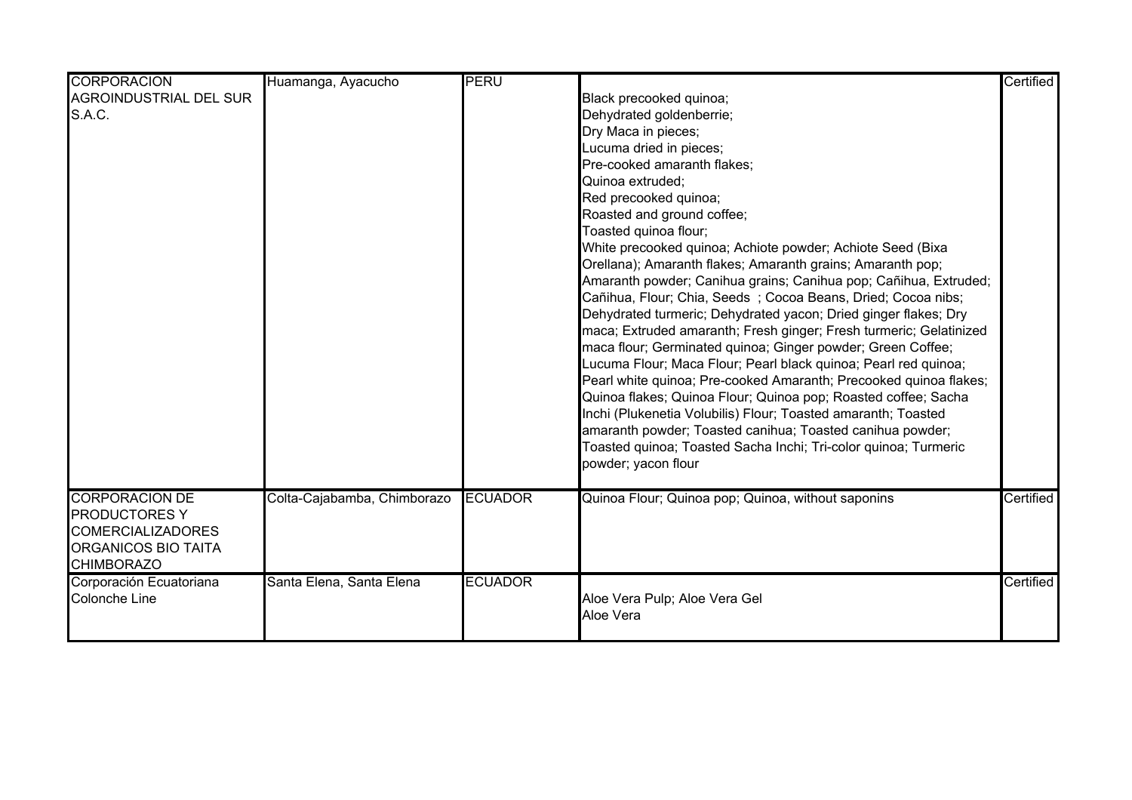| <b>CORPORACION</b>                                                                                                           | Huamanga, Ayacucho          | <b>PERU</b>    |                                                                                                                                                                                                                                                                                                                                                                                                                                                                                                                                                                                                                                                                                                                                                                                                                                                                                                                                                                                                                                                                                                                                                    | Certified |
|------------------------------------------------------------------------------------------------------------------------------|-----------------------------|----------------|----------------------------------------------------------------------------------------------------------------------------------------------------------------------------------------------------------------------------------------------------------------------------------------------------------------------------------------------------------------------------------------------------------------------------------------------------------------------------------------------------------------------------------------------------------------------------------------------------------------------------------------------------------------------------------------------------------------------------------------------------------------------------------------------------------------------------------------------------------------------------------------------------------------------------------------------------------------------------------------------------------------------------------------------------------------------------------------------------------------------------------------------------|-----------|
| AGROINDUSTRIAL DEL SUR<br><b>S.A.C.</b>                                                                                      |                             |                | Black precooked quinoa;<br>Dehydrated goldenberrie;<br>Dry Maca in pieces;<br>Lucuma dried in pieces;<br>Pre-cooked amaranth flakes;<br>Quinoa extruded;<br>Red precooked quinoa;<br>Roasted and ground coffee;<br>Toasted quinoa flour;<br>White precooked quinoa; Achiote powder; Achiote Seed (Bixa<br>Orellana); Amaranth flakes; Amaranth grains; Amaranth pop;<br>Amaranth powder; Canihua grains; Canihua pop; Cañihua, Extruded;<br>Cañihua, Flour; Chia, Seeds; Cocoa Beans, Dried; Cocoa nibs;<br>Dehydrated turmeric; Dehydrated yacon; Dried ginger flakes; Dry<br>maca; Extruded amaranth; Fresh ginger; Fresh turmeric; Gelatinized<br>maca flour; Germinated quinoa; Ginger powder; Green Coffee;<br>Lucuma Flour; Maca Flour; Pearl black quinoa; Pearl red quinoa;<br>Pearl white quinoa; Pre-cooked Amaranth; Precooked quinoa flakes;<br>Quinoa flakes; Quinoa Flour; Quinoa pop; Roasted coffee; Sacha<br>Inchi (Plukenetia Volubilis) Flour; Toasted amaranth; Toasted<br>amaranth powder; Toasted canihua; Toasted canihua powder;<br>Toasted quinoa; Toasted Sacha Inchi; Tri-color quinoa; Turmeric<br>powder; yacon flour |           |
| <b>CORPORACION DE</b><br><b>PRODUCTORES Y</b><br><b>COMERCIALIZADORES</b><br><b>ORGANICOS BIO TAITA</b><br><b>CHIMBORAZO</b> | Colta-Cajabamba, Chimborazo | <b>ECUADOR</b> | Quinoa Flour; Quinoa pop; Quinoa, without saponins                                                                                                                                                                                                                                                                                                                                                                                                                                                                                                                                                                                                                                                                                                                                                                                                                                                                                                                                                                                                                                                                                                 | Certified |
| Corporación Ecuatoriana<br>Colonche Line                                                                                     | Santa Elena, Santa Elena    | <b>ECUADOR</b> | Aloe Vera Pulp; Aloe Vera Gel<br>Aloe Vera                                                                                                                                                                                                                                                                                                                                                                                                                                                                                                                                                                                                                                                                                                                                                                                                                                                                                                                                                                                                                                                                                                         | Certified |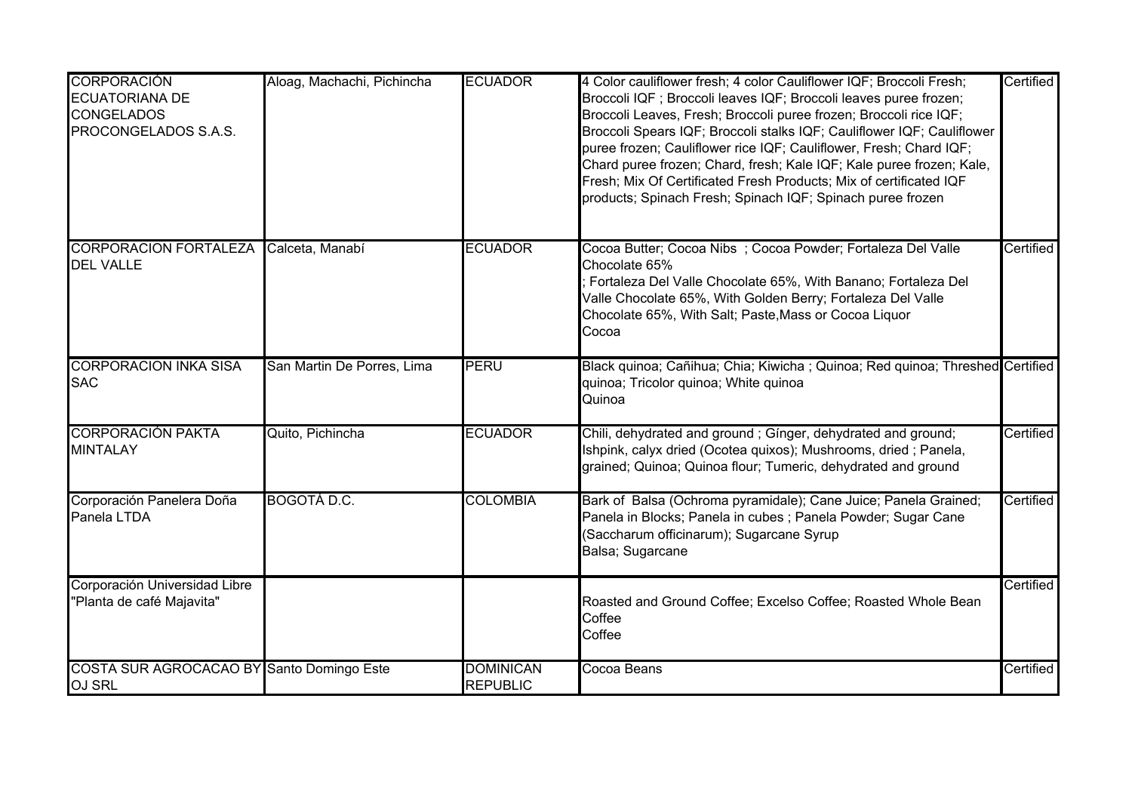| <b>CORPORACIÓN</b><br><b>ECUATORIANA DE</b><br><b>CONGELADOS</b><br>PROCONGELADOS S.A.S. | Aloag, Machachi, Pichincha | <b>ECUADOR</b>                      | 4 Color cauliflower fresh; 4 color Cauliflower IQF; Broccoli Fresh;<br>Broccoli IQF ; Broccoli leaves IQF; Broccoli leaves puree frozen;<br>Broccoli Leaves, Fresh; Broccoli puree frozen; Broccoli rice IQF;<br>Broccoli Spears IQF; Broccoli stalks IQF; Cauliflower IQF; Cauliflower<br>puree frozen; Cauliflower rice IQF; Cauliflower, Fresh; Chard IQF;<br>Chard puree frozen; Chard, fresh; Kale IQF; Kale puree frozen; Kale,<br>Fresh; Mix Of Certificated Fresh Products; Mix of certificated IQF<br>products; Spinach Fresh; Spinach IQF; Spinach puree frozen | Certified |
|------------------------------------------------------------------------------------------|----------------------------|-------------------------------------|---------------------------------------------------------------------------------------------------------------------------------------------------------------------------------------------------------------------------------------------------------------------------------------------------------------------------------------------------------------------------------------------------------------------------------------------------------------------------------------------------------------------------------------------------------------------------|-----------|
| <b>CORPORACION FORTALEZA</b><br><b>DEL VALLE</b>                                         | Calceta, Manabí            | <b>ECUADOR</b>                      | Cocoa Butter; Cocoa Nibs ; Cocoa Powder; Fortaleza Del Valle<br>Chocolate 65%<br>Fortaleza Del Valle Chocolate 65%, With Banano; Fortaleza Del<br>Valle Chocolate 65%, With Golden Berry; Fortaleza Del Valle<br>Chocolate 65%, With Salt; Paste, Mass or Cocoa Liquor<br>Cocoa                                                                                                                                                                                                                                                                                           | Certified |
| <b>CORPORACION INKA SISA</b><br><b>SAC</b>                                               | San Martin De Porres, Lima | PERU                                | Black quinoa; Cañihua; Chia; Kiwicha; Quinoa; Red quinoa; Threshed Certified<br>quinoa; Tricolor quinoa; White quinoa<br>Quinoa                                                                                                                                                                                                                                                                                                                                                                                                                                           |           |
| <b>CORPORACIÓN PAKTA</b><br><b>MINTALAY</b>                                              | Quito, Pichincha           | <b>ECUADOR</b>                      | Chili, dehydrated and ground; Gínger, dehydrated and ground;<br>Ishpink, calyx dried (Ocotea quixos); Mushrooms, dried; Panela,<br>grained; Quinoa; Quinoa flour; Tumeric, dehydrated and ground                                                                                                                                                                                                                                                                                                                                                                          | Certified |
| Corporación Panelera Doña<br>Panela LTDA                                                 | <b>BOGOTÁ D.C.</b>         | <b>COLOMBIA</b>                     | Bark of Balsa (Ochroma pyramidale); Cane Juice; Panela Grained;<br>Panela in Blocks; Panela in cubes ; Panela Powder; Sugar Cane<br>(Saccharum officinarum); Sugarcane Syrup<br>Balsa; Sugarcane                                                                                                                                                                                                                                                                                                                                                                          | Certified |
| Corporación Universidad Libre<br>"Planta de café Majavita"                               |                            |                                     | Roasted and Ground Coffee; Excelso Coffee; Roasted Whole Bean<br>Coffee<br>Coffee                                                                                                                                                                                                                                                                                                                                                                                                                                                                                         | Certified |
| COSTA SUR AGROCACAO BY Santo Domingo Este<br><b>OJ SRL</b>                               |                            | <b>DOMINICAN</b><br><b>REPUBLIC</b> | Cocoa Beans                                                                                                                                                                                                                                                                                                                                                                                                                                                                                                                                                               | Certified |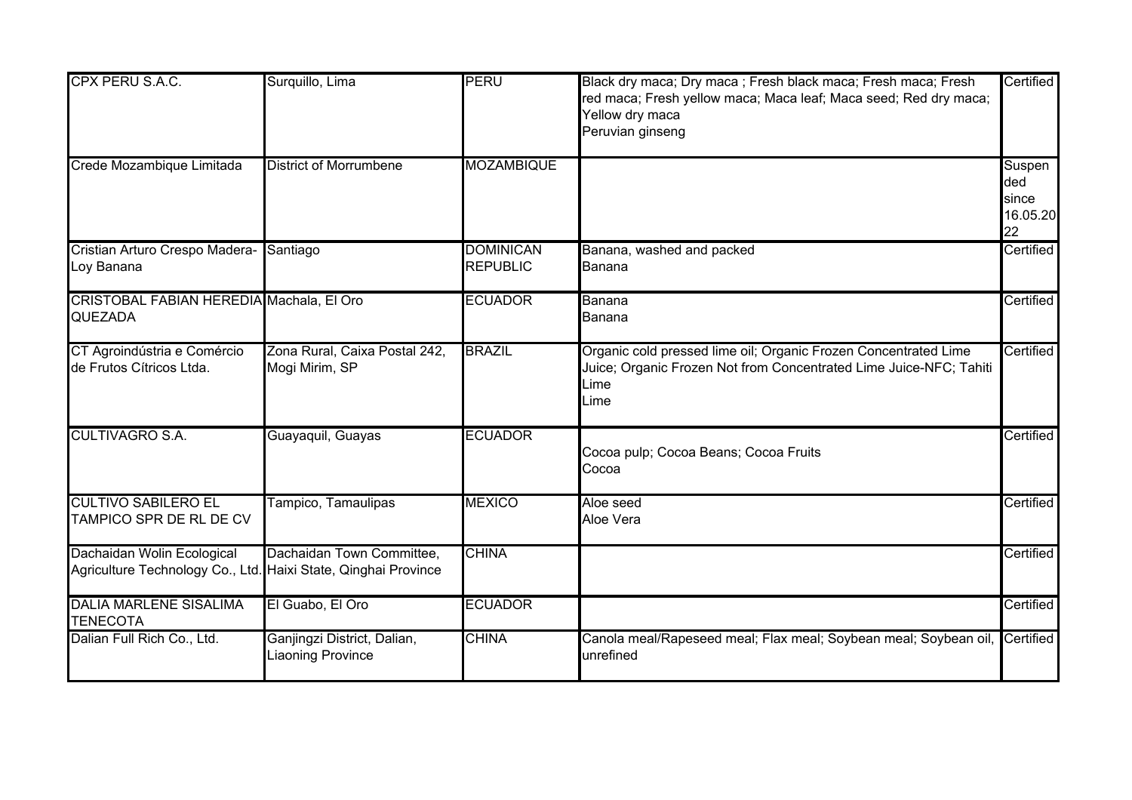| CPX PERU S.A.C.                                                                              | Surquillo, Lima                                         | PERU                                | Black dry maca; Dry maca; Fresh black maca; Fresh maca; Fresh<br>red maca; Fresh yellow maca; Maca leaf; Maca seed; Red dry maca;<br>Yellow dry maca<br>Peruvian ginseng | Certified                                |
|----------------------------------------------------------------------------------------------|---------------------------------------------------------|-------------------------------------|--------------------------------------------------------------------------------------------------------------------------------------------------------------------------|------------------------------------------|
| Crede Mozambique Limitada                                                                    | <b>District of Morrumbene</b>                           | <b>MOZAMBIQUE</b>                   |                                                                                                                                                                          | Suspen<br>ded<br>since<br>16.05.20<br>22 |
| Cristian Arturo Crespo Madera-<br>Loy Banana                                                 | Santiago                                                | <b>DOMINICAN</b><br><b>REPUBLIC</b> | Banana, washed and packed<br>Banana                                                                                                                                      | Certified                                |
| CRISTOBAL FABIAN HEREDIA Machala, El Oro<br>QUEZADA                                          |                                                         | <b>ECUADOR</b>                      | Banana<br>Banana                                                                                                                                                         | Certified                                |
| CT Agroindústria e Comércio<br>de Frutos Cítricos Ltda.                                      | Zona Rural, Caixa Postal 242,<br>Mogi Mirim, SP         | <b>BRAZIL</b>                       | Organic cold pressed lime oil; Organic Frozen Concentrated Lime<br>Juice; Organic Frozen Not from Concentrated Lime Juice-NFC; Tahiti<br>Lime<br>∟ime                    | Certified                                |
| <b>CULTIVAGRO S.A.</b>                                                                       | Guayaquil, Guayas                                       | <b>ECUADOR</b>                      | Cocoa pulp; Cocoa Beans; Cocoa Fruits<br>Cocoa                                                                                                                           | Certified                                |
| <b>CULTIVO SABILERO EL</b><br>TAMPICO SPR DE RL DE CV                                        | Tampico, Tamaulipas                                     | <b>MEXICO</b>                       | Aloe seed<br>Aloe Vera                                                                                                                                                   | Certified                                |
| Dachaidan Wolin Ecological<br>Agriculture Technology Co., Ltd. Haixi State, Qinghai Province | Dachaidan Town Committee,                               | <b>CHINA</b>                        |                                                                                                                                                                          | Certified                                |
| <b>DALIA MARLENE SISALIMA</b><br><b>TENECOTA</b>                                             | El Guabo, El Oro                                        | <b>ECUADOR</b>                      |                                                                                                                                                                          | Certified                                |
| Dalian Full Rich Co., Ltd.                                                                   | Ganjingzi District, Dalian,<br><b>Liaoning Province</b> | <b>CHINA</b>                        | Canola meal/Rapeseed meal; Flax meal; Soybean meal; Soybean oil, Certified<br>unrefined                                                                                  |                                          |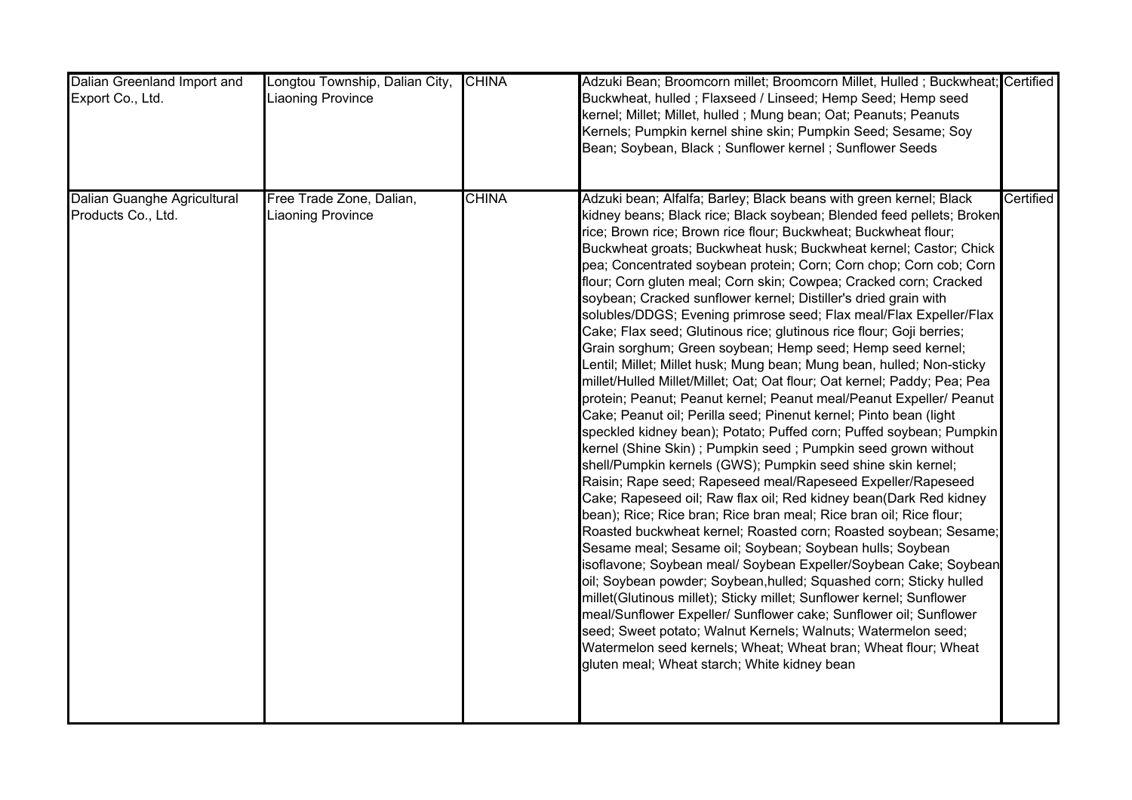| Dalian Greenland Import and<br>Export Co., Ltd.   | Longtou Township, Dalian City,<br><b>Liaoning Province</b> | <b>CHINA</b> | Adzuki Bean; Broomcorn millet; Broomcorn Millet, Hulled; Buckwheat; Certified<br>Buckwheat, hulled; Flaxseed / Linseed; Hemp Seed; Hemp seed<br>kernel; Millet; Millet, hulled; Mung bean; Oat; Peanuts; Peanuts<br>Kernels; Pumpkin kernel shine skin; Pumpkin Seed; Sesame; Soy<br>Bean; Soybean, Black; Sunflower kernel; Sunflower Seeds                                                                                                                                                                                                                                                                                                                                                                                                                                                                                                                                                                                                                                                                                                                                                                                                                                                                                                                                                                                                                                                                                                                                                                                                                                                                                                                                                                                                                                                                                                                                                                                                                                                                                               |           |
|---------------------------------------------------|------------------------------------------------------------|--------------|--------------------------------------------------------------------------------------------------------------------------------------------------------------------------------------------------------------------------------------------------------------------------------------------------------------------------------------------------------------------------------------------------------------------------------------------------------------------------------------------------------------------------------------------------------------------------------------------------------------------------------------------------------------------------------------------------------------------------------------------------------------------------------------------------------------------------------------------------------------------------------------------------------------------------------------------------------------------------------------------------------------------------------------------------------------------------------------------------------------------------------------------------------------------------------------------------------------------------------------------------------------------------------------------------------------------------------------------------------------------------------------------------------------------------------------------------------------------------------------------------------------------------------------------------------------------------------------------------------------------------------------------------------------------------------------------------------------------------------------------------------------------------------------------------------------------------------------------------------------------------------------------------------------------------------------------------------------------------------------------------------------------------------------------|-----------|
| Dalian Guanghe Agricultural<br>Products Co., Ltd. | Free Trade Zone, Dalian,<br><b>Liaoning Province</b>       | <b>CHINA</b> | Adzuki bean; Alfalfa; Barley; Black beans with green kernel; Black<br>kidney beans; Black rice; Black soybean; Blended feed pellets; Broken<br>rice; Brown rice; Brown rice flour; Buckwheat; Buckwheat flour;<br>Buckwheat groats; Buckwheat husk; Buckwheat kernel; Castor; Chick<br>pea; Concentrated soybean protein; Corn; Corn chop; Corn cob; Corn<br>flour; Corn gluten meal; Corn skin; Cowpea; Cracked corn; Cracked<br>soybean; Cracked sunflower kernel; Distiller's dried grain with<br>solubles/DDGS; Evening primrose seed; Flax meal/Flax Expeller/Flax<br>Cake; Flax seed; Glutinous rice; glutinous rice flour; Goji berries;<br>Grain sorghum; Green soybean; Hemp seed; Hemp seed kernel;<br>Lentil; Millet; Millet husk; Mung bean; Mung bean, hulled; Non-sticky<br>millet/Hulled Millet/Millet; Oat; Oat flour; Oat kernel; Paddy; Pea; Pea<br>protein; Peanut; Peanut kernel; Peanut meal/Peanut Expeller/ Peanut<br>Cake; Peanut oil; Perilla seed; Pinenut kernel; Pinto bean (light<br>speckled kidney bean); Potato; Puffed corn; Puffed soybean; Pumpkin<br>kernel (Shine Skin); Pumpkin seed; Pumpkin seed grown without<br>shell/Pumpkin kernels (GWS); Pumpkin seed shine skin kernel;<br>Raisin; Rape seed; Rapeseed meal/Rapeseed Expeller/Rapeseed<br>Cake; Rapeseed oil; Raw flax oil; Red kidney bean(Dark Red kidney<br>bean); Rice; Rice bran; Rice bran meal; Rice bran oil; Rice flour;<br>Roasted buckwheat kernel; Roasted corn; Roasted soybean; Sesame;<br>Sesame meal; Sesame oil; Soybean; Soybean hulls; Soybean<br>isoflavone; Soybean meal/ Soybean Expeller/Soybean Cake; Soybean<br>oil; Soybean powder; Soybean, hulled; Squashed corn; Sticky hulled<br>millet(Glutinous millet); Sticky millet; Sunflower kernel; Sunflower<br>meal/Sunflower Expeller/ Sunflower cake; Sunflower oil; Sunflower<br>seed; Sweet potato; Walnut Kernels; Walnuts; Watermelon seed;<br>Watermelon seed kernels; Wheat; Wheat bran; Wheat flour; Wheat<br>gluten meal; Wheat starch; White kidney bean | Certified |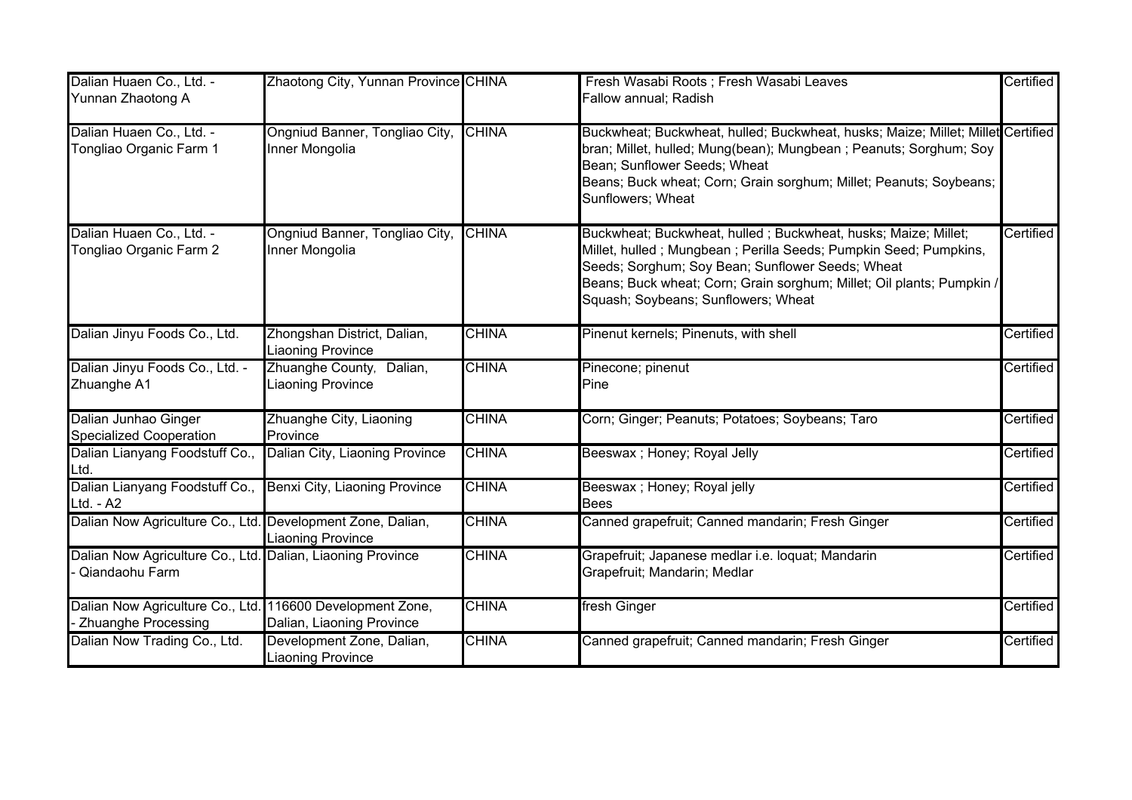| Dalian Huaen Co., Ltd. -<br>Yunnan Zhaotong A                                           | Zhaotong City, Yunnan Province CHINA                    |              | Fresh Wasabi Roots ; Fresh Wasabi Leaves<br>Fallow annual; Radish                                                                                                                                                                                                                                      | Certified |
|-----------------------------------------------------------------------------------------|---------------------------------------------------------|--------------|--------------------------------------------------------------------------------------------------------------------------------------------------------------------------------------------------------------------------------------------------------------------------------------------------------|-----------|
| Dalian Huaen Co., Ltd. -<br>Tongliao Organic Farm 1                                     | Ongniud Banner, Tongliao City,<br>Inner Mongolia        | <b>CHINA</b> | Buckwheat; Buckwheat, hulled; Buckwheat, husks; Maize; Millet; Millet Certified<br>bran; Millet, hulled; Mung(bean); Mungbean ; Peanuts; Sorghum; Soy<br>Bean; Sunflower Seeds; Wheat<br>Beans; Buck wheat; Corn; Grain sorghum; Millet; Peanuts; Soybeans;<br>Sunflowers; Wheat                       |           |
| Dalian Huaen Co., Ltd. -<br>Tongliao Organic Farm 2                                     | Ongniud Banner, Tongliao City<br>Inner Mongolia         | <b>CHINA</b> | Buckwheat; Buckwheat, hulled; Buckwheat, husks; Maize; Millet;<br>Millet, hulled; Mungbean; Perilla Seeds; Pumpkin Seed; Pumpkins,<br>Seeds; Sorghum; Soy Bean; Sunflower Seeds; Wheat<br>Beans; Buck wheat; Corn; Grain sorghum; Millet; Oil plants; Pumpkin /<br>Squash; Soybeans; Sunflowers; Wheat | Certified |
| Dalian Jinyu Foods Co., Ltd.                                                            | Zhongshan District, Dalian,<br><b>Liaoning Province</b> | <b>CHINA</b> | Pinenut kernels; Pinenuts, with shell                                                                                                                                                                                                                                                                  | Certified |
| Dalian Jinyu Foods Co., Ltd. -<br>Zhuanghe A1                                           | Zhuanghe County, Dalian,<br><b>Liaoning Province</b>    | <b>CHINA</b> | Pinecone; pinenut<br>Pine                                                                                                                                                                                                                                                                              | Certified |
| Dalian Junhao Ginger<br>Specialized Cooperation                                         | Zhuanghe City, Liaoning<br>Province                     | <b>CHINA</b> | Corn; Ginger; Peanuts; Potatoes; Soybeans; Taro                                                                                                                                                                                                                                                        | Certified |
| Dalian Lianyang Foodstuff Co.,<br>Ltd.                                                  | Dalian City, Liaoning Province                          | <b>CHINA</b> | Beeswax ; Honey; Royal Jelly                                                                                                                                                                                                                                                                           | Certified |
| Dalian Lianyang Foodstuff Co.,<br>Ltd. - A2                                             | Benxi City, Liaoning Province                           | <b>CHINA</b> | Beeswax; Honey; Royal jelly<br><b>Bees</b>                                                                                                                                                                                                                                                             | Certified |
| Dalian Now Agriculture Co., Ltd. Development Zone, Dalian,                              | <b>Liaoning Province</b>                                | <b>CHINA</b> | Canned grapefruit; Canned mandarin; Fresh Ginger                                                                                                                                                                                                                                                       | Certified |
| Dalian Now Agriculture Co., Ltd. Dalian, Liaoning Province<br>Qiandaohu Farm            |                                                         | <b>CHINA</b> | Grapefruit; Japanese medlar i.e. loquat; Mandarin<br>Grapefruit; Mandarin; Medlar                                                                                                                                                                                                                      | Certified |
| Dalian Now Agriculture Co., Ltd. 116600 Development Zone,<br><b>Zhuanghe Processing</b> | Dalian, Liaoning Province                               | <b>CHINA</b> | fresh Ginger                                                                                                                                                                                                                                                                                           | Certified |
| Dalian Now Trading Co., Ltd.                                                            | Development Zone, Dalian,<br><b>Liaoning Province</b>   | <b>CHINA</b> | Canned grapefruit; Canned mandarin; Fresh Ginger                                                                                                                                                                                                                                                       | Certified |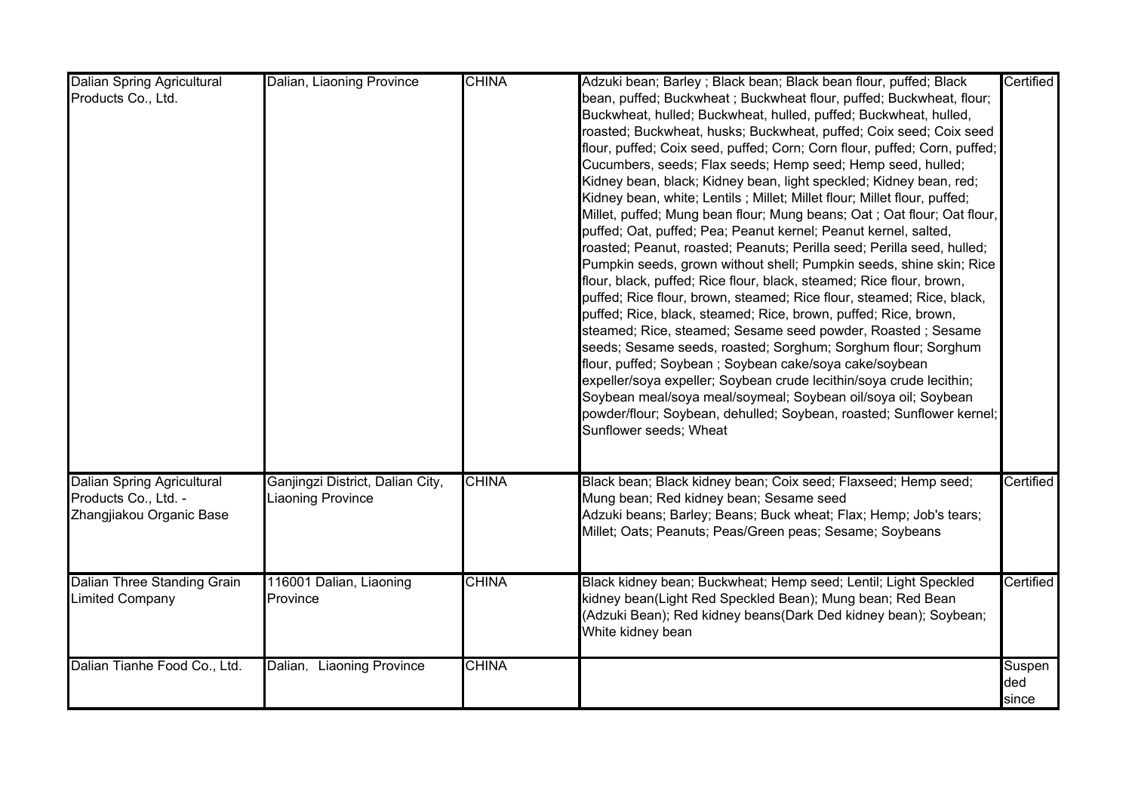| <b>Dalian Spring Agricultural</b><br>Products Co., Ltd.                               | Dalian, Liaoning Province                            | <b>CHINA</b> | Adzuki bean; Barley; Black bean; Black bean flour, puffed; Black<br>bean, puffed; Buckwheat; Buckwheat flour, puffed; Buckwheat, flour;<br>Buckwheat, hulled; Buckwheat, hulled, puffed; Buckwheat, hulled,<br>roasted; Buckwheat, husks; Buckwheat, puffed; Coix seed; Coix seed<br>flour, puffed; Coix seed, puffed; Corn; Corn flour, puffed; Corn, puffed;<br>Cucumbers, seeds; Flax seeds; Hemp seed; Hemp seed, hulled;<br>Kidney bean, black; Kidney bean, light speckled; Kidney bean, red;<br>Kidney bean, white; Lentils; Millet; Millet flour; Millet flour, puffed;<br>Millet, puffed; Mung bean flour; Mung beans; Oat ; Oat flour; Oat flour,<br>puffed; Oat, puffed; Pea; Peanut kernel; Peanut kernel, salted,<br>roasted; Peanut, roasted; Peanuts; Perilla seed; Perilla seed, hulled;<br>Pumpkin seeds, grown without shell; Pumpkin seeds, shine skin; Rice<br>flour, black, puffed; Rice flour, black, steamed; Rice flour, brown,<br>puffed; Rice flour, brown, steamed; Rice flour, steamed; Rice, black,<br>puffed; Rice, black, steamed; Rice, brown, puffed; Rice, brown,<br>steamed; Rice, steamed; Sesame seed powder, Roasted; Sesame<br>seeds; Sesame seeds, roasted; Sorghum; Sorghum flour; Sorghum<br>flour, puffed; Soybean; Soybean cake/soya cake/soybean<br>expeller/soya expeller; Soybean crude lecithin/soya crude lecithin;<br>Soybean meal/soya meal/soymeal; Soybean oil/soya oil; Soybean<br>powder/flour; Soybean, dehulled; Soybean, roasted; Sunflower kernel;<br>Sunflower seeds; Wheat | Certified              |
|---------------------------------------------------------------------------------------|------------------------------------------------------|--------------|-----------------------------------------------------------------------------------------------------------------------------------------------------------------------------------------------------------------------------------------------------------------------------------------------------------------------------------------------------------------------------------------------------------------------------------------------------------------------------------------------------------------------------------------------------------------------------------------------------------------------------------------------------------------------------------------------------------------------------------------------------------------------------------------------------------------------------------------------------------------------------------------------------------------------------------------------------------------------------------------------------------------------------------------------------------------------------------------------------------------------------------------------------------------------------------------------------------------------------------------------------------------------------------------------------------------------------------------------------------------------------------------------------------------------------------------------------------------------------------------------------------------------------------------|------------------------|
| <b>Dalian Spring Agricultural</b><br>Products Co., Ltd. -<br>Zhangjiakou Organic Base | Ganjingzi District, Dalian City,<br>iaoning Province | <b>CHINA</b> | Black bean; Black kidney bean; Coix seed; Flaxseed; Hemp seed;<br>Mung bean; Red kidney bean; Sesame seed<br>Adzuki beans; Barley; Beans; Buck wheat; Flax; Hemp; Job's tears;<br>Millet; Oats; Peanuts; Peas/Green peas; Sesame; Soybeans                                                                                                                                                                                                                                                                                                                                                                                                                                                                                                                                                                                                                                                                                                                                                                                                                                                                                                                                                                                                                                                                                                                                                                                                                                                                                              | Certified              |
| Dalian Three Standing Grain<br><b>Limited Company</b>                                 | 116001 Dalian, Liaoning<br>Province                  | <b>CHINA</b> | Black kidney bean; Buckwheat; Hemp seed; Lentil; Light Speckled<br>kidney bean(Light Red Speckled Bean); Mung bean; Red Bean<br>(Adzuki Bean); Red kidney beans(Dark Ded kidney bean); Soybean;<br>White kidney bean                                                                                                                                                                                                                                                                                                                                                                                                                                                                                                                                                                                                                                                                                                                                                                                                                                                                                                                                                                                                                                                                                                                                                                                                                                                                                                                    | Certified              |
| Dalian Tianhe Food Co., Ltd.                                                          | Dalian, Liaoning Province                            | <b>CHINA</b> |                                                                                                                                                                                                                                                                                                                                                                                                                                                                                                                                                                                                                                                                                                                                                                                                                                                                                                                                                                                                                                                                                                                                                                                                                                                                                                                                                                                                                                                                                                                                         | Suspen<br>ded<br>since |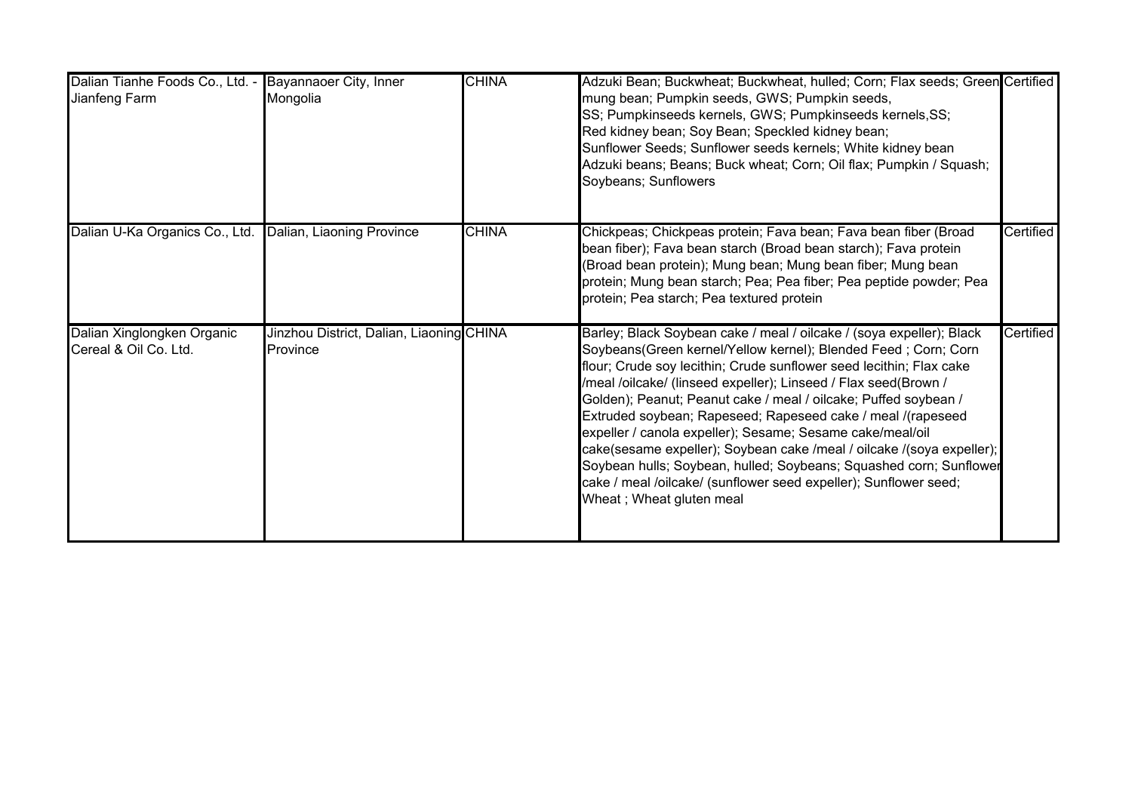| Dalian Tianhe Foods Co., Ltd. - Bayannaoer City, Inner<br>Jianfeng Farm | Mongolia                                             | <b>CHINA</b> | Adzuki Bean; Buckwheat; Buckwheat, hulled; Corn; Flax seeds; Green Certified<br>mung bean; Pumpkin seeds, GWS; Pumpkin seeds,<br>SS; Pumpkinseeds kernels, GWS; Pumpkinseeds kernels, SS;<br>Red kidney bean; Soy Bean; Speckled kidney bean;<br>Sunflower Seeds; Sunflower seeds kernels; White kidney bean<br>Adzuki beans; Beans; Buck wheat; Corn; Oil flax; Pumpkin / Squash;<br>Soybeans; Sunflowers                                                                                                                                                                                                                                                                                                                     |           |
|-------------------------------------------------------------------------|------------------------------------------------------|--------------|--------------------------------------------------------------------------------------------------------------------------------------------------------------------------------------------------------------------------------------------------------------------------------------------------------------------------------------------------------------------------------------------------------------------------------------------------------------------------------------------------------------------------------------------------------------------------------------------------------------------------------------------------------------------------------------------------------------------------------|-----------|
| Dalian U-Ka Organics Co., Ltd.                                          | Dalian, Liaoning Province                            | <b>CHINA</b> | Chickpeas; Chickpeas protein; Fava bean; Fava bean fiber (Broad<br>bean fiber); Fava bean starch (Broad bean starch); Fava protein<br>(Broad bean protein); Mung bean; Mung bean fiber; Mung bean<br>protein; Mung bean starch; Pea; Pea fiber; Pea peptide powder; Pea<br>protein; Pea starch; Pea textured protein                                                                                                                                                                                                                                                                                                                                                                                                           | Certified |
| Dalian Xinglongken Organic<br>Cereal & Oil Co. Ltd.                     | Jinzhou District, Dalian, Liaoning CHINA<br>Province |              | Barley; Black Soybean cake / meal / oilcake / (soya expeller); Black<br>Soybeans(Green kernel/Yellow kernel); Blended Feed; Corn; Corn<br>flour; Crude soy lecithin; Crude sunflower seed lecithin; Flax cake<br>/meal /oilcake/ (linseed expeller); Linseed / Flax seed(Brown /<br>Golden); Peanut; Peanut cake / meal / oilcake; Puffed soybean /<br>Extruded soybean; Rapeseed; Rapeseed cake / meal /(rapeseed<br>expeller / canola expeller); Sesame; Sesame cake/meal/oil<br>cake(sesame expeller); Soybean cake /meal / oilcake /(soya expeller);<br>Soybean hulls; Soybean, hulled; Soybeans; Squashed corn; Sunflower<br>cake / meal /oilcake/ (sunflower seed expeller); Sunflower seed;<br>Wheat; Wheat gluten meal | Certified |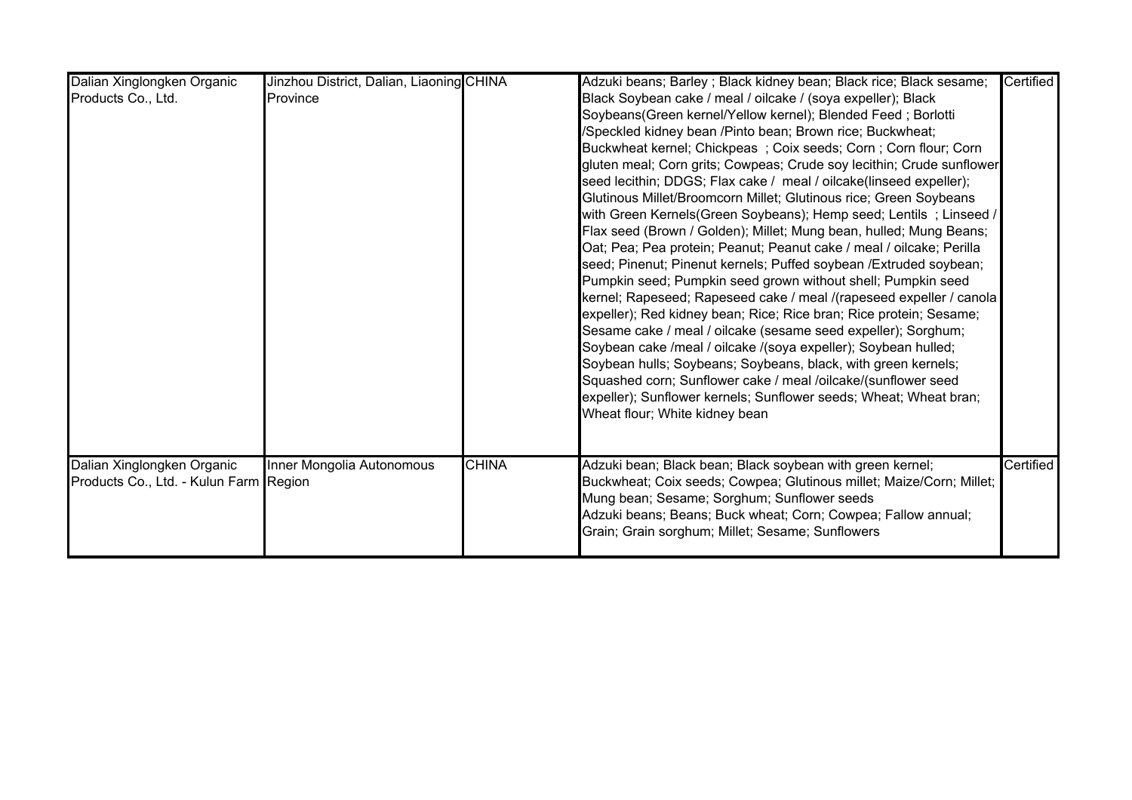| Dalian Xinglongken Organic<br>Products Co., Ltd.                     | Jinzhou District, Dalian, Liaoning CHINA<br>Province |              | Adzuki beans; Barley ; Black kidney bean; Black rice; Black sesame;<br>Black Soybean cake / meal / oilcake / (soya expeller); Black<br>Soybeans(Green kernel/Yellow kernel); Blended Feed; Borlotti<br>/Speckled kidney bean /Pinto bean; Brown rice; Buckwheat;<br>Buckwheat kernel; Chickpeas; Coix seeds; Corn; Corn flour; Corn<br>gluten meal; Corn grits; Cowpeas; Crude soy lecithin; Crude sunflower<br>seed lecithin; DDGS; Flax cake / meal / oilcake(linseed expeller);<br>Glutinous Millet/Broomcorn Millet; Glutinous rice; Green Soybeans<br>with Green Kernels(Green Soybeans); Hemp seed; Lentils; Linseed /<br>Flax seed (Brown / Golden); Millet; Mung bean, hulled; Mung Beans;<br>Oat; Pea; Pea protein; Peanut; Peanut cake / meal / oilcake; Perilla<br>seed; Pinenut; Pinenut kernels; Puffed soybean / Extruded soybean;<br>Pumpkin seed; Pumpkin seed grown without shell; Pumpkin seed<br>kernel; Rapeseed; Rapeseed cake / meal /(rapeseed expeller / canola  <br>expeller); Red kidney bean; Rice; Rice bran; Rice protein; Sesame;<br>Sesame cake / meal / oilcake (sesame seed expeller); Sorghum;<br>Soybean cake /meal / oilcake /(soya expeller); Soybean hulled;<br>Soybean hulls; Soybeans; Soybeans, black, with green kernels;<br>Squashed corn; Sunflower cake / meal /oilcake/(sunflower seed<br>expeller); Sunflower kernels; Sunflower seeds; Wheat; Wheat bran; | Certified |
|----------------------------------------------------------------------|------------------------------------------------------|--------------|-----------------------------------------------------------------------------------------------------------------------------------------------------------------------------------------------------------------------------------------------------------------------------------------------------------------------------------------------------------------------------------------------------------------------------------------------------------------------------------------------------------------------------------------------------------------------------------------------------------------------------------------------------------------------------------------------------------------------------------------------------------------------------------------------------------------------------------------------------------------------------------------------------------------------------------------------------------------------------------------------------------------------------------------------------------------------------------------------------------------------------------------------------------------------------------------------------------------------------------------------------------------------------------------------------------------------------------------------------------------------------------------------------------|-----------|
| Dalian Xinglongken Organic<br>Products Co., Ltd. - Kulun Farm Region | Inner Mongolia Autonomous                            | <b>CHINA</b> | Wheat flour; White kidney bean<br>Adzuki bean; Black bean; Black soybean with green kernel;<br>Buckwheat; Coix seeds; Cowpea; Glutinous millet; Maize/Corn; Millet;<br>Mung bean; Sesame; Sorghum; Sunflower seeds<br>Adzuki beans; Beans; Buck wheat; Corn; Cowpea; Fallow annual;<br>Grain; Grain sorghum; Millet; Sesame; Sunflowers                                                                                                                                                                                                                                                                                                                                                                                                                                                                                                                                                                                                                                                                                                                                                                                                                                                                                                                                                                                                                                                                   | Certified |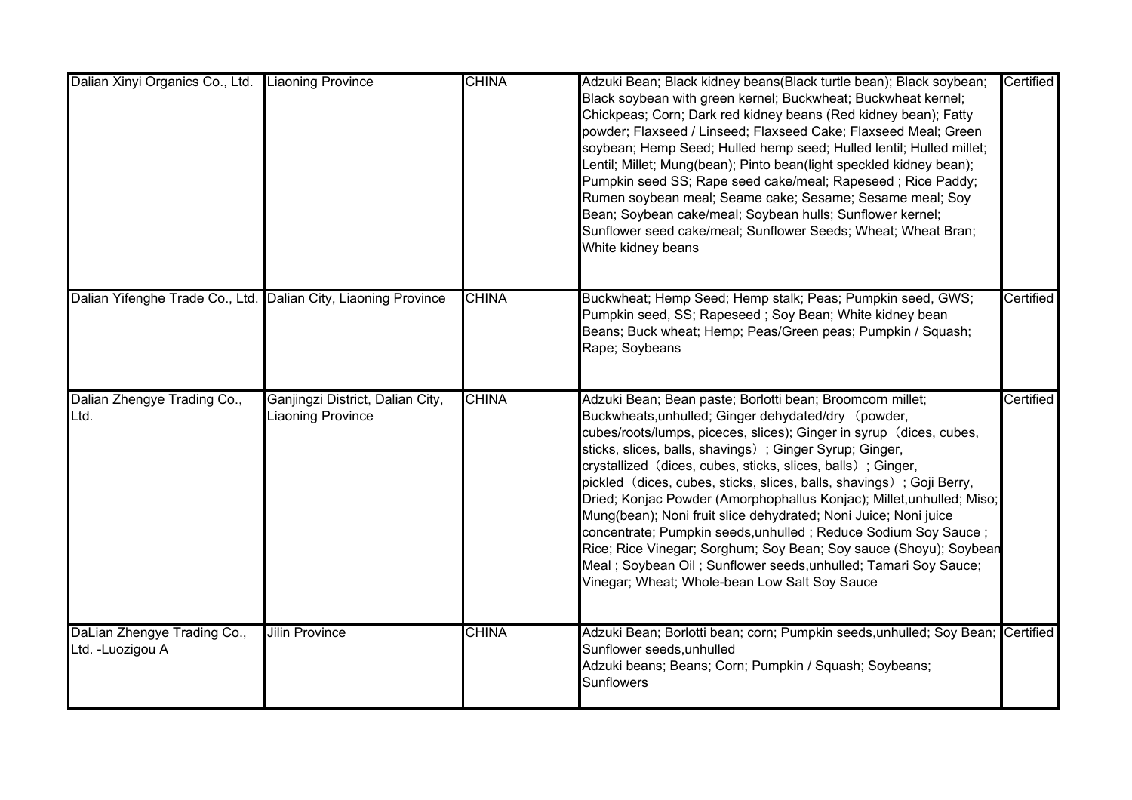| Dalian Xinyi Organics Co., Ltd.                                | <b>Liaoning Province</b>                                     | <b>CHINA</b> | Adzuki Bean; Black kidney beans(Black turtle bean); Black soybean;<br>Black soybean with green kernel; Buckwheat; Buckwheat kernel;<br>Chickpeas; Corn; Dark red kidney beans (Red kidney bean); Fatty<br>powder; Flaxseed / Linseed; Flaxseed Cake; Flaxseed Meal; Green<br>soybean; Hemp Seed; Hulled hemp seed; Hulled lentil; Hulled millet;<br>Lentil; Millet; Mung(bean); Pinto bean(light speckled kidney bean);<br>Pumpkin seed SS; Rape seed cake/meal; Rapeseed; Rice Paddy;<br>Rumen soybean meal; Seame cake; Sesame; Sesame meal; Soy<br>Bean; Soybean cake/meal; Soybean hulls; Sunflower kernel;<br>Sunflower seed cake/meal; Sunflower Seeds; Wheat; Wheat Bran;<br>White kidney beans                                                                                            | Certified |
|----------------------------------------------------------------|--------------------------------------------------------------|--------------|---------------------------------------------------------------------------------------------------------------------------------------------------------------------------------------------------------------------------------------------------------------------------------------------------------------------------------------------------------------------------------------------------------------------------------------------------------------------------------------------------------------------------------------------------------------------------------------------------------------------------------------------------------------------------------------------------------------------------------------------------------------------------------------------------|-----------|
| Dalian Yifenghe Trade Co., Ltd. Dalian City, Liaoning Province |                                                              | <b>CHINA</b> | Buckwheat; Hemp Seed; Hemp stalk; Peas; Pumpkin seed, GWS;<br>Pumpkin seed, SS; Rapeseed; Soy Bean; White kidney bean<br>Beans; Buck wheat; Hemp; Peas/Green peas; Pumpkin / Squash;<br>Rape; Soybeans                                                                                                                                                                                                                                                                                                                                                                                                                                                                                                                                                                                            | Certified |
| Dalian Zhengye Trading Co.,<br>Ltd.                            | Ganjingzi District, Dalian City,<br><b>Liaoning Province</b> | <b>CHINA</b> | Adzuki Bean; Bean paste; Borlotti bean; Broomcorn millet;<br>Buckwheats, unhulled; Ginger dehydated/dry (powder,<br>cubes/roots/lumps, piceces, slices); Ginger in syrup (dices, cubes,<br>sticks, slices, balls, shavings); Ginger Syrup; Ginger,<br>crystallized (dices, cubes, sticks, slices, balls); Ginger,<br>pickled (dices, cubes, sticks, slices, balls, shavings) ; Goji Berry,<br>Dried; Konjac Powder (Amorphophallus Konjac); Millet, unhulled; Miso;<br>Mung(bean); Noni fruit slice dehydrated; Noni Juice; Noni juice<br>concentrate; Pumpkin seeds, unhulled; Reduce Sodium Soy Sauce;<br>Rice; Rice Vinegar; Sorghum; Soy Bean; Soy sauce (Shoyu); Soybean<br>Meal; Soybean Oil; Sunflower seeds, unhulled; Tamari Soy Sauce;<br>Vinegar; Wheat; Whole-bean Low Salt Soy Sauce | Certified |
| DaLian Zhengye Trading Co.,<br>Ltd. - Luozigou A               | <b>Jilin Province</b>                                        | <b>CHINA</b> | Adzuki Bean; Borlotti bean; corn; Pumpkin seeds, unhulled; Soy Bean; Certified<br>Sunflower seeds, unhulled<br>Adzuki beans; Beans; Corn; Pumpkin / Squash; Soybeans;<br><b>Sunflowers</b>                                                                                                                                                                                                                                                                                                                                                                                                                                                                                                                                                                                                        |           |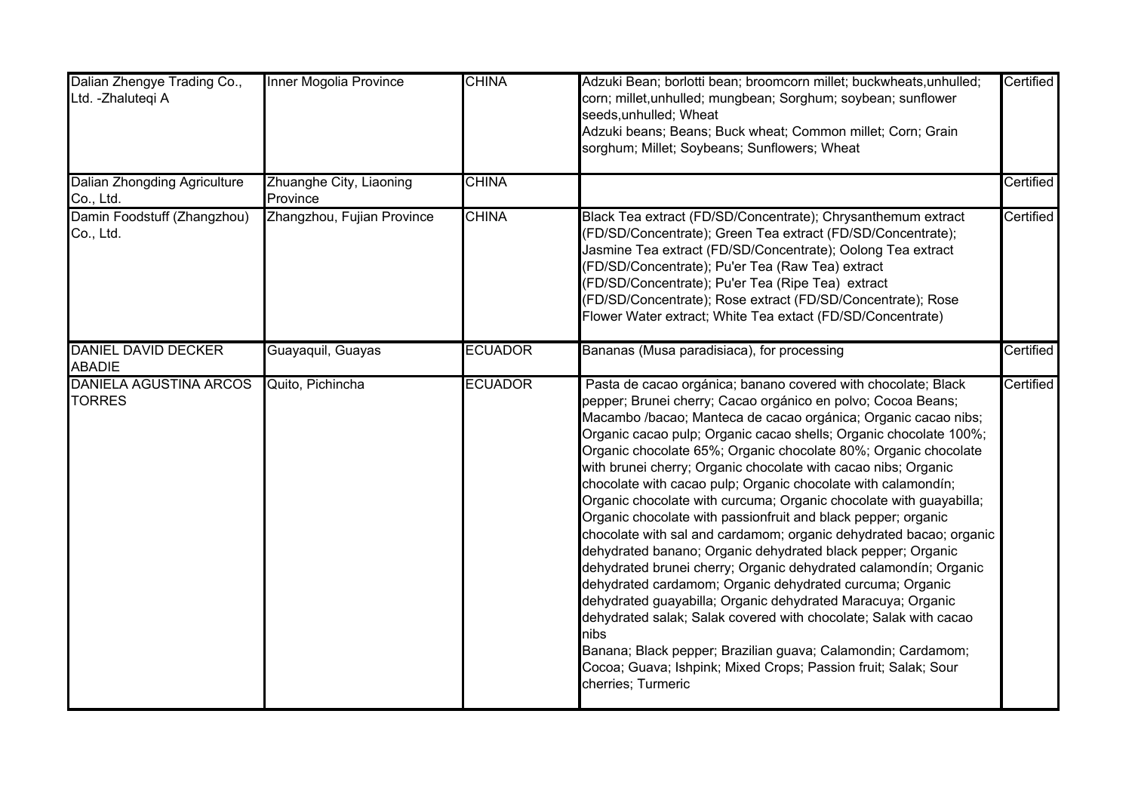| Dalian Zhengye Trading Co.,<br>Ltd. - Zhalutegi A | Inner Mogolia Province              | <b>CHINA</b>   | Adzuki Bean; borlotti bean; broomcorn millet; buckwheats, unhulled;<br>corn; millet, unhulled; mungbean; Sorghum; soybean; sunflower<br>seeds, unhulled; Wheat<br>Adzuki beans; Beans; Buck wheat; Common millet; Corn; Grain<br>sorghum; Millet; Soybeans; Sunflowers; Wheat                                                                                                                                                                                                                                                                                                                                                                                                                                                                                                                                                                                                                                                                                                                                                                                                                                                                                                             | Certified |
|---------------------------------------------------|-------------------------------------|----------------|-------------------------------------------------------------------------------------------------------------------------------------------------------------------------------------------------------------------------------------------------------------------------------------------------------------------------------------------------------------------------------------------------------------------------------------------------------------------------------------------------------------------------------------------------------------------------------------------------------------------------------------------------------------------------------------------------------------------------------------------------------------------------------------------------------------------------------------------------------------------------------------------------------------------------------------------------------------------------------------------------------------------------------------------------------------------------------------------------------------------------------------------------------------------------------------------|-----------|
| <b>Dalian Zhongding Agriculture</b><br>Co., Ltd.  | Zhuanghe City, Liaoning<br>Province | <b>CHINA</b>   |                                                                                                                                                                                                                                                                                                                                                                                                                                                                                                                                                                                                                                                                                                                                                                                                                                                                                                                                                                                                                                                                                                                                                                                           | Certified |
| Damin Foodstuff (Zhangzhou)<br>Co., Ltd.          | Zhangzhou, Fujian Province          | <b>CHINA</b>   | Black Tea extract (FD/SD/Concentrate); Chrysanthemum extract<br>(FD/SD/Concentrate); Green Tea extract (FD/SD/Concentrate);<br>Jasmine Tea extract (FD/SD/Concentrate); Oolong Tea extract<br>(FD/SD/Concentrate); Pu'er Tea (Raw Tea) extract<br>(FD/SD/Concentrate); Pu'er Tea (Ripe Tea) extract<br>(FD/SD/Concentrate);            Rose extract (FD/SD/Concentrate);            Rose<br>Flower Water extract; White Tea extact (FD/SD/Concentrate)                                                                                                                                                                                                                                                                                                                                                                                                                                                                                                                                                                                                                                                                                                                                    | Certified |
| <b>DANIEL DAVID DECKER</b><br><b>ABADIE</b>       | Guayaquil, Guayas                   | <b>ECUADOR</b> | Bananas (Musa paradisiaca), for processing                                                                                                                                                                                                                                                                                                                                                                                                                                                                                                                                                                                                                                                                                                                                                                                                                                                                                                                                                                                                                                                                                                                                                | Certified |
| <b>DANIELA AGUSTINA ARCOS</b><br><b>TORRES</b>    | Quito, Pichincha                    | <b>ECUADOR</b> | Pasta de cacao orgánica; banano covered with chocolate; Black<br>pepper; Brunei cherry; Cacao orgánico en polvo; Cocoa Beans;<br>Macambo /bacao; Manteca de cacao orgánica; Organic cacao nibs;<br>Organic cacao pulp; Organic cacao shells; Organic chocolate 100%;<br>Organic chocolate 65%; Organic chocolate 80%; Organic chocolate<br>with brunei cherry; Organic chocolate with cacao nibs; Organic<br>chocolate with cacao pulp; Organic chocolate with calamondín;<br>Organic chocolate with curcuma; Organic chocolate with guayabilla;<br>Organic chocolate with passionfruit and black pepper; organic<br>chocolate with sal and cardamom; organic dehydrated bacao; organic<br>dehydrated banano; Organic dehydrated black pepper; Organic<br>dehydrated brunei cherry; Organic dehydrated calamondín; Organic<br>dehydrated cardamom; Organic dehydrated curcuma; Organic<br>dehydrated guayabilla; Organic dehydrated Maracuya; Organic<br>dehydrated salak; Salak covered with chocolate; Salak with cacao<br>nibs<br>Banana; Black pepper; Brazilian guava; Calamondin; Cardamom;<br>Cocoa; Guava; Ishpink; Mixed Crops; Passion fruit; Salak; Sour<br>cherries; Turmeric | Certified |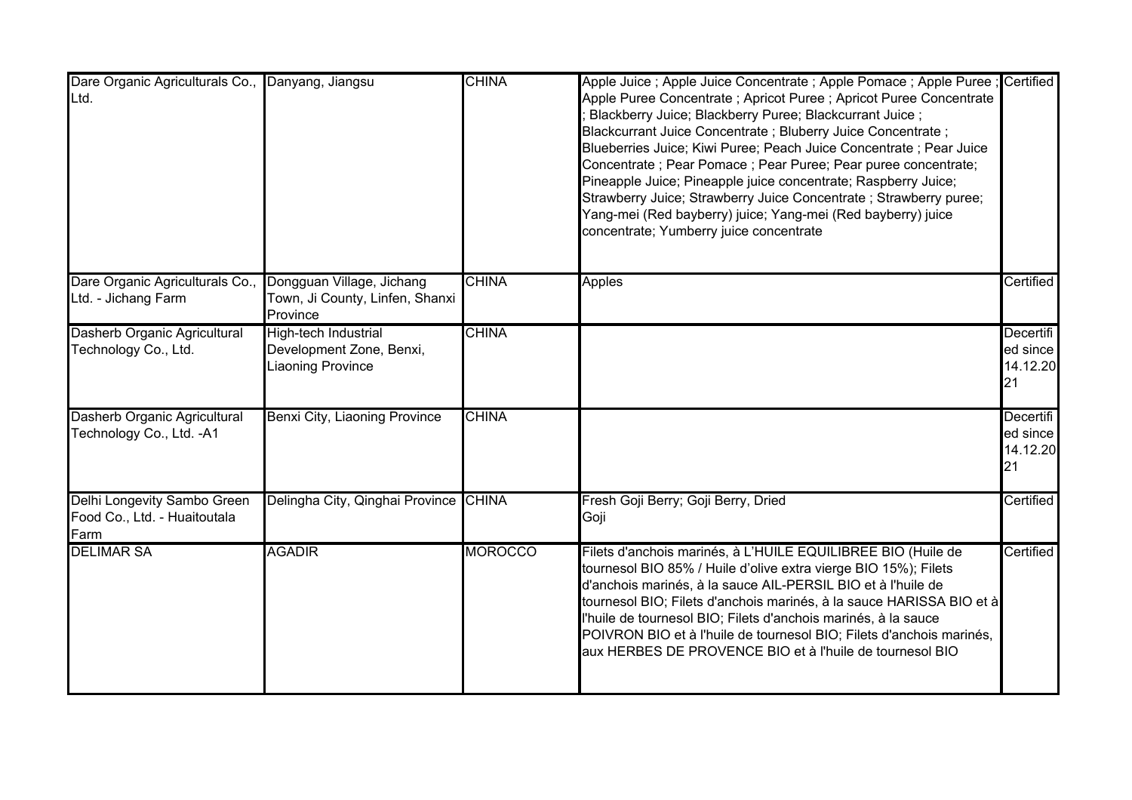| Dare Organic Agriculturals Co.,<br>Ltd.                             | Danyang, Jiangsu                                                             | <b>CHINA</b>   | Apple Juice ; Apple Juice Concentrate ; Apple Pomace ; Apple Puree ; Certified<br>Apple Puree Concentrate; Apricot Puree; Apricot Puree Concentrate<br>Blackberry Juice; Blackberry Puree; Blackcurrant Juice;<br>Blackcurrant Juice Concentrate; Bluberry Juice Concentrate;<br>Blueberries Juice; Kiwi Puree; Peach Juice Concentrate ; Pear Juice<br>Concentrate; Pear Pomace; Pear Puree; Pear puree concentrate;<br>Pineapple Juice; Pineapple juice concentrate; Raspberry Juice;<br>Strawberry Juice; Strawberry Juice Concentrate; Strawberry puree;<br>Yang-mei (Red bayberry) juice; Yang-mei (Red bayberry) juice<br>concentrate; Yumberry juice concentrate |                                         |
|---------------------------------------------------------------------|------------------------------------------------------------------------------|----------------|-------------------------------------------------------------------------------------------------------------------------------------------------------------------------------------------------------------------------------------------------------------------------------------------------------------------------------------------------------------------------------------------------------------------------------------------------------------------------------------------------------------------------------------------------------------------------------------------------------------------------------------------------------------------------|-----------------------------------------|
| Dare Organic Agriculturals Co.,<br>Ltd. - Jichang Farm              | Dongguan Village, Jichang<br>Town, Ji County, Linfen, Shanxi<br>Province     | <b>CHINA</b>   | <b>Apples</b>                                                                                                                                                                                                                                                                                                                                                                                                                                                                                                                                                                                                                                                           | Certified                               |
| Dasherb Organic Agricultural<br>Technology Co., Ltd.                | High-tech Industrial<br>Development Zone, Benxi,<br><b>Liaoning Province</b> | <b>CHINA</b>   |                                                                                                                                                                                                                                                                                                                                                                                                                                                                                                                                                                                                                                                                         | Decertifi<br>ed since<br>14.12.20<br>21 |
| Dasherb Organic Agricultural<br>Technology Co., Ltd. - A1           | Benxi City, Liaoning Province                                                | <b>CHINA</b>   |                                                                                                                                                                                                                                                                                                                                                                                                                                                                                                                                                                                                                                                                         | Decertifi<br>ed since<br>14.12.20<br>21 |
| Delhi Longevity Sambo Green<br>Food Co., Ltd. - Huaitoutala<br>Farm | Delingha City, Qinghai Province CHINA                                        |                | Fresh Goji Berry; Goji Berry, Dried<br>Goji                                                                                                                                                                                                                                                                                                                                                                                                                                                                                                                                                                                                                             | Certified                               |
| <b>DELIMAR SA</b>                                                   | <b>AGADIR</b>                                                                | <b>MOROCCO</b> | Filets d'anchois marinés, à L'HUILE EQUILIBREE BIO (Huile de<br>tournesol BIO 85% / Huile d'olive extra vierge BIO 15%); Filets<br>d'anchois marinés, à la sauce AIL-PERSIL BIO et à l'huile de<br>tournesol BIO; Filets d'anchois marinés, à la sauce HARISSA BIO et à<br>l'huile de tournesol BIO; Filets d'anchois marinés, à la sauce<br>POIVRON BIO et à l'huile de tournesol BIO; Filets d'anchois marinés,<br>aux HERBES DE PROVENCE BIO et à l'huile de tournesol BIO                                                                                                                                                                                           | Certified                               |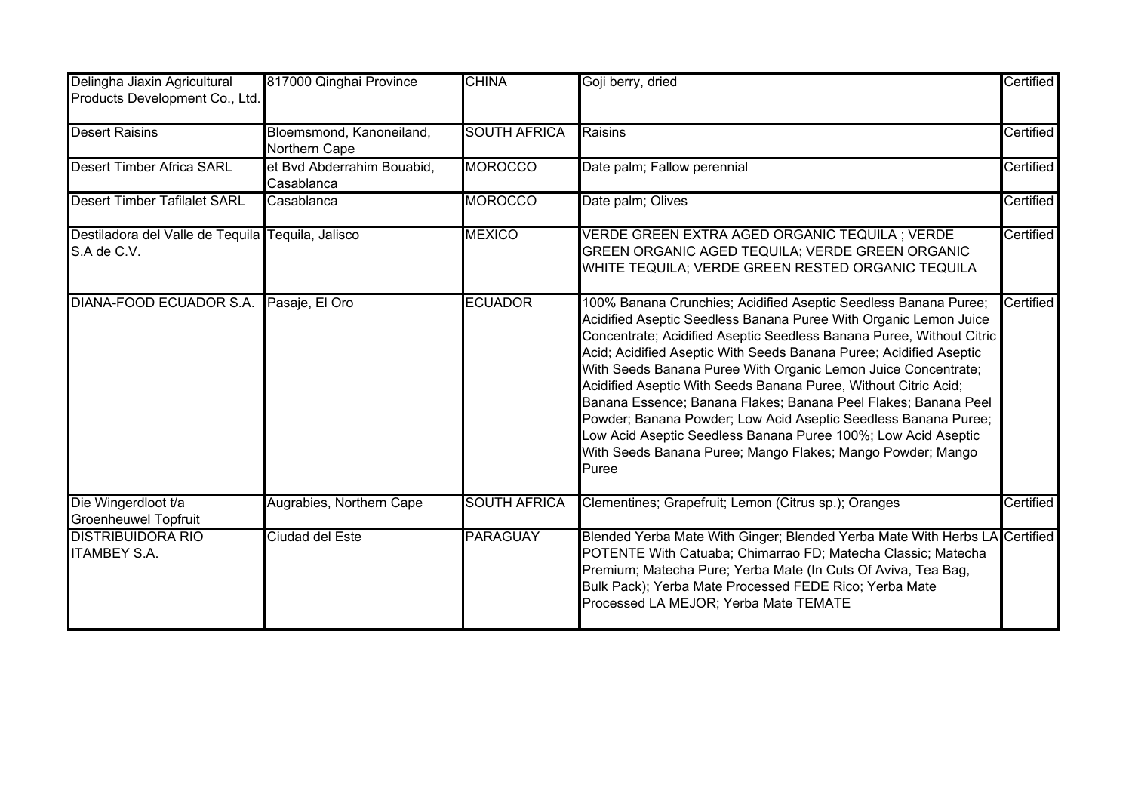| Delingha Jiaxin Agricultural<br>Products Development Co., Ltd.   | 817000 Qinghai Province                   | <b>CHINA</b>        | Goji berry, dried                                                                                                                                                                                                                                                                                                                                                                                                                                                                                                                                                                                                                                                                                 | Certified |
|------------------------------------------------------------------|-------------------------------------------|---------------------|---------------------------------------------------------------------------------------------------------------------------------------------------------------------------------------------------------------------------------------------------------------------------------------------------------------------------------------------------------------------------------------------------------------------------------------------------------------------------------------------------------------------------------------------------------------------------------------------------------------------------------------------------------------------------------------------------|-----------|
| <b>Desert Raisins</b>                                            | Bloemsmond, Kanoneiland,<br>Northern Cape | <b>SOUTH AFRICA</b> | Raisins                                                                                                                                                                                                                                                                                                                                                                                                                                                                                                                                                                                                                                                                                           | Certified |
| <b>Desert Timber Africa SARL</b>                                 | et Bvd Abderrahim Bouabid,<br>Casablanca  | <b>MOROCCO</b>      | Date palm; Fallow perennial                                                                                                                                                                                                                                                                                                                                                                                                                                                                                                                                                                                                                                                                       | Certified |
| <b>Desert Timber Tafilalet SARL</b>                              | Casablanca                                | <b>MOROCCO</b>      | Date palm; Olives                                                                                                                                                                                                                                                                                                                                                                                                                                                                                                                                                                                                                                                                                 | Certified |
| Destiladora del Valle de Tequila Tequila, Jalisco<br>S.A de C.V. |                                           | <b>MEXICO</b>       | VERDE GREEN EXTRA AGED ORGANIC TEQUILA ; VERDE<br>GREEN ORGANIC AGED TEQUILA; VERDE GREEN ORGANIC<br>WHITE TEQUILA; VERDE GREEN RESTED ORGANIC TEQUILA                                                                                                                                                                                                                                                                                                                                                                                                                                                                                                                                            | Certified |
| DIANA-FOOD ECUADOR S.A.                                          | Pasaje, El Oro                            | <b>ECUADOR</b>      | 100% Banana Crunchies; Acidified Aseptic Seedless Banana Puree;<br>Acidified Aseptic Seedless Banana Puree With Organic Lemon Juice<br>Concentrate; Acidified Aseptic Seedless Banana Puree, Without Citric<br>Acid; Acidified Aseptic With Seeds Banana Puree; Acidified Aseptic<br>With Seeds Banana Puree With Organic Lemon Juice Concentrate;<br>Acidified Aseptic With Seeds Banana Puree, Without Citric Acid;<br>Banana Essence; Banana Flakes; Banana Peel Flakes; Banana Peel<br>Powder; Banana Powder; Low Acid Aseptic Seedless Banana Puree;<br>Low Acid Aseptic Seedless Banana Puree 100%; Low Acid Aseptic<br>With Seeds Banana Puree; Mango Flakes; Mango Powder; Mango<br>Puree | Certified |
| Die Wingerdloot t/a<br><b>Groenheuwel Topfruit</b>               | Augrabies, Northern Cape                  | <b>SOUTH AFRICA</b> | Clementines; Grapefruit; Lemon (Citrus sp.); Oranges                                                                                                                                                                                                                                                                                                                                                                                                                                                                                                                                                                                                                                              | Certified |
| <b>DISTRIBUIDORA RIO</b><br><b>ITAMBEY S.A.</b>                  | Ciudad del Este                           | <b>PARAGUAY</b>     | Blended Yerba Mate With Ginger; Blended Yerba Mate With Herbs LA Certified<br>POTENTE With Catuaba; Chimarrao FD; Matecha Classic; Matecha<br>Premium; Matecha Pure; Yerba Mate (In Cuts Of Aviva, Tea Bag,<br>Bulk Pack); Yerba Mate Processed FEDE Rico; Yerba Mate<br>Processed LA MEJOR; Yerba Mate TEMATE                                                                                                                                                                                                                                                                                                                                                                                    |           |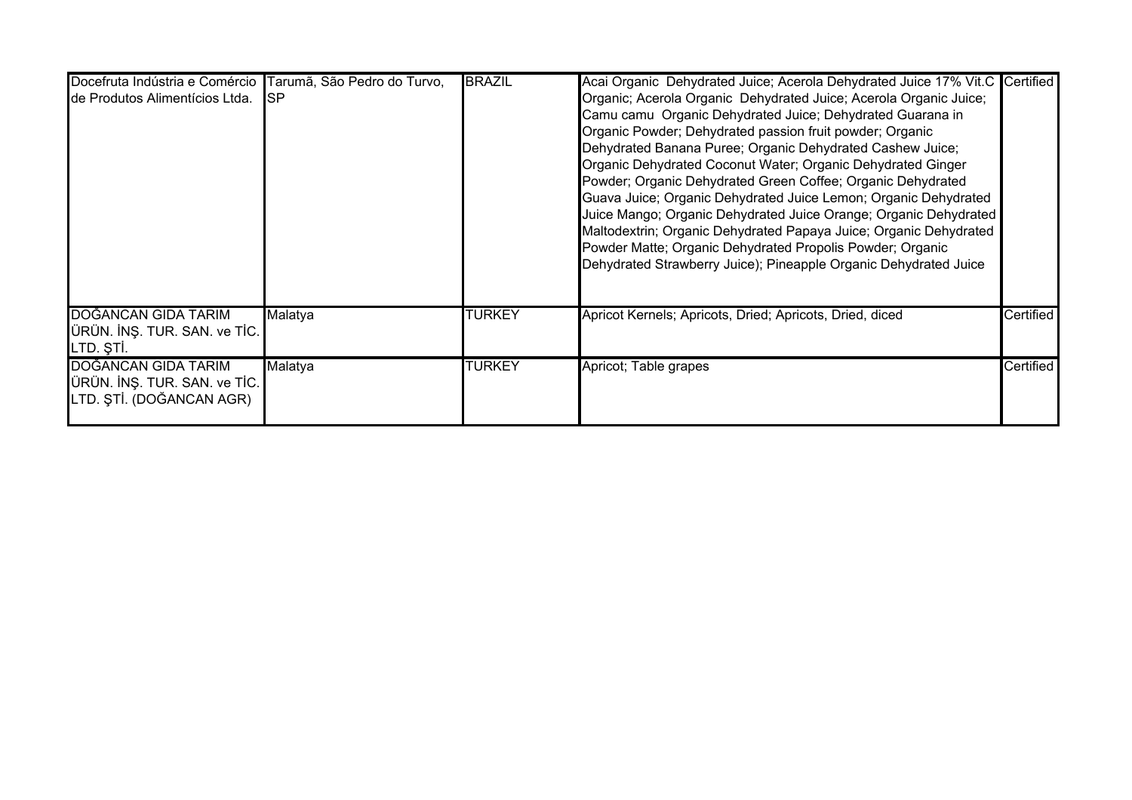| Docefruta Indústria e Comércio Tarumã, São Pedro do Turvo,                      |             | <b>BRAZIL</b> | Acai Organic Dehydrated Juice; Acerola Dehydrated Juice 17% Vit.C Certified                                                                                                                                                                                                                                                                                                                                                                                                                                                                                                                                                                                                                                                        |           |
|---------------------------------------------------------------------------------|-------------|---------------|------------------------------------------------------------------------------------------------------------------------------------------------------------------------------------------------------------------------------------------------------------------------------------------------------------------------------------------------------------------------------------------------------------------------------------------------------------------------------------------------------------------------------------------------------------------------------------------------------------------------------------------------------------------------------------------------------------------------------------|-----------|
| de Produtos Alimentícios Ltda.                                                  | <b>I</b> SP |               | Organic; Acerola Organic Dehydrated Juice; Acerola Organic Juice;<br>Camu camu Organic Dehydrated Juice; Dehydrated Guarana in<br>Organic Powder; Dehydrated passion fruit powder; Organic<br>Dehydrated Banana Puree; Organic Dehydrated Cashew Juice;<br>Organic Dehydrated Coconut Water; Organic Dehydrated Ginger<br>Powder; Organic Dehydrated Green Coffee; Organic Dehydrated<br>Guava Juice; Organic Dehydrated Juice Lemon; Organic Dehydrated<br>Juice Mango; Organic Dehydrated Juice Orange; Organic Dehydrated<br>Maltodextrin; Organic Dehydrated Papaya Juice; Organic Dehydrated<br>Powder Matte; Organic Dehydrated Propolis Powder; Organic<br>Dehydrated Strawberry Juice); Pineapple Organic Dehydrated Juice |           |
| <b>DOĞANCAN GIDA TARIM</b><br>ÜRÜN. İNŞ. TUR. SAN. ve TİC.<br>LTD. ȘTI.         | Malatya     | <b>TURKEY</b> | Apricot Kernels; Apricots, Dried; Apricots, Dried, diced                                                                                                                                                                                                                                                                                                                                                                                                                                                                                                                                                                                                                                                                           | Certified |
| DOĞANCAN GIDA TARIM<br>ÜRÜN. İNŞ. TUR. SAN. ve TİC.<br>LTD. ȘTİ. (DOĞANCAN AGR) | Malatya     | <b>TURKEY</b> | Apricot; Table grapes                                                                                                                                                                                                                                                                                                                                                                                                                                                                                                                                                                                                                                                                                                              | Certified |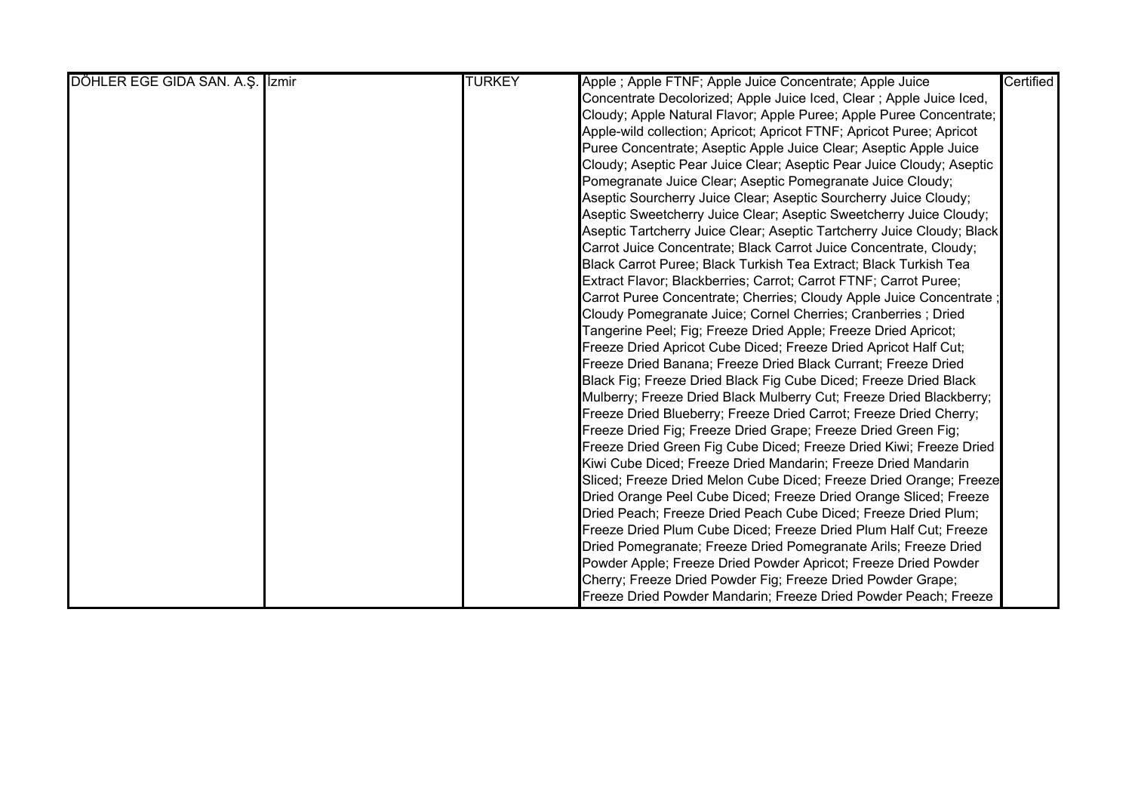| <b>TURKEY</b> | Apple ; Apple FTNF; Apple Juice Concentrate; Apple Juice               | Certified |
|---------------|------------------------------------------------------------------------|-----------|
|               | Concentrate Decolorized; Apple Juice Iced, Clear; Apple Juice Iced,    |           |
|               | Cloudy; Apple Natural Flavor; Apple Puree; Apple Puree Concentrate;    |           |
|               | Apple-wild collection; Apricot; Apricot FTNF; Apricot Puree; Apricot   |           |
|               | Puree Concentrate; Aseptic Apple Juice Clear; Aseptic Apple Juice      |           |
|               | Cloudy; Aseptic Pear Juice Clear; Aseptic Pear Juice Cloudy; Aseptic   |           |
|               | Pomegranate Juice Clear; Aseptic Pomegranate Juice Cloudy;             |           |
|               | Aseptic Sourcherry Juice Clear; Aseptic Sourcherry Juice Cloudy;       |           |
|               | Aseptic Sweetcherry Juice Clear; Aseptic Sweetcherry Juice Cloudy;     |           |
|               | Aseptic Tartcherry Juice Clear; Aseptic Tartcherry Juice Cloudy; Black |           |
|               | Carrot Juice Concentrate; Black Carrot Juice Concentrate, Cloudy;      |           |
|               | Black Carrot Puree; Black Turkish Tea Extract; Black Turkish Tea       |           |
|               | Extract Flavor; Blackberries; Carrot; Carrot FTNF; Carrot Puree;       |           |
|               | Carrot Puree Concentrate; Cherries; Cloudy Apple Juice Concentrate ;   |           |
|               | Cloudy Pomegranate Juice; Cornel Cherries; Cranberries ; Dried         |           |
|               | Tangerine Peel; Fig; Freeze Dried Apple; Freeze Dried Apricot;         |           |
|               | Freeze Dried Apricot Cube Diced; Freeze Dried Apricot Half Cut;        |           |
|               | Freeze Dried Banana; Freeze Dried Black Currant; Freeze Dried          |           |
|               | Black Fig; Freeze Dried Black Fig Cube Diced; Freeze Dried Black       |           |
|               | Mulberry; Freeze Dried Black Mulberry Cut; Freeze Dried Blackberry;    |           |
|               | Freeze Dried Blueberry; Freeze Dried Carrot; Freeze Dried Cherry;      |           |
|               | Freeze Dried Fig; Freeze Dried Grape; Freeze Dried Green Fig;          |           |
|               | Freeze Dried Green Fig Cube Diced; Freeze Dried Kiwi; Freeze Dried     |           |
|               | Kiwi Cube Diced; Freeze Dried Mandarin; Freeze Dried Mandarin          |           |
|               | Sliced; Freeze Dried Melon Cube Diced; Freeze Dried Orange; Freeze     |           |
|               | Dried Orange Peel Cube Diced; Freeze Dried Orange Sliced; Freeze       |           |
|               | Dried Peach; Freeze Dried Peach Cube Diced; Freeze Dried Plum;         |           |
|               | Freeze Dried Plum Cube Diced; Freeze Dried Plum Half Cut; Freeze       |           |
|               | Dried Pomegranate; Freeze Dried Pomegranate Arils; Freeze Dried        |           |
|               | Powder Apple; Freeze Dried Powder Apricot; Freeze Dried Powder         |           |
|               | Cherry; Freeze Dried Powder Fig; Freeze Dried Powder Grape;            |           |
|               | Freeze Dried Powder Mandarin; Freeze Dried Powder Peach; Freeze        |           |
|               |                                                                        |           |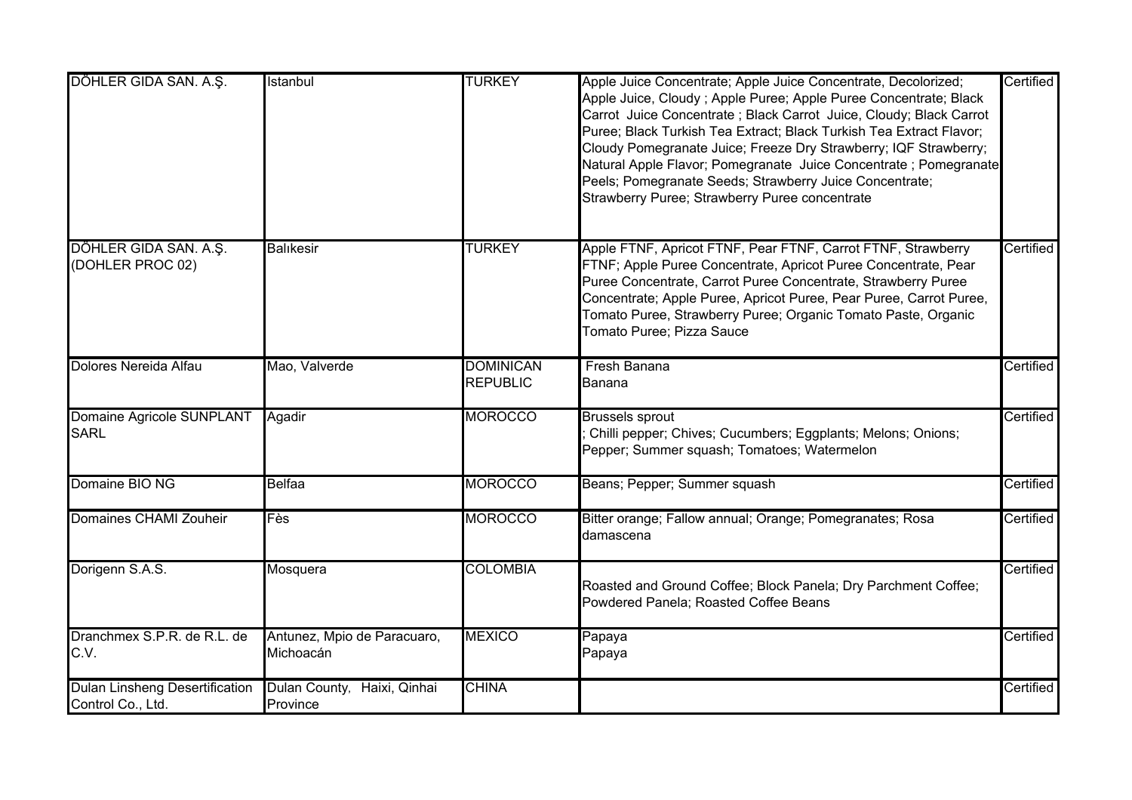| DÖHLER GIDA SAN. A.Ş.                                      | Istanbul                                 | <b>TURKEY</b>                       | Apple Juice Concentrate; Apple Juice Concentrate, Decolorized;<br>Apple Juice, Cloudy; Apple Puree; Apple Puree Concentrate; Black<br>Carrot Juice Concentrate ; Black Carrot Juice, Cloudy; Black Carrot<br>Puree; Black Turkish Tea Extract; Black Turkish Tea Extract Flavor;<br>Cloudy Pomegranate Juice; Freeze Dry Strawberry; IQF Strawberry;<br>Natural Apple Flavor; Pomegranate Juice Concentrate ; Pomegranate<br>Peels; Pomegranate Seeds; Strawberry Juice Concentrate;<br>Strawberry Puree; Strawberry Puree concentrate | Certified |
|------------------------------------------------------------|------------------------------------------|-------------------------------------|----------------------------------------------------------------------------------------------------------------------------------------------------------------------------------------------------------------------------------------------------------------------------------------------------------------------------------------------------------------------------------------------------------------------------------------------------------------------------------------------------------------------------------------|-----------|
| DÖHLER GIDA SAN. A.Ş.<br>(DOHLER PROC 02)                  | <b>Balikesir</b>                         | <b>TURKEY</b>                       | Apple FTNF, Apricot FTNF, Pear FTNF, Carrot FTNF, Strawberry<br>FTNF; Apple Puree Concentrate, Apricot Puree Concentrate, Pear<br>Puree Concentrate, Carrot Puree Concentrate, Strawberry Puree<br>Concentrate; Apple Puree, Apricot Puree, Pear Puree, Carrot Puree,<br>Tomato Puree, Strawberry Puree; Organic Tomato Paste, Organic<br>Tomato Puree; Pizza Sauce                                                                                                                                                                    | Certified |
| Dolores Nereida Alfau                                      | Mao, Valverde                            | <b>DOMINICAN</b><br><b>REPUBLIC</b> | Fresh Banana<br>Banana                                                                                                                                                                                                                                                                                                                                                                                                                                                                                                                 | Certified |
| <b>Domaine Agricole SUNPLANT</b><br><b>SARL</b>            | Agadir                                   | <b>MOROCCO</b>                      | <b>Brussels sprout</b><br>Chilli pepper; Chives; Cucumbers; Eggplants; Melons; Onions;<br>Pepper; Summer squash; Tomatoes; Watermelon                                                                                                                                                                                                                                                                                                                                                                                                  | Certified |
| Domaine BIO NG                                             | Belfaa                                   | <b>MOROCCO</b>                      | Beans; Pepper; Summer squash                                                                                                                                                                                                                                                                                                                                                                                                                                                                                                           | Certified |
| Domaines CHAMI Zouheir                                     | Fès                                      | <b>MOROCCO</b>                      | Bitter orange; Fallow annual; Orange; Pomegranates; Rosa<br>damascena                                                                                                                                                                                                                                                                                                                                                                                                                                                                  | Certified |
| Dorigenn S.A.S.                                            | Mosquera                                 | <b>COLOMBIA</b>                     | Roasted and Ground Coffee; Block Panela; Dry Parchment Coffee;<br>Powdered Panela; Roasted Coffee Beans                                                                                                                                                                                                                                                                                                                                                                                                                                | Certified |
| Dranchmex S.P.R. de R.L. de<br>C.V.                        | Antunez, Mpio de Paracuaro,<br>Michoacán | <b>MEXICO</b>                       | Papaya<br>Papaya                                                                                                                                                                                                                                                                                                                                                                                                                                                                                                                       | Certified |
| <b>Dulan Linsheng Desertification</b><br>Control Co., Ltd. | Dulan County, Haixi, Qinhai<br>Province  | <b>CHINA</b>                        |                                                                                                                                                                                                                                                                                                                                                                                                                                                                                                                                        | Certified |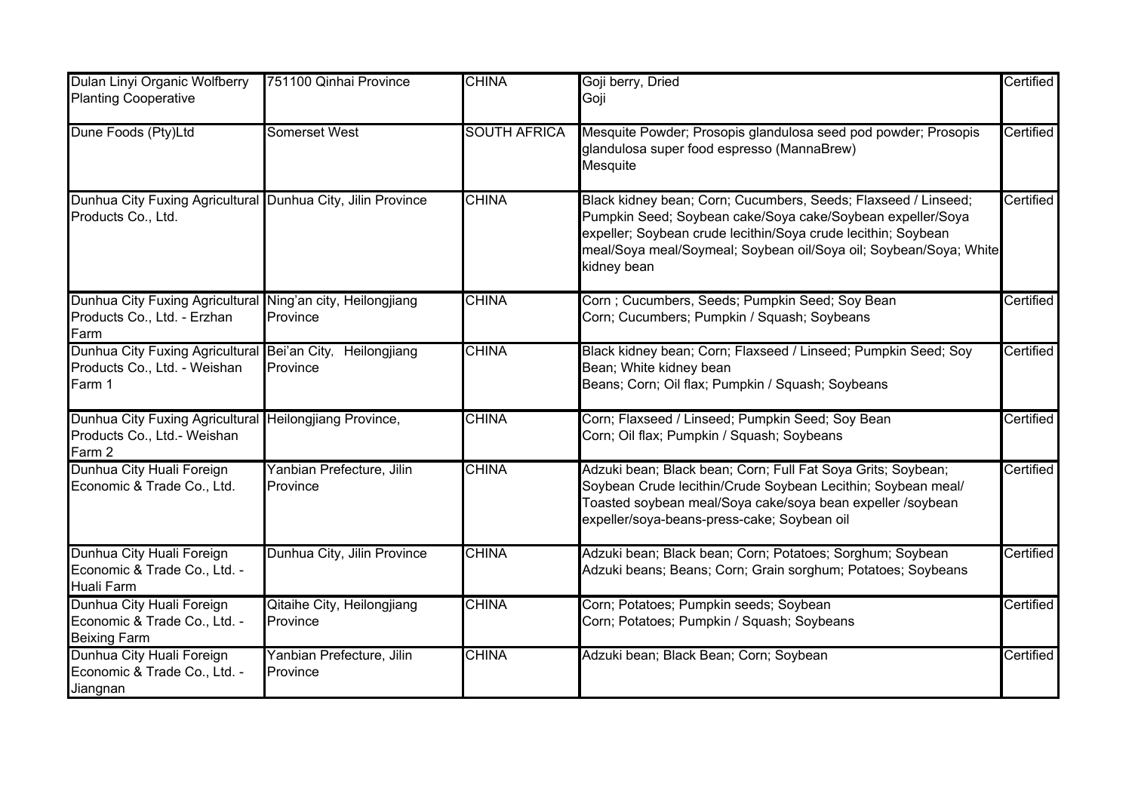| Dulan Linyi Organic Wolfberry<br><b>Planting Cooperative</b>                                    | 751100 Qinhai Province                 | <b>CHINA</b>        | Goji berry, Dried<br>Goji                                                                                                                                                                                                                                                         | Certified |
|-------------------------------------------------------------------------------------------------|----------------------------------------|---------------------|-----------------------------------------------------------------------------------------------------------------------------------------------------------------------------------------------------------------------------------------------------------------------------------|-----------|
| Dune Foods (Pty)Ltd                                                                             | <b>Somerset West</b>                   | <b>SOUTH AFRICA</b> | Mesquite Powder; Prosopis glandulosa seed pod powder; Prosopis<br>glandulosa super food espresso (MannaBrew)<br>Mesquite                                                                                                                                                          | Certified |
| Dunhua City Fuxing Agricultural Dunhua City, Jilin Province<br>Products Co., Ltd.               |                                        | <b>CHINA</b>        | Black kidney bean; Corn; Cucumbers, Seeds; Flaxseed / Linseed;<br>Pumpkin Seed; Soybean cake/Soya cake/Soybean expeller/Soya<br>expeller; Soybean crude lecithin/Soya crude lecithin; Soybean<br>meal/Soya meal/Soymeal; Soybean oil/Soya oil; Soybean/Soya; White<br>kidney bean | Certified |
| Dunhua City Fuxing Agricultural<br>Products Co., Ltd. - Erzhan<br>Farm                          | Ning'an city, Heilongjiang<br>Province | <b>CHINA</b>        | Corn ; Cucumbers, Seeds; Pumpkin Seed; Soy Bean<br>Corn; Cucumbers; Pumpkin / Squash; Soybeans                                                                                                                                                                                    | Certified |
| Dunhua City Fuxing Agricultural Bei'an City,<br>Products Co., Ltd. - Weishan<br>Farm 1          | Heilongjiang<br>Province               | <b>CHINA</b>        | Black kidney bean; Corn; Flaxseed / Linseed; Pumpkin Seed; Soy<br>Bean; White kidney bean<br>Beans; Corn; Oil flax; Pumpkin / Squash; Soybeans                                                                                                                                    | Certified |
| Dunhua City Fuxing Agricultural Heilongjiang Province,<br>Products Co., Ltd.- Weishan<br>Farm 2 |                                        | <b>CHINA</b>        | Corn; Flaxseed / Linseed; Pumpkin Seed; Soy Bean<br>Corn; Oil flax; Pumpkin / Squash; Soybeans                                                                                                                                                                                    | Certified |
| Dunhua City Huali Foreign<br>Economic & Trade Co., Ltd.                                         | Yanbian Prefecture, Jilin<br>Province  | <b>CHINA</b>        | Adzuki bean; Black bean; Corn; Full Fat Soya Grits; Soybean;<br>Soybean Crude lecithin/Crude Soybean Lecithin; Soybean meal/<br>Toasted soybean meal/Soya cake/soya bean expeller /soybean<br>expeller/soya-beans-press-cake; Soybean oil                                         | Certified |
| Dunhua City Huali Foreign<br>Economic & Trade Co., Ltd. -<br><b>Huali Farm</b>                  | Dunhua City, Jilin Province            | <b>CHINA</b>        | Adzuki bean; Black bean; Corn; Potatoes; Sorghum; Soybean<br>Adzuki beans; Beans; Corn; Grain sorghum; Potatoes; Soybeans                                                                                                                                                         | Certified |
| Dunhua City Huali Foreign<br>Economic & Trade Co., Ltd. -<br><b>Beixing Farm</b>                | Qitaihe City, Heilongjiang<br>Province | <b>CHINA</b>        | Corn; Potatoes; Pumpkin seeds; Soybean<br>Corn; Potatoes; Pumpkin / Squash; Soybeans                                                                                                                                                                                              | Certified |
| Dunhua City Huali Foreign<br>Economic & Trade Co., Ltd. -<br>Jiangnan                           | Yanbian Prefecture, Jilin<br>Province  | <b>CHINA</b>        | Adzuki bean; Black Bean; Corn; Soybean                                                                                                                                                                                                                                            | Certified |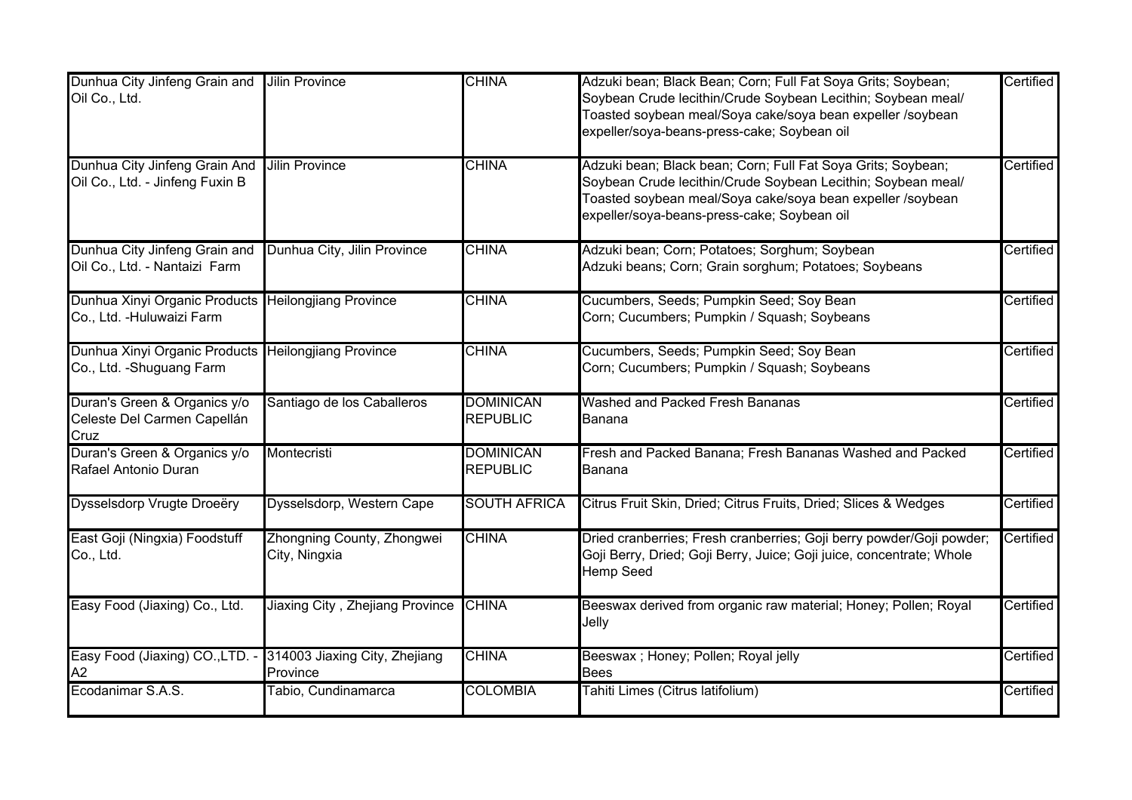| Dunhua City Jinfeng Grain and<br>Oil Co., Ltd.                                    | <b>Jilin Province</b>                       | <b>CHINA</b>                        | Adzuki bean; Black Bean; Corn; Full Fat Soya Grits; Soybean;<br>Soybean Crude lecithin/Crude Soybean Lecithin; Soybean meal/<br>Toasted soybean meal/Soya cake/soya bean expeller /soybean<br>expeller/soya-beans-press-cake; Soybean oil | <b>Certified</b> |
|-----------------------------------------------------------------------------------|---------------------------------------------|-------------------------------------|-------------------------------------------------------------------------------------------------------------------------------------------------------------------------------------------------------------------------------------------|------------------|
| Dunhua City Jinfeng Grain And<br>Oil Co., Ltd. - Jinfeng Fuxin B                  | <b>Jilin Province</b>                       | <b>CHINA</b>                        | Adzuki bean; Black bean; Corn; Full Fat Soya Grits; Soybean;<br>Soybean Crude lecithin/Crude Soybean Lecithin; Soybean meal/<br>Toasted soybean meal/Soya cake/soya bean expeller /soybean<br>expeller/soya-beans-press-cake; Soybean oil | Certified        |
| Dunhua City Jinfeng Grain and<br>Oil Co., Ltd. - Nantaizi Farm                    | Dunhua City, Jilin Province                 | <b>CHINA</b>                        | Adzuki bean; Corn; Potatoes; Sorghum; Soybean<br>Adzuki beans; Corn; Grain sorghum; Potatoes; Soybeans                                                                                                                                    | Certified        |
| Dunhua Xinyi Organic Products Heilongjiang Province<br>Co., Ltd. - Huluwaizi Farm |                                             | <b>CHINA</b>                        | Cucumbers, Seeds; Pumpkin Seed; Soy Bean<br>Corn; Cucumbers; Pumpkin / Squash; Soybeans                                                                                                                                                   | Certified        |
| Dunhua Xinyi Organic Products Heilongjiang Province<br>Co., Ltd. - Shuguang Farm  |                                             | <b>CHINA</b>                        | Cucumbers, Seeds; Pumpkin Seed; Soy Bean<br>Corn; Cucumbers; Pumpkin / Squash; Soybeans                                                                                                                                                   | Certified        |
| Duran's Green & Organics y/o<br>Celeste Del Carmen Capellán<br>Cruz               | Santiago de los Caballeros                  | <b>DOMINICAN</b><br><b>REPUBLIC</b> | Washed and Packed Fresh Bananas<br>Banana                                                                                                                                                                                                 | Certified        |
| Duran's Green & Organics y/o<br>Rafael Antonio Duran                              | Montecristi                                 | <b>DOMINICAN</b><br><b>REPUBLIC</b> | Fresh and Packed Banana; Fresh Bananas Washed and Packed<br>Banana                                                                                                                                                                        | Certified        |
| Dysselsdorp Vrugte Droeëry                                                        | Dysselsdorp, Western Cape                   | <b>SOUTH AFRICA</b>                 | Citrus Fruit Skin, Dried; Citrus Fruits, Dried; Slices & Wedges                                                                                                                                                                           | Certified        |
| East Goji (Ningxia) Foodstuff<br>Co., Ltd.                                        | Zhongning County, Zhongwei<br>City, Ningxia | <b>CHINA</b>                        | Dried cranberries; Fresh cranberries; Goji berry powder/Goji powder;<br>Goji Berry, Dried; Goji Berry, Juice; Goji juice, concentrate; Whole<br>Hemp Seed                                                                                 | <b>Certified</b> |
| Easy Food (Jiaxing) Co., Ltd.                                                     | Jiaxing City, Zhejiang Province             | <b>CHINA</b>                        | Beeswax derived from organic raw material; Honey; Pollen; Royal<br>Jelly                                                                                                                                                                  | Certified        |
| Easy Food (Jiaxing) CO., LTD. - 314003 Jiaxing City, Zhejiang<br>A2               | Province                                    | <b>CHINA</b>                        | Beeswax ; Honey; Pollen; Royal jelly<br><b>Bees</b>                                                                                                                                                                                       | Certified        |
| Ecodanimar S.A.S.                                                                 | Tabio, Cundinamarca                         | <b>COLOMBIA</b>                     | Tahiti Limes (Citrus latifolium)                                                                                                                                                                                                          | Certified        |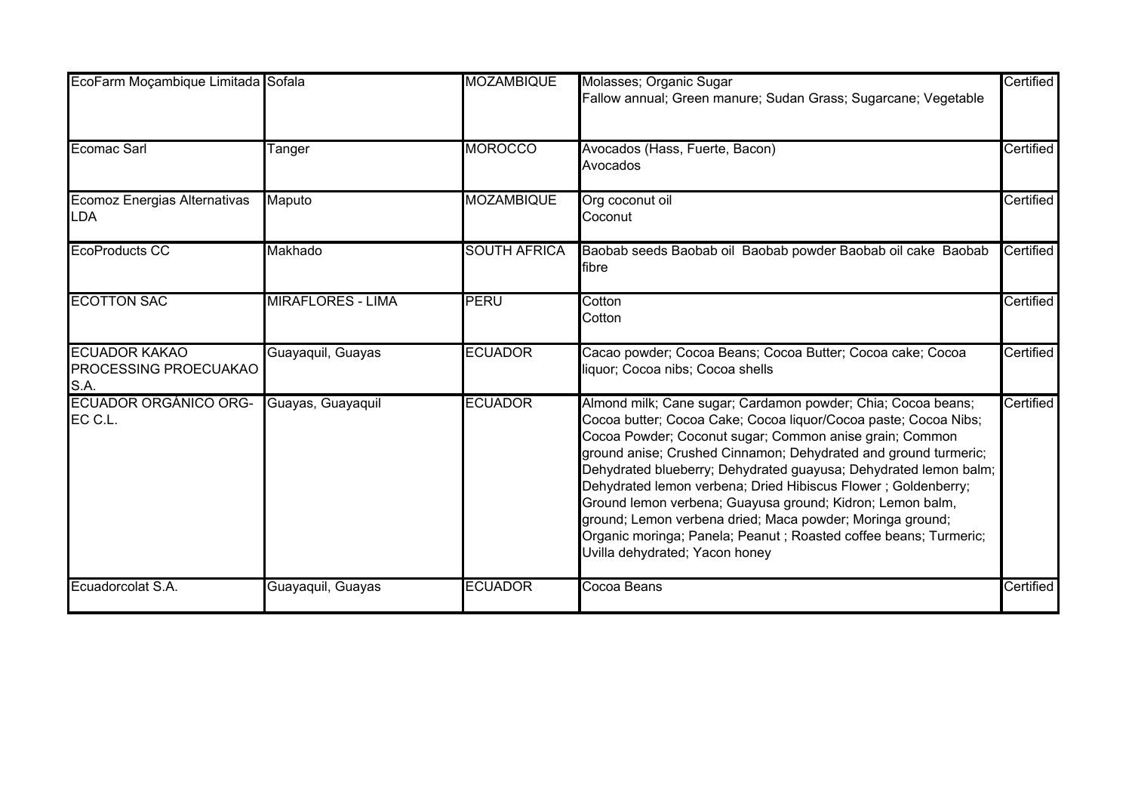| EcoFarm Moçambique Limitada Sofala                    |                          | <b>MOZAMBIQUE</b>   | Molasses; Organic Sugar<br>Fallow annual; Green manure; Sudan Grass; Sugarcane; Vegetable                                                                                                                                                                                                                                                                                                                                                                                                                                                                                                                                          | Certified |
|-------------------------------------------------------|--------------------------|---------------------|------------------------------------------------------------------------------------------------------------------------------------------------------------------------------------------------------------------------------------------------------------------------------------------------------------------------------------------------------------------------------------------------------------------------------------------------------------------------------------------------------------------------------------------------------------------------------------------------------------------------------------|-----------|
| <b>Ecomac Sarl</b>                                    | Tanger                   | <b>MOROCCO</b>      | Avocados (Hass, Fuerte, Bacon)<br>Avocados                                                                                                                                                                                                                                                                                                                                                                                                                                                                                                                                                                                         | Certified |
| Ecomoz Energias Alternativas<br><b>LDA</b>            | Maputo                   | <b>MOZAMBIQUE</b>   | Org coconut oil<br>Coconut                                                                                                                                                                                                                                                                                                                                                                                                                                                                                                                                                                                                         | Certified |
| <b>EcoProducts CC</b>                                 | Makhado                  | <b>SOUTH AFRICA</b> | Baobab seeds Baobab oil Baobab powder Baobab oil cake Baobab<br>fibre                                                                                                                                                                                                                                                                                                                                                                                                                                                                                                                                                              | Certified |
| <b>ECOTTON SAC</b>                                    | <b>MIRAFLORES - LIMA</b> | PERU                | Cotton<br>Cotton                                                                                                                                                                                                                                                                                                                                                                                                                                                                                                                                                                                                                   | Certified |
| <b>ECUADOR KAKAO</b><br>PROCESSING PROECUAKAO<br>S.A. | Guayaquil, Guayas        | <b>ECUADOR</b>      | Cacao powder; Cocoa Beans; Cocoa Butter; Cocoa cake; Cocoa<br>liquor; Cocoa nibs; Cocoa shells                                                                                                                                                                                                                                                                                                                                                                                                                                                                                                                                     | Certified |
| <b>ECUADOR ORGÁNICO ORG-</b><br>EC C.L.               | Guayas, Guayaquil        | <b>ECUADOR</b>      | Almond milk; Cane sugar; Cardamon powder; Chia; Cocoa beans;<br>Cocoa butter; Cocoa Cake; Cocoa liquor/Cocoa paste; Cocoa Nibs;<br>Cocoa Powder; Coconut sugar; Common anise grain; Common<br>ground anise; Crushed Cinnamon; Dehydrated and ground turmeric;<br>Dehydrated blueberry; Dehydrated guayusa; Dehydrated lemon balm;<br>Dehydrated lemon verbena; Dried Hibiscus Flower; Goldenberry;<br>Ground lemon verbena; Guayusa ground; Kidron; Lemon balm,<br>ground; Lemon verbena dried; Maca powder; Moringa ground;<br>Organic moringa; Panela; Peanut; Roasted coffee beans; Turmeric;<br>Uvilla dehydrated; Yacon honey | Certified |
| Ecuadorcolat S.A.                                     | Guayaquil, Guayas        | <b>ECUADOR</b>      | Cocoa Beans                                                                                                                                                                                                                                                                                                                                                                                                                                                                                                                                                                                                                        | Certified |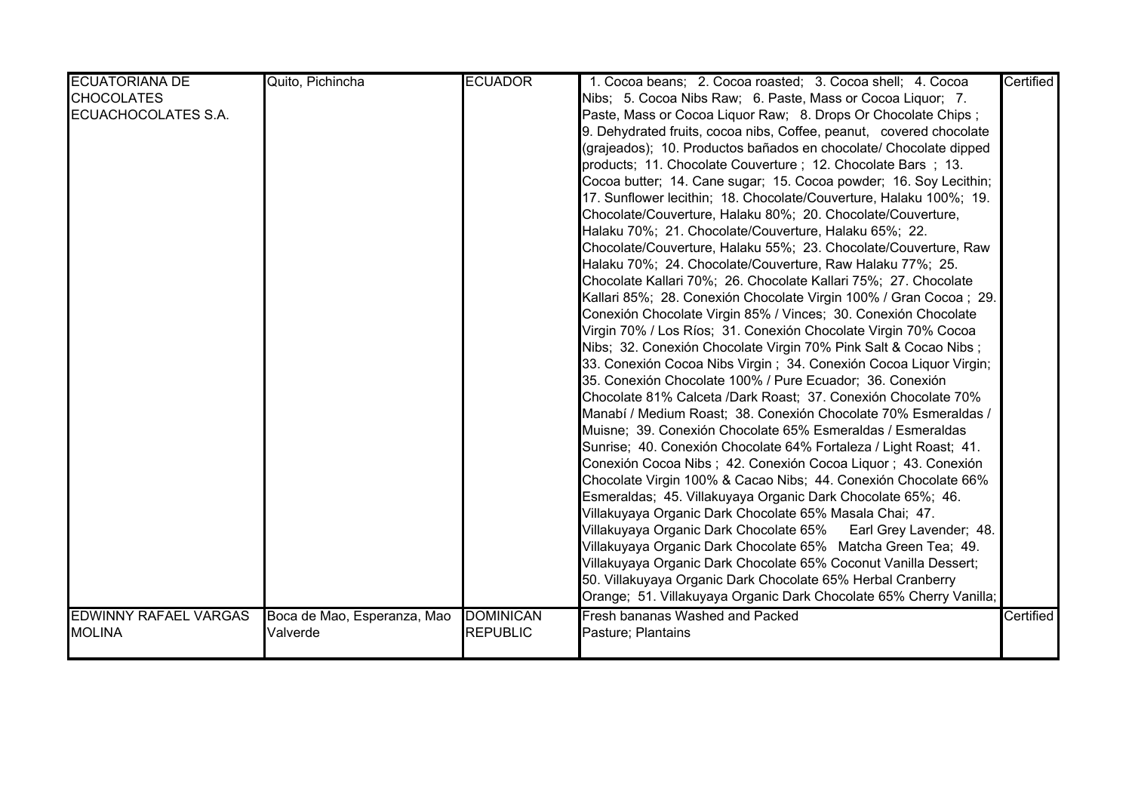| <b>ECUATORIANA DE</b>        | Quito, Pichincha            | <b>ECUADOR</b>   | 1. Cocoa beans; 2. Cocoa roasted; 3. Cocoa shell; 4. Cocoa          | Certified |
|------------------------------|-----------------------------|------------------|---------------------------------------------------------------------|-----------|
| <b>CHOCOLATES</b>            |                             |                  | Nibs; 5. Cocoa Nibs Raw; 6. Paste, Mass or Cocoa Liquor; 7.         |           |
| ECUACHOCOLATES S.A.          |                             |                  | Paste, Mass or Cocoa Liquor Raw; 8. Drops Or Chocolate Chips;       |           |
|                              |                             |                  | 9. Dehydrated fruits, cocoa nibs, Coffee, peanut, covered chocolate |           |
|                              |                             |                  | (grajeados); 10. Productos bañados en chocolate/ Chocolate dipped   |           |
|                              |                             |                  | products; 11. Chocolate Couverture; 12. Chocolate Bars; 13.         |           |
|                              |                             |                  | Cocoa butter; 14. Cane sugar; 15. Cocoa powder; 16. Soy Lecithin;   |           |
|                              |                             |                  | 17. Sunflower lecithin; 18. Chocolate/Couverture, Halaku 100%; 19.  |           |
|                              |                             |                  | Chocolate/Couverture, Halaku 80%; 20. Chocolate/Couverture,         |           |
|                              |                             |                  | Halaku 70%; 21. Chocolate/Couverture, Halaku 65%; 22.               |           |
|                              |                             |                  | Chocolate/Couverture, Halaku 55%; 23. Chocolate/Couverture, Raw     |           |
|                              |                             |                  | Halaku 70%; 24. Chocolate/Couverture, Raw Halaku 77%; 25.           |           |
|                              |                             |                  | Chocolate Kallari 70%; 26. Chocolate Kallari 75%; 27. Chocolate     |           |
|                              |                             |                  | Kallari 85%; 28. Conexión Chocolate Virgin 100% / Gran Cocoa ; 29.  |           |
|                              |                             |                  | Conexión Chocolate Virgin 85% / Vinces; 30. Conexión Chocolate      |           |
|                              |                             |                  | Virgin 70% / Los Ríos; 31. Conexión Chocolate Virgin 70% Cocoa      |           |
|                              |                             |                  | Nibs; 32. Conexión Chocolate Virgin 70% Pink Salt & Cocao Nibs;     |           |
|                              |                             |                  | 33. Conexión Cocoa Nibs Virgin; 34. Conexión Cocoa Liquor Virgin;   |           |
|                              |                             |                  | 35. Conexión Chocolate 100% / Pure Ecuador; 36. Conexión            |           |
|                              |                             |                  | Chocolate 81% Calceta /Dark Roast; 37. Conexión Chocolate 70%       |           |
|                              |                             |                  | Manabí / Medium Roast; 38. Conexión Chocolate 70% Esmeraldas /      |           |
|                              |                             |                  | Muisne; 39. Conexión Chocolate 65% Esmeraldas / Esmeraldas          |           |
|                              |                             |                  | Sunrise; 40. Conexión Chocolate 64% Fortaleza / Light Roast; 41.    |           |
|                              |                             |                  | Conexión Cocoa Nibs; 42. Conexión Cocoa Liquor; 43. Conexión        |           |
|                              |                             |                  | Chocolate Virgin 100% & Cacao Nibs; 44. Conexión Chocolate 66%      |           |
|                              |                             |                  | Esmeraldas; 45. Villakuyaya Organic Dark Chocolate 65%; 46.         |           |
|                              |                             |                  | Villakuyaya Organic Dark Chocolate 65% Masala Chai; 47.             |           |
|                              |                             |                  | Villakuyaya Organic Dark Chocolate 65%<br>Earl Grey Lavender; 48.   |           |
|                              |                             |                  | Villakuyaya Organic Dark Chocolate 65% Matcha Green Tea; 49.        |           |
|                              |                             |                  | Villakuyaya Organic Dark Chocolate 65% Coconut Vanilla Dessert;     |           |
|                              |                             |                  | 50. Villakuyaya Organic Dark Chocolate 65% Herbal Cranberry         |           |
|                              |                             |                  | Orange; 51. Villakuyaya Organic Dark Chocolate 65% Cherry Vanilla;  |           |
| <b>EDWINNY RAFAEL VARGAS</b> | Boca de Mao, Esperanza, Mao | <b>DOMINICAN</b> | Fresh bananas Washed and Packed                                     | Certified |
| <b>MOLINA</b>                | Valverde                    | <b>REPUBLIC</b>  | Pasture; Plantains                                                  |           |
|                              |                             |                  |                                                                     |           |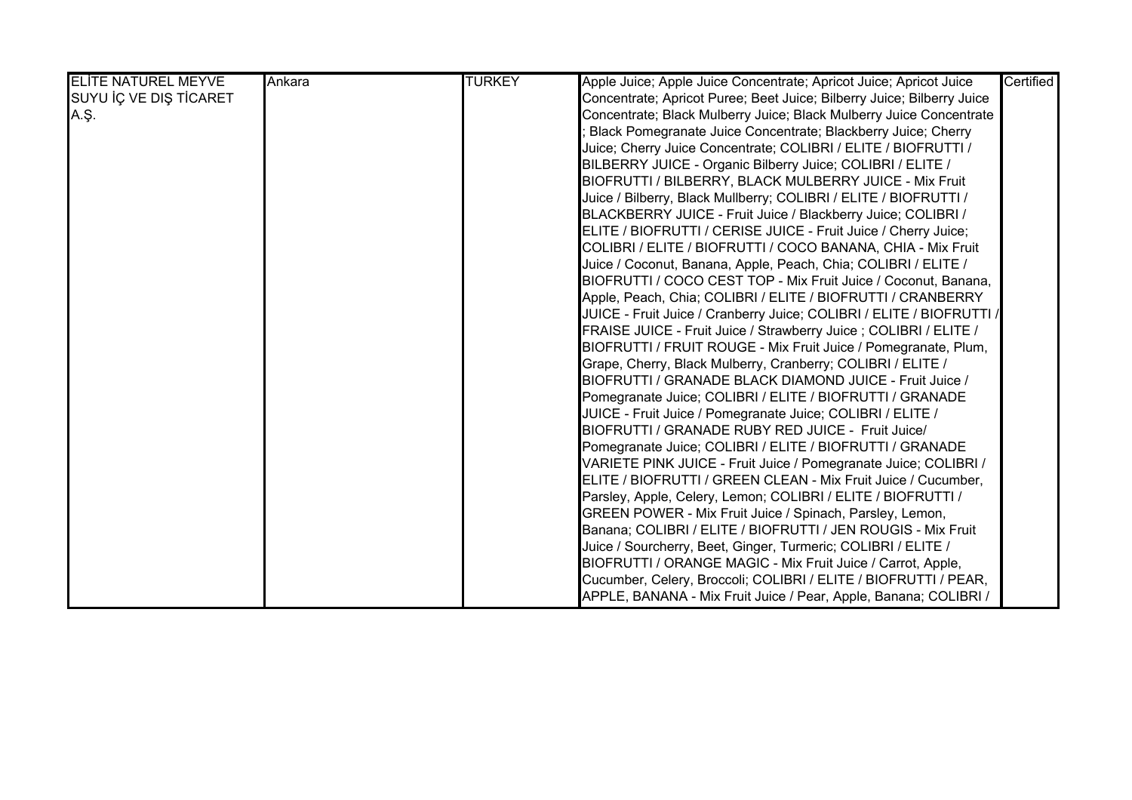| <b>ELITE NATUREL MEYVE</b> | Ankara | <b>TURKEY</b> | Apple Juice; Apple Juice Concentrate; Apricot Juice; Apricot Juice     | Certified |
|----------------------------|--------|---------------|------------------------------------------------------------------------|-----------|
| SUYU İÇ VE DIŞ TİCARET     |        |               | Concentrate; Apricot Puree; Beet Juice; Bilberry Juice; Bilberry Juice |           |
| A.Ş.                       |        |               | Concentrate; Black Mulberry Juice; Black Mulberry Juice Concentrate    |           |
|                            |        |               | Black Pomegranate Juice Concentrate; Blackberry Juice; Cherry          |           |
|                            |        |               | Juice; Cherry Juice Concentrate; COLIBRI / ELITE / BIOFRUTTI /         |           |
|                            |        |               | BILBERRY JUICE - Organic Bilberry Juice; COLIBRI / ELITE /             |           |
|                            |        |               | BIOFRUTTI / BILBERRY, BLACK MULBERRY JUICE - Mix Fruit                 |           |
|                            |        |               | Juice / Bilberry, Black Mullberry; COLIBRI / ELITE / BIOFRUTTI /       |           |
|                            |        |               | BLACKBERRY JUICE - Fruit Juice / Blackberry Juice; COLIBRI /           |           |
|                            |        |               | ELITE / BIOFRUTTI / CERISE JUICE - Fruit Juice / Cherry Juice;         |           |
|                            |        |               | COLIBRI / ELITE / BIOFRUTTI / COCO BANANA, CHIA - Mix Fruit            |           |
|                            |        |               | Juice / Coconut, Banana, Apple, Peach, Chia; COLIBRI / ELITE /         |           |
|                            |        |               | BIOFRUTTI / COCO CEST TOP - Mix Fruit Juice / Coconut, Banana,         |           |
|                            |        |               | Apple, Peach, Chia; COLIBRI / ELITE / BIOFRUTTI / CRANBERRY            |           |
|                            |        |               | JUICE - Fruit Juice / Cranberry Juice; COLIBRI / ELITE / BIOFRUTTI /   |           |
|                            |        |               | FRAISE JUICE - Fruit Juice / Strawberry Juice ; COLIBRI / ELITE /      |           |
|                            |        |               | BIOFRUTTI / FRUIT ROUGE - Mix Fruit Juice / Pomegranate, Plum,         |           |
|                            |        |               | Grape, Cherry, Black Mulberry, Cranberry; COLIBRI / ELITE /            |           |
|                            |        |               | BIOFRUTTI / GRANADE BLACK DIAMOND JUICE - Fruit Juice /                |           |
|                            |        |               | Pomegranate Juice; COLIBRI / ELITE / BIOFRUTTI / GRANADE               |           |
|                            |        |               | JUICE - Fruit Juice / Pomegranate Juice; COLIBRI / ELITE /             |           |
|                            |        |               | BIOFRUTTI / GRANADE RUBY RED JUICE - Fruit Juice/                      |           |
|                            |        |               | Pomegranate Juice; COLIBRI / ELITE / BIOFRUTTI / GRANADE               |           |
|                            |        |               | VARIETE PINK JUICE - Fruit Juice / Pomegranate Juice; COLIBRI /        |           |
|                            |        |               | ELITE / BIOFRUTTI / GREEN CLEAN - Mix Fruit Juice / Cucumber,          |           |
|                            |        |               | Parsley, Apple, Celery, Lemon; COLIBRI / ELITE / BIOFRUTTI /           |           |
|                            |        |               | GREEN POWER - Mix Fruit Juice / Spinach, Parsley, Lemon,               |           |
|                            |        |               | Banana; COLIBRI / ELITE / BIOFRUTTI / JEN ROUGIS - Mix Fruit           |           |
|                            |        |               | Juice / Sourcherry, Beet, Ginger, Turmeric; COLIBRI / ELITE /          |           |
|                            |        |               | BIOFRUTTI / ORANGE MAGIC - Mix Fruit Juice / Carrot, Apple,            |           |
|                            |        |               | Cucumber, Celery, Broccoli; COLIBRI / ELITE / BIOFRUTTI / PEAR,        |           |
|                            |        |               | APPLE, BANANA - Mix Fruit Juice / Pear, Apple, Banana; COLIBRI /       |           |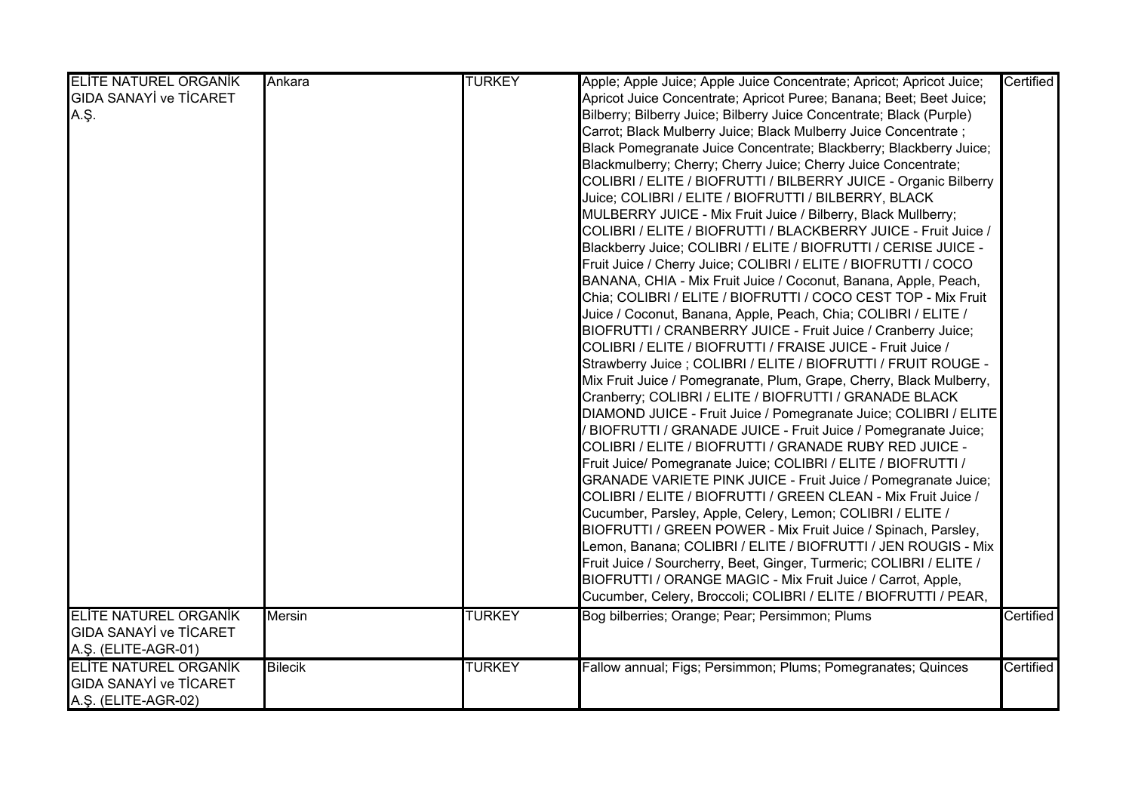| <b>ELITE NATUREL ORGANIK</b>  | Ankara         | <b>TURKEY</b> | Apple; Apple Juice; Apple Juice Concentrate; Apricot; Apricot Juice; | Certified |
|-------------------------------|----------------|---------------|----------------------------------------------------------------------|-----------|
| <b>GIDA SANAYİ ve TİCARET</b> |                |               | Apricot Juice Concentrate; Apricot Puree; Banana; Beet; Beet Juice;  |           |
| A.Ş.                          |                |               | Bilberry; Bilberry Juice; Bilberry Juice Concentrate; Black (Purple) |           |
|                               |                |               | Carrot; Black Mulberry Juice; Black Mulberry Juice Concentrate;      |           |
|                               |                |               | Black Pomegranate Juice Concentrate; Blackberry; Blackberry Juice;   |           |
|                               |                |               | Blackmulberry; Cherry; Cherry Juice; Cherry Juice Concentrate;       |           |
|                               |                |               | COLIBRI / ELITE / BIOFRUTTI / BILBERRY JUICE - Organic Bilberry      |           |
|                               |                |               | Juice; COLIBRI / ELITE / BIOFRUTTI / BILBERRY, BLACK                 |           |
|                               |                |               | MULBERRY JUICE - Mix Fruit Juice / Bilberry, Black Mullberry;        |           |
|                               |                |               | COLIBRI / ELITE / BIOFRUTTI / BLACKBERRY JUICE - Fruit Juice /       |           |
|                               |                |               | Blackberry Juice; COLIBRI / ELITE / BIOFRUTTI / CERISE JUICE -       |           |
|                               |                |               | Fruit Juice / Cherry Juice; COLIBRI / ELITE / BIOFRUTTI / COCO       |           |
|                               |                |               | BANANA, CHIA - Mix Fruit Juice / Coconut, Banana, Apple, Peach,      |           |
|                               |                |               | Chia; COLIBRI / ELITE / BIOFRUTTI / COCO CEST TOP - Mix Fruit        |           |
|                               |                |               | Juice / Coconut, Banana, Apple, Peach, Chia; COLIBRI / ELITE /       |           |
|                               |                |               | BIOFRUTTI / CRANBERRY JUICE - Fruit Juice / Cranberry Juice;         |           |
|                               |                |               | COLIBRI / ELITE / BIOFRUTTI / FRAISE JUICE - Fruit Juice /           |           |
|                               |                |               | Strawberry Juice ; COLIBRI / ELITE / BIOFRUTTI / FRUIT ROUGE -       |           |
|                               |                |               | Mix Fruit Juice / Pomegranate, Plum, Grape, Cherry, Black Mulberry,  |           |
|                               |                |               | Cranberry; COLIBRI / ELITE / BIOFRUTTI / GRANADE BLACK               |           |
|                               |                |               | DIAMOND JUICE - Fruit Juice / Pomegranate Juice; COLIBRI / ELITE     |           |
|                               |                |               | BIOFRUTTI / GRANADE JUICE - Fruit Juice / Pomegranate Juice;         |           |
|                               |                |               | COLIBRI / ELITE / BIOFRUTTI / GRANADE RUBY RED JUICE -               |           |
|                               |                |               | Fruit Juice/ Pomegranate Juice; COLIBRI / ELITE / BIOFRUTTI /        |           |
|                               |                |               | GRANADE VARIETE PINK JUICE - Fruit Juice / Pomegranate Juice;        |           |
|                               |                |               | COLIBRI / ELITE / BIOFRUTTI / GREEN CLEAN - Mix Fruit Juice /        |           |
|                               |                |               | Cucumber, Parsley, Apple, Celery, Lemon; COLIBRI / ELITE /           |           |
|                               |                |               | BIOFRUTTI / GREEN POWER - Mix Fruit Juice / Spinach, Parsley,        |           |
|                               |                |               | Lemon, Banana; COLIBRI / ELITE / BIOFRUTTI / JEN ROUGIS - Mix        |           |
|                               |                |               | Fruit Juice / Sourcherry, Beet, Ginger, Turmeric; COLIBRI / ELITE /  |           |
|                               |                |               | BIOFRUTTI / ORANGE MAGIC - Mix Fruit Juice / Carrot, Apple,          |           |
|                               |                |               | Cucumber, Celery, Broccoli; COLIBRI / ELITE / BIOFRUTTI / PEAR,      |           |
| <b>ELITE NATUREL ORGANIK</b>  | <b>Mersin</b>  | <b>TURKEY</b> | Bog bilberries; Orange; Pear; Persimmon; Plums                       | Certified |
| <b>GIDA SANAYİ ve TİCARET</b> |                |               |                                                                      |           |
| A.Ş. (ELITE-AGR-01)           |                |               |                                                                      |           |
| <b>ELITE NATUREL ORGANIK</b>  | <b>Bilecik</b> | <b>TURKEY</b> | Fallow annual; Figs; Persimmon; Plums; Pomegranates; Quinces         | Certified |
| <b>GIDA SANAYİ ve TİCARET</b> |                |               |                                                                      |           |
| A.Ş. (ELITE-AGR-02)           |                |               |                                                                      |           |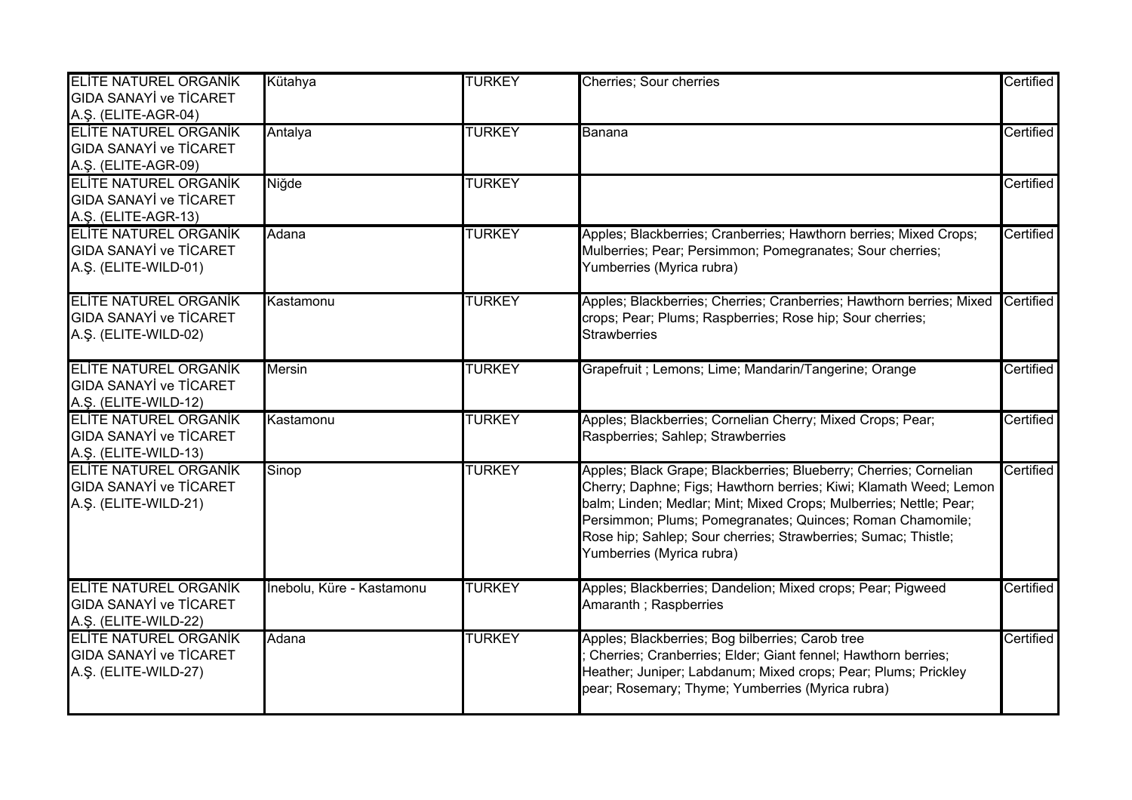| <b>ELITE NATUREL ORGANIK</b><br><b>GIDA SANAYİ ve TİCARET</b><br>A.Ş. (ELITE-AGR-04)  | Kütahya                   | <b>TURKEY</b> | Cherries; Sour cherries                                                                                                                                                                                                                                                                                                                                                  | Certified |
|---------------------------------------------------------------------------------------|---------------------------|---------------|--------------------------------------------------------------------------------------------------------------------------------------------------------------------------------------------------------------------------------------------------------------------------------------------------------------------------------------------------------------------------|-----------|
| <b>ELITE NATUREL ORGANIK</b><br><b>GIDA SANAYİ ve TİCARET</b><br>A.Ş. (ELITE-AGR-09)  | Antalya                   | <b>TURKEY</b> | Banana                                                                                                                                                                                                                                                                                                                                                                   | Certified |
| <b>ELITE NATUREL ORGANIK</b><br><b>GIDA SANAYİ ve TİCARET</b><br>A.Ş. (ELITE-AGR-13)  | Niğde                     | <b>TURKEY</b> |                                                                                                                                                                                                                                                                                                                                                                          | Certified |
| <b>ELITE NATUREL ORGANIK</b><br><b>GIDA SANAYİ ve TİCARET</b><br>A.Ş. (ELITE-WILD-01) | Adana                     | <b>TURKEY</b> | Apples; Blackberries; Cranberries; Hawthorn berries; Mixed Crops;<br>Mulberries; Pear; Persimmon; Pomegranates; Sour cherries;<br>Yumberries (Myrica rubra)                                                                                                                                                                                                              | Certified |
| <b>ELITE NATUREL ORGANIK</b><br><b>GIDA SANAYİ ve TİCARET</b><br>A.Ş. (ELITE-WILD-02) | Kastamonu                 | <b>TURKEY</b> | Apples; Blackberries; Cherries; Cranberries; Hawthorn berries; Mixed<br>crops; Pear; Plums; Raspberries; Rose hip; Sour cherries;<br><b>Strawberries</b>                                                                                                                                                                                                                 | Certified |
| <b>ELITE NATUREL ORGANIK</b><br><b>GIDA SANAYİ ve TİCARET</b><br>A.Ş. (ELITE-WILD-12) | <b>Mersin</b>             | <b>TURKEY</b> | Grapefruit ; Lemons; Lime; Mandarin/Tangerine; Orange                                                                                                                                                                                                                                                                                                                    | Certified |
| <b>ELITE NATUREL ORGANIK</b><br><b>GIDA SANAYI ve TICARET</b><br>A.Ş. (ELITE-WILD-13) | Kastamonu                 | <b>TURKEY</b> | Apples; Blackberries; Cornelian Cherry; Mixed Crops; Pear;<br>Raspberries; Sahlep; Strawberries                                                                                                                                                                                                                                                                          | Certified |
| <b>ELITE NATUREL ORGANIK</b><br><b>GIDA SANAYİ ve TİCARET</b><br>A.Ş. (ELITE-WILD-21) | Sinop                     | <b>TURKEY</b> | Apples; Black Grape; Blackberries; Blueberry; Cherries; Cornelian<br>Cherry; Daphne; Figs; Hawthorn berries; Kiwi; Klamath Weed; Lemon<br>balm; Linden; Medlar; Mint; Mixed Crops; Mulberries; Nettle; Pear;<br>Persimmon; Plums; Pomegranates; Quinces; Roman Chamomile;<br>Rose hip; Sahlep; Sour cherries; Strawberries; Sumac; Thistle;<br>Yumberries (Myrica rubra) | Certified |
| <b>ELITE NATUREL ORGANIK</b><br><b>GIDA SANAYİ ve TİCARET</b><br>A.Ş. (ELITE-WILD-22) | İnebolu, Küre - Kastamonu | <b>TURKEY</b> | Apples; Blackberries; Dandelion; Mixed crops; Pear; Pigweed<br>Amaranth; Raspberries                                                                                                                                                                                                                                                                                     | Certified |
| <b>ELITE NATUREL ORGANIK</b><br><b>GIDA SANAYI ve TICARET</b><br>A.Ş. (ELITE-WILD-27) | Adana                     | <b>TURKEY</b> | Apples; Blackberries; Bog bilberries; Carob tree<br>Cherries; Cranberries; Elder; Giant fennel; Hawthorn berries;<br>Heather; Juniper; Labdanum; Mixed crops; Pear; Plums; Prickley<br>pear; Rosemary; Thyme; Yumberries (Myrica rubra)                                                                                                                                  | Certified |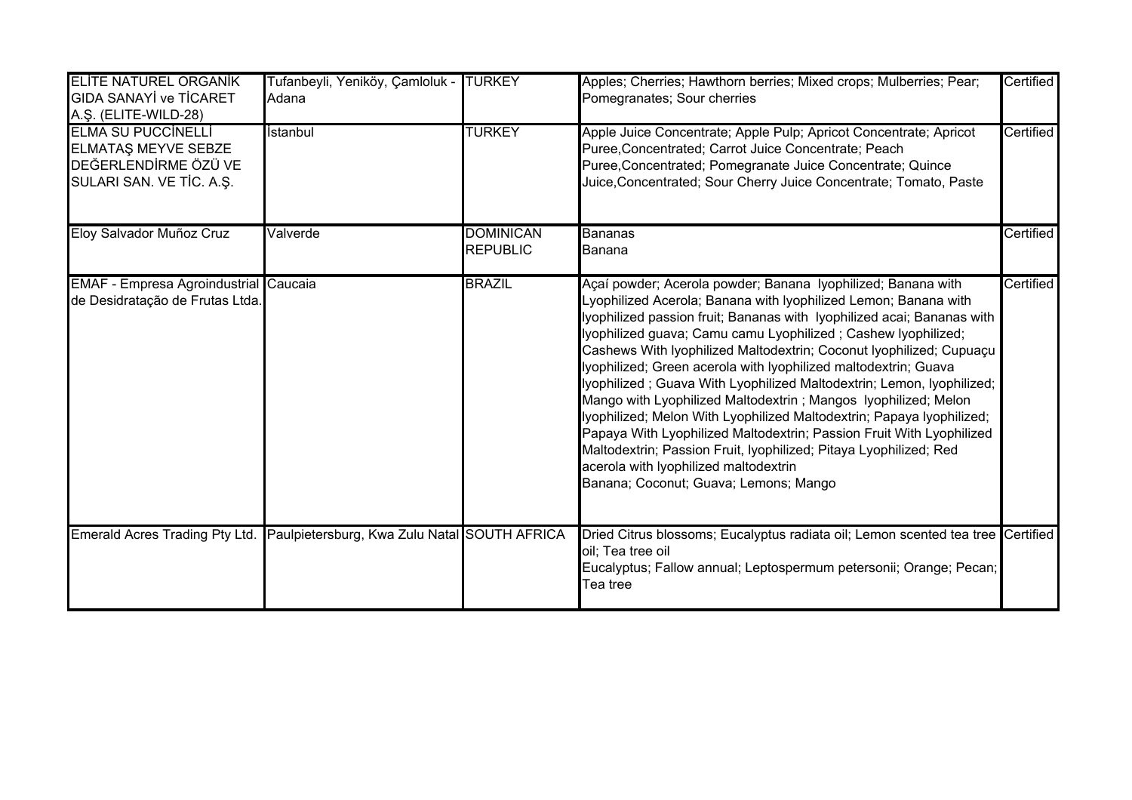| <b>ELITE NATUREL ORGANIK</b><br><b>GIDA SANAYİ ve TİCARET</b><br>A.Ş. (ELITE-WILD-28)                       | Tufanbeyli, Yeniköy, Çamloluk -<br>Adana     | <b>TURKEY</b>                       | Apples; Cherries; Hawthorn berries; Mixed crops; Mulberries; Pear;<br>Pomegranates; Sour cherries                                                                                                                                                                                                                                                                                                                                                                                                                                                                                                                                                                                                                                                                                                                                                                       | Certified |
|-------------------------------------------------------------------------------------------------------------|----------------------------------------------|-------------------------------------|-------------------------------------------------------------------------------------------------------------------------------------------------------------------------------------------------------------------------------------------------------------------------------------------------------------------------------------------------------------------------------------------------------------------------------------------------------------------------------------------------------------------------------------------------------------------------------------------------------------------------------------------------------------------------------------------------------------------------------------------------------------------------------------------------------------------------------------------------------------------------|-----------|
| <b>ELMA SU PUCCINELLI</b><br><b>ELMATAS MEYVE SEBZE</b><br>DEĞERLENDİRME ÖZÜ VE<br>SULARI SAN. VE TIC. A.Ş. | İstanbul                                     | <b>TURKEY</b>                       | Apple Juice Concentrate; Apple Pulp; Apricot Concentrate; Apricot<br>Puree, Concentrated; Carrot Juice Concentrate; Peach<br>Puree, Concentrated; Pomegranate Juice Concentrate; Quince<br>Juice, Concentrated; Sour Cherry Juice Concentrate; Tomato, Paste                                                                                                                                                                                                                                                                                                                                                                                                                                                                                                                                                                                                            | Certified |
| Eloy Salvador Muñoz Cruz                                                                                    | Valverde                                     | <b>DOMINICAN</b><br><b>REPUBLIC</b> | <b>Bananas</b><br>Banana                                                                                                                                                                                                                                                                                                                                                                                                                                                                                                                                                                                                                                                                                                                                                                                                                                                | Certified |
| <b>EMAF - Empresa Agroindustrial Caucaia</b><br>de Desidratação de Frutas Ltda.                             |                                              | <b>BRAZIL</b>                       | Açaí powder; Acerola powder; Banana lyophilized; Banana with<br>Lyophilized Acerola; Banana with Iyophilized Lemon; Banana with<br>lyophilized passion fruit; Bananas with Iyophilized acai; Bananas with<br>lyophilized guava; Camu camu Lyophilized; Cashew lyophilized;<br>Cashews With Iyophilized Maltodextrin; Coconut Iyophilized; Cupuaçu<br>lyophilized; Green acerola with lyophilized maltodextrin; Guava<br>lyophilized; Guava With Lyophilized Maltodextrin; Lemon, lyophilized;<br>Mango with Lyophilized Maltodextrin; Mangos Iyophilized; Melon<br>lyophilized; Melon With Lyophilized Maltodextrin; Papaya Iyophilized;<br>Papaya With Lyophilized Maltodextrin; Passion Fruit With Lyophilized<br>Maltodextrin; Passion Fruit, lyophilized; Pitaya Lyophilized; Red<br>acerola with lyophilized maltodextrin<br>Banana; Coconut; Guava; Lemons; Mango | Certified |
| Emerald Acres Trading Pty Ltd.                                                                              | Paulpietersburg, Kwa Zulu Natal SOUTH AFRICA |                                     | Dried Citrus blossoms; Eucalyptus radiata oil; Lemon scented tea tree Certified<br>oil; Tea tree oil<br>Eucalyptus; Fallow annual; Leptospermum petersonii; Orange; Pecan;<br>Tea tree                                                                                                                                                                                                                                                                                                                                                                                                                                                                                                                                                                                                                                                                                  |           |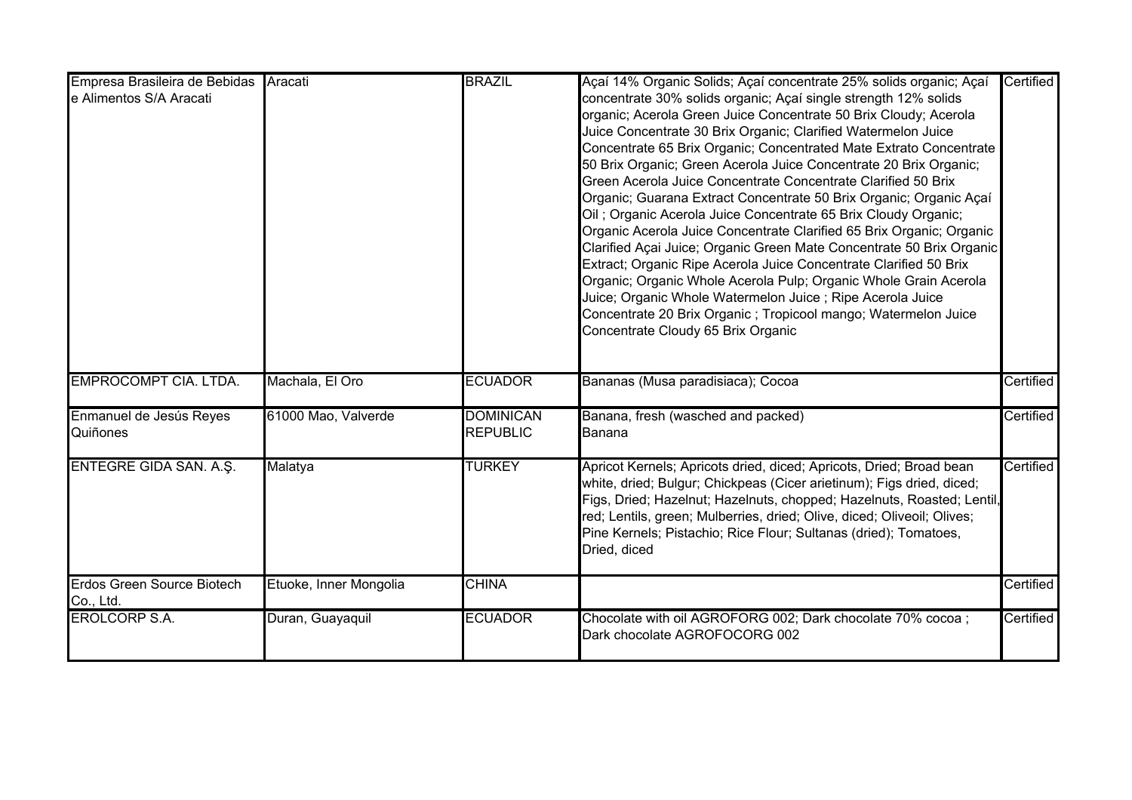| Empresa Brasileira de Bebidas<br>e Alimentos S/A Aracati | Aracati                | <b>BRAZIL</b>                       | Açaí 14% Organic Solids; Açaí concentrate 25% solids organic; Açaí<br>concentrate 30% solids organic; Açaí single strength 12% solids<br>organic; Acerola Green Juice Concentrate 50 Brix Cloudy; Acerola<br>Juice Concentrate 30 Brix Organic; Clarified Watermelon Juice<br>Concentrate 65 Brix Organic; Concentrated Mate Extrato Concentrate<br>50 Brix Organic; Green Acerola Juice Concentrate 20 Brix Organic;<br>Green Acerola Juice Concentrate Concentrate Clarified 50 Brix<br>Organic; Guarana Extract Concentrate 50 Brix Organic; Organic Açaí<br>Oil; Organic Acerola Juice Concentrate 65 Brix Cloudy Organic;<br>Organic Acerola Juice Concentrate Clarified 65 Brix Organic; Organic<br>Clarified Açai Juice; Organic Green Mate Concentrate 50 Brix Organic<br>Extract; Organic Ripe Acerola Juice Concentrate Clarified 50 Brix<br>Organic; Organic Whole Acerola Pulp; Organic Whole Grain Acerola<br>Juice; Organic Whole Watermelon Juice; Ripe Acerola Juice<br>Concentrate 20 Brix Organic; Tropicool mango; Watermelon Juice<br>Concentrate Cloudy 65 Brix Organic | Certified |
|----------------------------------------------------------|------------------------|-------------------------------------|----------------------------------------------------------------------------------------------------------------------------------------------------------------------------------------------------------------------------------------------------------------------------------------------------------------------------------------------------------------------------------------------------------------------------------------------------------------------------------------------------------------------------------------------------------------------------------------------------------------------------------------------------------------------------------------------------------------------------------------------------------------------------------------------------------------------------------------------------------------------------------------------------------------------------------------------------------------------------------------------------------------------------------------------------------------------------------------------|-----------|
| <b>EMPROCOMPT CIA. LTDA.</b>                             | Machala, El Oro        | <b>ECUADOR</b>                      | Bananas (Musa paradisiaca); Cocoa                                                                                                                                                                                                                                                                                                                                                                                                                                                                                                                                                                                                                                                                                                                                                                                                                                                                                                                                                                                                                                                            | Certified |
| Enmanuel de Jesús Reyes<br>Quiñones                      | 61000 Mao, Valverde    | <b>DOMINICAN</b><br><b>REPUBLIC</b> | Banana, fresh (wasched and packed)<br>Banana                                                                                                                                                                                                                                                                                                                                                                                                                                                                                                                                                                                                                                                                                                                                                                                                                                                                                                                                                                                                                                                 | Certified |
| ENTEGRE GIDA SAN. A.Ş.                                   | Malatya                | <b>TURKEY</b>                       | Apricot Kernels; Apricots dried, diced; Apricots, Dried; Broad bean<br>white, dried; Bulgur; Chickpeas (Cicer arietinum); Figs dried, diced;<br>Figs, Dried; Hazelnut; Hazelnuts, chopped; Hazelnuts, Roasted; Lentil,<br>red; Lentils, green; Mulberries, dried; Olive, diced; Oliveoil; Olives;<br>Pine Kernels; Pistachio; Rice Flour; Sultanas (dried); Tomatoes,<br>Dried, diced                                                                                                                                                                                                                                                                                                                                                                                                                                                                                                                                                                                                                                                                                                        | Certified |
| <b>Erdos Green Source Biotech</b><br>Co., Ltd.           | Etuoke, Inner Mongolia | <b>CHINA</b>                        |                                                                                                                                                                                                                                                                                                                                                                                                                                                                                                                                                                                                                                                                                                                                                                                                                                                                                                                                                                                                                                                                                              | Certified |
| <b>EROLCORP S.A.</b>                                     | Duran, Guayaquil       | <b>ECUADOR</b>                      | Chocolate with oil AGROFORG 002; Dark chocolate 70% cocoa ;<br>Dark chocolate AGROFOCORG 002                                                                                                                                                                                                                                                                                                                                                                                                                                                                                                                                                                                                                                                                                                                                                                                                                                                                                                                                                                                                 | Certified |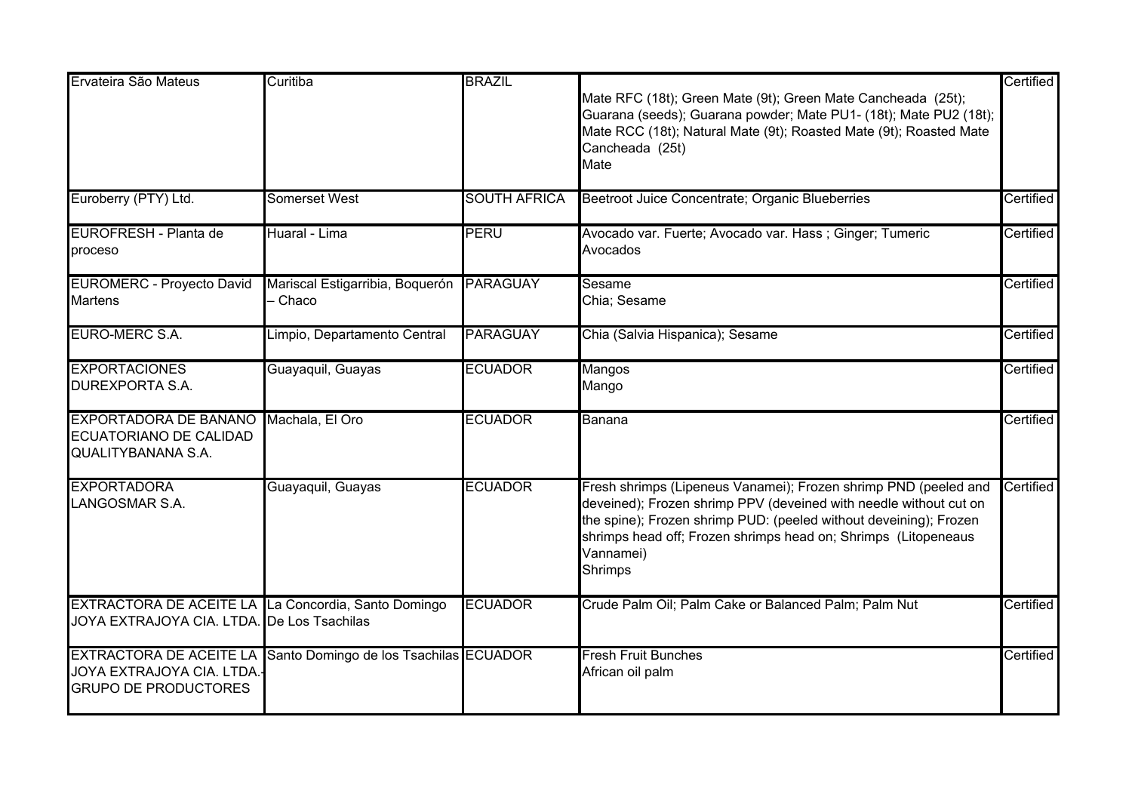| Ervateira São Mateus                                                                              | Curitiba                                                       | <b>BRAZIL</b>       |                                                                                                                                                                                                                                                                                                     | Certified |
|---------------------------------------------------------------------------------------------------|----------------------------------------------------------------|---------------------|-----------------------------------------------------------------------------------------------------------------------------------------------------------------------------------------------------------------------------------------------------------------------------------------------------|-----------|
|                                                                                                   |                                                                |                     | Mate RFC (18t); Green Mate (9t); Green Mate Cancheada (25t);<br>Guarana (seeds); Guarana powder; Mate PU1- (18t); Mate PU2 (18t);<br>Mate RCC (18t); Natural Mate (9t); Roasted Mate (9t); Roasted Mate<br>Cancheada (25t)<br>Mate                                                                  |           |
| Euroberry (PTY) Ltd.                                                                              | Somerset West                                                  | <b>SOUTH AFRICA</b> | Beetroot Juice Concentrate; Organic Blueberries                                                                                                                                                                                                                                                     | Certified |
|                                                                                                   |                                                                |                     |                                                                                                                                                                                                                                                                                                     |           |
| EUROFRESH - Planta de<br>proceso                                                                  | Huaral - Lima                                                  | <b>PERU</b>         | Avocado var. Fuerte; Avocado var. Hass; Ginger; Tumeric<br>Avocados                                                                                                                                                                                                                                 | Certified |
| <b>EUROMERC - Proyecto David</b>                                                                  | Mariscal Estigarribia, Boquerón PARAGUAY                       |                     | Sesame                                                                                                                                                                                                                                                                                              | Certified |
| <b>Martens</b>                                                                                    | - Chaco                                                        |                     | Chia; Sesame                                                                                                                                                                                                                                                                                        |           |
| EURO-MERC S.A.                                                                                    | Limpio, Departamento Central                                   | <b>PARAGUAY</b>     | Chia (Salvia Hispanica); Sesame                                                                                                                                                                                                                                                                     | Certified |
| <b>EXPORTACIONES</b><br>DUREXPORTA S.A.                                                           | Guayaquil, Guayas                                              | <b>ECUADOR</b>      | Mangos<br>Mango                                                                                                                                                                                                                                                                                     | Certified |
| <b>EXPORTADORA DE BANANO</b><br>ECUATORIANO DE CALIDAD<br><b>QUALITYBANANA S.A.</b>               | Machala, El Oro                                                | <b>ECUADOR</b>      | Banana                                                                                                                                                                                                                                                                                              | Certified |
| <b>EXPORTADORA</b><br>LANGOSMAR S.A.                                                              | Guayaquil, Guayas                                              | <b>ECUADOR</b>      | Fresh shrimps (Lipeneus Vanamei); Frozen shrimp PND (peeled and<br>deveined); Frozen shrimp PPV (deveined with needle without cut on<br>the spine); Frozen shrimp PUD: (peeled without deveining); Frozen<br>shrimps head off; Frozen shrimps head on; Shrimps (Litopeneaus<br>Vannamei)<br>Shrimps | Certified |
| EXTRACTORA DE ACEITE LA La Concordia, Santo Domingo<br>JOYA EXTRAJOYA CIA. LTDA. De Los Tsachilas |                                                                | <b>ECUADOR</b>      | Crude Palm Oil; Palm Cake or Balanced Palm; Palm Nut                                                                                                                                                                                                                                                | Certified |
| JOYA EXTRAJOYA CIA. LTDA.-<br><b>GRUPO DE PRODUCTORES</b>                                         | EXTRACTORA DE ACEITE LA Santo Domingo de los Tsachilas ECUADOR |                     | <b>Fresh Fruit Bunches</b><br>African oil palm                                                                                                                                                                                                                                                      | Certified |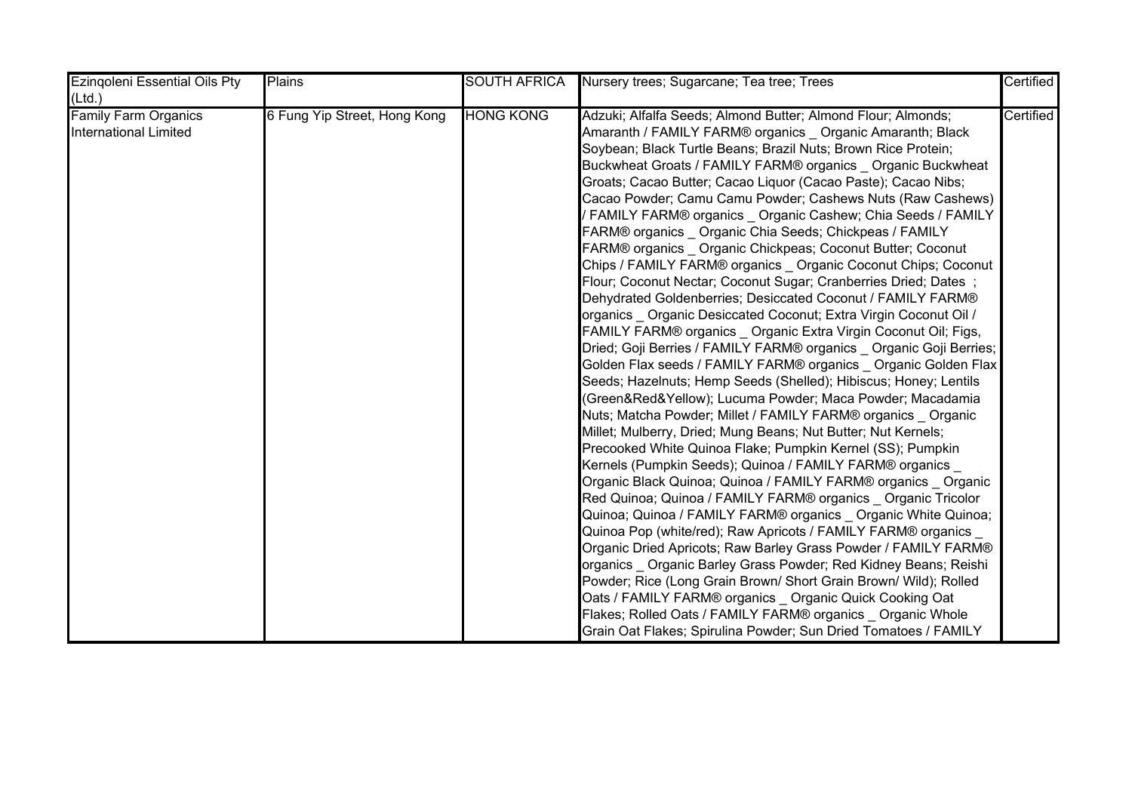| <b>Ezingoleni Essential Oils Pty</b> | Plains                       | <b>SOUTH AFRICA</b> | Nursery trees; Sugarcane; Tea tree; Trees                          | Certified |
|--------------------------------------|------------------------------|---------------------|--------------------------------------------------------------------|-----------|
| (Ltd.)                               |                              |                     |                                                                    |           |
| <b>Family Farm Organics</b>          | 6 Fung Yip Street, Hong Kong | <b>HONG KONG</b>    | Adzuki; Alfalfa Seeds; Almond Butter; Almond Flour; Almonds;       | Certified |
| <b>International Limited</b>         |                              |                     | Amaranth / FAMILY FARM® organics  Organic Amaranth; Black          |           |
|                                      |                              |                     | Soybean; Black Turtle Beans; Brazil Nuts; Brown Rice Protein;      |           |
|                                      |                              |                     | Buckwheat Groats / FAMILY FARM® organics _ Organic Buckwheat       |           |
|                                      |                              |                     | Groats; Cacao Butter; Cacao Liquor (Cacao Paste); Cacao Nibs;      |           |
|                                      |                              |                     | Cacao Powder; Camu Camu Powder; Cashews Nuts (Raw Cashews)         |           |
|                                      |                              |                     | / FAMILY FARM® organics _ Organic Cashew; Chia Seeds / FAMILY      |           |
|                                      |                              |                     | FARM® organics _ Organic Chia Seeds; Chickpeas / FAMILY            |           |
|                                      |                              |                     | FARM® organics _ Organic Chickpeas; Coconut Butter; Coconut        |           |
|                                      |                              |                     | Chips / FAMILY FARM® organics _ Organic Coconut Chips; Coconut     |           |
|                                      |                              |                     | Flour; Coconut Nectar; Coconut Sugar; Cranberries Dried; Dates ;   |           |
|                                      |                              |                     | Dehydrated Goldenberries; Desiccated Coconut / FAMILY FARM®        |           |
|                                      |                              |                     | organics _ Organic Desiccated Coconut; Extra Virgin Coconut Oil /  |           |
|                                      |                              |                     | FAMILY FARM® organics Organic Extra Virgin Coconut Oil; Figs,      |           |
|                                      |                              |                     | Dried; Goji Berries / FAMILY FARM® organics  Organic Goji Berries; |           |
|                                      |                              |                     | Golden Flax seeds / FAMILY FARM® organics  Organic Golden Flax     |           |
|                                      |                              |                     | Seeds; Hazelnuts; Hemp Seeds (Shelled); Hibiscus; Honey; Lentils   |           |
|                                      |                              |                     | (Green&Red&Yellow); Lucuma Powder; Maca Powder; Macadamia          |           |
|                                      |                              |                     | Nuts; Matcha Powder; Millet / FAMILY FARM® organics Organic        |           |
|                                      |                              |                     | Millet; Mulberry, Dried; Mung Beans; Nut Butter; Nut Kernels;      |           |
|                                      |                              |                     | Precooked White Quinoa Flake; Pumpkin Kernel (SS); Pumpkin         |           |
|                                      |                              |                     | Kernels (Pumpkin Seeds); Quinoa / FAMILY FARM® organics            |           |
|                                      |                              |                     | Organic Black Quinoa; Quinoa / FAMILY FARM® organics _ Organic     |           |
|                                      |                              |                     | Red Quinoa; Quinoa / FAMILY FARM® organics _ Organic Tricolor      |           |
|                                      |                              |                     | Quinoa; Quinoa / FAMILY FARM® organics _ Organic White Quinoa;     |           |
|                                      |                              |                     | Quinoa Pop (white/red); Raw Apricots / FAMILY FARM® organics _     |           |
|                                      |                              |                     | Organic Dried Apricots; Raw Barley Grass Powder / FAMILY FARM®     |           |
|                                      |                              |                     | organics _ Organic Barley Grass Powder; Red Kidney Beans; Reishi   |           |
|                                      |                              |                     | Powder; Rice (Long Grain Brown/ Short Grain Brown/ Wild); Rolled   |           |
|                                      |                              |                     | Oats / FAMILY FARM® organics _ Organic Quick Cooking Oat           |           |
|                                      |                              |                     | Flakes; Rolled Oats / FAMILY FARM® organics _ Organic Whole        |           |
|                                      |                              |                     | Grain Oat Flakes; Spirulina Powder; Sun Dried Tomatoes / FAMILY    |           |

FARM® organics \_ Organic Sun Dried Tomatoes; Tahini; Walnuts;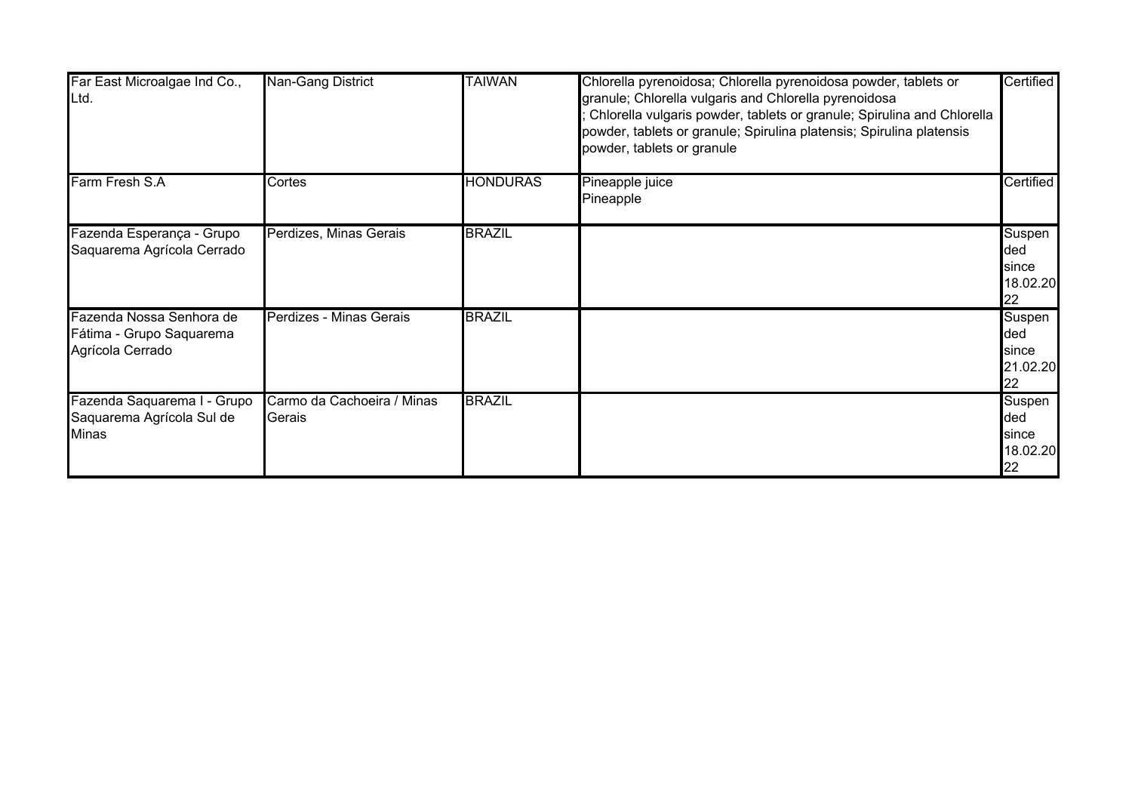| Far East Microalgae Ind Co.,<br>Ltd.                                     | Nan-Gang District                    | <b>TAIWAN</b>   | Chlorella pyrenoidosa; Chlorella pyrenoidosa powder, tablets or<br>granule; Chlorella vulgaris and Chlorella pyrenoidosa<br>Chlorella vulgaris powder, tablets or granule; Spirulina and Chlorella<br>powder, tablets or granule; Spirulina platensis; Spirulina platensis<br>powder, tablets or granule | Certified                                 |
|--------------------------------------------------------------------------|--------------------------------------|-----------------|----------------------------------------------------------------------------------------------------------------------------------------------------------------------------------------------------------------------------------------------------------------------------------------------------------|-------------------------------------------|
| Farm Fresh S.A                                                           | Cortes                               | <b>HONDURAS</b> | Pineapple juice<br>Pineapple                                                                                                                                                                                                                                                                             | Certified                                 |
| Fazenda Esperança - Grupo<br>Saquarema Agrícola Cerrado                  | Perdizes, Minas Gerais               | <b>BRAZIL</b>   |                                                                                                                                                                                                                                                                                                          | Suspen<br>ded<br>since<br>18.02.20<br>22  |
| Fazenda Nossa Senhora de<br>Fátima - Grupo Saquarema<br>Agrícola Cerrado | Perdizes - Minas Gerais              | <b>BRAZIL</b>   |                                                                                                                                                                                                                                                                                                          | Suspen<br>ded<br>since<br>21.02.20<br>22  |
| Fazenda Saquarema I - Grupo<br>Saquarema Agrícola Sul de<br><b>Minas</b> | Carmo da Cachoeira / Minas<br>Gerais | <b>BRAZIL</b>   |                                                                                                                                                                                                                                                                                                          | Suspen<br>ded<br>Isince<br>18.02.20<br>22 |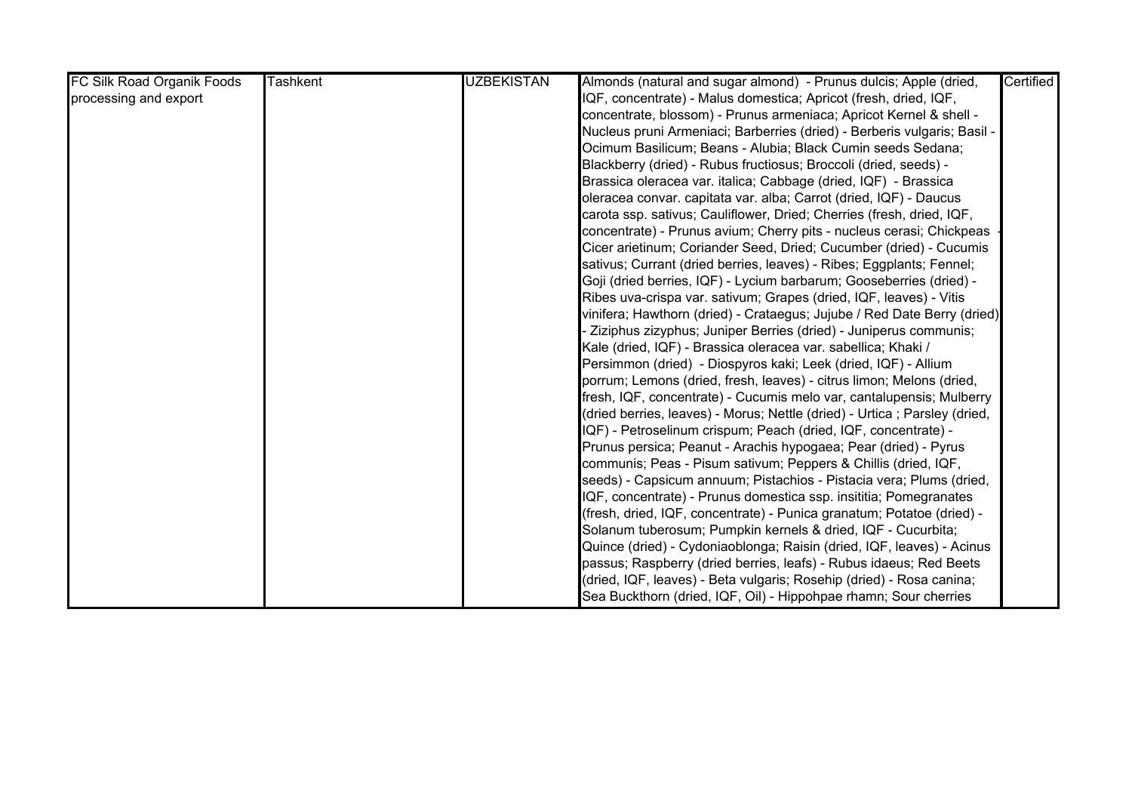| FC Silk Road Organik Foods | <b>Tashkent</b> | <b>UZBEKISTAN</b> | Almonds (natural and sugar almond) - Prunus dulcis; Apple (dried,          | Certified |
|----------------------------|-----------------|-------------------|----------------------------------------------------------------------------|-----------|
| processing and export      |                 |                   | IQF, concentrate) - Malus domestica; Apricot (fresh, dried, IQF,           |           |
|                            |                 |                   | concentrate, blossom) - Prunus armeniaca; Apricot Kernel & shell -         |           |
|                            |                 |                   | Nucleus pruni Armeniaci; Barberries (dried) - Berberis vulgaris; Basil -   |           |
|                            |                 |                   | Ocimum Basilicum; Beans - Alubia; Black Cumin seeds Sedana;                |           |
|                            |                 |                   | Blackberry (dried) - Rubus fructiosus; Broccoli (dried, seeds) -           |           |
|                            |                 |                   | Brassica oleracea var. italica; Cabbage (dried, IQF) - Brassica            |           |
|                            |                 |                   | oleracea convar. capitata var. alba; Carrot (dried, IQF) - Daucus          |           |
|                            |                 |                   | carota ssp. sativus; Cauliflower, Dried; Cherries (fresh, dried, IQF,      |           |
|                            |                 |                   | concentrate) - Prunus avium; Cherry pits - nucleus cerasi; Chickpeas       |           |
|                            |                 |                   | Cicer arietinum; Coriander Seed, Dried; Cucumber (dried) - Cucumis         |           |
|                            |                 |                   | sativus; Currant (dried berries, leaves) - Ribes; Eggplants; Fennel;       |           |
|                            |                 |                   | Goji (dried berries, IQF) - Lycium barbarum; Gooseberries (dried) -        |           |
|                            |                 |                   | Ribes uva-crispa var. sativum; Grapes (dried, IQF, leaves) - Vitis         |           |
|                            |                 |                   | vinifera; Hawthorn (dried) - Crataegus; Jujube / Red Date Berry (dried)    |           |
|                            |                 |                   | Ziziphus zizyphus; Juniper Berries (dried) - Juniperus communis;           |           |
|                            |                 |                   | Kale (dried, IQF) - Brassica oleracea var. sabellica; Khaki /              |           |
|                            |                 |                   | Persimmon (dried) - Diospyros kaki; Leek (dried, IQF) - Allium             |           |
|                            |                 |                   | porrum; Lemons (dried, fresh, leaves) - citrus limon; Melons (dried,       |           |
|                            |                 |                   | fresh, IQF, concentrate) - Cucumis melo var, cantalupensis; Mulberry       |           |
|                            |                 |                   | (dried berries, leaves) - Morus; Nettle (dried) - Urtica ; Parsley (dried, |           |
|                            |                 |                   | IQF) - Petroselinum crispum; Peach (dried, IQF, concentrate) -             |           |
|                            |                 |                   | Prunus persica; Peanut - Arachis hypogaea; Pear (dried) - Pyrus            |           |
|                            |                 |                   | communis; Peas - Pisum sativum; Peppers & Chillis (dried, IQF,             |           |
|                            |                 |                   | seeds) - Capsicum annuum; Pistachios - Pistacia vera; Plums (dried,        |           |
|                            |                 |                   | IQF, concentrate) - Prunus domestica ssp. insititia; Pomegranates          |           |
|                            |                 |                   | (fresh, dried, IQF, concentrate) - Punica granatum; Potatoe (dried) -      |           |
|                            |                 |                   | Solanum tuberosum; Pumpkin kernels & dried, IQF - Cucurbita;               |           |
|                            |                 |                   | Quince (dried) - Cydoniaoblonga; Raisin (dried, IQF, leaves) - Acinus      |           |
|                            |                 |                   | passus; Raspberry (dried berries, leafs) - Rubus idaeus; Red Beets         |           |
|                            |                 |                   | (dried, IQF, leaves) - Beta vulgaris; Rosehip (dried) - Rosa canina;       |           |
|                            |                 |                   | Sea Buckthorn (dried, IQF, Oil) - Hippohpae rhamn; Sour cherries           |           |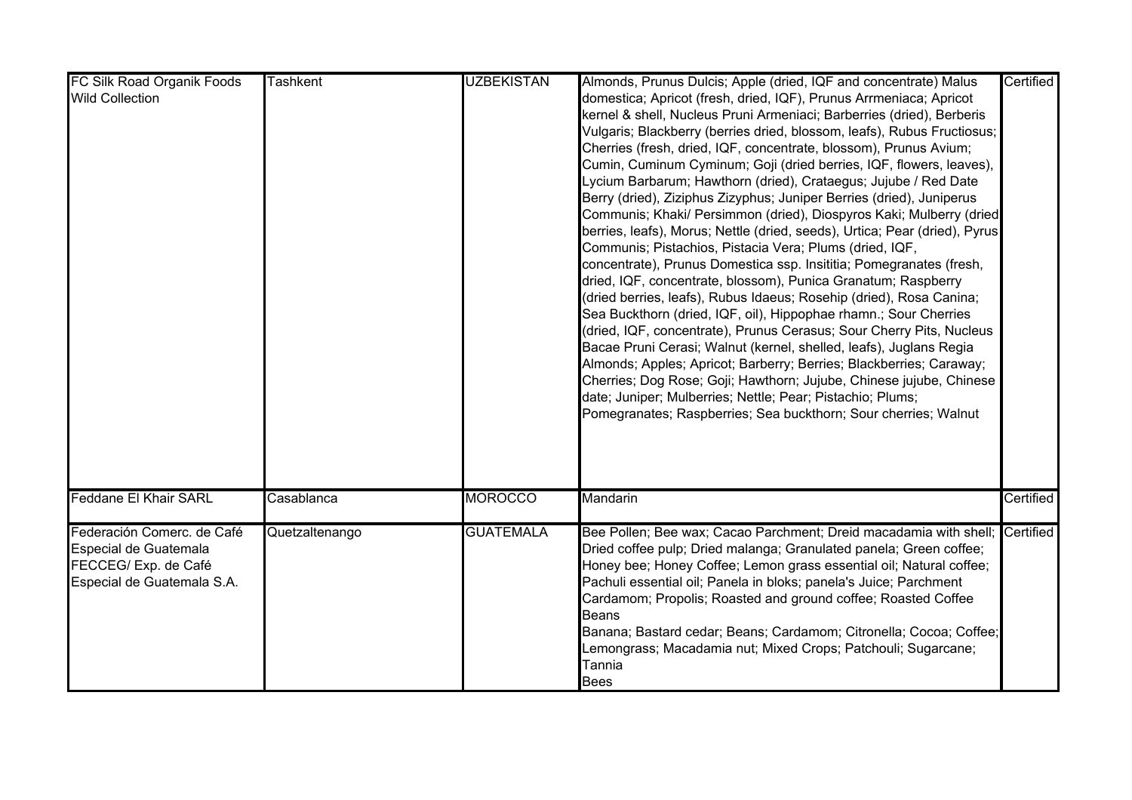| FC Silk Road Organik Foods                                                                                | <b>Tashkent</b> | <b>UZBEKISTAN</b> | Almonds, Prunus Dulcis; Apple (dried, IQF and concentrate) Malus                                                                                                                                                                                                                                                                                                                                                                                                                                                                                                                                                                                                                                                                                                                                                                                                                                                                                                                                                                                                                                                                                                                                                                                                                                                                                                                                                                              | Certified |
|-----------------------------------------------------------------------------------------------------------|-----------------|-------------------|-----------------------------------------------------------------------------------------------------------------------------------------------------------------------------------------------------------------------------------------------------------------------------------------------------------------------------------------------------------------------------------------------------------------------------------------------------------------------------------------------------------------------------------------------------------------------------------------------------------------------------------------------------------------------------------------------------------------------------------------------------------------------------------------------------------------------------------------------------------------------------------------------------------------------------------------------------------------------------------------------------------------------------------------------------------------------------------------------------------------------------------------------------------------------------------------------------------------------------------------------------------------------------------------------------------------------------------------------------------------------------------------------------------------------------------------------|-----------|
| <b>Wild Collection</b>                                                                                    |                 |                   | domestica; Apricot (fresh, dried, IQF), Prunus Arrmeniaca; Apricot<br>kernel & shell, Nucleus Pruni Armeniaci; Barberries (dried), Berberis<br>Vulgaris; Blackberry (berries dried, blossom, leafs), Rubus Fructiosus;<br>Cherries (fresh, dried, IQF, concentrate, blossom), Prunus Avium;<br>Cumin, Cuminum Cyminum; Goji (dried berries, IQF, flowers, leaves),<br>Lycium Barbarum; Hawthorn (dried), Crataegus; Jujube / Red Date<br>Berry (dried), Ziziphus Zizyphus; Juniper Berries (dried), Juniperus<br>Communis; Khaki/ Persimmon (dried), Diospyros Kaki; Mulberry (dried<br>berries, leafs), Morus; Nettle (dried, seeds), Urtica; Pear (dried), Pyrus<br>Communis; Pistachios, Pistacia Vera; Plums (dried, IQF,<br>concentrate), Prunus Domestica ssp. Insititia; Pomegranates (fresh,<br>dried, IQF, concentrate, blossom), Punica Granatum; Raspberry<br>(dried berries, leafs), Rubus Idaeus; Rosehip (dried), Rosa Canina;<br>Sea Buckthorn (dried, IQF, oil), Hippophae rhamn.; Sour Cherries<br>(dried, IQF, concentrate), Prunus Cerasus; Sour Cherry Pits, Nucleus<br>Bacae Pruni Cerasi; Walnut (kernel, shelled, leafs), Juglans Regia<br>Almonds; Apples; Apricot; Barberry; Berries; Blackberries; Caraway;<br>Cherries; Dog Rose; Goji; Hawthorn; Jujube, Chinese jujube, Chinese<br>date; Juniper; Mulberries; Nettle; Pear; Pistachio; Plums;<br>Pomegranates; Raspberries; Sea buckthorn; Sour cherries; Walnut |           |
|                                                                                                           |                 |                   |                                                                                                                                                                                                                                                                                                                                                                                                                                                                                                                                                                                                                                                                                                                                                                                                                                                                                                                                                                                                                                                                                                                                                                                                                                                                                                                                                                                                                                               |           |
| <b>Feddane El Khair SARL</b>                                                                              | Casablanca      | <b>MOROCCO</b>    | Mandarin                                                                                                                                                                                                                                                                                                                                                                                                                                                                                                                                                                                                                                                                                                                                                                                                                                                                                                                                                                                                                                                                                                                                                                                                                                                                                                                                                                                                                                      | Certified |
| Federación Comerc. de Café<br>Especial de Guatemala<br>FECCEG/ Exp. de Café<br>Especial de Guatemala S.A. | Quetzaltenango  | <b>GUATEMALA</b>  | Bee Pollen; Bee wax; Cacao Parchment; Dreid macadamia with shell; Certified<br>Dried coffee pulp; Dried malanga; Granulated panela; Green coffee;<br>Honey bee; Honey Coffee; Lemon grass essential oil; Natural coffee;<br>Pachuli essential oil; Panela in bloks; panela's Juice; Parchment<br>Cardamom; Propolis; Roasted and ground coffee; Roasted Coffee<br><b>Beans</b><br>Banana; Bastard cedar; Beans; Cardamom; Citronella; Cocoa; Coffee;<br>Lemongrass; Macadamia nut; Mixed Crops; Patchouli; Sugarcane;<br>Tannia<br><b>Bees</b>                                                                                                                                                                                                                                                                                                                                                                                                                                                                                                                                                                                                                                                                                                                                                                                                                                                                                                |           |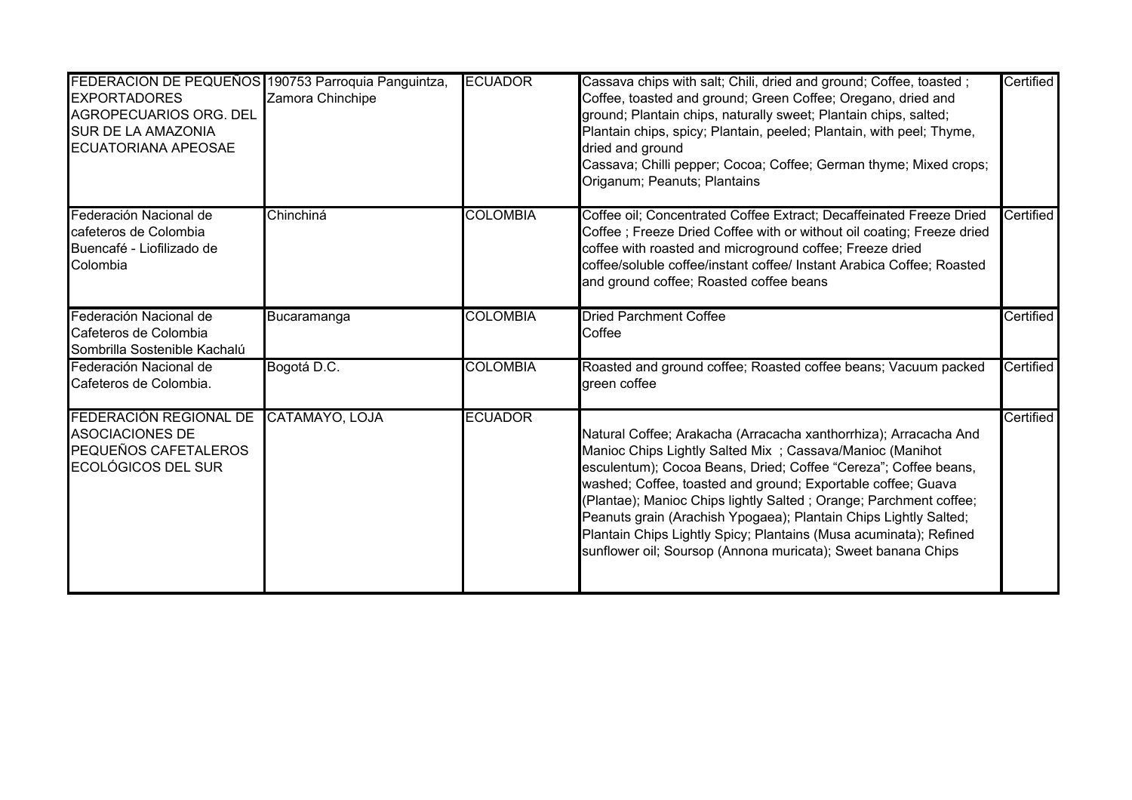| FEDERACION DE PEQUEÑOS 190753 Parroquia Panguintza,<br><b>EXPORTADORES</b><br>AGROPECUARIOS ORG. DEL<br>SUR DE LA AMAZONIA<br><b>ECUATORIANA APEOSAE</b> | Zamora Chinchipe | <b>ECUADOR</b>  | Cassava chips with salt; Chili, dried and ground; Coffee, toasted;<br>Coffee, toasted and ground; Green Coffee; Oregano, dried and<br>ground; Plantain chips, naturally sweet; Plantain chips, salted;<br>Plantain chips, spicy; Plantain, peeled; Plantain, with peel; Thyme,<br>dried and ground<br>Cassava; Chilli pepper; Cocoa; Coffee; German thyme; Mixed crops;<br>Origanum; Peanuts; Plantains                                                                                                                                         | Certified        |
|----------------------------------------------------------------------------------------------------------------------------------------------------------|------------------|-----------------|-------------------------------------------------------------------------------------------------------------------------------------------------------------------------------------------------------------------------------------------------------------------------------------------------------------------------------------------------------------------------------------------------------------------------------------------------------------------------------------------------------------------------------------------------|------------------|
| Federación Nacional de<br>cafeteros de Colombia<br>Buencafé - Liofilizado de<br>Colombia                                                                 | Chinchiná        | <b>COLOMBIA</b> | Coffee oil; Concentrated Coffee Extract; Decaffeinated Freeze Dried<br>Coffee ; Freeze Dried Coffee with or without oil coating; Freeze dried<br>coffee with roasted and microground coffee; Freeze dried<br>coffee/soluble coffee/instant coffee/ Instant Arabica Coffee; Roasted<br>and ground coffee; Roasted coffee beans                                                                                                                                                                                                                   | Certified        |
| Federación Nacional de<br>Cafeteros de Colombia<br>Sombrilla Sostenible Kachalú                                                                          | Bucaramanga      | <b>COLOMBIA</b> | <b>Dried Parchment Coffee</b><br>Coffee                                                                                                                                                                                                                                                                                                                                                                                                                                                                                                         | <b>Certified</b> |
| Federación Nacional de<br>Cafeteros de Colombia.                                                                                                         | Bogotá D.C.      | <b>COLOMBIA</b> | Roasted and ground coffee; Roasted coffee beans; Vacuum packed<br>green coffee                                                                                                                                                                                                                                                                                                                                                                                                                                                                  | Certified        |
| FEDERACIÓN REGIONAL DE<br><b>ASOCIACIONES DE</b><br>PEQUEÑOS CAFETALEROS<br><b>ECOLÓGICOS DEL SUR</b>                                                    | CATAMAYO, LOJA   | <b>ECUADOR</b>  | Natural Coffee; Arakacha (Arracacha xanthorrhiza); Arracacha And<br>Manioc Chips Lightly Salted Mix ; Cassava/Manioc (Manihot<br>esculentum); Cocoa Beans, Dried; Coffee "Cereza"; Coffee beans,<br>washed; Coffee, toasted and ground; Exportable coffee; Guava<br>(Plantae); Manioc Chips lightly Salted ; Orange; Parchment coffee;<br>Peanuts grain (Arachish Ypogaea); Plantain Chips Lightly Salted;<br>Plantain Chips Lightly Spicy; Plantains (Musa acuminata); Refined<br>sunflower oil; Soursop (Annona muricata); Sweet banana Chips | Certified        |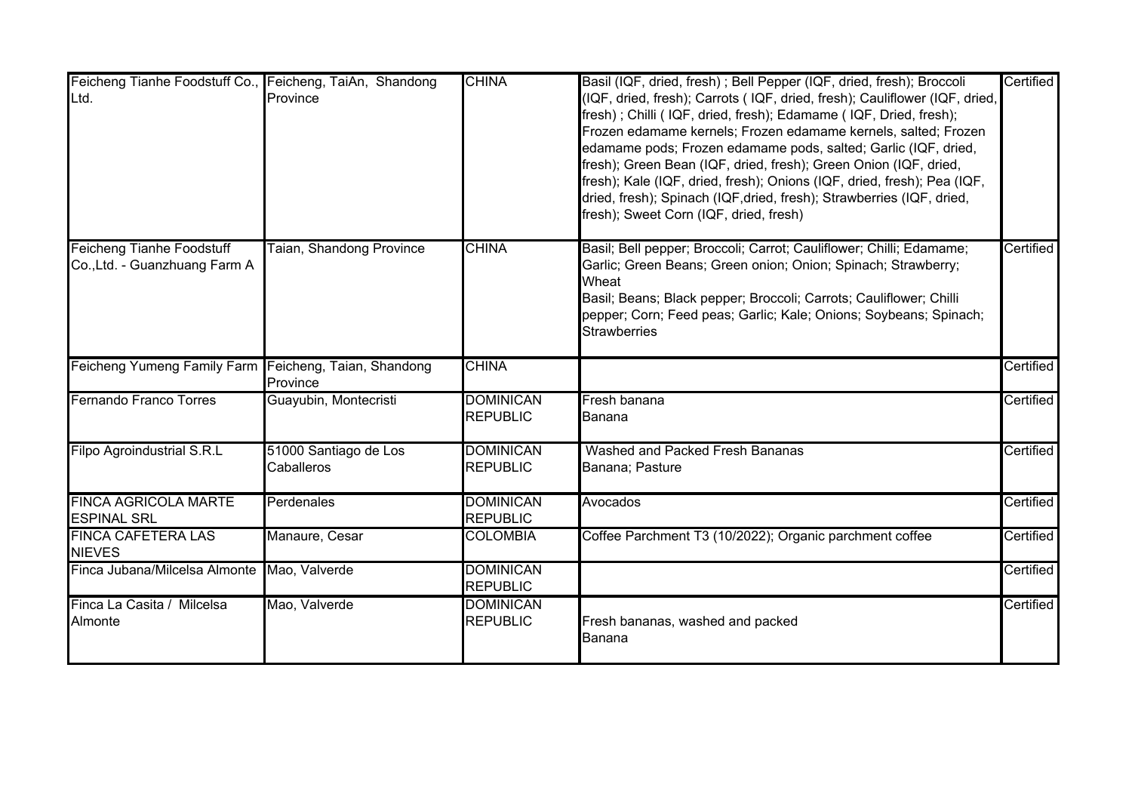| Feicheng Tianhe Foodstuff Co., Feicheng, TaiAn, Shandong<br>Ltd.  | Province                            | <b>CHINA</b>                        | Basil (IQF, dried, fresh) ; Bell Pepper (IQF, dried, fresh); Broccoli<br>(IQF, dried, fresh); Carrots (IQF, dried, fresh); Cauliflower (IQF, dried,<br>fresh); Chilli (IQF, dried, fresh); Edamame (IQF, Dried, fresh);<br>Frozen edamame kernels; Frozen edamame kernels, salted; Frozen<br>edamame pods; Frozen edamame pods, salted; Garlic (IQF, dried,<br>fresh); Green Bean (IQF, dried, fresh); Green Onion (IQF, dried,<br>fresh); Kale (IQF, dried, fresh); Onions (IQF, dried, fresh); Pea (IQF,<br>dried, fresh); Spinach (IQF,dried, fresh); Strawberries (IQF, dried,<br>fresh); Sweet Corn (IQF, dried, fresh) | Certified |
|-------------------------------------------------------------------|-------------------------------------|-------------------------------------|------------------------------------------------------------------------------------------------------------------------------------------------------------------------------------------------------------------------------------------------------------------------------------------------------------------------------------------------------------------------------------------------------------------------------------------------------------------------------------------------------------------------------------------------------------------------------------------------------------------------------|-----------|
| <b>Feicheng Tianhe Foodstuff</b><br>Co., Ltd. - Guanzhuang Farm A | Taian, Shandong Province            | <b>CHINA</b>                        | Basil; Bell pepper; Broccoli; Carrot; Cauliflower; Chilli; Edamame;<br>Garlic; Green Beans; Green onion; Onion; Spinach; Strawberry;<br>Wheat<br>Basil; Beans; Black pepper; Broccoli; Carrots; Cauliflower; Chilli<br>pepper; Corn; Feed peas; Garlic; Kale; Onions; Soybeans; Spinach;<br><b>Strawberries</b>                                                                                                                                                                                                                                                                                                              | Certified |
| Feicheng Yumeng Family Farm Feicheng, Taian, Shandong             | Province                            | <b>CHINA</b>                        |                                                                                                                                                                                                                                                                                                                                                                                                                                                                                                                                                                                                                              | Certified |
| <b>Fernando Franco Torres</b>                                     | Guayubin, Montecristi               | <b>DOMINICAN</b><br><b>REPUBLIC</b> | Fresh banana<br>lBanana                                                                                                                                                                                                                                                                                                                                                                                                                                                                                                                                                                                                      | Certified |
| <b>Filpo Agroindustrial S.R.L</b>                                 | 51000 Santiago de Los<br>Caballeros | <b>DOMINICAN</b><br><b>REPUBLIC</b> | Washed and Packed Fresh Bananas<br>Banana; Pasture                                                                                                                                                                                                                                                                                                                                                                                                                                                                                                                                                                           | Certified |
| <b>FINCA AGRICOLA MARTE</b><br><b>ESPINAL SRL</b>                 | Perdenales                          | <b>DOMINICAN</b><br><b>REPUBLIC</b> | Avocados                                                                                                                                                                                                                                                                                                                                                                                                                                                                                                                                                                                                                     | Certified |
| <b>FINCA CAFETERA LAS</b><br><b>NIEVES</b>                        | Manaure, Cesar                      | <b>COLOMBIA</b>                     | Coffee Parchment T3 (10/2022); Organic parchment coffee                                                                                                                                                                                                                                                                                                                                                                                                                                                                                                                                                                      | Certified |
| Finca Jubana/Milcelsa Almonte                                     | Mao, Valverde                       | <b>DOMINICAN</b><br><b>REPUBLIC</b> |                                                                                                                                                                                                                                                                                                                                                                                                                                                                                                                                                                                                                              | Certified |
| Finca La Casita / Milcelsa<br>Almonte                             | Mao, Valverde                       | <b>DOMINICAN</b><br><b>REPUBLIC</b> | Fresh bananas, washed and packed<br>Banana                                                                                                                                                                                                                                                                                                                                                                                                                                                                                                                                                                                   | Certified |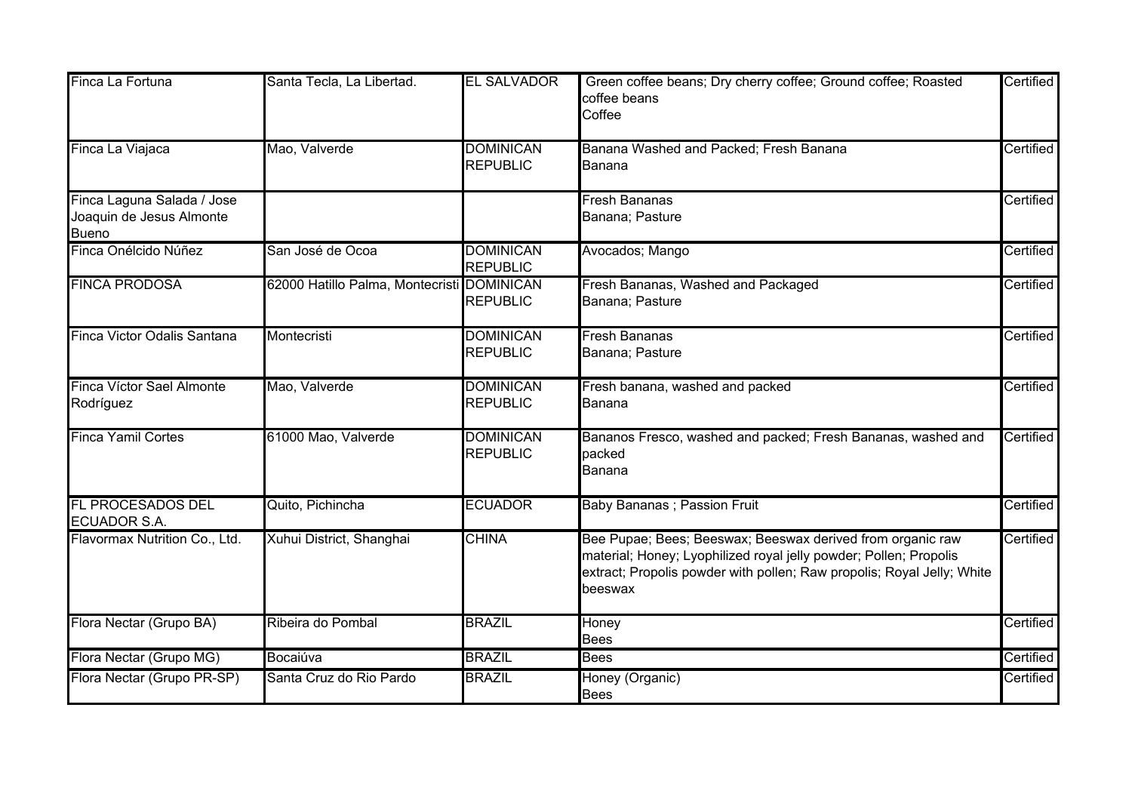| Finca La Fortuna                                                       | Santa Tecla, La Libertad.                  | <b>EL SALVADOR</b>                  | Green coffee beans; Dry cherry coffee; Ground coffee; Roasted<br>coffee beans<br>Coffee                                                                                                                              | Certified |
|------------------------------------------------------------------------|--------------------------------------------|-------------------------------------|----------------------------------------------------------------------------------------------------------------------------------------------------------------------------------------------------------------------|-----------|
| Finca La Viajaca                                                       | Mao, Valverde                              | <b>DOMINICAN</b><br><b>REPUBLIC</b> | Banana Washed and Packed; Fresh Banana<br>Banana                                                                                                                                                                     | Certified |
| Finca Laguna Salada / Jose<br>Joaquin de Jesus Almonte<br><b>Bueno</b> |                                            |                                     | <b>Fresh Bananas</b><br>Banana; Pasture                                                                                                                                                                              | Certified |
| Finca Onélcido Núñez                                                   | San José de Ocoa                           | <b>DOMINICAN</b><br><b>REPUBLIC</b> | Avocados; Mango                                                                                                                                                                                                      | Certified |
| <b>FINCA PRODOSA</b>                                                   | 62000 Hatillo Palma, Montecristi DOMINICAN | <b>REPUBLIC</b>                     | Fresh Bananas, Washed and Packaged<br>Banana; Pasture                                                                                                                                                                | Certified |
| Finca Victor Odalis Santana                                            | Montecristi                                | <b>DOMINICAN</b><br><b>REPUBLIC</b> | <b>Fresh Bananas</b><br>Banana; Pasture                                                                                                                                                                              | Certified |
| Finca Víctor Sael Almonte<br>Rodríguez                                 | Mao, Valverde                              | <b>DOMINICAN</b><br><b>REPUBLIC</b> | Fresh banana, washed and packed<br>Banana                                                                                                                                                                            | Certified |
| <b>Finca Yamil Cortes</b>                                              | 61000 Mao, Valverde                        | <b>DOMINICAN</b><br><b>REPUBLIC</b> | Bananos Fresco, washed and packed; Fresh Bananas, washed and<br>packed<br>Banana                                                                                                                                     | Certified |
| <b>FL PROCESADOS DEL</b><br><b>ECUADOR S.A.</b>                        | Quito, Pichincha                           | <b>ECUADOR</b>                      | <b>Baby Bananas</b> ; Passion Fruit                                                                                                                                                                                  | Certified |
| Flavormax Nutrition Co., Ltd.                                          | Xuhui District, Shanghai                   | <b>CHINA</b>                        | Bee Pupae; Bees; Beeswax; Beeswax derived from organic raw<br>material; Honey; Lyophilized royal jelly powder; Pollen; Propolis<br>extract; Propolis powder with pollen; Raw propolis; Royal Jelly; White<br>beeswax | Certified |
| Flora Nectar (Grupo BA)                                                | Ribeira do Pombal                          | <b>BRAZIL</b>                       | Honey<br><b>Bees</b>                                                                                                                                                                                                 | Certified |
| Flora Nectar (Grupo MG)                                                | Bocaiúva                                   | <b>BRAZIL</b>                       | <b>Bees</b>                                                                                                                                                                                                          | Certified |
| Flora Nectar (Grupo PR-SP)                                             | Santa Cruz do Rio Pardo                    | <b>BRAZIL</b>                       | Honey (Organic)<br><b>Bees</b>                                                                                                                                                                                       | Certified |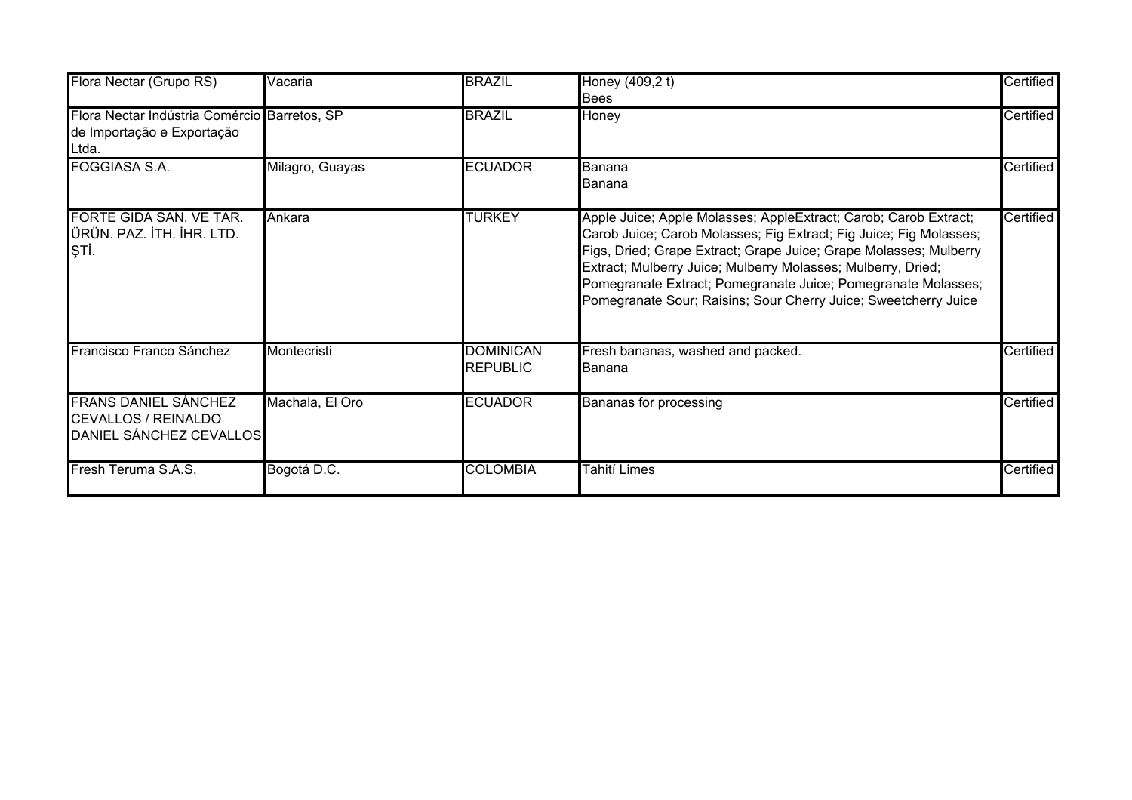| Flora Nectar (Grupo RS)                                                              | Vacaria         | <b>BRAZIL</b>                       | Honey (409,2 t)<br><b>Bees</b>                                                                                                                                                                                                                                                                                                                                                                                  | Certified |
|--------------------------------------------------------------------------------------|-----------------|-------------------------------------|-----------------------------------------------------------------------------------------------------------------------------------------------------------------------------------------------------------------------------------------------------------------------------------------------------------------------------------------------------------------------------------------------------------------|-----------|
| Flora Nectar Indústria Comércio Barretos, SP<br>de Importação e Exportação<br>Ltda.  |                 | <b>BRAZIL</b>                       | Honey                                                                                                                                                                                                                                                                                                                                                                                                           | Certified |
| <b>FOGGIASA S.A.</b>                                                                 | Milagro, Guayas | <b>ECUADOR</b>                      | lBanana<br>lBanana                                                                                                                                                                                                                                                                                                                                                                                              | Certified |
| FORTE GIDA SAN. VE TAR.<br>ÜRÜN. PAZ. İTH. İHR. LTD.<br>ŞТİ.                         | Ankara          | <b>TURKEY</b>                       | Apple Juice; Apple Molasses; AppleExtract; Carob; Carob Extract;<br>Carob Juice; Carob Molasses; Fig Extract; Fig Juice; Fig Molasses;<br>Figs, Dried; Grape Extract; Grape Juice; Grape Molasses; Mulberry<br>Extract; Mulberry Juice; Mulberry Molasses; Mulberry, Dried;<br>Pomegranate Extract; Pomegranate Juice; Pomegranate Molasses;<br>Pomegranate Sour; Raisins; Sour Cherry Juice; Sweetcherry Juice | Certified |
| Francisco Franco Sánchez                                                             | Montecristi     | <b>DOMINICAN</b><br><b>REPUBLIC</b> | Fresh bananas, washed and packed.<br><b>I</b> Banana                                                                                                                                                                                                                                                                                                                                                            | Certified |
| <b>FRANS DANIEL SÁNCHEZ</b><br><b>CEVALLOS / REINALDO</b><br>DANIEL SÁNCHEZ CEVALLOS | Machala, El Oro | <b>ECUADOR</b>                      | Bananas for processing                                                                                                                                                                                                                                                                                                                                                                                          | Certified |
| Fresh Teruma S.A.S.                                                                  | Bogotá D.C.     | <b>COLOMBIA</b>                     | Tahití Limes                                                                                                                                                                                                                                                                                                                                                                                                    | Certified |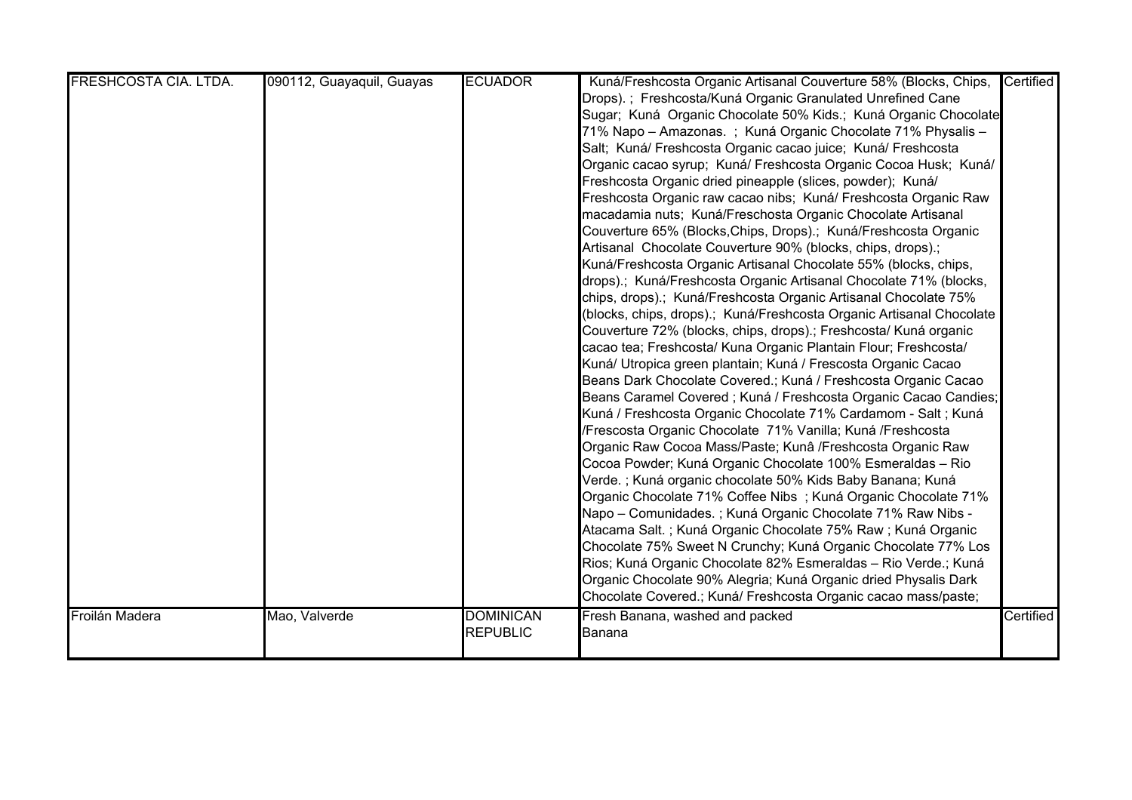| FRESHCOSTA CIA. LTDA. | 090112, Guayaquil, Guayas | <b>ECUADOR</b>                      | Kuná/Freshcosta Organic Artisanal Couverture 58% (Blocks, Chips,<br>Drops).; Freshcosta/Kuná Organic Granulated Unrefined Cane<br>Sugar; Kuná Organic Chocolate 50% Kids.; Kuná Organic Chocolate<br>71% Napo - Amazonas. ; Kuná Organic Chocolate 71% Physalis -<br>Salt; Kuná/ Freshcosta Organic cacao juice; Kuná/ Freshcosta<br>Organic cacao syrup; Kuná/ Freshcosta Organic Cocoa Husk; Kuná/<br>Freshcosta Organic dried pineapple (slices, powder); Kuná/<br>Freshcosta Organic raw cacao nibs; Kuná/ Freshcosta Organic Raw<br>macadamia nuts; Kuná/Freschosta Organic Chocolate Artisanal<br>Couverture 65% (Blocks, Chips, Drops).; Kuná/Freshcosta Organic<br>Artisanal Chocolate Couverture 90% (blocks, chips, drops).;<br>Kuná/Freshcosta Organic Artisanal Chocolate 55% (blocks, chips,<br>drops).; Kuná/Freshcosta Organic Artisanal Chocolate 71% (blocks,<br>chips, drops).; Kuná/Freshcosta Organic Artisanal Chocolate 75%<br>(blocks, chips, drops).; Kuná/Freshcosta Organic Artisanal Chocolate<br>Couverture 72% (blocks, chips, drops).; Freshcosta/ Kuná organic<br>cacao tea; Freshcosta/ Kuna Organic Plantain Flour; Freshcosta/<br>Kuná/ Utropica green plantain; Kuná / Frescosta Organic Cacao<br>Beans Dark Chocolate Covered.; Kuná / Freshcosta Organic Cacao | Certified |
|-----------------------|---------------------------|-------------------------------------|-----------------------------------------------------------------------------------------------------------------------------------------------------------------------------------------------------------------------------------------------------------------------------------------------------------------------------------------------------------------------------------------------------------------------------------------------------------------------------------------------------------------------------------------------------------------------------------------------------------------------------------------------------------------------------------------------------------------------------------------------------------------------------------------------------------------------------------------------------------------------------------------------------------------------------------------------------------------------------------------------------------------------------------------------------------------------------------------------------------------------------------------------------------------------------------------------------------------------------------------------------------------------------------------------------|-----------|
|                       |                           |                                     | Kuná / Freshcosta Organic Chocolate 71% Cardamom - Salt; Kuná<br>/Frescosta Organic Chocolate 71% Vanilla; Kuná /Freshcosta<br>Organic Raw Cocoa Mass/Paste; Kunâ /Freshcosta Organic Raw<br>Cocoa Powder; Kuná Organic Chocolate 100% Esmeraldas - Rio<br>Verde.; Kuná organic chocolate 50% Kids Baby Banana; Kuná<br>Organic Chocolate 71% Coffee Nibs; Kuná Organic Chocolate 71%<br>Napo – Comunidades. ; Kuná Organic Chocolate 71% Raw Nibs -<br>Atacama Salt.; Kuná Organic Chocolate 75% Raw; Kuná Organic<br>Chocolate 75% Sweet N Crunchy; Kuná Organic Chocolate 77% Los<br>Rios; Kuná Organic Chocolate 82% Esmeraldas - Rio Verde.; Kuná<br>Organic Chocolate 90% Alegria; Kuná Organic dried Physalis Dark<br>Chocolate Covered.; Kuná/ Freshcosta Organic cacao mass/paste;                                                                                                                                                                                                                                                                                                                                                                                                                                                                                                         |           |
| Froilán Madera        | Mao, Valverde             | <b>DOMINICAN</b><br><b>REPUBLIC</b> | Fresh Banana, washed and packed<br>Banana                                                                                                                                                                                                                                                                                                                                                                                                                                                                                                                                                                                                                                                                                                                                                                                                                                                                                                                                                                                                                                                                                                                                                                                                                                                           | Certified |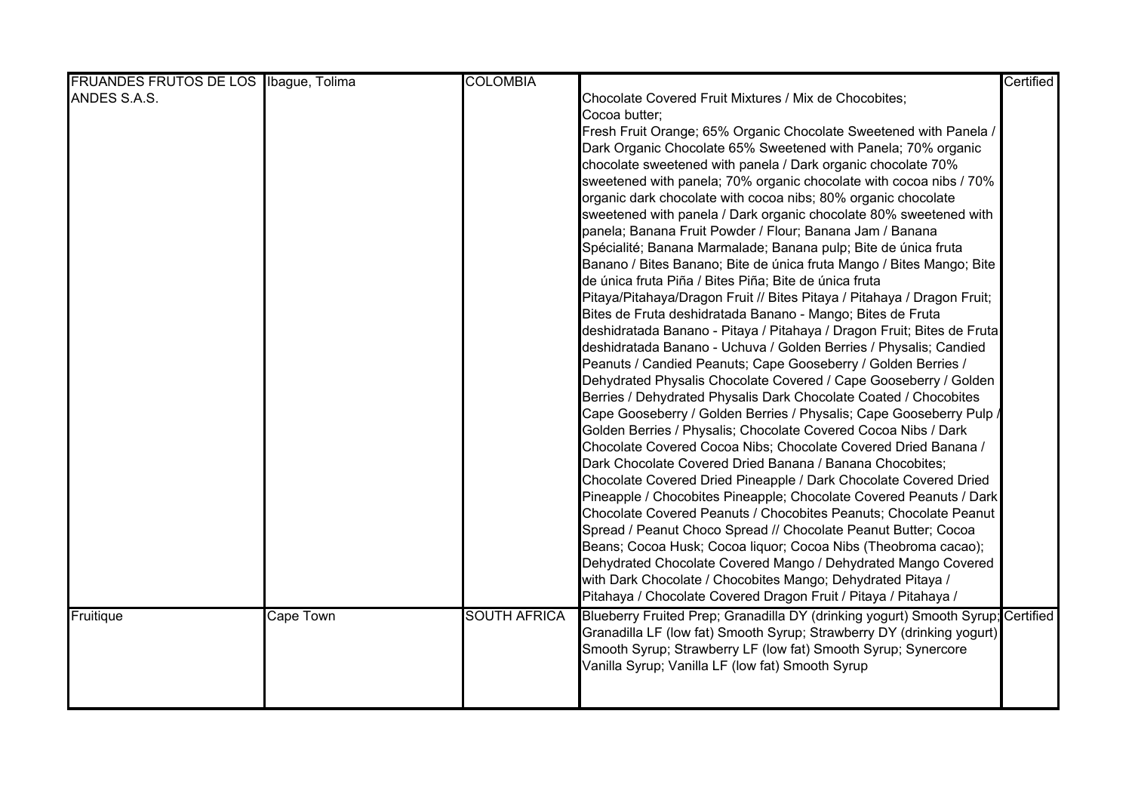| FRUANDES FRUTOS DE LOS Ibague, Tolima |                  | <b>COLOMBIA</b>     |                                                                                 | Certified |
|---------------------------------------|------------------|---------------------|---------------------------------------------------------------------------------|-----------|
| ANDES S.A.S.                          |                  |                     | Chocolate Covered Fruit Mixtures / Mix de Chocobites;                           |           |
|                                       |                  |                     | Cocoa butter;                                                                   |           |
|                                       |                  |                     | Fresh Fruit Orange; 65% Organic Chocolate Sweetened with Panela /               |           |
|                                       |                  |                     | Dark Organic Chocolate 65% Sweetened with Panela; 70% organic                   |           |
|                                       |                  |                     | chocolate sweetened with panela / Dark organic chocolate 70%                    |           |
|                                       |                  |                     | sweetened with panela; 70% organic chocolate with cocoa nibs / 70%              |           |
|                                       |                  |                     | organic dark chocolate with cocoa nibs; 80% organic chocolate                   |           |
|                                       |                  |                     | sweetened with panela / Dark organic chocolate 80% sweetened with               |           |
|                                       |                  |                     | panela; Banana Fruit Powder / Flour; Banana Jam / Banana                        |           |
|                                       |                  |                     | Spécialité; Banana Marmalade; Banana pulp; Bite de única fruta                  |           |
|                                       |                  |                     | Banano / Bites Banano; Bite de única fruta Mango / Bites Mango; Bite            |           |
|                                       |                  |                     | de única fruta Piña / Bites Piña; Bite de única fruta                           |           |
|                                       |                  |                     | Pitaya/Pitahaya/Dragon Fruit // Bites Pitaya / Pitahaya / Dragon Fruit;         |           |
|                                       |                  |                     | Bites de Fruta deshidratada Banano - Mango; Bites de Fruta                      |           |
|                                       |                  |                     | deshidratada Banano - Pitaya / Pitahaya / Dragon Fruit; Bites de Fruta          |           |
|                                       |                  |                     | deshidratada Banano - Uchuva / Golden Berries / Physalis; Candied               |           |
|                                       |                  |                     | Peanuts / Candied Peanuts; Cape Gooseberry / Golden Berries /                   |           |
|                                       |                  |                     | Dehydrated Physalis Chocolate Covered / Cape Gooseberry / Golden                |           |
|                                       |                  |                     | Berries / Dehydrated Physalis Dark Chocolate Coated / Chocobites                |           |
|                                       |                  |                     | Cape Gooseberry / Golden Berries / Physalis; Cape Gooseberry Pulp /             |           |
|                                       |                  |                     | Golden Berries / Physalis; Chocolate Covered Cocoa Nibs / Dark                  |           |
|                                       |                  |                     | Chocolate Covered Cocoa Nibs; Chocolate Covered Dried Banana /                  |           |
|                                       |                  |                     | Dark Chocolate Covered Dried Banana / Banana Chocobites;                        |           |
|                                       |                  |                     | Chocolate Covered Dried Pineapple / Dark Chocolate Covered Dried                |           |
|                                       |                  |                     | Pineapple / Chocobites Pineapple; Chocolate Covered Peanuts / Dark              |           |
|                                       |                  |                     | Chocolate Covered Peanuts / Chocobites Peanuts; Chocolate Peanut                |           |
|                                       |                  |                     | Spread / Peanut Choco Spread // Chocolate Peanut Butter; Cocoa                  |           |
|                                       |                  |                     | Beans; Cocoa Husk; Cocoa liquor; Cocoa Nibs (Theobroma cacao);                  |           |
|                                       |                  |                     | Dehydrated Chocolate Covered Mango / Dehydrated Mango Covered                   |           |
|                                       |                  |                     | with Dark Chocolate / Chocobites Mango; Dehydrated Pitaya /                     |           |
|                                       |                  |                     | Pitahaya / Chocolate Covered Dragon Fruit / Pitaya / Pitahaya /                 |           |
| Fruitique                             | <b>Cape Town</b> | <b>SOUTH AFRICA</b> | Blueberry Fruited Prep; Granadilla DY (drinking yogurt) Smooth Syrup; Certified |           |
|                                       |                  |                     | Granadilla LF (low fat) Smooth Syrup; Strawberry DY (drinking yogurt)           |           |
|                                       |                  |                     | Smooth Syrup; Strawberry LF (low fat) Smooth Syrup; Synercore                   |           |
|                                       |                  |                     | Vanilla Syrup; Vanilla LF (low fat) Smooth Syrup                                |           |
|                                       |                  |                     |                                                                                 |           |
|                                       |                  |                     |                                                                                 |           |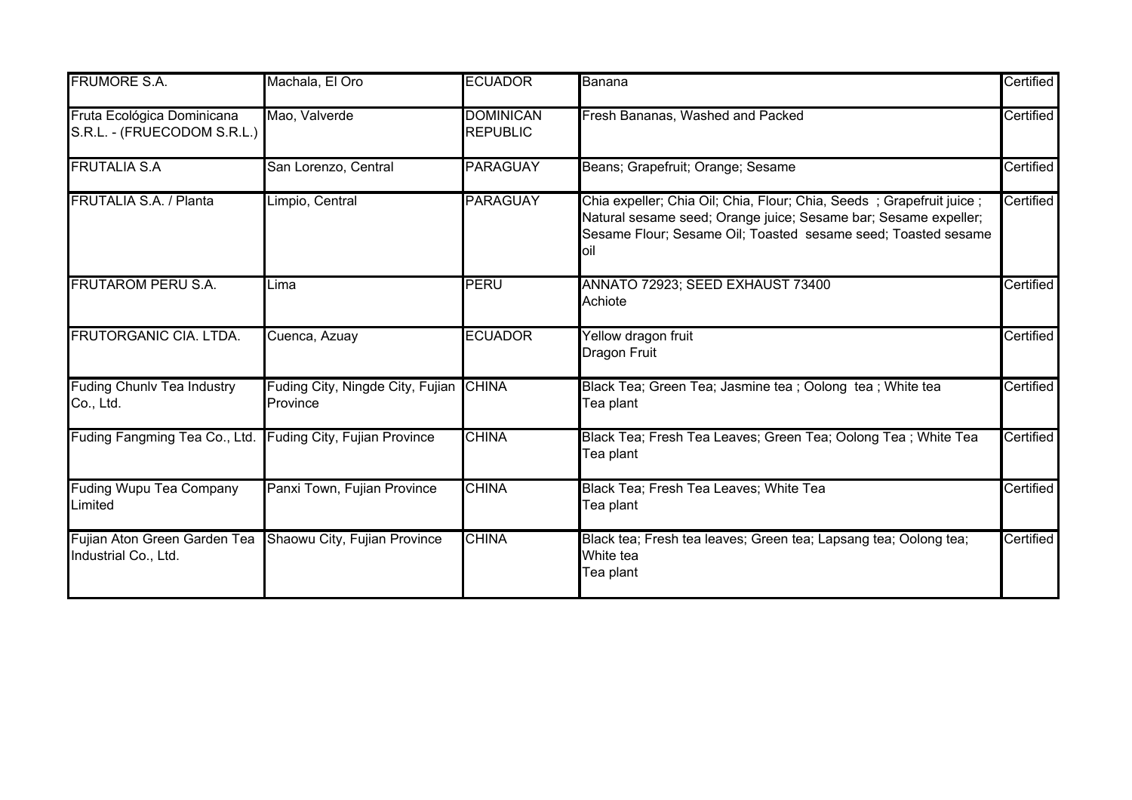| <b>FRUMORE S.A.</b>                                       | Machala, El Oro                                    | <b>ECUADOR</b>                      | Banana                                                                                                                                                                                                          | Certified |
|-----------------------------------------------------------|----------------------------------------------------|-------------------------------------|-----------------------------------------------------------------------------------------------------------------------------------------------------------------------------------------------------------------|-----------|
| Fruta Ecológica Dominicana<br>S.R.L. - (FRUECODOM S.R.L.) | Mao, Valverde                                      | <b>DOMINICAN</b><br><b>REPUBLIC</b> | Fresh Bananas, Washed and Packed                                                                                                                                                                                | Certified |
| <b>FRUTALIA S.A</b>                                       | San Lorenzo, Central                               | <b>PARAGUAY</b>                     | Beans; Grapefruit; Orange; Sesame                                                                                                                                                                               | Certified |
| <b>FRUTALIA S.A. / Planta</b>                             | Limpio, Central                                    | <b>PARAGUAY</b>                     | Chia expeller; Chia Oil; Chia, Flour; Chia, Seeds; Grapefruit juice;<br>Natural sesame seed; Orange juice; Sesame bar; Sesame expeller;<br>Sesame Flour; Sesame Oil; Toasted sesame seed; Toasted sesame<br>oil | Certified |
| <b>FRUTAROM PERU S.A.</b>                                 | Lima                                               | PERU                                | ANNATO 72923; SEED EXHAUST 73400<br>Achiote                                                                                                                                                                     | Certified |
| <b>FRUTORGANIC CIA. LTDA.</b>                             | Cuenca, Azuay                                      | <b>ECUADOR</b>                      | Yellow dragon fruit<br>Dragon Fruit                                                                                                                                                                             | Certified |
| <b>Fuding Chunlv Tea Industry</b><br>Co., Ltd.            | Fuding City, Ningde City, Fujian CHINA<br>Province |                                     | Black Tea; Green Tea; Jasmine tea ; Oolong tea ; White tea<br>Tea plant                                                                                                                                         | Certified |
| Fuding Fangming Tea Co., Ltd.                             | <b>Fuding City, Fujian Province</b>                | <b>CHINA</b>                        | Black Tea; Fresh Tea Leaves; Green Tea; Oolong Tea; White Tea<br>Tea plant                                                                                                                                      | Certified |
| <b>Fuding Wupu Tea Company</b><br>Limited                 | Panxi Town, Fujian Province                        | <b>CHINA</b>                        | Black Tea; Fresh Tea Leaves; White Tea<br>Tea plant                                                                                                                                                             | Certified |
| Fujian Aton Green Garden Tea<br>Industrial Co., Ltd.      | Shaowu City, Fujian Province                       | <b>CHINA</b>                        | Black tea; Fresh tea leaves; Green tea; Lapsang tea; Oolong tea;<br>White tea<br>Tea plant                                                                                                                      | Certified |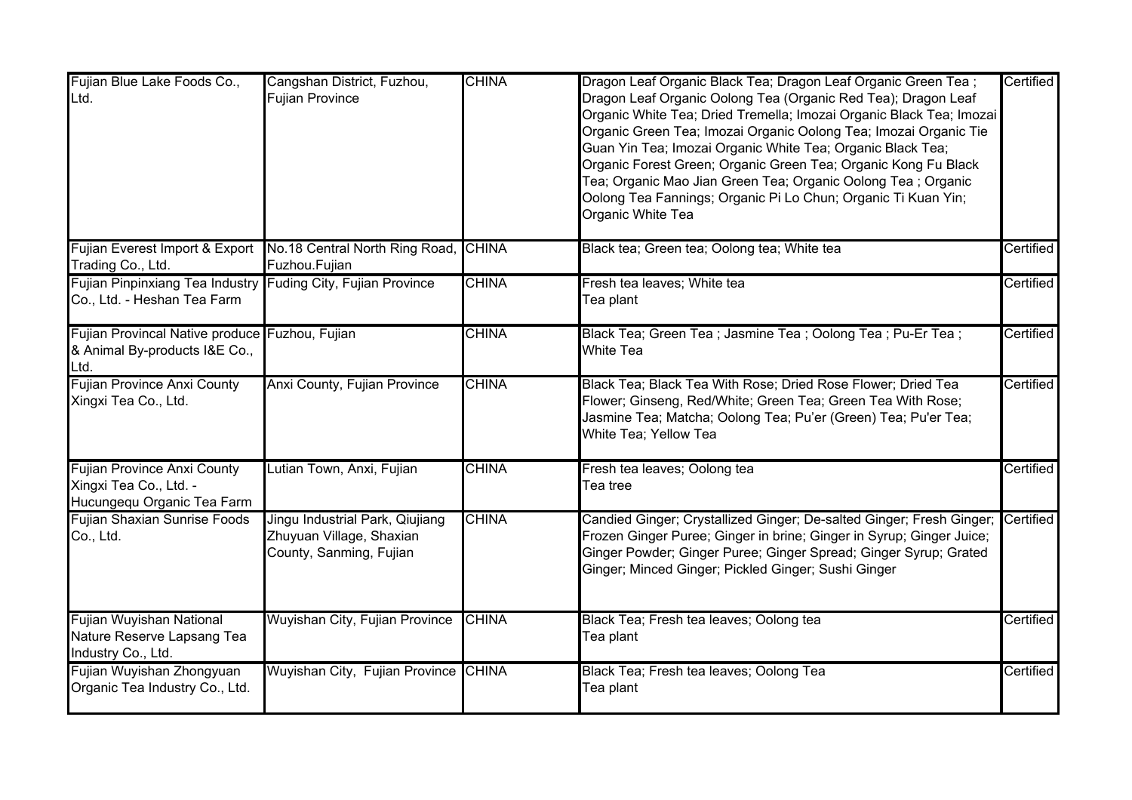| Fujian Blue Lake Foods Co.,<br>Ltd.                                                         | Cangshan District, Fuzhou,<br><b>Fujian Province</b>                                   | <b>CHINA</b> | Dragon Leaf Organic Black Tea; Dragon Leaf Organic Green Tea;<br>Dragon Leaf Organic Oolong Tea (Organic Red Tea); Dragon Leaf<br>Organic White Tea; Dried Tremella; Imozai Organic Black Tea; Imozai<br>Organic Green Tea; Imozai Organic Oolong Tea; Imozai Organic Tie<br>Guan Yin Tea; Imozai Organic White Tea; Organic Black Tea;<br>Organic Forest Green; Organic Green Tea; Organic Kong Fu Black<br>Tea; Organic Mao Jian Green Tea; Organic Oolong Tea ; Organic<br>Oolong Tea Fannings; Organic Pi Lo Chun; Organic Ti Kuan Yin;<br>Organic White Tea | Certified |
|---------------------------------------------------------------------------------------------|----------------------------------------------------------------------------------------|--------------|------------------------------------------------------------------------------------------------------------------------------------------------------------------------------------------------------------------------------------------------------------------------------------------------------------------------------------------------------------------------------------------------------------------------------------------------------------------------------------------------------------------------------------------------------------------|-----------|
| Fujian Everest Import & Export No.18 Central North Ring Road,<br>Trading Co., Ltd.          | Fuzhou.Fujian                                                                          | <b>CHINA</b> | Black tea; Green tea; Oolong tea; White tea                                                                                                                                                                                                                                                                                                                                                                                                                                                                                                                      | Certified |
| Fujian Pinpinxiang Tea Industry Fuding City, Fujian Province<br>Co., Ltd. - Heshan Tea Farm |                                                                                        | <b>CHINA</b> | Fresh tea leaves; White tea<br>Tea plant                                                                                                                                                                                                                                                                                                                                                                                                                                                                                                                         | Certified |
| Fujian Provincal Native produce Fuzhou, Fujian<br>& Animal By-products I&E Co.,<br>Ltd.     |                                                                                        | <b>CHINA</b> | Black Tea; Green Tea; Jasmine Tea; Oolong Tea; Pu-Er Tea;<br><b>White Tea</b>                                                                                                                                                                                                                                                                                                                                                                                                                                                                                    | Certified |
| <b>Fujian Province Anxi County</b><br>Xingxi Tea Co., Ltd.                                  | Anxi County, Fujian Province                                                           | <b>CHINA</b> | Black Tea; Black Tea With Rose; Dried Rose Flower; Dried Tea<br>Flower; Ginseng, Red/White; Green Tea; Green Tea With Rose;<br>Jasmine Tea; Matcha; Oolong Tea; Pu'er (Green) Tea; Pu'er Tea;<br>White Tea; Yellow Tea                                                                                                                                                                                                                                                                                                                                           | Certified |
| <b>Fujian Province Anxi County</b><br>Xingxi Tea Co., Ltd. -<br>Hucungequ Organic Tea Farm  | Lutian Town, Anxi, Fujian                                                              | <b>CHINA</b> | Fresh tea leaves; Oolong tea<br>Tea tree                                                                                                                                                                                                                                                                                                                                                                                                                                                                                                                         | Certified |
| <b>Fujian Shaxian Sunrise Foods</b><br>Co., Ltd.                                            | Jingu Industrial Park, Qiujiang<br>Zhuyuan Village, Shaxian<br>County, Sanming, Fujian | <b>CHINA</b> | Candied Ginger; Crystallized Ginger; De-salted Ginger; Fresh Ginger;<br>Frozen Ginger Puree; Ginger in brine; Ginger in Syrup; Ginger Juice;<br>Ginger Powder; Ginger Puree; Ginger Spread; Ginger Syrup; Grated<br>Ginger; Minced Ginger; Pickled Ginger; Sushi Ginger                                                                                                                                                                                                                                                                                          | Certified |
| Fujian Wuyishan National<br>Nature Reserve Lapsang Tea<br>Industry Co., Ltd.                | Wuyishan City, Fujian Province                                                         | <b>CHINA</b> | Black Tea; Fresh tea leaves; Oolong tea<br>Tea plant                                                                                                                                                                                                                                                                                                                                                                                                                                                                                                             | Certified |
| Fujian Wuyishan Zhongyuan<br>Organic Tea Industry Co., Ltd.                                 | Wuyishan City, Fujian Province CHINA                                                   |              | Black Tea; Fresh tea leaves; Oolong Tea<br>Tea plant                                                                                                                                                                                                                                                                                                                                                                                                                                                                                                             | Certified |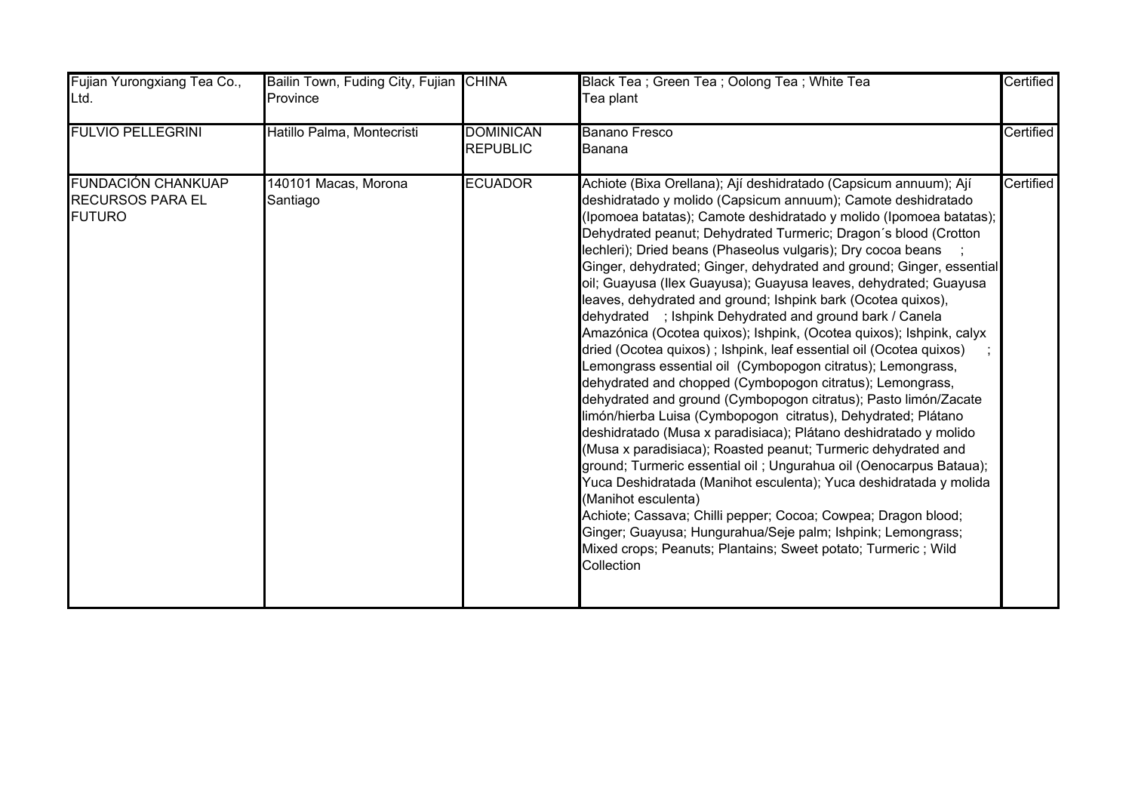| Fujian Yurongxiang Tea Co.,<br>Ltd.                                   | Bailin Town, Fuding City, Fujian CHINA<br>Province |                                     | Black Tea; Green Tea; Oolong Tea; White Tea<br>Tea plant                                                                                                                                                                                                                                                                                                                                                                                                                                                                                                                                                                                                                                                                                                                                                                                                                                                                                                                                                                                                                                                                                                                                                                                                                                                                                                                                                                                                                                                                                              | Certified |
|-----------------------------------------------------------------------|----------------------------------------------------|-------------------------------------|-------------------------------------------------------------------------------------------------------------------------------------------------------------------------------------------------------------------------------------------------------------------------------------------------------------------------------------------------------------------------------------------------------------------------------------------------------------------------------------------------------------------------------------------------------------------------------------------------------------------------------------------------------------------------------------------------------------------------------------------------------------------------------------------------------------------------------------------------------------------------------------------------------------------------------------------------------------------------------------------------------------------------------------------------------------------------------------------------------------------------------------------------------------------------------------------------------------------------------------------------------------------------------------------------------------------------------------------------------------------------------------------------------------------------------------------------------------------------------------------------------------------------------------------------------|-----------|
| <b>FULVIO PELLEGRINI</b>                                              | Hatillo Palma, Montecristi                         | <b>DOMINICAN</b><br><b>REPUBLIC</b> | <b>Banano Fresco</b><br>Banana                                                                                                                                                                                                                                                                                                                                                                                                                                                                                                                                                                                                                                                                                                                                                                                                                                                                                                                                                                                                                                                                                                                                                                                                                                                                                                                                                                                                                                                                                                                        | Certified |
| <b>FUNDACIÓN CHANKUAP</b><br><b>RECURSOS PARA EL</b><br><b>FUTURO</b> | 140101 Macas, Morona<br>Santiago                   | <b>ECUADOR</b>                      | Achiote (Bixa Orellana); Ají deshidratado (Capsicum annuum); Ají<br>deshidratado y molido (Capsicum annuum); Camote deshidratado<br>(Ipomoea batatas); Camote deshidratado y molido (Ipomoea batatas);<br>Dehydrated peanut; Dehydrated Turmeric; Dragon's blood (Crotton<br>lechleri); Dried beans (Phaseolus vulgaris); Dry cocoa beans<br>Ginger, dehydrated; Ginger, dehydrated and ground; Ginger, essential<br>oil; Guayusa (Ilex Guayusa); Guayusa leaves, dehydrated; Guayusa<br>leaves, dehydrated and ground; Ishpink bark (Ocotea quixos),<br>dehydrated ; Ishpink Dehydrated and ground bark / Canela<br>Amazónica (Ocotea quixos); Ishpink, (Ocotea quixos); Ishpink, calyx<br>dried (Ocotea quixos); Ishpink, leaf essential oil (Ocotea quixos)<br>Lemongrass essential oil (Cymbopogon citratus); Lemongrass,<br>dehydrated and chopped (Cymbopogon citratus); Lemongrass,<br>dehydrated and ground (Cymbopogon citratus); Pasto limón/Zacate<br>limón/hierba Luisa (Cymbopogon citratus), Dehydrated; Plátano<br>deshidratado (Musa x paradisiaca); Plátano deshidratado y molido<br>(Musa x paradisiaca); Roasted peanut; Turmeric dehydrated and<br>ground; Turmeric essential oil; Ungurahua oil (Oenocarpus Bataua);<br>Yuca Deshidratada (Manihot esculenta); Yuca deshidratada y molida<br>(Manihot esculenta)<br>Achiote; Cassava; Chilli pepper; Cocoa; Cowpea; Dragon blood;<br>Ginger; Guayusa; Hungurahua/Seje palm; Ishpink; Lemongrass;<br>Mixed crops; Peanuts; Plantains; Sweet potato; Turmeric ; Wild<br>Collection | Certified |
|                                                                       |                                                    |                                     |                                                                                                                                                                                                                                                                                                                                                                                                                                                                                                                                                                                                                                                                                                                                                                                                                                                                                                                                                                                                                                                                                                                                                                                                                                                                                                                                                                                                                                                                                                                                                       |           |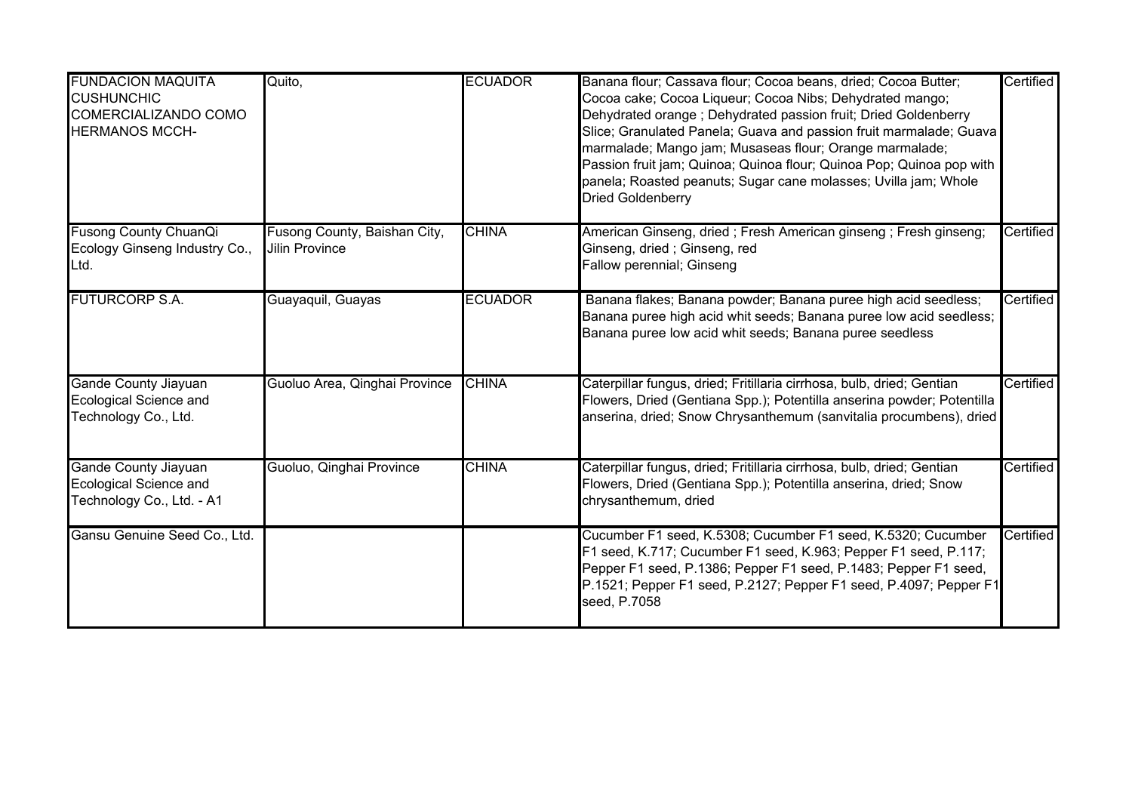| <b>FUNDACION MAQUITA</b><br><b>CUSHUNCHIC</b><br>COMERCIALIZANDO COMO<br><b>HERMANOS MCCH-</b> | Quito,                                         | <b>ECUADOR</b> | Banana flour; Cassava flour; Cocoa beans, dried; Cocoa Butter;<br>Cocoa cake; Cocoa Liqueur; Cocoa Nibs; Dehydrated mango;<br>Dehydrated orange; Dehydrated passion fruit; Dried Goldenberry<br>Slice; Granulated Panela; Guava and passion fruit marmalade; Guava<br>marmalade; Mango jam; Musaseas flour; Orange marmalade;<br>Passion fruit jam; Quinoa; Quinoa flour; Quinoa Pop; Quinoa pop with<br>panela; Roasted peanuts; Sugar cane molasses; Uvilla jam; Whole<br>Dried Goldenberry | Certified |
|------------------------------------------------------------------------------------------------|------------------------------------------------|----------------|-----------------------------------------------------------------------------------------------------------------------------------------------------------------------------------------------------------------------------------------------------------------------------------------------------------------------------------------------------------------------------------------------------------------------------------------------------------------------------------------------|-----------|
| <b>Fusong County ChuanQi</b><br>Ecology Ginseng Industry Co.,<br>Ltd.                          | Fusong County, Baishan City,<br>Jilin Province | <b>CHINA</b>   | American Ginseng, dried; Fresh American ginseng; Fresh ginseng;<br>Ginseng, dried; Ginseng, red<br>Fallow perennial; Ginseng                                                                                                                                                                                                                                                                                                                                                                  | Certified |
| <b>FUTURCORP S.A.</b>                                                                          | Guayaquil, Guayas                              | <b>ECUADOR</b> | Banana flakes; Banana powder; Banana puree high acid seedless;<br>Banana puree high acid whit seeds; Banana puree low acid seedless;<br>Banana puree low acid whit seeds; Banana puree seedless                                                                                                                                                                                                                                                                                               | Certified |
| <b>Gande County Jiayuan</b><br>Ecological Science and<br>Technology Co., Ltd.                  | Guoluo Area, Qinghai Province                  | <b>CHINA</b>   | Caterpillar fungus, dried; Fritillaria cirrhosa, bulb, dried; Gentian<br>Flowers, Dried (Gentiana Spp.); Potentilla anserina powder; Potentilla<br>anserina, dried; Snow Chrysanthemum (sanvitalia procumbens), dried                                                                                                                                                                                                                                                                         | Certified |
| <b>Gande County Jiayuan</b><br>Ecological Science and<br>Technology Co., Ltd. - A1             | Guoluo, Qinghai Province                       | <b>CHINA</b>   | Caterpillar fungus, dried; Fritillaria cirrhosa, bulb, dried; Gentian<br>Flowers, Dried (Gentiana Spp.); Potentilla anserina, dried; Snow<br>chrysanthemum, dried                                                                                                                                                                                                                                                                                                                             | Certified |
| Gansu Genuine Seed Co., Ltd.                                                                   |                                                |                | Cucumber F1 seed, K.5308; Cucumber F1 seed, K.5320; Cucumber<br>F1 seed, K.717; Cucumber F1 seed, K.963; Pepper F1 seed, P.117;<br>Pepper F1 seed, P.1386; Pepper F1 seed, P.1483; Pepper F1 seed,<br>P.1521; Pepper F1 seed, P.2127; Pepper F1 seed, P.4097; Pepper F1<br>seed, P.7058                                                                                                                                                                                                       | Certified |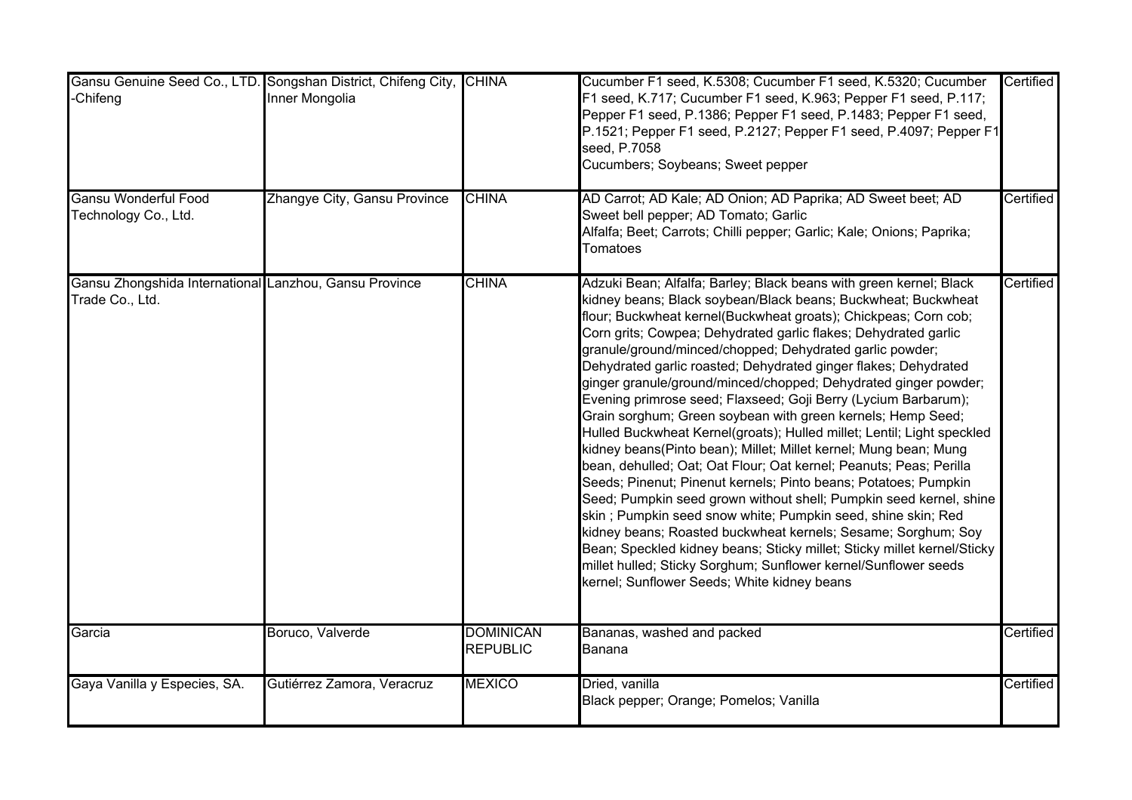| -Chifeng                                                                  | Gansu Genuine Seed Co., LTD. Songshan District, Chifeng City, CHINA<br>Inner Mongolia |                                     | Cucumber F1 seed, K.5308; Cucumber F1 seed, K.5320; Cucumber<br>F1 seed, K.717; Cucumber F1 seed, K.963; Pepper F1 seed, P.117;<br>Pepper F1 seed, P.1386; Pepper F1 seed, P.1483; Pepper F1 seed,<br>P.1521; Pepper F1 seed, P.2127; Pepper F1 seed, P.4097; Pepper F1<br>seed, P.7058<br>Cucumbers; Soybeans; Sweet pepper                                                                                                                                                                                                                                                                                                                                                                                                                                                                                                                                                                                                                                                                                                                                                                                                                                                                                                                                                                            | Certified |
|---------------------------------------------------------------------------|---------------------------------------------------------------------------------------|-------------------------------------|---------------------------------------------------------------------------------------------------------------------------------------------------------------------------------------------------------------------------------------------------------------------------------------------------------------------------------------------------------------------------------------------------------------------------------------------------------------------------------------------------------------------------------------------------------------------------------------------------------------------------------------------------------------------------------------------------------------------------------------------------------------------------------------------------------------------------------------------------------------------------------------------------------------------------------------------------------------------------------------------------------------------------------------------------------------------------------------------------------------------------------------------------------------------------------------------------------------------------------------------------------------------------------------------------------|-----------|
| <b>Gansu Wonderful Food</b><br>Technology Co., Ltd.                       | Zhangye City, Gansu Province                                                          | <b>CHINA</b>                        | AD Carrot; AD Kale; AD Onion; AD Paprika; AD Sweet beet; AD<br>Sweet bell pepper; AD Tomato; Garlic<br>Alfalfa; Beet; Carrots; Chilli pepper; Garlic; Kale; Onions; Paprika;<br>Tomatoes                                                                                                                                                                                                                                                                                                                                                                                                                                                                                                                                                                                                                                                                                                                                                                                                                                                                                                                                                                                                                                                                                                                | Certified |
| Gansu Zhongshida International Lanzhou, Gansu Province<br>Trade Co., Ltd. |                                                                                       | <b>CHINA</b>                        | Adzuki Bean; Alfalfa; Barley; Black beans with green kernel; Black<br>kidney beans; Black soybean/Black beans; Buckwheat; Buckwheat<br>flour; Buckwheat kernel(Buckwheat groats); Chickpeas; Corn cob;<br>Corn grits; Cowpea; Dehydrated garlic flakes; Dehydrated garlic<br>granule/ground/minced/chopped; Dehydrated garlic powder;<br>Dehydrated garlic roasted; Dehydrated ginger flakes; Dehydrated<br>ginger granule/ground/minced/chopped; Dehydrated ginger powder;<br>Evening primrose seed; Flaxseed; Goji Berry (Lycium Barbarum);<br>Grain sorghum; Green soybean with green kernels; Hemp Seed;<br>Hulled Buckwheat Kernel(groats); Hulled millet; Lentil; Light speckled<br>kidney beans(Pinto bean); Millet; Millet kernel; Mung bean; Mung<br>bean, dehulled; Oat; Oat Flour; Oat kernel; Peanuts; Peas; Perilla<br>Seeds; Pinenut; Pinenut kernels; Pinto beans; Potatoes; Pumpkin<br>Seed; Pumpkin seed grown without shell; Pumpkin seed kernel, shine<br>skin; Pumpkin seed snow white; Pumpkin seed, shine skin; Red<br>kidney beans; Roasted buckwheat kernels; Sesame; Sorghum; Soy<br>Bean; Speckled kidney beans; Sticky millet; Sticky millet kernel/Sticky<br>millet hulled; Sticky Sorghum; Sunflower kernel/Sunflower seeds<br>kernel; Sunflower Seeds; White kidney beans | Certified |
| Garcia                                                                    | Boruco, Valverde                                                                      | <b>DOMINICAN</b><br><b>REPUBLIC</b> | Bananas, washed and packed<br>Banana                                                                                                                                                                                                                                                                                                                                                                                                                                                                                                                                                                                                                                                                                                                                                                                                                                                                                                                                                                                                                                                                                                                                                                                                                                                                    | Certified |
| Gaya Vanilla y Especies, SA.                                              | Gutiérrez Zamora, Veracruz                                                            | <b>MEXICO</b>                       | Dried, vanilla<br>Black pepper; Orange; Pomelos; Vanilla                                                                                                                                                                                                                                                                                                                                                                                                                                                                                                                                                                                                                                                                                                                                                                                                                                                                                                                                                                                                                                                                                                                                                                                                                                                | Certified |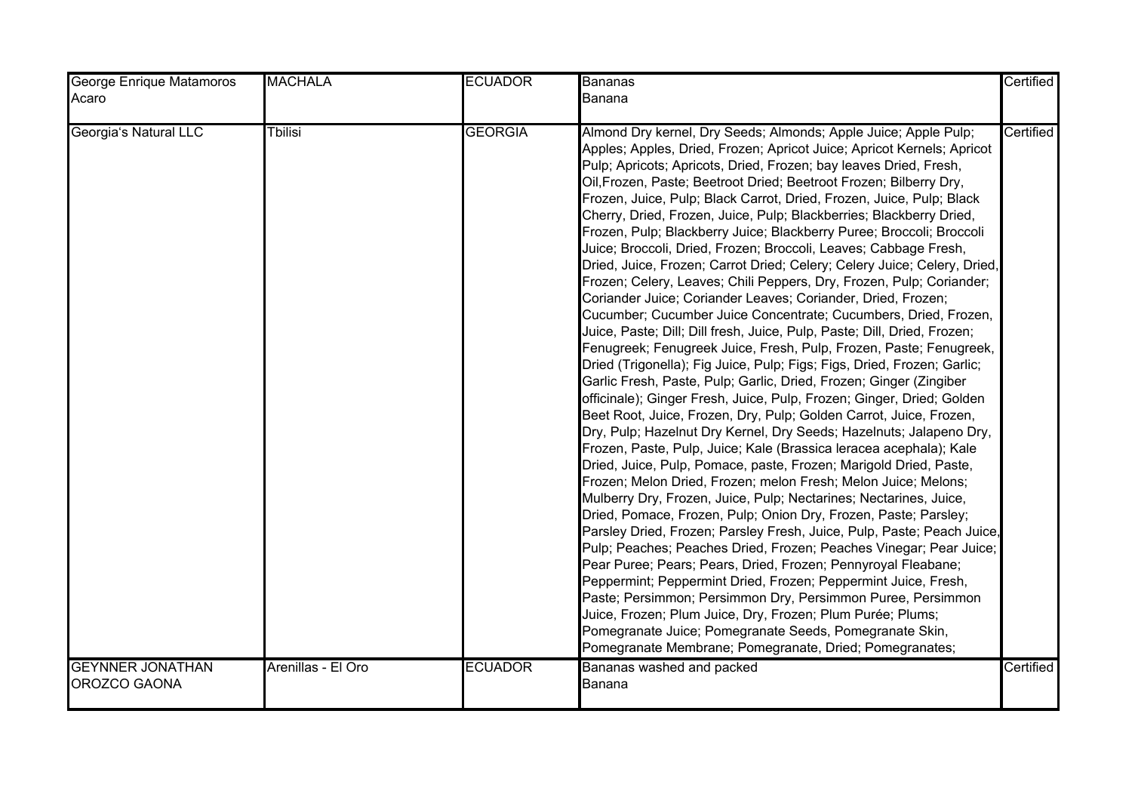| George Enrique Matamoros                | <b>MACHALA</b>     | <b>ECUADOR</b> | <b>Bananas</b>                                                                                                                                                                                                                                                                                                                                                                                                                                                                                                                                                                                                                                                                                                                                                                                                                                                                                                                                                                                                                                                                                                                                                                                                                                                                                                                                                                                                                                                                                                                                                                                                                                                                                                                                                                                                                                                                                                                                                                                                                                                                                                                                                                                                                                                                             | Certified |
|-----------------------------------------|--------------------|----------------|--------------------------------------------------------------------------------------------------------------------------------------------------------------------------------------------------------------------------------------------------------------------------------------------------------------------------------------------------------------------------------------------------------------------------------------------------------------------------------------------------------------------------------------------------------------------------------------------------------------------------------------------------------------------------------------------------------------------------------------------------------------------------------------------------------------------------------------------------------------------------------------------------------------------------------------------------------------------------------------------------------------------------------------------------------------------------------------------------------------------------------------------------------------------------------------------------------------------------------------------------------------------------------------------------------------------------------------------------------------------------------------------------------------------------------------------------------------------------------------------------------------------------------------------------------------------------------------------------------------------------------------------------------------------------------------------------------------------------------------------------------------------------------------------------------------------------------------------------------------------------------------------------------------------------------------------------------------------------------------------------------------------------------------------------------------------------------------------------------------------------------------------------------------------------------------------------------------------------------------------------------------------------------------------|-----------|
| Acaro                                   |                    |                | Banana                                                                                                                                                                                                                                                                                                                                                                                                                                                                                                                                                                                                                                                                                                                                                                                                                                                                                                                                                                                                                                                                                                                                                                                                                                                                                                                                                                                                                                                                                                                                                                                                                                                                                                                                                                                                                                                                                                                                                                                                                                                                                                                                                                                                                                                                                     |           |
| Georgia's Natural LLC                   | <b>Thilisi</b>     | <b>GEORGIA</b> | Almond Dry kernel, Dry Seeds; Almonds; Apple Juice; Apple Pulp;<br>Apples; Apples, Dried, Frozen; Apricot Juice; Apricot Kernels; Apricot<br>Pulp; Apricots; Apricots, Dried, Frozen; bay leaves Dried, Fresh,<br>Oil, Frozen, Paste; Beetroot Dried; Beetroot Frozen; Bilberry Dry,<br>Frozen, Juice, Pulp; Black Carrot, Dried, Frozen, Juice, Pulp; Black<br>Cherry, Dried, Frozen, Juice, Pulp; Blackberries; Blackberry Dried,<br>Frozen, Pulp; Blackberry Juice; Blackberry Puree; Broccoli; Broccoli<br>Juice; Broccoli, Dried, Frozen; Broccoli, Leaves; Cabbage Fresh,<br>Dried, Juice, Frozen; Carrot Dried; Celery; Celery Juice; Celery, Dried,<br>Frozen; Celery, Leaves; Chili Peppers, Dry, Frozen, Pulp; Coriander;<br>Coriander Juice; Coriander Leaves; Coriander, Dried, Frozen;<br>Cucumber; Cucumber Juice Concentrate; Cucumbers, Dried, Frozen,<br>Juice, Paste; Dill; Dill fresh, Juice, Pulp, Paste; Dill, Dried, Frozen;<br>Fenugreek; Fenugreek Juice, Fresh, Pulp, Frozen, Paste; Fenugreek,<br>Dried (Trigonella); Fig Juice, Pulp; Figs; Figs, Dried, Frozen; Garlic;<br>Garlic Fresh, Paste, Pulp; Garlic, Dried, Frozen; Ginger (Zingiber<br>officinale); Ginger Fresh, Juice, Pulp, Frozen; Ginger, Dried; Golden<br>Beet Root, Juice, Frozen, Dry, Pulp; Golden Carrot, Juice, Frozen,<br>Dry, Pulp; Hazelnut Dry Kernel, Dry Seeds; Hazelnuts; Jalapeno Dry,<br>Frozen, Paste, Pulp, Juice; Kale (Brassica leracea acephala); Kale<br>Dried, Juice, Pulp, Pomace, paste, Frozen; Marigold Dried, Paste,<br>Frozen; Melon Dried, Frozen; melon Fresh; Melon Juice; Melons;<br>Mulberry Dry, Frozen, Juice, Pulp; Nectarines; Nectarines, Juice,<br>Dried, Pomace, Frozen, Pulp; Onion Dry, Frozen, Paste; Parsley;<br>Parsley Dried, Frozen; Parsley Fresh, Juice, Pulp, Paste; Peach Juice,<br>Pulp; Peaches; Peaches Dried, Frozen; Peaches Vinegar; Pear Juice;<br>Pear Puree; Pears; Pears, Dried, Frozen; Pennyroyal Fleabane;<br>Peppermint; Peppermint Dried, Frozen; Peppermint Juice, Fresh,<br>Paste; Persimmon; Persimmon Dry, Persimmon Puree, Persimmon<br>Juice, Frozen; Plum Juice, Dry, Frozen; Plum Purée; Plums;<br>Pomegranate Juice; Pomegranate Seeds, Pomegranate Skin,<br>Pomegranate Membrane; Pomegranate, Dried; Pomegranates; | Certified |
| <b>GEYNNER JONATHAN</b><br>OROZCO GAONA | Arenillas - El Oro | <b>ECUADOR</b> | Bananas washed and packed<br>Banana                                                                                                                                                                                                                                                                                                                                                                                                                                                                                                                                                                                                                                                                                                                                                                                                                                                                                                                                                                                                                                                                                                                                                                                                                                                                                                                                                                                                                                                                                                                                                                                                                                                                                                                                                                                                                                                                                                                                                                                                                                                                                                                                                                                                                                                        | Certified |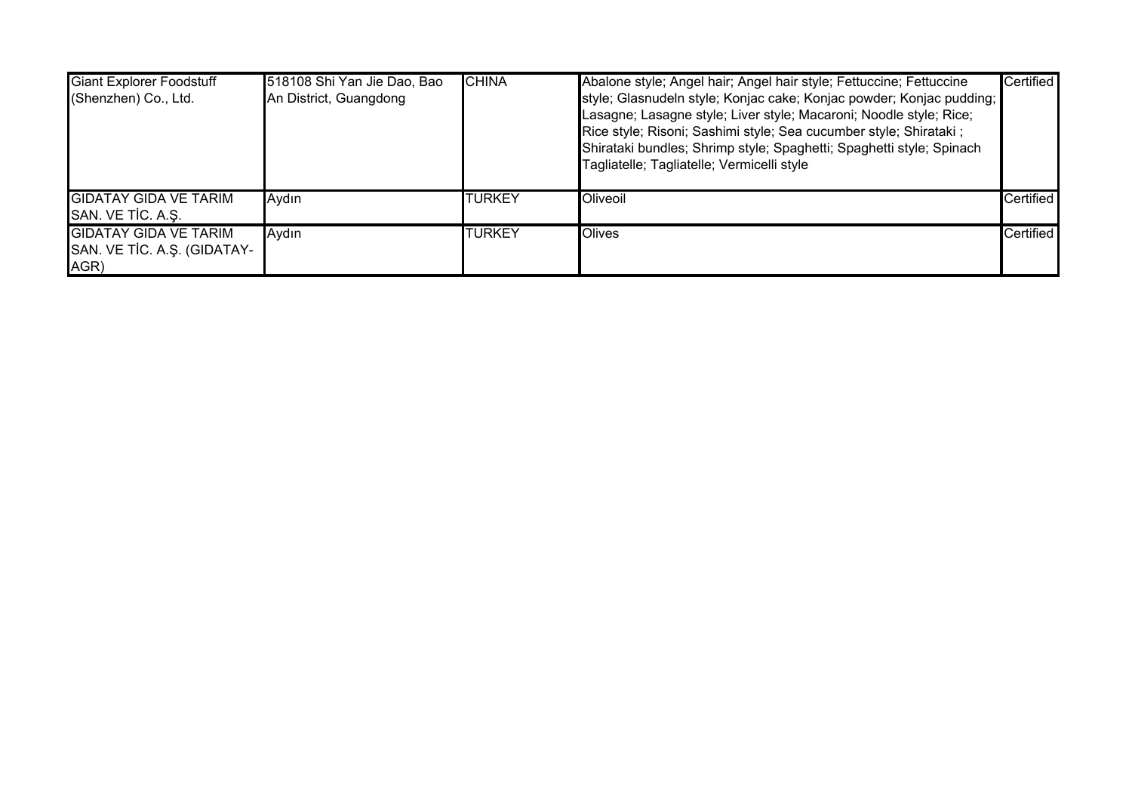| <b>Giant Explorer Foodstuff</b><br>(Shenzhen) Co., Ltd.             | 518108 Shi Yan Jie Dao, Bao<br>An District, Guangdong | <b>CHINA</b>   | Abalone style; Angel hair; Angel hair style; Fettuccine; Fettuccine<br>style; Glasnudeln style; Konjac cake; Konjac powder; Konjac pudding;<br>Lasagne; Lasagne style; Liver style; Macaroni; Noodle style; Rice;<br>Rice style; Risoni; Sashimi style; Sea cucumber style; Shirataki ;<br>Shirataki bundles; Shrimp style; Spaghetti; Spaghetti style; Spinach<br>Tagliatelle; Tagliatelle; Vermicelli style | Certified        |
|---------------------------------------------------------------------|-------------------------------------------------------|----------------|---------------------------------------------------------------------------------------------------------------------------------------------------------------------------------------------------------------------------------------------------------------------------------------------------------------------------------------------------------------------------------------------------------------|------------------|
| <b>GIDATAY GIDA VE TARIM</b><br>SAN. VE TIC. A.Ş.                   | Aydın                                                 | <b>ITURKEY</b> | Oliveoil                                                                                                                                                                                                                                                                                                                                                                                                      | <b>Certified</b> |
| <b>GIDATAY GIDA VE TARIM</b><br>SAN. VE TİC. A.Ş. (GIDATAY-<br>AGR) | Aydın                                                 | <b>TURKEY</b>  | <b>Olives</b>                                                                                                                                                                                                                                                                                                                                                                                                 | <b>Certified</b> |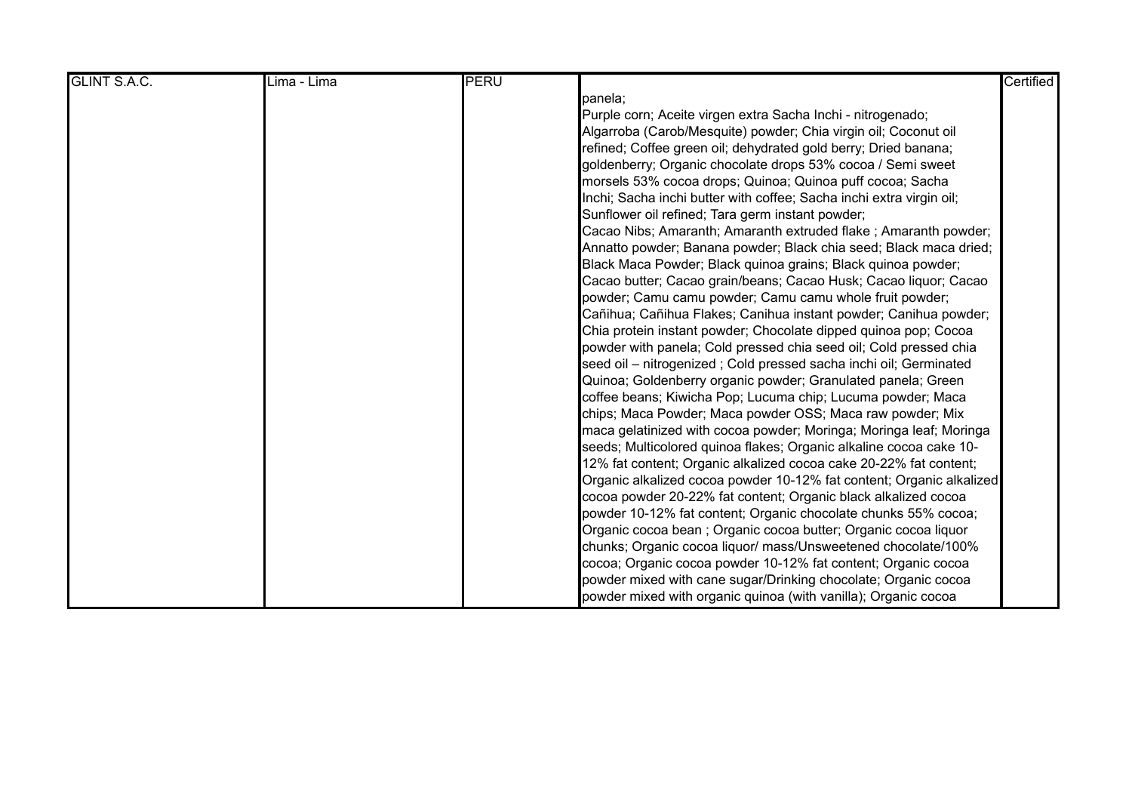| <b>GLINT S.A.C.</b> | Lima - Lima | PERU |                                                                      | Certified |
|---------------------|-------------|------|----------------------------------------------------------------------|-----------|
|                     |             |      | panela;                                                              |           |
|                     |             |      | Purple corn; Aceite virgen extra Sacha Inchi - nitrogenado;          |           |
|                     |             |      | Algarroba (Carob/Mesquite) powder; Chia virgin oil; Coconut oil      |           |
|                     |             |      | refined; Coffee green oil; dehydrated gold berry; Dried banana;      |           |
|                     |             |      | goldenberry; Organic chocolate drops 53% cocoa / Semi sweet          |           |
|                     |             |      | morsels 53% cocoa drops; Quinoa; Quinoa puff cocoa; Sacha            |           |
|                     |             |      | Inchi; Sacha inchi butter with coffee; Sacha inchi extra virgin oil; |           |
|                     |             |      | Sunflower oil refined; Tara germ instant powder;                     |           |
|                     |             |      | Cacao Nibs; Amaranth; Amaranth extruded flake; Amaranth powder;      |           |
|                     |             |      | Annatto powder; Banana powder; Black chia seed; Black maca dried;    |           |
|                     |             |      | Black Maca Powder; Black quinoa grains; Black quinoa powder;         |           |
|                     |             |      | Cacao butter; Cacao grain/beans; Cacao Husk; Cacao liquor; Cacao     |           |
|                     |             |      | powder; Camu camu powder; Camu camu whole fruit powder;              |           |
|                     |             |      | Cañihua; Cañihua Flakes; Canihua instant powder; Canihua powder;     |           |
|                     |             |      | Chia protein instant powder; Chocolate dipped quinoa pop; Cocoa      |           |
|                     |             |      | powder with panela; Cold pressed chia seed oil; Cold pressed chia    |           |
|                     |             |      | seed oil - nitrogenized; Cold pressed sacha inchi oil; Germinated    |           |
|                     |             |      | Quinoa; Goldenberry organic powder; Granulated panela; Green         |           |
|                     |             |      | coffee beans; Kiwicha Pop; Lucuma chip; Lucuma powder; Maca          |           |
|                     |             |      | chips; Maca Powder; Maca powder OSS; Maca raw powder; Mix            |           |
|                     |             |      | maca gelatinized with cocoa powder; Moringa; Moringa leaf; Moringa   |           |
|                     |             |      | seeds; Multicolored quinoa flakes; Organic alkaline cocoa cake 10-   |           |
|                     |             |      | 12% fat content; Organic alkalized cocoa cake 20-22% fat content;    |           |
|                     |             |      | Organic alkalized cocoa powder 10-12% fat content; Organic alkalized |           |
|                     |             |      | cocoa powder 20-22% fat content; Organic black alkalized cocoa       |           |
|                     |             |      | powder 10-12% fat content; Organic chocolate chunks 55% cocoa;       |           |
|                     |             |      | Organic cocoa bean ; Organic cocoa butter; Organic cocoa liquor      |           |
|                     |             |      | chunks; Organic cocoa liquor/ mass/Unsweetened chocolate/100%        |           |
|                     |             |      | cocoa; Organic cocoa powder 10-12% fat content; Organic cocoa        |           |
|                     |             |      | powder mixed with cane sugar/Drinking chocolate; Organic cocoa       |           |
|                     |             |      | powder mixed with organic quinoa (with vanilla); Organic cocoa       |           |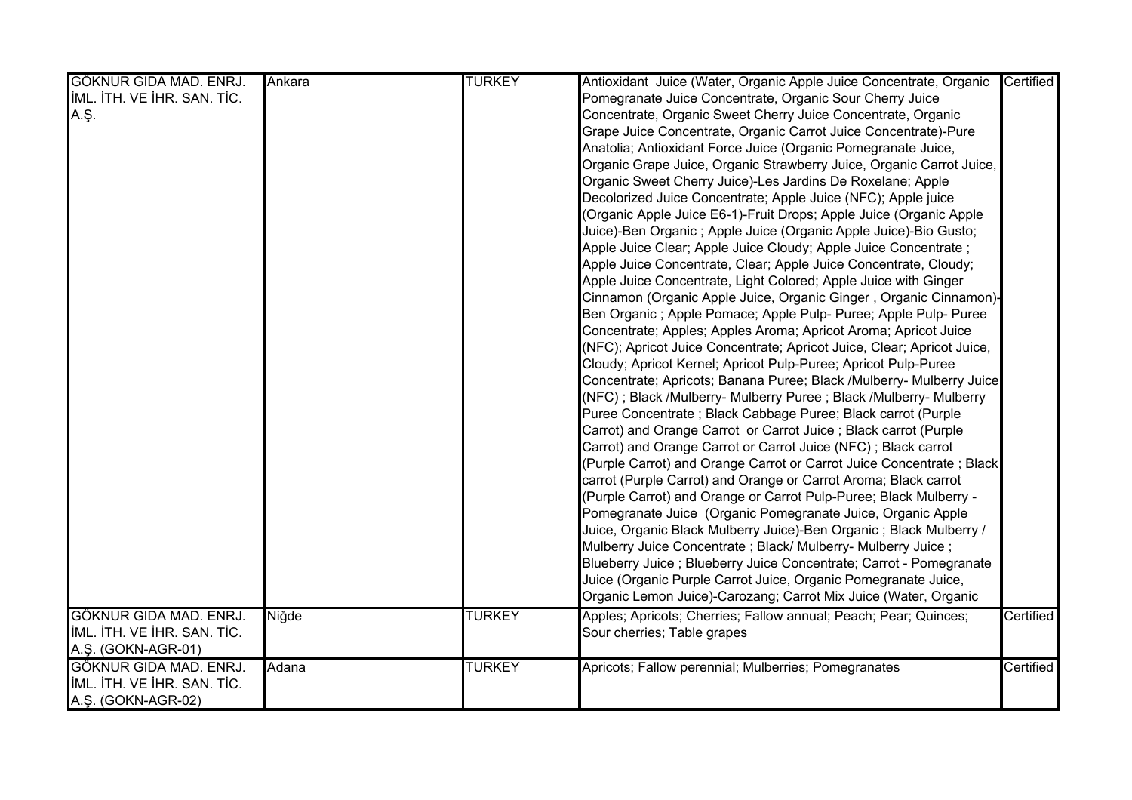| GÖKNUR GIDA MAD. ENRJ.      | Ankara | <b>TURKEY</b> | Antioxidant Juice (Water, Organic Apple Juice Concentrate, Organic     | Certified |
|-----------------------------|--------|---------------|------------------------------------------------------------------------|-----------|
| IML. ITH. VE IHR. SAN. TIC. |        |               | Pomegranate Juice Concentrate, Organic Sour Cherry Juice               |           |
| A.Ş.                        |        |               | Concentrate, Organic Sweet Cherry Juice Concentrate, Organic           |           |
|                             |        |               | Grape Juice Concentrate, Organic Carrot Juice Concentrate)-Pure        |           |
|                             |        |               | Anatolia; Antioxidant Force Juice (Organic Pomegranate Juice,          |           |
|                             |        |               | Organic Grape Juice, Organic Strawberry Juice, Organic Carrot Juice,   |           |
|                             |        |               | Organic Sweet Cherry Juice)-Les Jardins De Roxelane; Apple             |           |
|                             |        |               | Decolorized Juice Concentrate; Apple Juice (NFC); Apple juice          |           |
|                             |        |               | (Organic Apple Juice E6-1)-Fruit Drops; Apple Juice (Organic Apple     |           |
|                             |        |               | Juice)-Ben Organic ; Apple Juice (Organic Apple Juice)-Bio Gusto;      |           |
|                             |        |               | Apple Juice Clear; Apple Juice Cloudy; Apple Juice Concentrate;        |           |
|                             |        |               | Apple Juice Concentrate, Clear; Apple Juice Concentrate, Cloudy;       |           |
|                             |        |               | Apple Juice Concentrate, Light Colored; Apple Juice with Ginger        |           |
|                             |        |               | Cinnamon (Organic Apple Juice, Organic Ginger, Organic Cinnamon)-      |           |
|                             |        |               | Ben Organic; Apple Pomace; Apple Pulp- Puree; Apple Pulp- Puree        |           |
|                             |        |               | Concentrate; Apples; Apples Aroma; Apricot Aroma; Apricot Juice        |           |
|                             |        |               | (NFC); Apricot Juice Concentrate; Apricot Juice, Clear; Apricot Juice, |           |
|                             |        |               | Cloudy; Apricot Kernel; Apricot Pulp-Puree; Apricot Pulp-Puree         |           |
|                             |        |               | Concentrate; Apricots; Banana Puree; Black /Mulberry- Mulberry Juice   |           |
|                             |        |               | (NFC); Black /Mulberry- Mulberry Puree; Black /Mulberry- Mulberry      |           |
|                             |        |               | Puree Concentrate; Black Cabbage Puree; Black carrot (Purple           |           |
|                             |        |               | Carrot) and Orange Carrot or Carrot Juice; Black carrot (Purple        |           |
|                             |        |               | Carrot) and Orange Carrot or Carrot Juice (NFC); Black carrot          |           |
|                             |        |               | (Purple Carrot) and Orange Carrot or Carrot Juice Concentrate ; Black  |           |
|                             |        |               | carrot (Purple Carrot) and Orange or Carrot Aroma; Black carrot        |           |
|                             |        |               | (Purple Carrot) and Orange or Carrot Pulp-Puree; Black Mulberry -      |           |
|                             |        |               | Pomegranate Juice (Organic Pomegranate Juice, Organic Apple            |           |
|                             |        |               | Juice, Organic Black Mulberry Juice)-Ben Organic ; Black Mulberry /    |           |
|                             |        |               | Mulberry Juice Concentrate; Black/ Mulberry- Mulberry Juice;           |           |
|                             |        |               | Blueberry Juice; Blueberry Juice Concentrate; Carrot - Pomegranate     |           |
|                             |        |               | Juice (Organic Purple Carrot Juice, Organic Pomegranate Juice,         |           |
|                             |        |               | Organic Lemon Juice)-Carozang; Carrot Mix Juice (Water, Organic        |           |
| GÖKNUR GIDA MAD. ENRJ.      | Niğde  | <b>TURKEY</b> | Apples; Apricots; Cherries; Fallow annual; Peach; Pear; Quinces;       | Certified |
| IML. ITH. VE IHR. SAN. TIC. |        |               | Sour cherries; Table grapes                                            |           |
| A.Ş. (GOKN-AGR-01)          |        |               |                                                                        |           |
| GÖKNUR GIDA MAD. ENRJ.      | Adana  | <b>TURKEY</b> | Apricots; Fallow perennial; Mulberries; Pomegranates                   | Certified |
| IML. ITH. VE IHR. SAN. TIC. |        |               |                                                                        |           |
| A.Ş. (GOKN-AGR-02)          |        |               |                                                                        |           |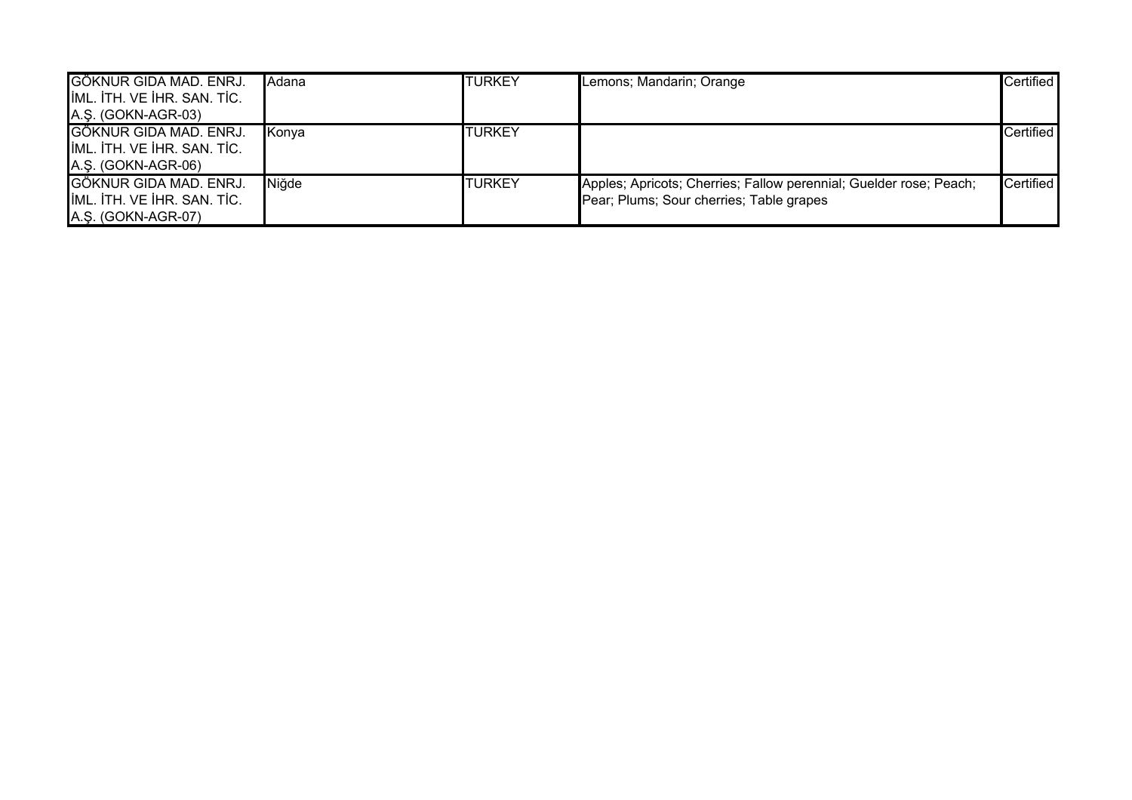| GÖKNUR GIDA MAD. ENRJ.      | <b>Adana</b> | <b>TURKEY</b> | Lemons; Mandarin; Orange                                           | Certified        |
|-----------------------------|--------------|---------------|--------------------------------------------------------------------|------------------|
| IML. ITH. VE IHR. SAN. TIC. |              |               |                                                                    |                  |
| A.Ş. (GOKN-AGR-03)          |              |               |                                                                    |                  |
| GÖKNUR GIDA MAD. ENRJ.      | Konya        | <b>TURKEY</b> |                                                                    | Certified        |
| IML. ITH. VE IHR. SAN. TIC. |              |               |                                                                    |                  |
| A.Ş. (GOKN-AGR-06)          |              |               |                                                                    |                  |
| GÖKNUR GIDA MAD. ENRJ.      | Niğde        | <b>TURKEY</b> | Apples; Apricots; Cherries; Fallow perennial; Guelder rose; Peach; | <b>Certified</b> |
| IML. ITH. VE IHR. SAN. TIC. |              |               | Pear; Plums; Sour cherries; Table grapes                           |                  |
| A.Ş. (GOKN-AGR-07)          |              |               |                                                                    |                  |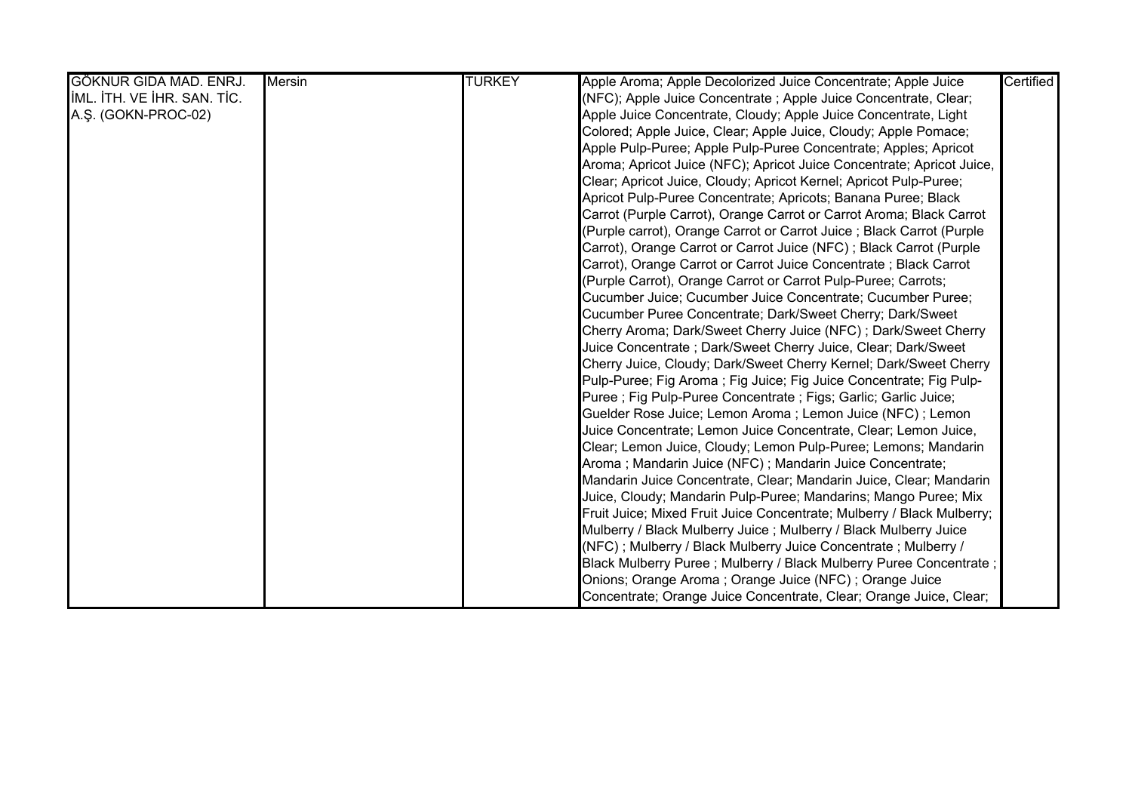| GÖKNUR GIDA MAD. ENRJ.      | <b>Mersin</b> | <b>TURKEY</b> | Apple Aroma; Apple Decolorized Juice Concentrate; Apple Juice          | Certified |
|-----------------------------|---------------|---------------|------------------------------------------------------------------------|-----------|
| IML. ITH. VE IHR. SAN. TIC. |               |               | (NFC); Apple Juice Concentrate ; Apple Juice Concentrate, Clear;       |           |
| A.Ş. (GOKN-PROC-02)         |               |               | Apple Juice Concentrate, Cloudy; Apple Juice Concentrate, Light        |           |
|                             |               |               | Colored; Apple Juice, Clear; Apple Juice, Cloudy; Apple Pomace;        |           |
|                             |               |               | Apple Pulp-Puree; Apple Pulp-Puree Concentrate; Apples; Apricot        |           |
|                             |               |               | Aroma; Apricot Juice (NFC); Apricot Juice Concentrate; Apricot Juice,  |           |
|                             |               |               | Clear; Apricot Juice, Cloudy; Apricot Kernel; Apricot Pulp-Puree;      |           |
|                             |               |               | Apricot Pulp-Puree Concentrate; Apricots; Banana Puree; Black          |           |
|                             |               |               | Carrot (Purple Carrot), Orange Carrot or Carrot Aroma; Black Carrot    |           |
|                             |               |               | (Purple carrot), Orange Carrot or Carrot Juice ; Black Carrot (Purple  |           |
|                             |               |               | Carrot), Orange Carrot or Carrot Juice (NFC); Black Carrot (Purple     |           |
|                             |               |               | Carrot), Orange Carrot or Carrot Juice Concentrate; Black Carrot       |           |
|                             |               |               | (Purple Carrot), Orange Carrot or Carrot Pulp-Puree; Carrots;          |           |
|                             |               |               | Cucumber Juice; Cucumber Juice Concentrate; Cucumber Puree;            |           |
|                             |               |               | Cucumber Puree Concentrate; Dark/Sweet Cherry; Dark/Sweet              |           |
|                             |               |               | Cherry Aroma; Dark/Sweet Cherry Juice (NFC); Dark/Sweet Cherry         |           |
|                             |               |               | Juice Concentrate ; Dark/Sweet Cherry Juice, Clear; Dark/Sweet         |           |
|                             |               |               | Cherry Juice, Cloudy; Dark/Sweet Cherry Kernel; Dark/Sweet Cherry      |           |
|                             |               |               | Pulp-Puree; Fig Aroma; Fig Juice; Fig Juice Concentrate; Fig Pulp-     |           |
|                             |               |               | Puree; Fig Pulp-Puree Concentrate; Figs; Garlic; Garlic Juice;         |           |
|                             |               |               | Guelder Rose Juice; Lemon Aroma; Lemon Juice (NFC); Lemon              |           |
|                             |               |               | Juice Concentrate; Lemon Juice Concentrate, Clear; Lemon Juice,        |           |
|                             |               |               | Clear; Lemon Juice, Cloudy; Lemon Pulp-Puree; Lemons; Mandarin         |           |
|                             |               |               | Aroma; Mandarin Juice (NFC); Mandarin Juice Concentrate;               |           |
|                             |               |               | Mandarin Juice Concentrate, Clear; Mandarin Juice, Clear; Mandarin     |           |
|                             |               |               | Juice, Cloudy; Mandarin Pulp-Puree; Mandarins; Mango Puree; Mix        |           |
|                             |               |               | Fruit Juice; Mixed Fruit Juice Concentrate; Mulberry / Black Mulberry; |           |
|                             |               |               | Mulberry / Black Mulberry Juice ; Mulberry / Black Mulberry Juice      |           |
|                             |               |               | (NFC); Mulberry / Black Mulberry Juice Concentrate; Mulberry /         |           |
|                             |               |               | Black Mulberry Puree; Mulberry / Black Mulberry Puree Concentrate;     |           |
|                             |               |               | Onions; Orange Aroma; Orange Juice (NFC); Orange Juice                 |           |
|                             |               |               | Concentrate; Orange Juice Concentrate, Clear; Orange Juice, Clear;     |           |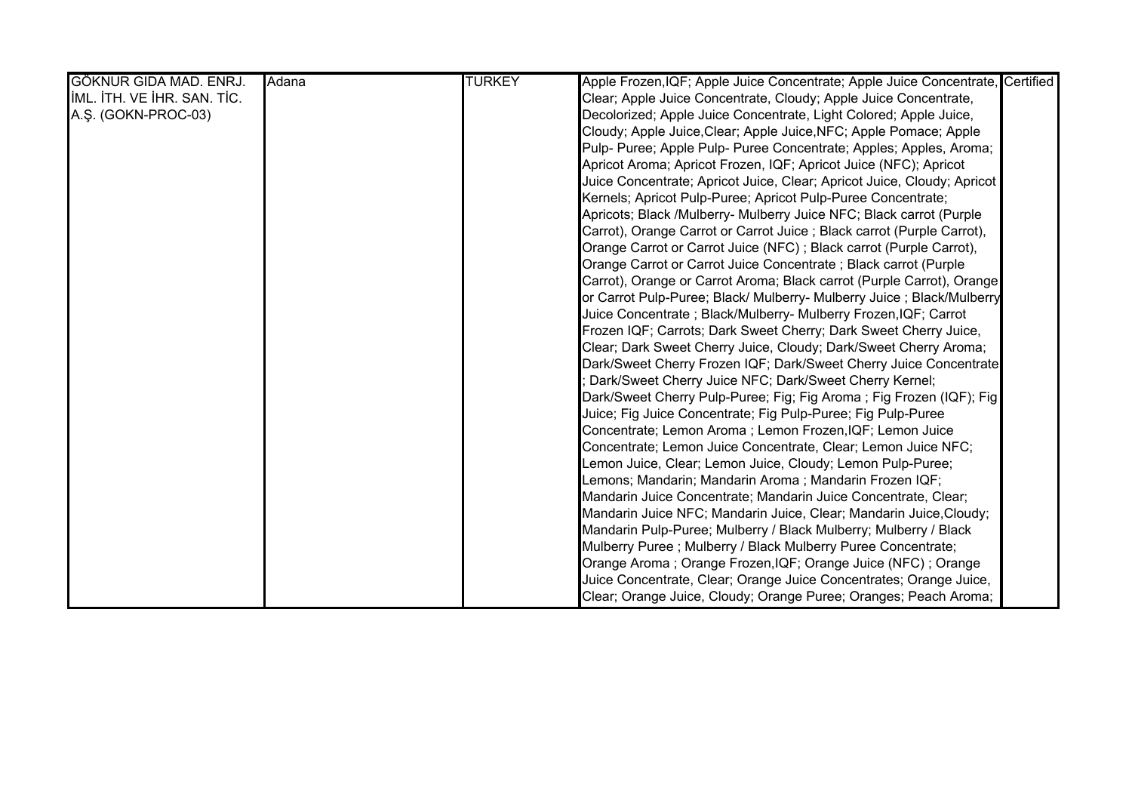| GÖKNUR GIDA MAD. ENRJ.      | Adana | <b>TURKEY</b> | Apple Frozen, IQF; Apple Juice Concentrate; Apple Juice Concentrate, Certified |
|-----------------------------|-------|---------------|--------------------------------------------------------------------------------|
| IML. ITH. VE IHR. SAN. TIC. |       |               | Clear; Apple Juice Concentrate, Cloudy; Apple Juice Concentrate,               |
| A.Ş. (GOKN-PROC-03)         |       |               | Decolorized; Apple Juice Concentrate, Light Colored; Apple Juice,              |
|                             |       |               | Cloudy; Apple Juice, Clear; Apple Juice, NFC; Apple Pomace; Apple              |
|                             |       |               | Pulp- Puree; Apple Pulp- Puree Concentrate; Apples; Apples, Aroma;             |
|                             |       |               | Apricot Aroma; Apricot Frozen, IQF; Apricot Juice (NFC); Apricot               |
|                             |       |               | Juice Concentrate; Apricot Juice, Clear; Apricot Juice, Cloudy; Apricot        |
|                             |       |               | Kernels; Apricot Pulp-Puree; Apricot Pulp-Puree Concentrate;                   |
|                             |       |               | Apricots; Black /Mulberry- Mulberry Juice NFC; Black carrot (Purple            |
|                             |       |               | Carrot), Orange Carrot or Carrot Juice; Black carrot (Purple Carrot),          |
|                             |       |               | Orange Carrot or Carrot Juice (NFC); Black carrot (Purple Carrot),             |
|                             |       |               | Orange Carrot or Carrot Juice Concentrate; Black carrot (Purple                |
|                             |       |               | Carrot), Orange or Carrot Aroma; Black carrot (Purple Carrot), Orange          |
|                             |       |               | or Carrot Pulp-Puree; Black/ Mulberry- Mulberry Juice ; Black/Mulberry         |
|                             |       |               | Juice Concentrate ; Black/Mulberry- Mulberry Frozen, IQF; Carrot               |
|                             |       |               | Frozen IQF; Carrots; Dark Sweet Cherry; Dark Sweet Cherry Juice,               |
|                             |       |               | Clear; Dark Sweet Cherry Juice, Cloudy; Dark/Sweet Cherry Aroma;               |
|                             |       |               | Dark/Sweet Cherry Frozen IQF; Dark/Sweet Cherry Juice Concentrate              |
|                             |       |               | Dark/Sweet Cherry Juice NFC; Dark/Sweet Cherry Kernel;                         |
|                             |       |               | Dark/Sweet Cherry Pulp-Puree; Fig; Fig Aroma ; Fig Frozen (IQF); Fig           |
|                             |       |               | Juice; Fig Juice Concentrate; Fig Pulp-Puree; Fig Pulp-Puree                   |
|                             |       |               | Concentrate; Lemon Aroma; Lemon Frozen, IQF; Lemon Juice                       |
|                             |       |               | Concentrate; Lemon Juice Concentrate, Clear; Lemon Juice NFC;                  |
|                             |       |               | Lemon Juice, Clear; Lemon Juice, Cloudy; Lemon Pulp-Puree;                     |
|                             |       |               | Lemons; Mandarin; Mandarin Aroma ; Mandarin Frozen IQF;                        |
|                             |       |               | Mandarin Juice Concentrate; Mandarin Juice Concentrate, Clear;                 |
|                             |       |               | Mandarin Juice NFC; Mandarin Juice, Clear; Mandarin Juice, Cloudy;             |
|                             |       |               | Mandarin Pulp-Puree; Mulberry / Black Mulberry; Mulberry / Black               |
|                             |       |               | Mulberry Puree ; Mulberry / Black Mulberry Puree Concentrate;                  |
|                             |       |               | Orange Aroma; Orange Frozen, IQF; Orange Juice (NFC); Orange                   |
|                             |       |               | Juice Concentrate, Clear; Orange Juice Concentrates; Orange Juice,             |
|                             |       |               | Clear; Orange Juice, Cloudy; Orange Puree; Oranges; Peach Aroma;               |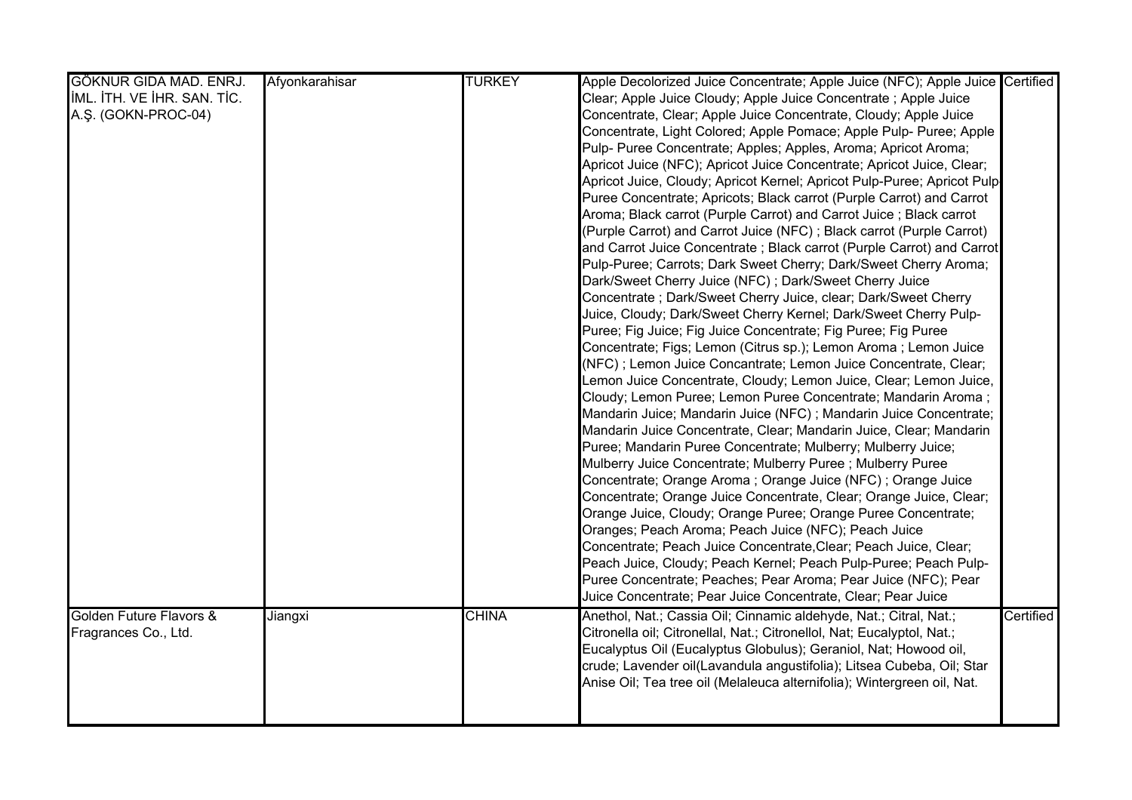| GÖKNUR GIDA MAD. ENRJ.      | Afyonkarahisar | <b>TURKEY</b> | Apple Decolorized Juice Concentrate; Apple Juice (NFC); Apple Juice Certified |           |
|-----------------------------|----------------|---------------|-------------------------------------------------------------------------------|-----------|
| IML. ITH. VE IHR. SAN. TIC. |                |               | Clear; Apple Juice Cloudy; Apple Juice Concentrate ; Apple Juice              |           |
| A.Ş. (GOKN-PROC-04)         |                |               | Concentrate, Clear; Apple Juice Concentrate, Cloudy; Apple Juice              |           |
|                             |                |               | Concentrate, Light Colored; Apple Pomace; Apple Pulp- Puree; Apple            |           |
|                             |                |               | Pulp- Puree Concentrate; Apples; Apples, Aroma; Apricot Aroma;                |           |
|                             |                |               | Apricot Juice (NFC); Apricot Juice Concentrate; Apricot Juice, Clear;         |           |
|                             |                |               | Apricot Juice, Cloudy; Apricot Kernel; Apricot Pulp-Puree; Apricot Pulp-      |           |
|                             |                |               | Puree Concentrate; Apricots; Black carrot (Purple Carrot) and Carrot          |           |
|                             |                |               | Aroma; Black carrot (Purple Carrot) and Carrot Juice; Black carrot            |           |
|                             |                |               | (Purple Carrot) and Carrot Juice (NFC); Black carrot (Purple Carrot)          |           |
|                             |                |               | and Carrot Juice Concentrate; Black carrot (Purple Carrot) and Carrot         |           |
|                             |                |               | Pulp-Puree; Carrots; Dark Sweet Cherry; Dark/Sweet Cherry Aroma;              |           |
|                             |                |               | Dark/Sweet Cherry Juice (NFC); Dark/Sweet Cherry Juice                        |           |
|                             |                |               | Concentrate; Dark/Sweet Cherry Juice, clear; Dark/Sweet Cherry                |           |
|                             |                |               | Juice, Cloudy; Dark/Sweet Cherry Kernel; Dark/Sweet Cherry Pulp-              |           |
|                             |                |               | Puree; Fig Juice; Fig Juice Concentrate; Fig Puree; Fig Puree                 |           |
|                             |                |               | Concentrate; Figs; Lemon (Citrus sp.); Lemon Aroma ; Lemon Juice              |           |
|                             |                |               | (NFC); Lemon Juice Concantrate; Lemon Juice Concentrate, Clear;               |           |
|                             |                |               | Lemon Juice Concentrate, Cloudy; Lemon Juice, Clear; Lemon Juice,             |           |
|                             |                |               | Cloudy; Lemon Puree; Lemon Puree Concentrate; Mandarin Aroma;                 |           |
|                             |                |               | Mandarin Juice; Mandarin Juice (NFC); Mandarin Juice Concentrate;             |           |
|                             |                |               | Mandarin Juice Concentrate, Clear; Mandarin Juice, Clear; Mandarin            |           |
|                             |                |               | Puree; Mandarin Puree Concentrate; Mulberry; Mulberry Juice;                  |           |
|                             |                |               | Mulberry Juice Concentrate; Mulberry Puree ; Mulberry Puree                   |           |
|                             |                |               | Concentrate; Orange Aroma; Orange Juice (NFC); Orange Juice                   |           |
|                             |                |               | Concentrate; Orange Juice Concentrate, Clear; Orange Juice, Clear;            |           |
|                             |                |               | Orange Juice, Cloudy; Orange Puree; Orange Puree Concentrate;                 |           |
|                             |                |               | Oranges; Peach Aroma; Peach Juice (NFC); Peach Juice                          |           |
|                             |                |               | Concentrate; Peach Juice Concentrate, Clear; Peach Juice, Clear;              |           |
|                             |                |               | Peach Juice, Cloudy; Peach Kernel; Peach Pulp-Puree; Peach Pulp-              |           |
|                             |                |               | Puree Concentrate; Peaches; Pear Aroma; Pear Juice (NFC); Pear                |           |
|                             |                |               | Juice Concentrate; Pear Juice Concentrate, Clear; Pear Juice                  |           |
| Golden Future Flavors &     | Jiangxi        | <b>CHINA</b>  | Anethol, Nat.; Cassia Oil; Cinnamic aldehyde, Nat.; Citral, Nat.;             | Certified |
| Fragrances Co., Ltd.        |                |               | Citronella oil; Citronellal, Nat.; Citronellol, Nat; Eucalyptol, Nat.;        |           |
|                             |                |               | Eucalyptus Oil (Eucalyptus Globulus); Geraniol, Nat; Howood oil,              |           |
|                             |                |               | crude; Lavender oil(Lavandula angustifolia); Litsea Cubeba, Oil; Star         |           |
|                             |                |               | Anise Oil; Tea tree oil (Melaleuca alternifolia); Wintergreen oil, Nat.       |           |
|                             |                |               |                                                                               |           |
|                             |                |               |                                                                               |           |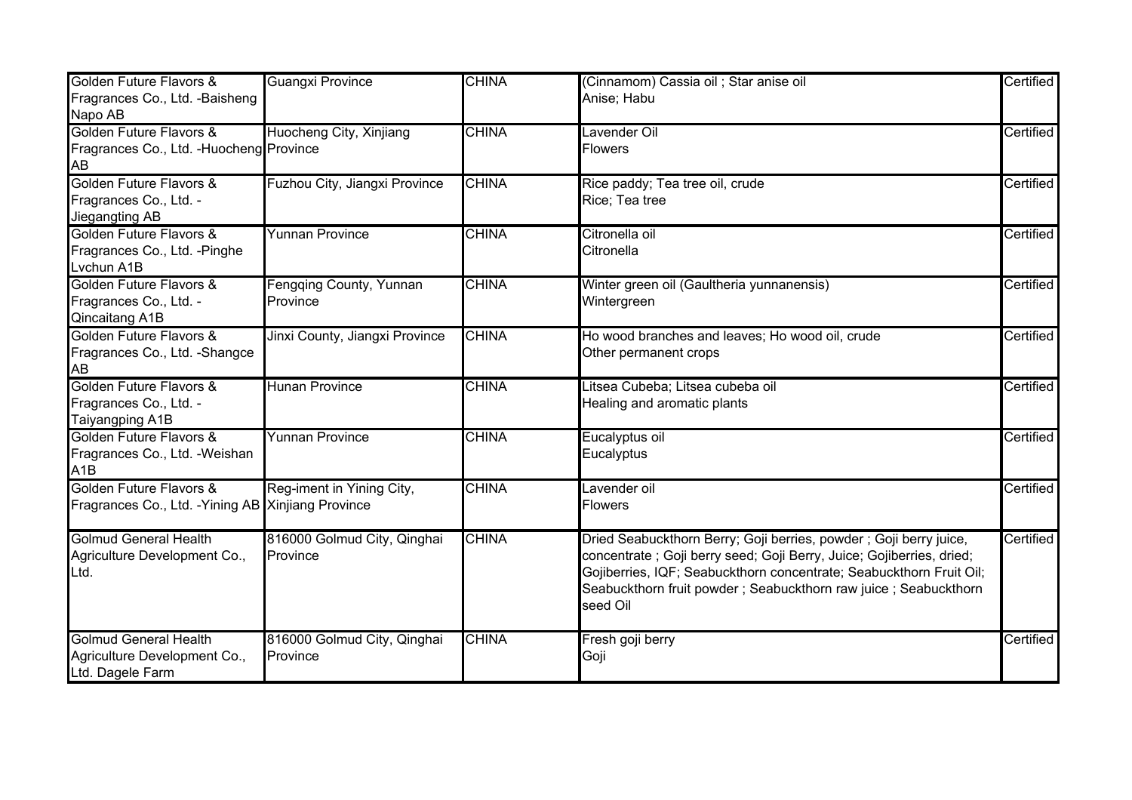| Golden Future Flavors &                            | <b>Guangxi Province</b>        | <b>CHINA</b> | (Cinnamom) Cassia oil ; Star anise oil                               | Certified |
|----------------------------------------------------|--------------------------------|--------------|----------------------------------------------------------------------|-----------|
| Fragrances Co., Ltd. -Baisheng                     |                                |              | Anise; Habu                                                          |           |
| Napo AB                                            |                                |              |                                                                      |           |
| Golden Future Flavors &                            | Huocheng City, Xinjiang        | <b>CHINA</b> | Lavender Oil                                                         | Certified |
| Fragrances Co., Ltd. - Huocheng Province           |                                |              | <b>Flowers</b>                                                       |           |
| AB                                                 |                                |              |                                                                      |           |
| Golden Future Flavors &                            | Fuzhou City, Jiangxi Province  | <b>CHINA</b> | Rice paddy; Tea tree oil, crude                                      | Certified |
| Fragrances Co., Ltd. -                             |                                |              | Rice; Tea tree                                                       |           |
| Jiegangting AB                                     |                                |              |                                                                      |           |
| Golden Future Flavors &                            | <b>Yunnan Province</b>         | <b>CHINA</b> | Citronella oil                                                       | Certified |
| Fragrances Co., Ltd. - Pinghe                      |                                |              | Citronella                                                           |           |
| Lvchun A1B                                         |                                |              |                                                                      |           |
| Golden Future Flavors &                            | Fengqing County, Yunnan        | <b>CHINA</b> | Winter green oil (Gaultheria yunnanensis)                            | Certified |
| Fragrances Co., Ltd. -                             | Province                       |              | Wintergreen                                                          |           |
| Qincaitang A1B                                     |                                |              |                                                                      |           |
| Golden Future Flavors &                            | Jinxi County, Jiangxi Province | <b>CHINA</b> | Ho wood branches and leaves; Ho wood oil, crude                      | Certified |
| Fragrances Co., Ltd. - Shangce                     |                                |              | Other permanent crops                                                |           |
| AB                                                 |                                |              |                                                                      |           |
| Golden Future Flavors &                            | <b>Hunan Province</b>          | <b>CHINA</b> | Litsea Cubeba; Litsea cubeba oil                                     | Certified |
| Fragrances Co., Ltd. -                             |                                |              | Healing and aromatic plants                                          |           |
| <b>Taiyangping A1B</b>                             |                                |              |                                                                      |           |
| Golden Future Flavors &                            | <b>Yunnan Province</b>         | <b>CHINA</b> | Eucalyptus oil                                                       | Certified |
| Fragrances Co., Ltd. - Weishan                     |                                |              | Eucalyptus                                                           |           |
| A <sub>1</sub> B                                   |                                |              |                                                                      |           |
| Golden Future Flavors &                            | Reg-iment in Yining City,      | <b>CHINA</b> | Lavender oil                                                         | Certified |
| Fragrances Co., Ltd. - Yining AB Xinjiang Province |                                |              | <b>Flowers</b>                                                       |           |
|                                                    |                                |              |                                                                      |           |
| <b>Golmud General Health</b>                       | 816000 Golmud City, Qinghai    | <b>CHINA</b> | Dried Seabuckthorn Berry; Goji berries, powder ; Goji berry juice,   | Certified |
| Agriculture Development Co.,                       | Province                       |              | concentrate; Goji berry seed; Goji Berry, Juice; Gojiberries, dried; |           |
| Ltd.                                               |                                |              | Gojiberries, IQF; Seabuckthorn concentrate; Seabuckthorn Fruit Oil;  |           |
|                                                    |                                |              | Seabuckthorn fruit powder; Seabuckthorn raw juice; Seabuckthorn      |           |
|                                                    |                                |              | seed Oil                                                             |           |
|                                                    |                                |              |                                                                      |           |
| <b>Golmud General Health</b>                       | 816000 Golmud City, Qinghai    | <b>CHINA</b> | Fresh goji berry                                                     | Certified |
| Agriculture Development Co.,                       | Province                       |              | Goji                                                                 |           |
| Ltd. Dagele Farm                                   |                                |              |                                                                      |           |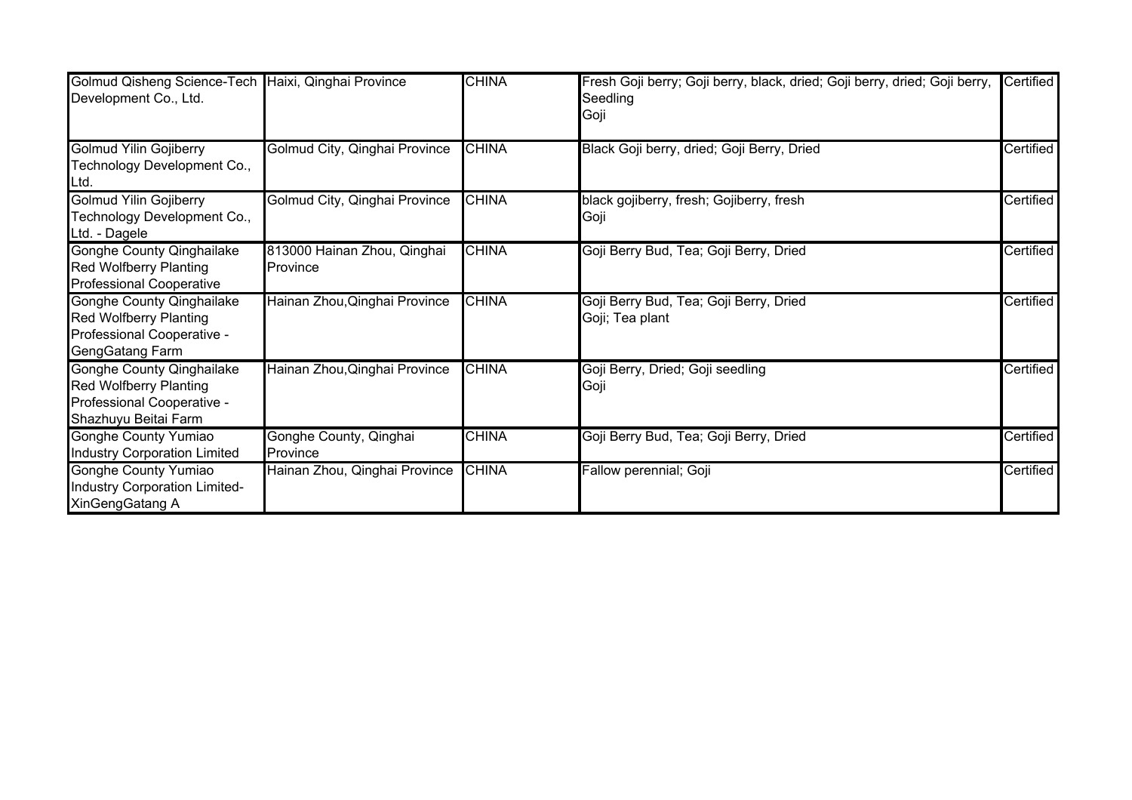| Golmud Qisheng Science-Tech Haixi, Qinghai Province<br>Development Co., Ltd.                                            |                                         | <b>CHINA</b> | Fresh Goji berry; Goji berry, black, dried; Goji berry, dried; Goji berry,<br>Seedling<br>Goji | Certified |
|-------------------------------------------------------------------------------------------------------------------------|-----------------------------------------|--------------|------------------------------------------------------------------------------------------------|-----------|
| <b>Golmud Yilin Gojiberry</b><br>Technology Development Co.,<br>Ltd.                                                    | Golmud City, Qinghai Province           | <b>CHINA</b> | Black Goji berry, dried; Goji Berry, Dried                                                     | Certified |
| <b>Golmud Yilin Gojiberry</b><br>Technology Development Co.,<br>Ltd. - Dagele                                           | Golmud City, Qinghai Province           | <b>CHINA</b> | black gojiberry, fresh; Gojiberry, fresh<br>Goji                                               | Certified |
| <b>Gonghe County Qinghailake</b><br><b>Red Wolfberry Planting</b><br><b>Professional Cooperative</b>                    | 813000 Hainan Zhou, Qinghai<br>Province | <b>CHINA</b> | Goji Berry Bud, Tea; Goji Berry, Dried                                                         | Certified |
| <b>Gonghe County Qinghailake</b><br><b>Red Wolfberry Planting</b><br>Professional Cooperative -<br>GengGatang Farm      | Hainan Zhou, Qinghai Province           | <b>CHINA</b> | Goji Berry Bud, Tea; Goji Berry, Dried<br>Goji; Tea plant                                      | Certified |
| <b>Gonghe County Qinghailake</b><br><b>Red Wolfberry Planting</b><br>Professional Cooperative -<br>Shazhuyu Beitai Farm | Hainan Zhou, Qinghai Province           | <b>CHINA</b> | Goji Berry, Dried; Goji seedling<br>Goji                                                       | Certified |
| <b>Gonghe County Yumiao</b><br><b>Industry Corporation Limited</b>                                                      | Gonghe County, Qinghai<br>Province      | <b>CHINA</b> | Goji Berry Bud, Tea; Goji Berry, Dried                                                         | Certified |
| Gonghe County Yumiao<br>Industry Corporation Limited-<br>XinGengGatang A                                                | Hainan Zhou, Qinghai Province           | <b>CHINA</b> | Fallow perennial; Goji                                                                         | Certified |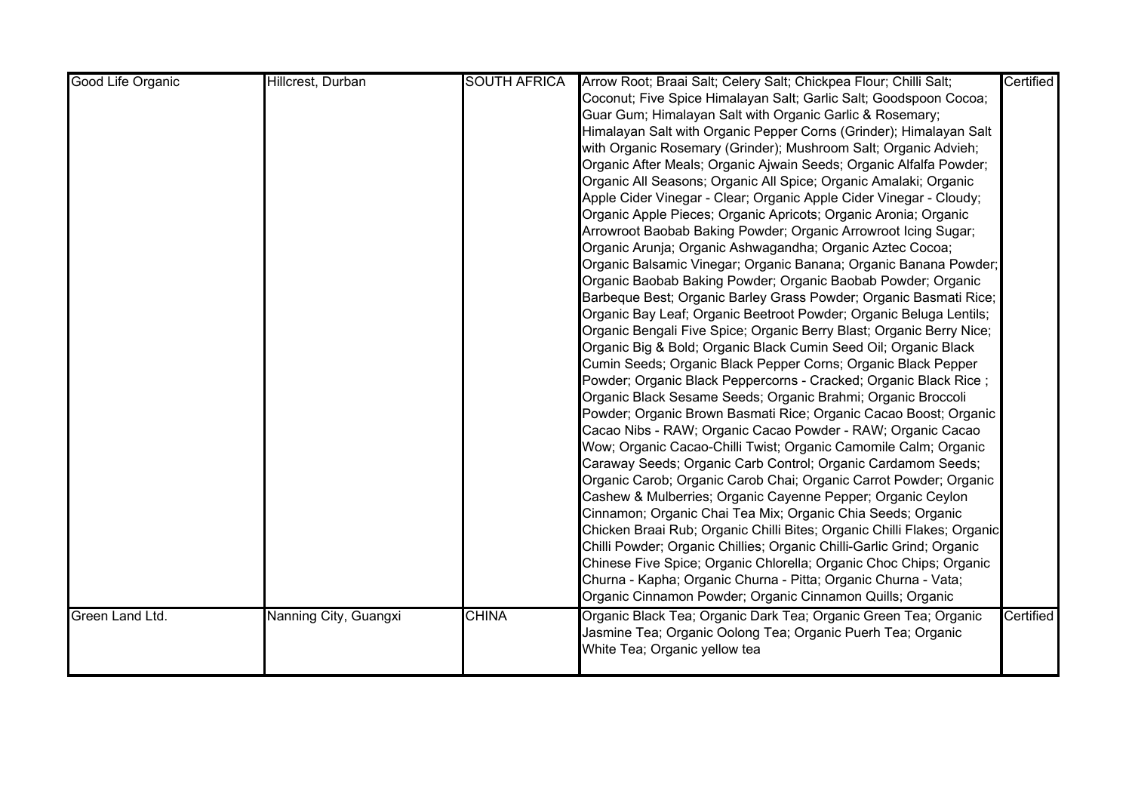| Good Life Organic | Hillcrest, Durban     | <b>SOUTH AFRICA</b> | Arrow Root; Braai Salt; Celery Salt; Chickpea Flour; Chilli Salt;       | Certified |
|-------------------|-----------------------|---------------------|-------------------------------------------------------------------------|-----------|
|                   |                       |                     | Coconut; Five Spice Himalayan Salt; Garlic Salt; Goodspoon Cocoa;       |           |
|                   |                       |                     | Guar Gum; Himalayan Salt with Organic Garlic & Rosemary;                |           |
|                   |                       |                     | Himalayan Salt with Organic Pepper Corns (Grinder); Himalayan Salt      |           |
|                   |                       |                     | with Organic Rosemary (Grinder); Mushroom Salt; Organic Advieh;         |           |
|                   |                       |                     | Organic After Meals; Organic Ajwain Seeds; Organic Alfalfa Powder;      |           |
|                   |                       |                     | Organic All Seasons; Organic All Spice; Organic Amalaki; Organic        |           |
|                   |                       |                     | Apple Cider Vinegar - Clear; Organic Apple Cider Vinegar - Cloudy;      |           |
|                   |                       |                     | Organic Apple Pieces; Organic Apricots; Organic Aronia; Organic         |           |
|                   |                       |                     | Arrowroot Baobab Baking Powder; Organic Arrowroot Icing Sugar;          |           |
|                   |                       |                     | Organic Arunja; Organic Ashwagandha; Organic Aztec Cocoa;               |           |
|                   |                       |                     | Organic Balsamic Vinegar; Organic Banana; Organic Banana Powder;        |           |
|                   |                       |                     | Organic Baobab Baking Powder; Organic Baobab Powder; Organic            |           |
|                   |                       |                     | Barbeque Best; Organic Barley Grass Powder; Organic Basmati Rice;       |           |
|                   |                       |                     | Organic Bay Leaf; Organic Beetroot Powder; Organic Beluga Lentils;      |           |
|                   |                       |                     | Organic Bengali Five Spice; Organic Berry Blast; Organic Berry Nice;    |           |
|                   |                       |                     | Organic Big & Bold; Organic Black Cumin Seed Oil; Organic Black         |           |
|                   |                       |                     | Cumin Seeds; Organic Black Pepper Corns; Organic Black Pepper           |           |
|                   |                       |                     | Powder; Organic Black Peppercorns - Cracked; Organic Black Rice ;       |           |
|                   |                       |                     | Organic Black Sesame Seeds; Organic Brahmi; Organic Broccoli            |           |
|                   |                       |                     | Powder; Organic Brown Basmati Rice; Organic Cacao Boost; Organic        |           |
|                   |                       |                     | Cacao Nibs - RAW; Organic Cacao Powder - RAW; Organic Cacao             |           |
|                   |                       |                     | Wow; Organic Cacao-Chilli Twist; Organic Camomile Calm; Organic         |           |
|                   |                       |                     | Caraway Seeds; Organic Carb Control; Organic Cardamom Seeds;            |           |
|                   |                       |                     | Organic Carob; Organic Carob Chai; Organic Carrot Powder; Organic       |           |
|                   |                       |                     | Cashew & Mulberries; Organic Cayenne Pepper; Organic Ceylon             |           |
|                   |                       |                     | Cinnamon; Organic Chai Tea Mix; Organic Chia Seeds; Organic             |           |
|                   |                       |                     | Chicken Braai Rub; Organic Chilli Bites; Organic Chilli Flakes; Organic |           |
|                   |                       |                     | Chilli Powder; Organic Chillies; Organic Chilli-Garlic Grind; Organic   |           |
|                   |                       |                     | Chinese Five Spice; Organic Chlorella; Organic Choc Chips; Organic      |           |
|                   |                       |                     | Churna - Kapha; Organic Churna - Pitta; Organic Churna - Vata;          |           |
|                   |                       |                     | Organic Cinnamon Powder; Organic Cinnamon Quills; Organic               |           |
| Green Land Ltd.   | Nanning City, Guangxi | <b>CHINA</b>        | Organic Black Tea; Organic Dark Tea; Organic Green Tea; Organic         | Certified |
|                   |                       |                     | Jasmine Tea; Organic Oolong Tea; Organic Puerh Tea; Organic             |           |
|                   |                       |                     | White Tea; Organic yellow tea                                           |           |
|                   |                       |                     |                                                                         |           |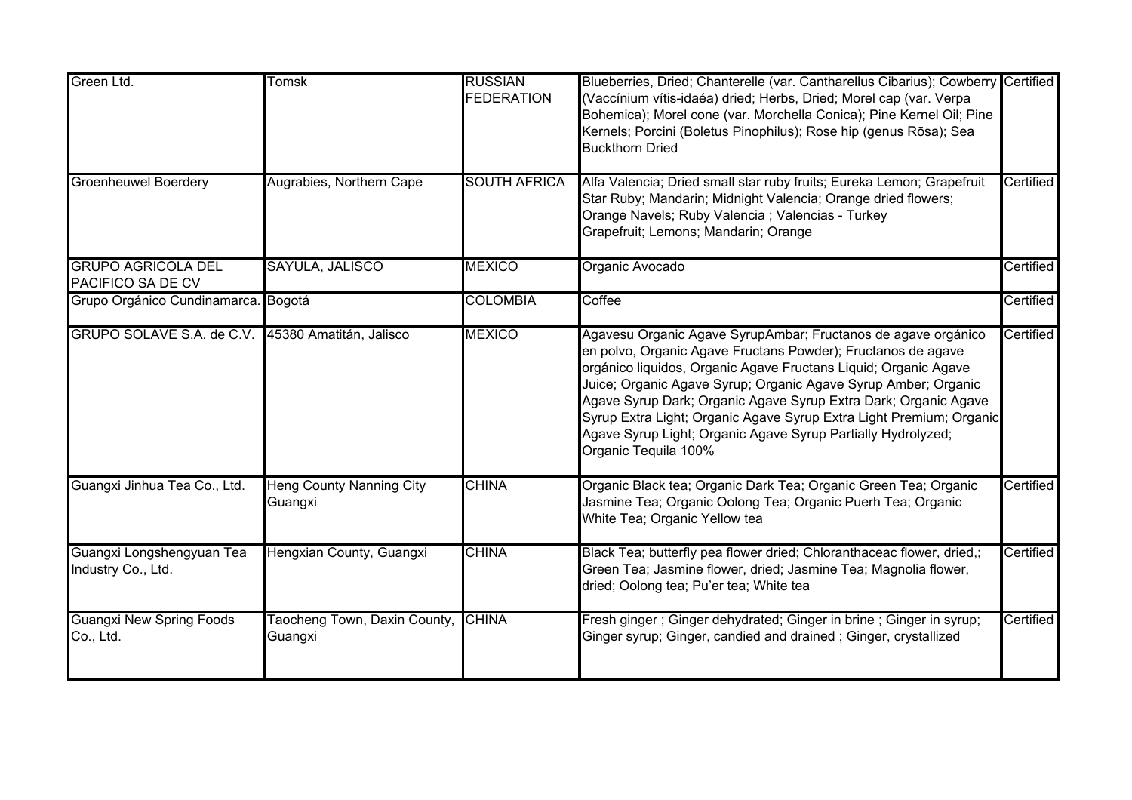| Green Ltd.                                        | Tomsk                                      | <b>RUSSIAN</b><br><b>FEDERATION</b> | Blueberries, Dried; Chanterelle (var. Cantharellus Cibarius); Cowberry Certified<br>(Vaccínium vítis-idaéa) dried; Herbs, Dried; Morel cap (var. Verpa<br>Bohemica); Morel cone (var. Morchella Conica); Pine Kernel Oil; Pine<br>Kernels; Porcini (Boletus Pinophilus); Rose hip (genus Rōsa); Sea<br><b>Buckthorn Dried</b>                                                                                                                                                                        |           |
|---------------------------------------------------|--------------------------------------------|-------------------------------------|------------------------------------------------------------------------------------------------------------------------------------------------------------------------------------------------------------------------------------------------------------------------------------------------------------------------------------------------------------------------------------------------------------------------------------------------------------------------------------------------------|-----------|
| <b>Groenheuwel Boerdery</b>                       | Augrabies, Northern Cape                   | <b>SOUTH AFRICA</b>                 | Alfa Valencia; Dried small star ruby fruits; Eureka Lemon; Grapefruit<br>Star Ruby; Mandarin; Midnight Valencia; Orange dried flowers;<br>Orange Navels; Ruby Valencia; Valencias - Turkey<br>Grapefruit; Lemons; Mandarin; Orange                                                                                                                                                                                                                                                                   | Certified |
| <b>GRUPO AGRICOLA DEL</b><br>PACIFICO SA DE CV    | SAYULA, JALISCO                            | <b>MEXICO</b>                       | Organic Avocado                                                                                                                                                                                                                                                                                                                                                                                                                                                                                      | Certified |
| Grupo Orgánico Cundinamarca. Bogotá               |                                            | <b>COLOMBIA</b>                     | Coffee                                                                                                                                                                                                                                                                                                                                                                                                                                                                                               | Certified |
| GRUPO SOLAVE S.A. de C.V. 45380 Amatitán, Jalisco |                                            | <b>MEXICO</b>                       | Agavesu Organic Agave SyrupAmbar; Fructanos de agave orgánico<br>en polvo, Organic Agave Fructans Powder); Fructanos de agave<br>orgánico liquidos, Organic Agave Fructans Liquid; Organic Agave<br>Juice; Organic Agave Syrup; Organic Agave Syrup Amber; Organic<br>Agave Syrup Dark; Organic Agave Syrup Extra Dark; Organic Agave<br>Syrup Extra Light; Organic Agave Syrup Extra Light Premium; Organic<br>Agave Syrup Light; Organic Agave Syrup Partially Hydrolyzed;<br>Organic Tequila 100% | Certified |
| Guangxi Jinhua Tea Co., Ltd.                      | <b>Heng County Nanning City</b><br>Guangxi | <b>CHINA</b>                        | Organic Black tea; Organic Dark Tea; Organic Green Tea; Organic<br>Jasmine Tea; Organic Oolong Tea; Organic Puerh Tea; Organic<br>White Tea; Organic Yellow tea                                                                                                                                                                                                                                                                                                                                      | Certified |
| Guangxi Longshengyuan Tea<br>Industry Co., Ltd.   | Hengxian County, Guangxi                   | <b>CHINA</b>                        | Black Tea; butterfly pea flower dried; Chloranthaceac flower, dried,;<br>Green Tea; Jasmine flower, dried; Jasmine Tea; Magnolia flower,<br>dried; Oolong tea; Pu'er tea; White tea                                                                                                                                                                                                                                                                                                                  | Certified |
| <b>Guangxi New Spring Foods</b><br>Co., Ltd.      | Taocheng Town, Daxin County,<br>Guangxi    | <b>CHINA</b>                        | Fresh ginger; Ginger dehydrated; Ginger in brine; Ginger in syrup;<br>Ginger syrup; Ginger, candied and drained; Ginger, crystallized                                                                                                                                                                                                                                                                                                                                                                | Certified |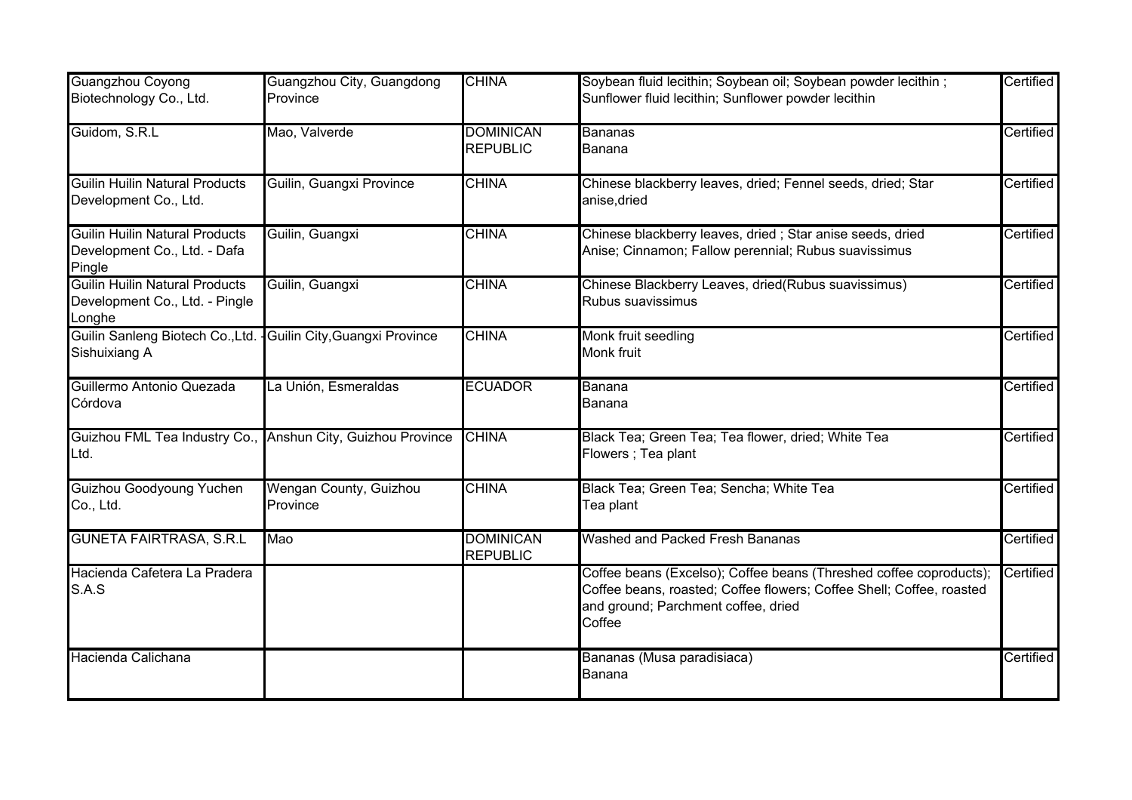| Guangzhou Coyong                                                                  | Guangzhou City, Guangdong          | <b>CHINA</b>                        | Soybean fluid lecithin; Soybean oil; Soybean powder lecithin;                                                                                                                               | Certified |
|-----------------------------------------------------------------------------------|------------------------------------|-------------------------------------|---------------------------------------------------------------------------------------------------------------------------------------------------------------------------------------------|-----------|
| Biotechnology Co., Ltd.                                                           | Province                           |                                     | Sunflower fluid lecithin; Sunflower powder lecithin                                                                                                                                         |           |
| Guidom, S.R.L                                                                     | Mao, Valverde                      | <b>DOMINICAN</b><br><b>REPUBLIC</b> | <b>Bananas</b><br>Banana                                                                                                                                                                    | Certified |
| <b>Guilin Huilin Natural Products</b><br>Development Co., Ltd.                    | Guilin, Guangxi Province           | <b>CHINA</b>                        | Chinese blackberry leaves, dried; Fennel seeds, dried; Star<br>anise, dried                                                                                                                 | Certified |
| <b>Guilin Huilin Natural Products</b><br>Development Co., Ltd. - Dafa<br>Pingle   | Guilin, Guangxi                    | <b>CHINA</b>                        | Chinese blackberry leaves, dried ; Star anise seeds, dried<br>Anise; Cinnamon; Fallow perennial; Rubus suavissimus                                                                          | Certified |
| <b>Guilin Huilin Natural Products</b><br>Development Co., Ltd. - Pingle<br>Longhe | Guilin, Guangxi                    | <b>CHINA</b>                        | Chinese Blackberry Leaves, dried(Rubus suavissimus)<br>Rubus suavissimus                                                                                                                    | Certified |
| Guilin Sanleng Biotech Co., Ltd.<br>Sishuixiang A                                 | Guilin City, Guangxi Province      | <b>CHINA</b>                        | Monk fruit seedling<br>Monk fruit                                                                                                                                                           | Certified |
| Guillermo Antonio Quezada<br>Córdova                                              | La Unión, Esmeraldas               | <b>ECUADOR</b>                      | Banana<br>Banana                                                                                                                                                                            | Certified |
| Guizhou FML Tea Industry Co.<br>Ltd.                                              | Anshun City, Guizhou Province      | <b>CHINA</b>                        | Black Tea; Green Tea; Tea flower, dried; White Tea<br>Flowers ; Tea plant                                                                                                                   | Certified |
| <b>Guizhou Goodyoung Yuchen</b><br>Co., Ltd.                                      | Wengan County, Guizhou<br>Province | <b>CHINA</b>                        | Black Tea; Green Tea; Sencha; White Tea<br>Tea plant                                                                                                                                        | Certified |
| <b>GUNETA FAIRTRASA, S.R.L</b>                                                    | Mao                                | <b>DOMINICAN</b><br><b>REPUBLIC</b> | Washed and Packed Fresh Bananas                                                                                                                                                             | Certified |
| Hacienda Cafetera La Pradera<br>S.A.S                                             |                                    |                                     | Coffee beans (Excelso); Coffee beans (Threshed coffee coproducts);<br>Coffee beans, roasted; Coffee flowers; Coffee Shell; Coffee, roasted<br>and ground; Parchment coffee, dried<br>Coffee | Certified |
| Hacienda Calichana                                                                |                                    |                                     | Bananas (Musa paradisiaca)<br>Banana                                                                                                                                                        | Certified |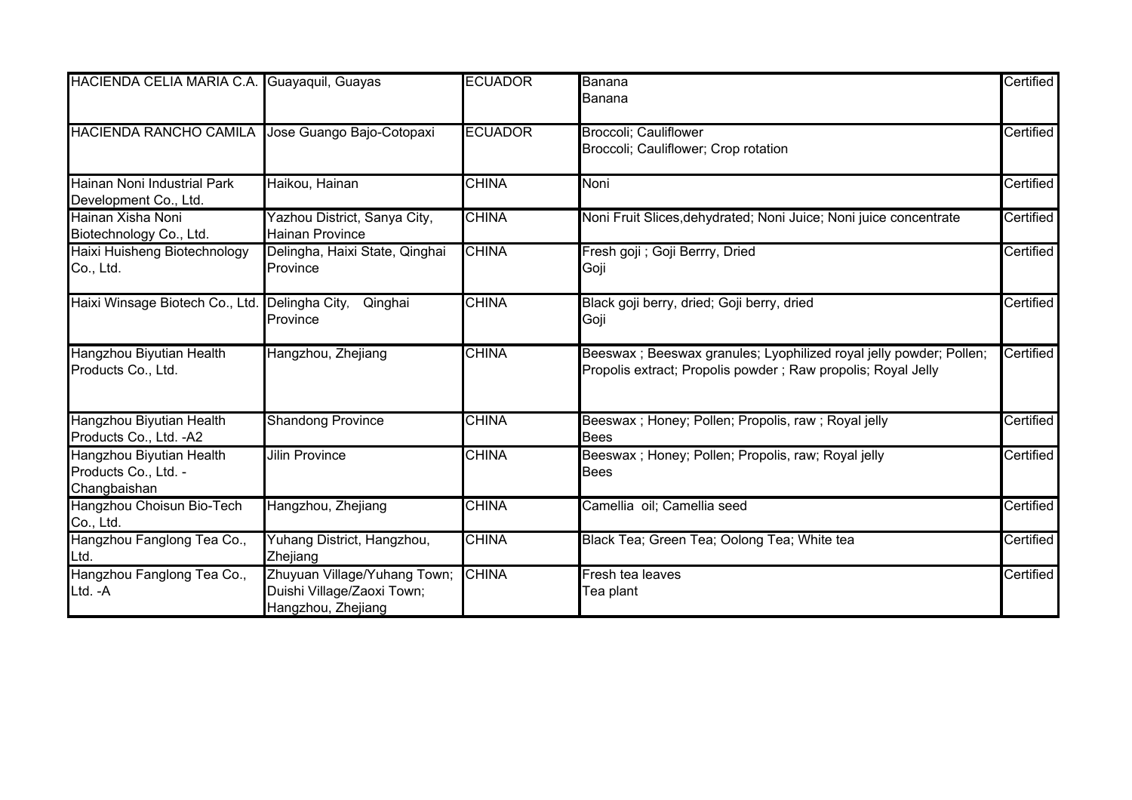| HACIENDA CELIA MARIA C.A. Guayaquil, Guayas                      |                                                                                  | <b>ECUADOR</b> | Banana<br>Banana                                                                                                                    | Certified |
|------------------------------------------------------------------|----------------------------------------------------------------------------------|----------------|-------------------------------------------------------------------------------------------------------------------------------------|-----------|
| <b>HACIENDA RANCHO CAMILA</b>                                    | Jose Guango Bajo-Cotopaxi                                                        | <b>ECUADOR</b> | <b>Broccoli</b> ; Cauliflower<br>Broccoli; Cauliflower; Crop rotation                                                               | Certified |
| Hainan Noni Industrial Park<br>Development Co., Ltd.             | Haikou, Hainan                                                                   | <b>CHINA</b>   | Noni                                                                                                                                | Certified |
| Hainan Xisha Noni<br>Biotechnology Co., Ltd.                     | Yazhou District, Sanya City,<br><b>Hainan Province</b>                           | <b>CHINA</b>   | Noni Fruit Slices, dehydrated; Noni Juice; Noni juice concentrate                                                                   | Certified |
| Haixi Huisheng Biotechnology<br>Co., Ltd.                        | Delingha, Haixi State, Qinghai<br>Province                                       | <b>CHINA</b>   | Fresh goji ; Goji Berrry, Dried<br>Goji                                                                                             | Certified |
| Haixi Winsage Biotech Co., Ltd.                                  | Delingha City,<br>Qinghai<br>Province                                            | <b>CHINA</b>   | Black goji berry, dried; Goji berry, dried<br>Goji                                                                                  | Certified |
| Hangzhou Biyutian Health<br>Products Co., Ltd.                   | Hangzhou, Zhejiang                                                               | <b>CHINA</b>   | Beeswax ; Beeswax granules; Lyophilized royal jelly powder; Pollen;<br>Propolis extract; Propolis powder; Raw propolis; Royal Jelly | Certified |
| Hangzhou Biyutian Health<br>Products Co., Ltd. - A2              | <b>Shandong Province</b>                                                         | <b>CHINA</b>   | Beeswax; Honey; Pollen; Propolis, raw; Royal jelly<br><b>Bees</b>                                                                   | Certified |
| Hangzhou Biyutian Health<br>Products Co., Ltd. -<br>Changbaishan | <b>Jilin Province</b>                                                            | <b>CHINA</b>   | Beeswax; Honey; Pollen; Propolis, raw; Royal jelly<br><b>Bees</b>                                                                   | Certified |
| Hangzhou Choisun Bio-Tech<br>Co., Ltd.                           | Hangzhou, Zhejiang                                                               | <b>CHINA</b>   | Camellia oil; Camellia seed                                                                                                         | Certified |
| Hangzhou Fanglong Tea Co.,<br>Ltd.                               | Yuhang District, Hangzhou,<br>Zhejiang                                           | <b>CHINA</b>   | Black Tea; Green Tea; Oolong Tea; White tea                                                                                         | Certified |
| Hangzhou Fanglong Tea Co.,<br>Ltd. - A                           | Zhuyuan Village/Yuhang Town;<br>Duishi Village/Zaoxi Town;<br>Hangzhou, Zhejiang | <b>CHINA</b>   | Fresh tea leaves<br>Tea plant                                                                                                       | Certified |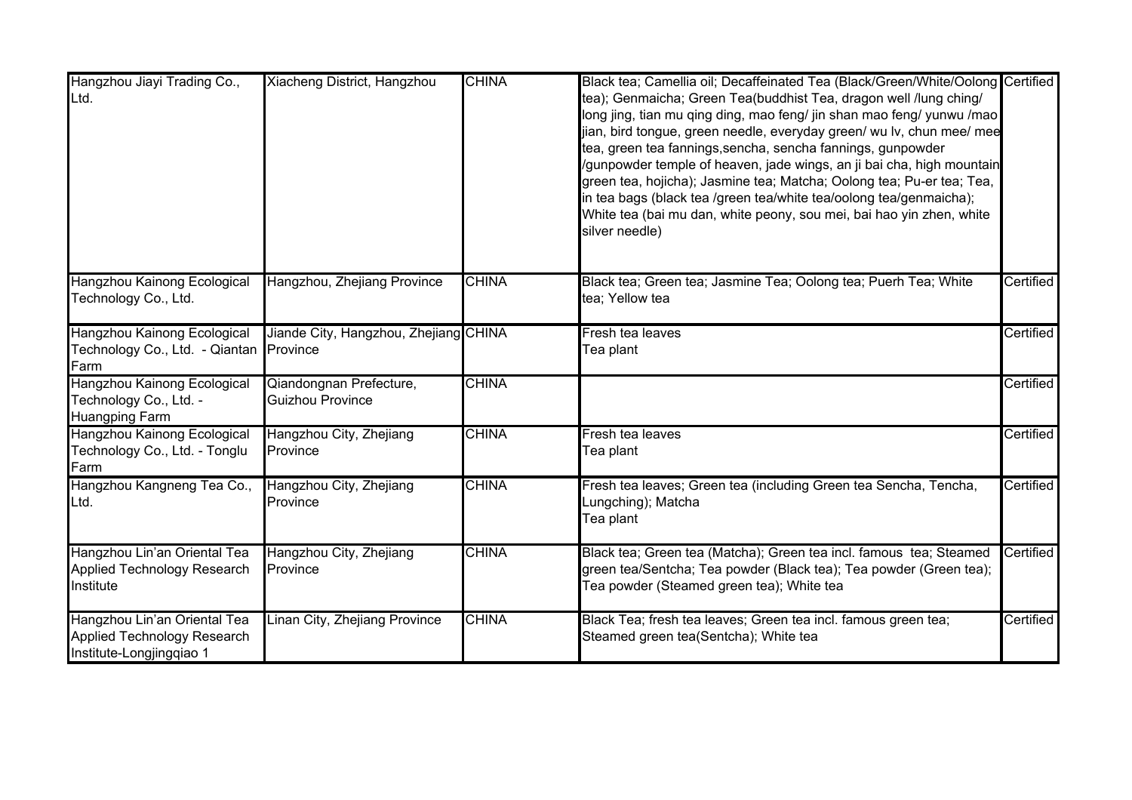| Hangzhou Jiayi Trading Co.,<br>Ltd.                                                     | Xiacheng District, Hangzhou                        | <b>CHINA</b> | Black tea; Camellia oil; Decaffeinated Tea (Black/Green/White/Oolong Certified<br>tea); Genmaicha; Green Tea(buddhist Tea, dragon well /lung ching/<br>long jing, tian mu qing ding, mao feng/ jin shan mao feng/ yunwu /mao<br>jian, bird tongue, green needle, everyday green/ wu lv, chun mee/ mee<br>tea, green tea fannings,sencha, sencha fannings, gunpowder<br>/gunpowder temple of heaven, jade wings, an ji bai cha, high mountain<br>green tea, hojicha); Jasmine tea; Matcha; Oolong tea; Pu-er tea; Tea,<br>in tea bags (black tea /green tea/white tea/oolong tea/genmaicha);<br>White tea (bai mu dan, white peony, sou mei, bai hao yin zhen, white<br>silver needle) |           |
|-----------------------------------------------------------------------------------------|----------------------------------------------------|--------------|---------------------------------------------------------------------------------------------------------------------------------------------------------------------------------------------------------------------------------------------------------------------------------------------------------------------------------------------------------------------------------------------------------------------------------------------------------------------------------------------------------------------------------------------------------------------------------------------------------------------------------------------------------------------------------------|-----------|
| Hangzhou Kainong Ecological<br>Technology Co., Ltd.                                     | Hangzhou, Zhejiang Province                        | <b>CHINA</b> | Black tea; Green tea; Jasmine Tea; Oolong tea; Puerh Tea; White<br>tea; Yellow tea                                                                                                                                                                                                                                                                                                                                                                                                                                                                                                                                                                                                    | Certified |
| Hangzhou Kainong Ecological<br>Technology Co., Ltd. - Qiantan<br>Farm                   | Jiande City, Hangzhou, Zhejiang CHINA<br>Province  |              | Fresh tea leaves<br>Tea plant                                                                                                                                                                                                                                                                                                                                                                                                                                                                                                                                                                                                                                                         | Certified |
| Hangzhou Kainong Ecological<br>Technology Co., Ltd. -<br><b>Huangping Farm</b>          | Qiandongnan Prefecture,<br><b>Guizhou Province</b> | <b>CHINA</b> |                                                                                                                                                                                                                                                                                                                                                                                                                                                                                                                                                                                                                                                                                       | Certified |
| Hangzhou Kainong Ecological<br>Technology Co., Ltd. - Tonglu<br>Farm                    | Hangzhou City, Zhejiang<br>Province                | <b>CHINA</b> | Fresh tea leaves<br>Tea plant                                                                                                                                                                                                                                                                                                                                                                                                                                                                                                                                                                                                                                                         | Certified |
| Hangzhou Kangneng Tea Co.,<br>Ltd.                                                      | Hangzhou City, Zhejiang<br>Province                | <b>CHINA</b> | Fresh tea leaves; Green tea (including Green tea Sencha, Tencha,<br>Lungching); Matcha<br>Tea plant                                                                                                                                                                                                                                                                                                                                                                                                                                                                                                                                                                                   | Certified |
| Hangzhou Lin'an Oriental Tea<br><b>Applied Technology Research</b><br>Institute         | Hangzhou City, Zhejiang<br>Province                | <b>CHINA</b> | Black tea; Green tea (Matcha); Green tea incl. famous tea; Steamed<br>green tea/Sentcha; Tea powder (Black tea); Tea powder (Green tea);<br>Tea powder (Steamed green tea); White tea                                                                                                                                                                                                                                                                                                                                                                                                                                                                                                 | Certified |
| Hangzhou Lin'an Oriental Tea<br>Applied Technology Research<br>Institute-Longjingqiao 1 | Linan City, Zhejiang Province                      | <b>CHINA</b> | Black Tea; fresh tea leaves; Green tea incl. famous green tea;<br>Steamed green tea(Sentcha); White tea                                                                                                                                                                                                                                                                                                                                                                                                                                                                                                                                                                               | Certified |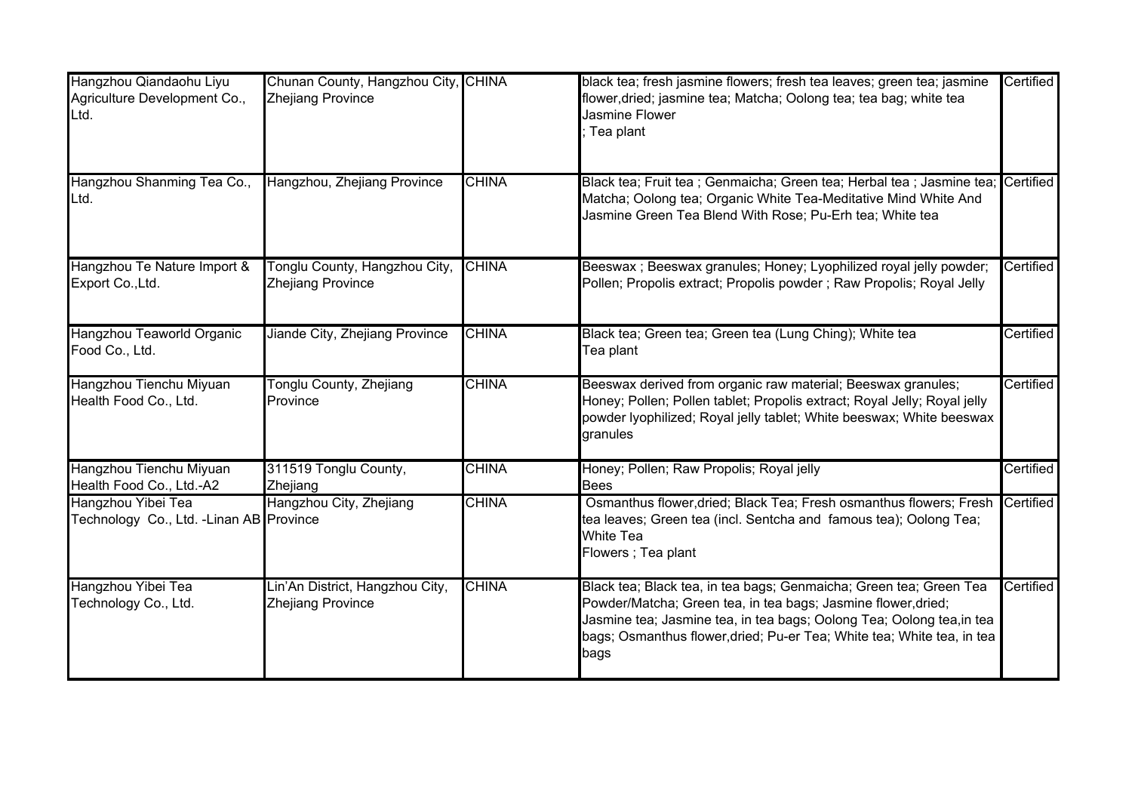| Hangzhou Qiandaohu Liyu<br>Agriculture Development Co.,<br>Ltd. | Chunan County, Hangzhou City, CHINA<br>Zhejiang Province    |              | black tea; fresh jasmine flowers; fresh tea leaves; green tea; jasmine<br>flower, dried; jasmine tea; Matcha; Oolong tea; tea bag; white tea<br><b>Jasmine Flower</b><br>Tea plant                                                                                                            | Certified |
|-----------------------------------------------------------------|-------------------------------------------------------------|--------------|-----------------------------------------------------------------------------------------------------------------------------------------------------------------------------------------------------------------------------------------------------------------------------------------------|-----------|
| Hangzhou Shanming Tea Co.,<br>Ltd.                              | Hangzhou, Zhejiang Province                                 | <b>CHINA</b> | Black tea; Fruit tea ; Genmaicha; Green tea; Herbal tea ; Jasmine tea; Certified<br>Matcha; Oolong tea; Organic White Tea-Meditative Mind White And<br>Jasmine Green Tea Blend With Rose; Pu-Erh tea; White tea                                                                               |           |
| Hangzhou Te Nature Import &<br>Export Co., Ltd.                 | Tonglu County, Hangzhou City,<br><b>Zhejiang Province</b>   | <b>CHINA</b> | Beeswax ; Beeswax granules; Honey; Lyophilized royal jelly powder;<br>Pollen; Propolis extract; Propolis powder; Raw Propolis; Royal Jelly                                                                                                                                                    | Certified |
| Hangzhou Teaworld Organic<br>Food Co., Ltd.                     | Jiande City, Zhejiang Province                              | <b>CHINA</b> | Black tea; Green tea; Green tea (Lung Ching); White tea<br>Tea plant                                                                                                                                                                                                                          | Certified |
| Hangzhou Tienchu Miyuan<br>Health Food Co., Ltd.                | Tonglu County, Zhejiang<br>Province                         | <b>CHINA</b> | Beeswax derived from organic raw material; Beeswax granules;<br>Honey; Pollen; Pollen tablet; Propolis extract; Royal Jelly; Royal jelly<br>powder lyophilized; Royal jelly tablet; White beeswax; White beeswax<br>granules                                                                  | Certified |
| Hangzhou Tienchu Miyuan<br>Health Food Co., Ltd.-A2             | 311519 Tonglu County,<br>Zhejiang                           | <b>CHINA</b> | Honey; Pollen; Raw Propolis; Royal jelly<br><b>Bees</b>                                                                                                                                                                                                                                       | Certified |
| Hangzhou Yibei Tea<br>Technology Co., Ltd. - Linan AB Province  | Hangzhou City, Zhejiang                                     | <b>CHINA</b> | Osmanthus flower, dried; Black Tea; Fresh osmanthus flowers; Fresh<br>tea leaves; Green tea (incl. Sentcha and famous tea); Oolong Tea;<br><b>White Tea</b><br>Flowers ; Tea plant                                                                                                            | Certified |
| Hangzhou Yibei Tea<br>Technology Co., Ltd.                      | Lin'An District, Hangzhou City,<br><b>Zhejiang Province</b> | <b>CHINA</b> | Black tea; Black tea, in tea bags; Genmaicha; Green tea; Green Tea<br>Powder/Matcha; Green tea, in tea bags; Jasmine flower, dried;<br>Jasmine tea; Jasmine tea, in tea bags; Oolong Tea; Oolong tea,in tea<br>bags; Osmanthus flower, dried; Pu-er Tea; White tea; White tea, in tea<br>bags | Certified |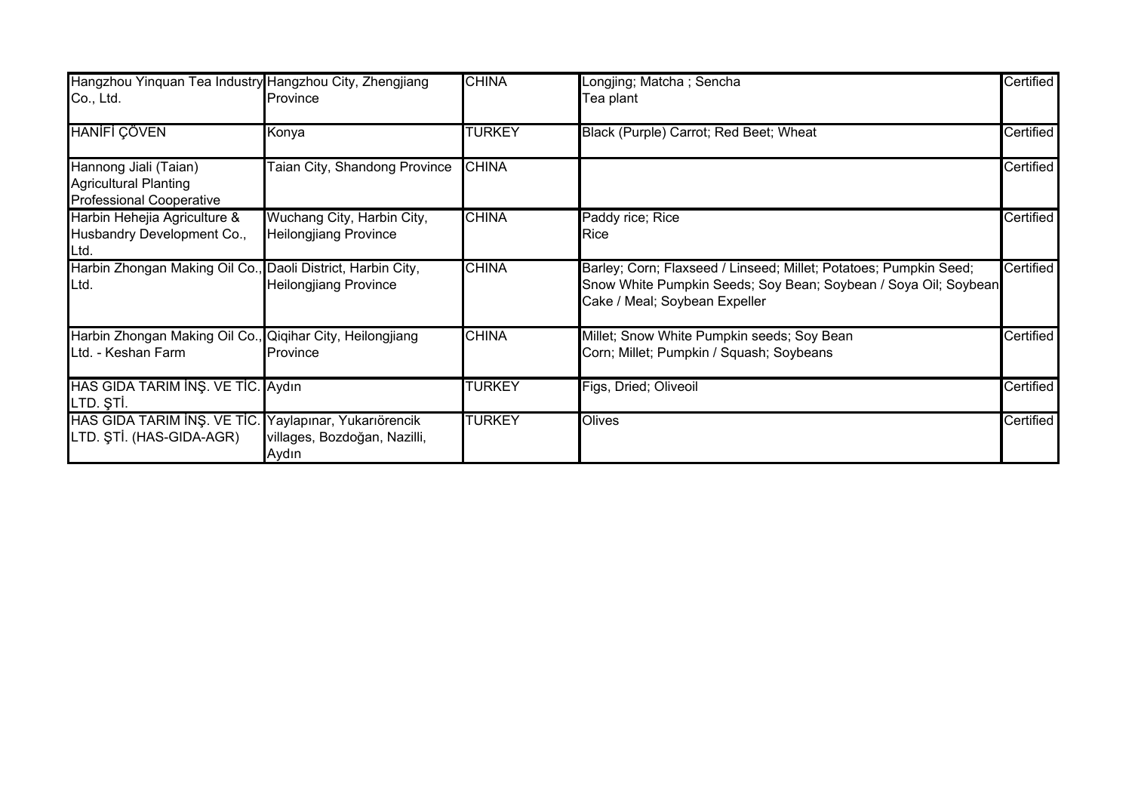| Hangzhou Yinquan Tea Industry Hangzhou City, Zhengjiang                                  |                                                                    | <b>CHINA</b>  | Longjing; Matcha; Sencha                                                                                                                                              | Certified |
|------------------------------------------------------------------------------------------|--------------------------------------------------------------------|---------------|-----------------------------------------------------------------------------------------------------------------------------------------------------------------------|-----------|
| Co., Ltd.                                                                                | Province                                                           |               | Tea plant                                                                                                                                                             |           |
| <b>HANIFI ÇÖVEN</b>                                                                      | Konya                                                              | <b>TURKEY</b> | Black (Purple) Carrot; Red Beet; Wheat                                                                                                                                | Certified |
| Hannong Jiali (Taian)<br><b>Agricultural Planting</b><br><b>Professional Cooperative</b> | Taian City, Shandong Province                                      | <b>CHINA</b>  |                                                                                                                                                                       | Certified |
| Harbin Hehejia Agriculture &<br>Husbandry Development Co.,<br>Ltd.                       | Wuchang City, Harbin City,<br><b>Heilongjiang Province</b>         | <b>CHINA</b>  | Paddy rice; Rice<br>Rice                                                                                                                                              | Certified |
| Harbin Zhongan Making Oil Co., Daoli District, Harbin City,<br>Ltd.                      | <b>Heilongjiang Province</b>                                       | <b>CHINA</b>  | Barley; Corn; Flaxseed / Linseed; Millet; Potatoes; Pumpkin Seed;<br>Snow White Pumpkin Seeds; Soy Bean; Soybean / Soya Oil; Soybean<br>Cake / Meal; Soybean Expeller | Certified |
| Harbin Zhongan Making Oil Co., Qiqihar City, Heilongjiang<br>Ltd. - Keshan Farm          | Province                                                           | <b>CHINA</b>  | Millet; Snow White Pumpkin seeds; Soy Bean<br>Corn; Millet; Pumpkin / Squash; Soybeans                                                                                | Certified |
| HAS GIDA TARIM INŞ. VE TİC. Aydın<br>LTD. ȘTİ.                                           |                                                                    | <b>TURKEY</b> | Figs, Dried; Oliveoil                                                                                                                                                 | Certified |
| HAS GIDA TARIM INS. VE TIC.<br>LTD. ȘTİ. (HAS-GIDA-AGR)                                  | Yaylapınar, Yukarıörencik<br>villages, Bozdoğan, Nazilli,<br>Aydın | <b>TURKEY</b> | Olives                                                                                                                                                                | Certified |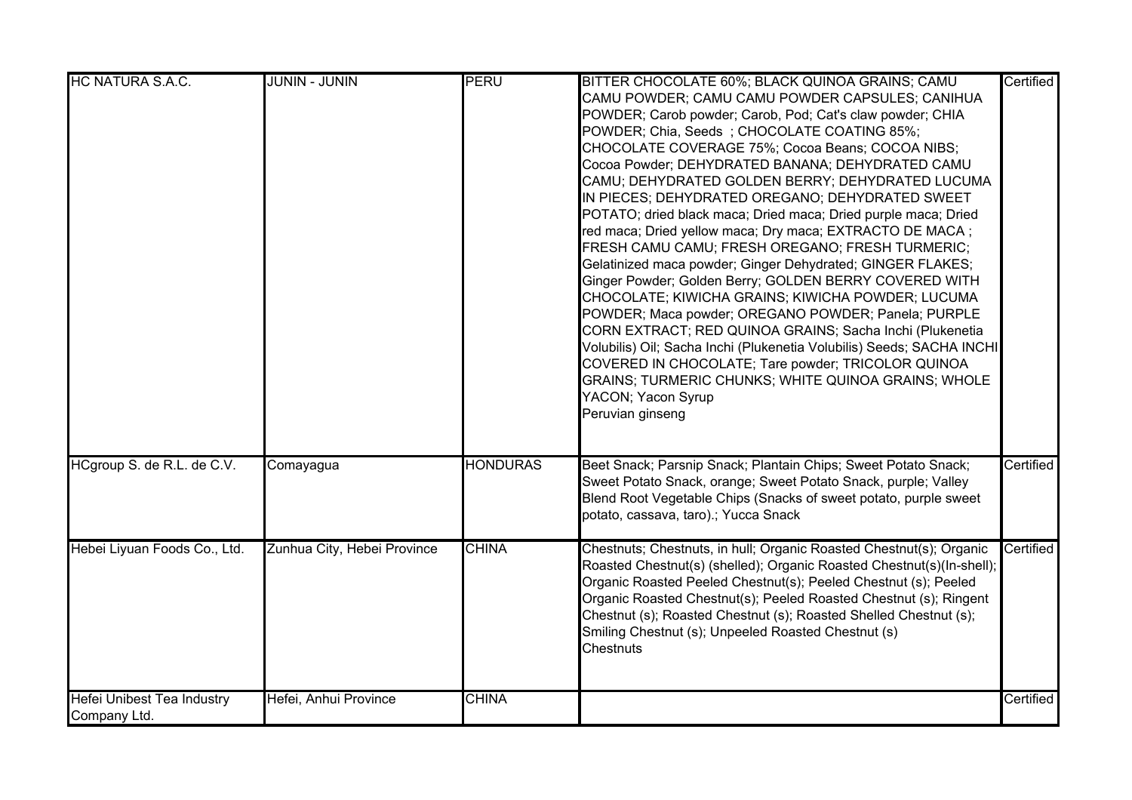| <b>HC NATURA S.A.C.</b>                           | <b>JUNIN - JUNIN</b>        | <b>PERU</b>     | BITTER CHOCOLATE 60%; BLACK QUINOA GRAINS; CAMU<br>CAMU POWDER; CAMU CAMU POWDER CAPSULES; CANIHUA<br>POWDER; Carob powder; Carob, Pod; Cat's claw powder; CHIA<br>POWDER; Chia, Seeds; CHOCOLATE COATING 85%;<br>CHOCOLATE COVERAGE 75%; Cocoa Beans; COCOA NIBS;<br>Cocoa Powder; DEHYDRATED BANANA; DEHYDRATED CAMU<br>CAMU; DEHYDRATED GOLDEN BERRY; DEHYDRATED LUCUMA<br>IN PIECES; DEHYDRATED OREGANO; DEHYDRATED SWEET<br>POTATO; dried black maca; Dried maca; Dried purple maca; Dried<br>red maca; Dried yellow maca; Dry maca; EXTRACTO DE MACA;<br>FRESH CAMU CAMU; FRESH OREGANO; FRESH TURMERIC;<br>Gelatinized maca powder; Ginger Dehydrated; GINGER FLAKES;<br>Ginger Powder; Golden Berry; GOLDEN BERRY COVERED WITH<br>CHOCOLATE; KIWICHA GRAINS; KIWICHA POWDER; LUCUMA<br>POWDER; Maca powder; OREGANO POWDER; Panela; PURPLE<br>CORN EXTRACT; RED QUINOA GRAINS; Sacha Inchi (Plukenetia<br>Volubilis) Oil; Sacha Inchi (Plukenetia Volubilis) Seeds; SACHA INCHI<br>COVERED IN CHOCOLATE; Tare powder; TRICOLOR QUINOA<br>GRAINS; TURMERIC CHUNKS; WHITE QUINOA GRAINS; WHOLE | Certified |
|---------------------------------------------------|-----------------------------|-----------------|------------------------------------------------------------------------------------------------------------------------------------------------------------------------------------------------------------------------------------------------------------------------------------------------------------------------------------------------------------------------------------------------------------------------------------------------------------------------------------------------------------------------------------------------------------------------------------------------------------------------------------------------------------------------------------------------------------------------------------------------------------------------------------------------------------------------------------------------------------------------------------------------------------------------------------------------------------------------------------------------------------------------------------------------------------------------------------------------------|-----------|
| HCgroup S. de R.L. de C.V.                        | Comayagua                   | <b>HONDURAS</b> | YACON; Yacon Syrup<br>Peruvian ginseng<br>Beet Snack; Parsnip Snack; Plantain Chips; Sweet Potato Snack;                                                                                                                                                                                                                                                                                                                                                                                                                                                                                                                                                                                                                                                                                                                                                                                                                                                                                                                                                                                             | Certified |
|                                                   |                             |                 | Sweet Potato Snack, orange; Sweet Potato Snack, purple; Valley<br>Blend Root Vegetable Chips (Snacks of sweet potato, purple sweet<br>potato, cassava, taro).; Yucca Snack                                                                                                                                                                                                                                                                                                                                                                                                                                                                                                                                                                                                                                                                                                                                                                                                                                                                                                                           |           |
| Hebei Liyuan Foods Co., Ltd.                      | Zunhua City, Hebei Province | <b>CHINA</b>    | Chestnuts; Chestnuts, in hull; Organic Roasted Chestnut(s); Organic<br>Roasted Chestnut(s) (shelled); Organic Roasted Chestnut(s)(In-shell);<br>Organic Roasted Peeled Chestnut(s); Peeled Chestnut (s); Peeled<br>Organic Roasted Chestnut(s); Peeled Roasted Chestnut (s); Ringent<br>Chestnut (s); Roasted Chestnut (s); Roasted Shelled Chestnut (s);<br>Smiling Chestnut (s); Unpeeled Roasted Chestnut (s)<br><b>Chestnuts</b>                                                                                                                                                                                                                                                                                                                                                                                                                                                                                                                                                                                                                                                                 | Certified |
| <b>Hefei Unibest Tea Industry</b><br>Company Ltd. | Hefei, Anhui Province       | <b>CHINA</b>    |                                                                                                                                                                                                                                                                                                                                                                                                                                                                                                                                                                                                                                                                                                                                                                                                                                                                                                                                                                                                                                                                                                      | Certified |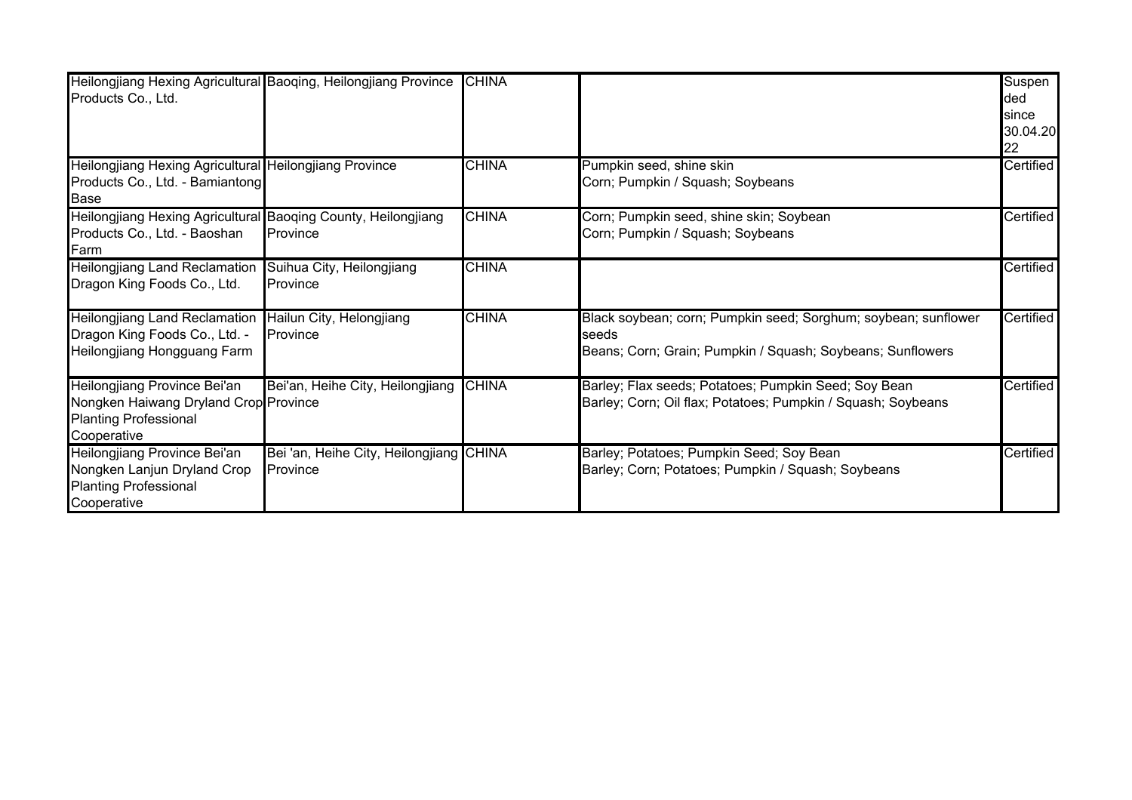| Heilongjiang Hexing Agricultural Baoqing, Heilongjiang Province<br>Products Co., Ltd.                                |                                                            | <b>CHINA</b> |                                                                                                                                       | Suspen<br>ded<br>since<br>30.04.20<br>22 |
|----------------------------------------------------------------------------------------------------------------------|------------------------------------------------------------|--------------|---------------------------------------------------------------------------------------------------------------------------------------|------------------------------------------|
| Heilongjiang Hexing Agricultural Heilongjiang Province<br>Products Co., Ltd. - Bamiantong<br><b>Base</b>             |                                                            | <b>CHINA</b> | Pumpkin seed, shine skin<br>Corn; Pumpkin / Squash; Soybeans                                                                          | Certified                                |
| Heilongjiang Hexing Agricultural Baoqing County, Heilongjiang<br>Products Co., Ltd. - Baoshan<br>Farm                | Province                                                   | <b>CHINA</b> | Corn; Pumpkin seed, shine skin; Soybean<br>Corn; Pumpkin / Squash; Soybeans                                                           | Certified                                |
| Heilongjiang Land Reclamation<br>Dragon King Foods Co., Ltd.                                                         | Suihua City, Heilongjiang<br>Province                      | <b>CHINA</b> |                                                                                                                                       | Certified                                |
| <b>Heilongjiang Land Reclamation</b><br>Dragon King Foods Co., Ltd. -<br>Heilongjiang Hongguang Farm                 | Hailun City, Helongjiang<br><b>Province</b>                | <b>CHINA</b> | Black soybean; corn; Pumpkin seed; Sorghum; soybean; sunflower<br>seeds<br>Beans; Corn; Grain; Pumpkin / Squash; Soybeans; Sunflowers | Certified                                |
| Heilongjiang Province Bei'an<br>Nongken Haiwang Dryland Crop Province<br><b>Planting Professional</b><br>Cooperative | Bei'an, Heihe City, Heilongjiang                           | <b>CHINA</b> | Barley; Flax seeds; Potatoes; Pumpkin Seed; Soy Bean<br>Barley; Corn; Oil flax; Potatoes; Pumpkin / Squash; Soybeans                  | Certified                                |
| Heilongjiang Province Bei'an<br>Nongken Lanjun Dryland Crop<br><b>Planting Professional</b><br>Cooperative           | Bei 'an, Heihe City, Heilongjiang CHINA<br><b>Province</b> |              | Barley; Potatoes; Pumpkin Seed; Soy Bean<br>Barley; Corn; Potatoes; Pumpkin / Squash; Soybeans                                        | Certified                                |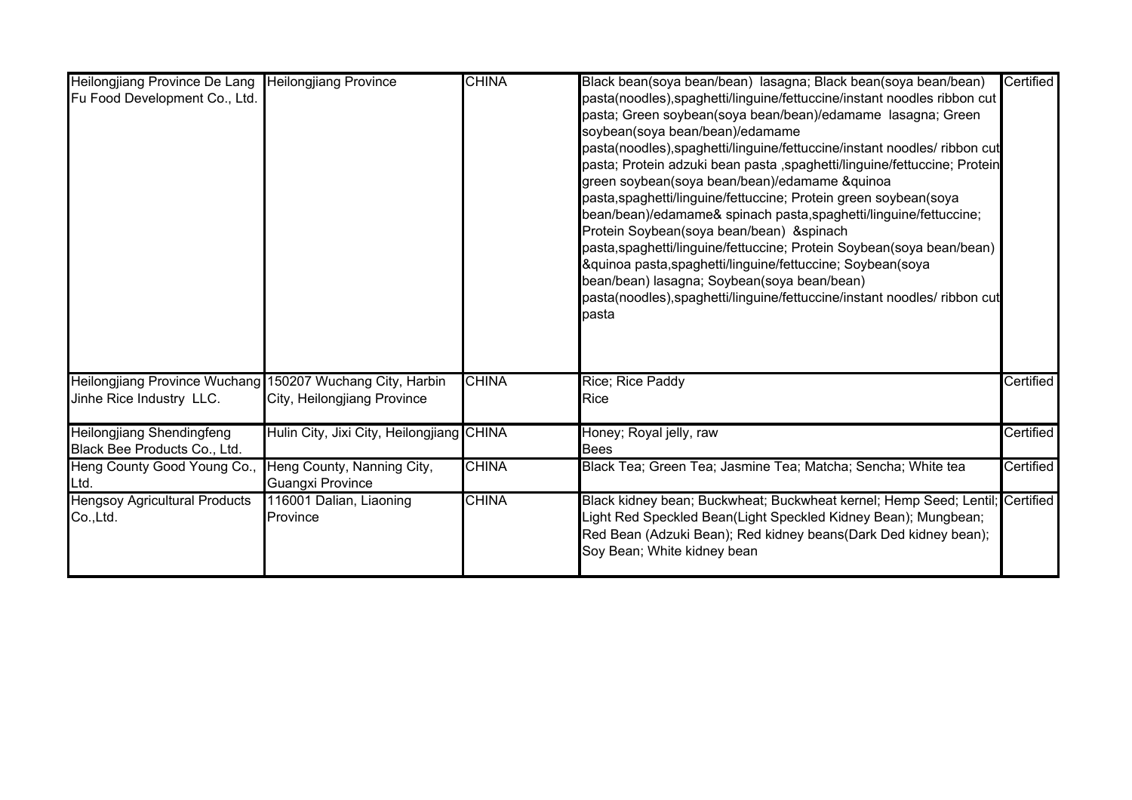| Heilongjiang Province De Lang<br>Fu Food Development Co., Ltd.                        | <b>Heilongjiang Province</b>                          | <b>CHINA</b> | Black bean(soya bean/bean) lasagna; Black bean(soya bean/bean)<br>pasta(noodles), spaghetti/linguine/fettuccine/instant noodles ribbon cut<br>pasta; Green soybean(soya bean/bean)/edamame lasagna; Green<br>soybean(soya bean/bean)/edamame<br>pasta(noodles), spaghetti/linguine/fettuccine/instant noodles/ ribbon cut<br>pasta; Protein adzuki bean pasta ,spaghetti/linguine/fettuccine; Protein<br>green soybean(soya bean/bean)/edamame &quinoa<br>pasta, spaghetti/linguine/fettuccine; Protein green soybean(soya<br>bean/bean)/edamame& spinach pasta, spaghetti/linguine/fettuccine;<br>Protein Soybean(soya bean/bean) & spinach<br>pasta, spaghetti/linguine/fettuccine; Protein Soybean(soya bean/bean)<br>&quinoa pasta, spaghetti/linguine/fettuccine; Soybean(soya<br>bean/bean) lasagna; Soybean(soya bean/bean)<br>pasta(noodles), spaghetti/linguine/fettuccine/instant noodles/ ribbon cut<br>pasta | Certified |
|---------------------------------------------------------------------------------------|-------------------------------------------------------|--------------|--------------------------------------------------------------------------------------------------------------------------------------------------------------------------------------------------------------------------------------------------------------------------------------------------------------------------------------------------------------------------------------------------------------------------------------------------------------------------------------------------------------------------------------------------------------------------------------------------------------------------------------------------------------------------------------------------------------------------------------------------------------------------------------------------------------------------------------------------------------------------------------------------------------------------|-----------|
| Heilongjiang Province Wuchang 150207 Wuchang City, Harbin<br>Jinhe Rice Industry LLC. | City, Heilongjiang Province                           | <b>CHINA</b> | Rice; Rice Paddy<br>Rice                                                                                                                                                                                                                                                                                                                                                                                                                                                                                                                                                                                                                                                                                                                                                                                                                                                                                                 | Certified |
| <b>Heilongjiang Shendingfeng</b><br>Black Bee Products Co., Ltd.                      | Hulin City, Jixi City, Heilongjiang CHINA             |              | Honey; Royal jelly, raw<br><b>Bees</b>                                                                                                                                                                                                                                                                                                                                                                                                                                                                                                                                                                                                                                                                                                                                                                                                                                                                                   | Certified |
| Heng County Good Young Co.,<br>Ltd.                                                   | Heng County, Nanning City,<br><b>Guangxi Province</b> | <b>CHINA</b> | Black Tea; Green Tea; Jasmine Tea; Matcha; Sencha; White tea                                                                                                                                                                                                                                                                                                                                                                                                                                                                                                                                                                                                                                                                                                                                                                                                                                                             | Certified |
| <b>Hengsoy Agricultural Products</b><br>Co.,Ltd.                                      | 116001 Dalian, Liaoning<br>Province                   | <b>CHINA</b> | Black kidney bean; Buckwheat; Buckwheat kernel; Hemp Seed; Lentil; Certified<br>Light Red Speckled Bean(Light Speckled Kidney Bean); Mungbean;<br>Red Bean (Adzuki Bean); Red kidney beans(Dark Ded kidney bean);<br>Soy Bean; White kidney bean                                                                                                                                                                                                                                                                                                                                                                                                                                                                                                                                                                                                                                                                         |           |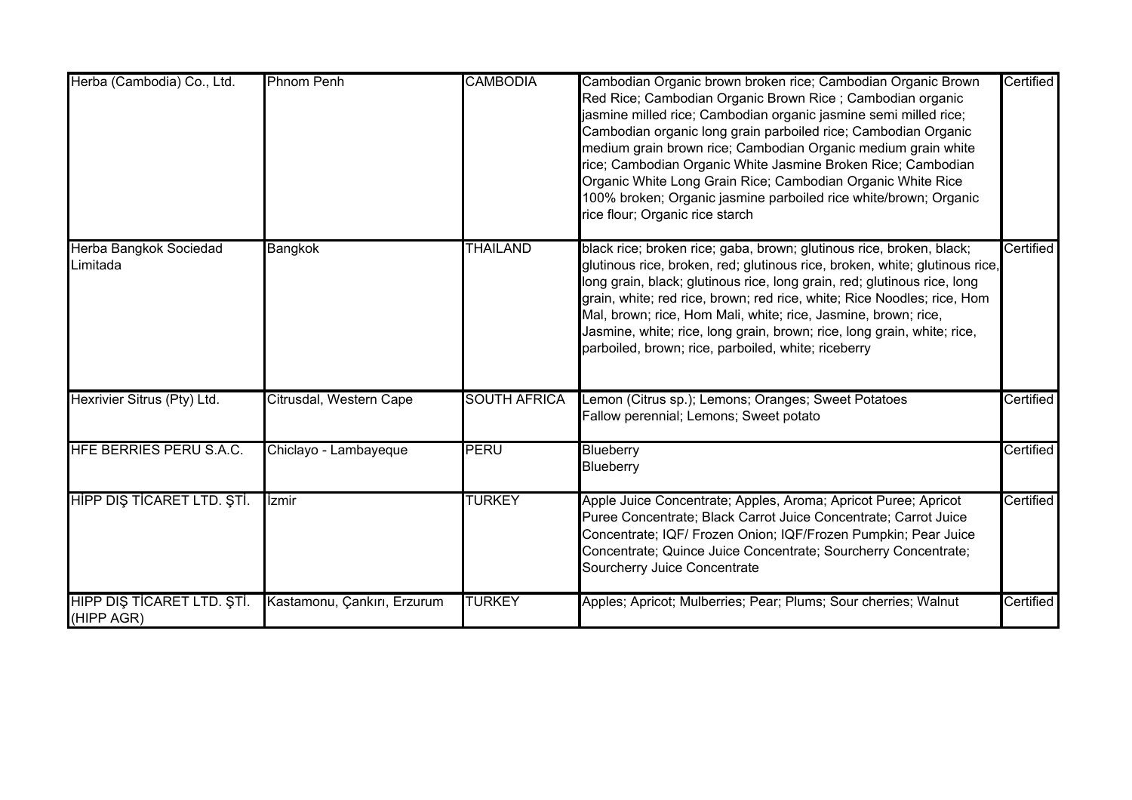| Herba (Cambodia) Co., Ltd.                | <b>Phnom Penh</b>           | <b>CAMBODIA</b>     | Cambodian Organic brown broken rice; Cambodian Organic Brown<br>Red Rice; Cambodian Organic Brown Rice; Cambodian organic<br>asmine milled rice; Cambodian organic jasmine semi milled rice;<br>Cambodian organic long grain parboiled rice; Cambodian Organic<br>medium grain brown rice; Cambodian Organic medium grain white<br>rice; Cambodian Organic White Jasmine Broken Rice; Cambodian<br>Organic White Long Grain Rice; Cambodian Organic White Rice<br>100% broken; Organic jasmine parboiled rice white/brown; Organic<br>rice flour; Organic rice starch | Certified |
|-------------------------------------------|-----------------------------|---------------------|-----------------------------------------------------------------------------------------------------------------------------------------------------------------------------------------------------------------------------------------------------------------------------------------------------------------------------------------------------------------------------------------------------------------------------------------------------------------------------------------------------------------------------------------------------------------------|-----------|
| <b>Herba Bangkok Sociedad</b><br>Limitada | <b>Bangkok</b>              | <b>THAILAND</b>     | black rice; broken rice; gaba, brown; glutinous rice, broken, black;<br>glutinous rice, broken, red; glutinous rice, broken, white; glutinous rice,<br>ong grain, black; glutinous rice, long grain, red; glutinous rice, long<br>grain, white; red rice, brown; red rice, white; Rice Noodles; rice, Hom<br>Mal, brown; rice, Hom Mali, white; rice, Jasmine, brown; rice,<br>Jasmine, white; rice, long grain, brown; rice, long grain, white; rice,<br>parboiled, brown; rice, parboiled, white; riceberry                                                         | Certified |
| Hexrivier Sitrus (Pty) Ltd.               | Citrusdal, Western Cape     | <b>SOUTH AFRICA</b> | Lemon (Citrus sp.); Lemons; Oranges; Sweet Potatoes<br>Fallow perennial; Lemons; Sweet potato                                                                                                                                                                                                                                                                                                                                                                                                                                                                         | Certified |
| HFE BERRIES PERU S.A.C.                   | Chiclayo - Lambayeque       | <b>PERU</b>         | Blueberry<br>Blueberry                                                                                                                                                                                                                                                                                                                                                                                                                                                                                                                                                | Certified |
| HİPP DIŞ TİCARET LTD. ŞTİ.                | <i><u><b>Izmir</b></u></i>  | <b>TURKEY</b>       | Apple Juice Concentrate; Apples, Aroma; Apricot Puree; Apricot<br>Puree Concentrate; Black Carrot Juice Concentrate; Carrot Juice<br>Concentrate; IQF/ Frozen Onion; IQF/Frozen Pumpkin; Pear Juice<br>Concentrate; Quince Juice Concentrate; Sourcherry Concentrate;<br>Sourcherry Juice Concentrate                                                                                                                                                                                                                                                                 | Certified |
| HIPP DIŞ TİCARET LTD. ŞTİ.<br>(HIPP AGR)  | Kastamonu, Çankırı, Erzurum | <b>TURKEY</b>       | Apples; Apricot; Mulberries; Pear; Plums; Sour cherries; Walnut                                                                                                                                                                                                                                                                                                                                                                                                                                                                                                       | Certified |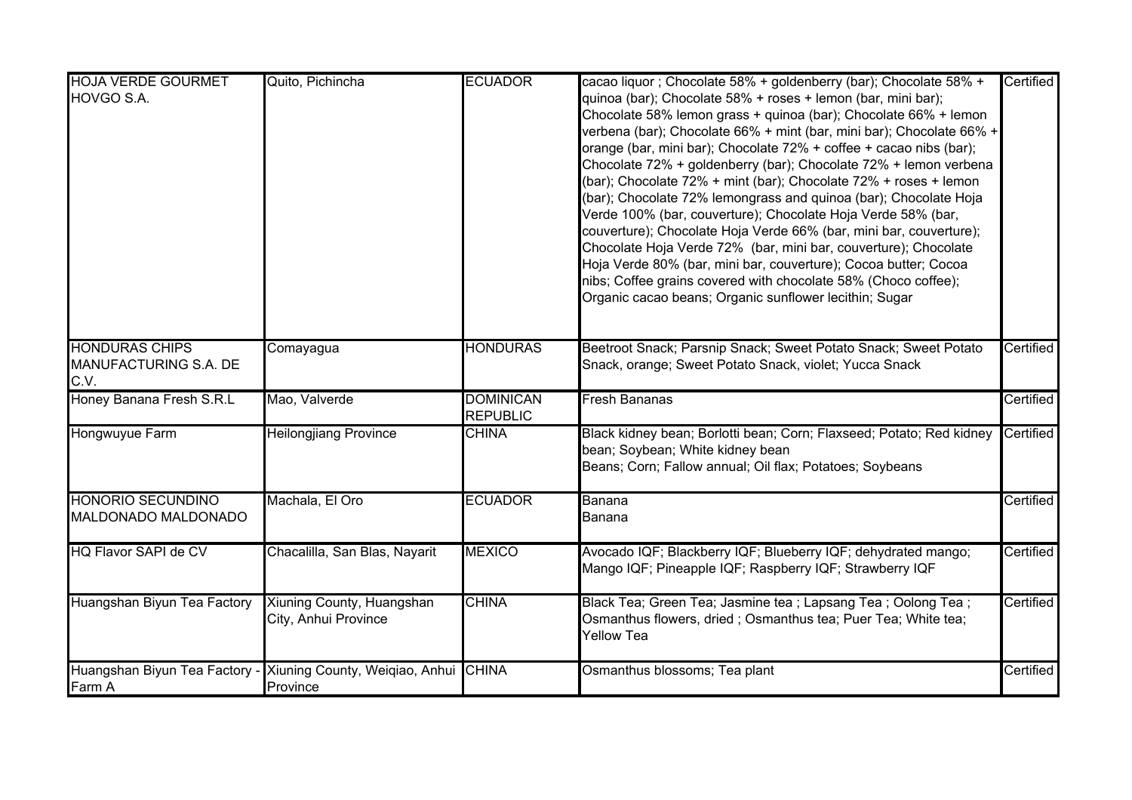| <b>HOJA VERDE GOURMET</b><br>HOVGO S.A.                | Quito, Pichincha                                                         | <b>ECUADOR</b>                      | cacao liquor ; Chocolate 58% + goldenberry (bar); Chocolate 58% +<br>quinoa (bar); Chocolate 58% + roses + lemon (bar, mini bar);<br>Chocolate 58% lemon grass + quinoa (bar); Chocolate 66% + lemon<br>verbena (bar); Chocolate 66% + mint (bar, mini bar); Chocolate 66% +<br>orange (bar, mini bar); Chocolate 72% + coffee + cacao nibs (bar);<br>Chocolate 72% + goldenberry (bar); Chocolate 72% + lemon verbena<br>(bar); Chocolate 72% + mint (bar); Chocolate 72% + roses + lemon<br>(bar); Chocolate 72% lemongrass and quinoa (bar); Chocolate Hoja<br>Verde 100% (bar, couverture); Chocolate Hoja Verde 58% (bar,<br>couverture); Chocolate Hoja Verde 66% (bar, mini bar, couverture);<br>Chocolate Hoja Verde 72% (bar, mini bar, couverture); Chocolate<br>Hoja Verde 80% (bar, mini bar, couverture); Cocoa butter; Cocoa<br>nibs; Coffee grains covered with chocolate 58% (Choco coffee);<br>Organic cacao beans; Organic sunflower lecithin; Sugar | Certified |
|--------------------------------------------------------|--------------------------------------------------------------------------|-------------------------------------|------------------------------------------------------------------------------------------------------------------------------------------------------------------------------------------------------------------------------------------------------------------------------------------------------------------------------------------------------------------------------------------------------------------------------------------------------------------------------------------------------------------------------------------------------------------------------------------------------------------------------------------------------------------------------------------------------------------------------------------------------------------------------------------------------------------------------------------------------------------------------------------------------------------------------------------------------------------------|-----------|
| <b>HONDURAS CHIPS</b><br>MANUFACTURING S.A. DE<br>C.V. | Comayagua                                                                | <b>HONDURAS</b>                     | Beetroot Snack; Parsnip Snack; Sweet Potato Snack; Sweet Potato<br>Snack, orange; Sweet Potato Snack, violet; Yucca Snack                                                                                                                                                                                                                                                                                                                                                                                                                                                                                                                                                                                                                                                                                                                                                                                                                                              | Certified |
| Honey Banana Fresh S.R.L                               | Mao, Valverde                                                            | <b>DOMINICAN</b><br><b>REPUBLIC</b> | <b>Fresh Bananas</b>                                                                                                                                                                                                                                                                                                                                                                                                                                                                                                                                                                                                                                                                                                                                                                                                                                                                                                                                                   | Certified |
| Hongwuyue Farm                                         | <b>Heilongjiang Province</b>                                             | <b>CHINA</b>                        | Black kidney bean; Borlotti bean; Corn; Flaxseed; Potato; Red kidney<br>bean; Soybean; White kidney bean<br>Beans; Corn; Fallow annual; Oil flax; Potatoes; Soybeans                                                                                                                                                                                                                                                                                                                                                                                                                                                                                                                                                                                                                                                                                                                                                                                                   | Certified |
| <b>HONORIO SECUNDINO</b><br>MALDONADO MALDONADO        | Machala, El Oro                                                          | <b>ECUADOR</b>                      | Banana<br>Banana                                                                                                                                                                                                                                                                                                                                                                                                                                                                                                                                                                                                                                                                                                                                                                                                                                                                                                                                                       | Certified |
| <b>HQ Flavor SAPI de CV</b>                            | Chacalilla, San Blas, Nayarit                                            | <b>MEXICO</b>                       | Avocado IQF; Blackberry IQF; Blueberry IQF; dehydrated mango;<br>Mango IQF; Pineapple IQF; Raspberry IQF; Strawberry IQF                                                                                                                                                                                                                                                                                                                                                                                                                                                                                                                                                                                                                                                                                                                                                                                                                                               | Certified |
| Huangshan Biyun Tea Factory                            | Xiuning County, Huangshan<br>City, Anhui Province                        | <b>CHINA</b>                        | Black Tea; Green Tea; Jasmine tea ; Lapsang Tea ; Oolong Tea ;<br>Osmanthus flowers, dried; Osmanthus tea; Puer Tea; White tea;<br><b>Yellow Tea</b>                                                                                                                                                                                                                                                                                                                                                                                                                                                                                                                                                                                                                                                                                                                                                                                                                   | Certified |
| Farm A                                                 | Huangshan Biyun Tea Factory - Xiuning County, Weiqiao, Anhui<br>Province | <b>CHINA</b>                        | Osmanthus blossoms; Tea plant                                                                                                                                                                                                                                                                                                                                                                                                                                                                                                                                                                                                                                                                                                                                                                                                                                                                                                                                          | Certified |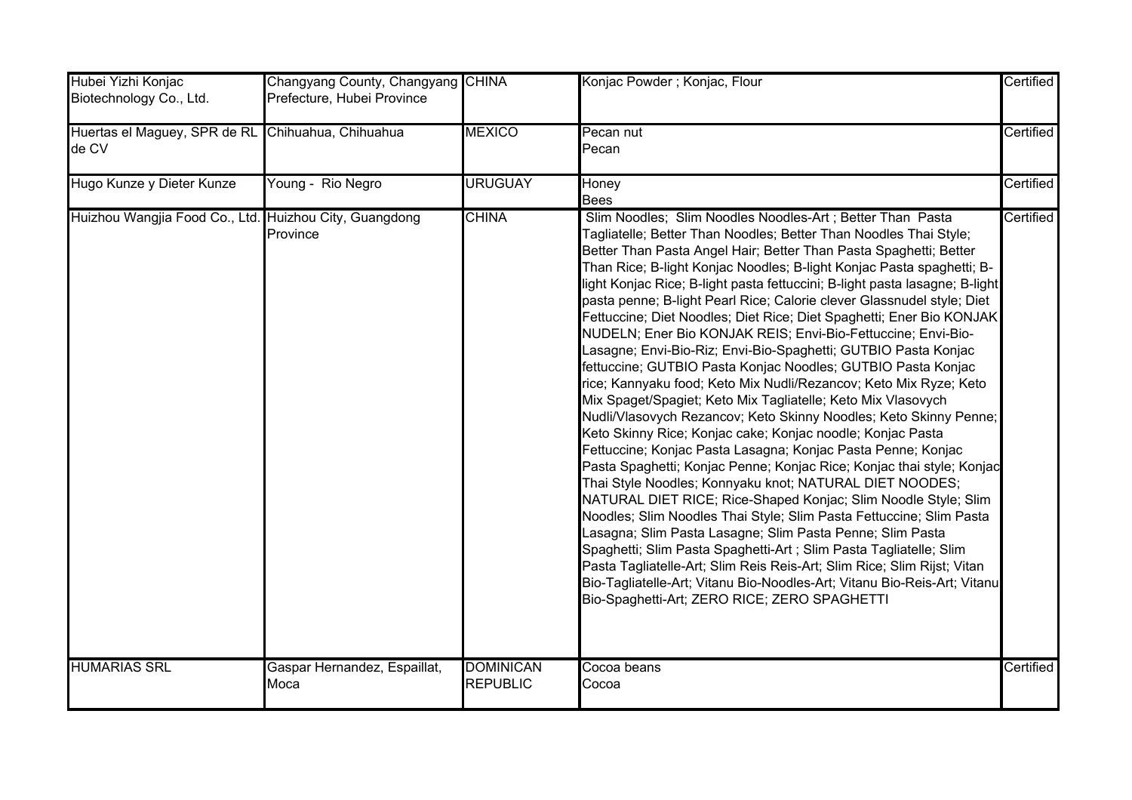| Hubei Yizhi Konjac<br>Biotechnology Co., Ltd.              | Changyang County, Changyang CHINA<br>Prefecture, Hubei Province |                                     | Konjac Powder ; Konjac, Flour                                                                                                                                                                                                                                                                                                                                                                                                                                                                                                                                                                                                                                                                                                                                                                                                                                                                                                                                                                                                                                                                                                                                                                                                                                                                                                                                                                                                                                                                                                                                                                                                                                                  | Certified |
|------------------------------------------------------------|-----------------------------------------------------------------|-------------------------------------|--------------------------------------------------------------------------------------------------------------------------------------------------------------------------------------------------------------------------------------------------------------------------------------------------------------------------------------------------------------------------------------------------------------------------------------------------------------------------------------------------------------------------------------------------------------------------------------------------------------------------------------------------------------------------------------------------------------------------------------------------------------------------------------------------------------------------------------------------------------------------------------------------------------------------------------------------------------------------------------------------------------------------------------------------------------------------------------------------------------------------------------------------------------------------------------------------------------------------------------------------------------------------------------------------------------------------------------------------------------------------------------------------------------------------------------------------------------------------------------------------------------------------------------------------------------------------------------------------------------------------------------------------------------------------------|-----------|
| Huertas el Maguey, SPR de RL Chihuahua, Chihuahua<br>de CV |                                                                 | <b>MEXICO</b>                       | Pecan nut<br>Pecan                                                                                                                                                                                                                                                                                                                                                                                                                                                                                                                                                                                                                                                                                                                                                                                                                                                                                                                                                                                                                                                                                                                                                                                                                                                                                                                                                                                                                                                                                                                                                                                                                                                             | Certified |
| Hugo Kunze y Dieter Kunze                                  | Young - Rio Negro                                               | <b>URUGUAY</b>                      | Honey<br><b>Bees</b>                                                                                                                                                                                                                                                                                                                                                                                                                                                                                                                                                                                                                                                                                                                                                                                                                                                                                                                                                                                                                                                                                                                                                                                                                                                                                                                                                                                                                                                                                                                                                                                                                                                           | Certified |
| Huizhou Wangjia Food Co., Ltd. Huizhou City, Guangdong     | Province                                                        | <b>CHINA</b>                        | Slim Noodles; Slim Noodles Noodles-Art; Better Than Pasta<br>Tagliatelle; Better Than Noodles; Better Than Noodles Thai Style;<br>Better Than Pasta Angel Hair; Better Than Pasta Spaghetti; Better<br>Than Rice; B-light Konjac Noodles; B-light Konjac Pasta spaghetti; B-<br>light Konjac Rice; B-light pasta fettuccini; B-light pasta lasagne; B-light<br>pasta penne; B-light Pearl Rice; Calorie clever Glassnudel style; Diet<br>Fettuccine; Diet Noodles; Diet Rice; Diet Spaghetti; Ener Bio KONJAK<br>NUDELN; Ener Bio KONJAK REIS; Envi-Bio-Fettuccine; Envi-Bio-<br>Lasagne; Envi-Bio-Riz; Envi-Bio-Spaghetti; GUTBIO Pasta Konjac<br>fettuccine; GUTBIO Pasta Konjac Noodles; GUTBIO Pasta Konjac<br>rice; Kannyaku food; Keto Mix Nudli/Rezancov; Keto Mix Ryze; Keto<br>Mix Spaget/Spagiet; Keto Mix Tagliatelle; Keto Mix Vlasovych<br>Nudli/Vlasovych Rezancov; Keto Skinny Noodles; Keto Skinny Penne;<br>Keto Skinny Rice; Konjac cake; Konjac noodle; Konjac Pasta<br>Fettuccine; Konjac Pasta Lasagna; Konjac Pasta Penne; Konjac<br>Pasta Spaghetti; Konjac Penne; Konjac Rice; Konjac thai style; Konjac<br>Thai Style Noodles; Konnyaku knot; NATURAL DIET NOODES;<br>NATURAL DIET RICE; Rice-Shaped Konjac; Slim Noodle Style; Slim<br>Noodles; Slim Noodles Thai Style; Slim Pasta Fettuccine; Slim Pasta<br>Lasagna; Slim Pasta Lasagne; Slim Pasta Penne; Slim Pasta<br>Spaghetti; Slim Pasta Spaghetti-Art ; Slim Pasta Tagliatelle; Slim<br>Pasta Tagliatelle-Art; Slim Reis Reis-Art; Slim Rice; Slim Rijst; Vitan<br>Bio-Tagliatelle-Art; Vitanu Bio-Noodles-Art; Vitanu Bio-Reis-Art; Vitanu<br>Bio-Spaghetti-Art; ZERO RICE; ZERO SPAGHETTI | Certified |
| <b>HUMARIAS SRL</b>                                        | Gaspar Hernandez, Espaillat,<br>Moca                            | <b>DOMINICAN</b><br><b>REPUBLIC</b> | Cocoa beans<br>Cocoa                                                                                                                                                                                                                                                                                                                                                                                                                                                                                                                                                                                                                                                                                                                                                                                                                                                                                                                                                                                                                                                                                                                                                                                                                                                                                                                                                                                                                                                                                                                                                                                                                                                           | Certified |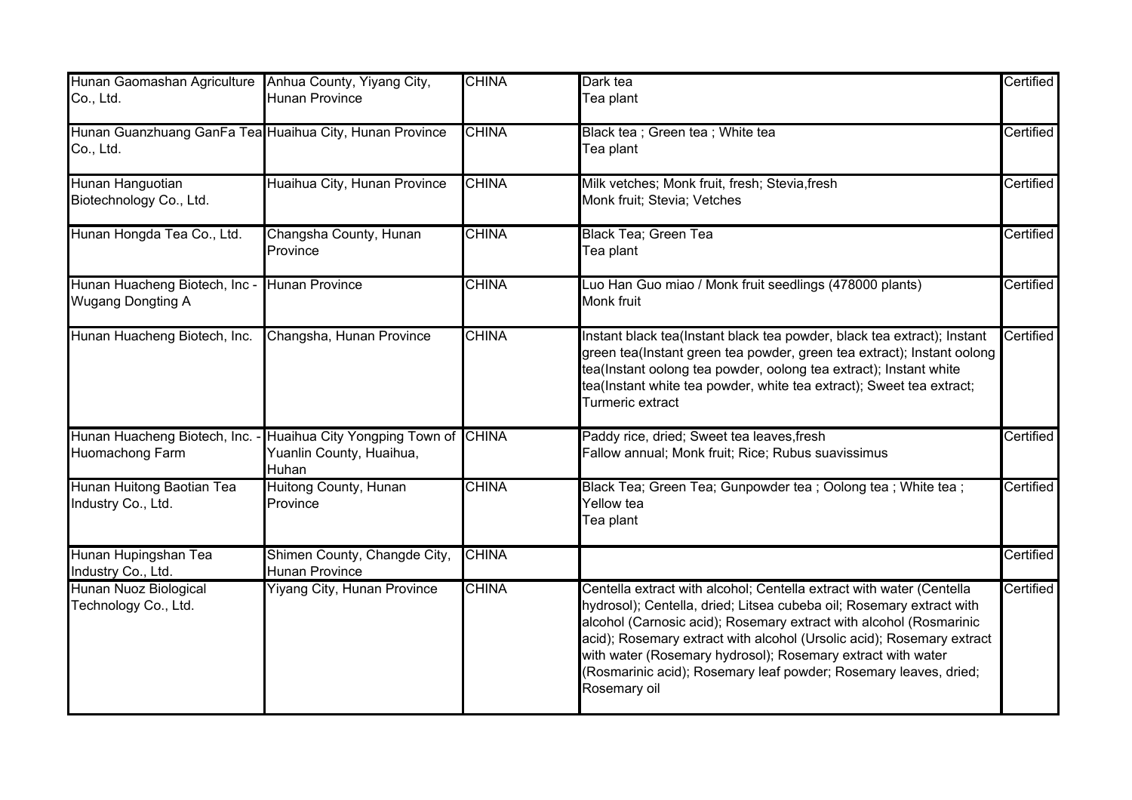| Hunan Gaomashan Agriculture                                          | Anhua County, Yiyang City,                                                                              | <b>CHINA</b> | Dark tea                                                                                                                                                                                                                                                                                                                                                                                                                                       | Certified |
|----------------------------------------------------------------------|---------------------------------------------------------------------------------------------------------|--------------|------------------------------------------------------------------------------------------------------------------------------------------------------------------------------------------------------------------------------------------------------------------------------------------------------------------------------------------------------------------------------------------------------------------------------------------------|-----------|
| Co., Ltd.                                                            | <b>Hunan Province</b>                                                                                   |              | Tea plant                                                                                                                                                                                                                                                                                                                                                                                                                                      |           |
| Hunan Guanzhuang GanFa Tea Huaihua City, Hunan Province<br>Co., Ltd. |                                                                                                         | <b>CHINA</b> | Black tea ; Green tea ; White tea<br>Tea plant                                                                                                                                                                                                                                                                                                                                                                                                 | Certified |
| Hunan Hanguotian<br>Biotechnology Co., Ltd.                          | Huaihua City, Hunan Province                                                                            | <b>CHINA</b> | Milk vetches; Monk fruit, fresh; Stevia, fresh<br>Monk fruit; Stevia; Vetches                                                                                                                                                                                                                                                                                                                                                                  | Certified |
| Hunan Hongda Tea Co., Ltd.                                           | Changsha County, Hunan<br>Province                                                                      | <b>CHINA</b> | <b>Black Tea; Green Tea</b><br>Tea plant                                                                                                                                                                                                                                                                                                                                                                                                       | Certified |
| Hunan Huacheng Biotech, Inc -<br><b>Wugang Dongting A</b>            | <b>Hunan Province</b>                                                                                   | <b>CHINA</b> | Luo Han Guo miao / Monk fruit seedlings (478000 plants)<br><b>Monk fruit</b>                                                                                                                                                                                                                                                                                                                                                                   | Certified |
| Hunan Huacheng Biotech, Inc.                                         | Changsha, Hunan Province                                                                                | <b>CHINA</b> | Instant black tea(Instant black tea powder, black tea extract); Instant<br>green tea(Instant green tea powder, green tea extract); Instant oolong<br>tea(Instant oolong tea powder, oolong tea extract); Instant white<br>tea(Instant white tea powder, white tea extract); Sweet tea extract;<br>Turmeric extract                                                                                                                             | Certified |
| <b>Huomachong Farm</b>                                               | Hunan Huacheng Biotech, Inc. - Huaihua City Yongping Town of CHINA<br>Yuanlin County, Huaihua,<br>Huhan |              | Paddy rice, dried; Sweet tea leaves, fresh<br>Fallow annual; Monk fruit; Rice; Rubus suavissimus                                                                                                                                                                                                                                                                                                                                               | Certified |
| Hunan Huitong Baotian Tea<br>Industry Co., Ltd.                      | Huitong County, Hunan<br>Province                                                                       | <b>CHINA</b> | Black Tea; Green Tea; Gunpowder tea ; Oolong tea ; White tea ;<br>Yellow tea<br>Tea plant                                                                                                                                                                                                                                                                                                                                                      | Certified |
| Hunan Hupingshan Tea<br>Industry Co., Ltd.                           | Shimen County, Changde City,<br><b>Hunan Province</b>                                                   | <b>CHINA</b> |                                                                                                                                                                                                                                                                                                                                                                                                                                                | Certified |
| Hunan Nuoz Biological<br>Technology Co., Ltd.                        | <b>Yiyang City, Hunan Province</b>                                                                      | <b>CHINA</b> | Centella extract with alcohol; Centella extract with water (Centella<br>hydrosol); Centella, dried; Litsea cubeba oil; Rosemary extract with<br>alcohol (Carnosic acid); Rosemary extract with alcohol (Rosmarinic<br>acid); Rosemary extract with alcohol (Ursolic acid); Rosemary extract<br>with water (Rosemary hydrosol); Rosemary extract with water<br>(Rosmarinic acid); Rosemary leaf powder; Rosemary leaves, dried;<br>Rosemary oil | Certified |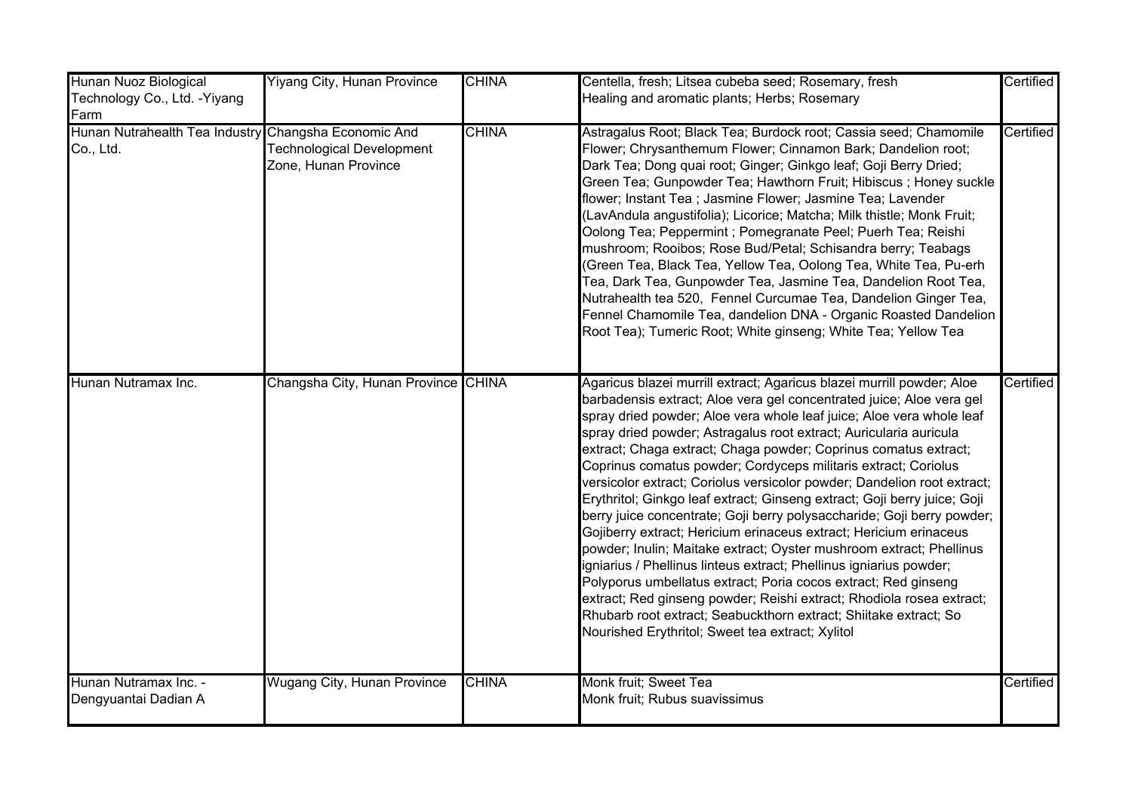| Hunan Nuoz Biological                                             | <b>Yiyang City, Hunan Province</b>                | <b>CHINA</b> | Centella, fresh; Litsea cubeba seed; Rosemary, fresh                                                                                                                                                                                                                                                                                                                                                                                                                                                                                                                                                                                                                                                                                                                                                                                                                                                                                                                                                                                                                                                                                                 | Certified |
|-------------------------------------------------------------------|---------------------------------------------------|--------------|------------------------------------------------------------------------------------------------------------------------------------------------------------------------------------------------------------------------------------------------------------------------------------------------------------------------------------------------------------------------------------------------------------------------------------------------------------------------------------------------------------------------------------------------------------------------------------------------------------------------------------------------------------------------------------------------------------------------------------------------------------------------------------------------------------------------------------------------------------------------------------------------------------------------------------------------------------------------------------------------------------------------------------------------------------------------------------------------------------------------------------------------------|-----------|
| Technology Co., Ltd. - Yiyang<br>Farm                             |                                                   |              | Healing and aromatic plants; Herbs; Rosemary                                                                                                                                                                                                                                                                                                                                                                                                                                                                                                                                                                                                                                                                                                                                                                                                                                                                                                                                                                                                                                                                                                         |           |
| Hunan Nutrahealth Tea Industry Changsha Economic And<br>Co., Ltd. | Technological Development<br>Zone, Hunan Province | <b>CHINA</b> | Astragalus Root; Black Tea; Burdock root; Cassia seed; Chamomile<br>Flower; Chrysanthemum Flower; Cinnamon Bark; Dandelion root;<br>Dark Tea; Dong quai root; Ginger; Ginkgo leaf; Goji Berry Dried;<br>Green Tea; Gunpowder Tea; Hawthorn Fruit; Hibiscus ; Honey suckle<br>flower; Instant Tea ; Jasmine Flower; Jasmine Tea; Lavender<br>(LavAndula angustifolia); Licorice; Matcha; Milk thistle; Monk Fruit;<br>Oolong Tea; Peppermint ; Pomegranate Peel; Puerh Tea; Reishi<br>mushroom; Rooibos; Rose Bud/Petal; Schisandra berry; Teabags<br>(Green Tea, Black Tea, Yellow Tea, Oolong Tea, White Tea, Pu-erh<br>Tea, Dark Tea, Gunpowder Tea, Jasmine Tea, Dandelion Root Tea,<br>Nutrahealth tea 520, Fennel Curcumae Tea, Dandelion Ginger Tea,<br>Fennel Chamomile Tea, dandelion DNA - Organic Roasted Dandelion<br>Root Tea); Tumeric Root; White ginseng; White Tea; Yellow Tea                                                                                                                                                                                                                                                       | Certified |
| Hunan Nutramax Inc.                                               | Changsha City, Hunan Province CHINA               |              | Agaricus blazei murrill extract; Agaricus blazei murrill powder; Aloe<br>barbadensis extract; Aloe vera gel concentrated juice; Aloe vera gel<br>spray dried powder; Aloe vera whole leaf juice; Aloe vera whole leaf<br>spray dried powder; Astragalus root extract; Auricularia auricula<br>extract; Chaga extract; Chaga powder; Coprinus comatus extract;<br>Coprinus comatus powder; Cordyceps militaris extract; Coriolus<br>versicolor extract; Coriolus versicolor powder; Dandelion root extract;<br>Erythritol; Ginkgo leaf extract; Ginseng extract; Goji berry juice; Goji<br>berry juice concentrate; Goji berry polysaccharide; Goji berry powder;<br>Gojiberry extract; Hericium erinaceus extract; Hericium erinaceus<br>powder; Inulin; Maitake extract; Oyster mushroom extract; Phellinus<br>igniarius / Phellinus linteus extract; Phellinus igniarius powder;<br>Polyporus umbellatus extract; Poria cocos extract; Red ginseng<br>extract; Red ginseng powder; Reishi extract; Rhodiola rosea extract;<br>Rhubarb root extract; Seabuckthorn extract; Shiitake extract; So<br>Nourished Erythritol; Sweet tea extract; Xylitol | Certified |
| Hunan Nutramax Inc. -<br>Dengyuantai Dadian A                     | <b>Wugang City, Hunan Province</b>                | <b>CHINA</b> | Monk fruit; Sweet Tea<br>Monk fruit; Rubus suavissimus                                                                                                                                                                                                                                                                                                                                                                                                                                                                                                                                                                                                                                                                                                                                                                                                                                                                                                                                                                                                                                                                                               | Certified |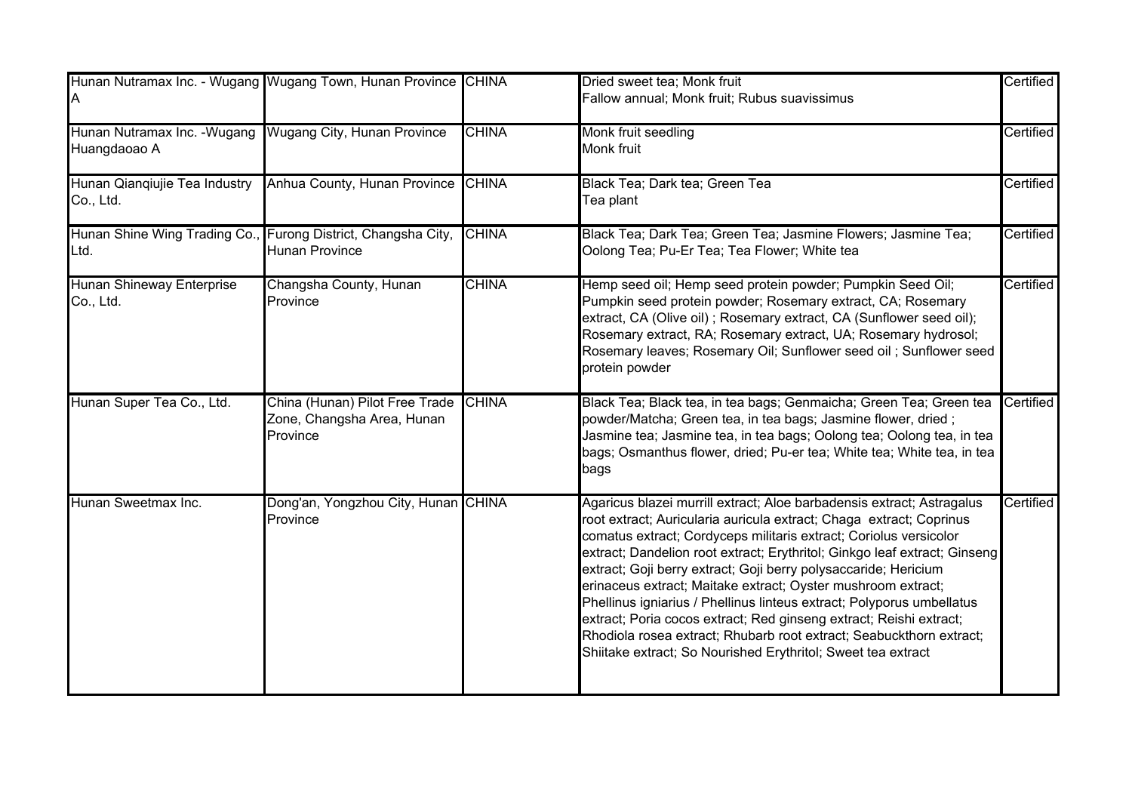| ΙA                                            | Hunan Nutramax Inc. - Wugang Wugang Town, Hunan Province CHINA           |              | Dried sweet tea; Monk fruit<br>Fallow annual; Monk fruit; Rubus suavissimus                                                                                                                                                                                                                                                                                                                                                                                                                                                                                                                                                                                                                                             | Certified |
|-----------------------------------------------|--------------------------------------------------------------------------|--------------|-------------------------------------------------------------------------------------------------------------------------------------------------------------------------------------------------------------------------------------------------------------------------------------------------------------------------------------------------------------------------------------------------------------------------------------------------------------------------------------------------------------------------------------------------------------------------------------------------------------------------------------------------------------------------------------------------------------------------|-----------|
| Hunan Nutramax Inc. - Wugang<br>Huangdaoao A  | Wugang City, Hunan Province                                              | <b>CHINA</b> | Monk fruit seedling<br>Monk fruit                                                                                                                                                                                                                                                                                                                                                                                                                                                                                                                                                                                                                                                                                       | Certified |
| Hunan Qianqiujie Tea Industry<br>Co., Ltd.    | Anhua County, Hunan Province CHINA                                       |              | Black Tea; Dark tea; Green Tea<br>Tea plant                                                                                                                                                                                                                                                                                                                                                                                                                                                                                                                                                                                                                                                                             | Certified |
| Hunan Shine Wing Trading Co.,<br>Ltd.         | Furong District, Changsha City,<br><b>Hunan Province</b>                 | <b>CHINA</b> | Black Tea; Dark Tea; Green Tea; Jasmine Flowers; Jasmine Tea;<br>Oolong Tea; Pu-Er Tea; Tea Flower; White tea                                                                                                                                                                                                                                                                                                                                                                                                                                                                                                                                                                                                           | Certified |
| <b>Hunan Shineway Enterprise</b><br>Co., Ltd. | Changsha County, Hunan<br>Province                                       | <b>CHINA</b> | Hemp seed oil; Hemp seed protein powder; Pumpkin Seed Oil;<br>Pumpkin seed protein powder; Rosemary extract, CA; Rosemary<br>extract, CA (Olive oil); Rosemary extract, CA (Sunflower seed oil);<br>Rosemary extract, RA; Rosemary extract, UA; Rosemary hydrosol;<br>Rosemary leaves; Rosemary Oil; Sunflower seed oil; Sunflower seed<br>protein powder                                                                                                                                                                                                                                                                                                                                                               | Certified |
| Hunan Super Tea Co., Ltd.                     | China (Hunan) Pilot Free Trade<br>Zone, Changsha Area, Hunan<br>Province | <b>CHINA</b> | Black Tea; Black tea, in tea bags; Genmaicha; Green Tea; Green tea<br>powder/Matcha; Green tea, in tea bags; Jasmine flower, dried;<br>Jasmine tea; Jasmine tea, in tea bags; Oolong tea; Oolong tea, in tea<br>bags; Osmanthus flower, dried; Pu-er tea; White tea; White tea, in tea<br>bags                                                                                                                                                                                                                                                                                                                                                                                                                          | Certified |
| Hunan Sweetmax Inc.                           | Dong'an, Yongzhou City, Hunan CHINA<br>Province                          |              | Agaricus blazei murrill extract; Aloe barbadensis extract; Astragalus<br>root extract; Auricularia auricula extract; Chaga extract; Coprinus<br>comatus extract; Cordyceps militaris extract; Coriolus versicolor<br>extract; Dandelion root extract; Erythritol; Ginkgo leaf extract; Ginseng<br>extract; Goji berry extract; Goji berry polysaccaride; Hericium<br>erinaceus extract; Maitake extract; Oyster mushroom extract;<br>Phellinus igniarius / Phellinus linteus extract; Polyporus umbellatus<br>extract; Poria cocos extract; Red ginseng extract; Reishi extract;<br>Rhodiola rosea extract; Rhubarb root extract; Seabuckthorn extract;<br>Shiitake extract; So Nourished Erythritol; Sweet tea extract | Certified |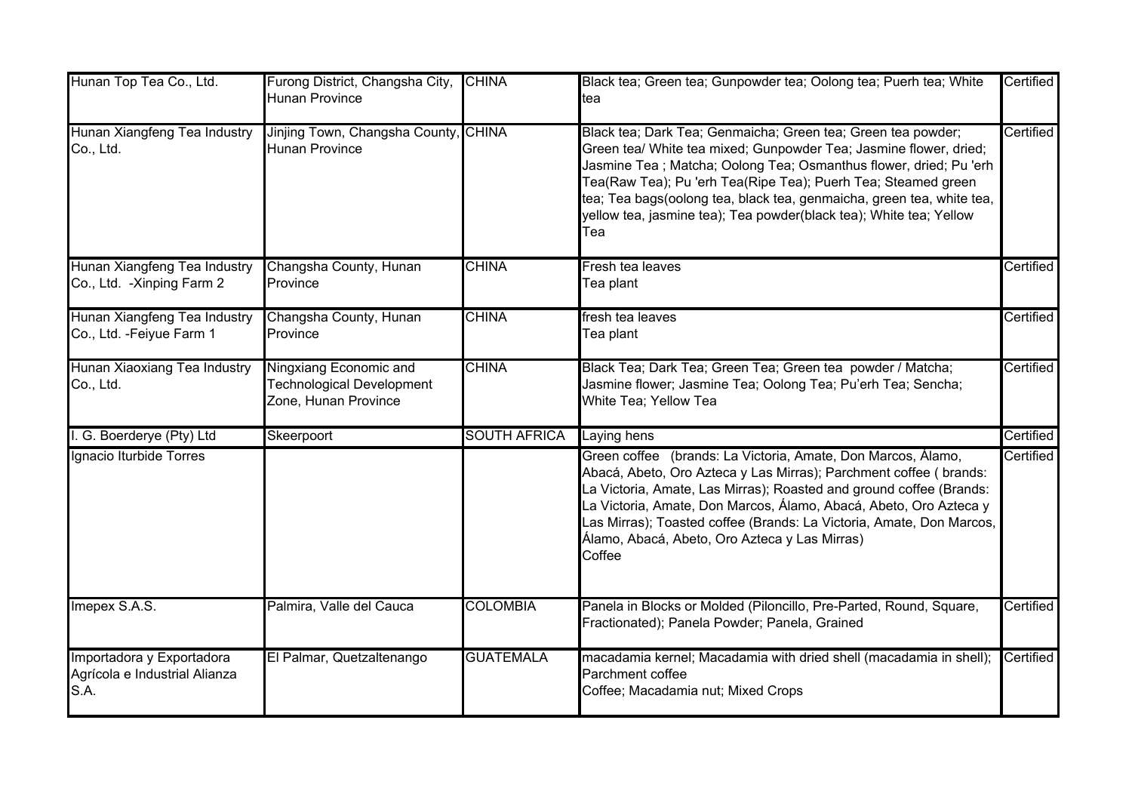| Hunan Top Tea Co., Ltd.                                            | Furong District, Changsha City,<br>Hunan Province                           | <b>CHINA</b>        | Black tea; Green tea; Gunpowder tea; Oolong tea; Puerh tea; White<br>tea                                                                                                                                                                                                                                                                                                                                                       | Certified |
|--------------------------------------------------------------------|-----------------------------------------------------------------------------|---------------------|--------------------------------------------------------------------------------------------------------------------------------------------------------------------------------------------------------------------------------------------------------------------------------------------------------------------------------------------------------------------------------------------------------------------------------|-----------|
| Hunan Xiangfeng Tea Industry<br>Co., Ltd.                          | Jinjing Town, Changsha County, CHINA<br><b>Hunan Province</b>               |                     | Black tea; Dark Tea; Genmaicha; Green tea; Green tea powder;<br>Green tea/ White tea mixed; Gunpowder Tea; Jasmine flower, dried;<br>Jasmine Tea ; Matcha; Oolong Tea; Osmanthus flower, dried; Pu 'erh<br>Tea(Raw Tea); Pu 'erh Tea(Ripe Tea); Puerh Tea; Steamed green<br>tea; Tea bags(oolong tea, black tea, genmaicha, green tea, white tea,<br>yellow tea, jasmine tea); Tea powder(black tea); White tea; Yellow<br>Tea | Certified |
| Hunan Xiangfeng Tea Industry<br>Co., Ltd. - Xinping Farm 2         | Changsha County, Hunan<br>Province                                          | <b>CHINA</b>        | Fresh tea leaves<br>Tea plant                                                                                                                                                                                                                                                                                                                                                                                                  | Certified |
| Hunan Xiangfeng Tea Industry<br>Co., Ltd. - Feiyue Farm 1          | Changsha County, Hunan<br>Province                                          | <b>CHINA</b>        | fresh tea leaves<br>Tea plant                                                                                                                                                                                                                                                                                                                                                                                                  | Certified |
| Hunan Xiaoxiang Tea Industry<br>Co., Ltd.                          | Ningxiang Economic and<br>Technological Development<br>Zone, Hunan Province | <b>CHINA</b>        | Black Tea; Dark Tea; Green Tea; Green tea powder / Matcha;<br>Jasmine flower; Jasmine Tea; Oolong Tea; Pu'erh Tea; Sencha;<br>White Tea; Yellow Tea                                                                                                                                                                                                                                                                            | Certified |
| I. G. Boerderye (Pty) Ltd                                          | Skeerpoort                                                                  | <b>SOUTH AFRICA</b> | Laying hens                                                                                                                                                                                                                                                                                                                                                                                                                    | Certified |
| Ignacio Iturbide Torres                                            |                                                                             |                     | Green coffee (brands: La Victoria, Amate, Don Marcos, Álamo,<br>Abacá, Abeto, Oro Azteca y Las Mirras); Parchment coffee ( brands:<br>La Victoria, Amate, Las Mirras); Roasted and ground coffee (Brands:<br>La Victoria, Amate, Don Marcos, Álamo, Abacá, Abeto, Oro Azteca y<br>Las Mirras); Toasted coffee (Brands: La Victoria, Amate, Don Marcos,<br>Álamo, Abacá, Abeto, Oro Azteca y Las Mirras)<br>Coffee              | Certified |
| Imepex S.A.S.                                                      | Palmira, Valle del Cauca                                                    | <b>COLOMBIA</b>     | Panela in Blocks or Molded (Piloncillo, Pre-Parted, Round, Square,<br>Fractionated); Panela Powder; Panela, Grained                                                                                                                                                                                                                                                                                                            | Certified |
| Importadora y Exportadora<br>Agrícola e Industrial Alianza<br>S.A. | El Palmar, Quetzaltenango                                                   | <b>GUATEMALA</b>    | macadamia kernel; Macadamia with dried shell (macadamia in shell);<br>Parchment coffee<br>Coffee; Macadamia nut; Mixed Crops                                                                                                                                                                                                                                                                                                   | Certified |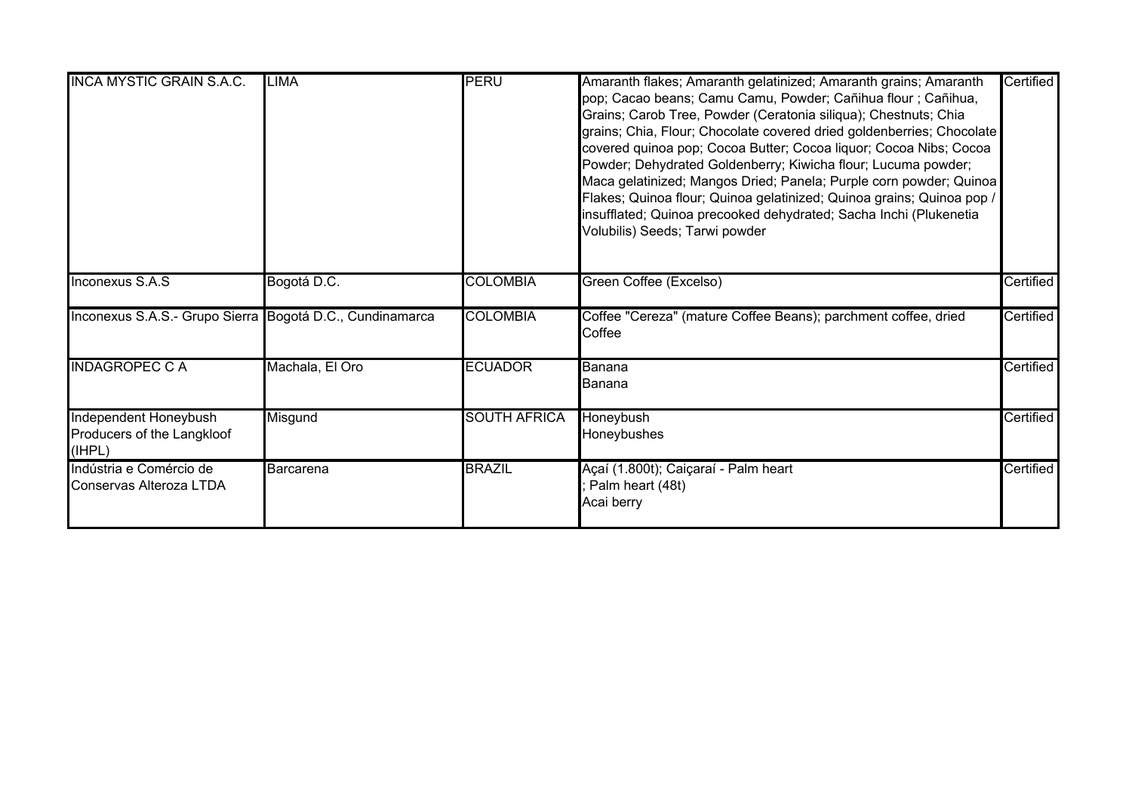| <b>INCA MYSTIC GRAIN S.A.C.</b>                               | <b>LIMA</b>     | <b>PERU</b>         | Amaranth flakes; Amaranth gelatinized; Amaranth grains; Amaranth<br>pop; Cacao beans; Camu Camu, Powder; Cañihua flour ; Cañihua,<br>Grains; Carob Tree, Powder (Ceratonia siliqua); Chestnuts; Chia<br>grains; Chia, Flour; Chocolate covered dried goldenberries; Chocolate<br>covered quinoa pop; Cocoa Butter; Cocoa liquor; Cocoa Nibs; Cocoa<br>Powder; Dehydrated Goldenberry; Kiwicha flour; Lucuma powder;<br>Maca gelatinized; Mangos Dried; Panela; Purple corn powder; Quinoa<br>Flakes; Quinoa flour; Quinoa gelatinized; Quinoa grains; Quinoa pop /<br>insufflated; Quinoa precooked dehydrated; Sacha Inchi (Plukenetia<br>Volubilis) Seeds; Tarwi powder | Certified |
|---------------------------------------------------------------|-----------------|---------------------|---------------------------------------------------------------------------------------------------------------------------------------------------------------------------------------------------------------------------------------------------------------------------------------------------------------------------------------------------------------------------------------------------------------------------------------------------------------------------------------------------------------------------------------------------------------------------------------------------------------------------------------------------------------------------|-----------|
| Inconexus S.A.S                                               | Bogotá D.C.     | <b>COLOMBIA</b>     | Green Coffee (Excelso)                                                                                                                                                                                                                                                                                                                                                                                                                                                                                                                                                                                                                                                    | Certified |
| Inconexus S.A.S.- Grupo Sierra Bogotá D.C., Cundinamarca      |                 | <b>COLOMBIA</b>     | Coffee "Cereza" (mature Coffee Beans); parchment coffee, dried<br>Coffee                                                                                                                                                                                                                                                                                                                                                                                                                                                                                                                                                                                                  | Certified |
| <b>INDAGROPEC C A</b>                                         | Machala, El Oro | <b>ECUADOR</b>      | Banana<br>Banana                                                                                                                                                                                                                                                                                                                                                                                                                                                                                                                                                                                                                                                          | Certified |
| Independent Honeybush<br>Producers of the Langkloof<br>(IHPL) | Misgund         | <b>SOUTH AFRICA</b> | Honeybush<br>Honeybushes                                                                                                                                                                                                                                                                                                                                                                                                                                                                                                                                                                                                                                                  | Certified |
| Indústria e Comércio de<br>Conservas Alteroza LTDA            | Barcarena       | <b>BRAZIL</b>       | Açaí (1.800t); Caiçaraí - Palm heart<br>Palm heart (48t)<br>Acai berry                                                                                                                                                                                                                                                                                                                                                                                                                                                                                                                                                                                                    | Certified |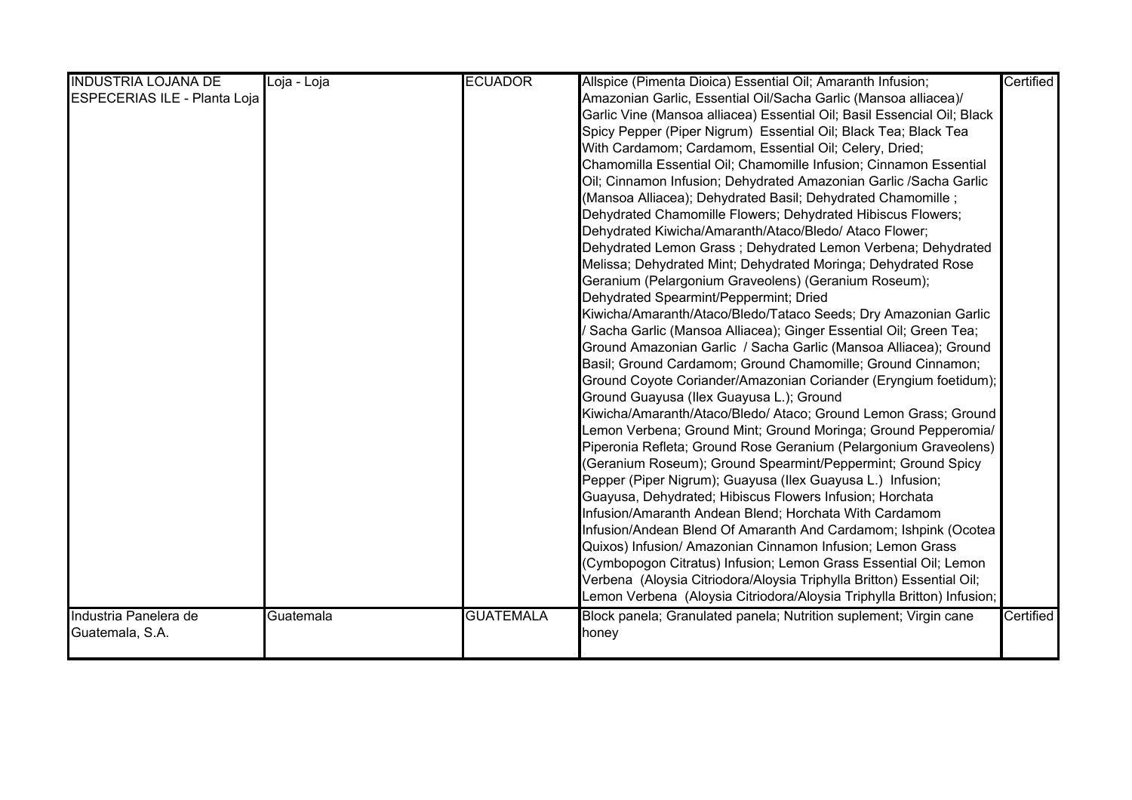| <b>INDUSTRIA LOJANA DE</b>          | Loja - Loja | <b>ECUADOR</b>   | Allspice (Pimenta Dioica) Essential Oil; Amaranth Infusion;             | Certified |
|-------------------------------------|-------------|------------------|-------------------------------------------------------------------------|-----------|
| <b>ESPECERIAS ILE - Planta Loja</b> |             |                  | Amazonian Garlic, Essential Oil/Sacha Garlic (Mansoa alliacea)/         |           |
|                                     |             |                  | Garlic Vine (Mansoa alliacea) Essential Oil; Basil Essencial Oil; Black |           |
|                                     |             |                  | Spicy Pepper (Piper Nigrum) Essential Oil; Black Tea; Black Tea         |           |
|                                     |             |                  | With Cardamom; Cardamom, Essential Oil; Celery, Dried;                  |           |
|                                     |             |                  | Chamomilla Essential Oil; Chamomille Infusion; Cinnamon Essential       |           |
|                                     |             |                  | Oil; Cinnamon Infusion; Dehydrated Amazonian Garlic /Sacha Garlic       |           |
|                                     |             |                  | (Mansoa Alliacea); Dehydrated Basil; Dehydrated Chamomille;             |           |
|                                     |             |                  | Dehydrated Chamomille Flowers; Dehydrated Hibiscus Flowers;             |           |
|                                     |             |                  | Dehydrated Kiwicha/Amaranth/Ataco/Bledo/ Ataco Flower;                  |           |
|                                     |             |                  | Dehydrated Lemon Grass; Dehydrated Lemon Verbena; Dehydrated            |           |
|                                     |             |                  | Melissa; Dehydrated Mint; Dehydrated Moringa; Dehydrated Rose           |           |
|                                     |             |                  | Geranium (Pelargonium Graveolens) (Geranium Roseum);                    |           |
|                                     |             |                  | Dehydrated Spearmint/Peppermint; Dried                                  |           |
|                                     |             |                  | Kiwicha/Amaranth/Ataco/Bledo/Tataco Seeds; Dry Amazonian Garlic         |           |
|                                     |             |                  | 'Sacha Garlic (Mansoa Alliacea); Ginger Essential Oil; Green Tea;       |           |
|                                     |             |                  | Ground Amazonian Garlic / Sacha Garlic (Mansoa Alliacea); Ground        |           |
|                                     |             |                  | Basil; Ground Cardamom; Ground Chamomille; Ground Cinnamon;             |           |
|                                     |             |                  | Ground Coyote Coriander/Amazonian Coriander (Eryngium foetidum);        |           |
|                                     |             |                  | Ground Guayusa (Ilex Guayusa L.); Ground                                |           |
|                                     |             |                  | Kiwicha/Amaranth/Ataco/Bledo/ Ataco; Ground Lemon Grass; Ground         |           |
|                                     |             |                  | Lemon Verbena; Ground Mint; Ground Moringa; Ground Pepperomia/          |           |
|                                     |             |                  | Piperonia Refleta; Ground Rose Geranium (Pelargonium Graveolens)        |           |
|                                     |             |                  | (Geranium Roseum); Ground Spearmint/Peppermint; Ground Spicy            |           |
|                                     |             |                  | Pepper (Piper Nigrum); Guayusa (Ilex Guayusa L.) Infusion;              |           |
|                                     |             |                  | Guayusa, Dehydrated; Hibiscus Flowers Infusion; Horchata                |           |
|                                     |             |                  | Infusion/Amaranth Andean Blend; Horchata With Cardamom                  |           |
|                                     |             |                  | Infusion/Andean Blend Of Amaranth And Cardamom; Ishpink (Ocotea         |           |
|                                     |             |                  | Quixos) Infusion/ Amazonian Cinnamon Infusion; Lemon Grass              |           |
|                                     |             |                  | (Cymbopogon Citratus) Infusion; Lemon Grass Essential Oil; Lemon        |           |
|                                     |             |                  | Verbena (Aloysia Citriodora/Aloysia Triphylla Britton) Essential Oil;   |           |
|                                     |             |                  | Lemon Verbena (Aloysia Citriodora/Aloysia Triphylla Britton) Infusion;  |           |
| Industria Panelera de               | Guatemala   | <b>GUATEMALA</b> | Block panela; Granulated panela; Nutrition suplement; Virgin cane       | Certified |
| Guatemala, S.A.                     |             |                  | honey                                                                   |           |
|                                     |             |                  |                                                                         |           |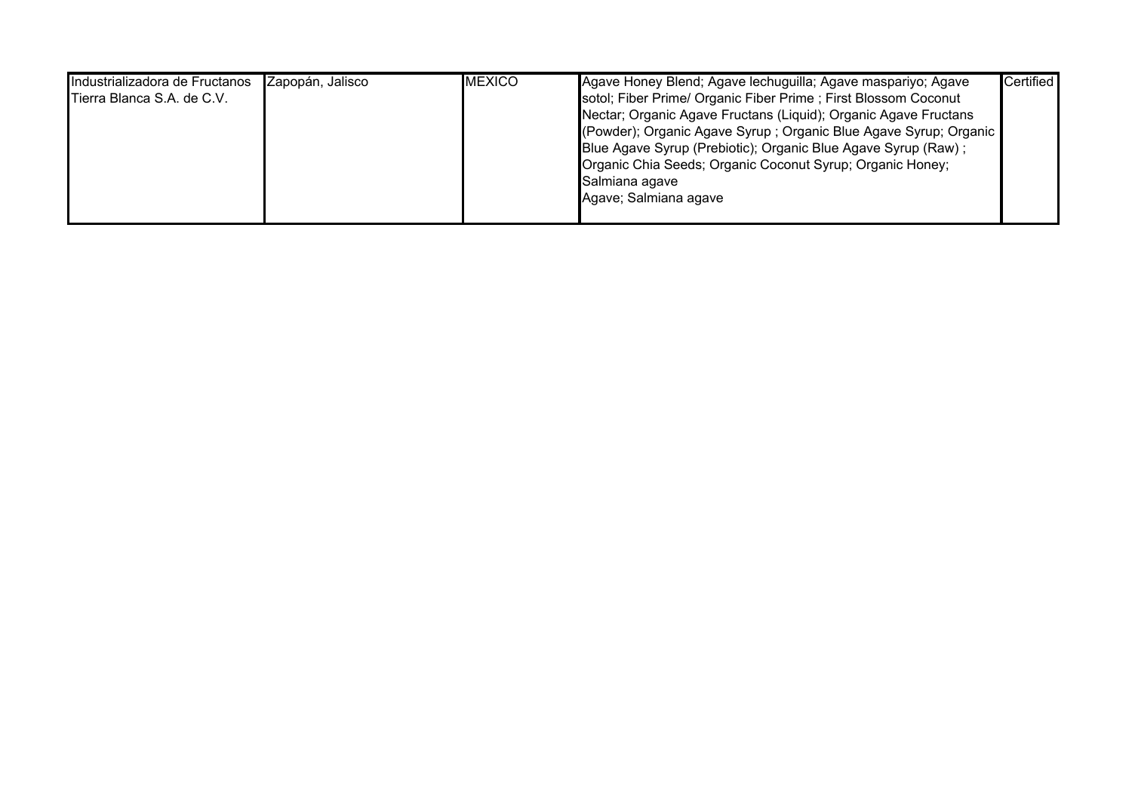| Industrializadora de Fructanos | Zapopán, Jalisco | <b>IMEXICO</b> | Agave Honey Blend; Agave lechuguilla; Agave maspariyo; Agave      | Certified |
|--------------------------------|------------------|----------------|-------------------------------------------------------------------|-----------|
| Tierra Blanca S.A. de C.V.     |                  |                | sotol; Fiber Prime/ Organic Fiber Prime; First Blossom Coconut    |           |
|                                |                  |                | Nectar; Organic Agave Fructans (Liquid); Organic Agave Fructans   |           |
|                                |                  |                | (Powder); Organic Agave Syrup ; Organic Blue Agave Syrup; Organic |           |
|                                |                  |                | Blue Agave Syrup (Prebiotic); Organic Blue Agave Syrup (Raw);     |           |
|                                |                  |                | Organic Chia Seeds; Organic Coconut Syrup; Organic Honey;         |           |
|                                |                  |                | Salmiana agave                                                    |           |
|                                |                  |                | Agave; Salmiana agave                                             |           |
|                                |                  |                |                                                                   |           |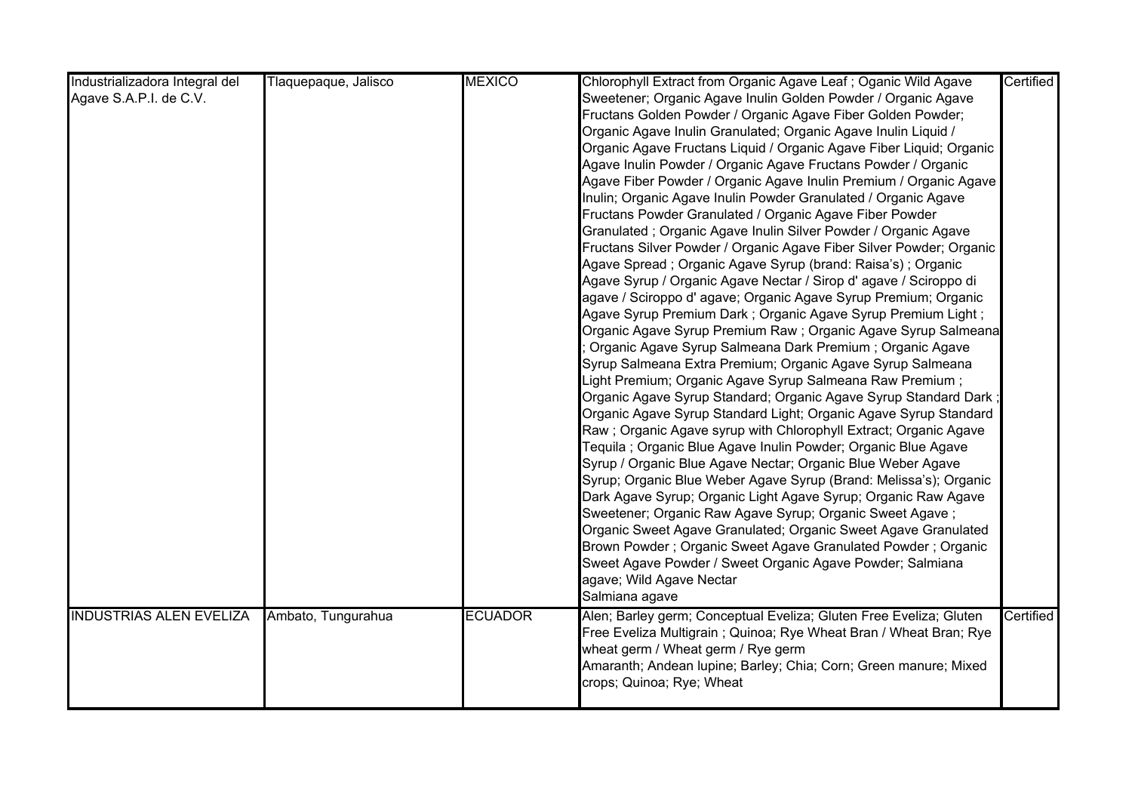| Industrializadora Integral del | Tlaquepaque, Jalisco | <b>MEXICO</b>  | Chlorophyll Extract from Organic Agave Leaf; Oganic Wild Agave      | Certified |
|--------------------------------|----------------------|----------------|---------------------------------------------------------------------|-----------|
| Agave S.A.P.I. de C.V.         |                      |                | Sweetener; Organic Agave Inulin Golden Powder / Organic Agave       |           |
|                                |                      |                | Fructans Golden Powder / Organic Agave Fiber Golden Powder;         |           |
|                                |                      |                | Organic Agave Inulin Granulated; Organic Agave Inulin Liquid /      |           |
|                                |                      |                | Organic Agave Fructans Liquid / Organic Agave Fiber Liquid; Organic |           |
|                                |                      |                | Agave Inulin Powder / Organic Agave Fructans Powder / Organic       |           |
|                                |                      |                | Agave Fiber Powder / Organic Agave Inulin Premium / Organic Agave   |           |
|                                |                      |                | Inulin; Organic Agave Inulin Powder Granulated / Organic Agave      |           |
|                                |                      |                | Fructans Powder Granulated / Organic Agave Fiber Powder             |           |
|                                |                      |                | Granulated; Organic Agave Inulin Silver Powder / Organic Agave      |           |
|                                |                      |                | Fructans Silver Powder / Organic Agave Fiber Silver Powder; Organic |           |
|                                |                      |                | Agave Spread; Organic Agave Syrup (brand: Raisa's); Organic         |           |
|                                |                      |                | Agave Syrup / Organic Agave Nectar / Sirop d'agave / Sciroppo di    |           |
|                                |                      |                | agave / Sciroppo d' agave; Organic Agave Syrup Premium; Organic     |           |
|                                |                      |                | Agave Syrup Premium Dark; Organic Agave Syrup Premium Light;        |           |
|                                |                      |                | Organic Agave Syrup Premium Raw; Organic Agave Syrup Salmeana       |           |
|                                |                      |                | Organic Agave Syrup Salmeana Dark Premium; Organic Agave            |           |
|                                |                      |                | Syrup Salmeana Extra Premium; Organic Agave Syrup Salmeana          |           |
|                                |                      |                | Light Premium; Organic Agave Syrup Salmeana Raw Premium;            |           |
|                                |                      |                | Organic Agave Syrup Standard; Organic Agave Syrup Standard Dark;    |           |
|                                |                      |                | Organic Agave Syrup Standard Light; Organic Agave Syrup Standard    |           |
|                                |                      |                | Raw; Organic Agave syrup with Chlorophyll Extract; Organic Agave    |           |
|                                |                      |                | Tequila ; Organic Blue Agave Inulin Powder; Organic Blue Agave      |           |
|                                |                      |                | Syrup / Organic Blue Agave Nectar; Organic Blue Weber Agave         |           |
|                                |                      |                | Syrup; Organic Blue Weber Agave Syrup (Brand: Melissa's); Organic   |           |
|                                |                      |                | Dark Agave Syrup; Organic Light Agave Syrup; Organic Raw Agave      |           |
|                                |                      |                | Sweetener; Organic Raw Agave Syrup; Organic Sweet Agave;            |           |
|                                |                      |                | Organic Sweet Agave Granulated; Organic Sweet Agave Granulated      |           |
|                                |                      |                | Brown Powder; Organic Sweet Agave Granulated Powder; Organic        |           |
|                                |                      |                | Sweet Agave Powder / Sweet Organic Agave Powder; Salmiana           |           |
|                                |                      |                | agave; Wild Agave Nectar                                            |           |
|                                |                      |                | Salmiana agave                                                      |           |
| <b>INDUSTRIAS ALEN EVELIZA</b> | Ambato, Tungurahua   | <b>ECUADOR</b> | Alen; Barley germ; Conceptual Eveliza; Gluten Free Eveliza; Gluten  | Certified |
|                                |                      |                | Free Eveliza Multigrain ; Quinoa; Rye Wheat Bran / Wheat Bran; Rye  |           |
|                                |                      |                | wheat germ / Wheat germ / Rye germ                                  |           |
|                                |                      |                | Amaranth; Andean lupine; Barley; Chia; Corn; Green manure; Mixed    |           |
|                                |                      |                | crops; Quinoa; Rye; Wheat                                           |           |
|                                |                      |                |                                                                     |           |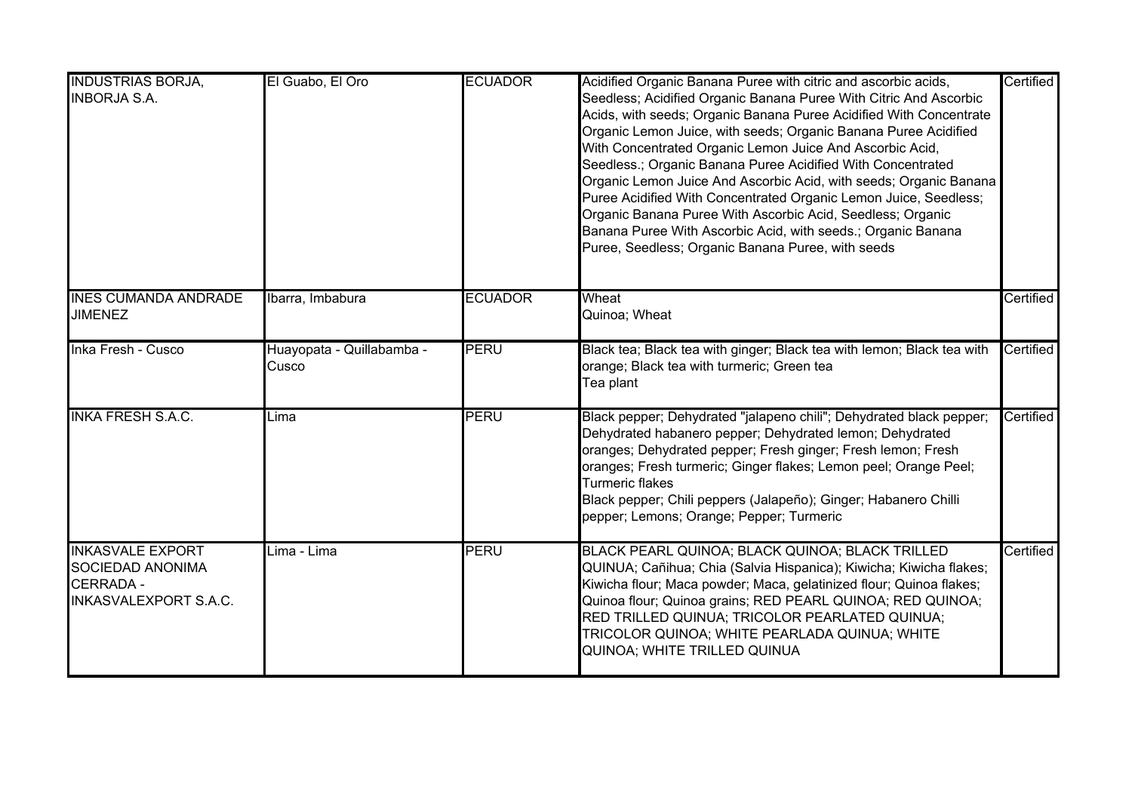| <b>INDUSTRIAS BORJA,</b><br><b>INBORJA S.A.</b>                                                        | El Guabo, El Oro                   | <b>ECUADOR</b> | Acidified Organic Banana Puree with citric and ascorbic acids,<br>Seedless; Acidified Organic Banana Puree With Citric And Ascorbic<br>Acids, with seeds; Organic Banana Puree Acidified With Concentrate<br>Organic Lemon Juice, with seeds; Organic Banana Puree Acidified<br>With Concentrated Organic Lemon Juice And Ascorbic Acid,<br>Seedless.; Organic Banana Puree Acidified With Concentrated<br>Organic Lemon Juice And Ascorbic Acid, with seeds; Organic Banana<br>Puree Acidified With Concentrated Organic Lemon Juice, Seedless;<br>Organic Banana Puree With Ascorbic Acid, Seedless; Organic<br>Banana Puree With Ascorbic Acid, with seeds.; Organic Banana<br>Puree, Seedless; Organic Banana Puree, with seeds | Certified |
|--------------------------------------------------------------------------------------------------------|------------------------------------|----------------|-------------------------------------------------------------------------------------------------------------------------------------------------------------------------------------------------------------------------------------------------------------------------------------------------------------------------------------------------------------------------------------------------------------------------------------------------------------------------------------------------------------------------------------------------------------------------------------------------------------------------------------------------------------------------------------------------------------------------------------|-----------|
| <b>INES CUMANDA ANDRADE</b><br><b>JIMENEZ</b>                                                          | Ibarra, Imbabura                   | <b>ECUADOR</b> | Wheat<br>Quinoa; Wheat                                                                                                                                                                                                                                                                                                                                                                                                                                                                                                                                                                                                                                                                                                              | Certified |
| Inka Fresh - Cusco                                                                                     | Huayopata - Quillabamba -<br>Cusco | PERU           | Black tea; Black tea with ginger; Black tea with lemon; Black tea with<br>orange; Black tea with turmeric; Green tea<br>Tea plant                                                                                                                                                                                                                                                                                                                                                                                                                                                                                                                                                                                                   | Certified |
| <b>INKA FRESH S.A.C.</b>                                                                               | Lima                               | <b>PERU</b>    | Black pepper; Dehydrated "jalapeno chili"; Dehydrated black pepper;<br>Dehydrated habanero pepper; Dehydrated lemon; Dehydrated<br>oranges; Dehydrated pepper; Fresh ginger; Fresh lemon; Fresh<br>oranges; Fresh turmeric; Ginger flakes; Lemon peel; Orange Peel;<br>Turmeric flakes<br>Black pepper; Chili peppers (Jalapeño); Ginger; Habanero Chilli<br>pepper; Lemons; Orange; Pepper; Turmeric                                                                                                                                                                                                                                                                                                                               | Certified |
| <b>INKASVALE EXPORT</b><br><b>SOCIEDAD ANONIMA</b><br><b>CERRADA -</b><br><b>INKASVALEXPORT S.A.C.</b> | Lima - Lima                        | PERU           | BLACK PEARL QUINOA; BLACK QUINOA; BLACK TRILLED<br>QUINUA; Cañihua; Chia (Salvia Hispanica); Kiwicha; Kiwicha flakes;<br>Kiwicha flour; Maca powder; Maca, gelatinized flour; Quinoa flakes;<br>Quinoa flour; Quinoa grains; RED PEARL QUINOA; RED QUINOA;<br>RED TRILLED QUINUA; TRICOLOR PEARLATED QUINUA;<br>TRICOLOR QUINOA; WHITE PEARLADA QUINUA; WHITE<br>QUINOA; WHITE TRILLED QUINUA                                                                                                                                                                                                                                                                                                                                       | Certified |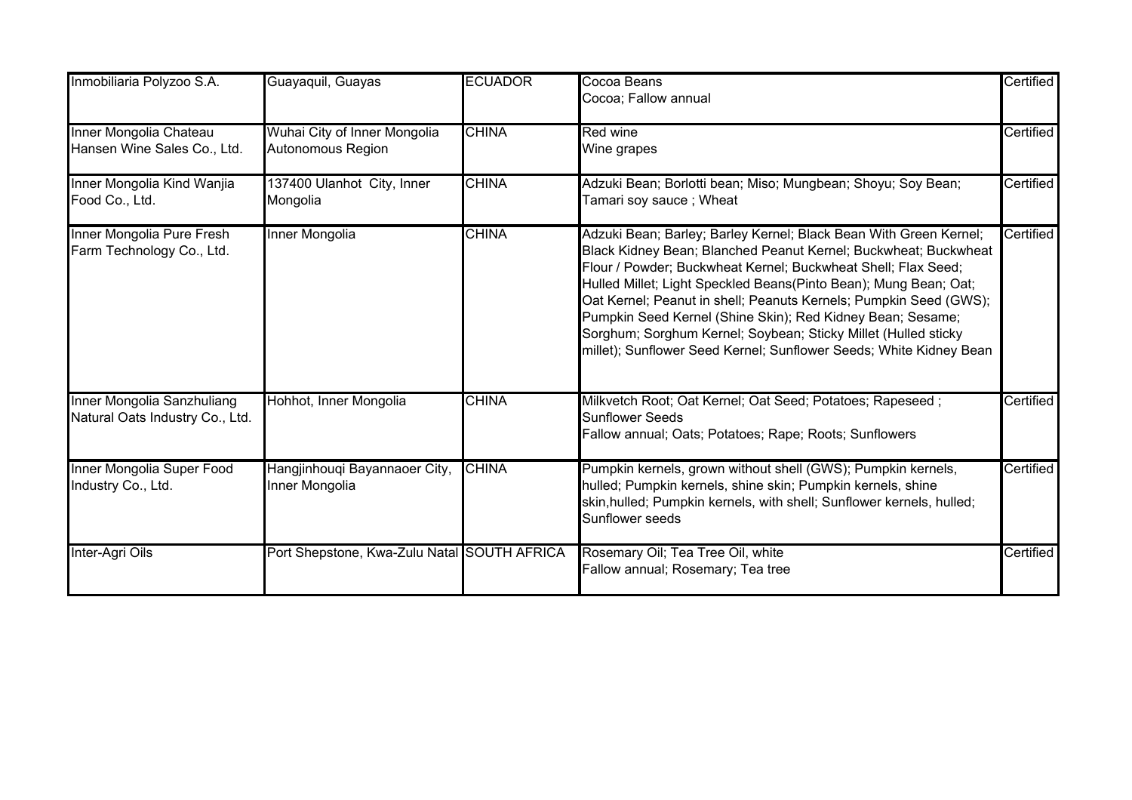| Inmobiliaria Polyzoo S.A.                                     | Guayaquil, Guayas                                 | <b>ECUADOR</b> | Cocoa Beans<br>Cocoa; Fallow annual                                                                                                                                                                                                                                                                                                                                                                                                                                                                                                                  | Certified |
|---------------------------------------------------------------|---------------------------------------------------|----------------|------------------------------------------------------------------------------------------------------------------------------------------------------------------------------------------------------------------------------------------------------------------------------------------------------------------------------------------------------------------------------------------------------------------------------------------------------------------------------------------------------------------------------------------------------|-----------|
| Inner Mongolia Chateau<br>Hansen Wine Sales Co., Ltd.         | Wuhai City of Inner Mongolia<br>Autonomous Region | <b>CHINA</b>   | <b>Red wine</b><br>Wine grapes                                                                                                                                                                                                                                                                                                                                                                                                                                                                                                                       | Certified |
| Inner Mongolia Kind Wanjia<br>Food Co., Ltd.                  | 137400 Ulanhot City, Inner<br>Mongolia            | <b>CHINA</b>   | Adzuki Bean; Borlotti bean; Miso; Mungbean; Shoyu; Soy Bean;<br>Tamari soy sauce ; Wheat                                                                                                                                                                                                                                                                                                                                                                                                                                                             | Certified |
| Inner Mongolia Pure Fresh<br>Farm Technology Co., Ltd.        | Inner Mongolia                                    | <b>CHINA</b>   | Adzuki Bean; Barley; Barley Kernel; Black Bean With Green Kernel;<br>Black Kidney Bean; Blanched Peanut Kernel; Buckwheat; Buckwheat<br>Flour / Powder; Buckwheat Kernel; Buckwheat Shell; Flax Seed;<br>Hulled Millet; Light Speckled Beans(Pinto Bean); Mung Bean; Oat;<br>Oat Kernel; Peanut in shell; Peanuts Kernels; Pumpkin Seed (GWS);<br>Pumpkin Seed Kernel (Shine Skin); Red Kidney Bean; Sesame;<br>Sorghum; Sorghum Kernel; Soybean; Sticky Millet (Hulled sticky<br>millet); Sunflower Seed Kernel; Sunflower Seeds; White Kidney Bean | Certified |
| Inner Mongolia Sanzhuliang<br>Natural Oats Industry Co., Ltd. | Hohhot, Inner Mongolia                            | <b>CHINA</b>   | Milkvetch Root; Oat Kernel; Oat Seed; Potatoes; Rapeseed;<br><b>Sunflower Seeds</b><br>Fallow annual; Oats; Potatoes; Rape; Roots; Sunflowers                                                                                                                                                                                                                                                                                                                                                                                                        | Certified |
| Inner Mongolia Super Food<br>Industry Co., Ltd.               | Hangjinhouqi Bayannaoer City,<br>Inner Mongolia   | <b>CHINA</b>   | Pumpkin kernels, grown without shell (GWS); Pumpkin kernels,<br>hulled; Pumpkin kernels, shine skin; Pumpkin kernels, shine<br>skin, hulled; Pumpkin kernels, with shell; Sunflower kernels, hulled;<br>Sunflower seeds                                                                                                                                                                                                                                                                                                                              | Certified |
| Inter-Agri Oils                                               | Port Shepstone, Kwa-Zulu Natal SOUTH AFRICA       |                | Rosemary Oil; Tea Tree Oil, white<br>Fallow annual; Rosemary; Tea tree                                                                                                                                                                                                                                                                                                                                                                                                                                                                               | Certified |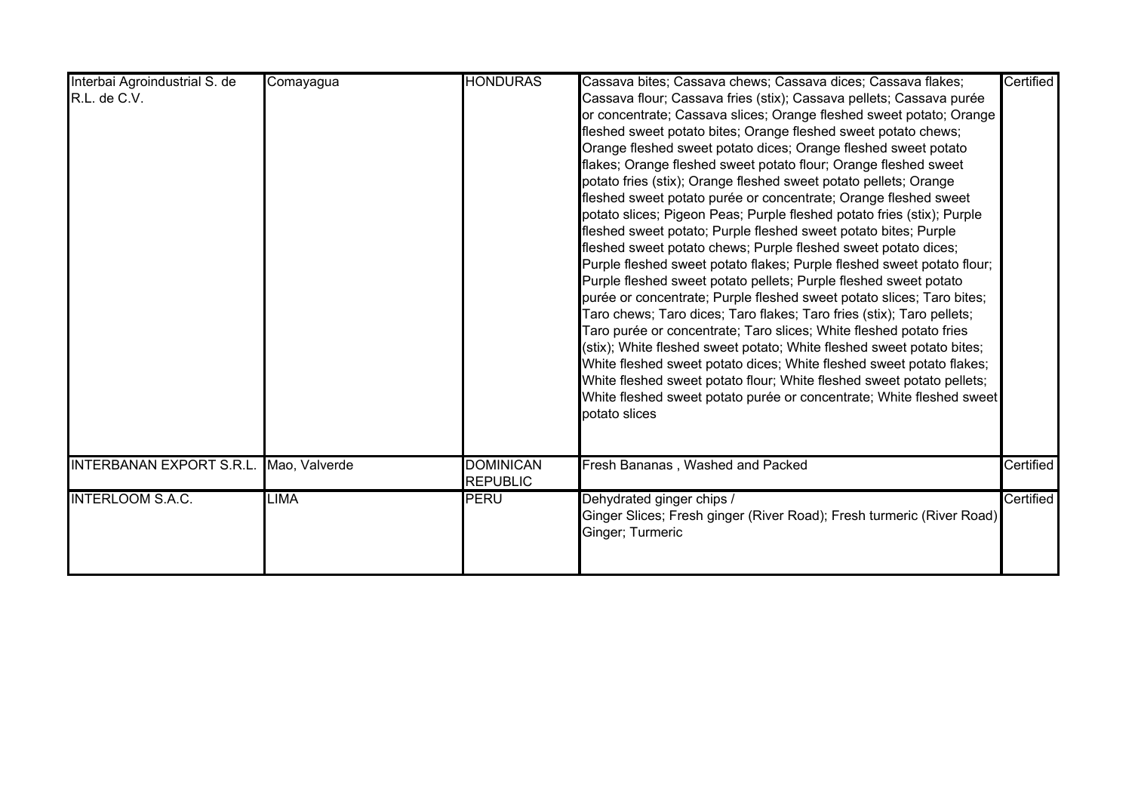| Interbai Agroindustrial S. de<br>R.L. de C.V. | Comayagua | <b>HONDURAS</b>                     | Cassava bites; Cassava chews; Cassava dices; Cassava flakes;<br>Cassava flour; Cassava fries (stix); Cassava pellets; Cassava purée<br>or concentrate; Cassava slices; Orange fleshed sweet potato; Orange<br>fleshed sweet potato bites; Orange fleshed sweet potato chews;<br>Orange fleshed sweet potato dices; Orange fleshed sweet potato<br>flakes; Orange fleshed sweet potato flour; Orange fleshed sweet<br>potato fries (stix); Orange fleshed sweet potato pellets; Orange<br>fleshed sweet potato purée or concentrate; Orange fleshed sweet<br>potato slices; Pigeon Peas; Purple fleshed potato fries (stix); Purple<br>fleshed sweet potato; Purple fleshed sweet potato bites; Purple<br>fleshed sweet potato chews; Purple fleshed sweet potato dices;<br>Purple fleshed sweet potato flakes; Purple fleshed sweet potato flour;<br>Purple fleshed sweet potato pellets; Purple fleshed sweet potato<br>purée or concentrate; Purple fleshed sweet potato slices; Taro bites;<br>Taro chews; Taro dices; Taro flakes; Taro fries (stix); Taro pellets;<br>Taro purée or concentrate; Taro slices; White fleshed potato fries<br>(stix); White fleshed sweet potato; White fleshed sweet potato bites;<br>White fleshed sweet potato dices; White fleshed sweet potato flakes;<br>White fleshed sweet potato flour; White fleshed sweet potato pellets;<br>White fleshed sweet potato purée or concentrate; White fleshed sweet | Certified |
|-----------------------------------------------|-----------|-------------------------------------|-------------------------------------------------------------------------------------------------------------------------------------------------------------------------------------------------------------------------------------------------------------------------------------------------------------------------------------------------------------------------------------------------------------------------------------------------------------------------------------------------------------------------------------------------------------------------------------------------------------------------------------------------------------------------------------------------------------------------------------------------------------------------------------------------------------------------------------------------------------------------------------------------------------------------------------------------------------------------------------------------------------------------------------------------------------------------------------------------------------------------------------------------------------------------------------------------------------------------------------------------------------------------------------------------------------------------------------------------------------------------------------------------------------------------------------------------|-----------|
| INTERBANAN EXPORT S.R.L. Mao, Valverde        |           | <b>DOMINICAN</b><br><b>REPUBLIC</b> | potato slices<br>Fresh Bananas, Washed and Packed                                                                                                                                                                                                                                                                                                                                                                                                                                                                                                                                                                                                                                                                                                                                                                                                                                                                                                                                                                                                                                                                                                                                                                                                                                                                                                                                                                                               | Certified |
| <b>INTERLOOM S.A.C.</b>                       | LIMA      | PERU                                | Dehydrated ginger chips /<br>Ginger Slices; Fresh ginger (River Road); Fresh turmeric (River Road)<br>Ginger; Turmeric                                                                                                                                                                                                                                                                                                                                                                                                                                                                                                                                                                                                                                                                                                                                                                                                                                                                                                                                                                                                                                                                                                                                                                                                                                                                                                                          | Certified |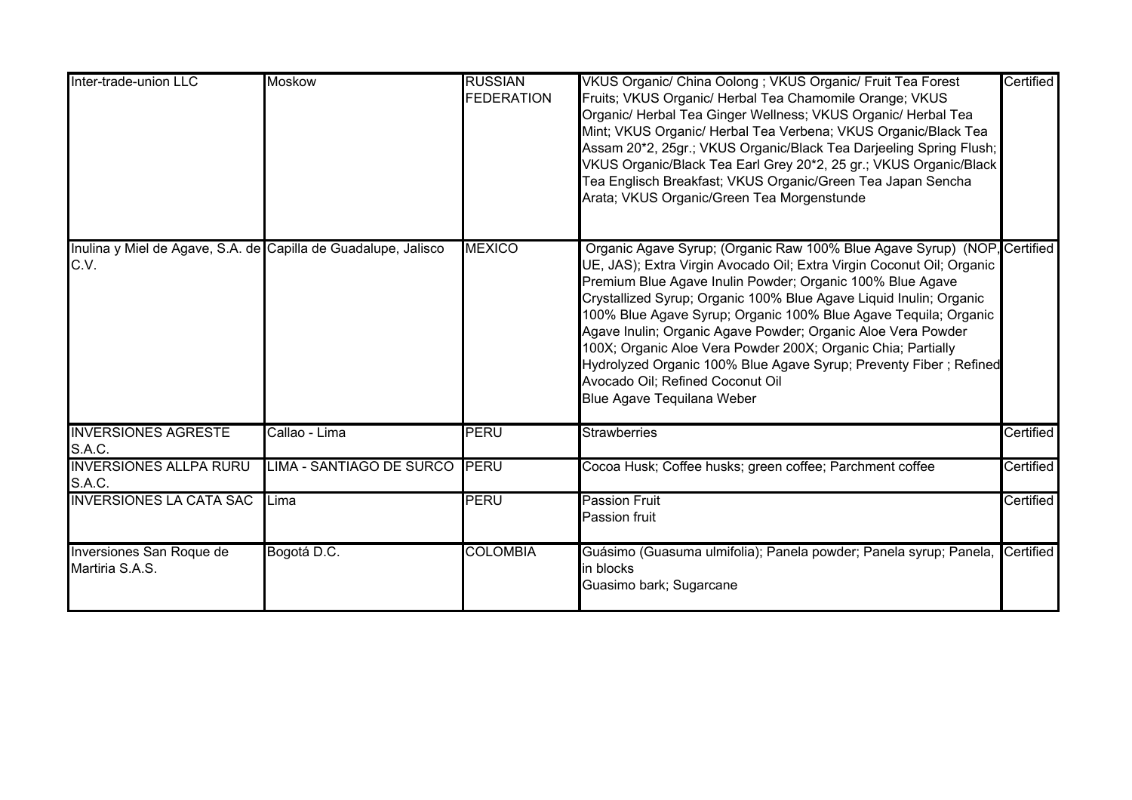| Inter-trade-union LLC                                                  | <b>Moskow</b>                   | <b>RUSSIAN</b><br><b>FEDERATION</b> | VKUS Organic/ China Oolong; VKUS Organic/ Fruit Tea Forest<br>Fruits; VKUS Organic/ Herbal Tea Chamomile Orange; VKUS<br>Organic/ Herbal Tea Ginger Wellness; VKUS Organic/ Herbal Tea<br>Mint; VKUS Organic/ Herbal Tea Verbena; VKUS Organic/Black Tea<br>Assam 20*2, 25gr.; VKUS Organic/Black Tea Darjeeling Spring Flush;<br>VKUS Organic/Black Tea Earl Grey 20*2, 25 gr.; VKUS Organic/Black<br>Tea Englisch Breakfast; VKUS Organic/Green Tea Japan Sencha<br>Arata; VKUS Organic/Green Tea Morgenstunde                                                                                                                | Certified |
|------------------------------------------------------------------------|---------------------------------|-------------------------------------|---------------------------------------------------------------------------------------------------------------------------------------------------------------------------------------------------------------------------------------------------------------------------------------------------------------------------------------------------------------------------------------------------------------------------------------------------------------------------------------------------------------------------------------------------------------------------------------------------------------------------------|-----------|
| Inulina y Miel de Agave, S.A. de Capilla de Guadalupe, Jalisco<br>C.V. |                                 | <b>MEXICO</b>                       | Organic Agave Syrup; (Organic Raw 100% Blue Agave Syrup) (NOP, Certified<br>UE, JAS); Extra Virgin Avocado Oil; Extra Virgin Coconut Oil; Organic<br>Premium Blue Agave Inulin Powder; Organic 100% Blue Agave<br>Crystallized Syrup; Organic 100% Blue Agave Liquid Inulin; Organic<br>100% Blue Agave Syrup; Organic 100% Blue Agave Tequila; Organic<br>Agave Inulin; Organic Agave Powder; Organic Aloe Vera Powder<br>100X; Organic Aloe Vera Powder 200X; Organic Chia; Partially<br>Hydrolyzed Organic 100% Blue Agave Syrup; Preventy Fiber ; Refined<br>Avocado Oil; Refined Coconut Oil<br>Blue Agave Tequilana Weber |           |
| <b>INVERSIONES AGRESTE</b><br>S.A.C.                                   | Callao - Lima                   | <b>PERU</b>                         | Strawberries                                                                                                                                                                                                                                                                                                                                                                                                                                                                                                                                                                                                                    | Certified |
| <b>INVERSIONES ALLPA RURU</b><br>S.A.C.                                | <b>LIMA - SANTIAGO DE SURCO</b> | PERU                                | Cocoa Husk; Coffee husks; green coffee; Parchment coffee                                                                                                                                                                                                                                                                                                                                                                                                                                                                                                                                                                        | Certified |
| <b>INVERSIONES LA CATA SAC</b>                                         | Lima                            | <b>PERU</b>                         | <b>Passion Fruit</b><br>Passion fruit                                                                                                                                                                                                                                                                                                                                                                                                                                                                                                                                                                                           | Certified |
| Inversiones San Roque de<br>Martiria S.A.S.                            | Bogotá D.C.                     | <b>COLOMBIA</b>                     | Guásimo (Guasuma ulmifolia); Panela powder; Panela syrup; Panela, Certified<br>in blocks<br>Guasimo bark; Sugarcane                                                                                                                                                                                                                                                                                                                                                                                                                                                                                                             |           |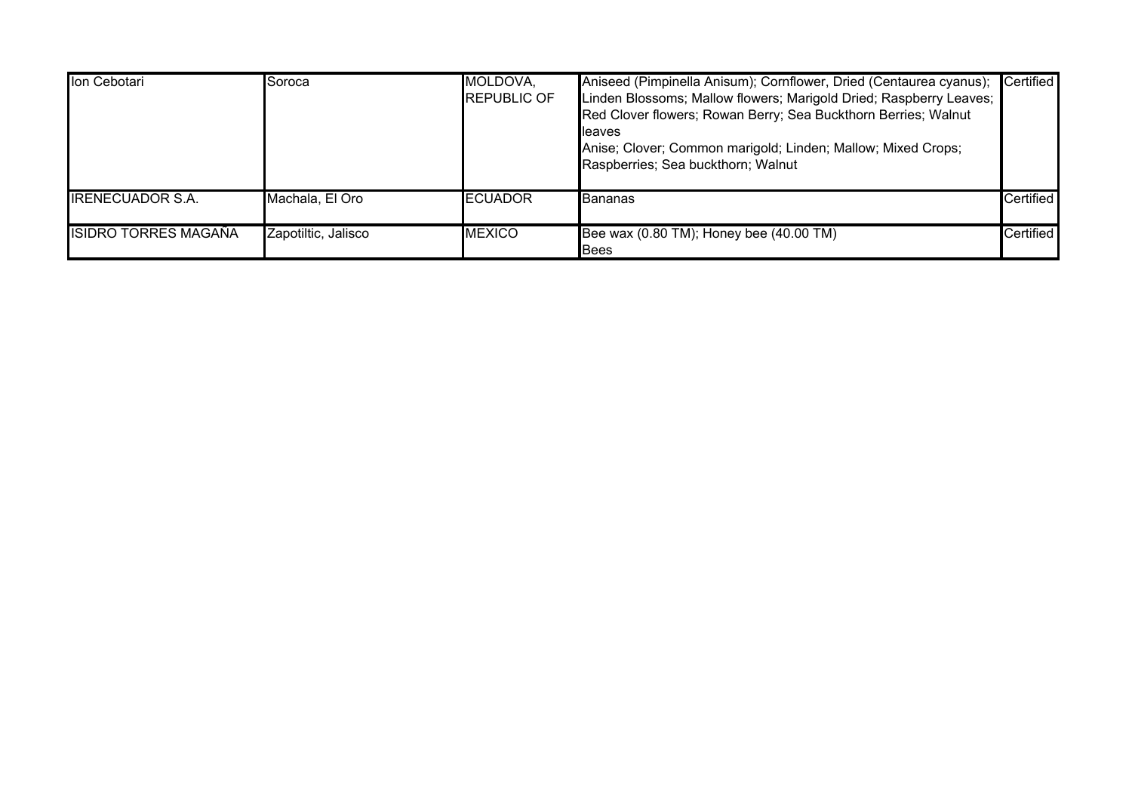| Ion Cebotari            | Soroca              | MOLDOVA,<br><b>REPUBLIC OF</b> | Aniseed (Pimpinella Anisum); Cornflower, Dried (Centaurea cyanus);<br>Linden Blossoms; Mallow flowers; Marigold Dried; Raspberry Leaves;<br>Red Clover flowers; Rowan Berry; Sea Buckthorn Berries; Walnut<br>lleaves<br>Anise; Clover; Common marigold; Linden; Mallow; Mixed Crops;<br>Raspberries; Sea buckthorn; Walnut | Certified        |
|-------------------------|---------------------|--------------------------------|-----------------------------------------------------------------------------------------------------------------------------------------------------------------------------------------------------------------------------------------------------------------------------------------------------------------------------|------------------|
| <b>IRENECUADOR S.A.</b> | Machala, El Oro     | <b>IECUADOR</b>                | Bananas                                                                                                                                                                                                                                                                                                                     | <b>Certified</b> |
| ISIDRO TORRES MAGAÑA    | Zapotiltic, Jalisco | <b>IMEXICO</b>                 | Bee wax (0.80 TM); Honey bee (40.00 TM)<br><b>Bees</b>                                                                                                                                                                                                                                                                      | <b>Certified</b> |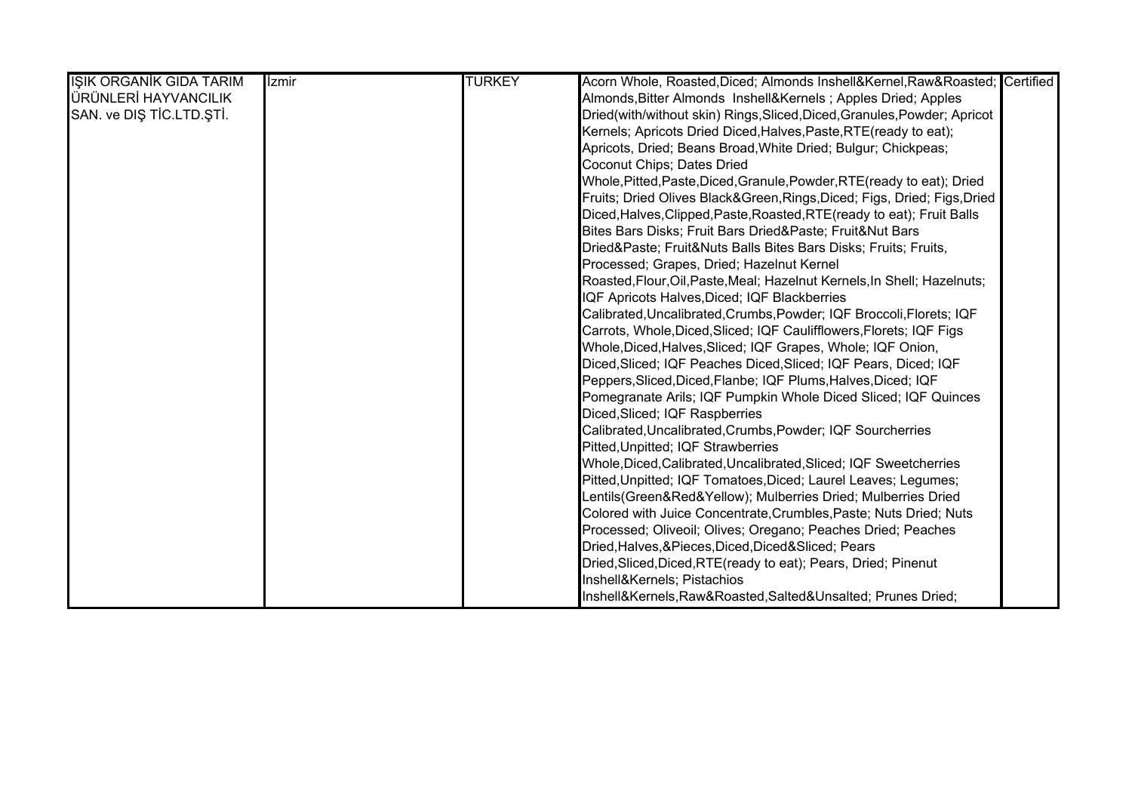| <b>IŞIK ORGANİK GIDA TARIM</b> | <i><u><b>Izmir</b></u></i> | <b>TURKEY</b> | Acorn Whole, Roasted, Diced; Almonds Inshell&Kernel, Raw&Roasted Certified |
|--------------------------------|----------------------------|---------------|----------------------------------------------------------------------------|
| ÜRÜNLERİ HAYVANCILIK           |                            |               | Almonds, Bitter Almonds Inshell&Kernels Apples Dried; Apples               |
| SAN. ve DIŞ TİC.LTD.ŞTİ.       |                            |               | Dried(with/without skin) Rings, Sliced, Diced, Granules, Powder; Apricot   |
|                                |                            |               | Kernels; Apricots Dried Diced, Halves, Paste, RTE (ready to eat);          |
|                                |                            |               | Apricots, Dried; Beans Broad, White Dried; Bulgur; Chickpeas;              |
|                                |                            |               | Coconut Chips; Dates Dried                                                 |
|                                |                            |               | Whole, Pitted, Paste, Diced, Granule, Powder, RTE (ready to eat); Dried    |
|                                |                            |               | Fruits; Dried Olives Black&Green, Rings, Diced; Figs, Dried; Figs, Dried   |
|                                |                            |               | Diced, Halves, Clipped, Paste, Roasted, RTE (ready to eat); Fruit Balls    |
|                                |                            |               | Bites Bars Disks; Fruit Bars Dried&Paste Fruit&Nut Bars                    |
|                                |                            |               | Dried&Paste Fruit&Nuts Balls Bites Bars Disks; Fruits; Fruits,             |
|                                |                            |               | Processed; Grapes, Dried; Hazelnut Kernel                                  |
|                                |                            |               | Roasted, Flour, Oil, Paste, Meal; Hazelnut Kernels, In Shell; Hazelnuts;   |
|                                |                            |               | IQF Apricots Halves, Diced; IQF Blackberries                               |
|                                |                            |               | Calibrated, Uncalibrated, Crumbs, Powder; IQF Broccoli, Florets; IQF       |
|                                |                            |               | Carrots, Whole, Diced, Sliced; IQF Caulifflowers, Florets; IQF Figs        |
|                                |                            |               | Whole, Diced, Halves, Sliced; IQF Grapes, Whole; IQF Onion,                |
|                                |                            |               | Diced, Sliced; IQF Peaches Diced, Sliced; IQF Pears, Diced; IQF            |
|                                |                            |               | Peppers, Sliced, Diced, Flanbe; IQF Plums, Halves, Diced; IQF              |
|                                |                            |               | Pomegranate Arils; IQF Pumpkin Whole Diced Sliced; IQF Quinces             |
|                                |                            |               | Diced, Sliced; IQF Raspberries                                             |
|                                |                            |               | Calibrated, Uncalibrated, Crumbs, Powder; IQF Sourcherries                 |
|                                |                            |               | Pitted, Unpitted; IQF Strawberries                                         |
|                                |                            |               | Whole, Diced, Calibrated, Uncalibrated, Sliced; IQF Sweetcherries          |
|                                |                            |               | Pitted, Unpitted; IQF Tomatoes, Diced; Laurel Leaves; Legumes;             |
|                                |                            |               | Lentils(Green&Red&Yellow); Mulberries Dried; Mulberries Dried              |
|                                |                            |               | Colored with Juice Concentrate, Crumbles, Paste; Nuts Dried; Nuts          |
|                                |                            |               | Processed; Oliveoil; Olives; Oregano; Peaches Dried; Peaches               |
|                                |                            |               | Dried, Halves, & Pieces, Diced, Diced& Sliced; Pears                       |
|                                |                            |               | Dried, Sliced, Diced, RTE (ready to eat); Pears, Dried; Pinenut            |
|                                |                            |               | Inshell&Kernels Pistachios                                                 |
|                                |                            |               | Inshell&Kernels, Raw&Roasted, Salted&Unsalted Prunes Dried;                |

Prunes Dried Whole Unpitted,Pitted Halves and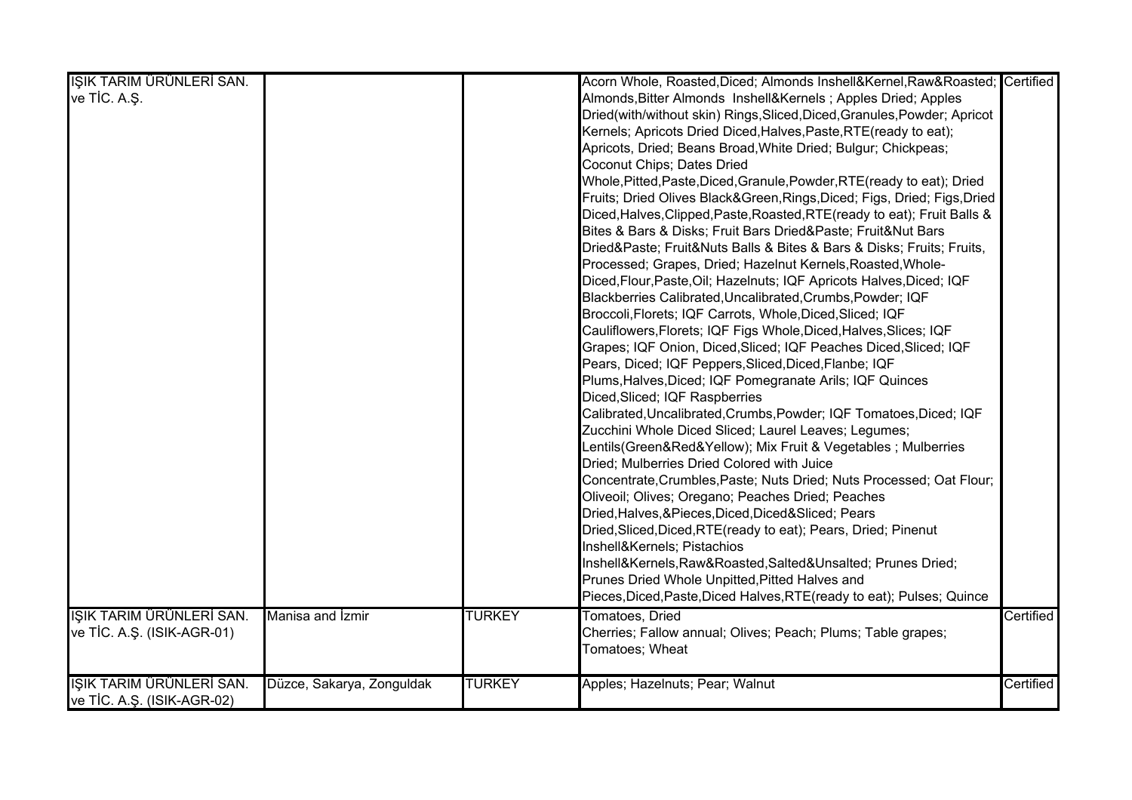| IŞIK TARIM ÜRÜNLERİ SAN.                              |               | Acorn Whole, Roasted, Diced; Almonds Inshell&Kernel, Raw&Roasted Certified           |           |
|-------------------------------------------------------|---------------|--------------------------------------------------------------------------------------|-----------|
| ve TİC. A.Ş.                                          |               | Almonds, Bitter Almonds Inshell&Kernels Apples Dried; Apples                         |           |
|                                                       |               | Dried(with/without skin) Rings, Sliced, Diced, Granules, Powder; Apricot             |           |
|                                                       |               | Kernels; Apricots Dried Diced, Halves, Paste, RTE (ready to eat);                    |           |
|                                                       |               | Apricots, Dried; Beans Broad, White Dried; Bulgur; Chickpeas;                        |           |
|                                                       |               | Coconut Chips; Dates Dried                                                           |           |
|                                                       |               | Whole, Pitted, Paste, Diced, Granule, Powder, RTE (ready to eat); Dried              |           |
|                                                       |               | Fruits; Dried Olives Black&Green, Rings, Diced; Figs, Dried; Figs, Dried             |           |
|                                                       |               | Diced, Halves, Clipped, Paste, Roasted, RTE (ready to eat); Fruit Balls &            |           |
|                                                       |               | Bites & Bars & Disks; Fruit Bars Dried&Paste Fruit&Nut Bars                          |           |
|                                                       |               | Dried&Paste Fruit&Nuts Balls & Bites & Bars & Disks; Fruits; Fruits,                 |           |
|                                                       |               | Processed; Grapes, Dried; Hazelnut Kernels, Roasted, Whole-                          |           |
|                                                       |               | Diced, Flour, Paste, Oil; Hazelnuts; IQF Apricots Halves, Diced; IQF                 |           |
|                                                       |               | Blackberries Calibrated, Uncalibrated, Crumbs, Powder; IQF                           |           |
|                                                       |               | Broccoli, Florets; IQF Carrots, Whole, Diced, Sliced; IQF                            |           |
|                                                       |               | Cauliflowers, Florets; IQF Figs Whole, Diced, Halves, Slices; IQF                    |           |
|                                                       |               | Grapes; IQF Onion, Diced, Sliced; IQF Peaches Diced, Sliced; IQF                     |           |
|                                                       |               | Pears, Diced; IQF Peppers, Sliced, Diced, Flanbe; IQF                                |           |
|                                                       |               | Plums, Halves, Diced; IQF Pomegranate Arils; IQF Quinces                             |           |
|                                                       |               | Diced, Sliced; IQF Raspberries                                                       |           |
|                                                       |               | Calibrated, Uncalibrated, Crumbs, Powder; IQF Tomatoes, Diced; IQF                   |           |
|                                                       |               | Zucchini Whole Diced Sliced; Laurel Leaves; Legumes;                                 |           |
|                                                       |               | Lentils(Green&Red&Yellow);            Mix Fruit & Vegetables ;            Mulberries |           |
|                                                       |               | Dried; Mulberries Dried Colored with Juice                                           |           |
|                                                       |               | Concentrate, Crumbles, Paste; Nuts Dried; Nuts Processed; Oat Flour;                 |           |
|                                                       |               | Oliveoil; Olives; Oregano; Peaches Dried; Peaches                                    |           |
|                                                       |               | Dried, Halves, & Pieces, Diced, Diced& Sliced; Pears                                 |           |
|                                                       |               | Dried, Sliced, Diced, RTE (ready to eat); Pears, Dried; Pinenut                      |           |
|                                                       |               | Inshell&Kernels Pistachios                                                           |           |
|                                                       |               | Inshell&Kernels, Raw&Roasted, Salted&Unsalted Prunes Dried;                          |           |
|                                                       |               | Prunes Dried Whole Unpitted, Pitted Halves and                                       |           |
|                                                       |               | Pieces, Diced, Paste, Diced Halves, RTE (ready to eat); Pulses; Quince               |           |
| IŞIK TARIM ÜRÜNLERİ SAN.<br>Manisa and Izmir          | <b>TURKEY</b> | <b>Tomatoes, Dried</b>                                                               | Certified |
| ve TİC. A.Ş. (ISIK-AGR-01)                            |               | Cherries; Fallow annual; Olives; Peach; Plums; Table grapes;                         |           |
|                                                       |               | Tomatoes; Wheat                                                                      |           |
|                                                       |               |                                                                                      |           |
| IŞIK TARIM ÜRÜNLERİ SAN.<br>Düzce, Sakarya, Zonguldak | <b>TURKEY</b> | Apples; Hazelnuts; Pear; Walnut                                                      | Certified |
| ve TİC. A.Ş. (ISIK-AGR-02)                            |               |                                                                                      |           |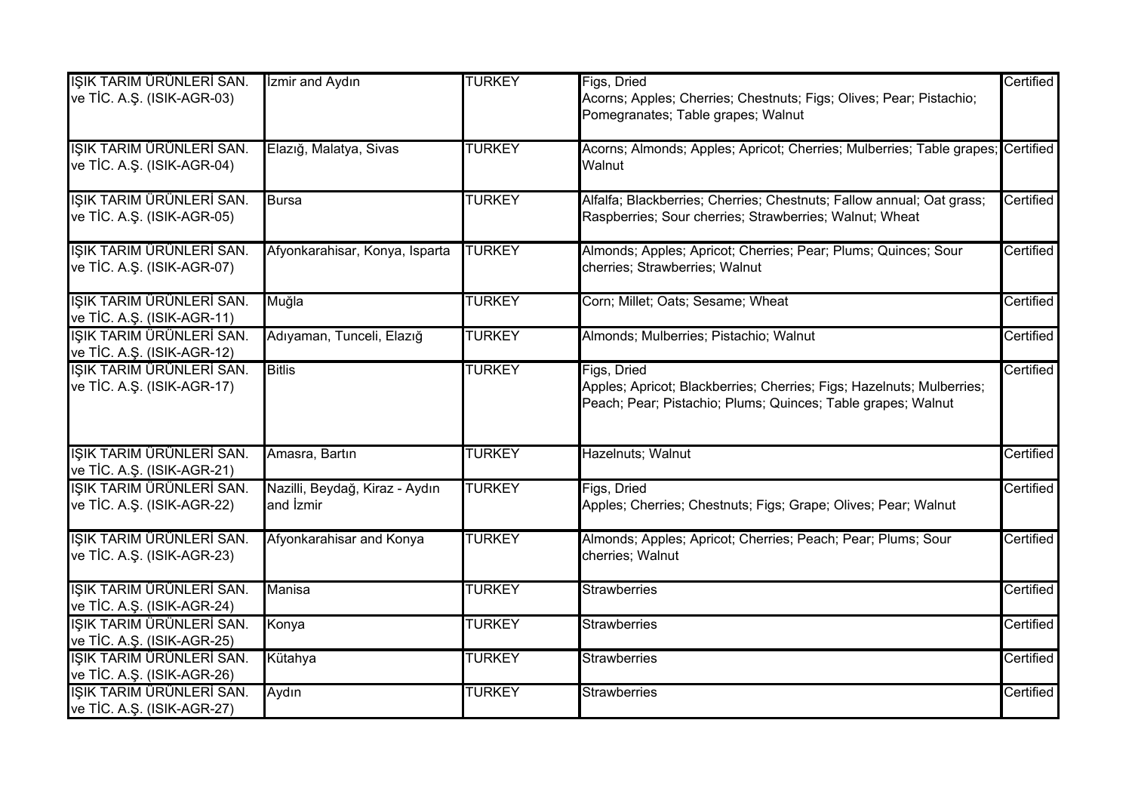| IŞIK TARIM ÜRÜNLERİ SAN.<br>ve TİC. A.Ş. (ISIK-AGR-03) | <b>Izmir and Aydın</b>                            | <b>TURKEY</b> | Figs, Dried<br>Acorns; Apples; Cherries; Chestnuts; Figs; Olives; Pear; Pistachio;<br>Pomegranates; Table grapes; Walnut                             | Certified |
|--------------------------------------------------------|---------------------------------------------------|---------------|------------------------------------------------------------------------------------------------------------------------------------------------------|-----------|
| IŞIK TARIM ÜRÜNLERİ SAN.<br>ve TİC. A.Ş. (ISIK-AGR-04) | Elazığ, Malatya, Sivas                            | <b>TURKEY</b> | Acorns; Almonds; Apples; Apricot; Cherries; Mulberries; Table grapes; Certified<br>Walnut                                                            |           |
| IŞIK TARIM ÜRÜNLERİ SAN.<br>ve TİC. A.Ş. (ISIK-AGR-05) | <b>Bursa</b>                                      | <b>TURKEY</b> | Alfalfa; Blackberries; Cherries; Chestnuts; Fallow annual; Oat grass;<br>Raspberries; Sour cherries; Strawberries; Walnut; Wheat                     | Certified |
| IŞIK TARIM ÜRÜNLERİ SAN.<br>ve TİC. A.Ş. (ISIK-AGR-07) | Afyonkarahisar, Konya, Isparta                    | <b>TURKEY</b> | Almonds; Apples; Apricot; Cherries; Pear; Plums; Quinces; Sour<br>cherries; Strawberries; Walnut                                                     | Certified |
| IŞIK TARIM ÜRÜNLERİ SAN.<br>ve TİC. A.Ş. (ISIK-AGR-11) | Muğla                                             | <b>TURKEY</b> | Corn; Millet; Oats; Sesame; Wheat                                                                                                                    | Certified |
| ISIK TARIM ÜRÜNLERİ SAN.<br>ve TİC. A.Ş. (ISIK-AGR-12) | Adıyaman, Tunceli, Elazığ                         | <b>TURKEY</b> | Almonds; Mulberries; Pistachio; Walnut                                                                                                               | Certified |
| IŞIK TARIM ÜRÜNLERİ SAN.<br>ve TİC. A.Ş. (ISIK-AGR-17) | <b>Bitlis</b>                                     | <b>TURKEY</b> | Figs, Dried<br>Apples; Apricot; Blackberries; Cherries; Figs; Hazelnuts; Mulberries;<br>Peach; Pear; Pistachio; Plums; Quinces; Table grapes; Walnut | Certified |
| IŞIK TARIM ÜRÜNLERİ SAN.<br>ve TİC. A.Ş. (ISIK-AGR-21) | Amasra, Bartın                                    | <b>TURKEY</b> | Hazelnuts; Walnut                                                                                                                                    | Certified |
| IŞIK TARIM ÜRÜNLERİ SAN.<br>ve TİC. A.Ş. (ISIK-AGR-22) | Nazilli, Beydağ, Kiraz - Aydın<br>and <i>zmir</i> | <b>TURKEY</b> | Figs, Dried<br>Apples; Cherries; Chestnuts; Figs; Grape; Olives; Pear; Walnut                                                                        | Certified |
| IŞIK TARIM ÜRÜNLERİ SAN.<br>ve TİC. A.Ş. (ISIK-AGR-23) | Afyonkarahisar and Konya                          | <b>TURKEY</b> | Almonds; Apples; Apricot; Cherries; Peach; Pear; Plums; Sour<br>cherries; Walnut                                                                     | Certified |
| IŞIK TARIM ÜRÜNLERİ SAN.<br>ve TİC. A.Ş. (ISIK-AGR-24) | Manisa                                            | <b>TURKEY</b> | Strawberries                                                                                                                                         | Certified |
| IŞIK TARIM ÜRÜNLERİ SAN.<br>ve TİC. A.Ş. (ISIK-AGR-25) | Konya                                             | <b>TURKEY</b> | <b>Strawberries</b>                                                                                                                                  | Certified |
| IŞIK TARIM ÜRÜNLERİ SAN.<br>ve TİC. A.Ş. (ISIK-AGR-26) | Kütahya                                           | <b>TURKEY</b> | <b>Strawberries</b>                                                                                                                                  | Certified |
| IŞIK TARIM ÜRÜNLERİ SAN.<br>ve TİC. A.Ş. (ISIK-AGR-27) | Aydın                                             | <b>TURKEY</b> | <b>Strawberries</b>                                                                                                                                  | Certified |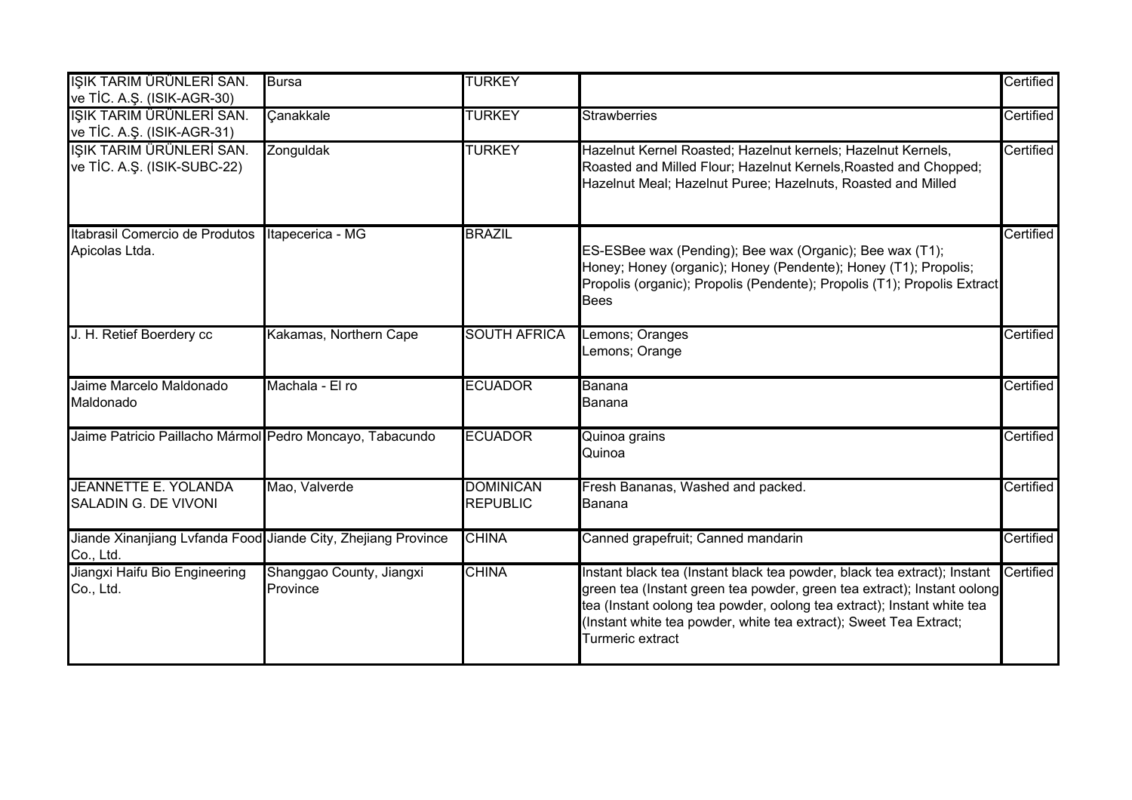| IŞIK TARIM ÜRÜNLERİ SAN.<br>ve TİC. A.Ş. (ISIK-AGR-30)                     | <b>Bursa</b>                         | <b>TURKEY</b>                       |                                                                                                                                                                                                                                                                                                                        | Certified |
|----------------------------------------------------------------------------|--------------------------------------|-------------------------------------|------------------------------------------------------------------------------------------------------------------------------------------------------------------------------------------------------------------------------------------------------------------------------------------------------------------------|-----------|
| IŞIK TARIM ÜRÜNLERİ SAN.<br>ve TİC. A.Ş. (ISIK-AGR-31)                     | Canakkale                            | <b>TURKEY</b>                       | <b>Strawberries</b>                                                                                                                                                                                                                                                                                                    | Certified |
| IŞIK TARIM ÜRÜNLERİ SAN.<br>ve TİC. A.Ş. (ISIK-SUBC-22)                    | Zonguldak                            | <b>TURKEY</b>                       | Hazelnut Kernel Roasted; Hazelnut kernels; Hazelnut Kernels,<br>Roasted and Milled Flour; Hazelnut Kernels, Roasted and Chopped;<br>Hazelnut Meal; Hazelnut Puree; Hazelnuts, Roasted and Milled                                                                                                                       | Certified |
| Itabrasil Comercio de Produtos<br>Apicolas Ltda.                           | Itapecerica - MG                     | <b>BRAZIL</b>                       | ES-ESBee wax (Pending); Bee wax (Organic); Bee wax (T1);<br>Honey; Honey (organic); Honey (Pendente); Honey (T1); Propolis;<br>Propolis (organic); Propolis (Pendente); Propolis (T1); Propolis Extract<br><b>Bees</b>                                                                                                 | Certified |
| J. H. Retief Boerdery cc                                                   | Kakamas, Northern Cape               | <b>SOUTH AFRICA</b>                 | Lemons; Oranges<br>Lemons; Orange                                                                                                                                                                                                                                                                                      | Certified |
| Jaime Marcelo Maldonado<br>Maldonado                                       | Machala - El ro                      | <b>ECUADOR</b>                      | Banana<br>Banana                                                                                                                                                                                                                                                                                                       | Certified |
| Jaime Patricio Paillacho Mármol Pedro Moncayo, Tabacundo                   |                                      | <b>ECUADOR</b>                      | Quinoa grains<br>Quinoa                                                                                                                                                                                                                                                                                                | Certified |
| <b>JEANNETTE E. YOLANDA</b><br>SALADIN G. DE VIVONI                        | Mao, Valverde                        | <b>DOMINICAN</b><br><b>REPUBLIC</b> | Fresh Bananas, Washed and packed.<br>Banana                                                                                                                                                                                                                                                                            | Certified |
| Jiande Xinanjiang Lvfanda Food Jiande City, Zhejiang Province<br>Co., Ltd. |                                      | <b>CHINA</b>                        | Canned grapefruit; Canned mandarin                                                                                                                                                                                                                                                                                     | Certified |
| Jiangxi Haifu Bio Engineering<br>Co., Ltd.                                 | Shanggao County, Jiangxi<br>Province | <b>CHINA</b>                        | Instant black tea (Instant black tea powder, black tea extract); Instant<br>green tea (Instant green tea powder, green tea extract); Instant oolong<br>tea (Instant oolong tea powder, oolong tea extract); Instant white tea<br>(Instant white tea powder, white tea extract); Sweet Tea Extract;<br>Turmeric extract | Certified |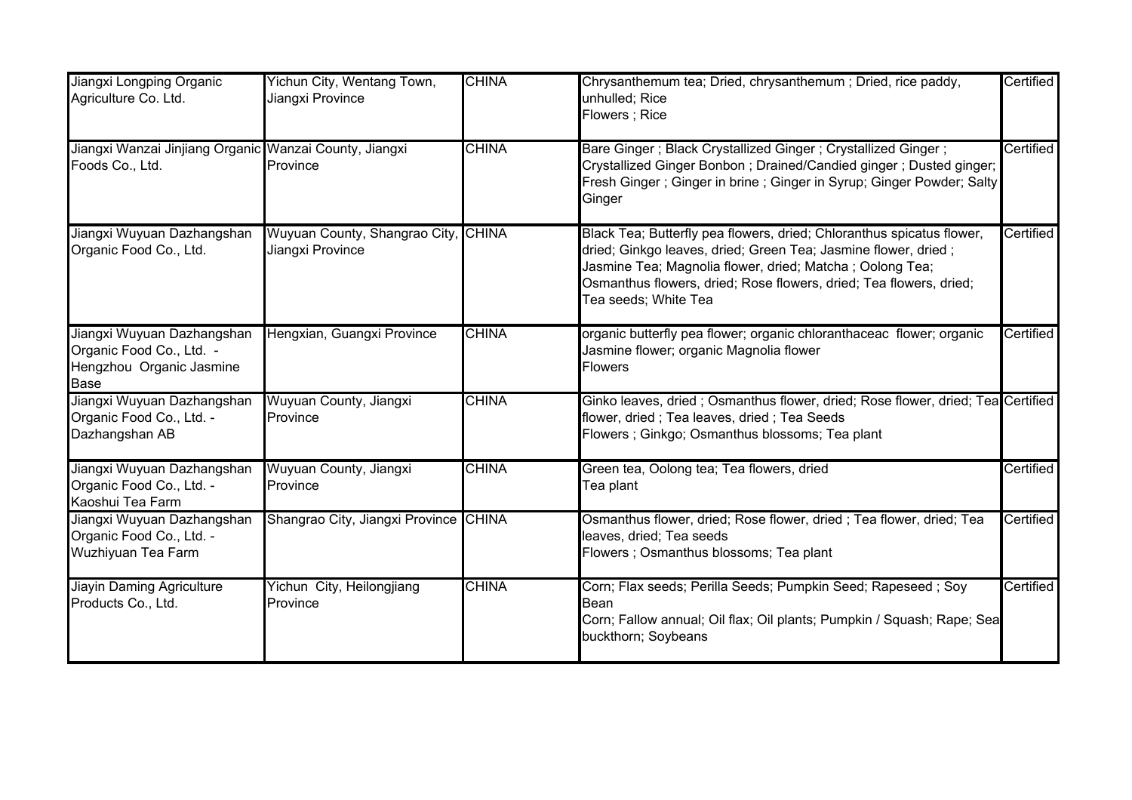| Jiangxi Longping Organic<br>Agriculture Co. Ltd.                                           | Yichun City, Wentang Town,<br>Jiangxi Province          | <b>CHINA</b> | Chrysanthemum tea; Dried, chrysanthemum; Dried, rice paddy,<br>unhulled; Rice<br>Flowers; Rice                                                                                                                                                                                                     | Certified |
|--------------------------------------------------------------------------------------------|---------------------------------------------------------|--------------|----------------------------------------------------------------------------------------------------------------------------------------------------------------------------------------------------------------------------------------------------------------------------------------------------|-----------|
| Jiangxi Wanzai Jinjiang Organic Wanzai County, Jiangxi<br>Foods Co., Ltd.                  | Province                                                | <b>CHINA</b> | Bare Ginger; Black Crystallized Ginger; Crystallized Ginger;<br>Crystallized Ginger Bonbon; Drained/Candied ginger; Dusted ginger;<br>Fresh Ginger; Ginger in brine; Ginger in Syrup; Ginger Powder; Salty<br>Ginger                                                                               | Certified |
| Jiangxi Wuyuan Dazhangshan<br>Organic Food Co., Ltd.                                       | Wuyuan County, Shangrao City, CHINA<br>Jiangxi Province |              | Black Tea; Butterfly pea flowers, dried; Chloranthus spicatus flower,<br>dried; Ginkgo leaves, dried; Green Tea; Jasmine flower, dried;<br>Jasmine Tea; Magnolia flower, dried; Matcha ; Oolong Tea;<br>Osmanthus flowers, dried; Rose flowers, dried; Tea flowers, dried;<br>Tea seeds; White Tea | Certified |
| Jiangxi Wuyuan Dazhangshan<br>Organic Food Co., Ltd. -<br>Hengzhou Organic Jasmine<br>Base | Hengxian, Guangxi Province                              | <b>CHINA</b> | organic butterfly pea flower; organic chloranthaceac flower; organic<br>Jasmine flower; organic Magnolia flower<br><b>Flowers</b>                                                                                                                                                                  | Certified |
| Jiangxi Wuyuan Dazhangshan<br>Organic Food Co., Ltd. -<br>Dazhangshan AB                   | Wuyuan County, Jiangxi<br>Province                      | <b>CHINA</b> | Ginko leaves, dried; Osmanthus flower, dried; Rose flower, dried; Tea Certified<br>flower, dried; Tea leaves, dried; Tea Seeds<br>Flowers ; Ginkgo; Osmanthus blossoms; Tea plant                                                                                                                  |           |
| Jiangxi Wuyuan Dazhangshan<br>Organic Food Co., Ltd. -<br>Kaoshui Tea Farm                 | Wuyuan County, Jiangxi<br>Province                      | <b>CHINA</b> | Green tea, Oolong tea; Tea flowers, dried<br>Tea plant                                                                                                                                                                                                                                             | Certified |
| Jiangxi Wuyuan Dazhangshan<br>Organic Food Co., Ltd. -<br>Wuzhiyuan Tea Farm               | Shangrao City, Jiangxi Province CHINA                   |              | Osmanthus flower, dried; Rose flower, dried; Tea flower, dried; Tea<br>leaves, dried; Tea seeds<br>Flowers ; Osmanthus blossoms; Tea plant                                                                                                                                                         | Certified |
| <b>Jiayin Daming Agriculture</b><br>Products Co., Ltd.                                     | Yichun City, Heilongjiang<br>Province                   | <b>CHINA</b> | Corn; Flax seeds; Perilla Seeds; Pumpkin Seed; Rapeseed; Soy<br>Bean<br>Corn; Fallow annual; Oil flax; Oil plants; Pumpkin / Squash; Rape; Sea<br>buckthorn; Soybeans                                                                                                                              | Certified |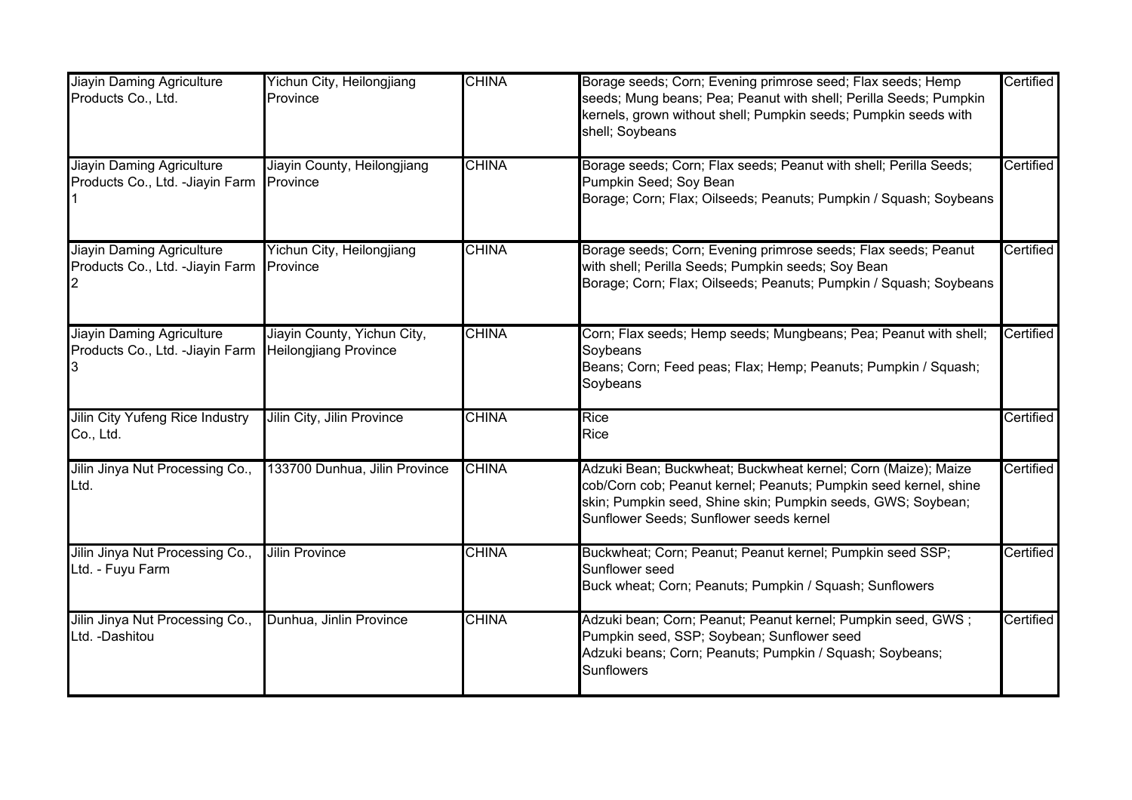| <b>Jiayin Daming Agriculture</b><br>Products Co., Ltd.               | Yichun City, Heilongjiang<br>Province                       | <b>CHINA</b> | Borage seeds; Corn; Evening primrose seed; Flax seeds; Hemp<br>seeds; Mung beans; Pea; Peanut with shell; Perilla Seeds; Pumpkin<br>kernels, grown without shell; Pumpkin seeds; Pumpkin seeds with<br>shell; Soybeans                       | Certified |
|----------------------------------------------------------------------|-------------------------------------------------------------|--------------|----------------------------------------------------------------------------------------------------------------------------------------------------------------------------------------------------------------------------------------------|-----------|
| <b>Jiayin Daming Agriculture</b><br>Products Co., Ltd. - Jiayin Farm | Jiayin County, Heilongjiang<br>Province                     | <b>CHINA</b> | Borage seeds; Corn; Flax seeds; Peanut with shell; Perilla Seeds;<br>Pumpkin Seed; Soy Bean<br>Borage; Corn; Flax; Oilseeds; Peanuts; Pumpkin / Squash; Soybeans                                                                             | Certified |
| <b>Jiayin Daming Agriculture</b><br>Products Co., Ltd. - Jiayin Farm | Yichun City, Heilongjiang<br><b>Province</b>                | <b>CHINA</b> | Borage seeds; Corn; Evening primrose seeds; Flax seeds; Peanut<br>with shell; Perilla Seeds; Pumpkin seeds; Soy Bean<br>Borage; Corn; Flax; Oilseeds; Peanuts; Pumpkin / Squash; Soybeans                                                    | Certified |
| Jiayin Daming Agriculture<br>Products Co., Ltd. - Jiayin Farm        | Jiayin County, Yichun City,<br><b>Heilongjiang Province</b> | <b>CHINA</b> | Corn; Flax seeds; Hemp seeds; Mungbeans; Pea; Peanut with shell;<br>Soybeans<br>Beans; Corn; Feed peas; Flax; Hemp; Peanuts; Pumpkin / Squash;<br>Soybeans                                                                                   | Certified |
| <b>Jilin City Yufeng Rice Industry</b><br>Co., Ltd.                  | Jilin City, Jilin Province                                  | <b>CHINA</b> | <b>Rice</b><br>Rice                                                                                                                                                                                                                          | Certified |
| Jilin Jinya Nut Processing Co.,<br>Ltd.                              | 133700 Dunhua, Jilin Province                               | <b>CHINA</b> | Adzuki Bean; Buckwheat; Buckwheat kernel; Corn (Maize); Maize<br>cob/Corn cob; Peanut kernel; Peanuts; Pumpkin seed kernel, shine<br>skin; Pumpkin seed, Shine skin; Pumpkin seeds, GWS; Soybean;<br>Sunflower Seeds; Sunflower seeds kernel | Certified |
| Jilin Jinya Nut Processing Co.,<br>Ltd. - Fuyu Farm                  | <b>Jilin Province</b>                                       | <b>CHINA</b> | Buckwheat; Corn; Peanut; Peanut kernel; Pumpkin seed SSP;<br>Sunflower seed<br>Buck wheat; Corn; Peanuts; Pumpkin / Squash; Sunflowers                                                                                                       | Certified |
| Jilin Jinya Nut Processing Co.,<br>Ltd. -Dashitou                    | Dunhua, Jinlin Province                                     | <b>CHINA</b> | Adzuki bean; Corn; Peanut; Peanut kernel; Pumpkin seed, GWS;<br>Pumpkin seed, SSP; Soybean; Sunflower seed<br>Adzuki beans; Corn; Peanuts; Pumpkin / Squash; Soybeans;<br><b>Sunflowers</b>                                                  | Certified |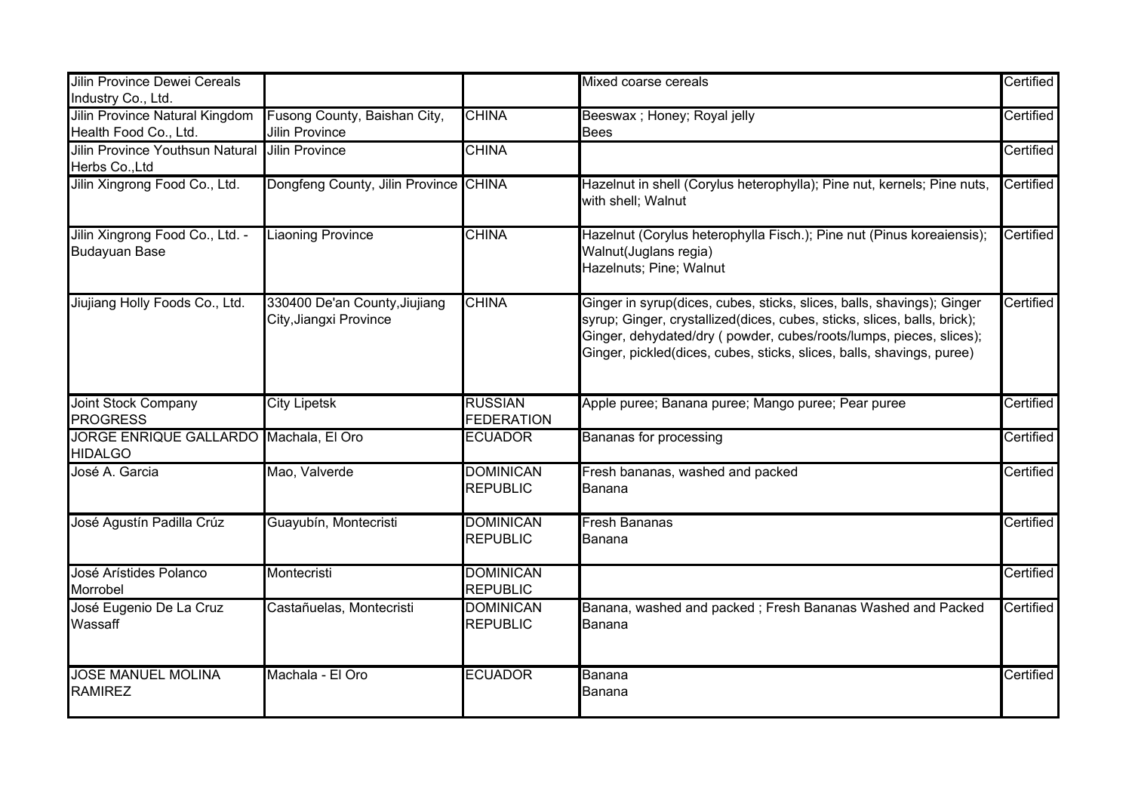| Jilin Province Dewei Cereals<br>Industry Co., Ltd.       |                                                         |                                     | Mixed coarse cereals                                                                                                                                                                                                                                                                               | Certified |
|----------------------------------------------------------|---------------------------------------------------------|-------------------------------------|----------------------------------------------------------------------------------------------------------------------------------------------------------------------------------------------------------------------------------------------------------------------------------------------------|-----------|
| Jilin Province Natural Kingdom<br>Health Food Co., Ltd.  | Fusong County, Baishan City,<br><b>Jilin Province</b>   | <b>CHINA</b>                        | Beeswax ; Honey; Royal jelly<br><b>Bees</b>                                                                                                                                                                                                                                                        | Certified |
| <b>Jilin Province Youthsun Natural</b><br>Herbs Co., Ltd | <b>Jilin Province</b>                                   | <b>CHINA</b>                        |                                                                                                                                                                                                                                                                                                    | Certified |
| Jilin Xingrong Food Co., Ltd.                            | Dongfeng County, Jilin Province CHINA                   |                                     | Hazelnut in shell (Corylus heterophylla); Pine nut, kernels; Pine nuts,<br>with shell; Walnut                                                                                                                                                                                                      | Certified |
| Jilin Xingrong Food Co., Ltd. -<br><b>Budayuan Base</b>  | <b>Liaoning Province</b>                                | <b>CHINA</b>                        | Hazelnut (Corylus heterophylla Fisch.); Pine nut (Pinus koreaiensis);<br>Walnut(Juglans regia)<br>Hazelnuts; Pine; Walnut                                                                                                                                                                          | Certified |
| Jiujiang Holly Foods Co., Ltd.                           | 330400 De'an County, Jiujiang<br>City, Jiangxi Province | <b>CHINA</b>                        | Ginger in syrup(dices, cubes, sticks, slices, balls, shavings); Ginger<br>syrup; Ginger, crystallized(dices, cubes, sticks, slices, balls, brick);<br>Ginger, dehydated/dry ( powder, cubes/roots/lumps, pieces, slices);<br>Ginger, pickled(dices, cubes, sticks, slices, balls, shavings, puree) | Certified |
| <b>Joint Stock Company</b><br><b>PROGRESS</b>            | <b>City Lipetsk</b>                                     | <b>RUSSIAN</b><br><b>FEDERATION</b> | Apple puree; Banana puree; Mango puree; Pear puree                                                                                                                                                                                                                                                 | Certified |
| JORGE ENRIQUE GALLARDO Machala, El Oro<br><b>HIDALGO</b> |                                                         | <b>ECUADOR</b>                      | <b>Bananas for processing</b>                                                                                                                                                                                                                                                                      | Certified |
| José A. Garcia                                           | Mao, Valverde                                           | <b>DOMINICAN</b><br><b>REPUBLIC</b> | Fresh bananas, washed and packed<br>Banana                                                                                                                                                                                                                                                         | Certified |
| José Agustín Padilla Crúz                                | Guayubín, Montecristi                                   | <b>DOMINICAN</b><br><b>REPUBLIC</b> | <b>Fresh Bananas</b><br>Banana                                                                                                                                                                                                                                                                     | Certified |
| José Arístides Polanco<br>Morrobel                       | Montecristi                                             | <b>DOMINICAN</b><br><b>REPUBLIC</b> |                                                                                                                                                                                                                                                                                                    | Certified |
| José Eugenio De La Cruz<br>Wassaff                       | Castañuelas, Montecristi                                | <b>DOMINICAN</b><br><b>REPUBLIC</b> | Banana, washed and packed; Fresh Bananas Washed and Packed<br>Banana                                                                                                                                                                                                                               | Certified |
| <b>JOSE MANUEL MOLINA</b><br><b>RAMIREZ</b>              | Machala - El Oro                                        | <b>ECUADOR</b>                      | Banana<br>Banana                                                                                                                                                                                                                                                                                   | Certified |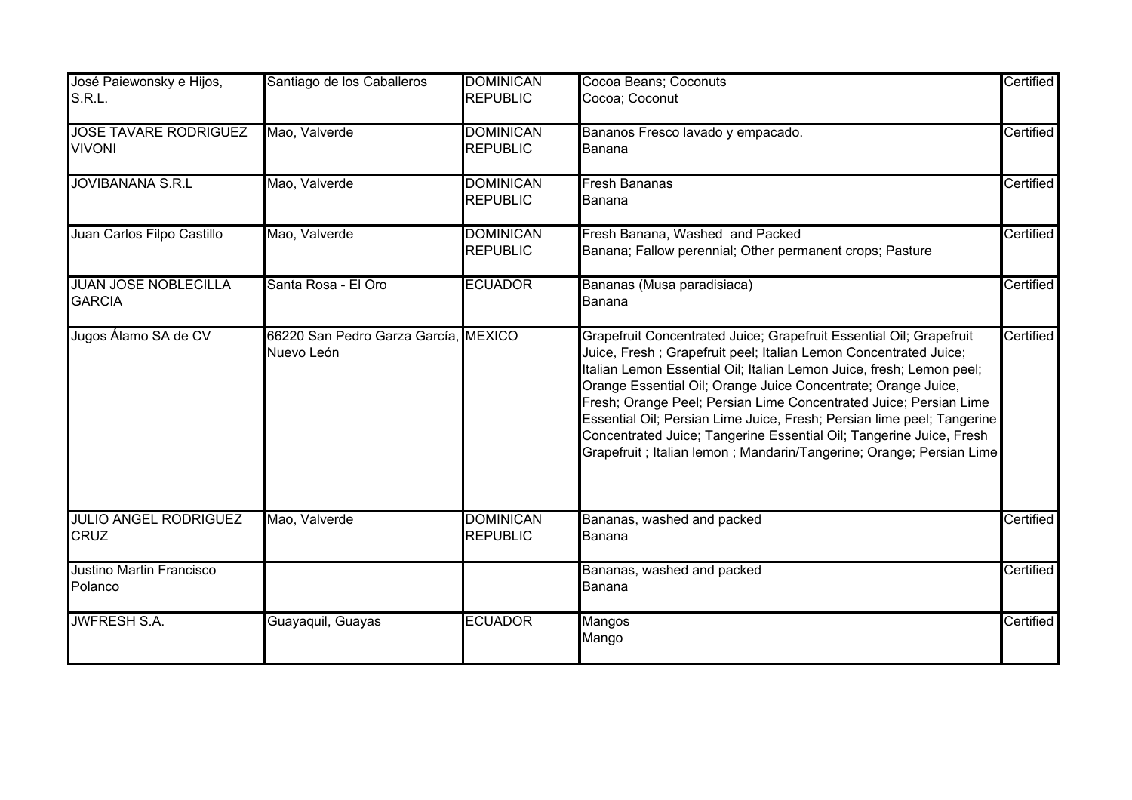| José Paiewonsky e Hijos,<br>S.R.L.            | Santiago de los Caballeros                         | <b>DOMINICAN</b><br><b>REPUBLIC</b> | Cocoa Beans; Coconuts<br>Cocoa; Coconut                                                                                                                                                                                                                                                                                                                                                                                                                                                                                                                                         | Certified |
|-----------------------------------------------|----------------------------------------------------|-------------------------------------|---------------------------------------------------------------------------------------------------------------------------------------------------------------------------------------------------------------------------------------------------------------------------------------------------------------------------------------------------------------------------------------------------------------------------------------------------------------------------------------------------------------------------------------------------------------------------------|-----------|
| <b>JOSE TAVARE RODRIGUEZ</b><br><b>VIVONI</b> | Mao, Valverde                                      | <b>DOMINICAN</b><br><b>REPUBLIC</b> | Bananos Fresco lavado y empacado.<br>Banana                                                                                                                                                                                                                                                                                                                                                                                                                                                                                                                                     | Certified |
| <b>JOVIBANANA S.R.L</b>                       | Mao, Valverde                                      | <b>DOMINICAN</b><br><b>REPUBLIC</b> | <b>Fresh Bananas</b><br>Banana                                                                                                                                                                                                                                                                                                                                                                                                                                                                                                                                                  | Certified |
| Juan Carlos Filpo Castillo                    | Mao, Valverde                                      | <b>DOMINICAN</b><br><b>REPUBLIC</b> | Fresh Banana, Washed and Packed<br>Banana; Fallow perennial; Other permanent crops; Pasture                                                                                                                                                                                                                                                                                                                                                                                                                                                                                     | Certified |
| <b>JUAN JOSE NOBLECILLA</b><br><b>GARCIA</b>  | Santa Rosa - El Oro                                | <b>ECUADOR</b>                      | Bananas (Musa paradisiaca)<br>Banana                                                                                                                                                                                                                                                                                                                                                                                                                                                                                                                                            | Certified |
| Jugos Álamo SA de CV                          | 66220 San Pedro Garza García, MEXICO<br>Nuevo León |                                     | Grapefruit Concentrated Juice; Grapefruit Essential Oil; Grapefruit<br>Juice, Fresh; Grapefruit peel; Italian Lemon Concentrated Juice;<br>Italian Lemon Essential Oil; Italian Lemon Juice, fresh; Lemon peel;<br>Orange Essential Oil; Orange Juice Concentrate; Orange Juice,<br>Fresh; Orange Peel; Persian Lime Concentrated Juice; Persian Lime<br>Essential Oil; Persian Lime Juice, Fresh; Persian lime peel; Tangerine<br>Concentrated Juice; Tangerine Essential Oil; Tangerine Juice, Fresh<br>Grapefruit ; Italian lemon ; Mandarin/Tangerine; Orange; Persian Lime | Certified |
| <b>JULIO ANGEL RODRIGUEZ</b><br><b>CRUZ</b>   | Mao, Valverde                                      | <b>DOMINICAN</b><br><b>REPUBLIC</b> | Bananas, washed and packed<br>Banana                                                                                                                                                                                                                                                                                                                                                                                                                                                                                                                                            | Certified |
| Justino Martin Francisco<br>Polanco           |                                                    |                                     | Bananas, washed and packed<br>Banana                                                                                                                                                                                                                                                                                                                                                                                                                                                                                                                                            | Certified |
| <b>JWFRESH S.A.</b>                           | Guayaquil, Guayas                                  | <b>ECUADOR</b>                      | Mangos<br>Mango                                                                                                                                                                                                                                                                                                                                                                                                                                                                                                                                                                 | Certified |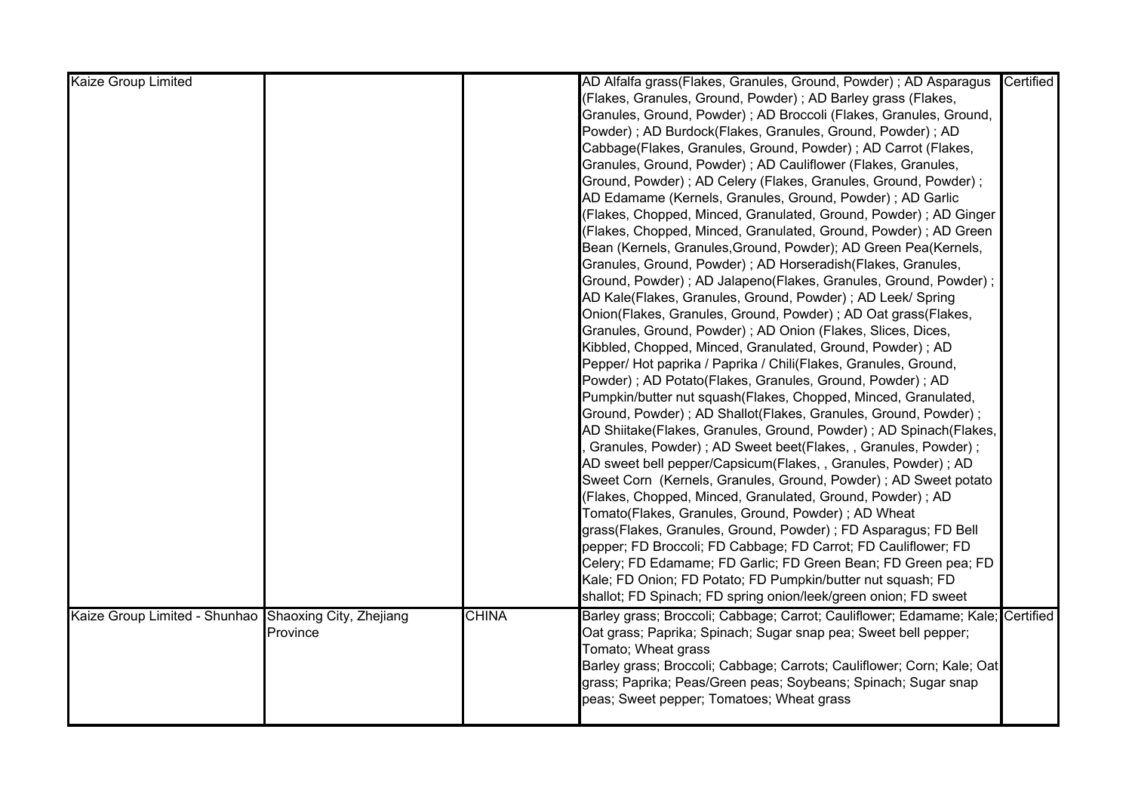| (Flakes, Granules, Ground, Powder); AD Barley grass (Flakes,<br>Granules, Ground, Powder); AD Broccoli (Flakes, Granules, Ground,<br>Powder); AD Burdock(Flakes, Granules, Ground, Powder); AD<br>Cabbage(Flakes, Granules, Ground, Powder) ; AD Carrot (Flakes,<br>Granules, Ground, Powder); AD Cauliflower (Flakes, Granules,<br>Ground, Powder); AD Celery (Flakes, Granules, Ground, Powder);<br>AD Edamame (Kernels, Granules, Ground, Powder) ; AD Garlic<br>(Flakes, Chopped, Minced, Granulated, Ground, Powder); AD Ginger<br>(Flakes, Chopped, Minced, Granulated, Ground, Powder) ; AD Green<br>Bean (Kernels, Granules, Ground, Powder); AD Green Pea(Kernels, |
|-----------------------------------------------------------------------------------------------------------------------------------------------------------------------------------------------------------------------------------------------------------------------------------------------------------------------------------------------------------------------------------------------------------------------------------------------------------------------------------------------------------------------------------------------------------------------------------------------------------------------------------------------------------------------------|
|                                                                                                                                                                                                                                                                                                                                                                                                                                                                                                                                                                                                                                                                             |
|                                                                                                                                                                                                                                                                                                                                                                                                                                                                                                                                                                                                                                                                             |
|                                                                                                                                                                                                                                                                                                                                                                                                                                                                                                                                                                                                                                                                             |
|                                                                                                                                                                                                                                                                                                                                                                                                                                                                                                                                                                                                                                                                             |
|                                                                                                                                                                                                                                                                                                                                                                                                                                                                                                                                                                                                                                                                             |
|                                                                                                                                                                                                                                                                                                                                                                                                                                                                                                                                                                                                                                                                             |
|                                                                                                                                                                                                                                                                                                                                                                                                                                                                                                                                                                                                                                                                             |
|                                                                                                                                                                                                                                                                                                                                                                                                                                                                                                                                                                                                                                                                             |
|                                                                                                                                                                                                                                                                                                                                                                                                                                                                                                                                                                                                                                                                             |
|                                                                                                                                                                                                                                                                                                                                                                                                                                                                                                                                                                                                                                                                             |
| Granules, Ground, Powder); AD Horseradish(Flakes, Granules,                                                                                                                                                                                                                                                                                                                                                                                                                                                                                                                                                                                                                 |
| Ground, Powder); AD Jalapeno(Flakes, Granules, Ground, Powder);                                                                                                                                                                                                                                                                                                                                                                                                                                                                                                                                                                                                             |
| AD Kale(Flakes, Granules, Ground, Powder); AD Leek/ Spring                                                                                                                                                                                                                                                                                                                                                                                                                                                                                                                                                                                                                  |
| Onion(Flakes, Granules, Ground, Powder); AD Oat grass(Flakes,                                                                                                                                                                                                                                                                                                                                                                                                                                                                                                                                                                                                               |
| Granules, Ground, Powder); AD Onion (Flakes, Slices, Dices,                                                                                                                                                                                                                                                                                                                                                                                                                                                                                                                                                                                                                 |
| Kibbled, Chopped, Minced, Granulated, Ground, Powder); AD                                                                                                                                                                                                                                                                                                                                                                                                                                                                                                                                                                                                                   |
| Pepper/ Hot paprika / Paprika / Chili(Flakes, Granules, Ground,                                                                                                                                                                                                                                                                                                                                                                                                                                                                                                                                                                                                             |
| Powder); AD Potato(Flakes, Granules, Ground, Powder); AD                                                                                                                                                                                                                                                                                                                                                                                                                                                                                                                                                                                                                    |
| Pumpkin/butter nut squash(Flakes, Chopped, Minced, Granulated,                                                                                                                                                                                                                                                                                                                                                                                                                                                                                                                                                                                                              |
| Ground, Powder); AD Shallot(Flakes, Granules, Ground, Powder);                                                                                                                                                                                                                                                                                                                                                                                                                                                                                                                                                                                                              |
| AD Shiitake(Flakes, Granules, Ground, Powder); AD Spinach(Flakes,                                                                                                                                                                                                                                                                                                                                                                                                                                                                                                                                                                                                           |
| Granules, Powder); AD Sweet beet(Flakes, , Granules, Powder);                                                                                                                                                                                                                                                                                                                                                                                                                                                                                                                                                                                                               |
| AD sweet bell pepper/Capsicum(Flakes, , Granules, Powder) ; AD                                                                                                                                                                                                                                                                                                                                                                                                                                                                                                                                                                                                              |
| Sweet Corn (Kernels, Granules, Ground, Powder); AD Sweet potato                                                                                                                                                                                                                                                                                                                                                                                                                                                                                                                                                                                                             |
| (Flakes, Chopped, Minced, Granulated, Ground, Powder); AD                                                                                                                                                                                                                                                                                                                                                                                                                                                                                                                                                                                                                   |
| Tomato(Flakes, Granules, Ground, Powder) ; AD Wheat                                                                                                                                                                                                                                                                                                                                                                                                                                                                                                                                                                                                                         |
| grass(Flakes, Granules, Ground, Powder) ; FD Asparagus; FD Bell                                                                                                                                                                                                                                                                                                                                                                                                                                                                                                                                                                                                             |
| pepper; FD Broccoli; FD Cabbage; FD Carrot; FD Cauliflower; FD                                                                                                                                                                                                                                                                                                                                                                                                                                                                                                                                                                                                              |
| Celery; FD Edamame; FD Garlic; FD Green Bean; FD Green pea; FD                                                                                                                                                                                                                                                                                                                                                                                                                                                                                                                                                                                                              |
| Kale; FD Onion; FD Potato; FD Pumpkin/butter nut squash; FD                                                                                                                                                                                                                                                                                                                                                                                                                                                                                                                                                                                                                 |
| shallot; FD Spinach; FD spring onion/leek/green onion; FD sweet                                                                                                                                                                                                                                                                                                                                                                                                                                                                                                                                                                                                             |
| Kaize Group Limited - Shunhao Shaoxing City, Zhejiang<br><b>CHINA</b><br>Barley grass; Broccoli; Cabbage; Carrot; Cauliflower; Edamame; Kale; Certified                                                                                                                                                                                                                                                                                                                                                                                                                                                                                                                     |
| Province<br>Oat grass; Paprika; Spinach; Sugar snap pea; Sweet bell pepper;                                                                                                                                                                                                                                                                                                                                                                                                                                                                                                                                                                                                 |
| Tomato; Wheat grass                                                                                                                                                                                                                                                                                                                                                                                                                                                                                                                                                                                                                                                         |
| Barley grass; Broccoli; Cabbage; Carrots; Cauliflower; Corn; Kale; Oat                                                                                                                                                                                                                                                                                                                                                                                                                                                                                                                                                                                                      |
| grass; Paprika; Peas/Green peas; Soybeans; Spinach; Sugar snap                                                                                                                                                                                                                                                                                                                                                                                                                                                                                                                                                                                                              |
| peas; Sweet pepper; Tomatoes; Wheat grass                                                                                                                                                                                                                                                                                                                                                                                                                                                                                                                                                                                                                                   |
|                                                                                                                                                                                                                                                                                                                                                                                                                                                                                                                                                                                                                                                                             |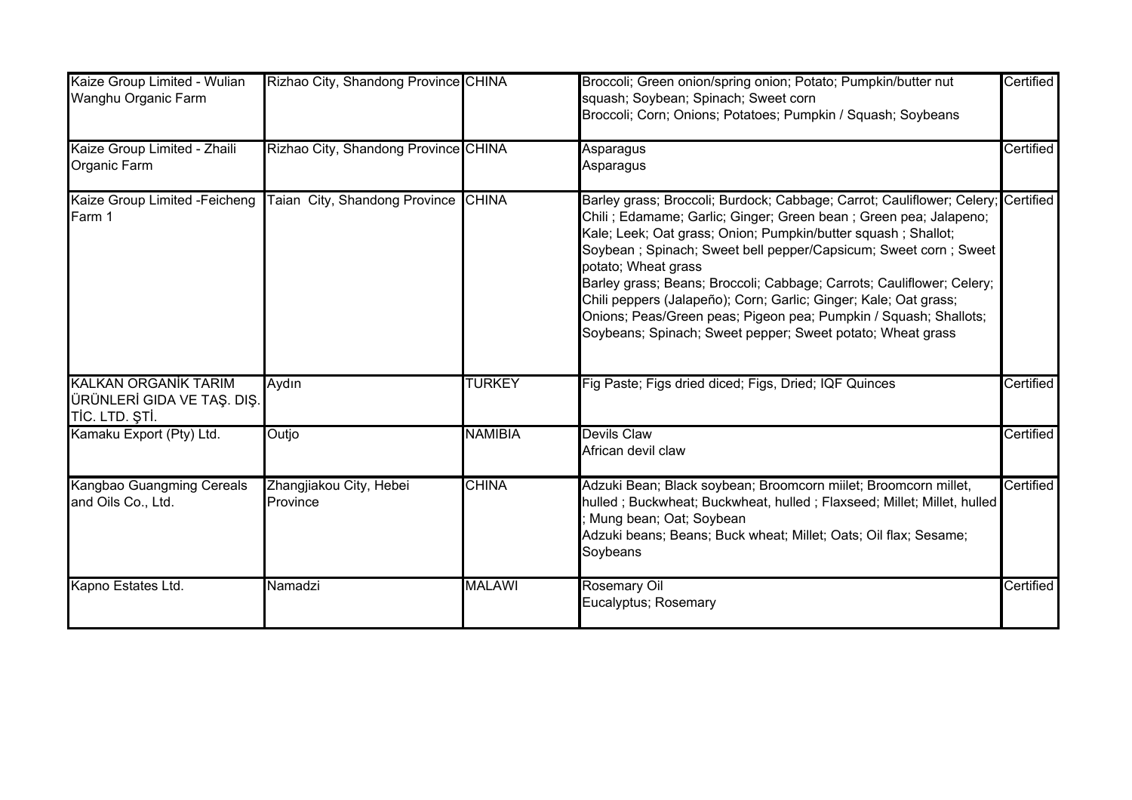| Kaize Group Limited - Wulian<br>Wanghu Organic Farm                         | Rizhao City, Shandong Province CHINA |                | Broccoli; Green onion/spring onion; Potato; Pumpkin/butter nut<br>squash; Soybean; Spinach; Sweet corn<br>Broccoli; Corn; Onions; Potatoes; Pumpkin / Squash; Soybeans                                                                                                                                                                                                                                                                                                                                                                                                                         | Certified |
|-----------------------------------------------------------------------------|--------------------------------------|----------------|------------------------------------------------------------------------------------------------------------------------------------------------------------------------------------------------------------------------------------------------------------------------------------------------------------------------------------------------------------------------------------------------------------------------------------------------------------------------------------------------------------------------------------------------------------------------------------------------|-----------|
| Kaize Group Limited - Zhaili<br>Organic Farm                                | Rizhao City, Shandong Province CHINA |                | Asparagus<br>Asparagus                                                                                                                                                                                                                                                                                                                                                                                                                                                                                                                                                                         | Certified |
| Kaize Group Limited -Feicheng<br>Farm 1                                     | Taian City, Shandong Province CHINA  |                | Barley grass; Broccoli; Burdock; Cabbage; Carrot; Cauliflower; Celery; Certified<br>Chili; Edamame; Garlic; Ginger; Green bean; Green pea; Jalapeno;<br>Kale; Leek; Oat grass; Onion; Pumpkin/butter squash; Shallot;<br>Soybean; Spinach; Sweet bell pepper/Capsicum; Sweet corn; Sweet<br>potato; Wheat grass<br>Barley grass; Beans; Broccoli; Cabbage; Carrots; Cauliflower; Celery;<br>Chili peppers (Jalapeño); Corn; Garlic; Ginger; Kale; Oat grass;<br>Onions; Peas/Green peas; Pigeon pea; Pumpkin / Squash; Shallots;<br>Soybeans; Spinach; Sweet pepper; Sweet potato; Wheat grass |           |
| <b>KALKAN ORGANİK TARIM</b><br>ÜRÜNLERİ GIDA VE TAŞ. DIŞ.<br>TİC. LTD. ŞTİ. | Aydın                                | <b>TURKEY</b>  | Fig Paste; Figs dried diced; Figs, Dried; IQF Quinces                                                                                                                                                                                                                                                                                                                                                                                                                                                                                                                                          | Certified |
| Kamaku Export (Pty) Ltd.                                                    | Outjo                                | <b>NAMIBIA</b> | <b>Devils Claw</b><br>African devil claw                                                                                                                                                                                                                                                                                                                                                                                                                                                                                                                                                       | Certified |
| Kangbao Guangming Cereals<br>and Oils Co., Ltd.                             | Zhangjiakou City, Hebei<br>Province  | <b>CHINA</b>   | Adzuki Bean; Black soybean; Broomcorn miilet; Broomcorn millet,<br>hulled ; Buckwheat; Buckwheat, hulled ; Flaxseed; Millet; Millet, hulled<br>Mung bean; Oat; Soybean<br>Adzuki beans; Beans; Buck wheat; Millet; Oats; Oil flax; Sesame;<br>Soybeans                                                                                                                                                                                                                                                                                                                                         | Certified |
| Kapno Estates Ltd.                                                          | Namadzi                              | <b>MALAWI</b>  | Rosemary Oil<br>Eucalyptus; Rosemary                                                                                                                                                                                                                                                                                                                                                                                                                                                                                                                                                           | Certified |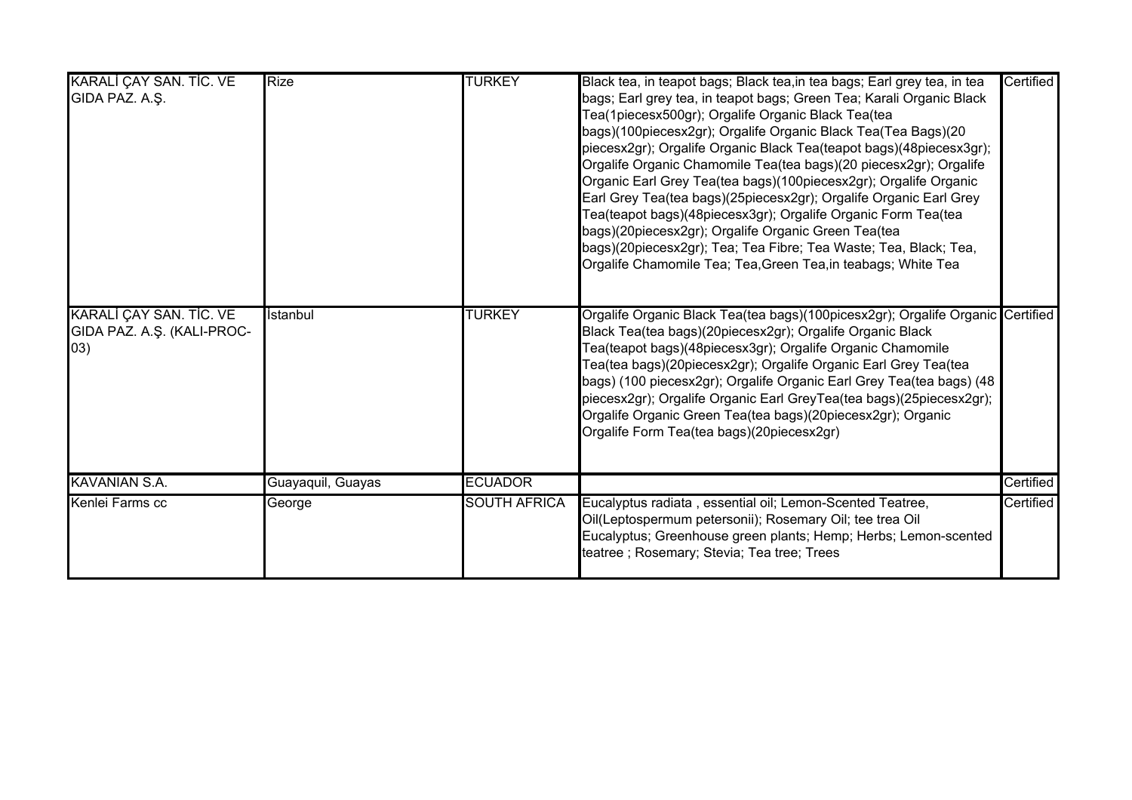| KARALİ ÇAY SAN. TİC. VE<br>GIDA PAZ. A.Ş.                    | <b>Rize</b>       | <b>TURKEY</b>       | Black tea, in teapot bags; Black tea, in tea bags; Earl grey tea, in tea<br>bags; Earl grey tea, in teapot bags; Green Tea; Karali Organic Black<br>Tea(1piecesx500gr); Orgalife Organic Black Tea(tea<br>bags)(100piecesx2gr); Orgalife Organic Black Tea(Tea Bags)(20<br>piecesx2gr); Orgalife Organic Black Tea(teapot bags)(48piecesx3gr);<br>Orgalife Organic Chamomile Tea(tea bags)(20 piecesx2gr); Orgalife<br>Organic Earl Grey Tea(tea bags)(100piecesx2gr); Orgalife Organic<br>Earl Grey Tea(tea bags)(25piecesx2gr); Orgalife Organic Earl Grey<br>Tea(teapot bags)(48piecesx3gr); Orgalife Organic Form Tea(tea<br>bags)(20piecesx2gr); Orgalife Organic Green Tea(tea<br>bags)(20piecesx2gr); Tea; Tea Fibre; Tea Waste; Tea, Black; Tea,<br>Orgalife Chamomile Tea; Tea, Green Tea, in teabags; White Tea | Certified |
|--------------------------------------------------------------|-------------------|---------------------|---------------------------------------------------------------------------------------------------------------------------------------------------------------------------------------------------------------------------------------------------------------------------------------------------------------------------------------------------------------------------------------------------------------------------------------------------------------------------------------------------------------------------------------------------------------------------------------------------------------------------------------------------------------------------------------------------------------------------------------------------------------------------------------------------------------------------|-----------|
| KARALI ÇAY SAN. TİC. VE<br>GIDA PAZ. A.Ş. (KALI-PROC-<br>03) | İstanbul          | <b>TURKEY</b>       | Orgalife Organic Black Tea(tea bags)(100picesx2gr); Orgalife Organic Certified<br>Black Tea(tea bags)(20piecesx2gr); Orgalife Organic Black<br>Tea(teapot bags)(48piecesx3gr); Orgalife Organic Chamomile<br>Tea(tea bags)(20piecesx2gr); Orgalife Organic Earl Grey Tea(tea<br>bags) (100 piecesx2gr); Orgalife Organic Earl Grey Tea(tea bags) (48<br>piecesx2gr); Orgalife Organic Earl GreyTea(tea bags)(25piecesx2gr);<br>Orgalife Organic Green Tea(tea bags)(20piecesx2gr); Organic<br>Orgalife Form Tea(tea bags)(20piecesx2gr)                                                                                                                                                                                                                                                                                   |           |
| <b>KAVANIAN S.A.</b>                                         | Guayaquil, Guayas | <b>ECUADOR</b>      |                                                                                                                                                                                                                                                                                                                                                                                                                                                                                                                                                                                                                                                                                                                                                                                                                           | Certified |
| Kenlei Farms cc                                              | George            | <b>SOUTH AFRICA</b> | Eucalyptus radiata, essential oil; Lemon-Scented Teatree,<br>Oil(Leptospermum petersonii); Rosemary Oil; tee trea Oil<br>Eucalyptus; Greenhouse green plants; Hemp; Herbs; Lemon-scented<br>teatree ; Rosemary; Stevia; Tea tree; Trees                                                                                                                                                                                                                                                                                                                                                                                                                                                                                                                                                                                   | Certified |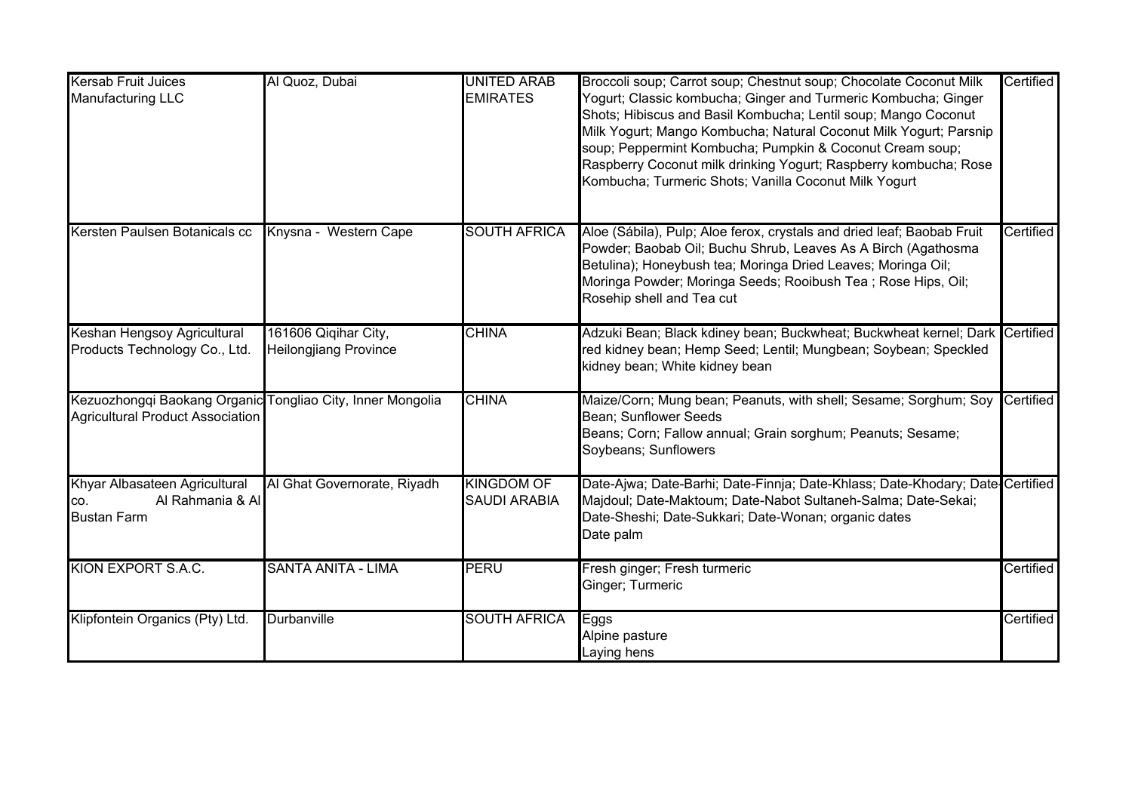| <b>Kersab Fruit Juices</b><br><b>Manufacturing LLC</b>                                                | Al Quoz, Dubai                                       | <b>UNITED ARAB</b><br><b>EMIRATES</b>    | Broccoli soup; Carrot soup; Chestnut soup; Chocolate Coconut Milk<br>Yogurt; Classic kombucha; Ginger and Turmeric Kombucha; Ginger<br>Shots; Hibiscus and Basil Kombucha; Lentil soup; Mango Coconut<br>Milk Yogurt; Mango Kombucha; Natural Coconut Milk Yogurt; Parsnip<br>soup; Peppermint Kombucha; Pumpkin & Coconut Cream soup;<br>Raspberry Coconut milk drinking Yogurt; Raspberry kombucha; Rose<br>Kombucha; Turmeric Shots; Vanilla Coconut Milk Yogurt | Certified |
|-------------------------------------------------------------------------------------------------------|------------------------------------------------------|------------------------------------------|---------------------------------------------------------------------------------------------------------------------------------------------------------------------------------------------------------------------------------------------------------------------------------------------------------------------------------------------------------------------------------------------------------------------------------------------------------------------|-----------|
| Kersten Paulsen Botanicals cc                                                                         | Knysna - Western Cape                                | <b>SOUTH AFRICA</b>                      | Aloe (Sábila), Pulp; Aloe ferox, crystals and dried leaf; Baobab Fruit<br>Powder; Baobab Oil; Buchu Shrub, Leaves As A Birch (Agathosma<br>Betulina); Honeybush tea; Moringa Dried Leaves; Moringa Oil;<br>Moringa Powder; Moringa Seeds; Rooibush Tea; Rose Hips, Oil;<br>Rosehip shell and Tea cut                                                                                                                                                                | Certified |
| Keshan Hengsoy Agricultural<br>Products Technology Co., Ltd.                                          | 161606 Qiqihar City,<br><b>Heilongjiang Province</b> | <b>CHINA</b>                             | Adzuki Bean; Black kdiney bean; Buckwheat; Buckwheat kernel; Dark Certified<br>red kidney bean; Hemp Seed; Lentil; Mungbean; Soybean; Speckled<br>kidney bean; White kidney bean                                                                                                                                                                                                                                                                                    |           |
| Kezuozhongqi Baokang Organic Tongliao City, Inner Mongolia<br><b>Agricultural Product Association</b> |                                                      | <b>CHINA</b>                             | Maize/Corn; Mung bean; Peanuts, with shell; Sesame; Sorghum; Soy<br>Bean; Sunflower Seeds<br>Beans; Corn; Fallow annual; Grain sorghum; Peanuts; Sesame;<br>Soybeans; Sunflowers                                                                                                                                                                                                                                                                                    | Certified |
| Khyar Albasateen Agricultural<br>Al Rahmania & Al<br>CO.<br><b>Bustan Farm</b>                        | Al Ghat Governorate, Riyadh                          | <b>KINGDOM OF</b><br><b>SAUDI ARABIA</b> | Date-Ajwa; Date-Barhi; Date-Finnja; Date-Khlass; Date-Khodary; Date-Certified<br>Majdoul; Date-Maktoum; Date-Nabot Sultaneh-Salma; Date-Sekai;<br>Date-Sheshi; Date-Sukkari; Date-Wonan; organic dates<br>Date palm                                                                                                                                                                                                                                                 |           |
| KION EXPORT S.A.C.                                                                                    | <b>SANTA ANITA - LIMA</b>                            | PERU                                     | Fresh ginger; Fresh turmeric<br>Ginger; Turmeric                                                                                                                                                                                                                                                                                                                                                                                                                    | Certified |
| Klipfontein Organics (Pty) Ltd.                                                                       | Durbanville                                          | <b>SOUTH AFRICA</b>                      | Eggs<br>Alpine pasture<br>Laying hens                                                                                                                                                                                                                                                                                                                                                                                                                               | Certified |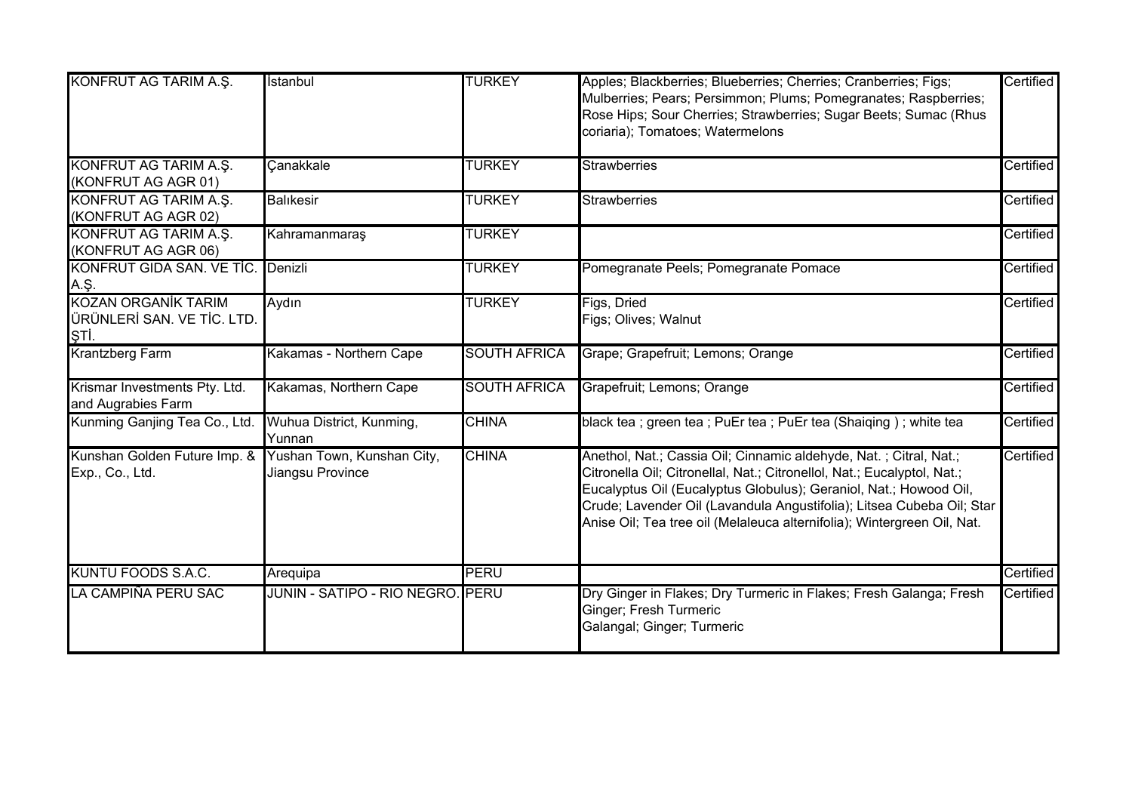| KONFRUT AG TARIM A.S.                                            | İstanbul                                       | <b>TURKEY</b>       | Apples; Blackberries; Blueberries; Cherries; Cranberries; Figs;<br>Mulberries; Pears; Persimmon; Plums; Pomegranates; Raspberries;<br>Rose Hips; Sour Cherries; Strawberries; Sugar Beets; Sumac (Rhus<br>coriaria); Tomatoes; Watermelons                                                                                                                            | Certified |
|------------------------------------------------------------------|------------------------------------------------|---------------------|-----------------------------------------------------------------------------------------------------------------------------------------------------------------------------------------------------------------------------------------------------------------------------------------------------------------------------------------------------------------------|-----------|
| KONFRUT AG TARIM A.Ş.<br>(KONFRUT AG AGR 01)                     | Canakkale                                      | <b>TURKEY</b>       | <b>Strawberries</b>                                                                                                                                                                                                                                                                                                                                                   | Certified |
| KONFRUT AG TARIM A.Ş.<br>(KONFRUT AG AGR 02)                     | <b>Balikesir</b>                               | <b>TURKEY</b>       | <b>Strawberries</b>                                                                                                                                                                                                                                                                                                                                                   | Certified |
| KONFRUT AG TARIM A.S.<br>(KONFRUT AG AGR 06)                     | Kahramanmaraş                                  | <b>TURKEY</b>       |                                                                                                                                                                                                                                                                                                                                                                       | Certified |
| KONFRUT GIDA SAN. VE TİC.<br>A.Ş.                                | Denizli                                        | <b>TURKEY</b>       | Pomegranate Peels; Pomegranate Pomace                                                                                                                                                                                                                                                                                                                                 | Certified |
| <b>KOZAN ORGANİK TARIM</b><br>ÜRÜNLERİ SAN. VE TİC. LTD.<br>ŞTİ. | Aydın                                          | <b>TURKEY</b>       | Figs, Dried<br>Figs; Olives; Walnut                                                                                                                                                                                                                                                                                                                                   | Certified |
| <b>Krantzberg Farm</b>                                           | Kakamas - Northern Cape                        | <b>SOUTH AFRICA</b> | Grape; Grapefruit; Lemons; Orange                                                                                                                                                                                                                                                                                                                                     | Certified |
| Krismar Investments Pty. Ltd.<br>and Augrabies Farm              | Kakamas, Northern Cape                         | <b>SOUTH AFRICA</b> | Grapefruit; Lemons; Orange                                                                                                                                                                                                                                                                                                                                            | Certified |
| Kunming Ganjing Tea Co., Ltd.                                    | Wuhua District, Kunming,<br>Yunnan             | <b>CHINA</b>        | black tea ; green tea ; PuEr tea ; PuEr tea (Shaiqing) ; white tea                                                                                                                                                                                                                                                                                                    | Certified |
| Kunshan Golden Future Imp. &<br>Exp., Co., Ltd.                  | Yushan Town, Kunshan City,<br>Jiangsu Province | <b>CHINA</b>        | Anethol, Nat.; Cassia Oil; Cinnamic aldehyde, Nat.; Citral, Nat.;<br>Citronella Oil; Citronellal, Nat.; Citronellol, Nat.; Eucalyptol, Nat.;<br>Eucalyptus Oil (Eucalyptus Globulus); Geraniol, Nat.; Howood Oil,<br>Crude; Lavender Oil (Lavandula Angustifolia); Litsea Cubeba Oil; Star<br>Anise Oil; Tea tree oil (Melaleuca alternifolia); Wintergreen Oil, Nat. | Certified |
| <b>KUNTU FOODS S.A.C.</b>                                        | Arequipa                                       | <b>PERU</b>         |                                                                                                                                                                                                                                                                                                                                                                       | Certified |
| LA CAMPIÑA PERU SAC                                              | JUNIN - SATIPO - RIO NEGRO. PERU               |                     | Dry Ginger in Flakes; Dry Turmeric in Flakes; Fresh Galanga; Fresh<br>Ginger; Fresh Turmeric<br>Galangal; Ginger; Turmeric                                                                                                                                                                                                                                            | Certified |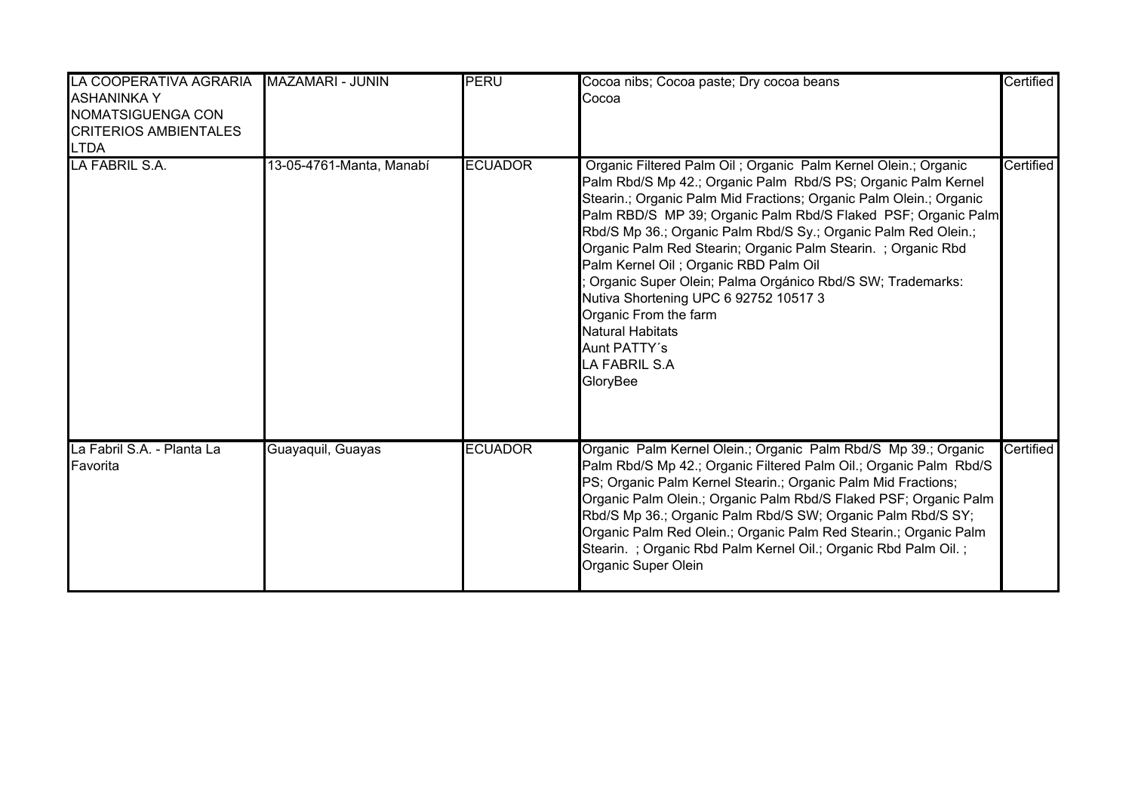| LA COOPERATIVA AGRARIA MAZAMARI - JUNIN<br><b>ASHANINKA Y</b><br>NOMATSIGUENGA CON<br><b>CRITERIOS AMBIENTALES</b><br><b>LTDA</b> |                          | PERU           | Cocoa nibs; Cocoa paste; Dry cocoa beans<br>Cocoa                                                                                                                                                                                                                                                                                                                                                                                                                                                                                                                                                                                                                 | Certified |
|-----------------------------------------------------------------------------------------------------------------------------------|--------------------------|----------------|-------------------------------------------------------------------------------------------------------------------------------------------------------------------------------------------------------------------------------------------------------------------------------------------------------------------------------------------------------------------------------------------------------------------------------------------------------------------------------------------------------------------------------------------------------------------------------------------------------------------------------------------------------------------|-----------|
| LA FABRIL S.A.                                                                                                                    | 13-05-4761-Manta, Manabí | <b>ECUADOR</b> | Organic Filtered Palm Oil ; Organic Palm Kernel Olein.; Organic<br>Palm Rbd/S Mp 42.; Organic Palm Rbd/S PS; Organic Palm Kernel<br>Stearin.; Organic Palm Mid Fractions; Organic Palm Olein.; Organic<br>Palm RBD/S MP 39; Organic Palm Rbd/S Flaked PSF; Organic Palm<br>Rbd/S Mp 36.; Organic Palm Rbd/S Sy.; Organic Palm Red Olein.;<br>Organic Palm Red Stearin; Organic Palm Stearin. ; Organic Rbd<br>Palm Kernel Oil; Organic RBD Palm Oil<br>Organic Super Olein; Palma Orgánico Rbd/S SW; Trademarks:<br>Nutiva Shortening UPC 6 92752 10517 3<br>Organic From the farm<br><b>Natural Habitats</b><br>Aunt PATTY's<br><b>LA FABRIL S.A</b><br>GloryBee | Certified |
| La Fabril S.A. - Planta La<br>Favorita                                                                                            | Guayaquil, Guayas        | <b>ECUADOR</b> | Organic Palm Kernel Olein.; Organic Palm Rbd/S Mp 39.; Organic<br>Palm Rbd/S Mp 42.; Organic Filtered Palm Oil.; Organic Palm Rbd/S<br>PS; Organic Palm Kernel Stearin.; Organic Palm Mid Fractions;<br>Organic Palm Olein.; Organic Palm Rbd/S Flaked PSF; Organic Palm<br>Rbd/S Mp 36.; Organic Palm Rbd/S SW; Organic Palm Rbd/S SY;<br>Organic Palm Red Olein.; Organic Palm Red Stearin.; Organic Palm<br>Stearin. ; Organic Rbd Palm Kernel Oil.; Organic Rbd Palm Oil. ;<br>Organic Super Olein                                                                                                                                                            | Certified |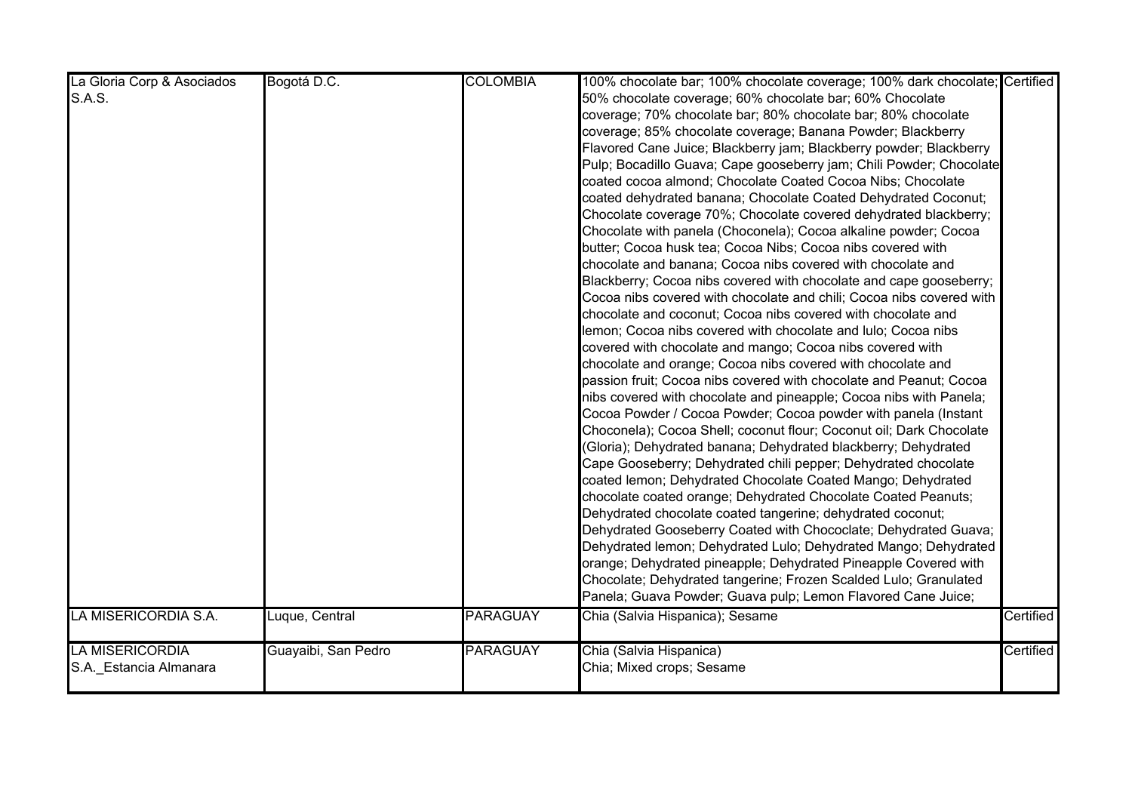| La Gloria Corp & Asociados | Bogotá D.C.         | <b>COLOMBIA</b> | 100% chocolate bar; 100% chocolate coverage; 100% dark chocolate; Certified |           |
|----------------------------|---------------------|-----------------|-----------------------------------------------------------------------------|-----------|
| S.A.S.                     |                     |                 | 50% chocolate coverage; 60% chocolate bar; 60% Chocolate                    |           |
|                            |                     |                 | coverage; 70% chocolate bar; 80% chocolate bar; 80% chocolate               |           |
|                            |                     |                 | coverage; 85% chocolate coverage; Banana Powder; Blackberry                 |           |
|                            |                     |                 | Flavored Cane Juice; Blackberry jam; Blackberry powder; Blackberry          |           |
|                            |                     |                 | Pulp; Bocadillo Guava; Cape gooseberry jam; Chili Powder; Chocolate         |           |
|                            |                     |                 | coated cocoa almond; Chocolate Coated Cocoa Nibs; Chocolate                 |           |
|                            |                     |                 | coated dehydrated banana; Chocolate Coated Dehydrated Coconut;              |           |
|                            |                     |                 | Chocolate coverage 70%; Chocolate covered dehydrated blackberry;            |           |
|                            |                     |                 | Chocolate with panela (Choconela); Cocoa alkaline powder; Cocoa             |           |
|                            |                     |                 | butter; Cocoa husk tea; Cocoa Nibs; Cocoa nibs covered with                 |           |
|                            |                     |                 | chocolate and banana; Cocoa nibs covered with chocolate and                 |           |
|                            |                     |                 | Blackberry; Cocoa nibs covered with chocolate and cape gooseberry;          |           |
|                            |                     |                 | Cocoa nibs covered with chocolate and chili; Cocoa nibs covered with        |           |
|                            |                     |                 | chocolate and coconut; Cocoa nibs covered with chocolate and                |           |
|                            |                     |                 | lemon; Cocoa nibs covered with chocolate and lulo; Cocoa nibs               |           |
|                            |                     |                 | covered with chocolate and mango; Cocoa nibs covered with                   |           |
|                            |                     |                 | chocolate and orange; Cocoa nibs covered with chocolate and                 |           |
|                            |                     |                 | passion fruit; Cocoa nibs covered with chocolate and Peanut; Cocoa          |           |
|                            |                     |                 | nibs covered with chocolate and pineapple; Cocoa nibs with Panela;          |           |
|                            |                     |                 | Cocoa Powder / Cocoa Powder; Cocoa powder with panela (Instant              |           |
|                            |                     |                 | Choconela); Cocoa Shell; coconut flour; Coconut oil; Dark Chocolate         |           |
|                            |                     |                 | (Gloria); Dehydrated banana; Dehydrated blackberry; Dehydrated              |           |
|                            |                     |                 | Cape Gooseberry; Dehydrated chili pepper; Dehydrated chocolate              |           |
|                            |                     |                 | coated lemon; Dehydrated Chocolate Coated Mango; Dehydrated                 |           |
|                            |                     |                 | chocolate coated orange; Dehydrated Chocolate Coated Peanuts;               |           |
|                            |                     |                 | Dehydrated chocolate coated tangerine; dehydrated coconut;                  |           |
|                            |                     |                 | Dehydrated Gooseberry Coated with Chococlate; Dehydrated Guava;             |           |
|                            |                     |                 | Dehydrated lemon; Dehydrated Lulo; Dehydrated Mango; Dehydrated             |           |
|                            |                     |                 | orange; Dehydrated pineapple; Dehydrated Pineapple Covered with             |           |
|                            |                     |                 | Chocolate; Dehydrated tangerine; Frozen Scalded Lulo; Granulated            |           |
|                            |                     |                 | Panela; Guava Powder; Guava pulp; Lemon Flavored Cane Juice;                |           |
| LA MISERICORDIA S.A.       | Luque, Central      | <b>PARAGUAY</b> | Chia (Salvia Hispanica); Sesame                                             | Certified |
|                            |                     |                 |                                                                             |           |
| <b>LA MISERICORDIA</b>     | Guayaibi, San Pedro | <b>PARAGUAY</b> | Chia (Salvia Hispanica)                                                     | Certified |
| S.A. Estancia Almanara     |                     |                 | Chia; Mixed crops; Sesame                                                   |           |
|                            |                     |                 |                                                                             |           |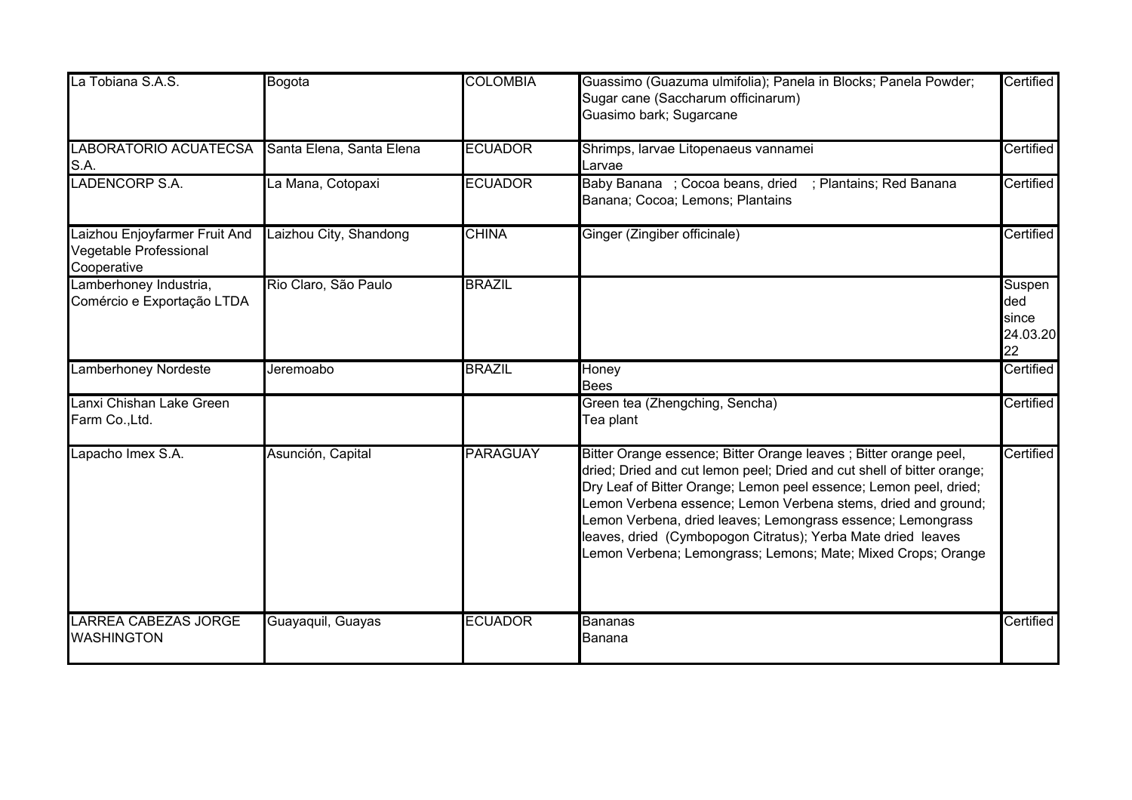| La Tobiana S.A.S.                                                      | Bogota                   | <b>COLOMBIA</b> | Guassimo (Guazuma ulmifolia); Panela in Blocks; Panela Powder;<br>Sugar cane (Saccharum officinarum)<br>Guasimo bark; Sugarcane                                                                                                                                                                                                                                                                                                                                                  | Certified                                |
|------------------------------------------------------------------------|--------------------------|-----------------|----------------------------------------------------------------------------------------------------------------------------------------------------------------------------------------------------------------------------------------------------------------------------------------------------------------------------------------------------------------------------------------------------------------------------------------------------------------------------------|------------------------------------------|
| <b>LABORATORIO ACUATECSA</b><br>S.A.                                   | Santa Elena, Santa Elena | <b>ECUADOR</b>  | Shrimps, larvae Litopenaeus vannamei<br>Larvae                                                                                                                                                                                                                                                                                                                                                                                                                                   | Certified                                |
| <b>LADENCORP S.A.</b>                                                  | La Mana, Cotopaxi        | <b>ECUADOR</b>  | Baby Banana ; Cocoa beans, dried<br>; Plantains; Red Banana<br>Banana; Cocoa; Lemons; Plantains                                                                                                                                                                                                                                                                                                                                                                                  | Certified                                |
| Laizhou Enjoyfarmer Fruit And<br>Vegetable Professional<br>Cooperative | Laizhou City, Shandong   | <b>CHINA</b>    | Ginger (Zingiber officinale)                                                                                                                                                                                                                                                                                                                                                                                                                                                     | Certified                                |
| Lamberhoney Industria,<br>Comércio e Exportação LTDA                   | Rio Claro, São Paulo     | <b>BRAZIL</b>   |                                                                                                                                                                                                                                                                                                                                                                                                                                                                                  | Suspen<br>ded<br>since<br>24.03.20<br>22 |
| Lamberhoney Nordeste                                                   | Jeremoabo                | <b>BRAZIL</b>   | Honey<br><b>Bees</b>                                                                                                                                                                                                                                                                                                                                                                                                                                                             | Certified                                |
| Lanxi Chishan Lake Green<br>Farm Co., Ltd.                             |                          |                 | Green tea (Zhengching, Sencha)<br>Tea plant                                                                                                                                                                                                                                                                                                                                                                                                                                      | Certified                                |
| Lapacho Imex S.A.                                                      | Asunción, Capital        | <b>PARAGUAY</b> | Bitter Orange essence; Bitter Orange leaves ; Bitter orange peel,<br>dried; Dried and cut lemon peel; Dried and cut shell of bitter orange;<br>Dry Leaf of Bitter Orange; Lemon peel essence; Lemon peel, dried;<br>Lemon Verbena essence; Lemon Verbena stems, dried and ground;<br>Lemon Verbena, dried leaves; Lemongrass essence; Lemongrass<br>leaves, dried (Cymbopogon Citratus); Yerba Mate dried leaves<br>Lemon Verbena; Lemongrass; Lemons; Mate; Mixed Crops; Orange | Certified                                |
| <b>LARREA CABEZAS JORGE</b><br><b>WASHINGTON</b>                       | Guayaquil, Guayas        | <b>ECUADOR</b>  | <b>Bananas</b><br>Banana                                                                                                                                                                                                                                                                                                                                                                                                                                                         | Certified                                |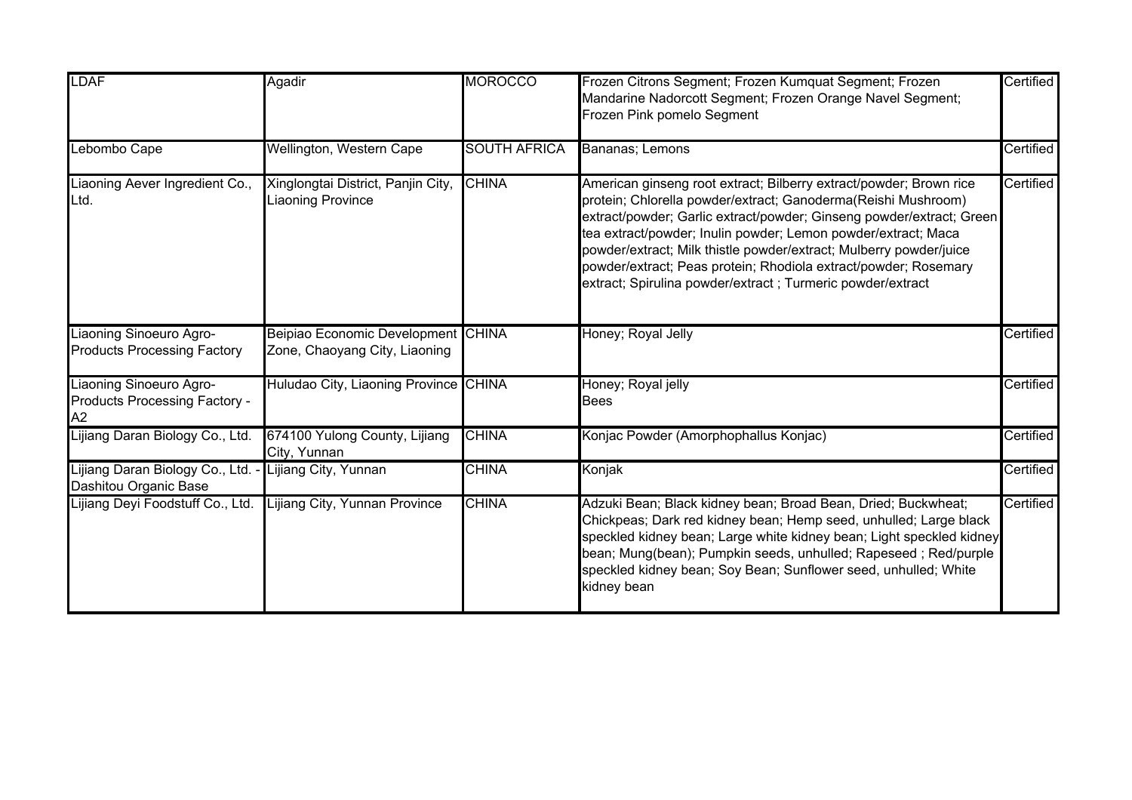| <b>LDAF</b>                                                    | Agadir                                                              | <b>MOROCCO</b>      | Frozen Citrons Segment; Frozen Kumquat Segment; Frozen<br>Mandarine Nadorcott Segment; Frozen Orange Navel Segment;<br>Frozen Pink pomelo Segment                                                                                                                                                                                                                                                                                                                                    | Certified |
|----------------------------------------------------------------|---------------------------------------------------------------------|---------------------|--------------------------------------------------------------------------------------------------------------------------------------------------------------------------------------------------------------------------------------------------------------------------------------------------------------------------------------------------------------------------------------------------------------------------------------------------------------------------------------|-----------|
| Lebombo Cape                                                   | Wellington, Western Cape                                            | <b>SOUTH AFRICA</b> | Bananas; Lemons                                                                                                                                                                                                                                                                                                                                                                                                                                                                      | Certified |
| Liaoning Aever Ingredient Co.,<br>Ltd.                         | Xinglongtai District, Panjin City,<br>iaoning Province              | <b>CHINA</b>        | American ginseng root extract; Bilberry extract/powder; Brown rice<br>protein; Chlorella powder/extract; Ganoderma(Reishi Mushroom)<br>extract/powder; Garlic extract/powder; Ginseng powder/extract; Green<br>tea extract/powder; Inulin powder; Lemon powder/extract; Maca<br>powder/extract; Milk thistle powder/extract; Mulberry powder/juice<br>powder/extract; Peas protein; Rhodiola extract/powder; Rosemary<br>extract; Spirulina powder/extract ; Turmeric powder/extract | Certified |
| Liaoning Sinoeuro Agro-<br><b>Products Processing Factory</b>  | Beipiao Economic Development CHINA<br>Zone, Chaoyang City, Liaoning |                     | Honey; Royal Jelly                                                                                                                                                                                                                                                                                                                                                                                                                                                                   | Certified |
| Liaoning Sinoeuro Agro-<br>Products Processing Factory -<br>A2 | Huludao City, Liaoning Province CHINA                               |                     | Honey; Royal jelly<br>Bees                                                                                                                                                                                                                                                                                                                                                                                                                                                           | Certified |
| Lijiang Daran Biology Co., Ltd.                                | 674100 Yulong County, Lijiang<br>City, Yunnan                       | <b>CHINA</b>        | Konjac Powder (Amorphophallus Konjac)                                                                                                                                                                                                                                                                                                                                                                                                                                                | Certified |
| Lijiang Daran Biology Co., Ltd. -<br>Dashitou Organic Base     | Lijiang City, Yunnan                                                | <b>CHINA</b>        | Konjak                                                                                                                                                                                                                                                                                                                                                                                                                                                                               | Certified |
| Lijiang Deyi Foodstuff Co., Ltd.                               | ijiang City, Yunnan Province                                        | <b>CHINA</b>        | Adzuki Bean; Black kidney bean; Broad Bean, Dried; Buckwheat;<br>Chickpeas; Dark red kidney bean; Hemp seed, unhulled; Large black<br>speckled kidney bean; Large white kidney bean; Light speckled kidney<br>bean; Mung(bean); Pumpkin seeds, unhulled; Rapeseed; Red/purple<br>speckled kidney bean; Soy Bean; Sunflower seed, unhulled; White<br>kidney bean                                                                                                                      | Certified |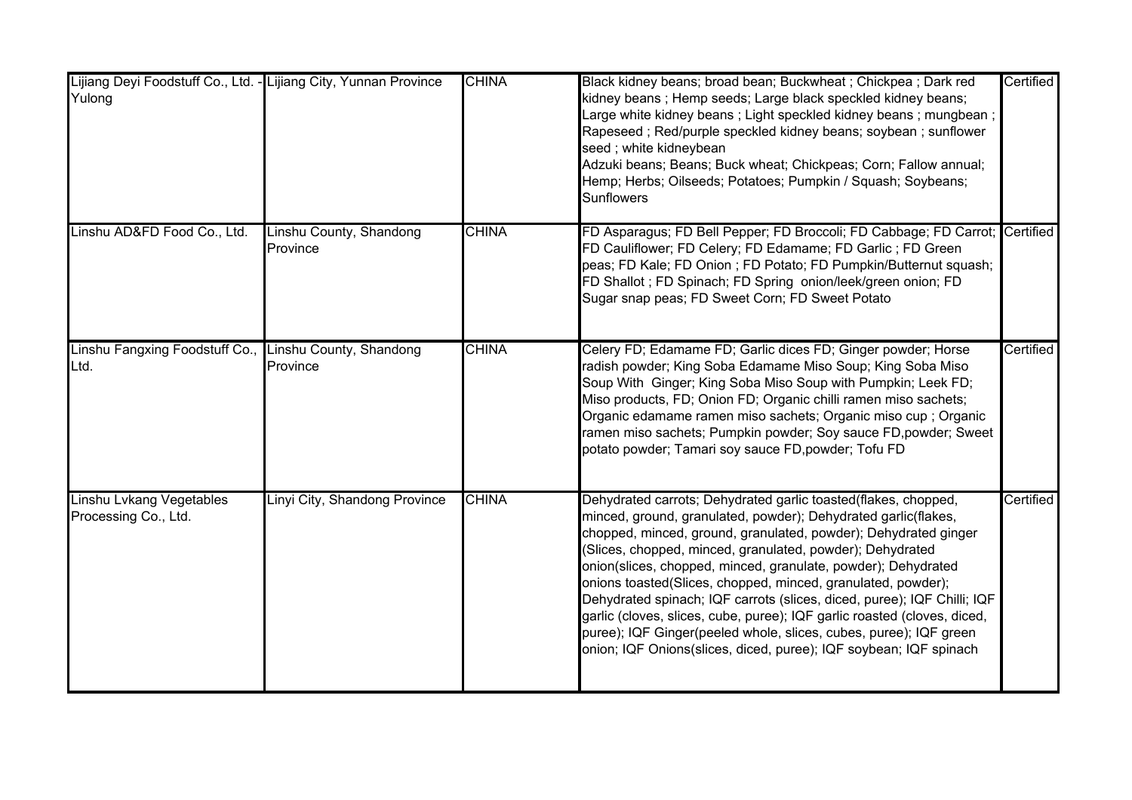| Lijiang Deyi Foodstuff Co., Ltd. - Lijiang City, Yunnan Province<br>Yulong |                                     | <b>CHINA</b> | Black kidney beans; broad bean; Buckwheat; Chickpea; Dark red<br>kidney beans; Hemp seeds; Large black speckled kidney beans;<br>Large white kidney beans ; Light speckled kidney beans ; mungbean ;<br>Rapeseed; Red/purple speckled kidney beans; soybean; sunflower<br>seed; white kidneybean<br>Adzuki beans; Beans; Buck wheat; Chickpeas; Corn; Fallow annual;<br>Hemp; Herbs; Oilseeds; Potatoes; Pumpkin / Squash; Soybeans;<br><b>Sunflowers</b>                                                                                                                                                                                                                                          | Certified |
|----------------------------------------------------------------------------|-------------------------------------|--------------|----------------------------------------------------------------------------------------------------------------------------------------------------------------------------------------------------------------------------------------------------------------------------------------------------------------------------------------------------------------------------------------------------------------------------------------------------------------------------------------------------------------------------------------------------------------------------------------------------------------------------------------------------------------------------------------------------|-----------|
| Linshu AD&FD Food Co., Ltd.                                                | Linshu County, Shandong<br>Province | <b>CHINA</b> | FD Asparagus; FD Bell Pepper; FD Broccoli; FD Cabbage; FD Carrot; Certified<br>FD Cauliflower; FD Celery; FD Edamame; FD Garlic; FD Green<br>peas; FD Kale; FD Onion; FD Potato; FD Pumpkin/Butternut squash;<br>FD Shallot; FD Spinach; FD Spring onion/leek/green onion; FD<br>Sugar snap peas; FD Sweet Corn; FD Sweet Potato                                                                                                                                                                                                                                                                                                                                                                   |           |
| Linshu Fangxing Foodstuff Co.,<br>Ltd.                                     | Linshu County, Shandong<br>Province | <b>CHINA</b> | Celery FD; Edamame FD; Garlic dices FD; Ginger powder; Horse<br>radish powder; King Soba Edamame Miso Soup; King Soba Miso<br>Soup With Ginger; King Soba Miso Soup with Pumpkin; Leek FD;<br>Miso products, FD; Onion FD; Organic chilli ramen miso sachets;<br>Organic edamame ramen miso sachets; Organic miso cup ; Organic<br>ramen miso sachets; Pumpkin powder; Soy sauce FD, powder; Sweet<br>potato powder; Tamari soy sauce FD, powder; Tofu FD                                                                                                                                                                                                                                          | Certified |
| Linshu Lvkang Vegetables<br>Processing Co., Ltd.                           | Linyi City, Shandong Province       | <b>CHINA</b> | Dehydrated carrots; Dehydrated garlic toasted(flakes, chopped,<br>minced, ground, granulated, powder); Dehydrated garlic(flakes,<br>chopped, minced, ground, granulated, powder); Dehydrated ginger<br>(Slices, chopped, minced, granulated, powder); Dehydrated<br>onion(slices, chopped, minced, granulate, powder); Dehydrated<br>onions toasted(Slices, chopped, minced, granulated, powder);<br>Dehydrated spinach; IQF carrots (slices, diced, puree); IQF Chilli; IQF<br>garlic (cloves, slices, cube, puree); IQF garlic roasted (cloves, diced,<br>puree); IQF Ginger(peeled whole, slices, cubes, puree); IQF green<br>onion; IQF Onions(slices, diced, puree); IQF soybean; IQF spinach | Certified |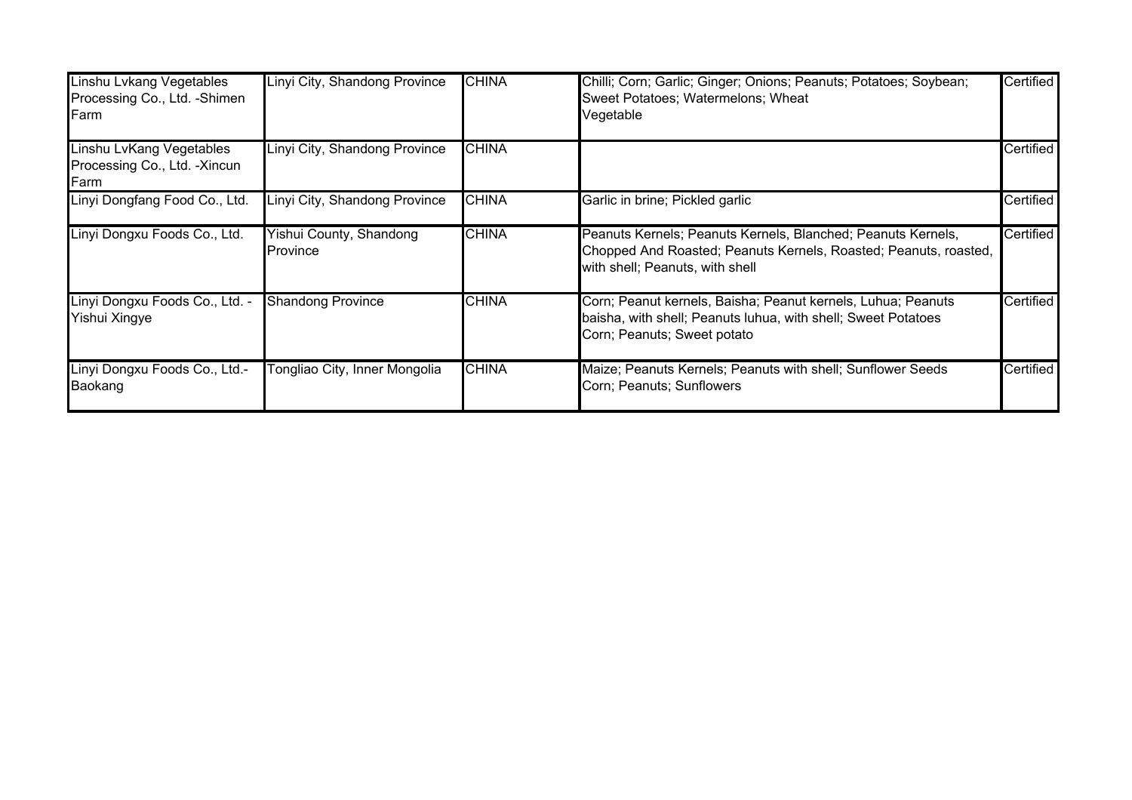| Linshu Lvkang Vegetables<br>Processing Co., Ltd. - Shimen<br>Farm | Linyi City, Shandong Province       | <b>CHINA</b> | Chilli; Corn; Garlic; Ginger; Onions; Peanuts; Potatoes; Soybean;<br>Sweet Potatoes; Watermelons; Wheat<br>Vegetable                                                | Certified |
|-------------------------------------------------------------------|-------------------------------------|--------------|---------------------------------------------------------------------------------------------------------------------------------------------------------------------|-----------|
| Linshu LvKang Vegetables<br>Processing Co., Ltd. - Xincun<br>Farm | Linyi City, Shandong Province       | <b>CHINA</b> |                                                                                                                                                                     | Certified |
| Linyi Dongfang Food Co., Ltd.                                     | Linyi City, Shandong Province       | <b>CHINA</b> | Garlic in brine; Pickled garlic                                                                                                                                     | Certified |
| Linyi Dongxu Foods Co., Ltd.                                      | Yishui County, Shandong<br>Province | <b>CHINA</b> | Peanuts Kernels; Peanuts Kernels, Blanched; Peanuts Kernels,<br>Chopped And Roasted; Peanuts Kernels, Roasted; Peanuts, roasted,<br>with shell; Peanuts, with shell | Certified |
| Linyi Dongxu Foods Co., Ltd. -<br>Yishui Xingye                   | <b>Shandong Province</b>            | <b>CHINA</b> | Corn; Peanut kernels, Baisha; Peanut kernels, Luhua; Peanuts<br>baisha, with shell; Peanuts luhua, with shell; Sweet Potatoes<br>Corn; Peanuts; Sweet potato        | Certified |
| Linyi Dongxu Foods Co., Ltd.-<br>Baokang                          | Tongliao City, Inner Mongolia       | <b>CHINA</b> | Maize; Peanuts Kernels; Peanuts with shell; Sunflower Seeds<br>Corn; Peanuts; Sunflowers                                                                            | Certified |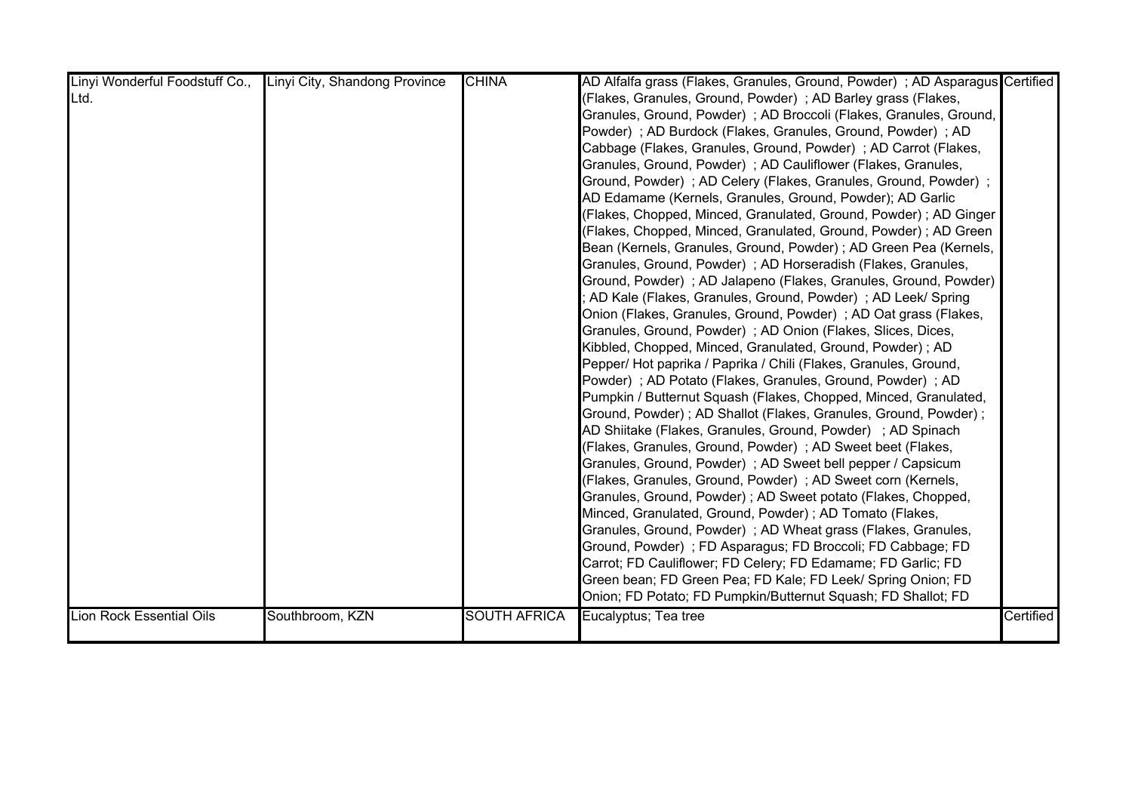| Linyi Wonderful Foodstuff Co., Linyi City, Shandong Province |                 | <b>CHINA</b>        | AD Alfalfa grass (Flakes, Granules, Ground, Powder); AD Asparagus Certified |           |
|--------------------------------------------------------------|-----------------|---------------------|-----------------------------------------------------------------------------|-----------|
| Ltd.                                                         |                 |                     | (Flakes, Granules, Ground, Powder); AD Barley grass (Flakes,                |           |
|                                                              |                 |                     | Granules, Ground, Powder); AD Broccoli (Flakes, Granules, Ground,           |           |
|                                                              |                 |                     | Powder); AD Burdock (Flakes, Granules, Ground, Powder); AD                  |           |
|                                                              |                 |                     | Cabbage (Flakes, Granules, Ground, Powder); AD Carrot (Flakes,              |           |
|                                                              |                 |                     | Granules, Ground, Powder); AD Cauliflower (Flakes, Granules,                |           |
|                                                              |                 |                     | Ground, Powder); AD Celery (Flakes, Granules, Ground, Powder);              |           |
|                                                              |                 |                     | AD Edamame (Kernels, Granules, Ground, Powder); AD Garlic                   |           |
|                                                              |                 |                     | (Flakes, Chopped, Minced, Granulated, Ground, Powder); AD Ginger            |           |
|                                                              |                 |                     | (Flakes, Chopped, Minced, Granulated, Ground, Powder); AD Green             |           |
|                                                              |                 |                     | Bean (Kernels, Granules, Ground, Powder) ; AD Green Pea (Kernels,           |           |
|                                                              |                 |                     | Granules, Ground, Powder); AD Horseradish (Flakes, Granules,                |           |
|                                                              |                 |                     | Ground, Powder); AD Jalapeno (Flakes, Granules, Ground, Powder)             |           |
|                                                              |                 |                     | AD Kale (Flakes, Granules, Ground, Powder); AD Leek/ Spring                 |           |
|                                                              |                 |                     | Onion (Flakes, Granules, Ground, Powder); AD Oat grass (Flakes,             |           |
|                                                              |                 |                     | Granules, Ground, Powder); AD Onion (Flakes, Slices, Dices,                 |           |
|                                                              |                 |                     | Kibbled, Chopped, Minced, Granulated, Ground, Powder); AD                   |           |
|                                                              |                 |                     | Pepper/ Hot paprika / Paprika / Chili (Flakes, Granules, Ground,            |           |
|                                                              |                 |                     | Powder); AD Potato (Flakes, Granules, Ground, Powder); AD                   |           |
|                                                              |                 |                     | Pumpkin / Butternut Squash (Flakes, Chopped, Minced, Granulated,            |           |
|                                                              |                 |                     | Ground, Powder) ; AD Shallot (Flakes, Granules, Ground, Powder) ;           |           |
|                                                              |                 |                     | AD Shiitake (Flakes, Granules, Ground, Powder) ; AD Spinach                 |           |
|                                                              |                 |                     | (Flakes, Granules, Ground, Powder); AD Sweet beet (Flakes,                  |           |
|                                                              |                 |                     | Granules, Ground, Powder); AD Sweet bell pepper / Capsicum                  |           |
|                                                              |                 |                     | (Flakes, Granules, Ground, Powder); AD Sweet corn (Kernels,                 |           |
|                                                              |                 |                     | Granules, Ground, Powder); AD Sweet potato (Flakes, Chopped,                |           |
|                                                              |                 |                     | Minced, Granulated, Ground, Powder) ; AD Tomato (Flakes,                    |           |
|                                                              |                 |                     | Granules, Ground, Powder); AD Wheat grass (Flakes, Granules,                |           |
|                                                              |                 |                     | Ground, Powder) ; FD Asparagus; FD Broccoli; FD Cabbage; FD                 |           |
|                                                              |                 |                     | Carrot; FD Cauliflower; FD Celery; FD Edamame; FD Garlic; FD                |           |
|                                                              |                 |                     | Green bean; FD Green Pea; FD Kale; FD Leek/ Spring Onion; FD                |           |
|                                                              |                 |                     | Onion; FD Potato; FD Pumpkin/Butternut Squash; FD Shallot; FD               |           |
| <b>Lion Rock Essential Oils</b>                              | Southbroom, KZN | <b>SOUTH AFRICA</b> | Eucalyptus; Tea tree                                                        | Certified |
|                                                              |                 |                     |                                                                             |           |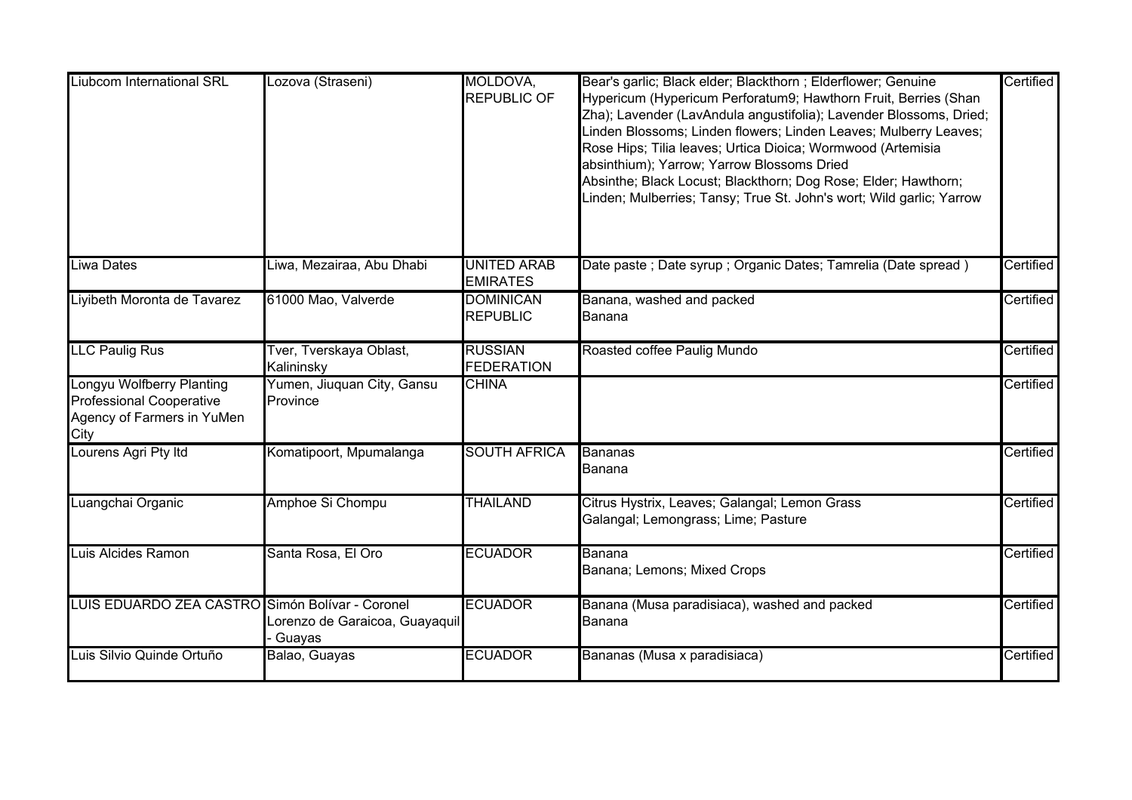| <b>Liubcom International SRL</b>                                                                          | Lozova (Straseni)                          | MOLDOVA,<br><b>REPUBLIC OF</b>        | Bear's garlic; Black elder; Blackthorn ; Elderflower; Genuine<br>Hypericum (Hypericum Perforatum9; Hawthorn Fruit, Berries (Shan<br>Zha); Lavender (LavAndula angustifolia); Lavender Blossoms, Dried;<br>Linden Blossoms; Linden flowers; Linden Leaves; Mulberry Leaves;<br>Rose Hips; Tilia leaves; Urtica Dioica; Wormwood (Artemisia<br>absinthium); Yarrow; Yarrow Blossoms Dried<br>Absinthe; Black Locust; Blackthorn; Dog Rose; Elder; Hawthorn;<br>Linden; Mulberries; Tansy; True St. John's wort; Wild garlic; Yarrow | Certified |
|-----------------------------------------------------------------------------------------------------------|--------------------------------------------|---------------------------------------|-----------------------------------------------------------------------------------------------------------------------------------------------------------------------------------------------------------------------------------------------------------------------------------------------------------------------------------------------------------------------------------------------------------------------------------------------------------------------------------------------------------------------------------|-----------|
| <b>Liwa Dates</b>                                                                                         | Liwa, Mezairaa, Abu Dhabi                  | <b>UNITED ARAB</b><br><b>EMIRATES</b> | Date paste ; Date syrup ; Organic Dates; Tamrelia (Date spread)                                                                                                                                                                                                                                                                                                                                                                                                                                                                   | Certified |
| Liyibeth Moronta de Tavarez                                                                               | 61000 Mao, Valverde                        | <b>DOMINICAN</b><br><b>REPUBLIC</b>   | Banana, washed and packed<br>Banana                                                                                                                                                                                                                                                                                                                                                                                                                                                                                               | Certified |
| <b>LLC Paulig Rus</b>                                                                                     | Tver, Tverskaya Oblast,<br>Kalininsky      | <b>RUSSIAN</b><br><b>FEDERATION</b>   | Roasted coffee Paulig Mundo                                                                                                                                                                                                                                                                                                                                                                                                                                                                                                       | Certified |
| <b>Longyu Wolfberry Planting</b><br><b>Professional Cooperative</b><br>Agency of Farmers in YuMen<br>City | Yumen, Jiuquan City, Gansu<br>Province     | <b>CHINA</b>                          |                                                                                                                                                                                                                                                                                                                                                                                                                                                                                                                                   | Certified |
| Lourens Agri Pty Itd                                                                                      | Komatipoort, Mpumalanga                    | <b>SOUTH AFRICA</b>                   | <b>Bananas</b><br>Banana                                                                                                                                                                                                                                                                                                                                                                                                                                                                                                          | Certified |
| Luangchai Organic                                                                                         | Amphoe Si Chompu                           | <b>THAILAND</b>                       | Citrus Hystrix, Leaves; Galangal; Lemon Grass<br>Galangal; Lemongrass; Lime; Pasture                                                                                                                                                                                                                                                                                                                                                                                                                                              | Certified |
| Luis Alcides Ramon                                                                                        | Santa Rosa, El Oro                         | <b>ECUADOR</b>                        | Banana<br>Banana; Lemons; Mixed Crops                                                                                                                                                                                                                                                                                                                                                                                                                                                                                             | Certified |
| LUIS EDUARDO ZEA CASTRO Simón Bolívar - Coronel                                                           | Lorenzo de Garaicoa, Guayaquil<br>- Guayas | <b>ECUADOR</b>                        | Banana (Musa paradisiaca), washed and packed<br>Banana                                                                                                                                                                                                                                                                                                                                                                                                                                                                            | Certified |
| Luis Silvio Quinde Ortuño                                                                                 | Balao, Guayas                              | <b>ECUADOR</b>                        | Bananas (Musa x paradisiaca)                                                                                                                                                                                                                                                                                                                                                                                                                                                                                                      | Certified |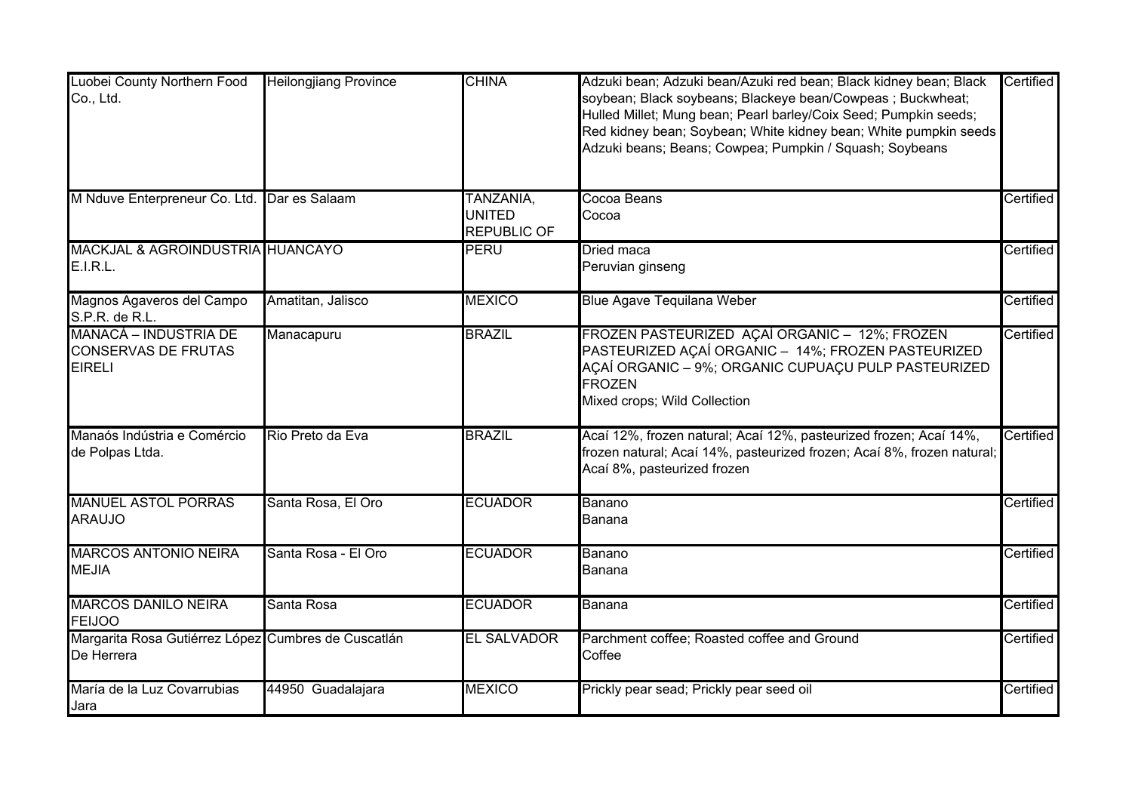| Luobei County Northern Food<br>Co., Ltd.                             | <b>Heilongjiang Province</b> | <b>CHINA</b>                                     | Adzuki bean; Adzuki bean/Azuki red bean; Black kidney bean; Black<br>soybean; Black soybeans; Blackeye bean/Cowpeas; Buckwheat;<br>Hulled Millet; Mung bean; Pearl barley/Coix Seed; Pumpkin seeds;<br>Red kidney bean; Soybean; White kidney bean; White pumpkin seeds<br>Adzuki beans; Beans; Cowpea; Pumpkin / Squash; Soybeans | Certified |
|----------------------------------------------------------------------|------------------------------|--------------------------------------------------|------------------------------------------------------------------------------------------------------------------------------------------------------------------------------------------------------------------------------------------------------------------------------------------------------------------------------------|-----------|
| M Nduve Enterpreneur Co. Ltd. Dar es Salaam                          |                              | TANZANIA,<br><b>UNITED</b><br><b>REPUBLIC OF</b> | Cocoa Beans<br>Cocoa                                                                                                                                                                                                                                                                                                               | Certified |
| MACKJAL & AGROINDUSTRIA HUANCAYO<br><b>E.I.R.L.</b>                  |                              | <b>PERU</b>                                      | Dried maca<br>Peruvian ginseng                                                                                                                                                                                                                                                                                                     | Certified |
| Magnos Agaveros del Campo<br>S.P.R. de R.L.                          | Amatitan, Jalisco            | <b>MEXICO</b>                                    | <b>Blue Agave Tequilana Weber</b>                                                                                                                                                                                                                                                                                                  | Certified |
| MANACÁ – INDUSTRIA DE<br><b>CONSERVAS DE FRUTAS</b><br><b>EIRELI</b> | Manacapuru                   | <b>BRAZIL</b>                                    | FROZEN PASTEURIZED AÇAÍ ORGANIC - 12%; FROZEN<br>PASTEURIZED AÇAÍ ORGANIC - 14%; FROZEN PASTEURIZED<br>AÇAÍ ORGANIC - 9%; ORGANIC CUPUAÇU PULP PASTEURIZED<br><b>FROZEN</b><br>Mixed crops; Wild Collection                                                                                                                        | Certified |
| Manaós Indústria e Comércio<br>de Polpas Ltda.                       | Rio Preto da Eva             | <b>BRAZIL</b>                                    | Acaí 12%, frozen natural; Acaí 12%, pasteurized frozen; Acaí 14%,<br>frozen natural; Acaí 14%, pasteurized frozen; Acaí 8%, frozen natural;<br>Acaí 8%, pasteurized frozen                                                                                                                                                         | Certified |
| <b>MANUEL ASTOL PORRAS</b><br><b>ARAUJO</b>                          | Santa Rosa, El Oro           | <b>ECUADOR</b>                                   | Banano<br>Banana                                                                                                                                                                                                                                                                                                                   | Certified |
| <b>MARCOS ANTONIO NEIRA</b><br><b>MEJIA</b>                          | Santa Rosa - El Oro          | <b>ECUADOR</b>                                   | Banano<br>Banana                                                                                                                                                                                                                                                                                                                   | Certified |
| <b>MARCOS DANILO NEIRA</b><br><b>FEIJOO</b>                          | Santa Rosa                   | <b>ECUADOR</b>                                   | Banana                                                                                                                                                                                                                                                                                                                             | Certified |
| Margarita Rosa Gutiérrez López Cumbres de Cuscatlán<br>De Herrera    |                              | <b>EL SALVADOR</b>                               | Parchment coffee; Roasted coffee and Ground<br>Coffee                                                                                                                                                                                                                                                                              | Certified |
| María de la Luz Covarrubias<br>Jara                                  | 44950 Guadalajara            | <b>MEXICO</b>                                    | Prickly pear sead; Prickly pear seed oil                                                                                                                                                                                                                                                                                           | Certified |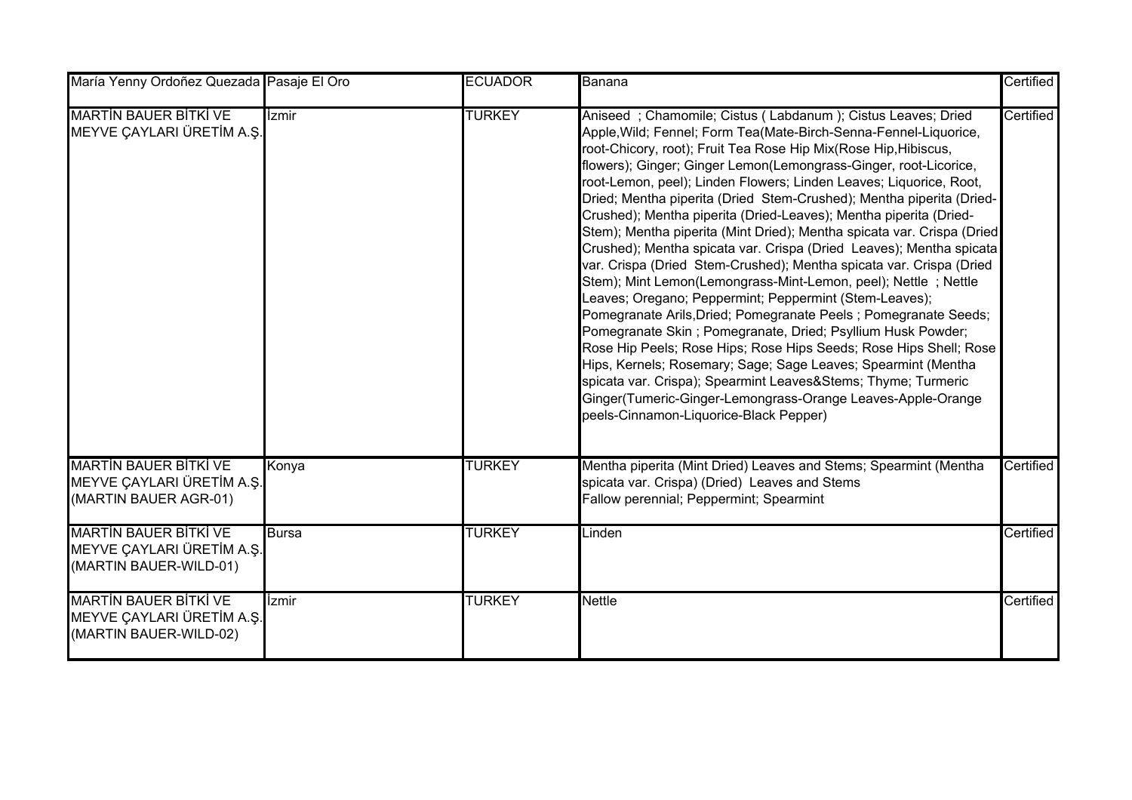| María Yenny Ordoñez Quezada Pasaje El Oro                                           |              | <b>ECUADOR</b> | Banana                                                                                                                                                                                                                                                                                                                                                                                                                                                                                                                                                                                                                                                                                                                                                                                                                                                                                                                                                                                                                                                                                                                                                                                                                                                                                        | Certified |
|-------------------------------------------------------------------------------------|--------------|----------------|-----------------------------------------------------------------------------------------------------------------------------------------------------------------------------------------------------------------------------------------------------------------------------------------------------------------------------------------------------------------------------------------------------------------------------------------------------------------------------------------------------------------------------------------------------------------------------------------------------------------------------------------------------------------------------------------------------------------------------------------------------------------------------------------------------------------------------------------------------------------------------------------------------------------------------------------------------------------------------------------------------------------------------------------------------------------------------------------------------------------------------------------------------------------------------------------------------------------------------------------------------------------------------------------------|-----------|
| <b>MARTIN BAUER BITKI VE</b><br>MEYVE ÇAYLARI ÜRETİM A.Ş.                           | İzmir        | <b>TURKEY</b>  | Aniseed; Chamomile; Cistus (Labdanum); Cistus Leaves; Dried<br>Apple, Wild; Fennel; Form Tea(Mate-Birch-Senna-Fennel-Liquorice,<br>root-Chicory, root); Fruit Tea Rose Hip Mix(Rose Hip,Hibiscus,<br>flowers); Ginger; Ginger Lemon(Lemongrass-Ginger, root-Licorice,<br>root-Lemon, peel); Linden Flowers; Linden Leaves; Liquorice, Root,<br>Dried; Mentha piperita (Dried Stem-Crushed); Mentha piperita (Dried-<br>Crushed); Mentha piperita (Dried-Leaves); Mentha piperita (Dried-<br>Stem); Mentha piperita (Mint Dried); Mentha spicata var. Crispa (Dried<br>Crushed); Mentha spicata var. Crispa (Dried Leaves); Mentha spicata<br>var. Crispa (Dried Stem-Crushed); Mentha spicata var. Crispa (Dried<br>Stem); Mint Lemon(Lemongrass-Mint-Lemon, peel); Nettle; Nettle<br>Leaves; Oregano; Peppermint; Peppermint (Stem-Leaves);<br>Pomegranate Arils, Dried; Pomegranate Peels; Pomegranate Seeds;<br>Pomegranate Skin; Pomegranate, Dried; Psyllium Husk Powder;<br>Rose Hip Peels; Rose Hips; Rose Hips Seeds; Rose Hips Shell; Rose<br>Hips, Kernels; Rosemary; Sage; Sage Leaves; Spearmint (Mentha<br>spicata var. Crispa); Spearmint Leaves&Stems Thyme; Turmeric<br>Ginger(Tumeric-Ginger-Lemongrass-Orange Leaves-Apple-Orange<br>peels-Cinnamon-Liquorice-Black Pepper) | Certified |
| <b>MARTIN BAUER BITKI VE</b><br>MEYVE ÇAYLARI ÜRETİM A.Ş.<br>(MARTIN BAUER AGR-01)  | Konya        | <b>TURKEY</b>  | Mentha piperita (Mint Dried) Leaves and Stems; Spearmint (Mentha<br>spicata var. Crispa) (Dried) Leaves and Stems<br>Fallow perennial; Peppermint; Spearmint                                                                                                                                                                                                                                                                                                                                                                                                                                                                                                                                                                                                                                                                                                                                                                                                                                                                                                                                                                                                                                                                                                                                  | Certified |
| <b>MARTIN BAUER BITKI VE</b><br>MEYVE ÇAYLARI ÜRETİM A.Ş.<br>(MARTIN BAUER-WILD-01) | <b>Bursa</b> | <b>TURKEY</b>  | Linden                                                                                                                                                                                                                                                                                                                                                                                                                                                                                                                                                                                                                                                                                                                                                                                                                                                                                                                                                                                                                                                                                                                                                                                                                                                                                        | Certified |
| <b>MARTIN BAUER BITKI VE</b><br>MEYVE ÇAYLARI ÜRETİM A.Ş.<br>(MARTIN BAUER-WILD-02) | İzmir        | <b>TURKEY</b>  | Nettle                                                                                                                                                                                                                                                                                                                                                                                                                                                                                                                                                                                                                                                                                                                                                                                                                                                                                                                                                                                                                                                                                                                                                                                                                                                                                        | Certified |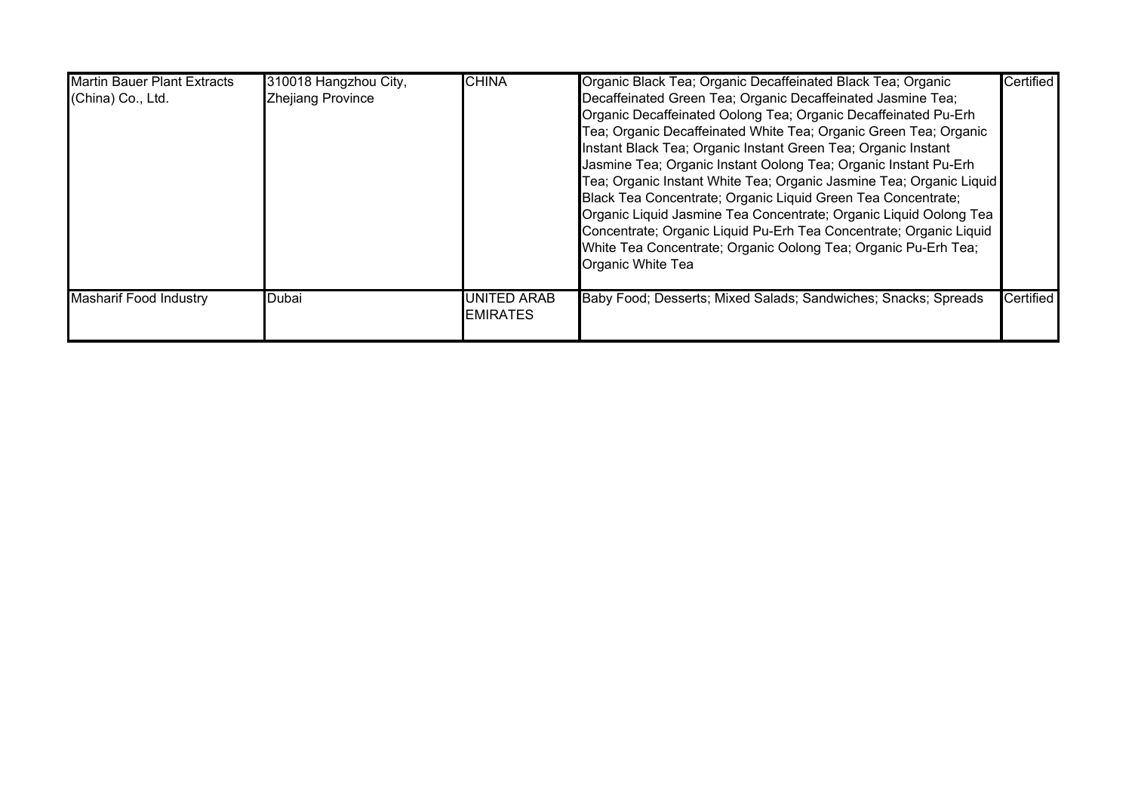| <b>Martin Bauer Plant Extracts</b><br>(China) Co., Ltd. | 310018 Hangzhou City,<br>Zhejiang Province | <b>CHINA</b>                          | Organic Black Tea; Organic Decaffeinated Black Tea; Organic<br>Decaffeinated Green Tea; Organic Decaffeinated Jasmine Tea;<br>Organic Decaffeinated Oolong Tea; Organic Decaffeinated Pu-Erh<br>Tea; Organic Decaffeinated White Tea; Organic Green Tea; Organic<br>Instant Black Tea; Organic Instant Green Tea; Organic Instant<br>Jasmine Tea; Organic Instant Oolong Tea; Organic Instant Pu-Erh<br>Tea; Organic Instant White Tea; Organic Jasmine Tea; Organic Liquid<br>Black Tea Concentrate; Organic Liquid Green Tea Concentrate;<br>Organic Liquid Jasmine Tea Concentrate; Organic Liquid Oolong Tea<br>Concentrate; Organic Liquid Pu-Erh Tea Concentrate; Organic Liquid<br>White Tea Concentrate; Organic Oolong Tea; Organic Pu-Erh Tea;<br>Organic White Tea | Certified |
|---------------------------------------------------------|--------------------------------------------|---------------------------------------|-------------------------------------------------------------------------------------------------------------------------------------------------------------------------------------------------------------------------------------------------------------------------------------------------------------------------------------------------------------------------------------------------------------------------------------------------------------------------------------------------------------------------------------------------------------------------------------------------------------------------------------------------------------------------------------------------------------------------------------------------------------------------------|-----------|
| <b>Masharif Food Industry</b>                           | Dubai                                      | <b>UNITED ARAB</b><br><b>EMIRATES</b> | Baby Food; Desserts; Mixed Salads; Sandwiches; Snacks; Spreads                                                                                                                                                                                                                                                                                                                                                                                                                                                                                                                                                                                                                                                                                                                | Certified |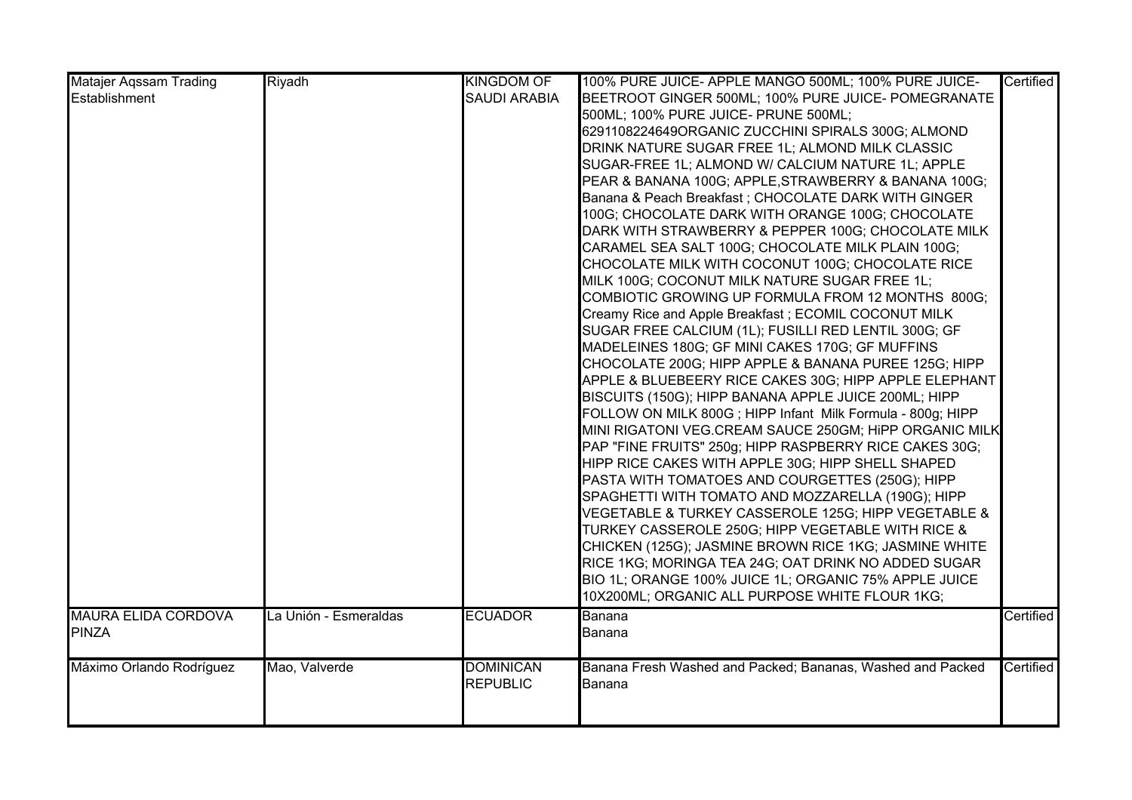| <b>Matajer Agssam Trading</b> | Riyadh                | <b>KINGDOM OF</b>   | 100% PURE JUICE- APPLE MANGO 500ML; 100% PURE JUICE-       | <b>Certified</b> |
|-------------------------------|-----------------------|---------------------|------------------------------------------------------------|------------------|
| Establishment                 |                       | <b>SAUDI ARABIA</b> | BEETROOT GINGER 500ML; 100% PURE JUICE- POMEGRANATE        |                  |
|                               |                       |                     | 500ML; 100% PURE JUICE- PRUNE 500ML;                       |                  |
|                               |                       |                     | 6291108224649ORGANIC ZUCCHINI SPIRALS 300G; ALMOND         |                  |
|                               |                       |                     | DRINK NATURE SUGAR FREE 1L; ALMOND MILK CLASSIC            |                  |
|                               |                       |                     | SUGAR-FREE 1L; ALMOND W/ CALCIUM NATURE 1L; APPLE          |                  |
|                               |                       |                     | PEAR & BANANA 100G; APPLE, STRAWBERRY & BANANA 100G;       |                  |
|                               |                       |                     | Banana & Peach Breakfast; CHOCOLATE DARK WITH GINGER       |                  |
|                               |                       |                     | 100G; CHOCOLATE DARK WITH ORANGE 100G; CHOCOLATE           |                  |
|                               |                       |                     | DARK WITH STRAWBERRY & PEPPER 100G; CHOCOLATE MILK         |                  |
|                               |                       |                     | CARAMEL SEA SALT 100G; CHOCOLATE MILK PLAIN 100G;          |                  |
|                               |                       |                     | CHOCOLATE MILK WITH COCONUT 100G; CHOCOLATE RICE           |                  |
|                               |                       |                     | MILK 100G; COCONUT MILK NATURE SUGAR FREE 1L;              |                  |
|                               |                       |                     | COMBIOTIC GROWING UP FORMULA FROM 12 MONTHS 800G;          |                  |
|                               |                       |                     | Creamy Rice and Apple Breakfast; ECOMIL COCONUT MILK       |                  |
|                               |                       |                     | SUGAR FREE CALCIUM (1L); FUSILLI RED LENTIL 300G; GF       |                  |
|                               |                       |                     | MADELEINES 180G; GF MINI CAKES 170G; GF MUFFINS            |                  |
|                               |                       |                     | CHOCOLATE 200G; HIPP APPLE & BANANA PUREE 125G; HIPP       |                  |
|                               |                       |                     | APPLE & BLUEBEERY RICE CAKES 30G; HIPP APPLE ELEPHANT      |                  |
|                               |                       |                     | BISCUITS (150G); HIPP BANANA APPLE JUICE 200ML; HIPP       |                  |
|                               |                       |                     | FOLLOW ON MILK 800G; HIPP Infant Milk Formula - 800g; HIPP |                  |
|                               |                       |                     | MINI RIGATONI VEG.CREAM SAUCE 250GM; HIPP ORGANIC MILK     |                  |
|                               |                       |                     | PAP "FINE FRUITS" 250g; HIPP RASPBERRY RICE CAKES 30G;     |                  |
|                               |                       |                     | HIPP RICE CAKES WITH APPLE 30G; HIPP SHELL SHAPED          |                  |
|                               |                       |                     | PASTA WITH TOMATOES AND COURGETTES (250G); HIPP            |                  |
|                               |                       |                     | SPAGHETTI WITH TOMATO AND MOZZARELLA (190G); HIPP          |                  |
|                               |                       |                     | VEGETABLE & TURKEY CASSEROLE 125G; HIPP VEGETABLE &        |                  |
|                               |                       |                     | TURKEY CASSEROLE 250G; HIPP VEGETABLE WITH RICE &          |                  |
|                               |                       |                     | CHICKEN (125G); JASMINE BROWN RICE 1KG; JASMINE WHITE      |                  |
|                               |                       |                     | RICE 1KG; MORINGA TEA 24G; OAT DRINK NO ADDED SUGAR        |                  |
|                               |                       |                     | BIO 1L; ORANGE 100% JUICE 1L; ORGANIC 75% APPLE JUICE      |                  |
|                               |                       |                     | 10X200ML; ORGANIC ALL PURPOSE WHITE FLOUR 1KG;             |                  |
| <b>MAURA ELIDA CORDOVA</b>    | La Unión - Esmeraldas | <b>ECUADOR</b>      | Banana                                                     | Certified        |
| PINZA                         |                       |                     | Banana                                                     |                  |
|                               |                       |                     |                                                            |                  |
| Máximo Orlando Rodríguez      | Mao, Valverde         | <b>DOMINICAN</b>    | Banana Fresh Washed and Packed; Bananas, Washed and Packed | Certified        |
|                               |                       | <b>REPUBLIC</b>     | Banana                                                     |                  |
|                               |                       |                     |                                                            |                  |
|                               |                       |                     |                                                            |                  |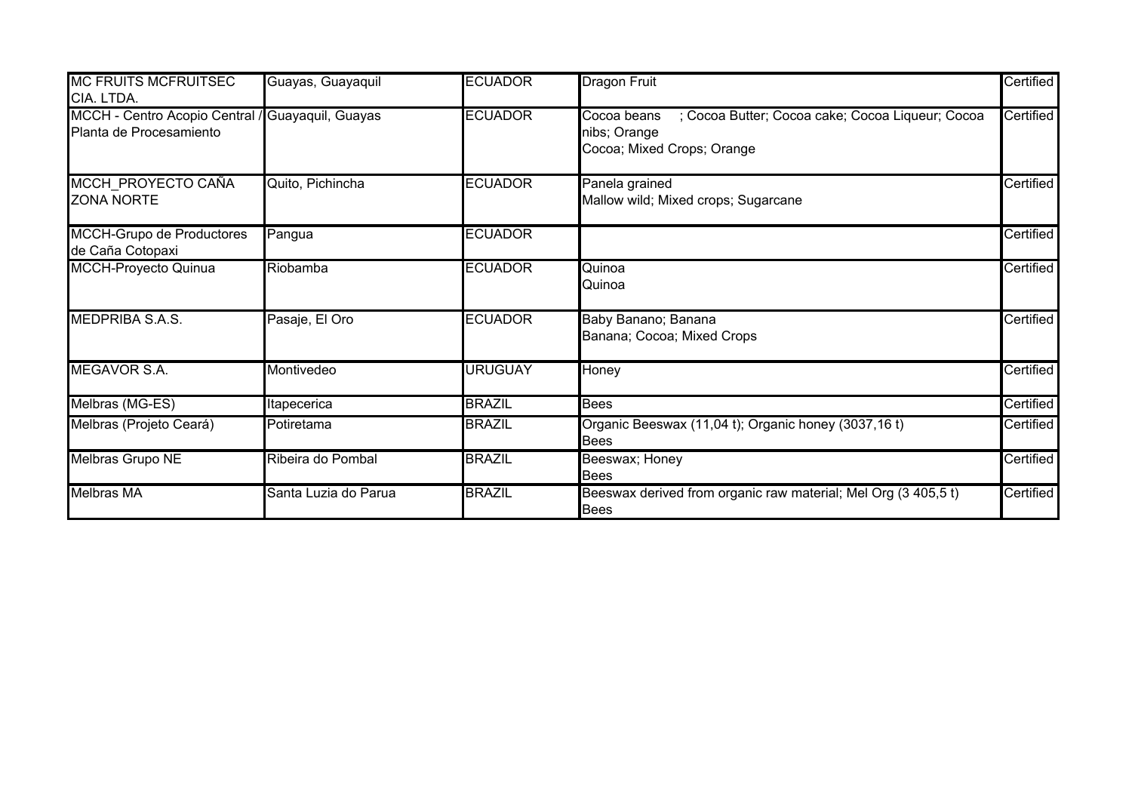| <b>MC FRUITS MCFRUITSEC</b><br>CIA. LTDA.                                   | Guayas, Guayaquil    | <b>ECUADOR</b> | <b>Dragon Fruit</b>                                                                                           | Certified |
|-----------------------------------------------------------------------------|----------------------|----------------|---------------------------------------------------------------------------------------------------------------|-----------|
| MCCH - Centro Acopio Central / Guayaquil, Guayas<br>Planta de Procesamiento |                      | <b>ECUADOR</b> | ; Cocoa Butter; Cocoa cake; Cocoa Liqueur; Cocoa<br>Cocoa beans<br>nibs; Orange<br>Cocoa; Mixed Crops; Orange | Certified |
| MCCH PROYECTO CAÑA<br><b>ZONA NORTE</b>                                     | Quito, Pichincha     | <b>ECUADOR</b> | Panela grained<br>Mallow wild; Mixed crops; Sugarcane                                                         | Certified |
| MCCH-Grupo de Productores<br>de Caña Cotopaxi                               | Pangua               | <b>ECUADOR</b> |                                                                                                               | Certified |
| <b>MCCH-Proyecto Quinua</b>                                                 | Riobamba             | <b>ECUADOR</b> | Quinoa<br>Quinoa                                                                                              | Certified |
| <b>MEDPRIBA S.A.S.</b>                                                      | Pasaje, El Oro       | <b>ECUADOR</b> | Baby Banano; Banana<br>Banana; Cocoa; Mixed Crops                                                             | Certified |
| <b>MEGAVOR S.A.</b>                                                         | Montivedeo           | <b>URUGUAY</b> | Honey                                                                                                         | Certified |
| Melbras (MG-ES)                                                             | Itapecerica          | <b>BRAZIL</b>  | <b>Bees</b>                                                                                                   | Certified |
| Melbras (Projeto Ceará)                                                     | Potiretama           | <b>BRAZIL</b>  | Organic Beeswax (11,04 t); Organic honey (3037,16 t)<br><b>Bees</b>                                           | Certified |
| <b>Melbras Grupo NE</b>                                                     | Ribeira do Pombal    | <b>BRAZIL</b>  | Beeswax; Honey<br><b>Bees</b>                                                                                 | Certified |
| <b>Melbras MA</b>                                                           | Santa Luzia do Parua | <b>BRAZIL</b>  | Beeswax derived from organic raw material; Mel Org (3 405,5 t)<br><b>Bees</b>                                 | Certified |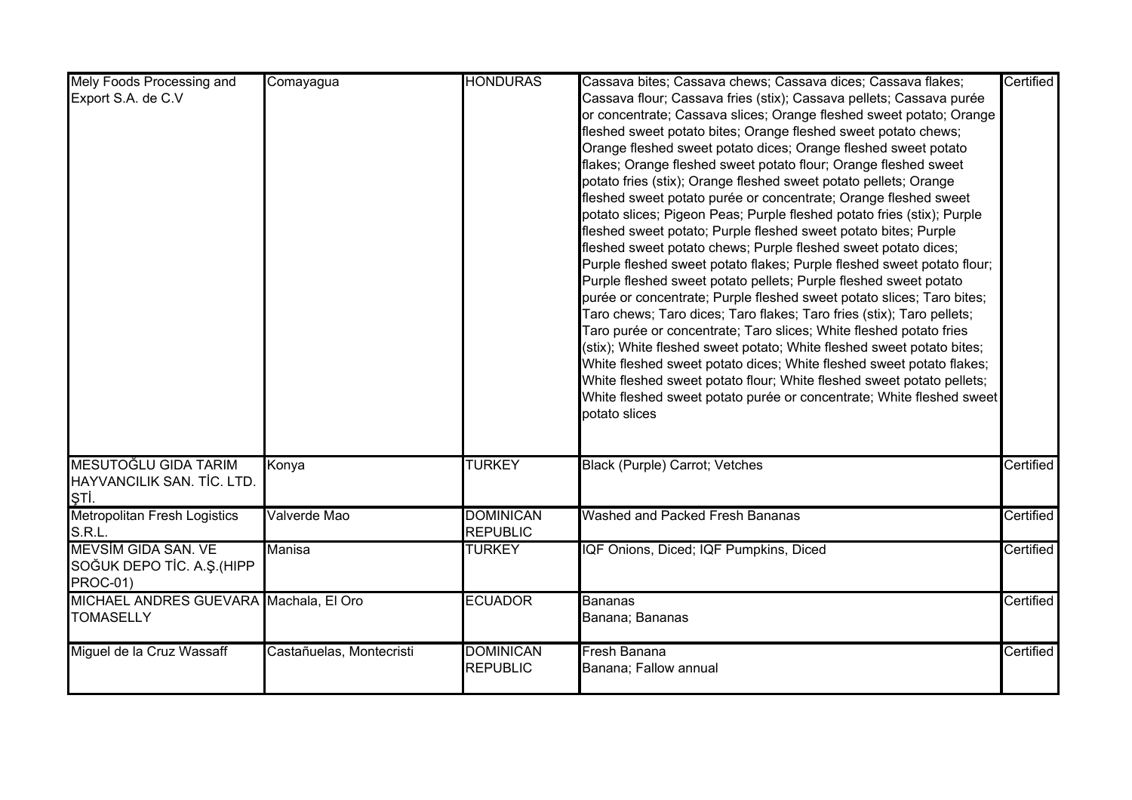| Mely Foods Processing and              | Comayagua                | <b>HONDURAS</b>  | Cassava bites; Cassava chews; Cassava dices; Cassava flakes;                          | Certified |
|----------------------------------------|--------------------------|------------------|---------------------------------------------------------------------------------------|-----------|
| Export S.A. de C.V                     |                          |                  | Cassava flour; Cassava fries (stix); Cassava pellets; Cassava purée                   |           |
|                                        |                          |                  | or concentrate; Cassava slices; Orange fleshed sweet potato; Orange                   |           |
|                                        |                          |                  | fleshed sweet potato bites; Orange fleshed sweet potato chews;                        |           |
|                                        |                          |                  | Orange fleshed sweet potato dices; Orange fleshed sweet potato                        |           |
|                                        |                          |                  | flakes; Orange fleshed sweet potato flour; Orange fleshed sweet                       |           |
|                                        |                          |                  | potato fries (stix); Orange fleshed sweet potato pellets; Orange                      |           |
|                                        |                          |                  | fleshed sweet potato purée or concentrate; Orange fleshed sweet                       |           |
|                                        |                          |                  | potato slices; Pigeon Peas; Purple fleshed potato fries (stix); Purple                |           |
|                                        |                          |                  | fleshed sweet potato; Purple fleshed sweet potato bites; Purple                       |           |
|                                        |                          |                  | fleshed sweet potato chews; Purple fleshed sweet potato dices;                        |           |
|                                        |                          |                  | Purple fleshed sweet potato flakes; Purple fleshed sweet potato flour;                |           |
|                                        |                          |                  | Purple fleshed sweet potato pellets; Purple fleshed sweet potato                      |           |
|                                        |                          |                  | purée or concentrate; Purple fleshed sweet potato slices; Taro bites;                 |           |
|                                        |                          |                  | Taro chews; Taro dices; Taro flakes; Taro fries (stix); Taro pellets;                 |           |
|                                        |                          |                  | Taro purée or concentrate; Taro slices; White fleshed potato fries                    |           |
|                                        |                          |                  | (stix); White fleshed sweet potato; White fleshed sweet potato bites;                 |           |
|                                        |                          |                  |                                                                                       |           |
|                                        |                          |                  | White fleshed sweet potato dices; White fleshed sweet potato flakes;                  |           |
|                                        |                          |                  | White fleshed sweet potato flour; White fleshed sweet potato pellets;                 |           |
|                                        |                          |                  | White fleshed sweet potato purée or concentrate; White fleshed sweet<br>potato slices |           |
|                                        |                          |                  |                                                                                       |           |
|                                        |                          |                  |                                                                                       |           |
| MESUTOĞLU GIDA TARIM                   | Konya                    | <b>TURKEY</b>    | Black (Purple) Carrot; Vetches                                                        | Certified |
| HAYVANCILIK SAN. TİC. LTD.             |                          |                  |                                                                                       |           |
| ļŞТİ.                                  |                          |                  |                                                                                       |           |
| <b>Metropolitan Fresh Logistics</b>    | Valverde Mao             | <b>DOMINICAN</b> | Washed and Packed Fresh Bananas                                                       | Certified |
| S.R.L.                                 |                          | <b>REPUBLIC</b>  |                                                                                       |           |
| <b>MEVSIM GIDA SAN. VE</b>             | Manisa                   | <b>TURKEY</b>    | IQF Onions, Diced; IQF Pumpkins, Diced                                                | Certified |
| SOĞUK DEPO TİC. A.Ş. (HIPP             |                          |                  |                                                                                       |           |
| <b>PROC-01)</b>                        |                          |                  |                                                                                       |           |
| MICHAEL ANDRES GUEVARA Machala, El Oro |                          | <b>ECUADOR</b>   | <b>Bananas</b>                                                                        | Certified |
| <b>TOMASELLY</b>                       |                          |                  | Banana; Bananas                                                                       |           |
|                                        |                          |                  |                                                                                       |           |
| Miguel de la Cruz Wassaff              | Castañuelas, Montecristi | <b>DOMINICAN</b> | Fresh Banana                                                                          | Certified |
|                                        |                          | <b>REPUBLIC</b>  | Banana; Fallow annual                                                                 |           |
|                                        |                          |                  |                                                                                       |           |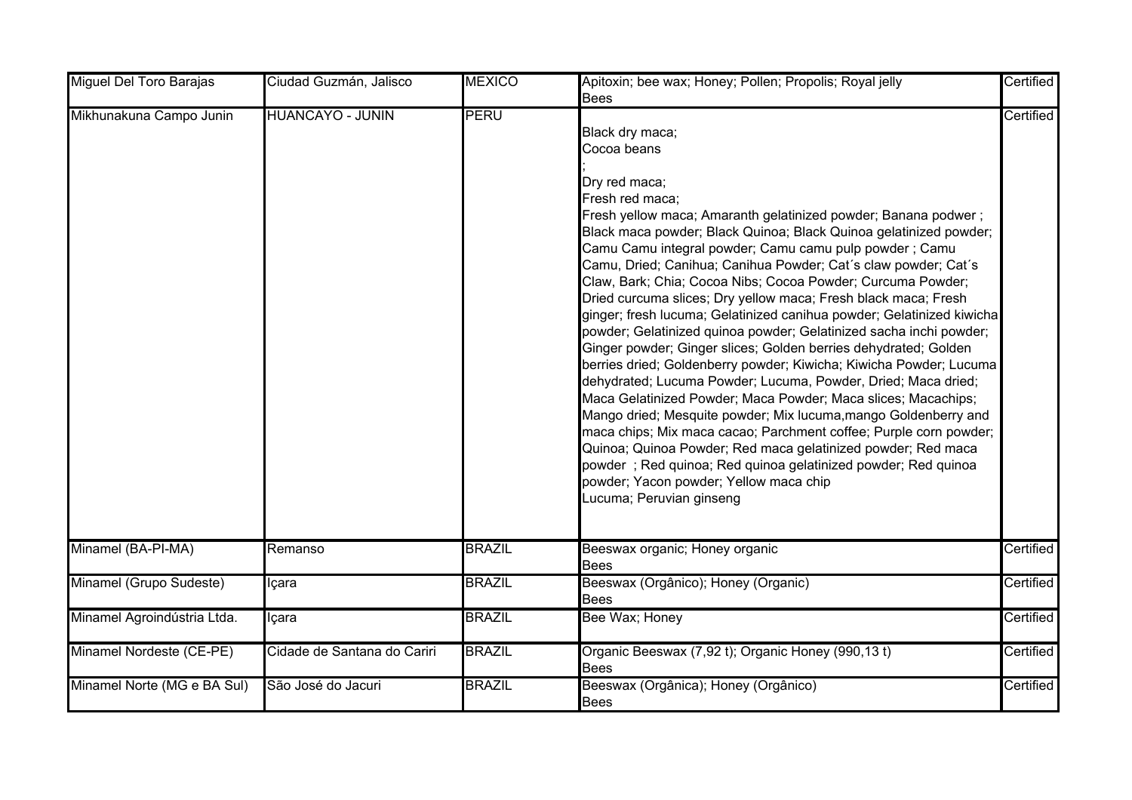| Miguel Del Toro Barajas     | Ciudad Guzmán, Jalisco      | <b>MEXICO</b> | Apitoxin; bee wax; Honey; Pollen; Propolis; Royal jelly                                                                                                                                                                                                                                                                                                                                                                                                                                                                                                                                                                                                                                                                                                                                                                                                                                                                                                                                                                                                                                                                                                                                                                                          | Certified |
|-----------------------------|-----------------------------|---------------|--------------------------------------------------------------------------------------------------------------------------------------------------------------------------------------------------------------------------------------------------------------------------------------------------------------------------------------------------------------------------------------------------------------------------------------------------------------------------------------------------------------------------------------------------------------------------------------------------------------------------------------------------------------------------------------------------------------------------------------------------------------------------------------------------------------------------------------------------------------------------------------------------------------------------------------------------------------------------------------------------------------------------------------------------------------------------------------------------------------------------------------------------------------------------------------------------------------------------------------------------|-----------|
|                             |                             |               | <b>Bees</b>                                                                                                                                                                                                                                                                                                                                                                                                                                                                                                                                                                                                                                                                                                                                                                                                                                                                                                                                                                                                                                                                                                                                                                                                                                      |           |
| Mikhunakuna Campo Junin     | <b>HUANCAYO - JUNIN</b>     | PERU          | Black dry maca;<br>Cocoa beans<br>Dry red maca;<br>Fresh red maca;<br>Fresh yellow maca; Amaranth gelatinized powder; Banana podwer;<br>Black maca powder; Black Quinoa; Black Quinoa gelatinized powder;<br>Camu Camu integral powder; Camu camu pulp powder ; Camu<br>Camu, Dried; Canihua; Canihua Powder; Cat's claw powder; Cat's<br>Claw, Bark; Chia; Cocoa Nibs; Cocoa Powder; Curcuma Powder;<br>Dried curcuma slices; Dry yellow maca; Fresh black maca; Fresh<br>ginger; fresh lucuma; Gelatinized canihua powder; Gelatinized kiwicha<br>powder; Gelatinized quinoa powder; Gelatinized sacha inchi powder;<br>Ginger powder; Ginger slices; Golden berries dehydrated; Golden<br>berries dried; Goldenberry powder; Kiwicha; Kiwicha Powder; Lucuma<br>dehydrated; Lucuma Powder; Lucuma, Powder, Dried; Maca dried;<br>Maca Gelatinized Powder; Maca Powder; Maca slices; Macachips;<br>Mango dried; Mesquite powder; Mix lucuma, mango Goldenberry and<br>maca chips; Mix maca cacao; Parchment coffee; Purple corn powder;<br>Quinoa; Quinoa Powder; Red maca gelatinized powder; Red maca<br>powder; Red quinoa; Red quinoa gelatinized powder; Red quinoa<br>powder; Yacon powder; Yellow maca chip<br>Lucuma; Peruvian ginseng | Certified |
| Minamel (BA-PI-MA)          | Remanso                     | <b>BRAZIL</b> | Beeswax organic; Honey organic<br><b>Bees</b>                                                                                                                                                                                                                                                                                                                                                                                                                                                                                                                                                                                                                                                                                                                                                                                                                                                                                                                                                                                                                                                                                                                                                                                                    | Certified |
| Minamel (Grupo Sudeste)     | Içara                       | <b>BRAZIL</b> | Beeswax (Orgânico); Honey (Organic)<br><b>Bees</b>                                                                                                                                                                                                                                                                                                                                                                                                                                                                                                                                                                                                                                                                                                                                                                                                                                                                                                                                                                                                                                                                                                                                                                                               | Certified |
| Minamel Agroindústria Ltda. | Içara                       | <b>BRAZIL</b> | Bee Wax; Honey                                                                                                                                                                                                                                                                                                                                                                                                                                                                                                                                                                                                                                                                                                                                                                                                                                                                                                                                                                                                                                                                                                                                                                                                                                   | Certified |
| Minamel Nordeste (CE-PE)    | Cidade de Santana do Cariri | <b>BRAZIL</b> | Organic Beeswax (7,92 t); Organic Honey (990,13 t)<br><b>Bees</b>                                                                                                                                                                                                                                                                                                                                                                                                                                                                                                                                                                                                                                                                                                                                                                                                                                                                                                                                                                                                                                                                                                                                                                                | Certified |
| Minamel Norte (MG e BA Sul) | São José do Jacuri          | <b>BRAZIL</b> | Beeswax (Orgânica); Honey (Orgânico)<br><b>Bees</b>                                                                                                                                                                                                                                                                                                                                                                                                                                                                                                                                                                                                                                                                                                                                                                                                                                                                                                                                                                                                                                                                                                                                                                                              | Certified |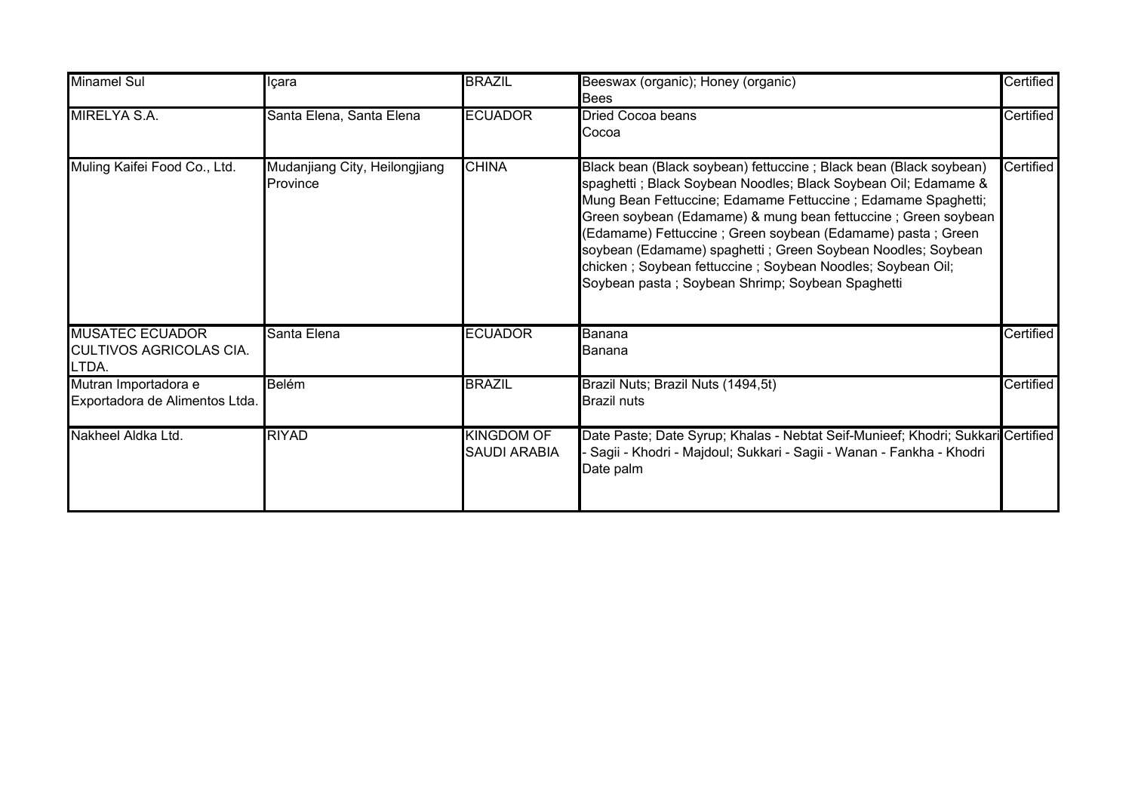| <b>Minamel Sul</b>                                                | Içara                                            | <b>BRAZIL</b>                            | Beeswax (organic); Honey (organic)<br><b>Bees</b>                                                                                                                                                                                                                                                                                                                                                                                                                                                                      | Certified |
|-------------------------------------------------------------------|--------------------------------------------------|------------------------------------------|------------------------------------------------------------------------------------------------------------------------------------------------------------------------------------------------------------------------------------------------------------------------------------------------------------------------------------------------------------------------------------------------------------------------------------------------------------------------------------------------------------------------|-----------|
| MIRELYA S.A.                                                      | Santa Elena, Santa Elena                         | <b>ECUADOR</b>                           | <b>Dried Cocoa beans</b><br>Cocoa                                                                                                                                                                                                                                                                                                                                                                                                                                                                                      | Certified |
| Muling Kaifei Food Co., Ltd.                                      | Mudanjiang City, Heilongjiang<br><b>Province</b> | <b>CHINA</b>                             | Black bean (Black soybean) fettuccine; Black bean (Black soybean)<br>spaghetti ; Black Soybean Noodles; Black Soybean Oil; Edamame &<br>Mung Bean Fettuccine; Edamame Fettuccine; Edamame Spaghetti;<br>Green soybean (Edamame) & mung bean fettuccine; Green soybean<br>(Edamame) Fettuccine ; Green soybean (Edamame) pasta ; Green<br>soybean (Edamame) spaghetti; Green Soybean Noodles; Soybean<br>chicken; Soybean fettuccine; Soybean Noodles; Soybean Oil;<br>Soybean pasta; Soybean Shrimp; Soybean Spaghetti | Certified |
| <b>MUSATEC ECUADOR</b><br><b>CULTIVOS AGRICOLAS CIA.</b><br>LTDA. | Santa Elena                                      | <b>ECUADOR</b>                           | Banana<br>Banana                                                                                                                                                                                                                                                                                                                                                                                                                                                                                                       | Certified |
| Mutran Importadora e<br>Exportadora de Alimentos Ltda.            | Belém                                            | <b>BRAZIL</b>                            | Brazil Nuts; Brazil Nuts (1494,5t)<br><b>Brazil nuts</b>                                                                                                                                                                                                                                                                                                                                                                                                                                                               | Certified |
| Nakheel Aldka Ltd.                                                | <b>RIYAD</b>                                     | <b>KINGDOM OF</b><br><b>SAUDI ARABIA</b> | Date Paste; Date Syrup; Khalas - Nebtat Seif-Munieef; Khodri; Sukkari Certified<br>Sagii - Khodri - Majdoul; Sukkari - Sagii - Wanan - Fankha - Khodri<br>Date palm                                                                                                                                                                                                                                                                                                                                                    |           |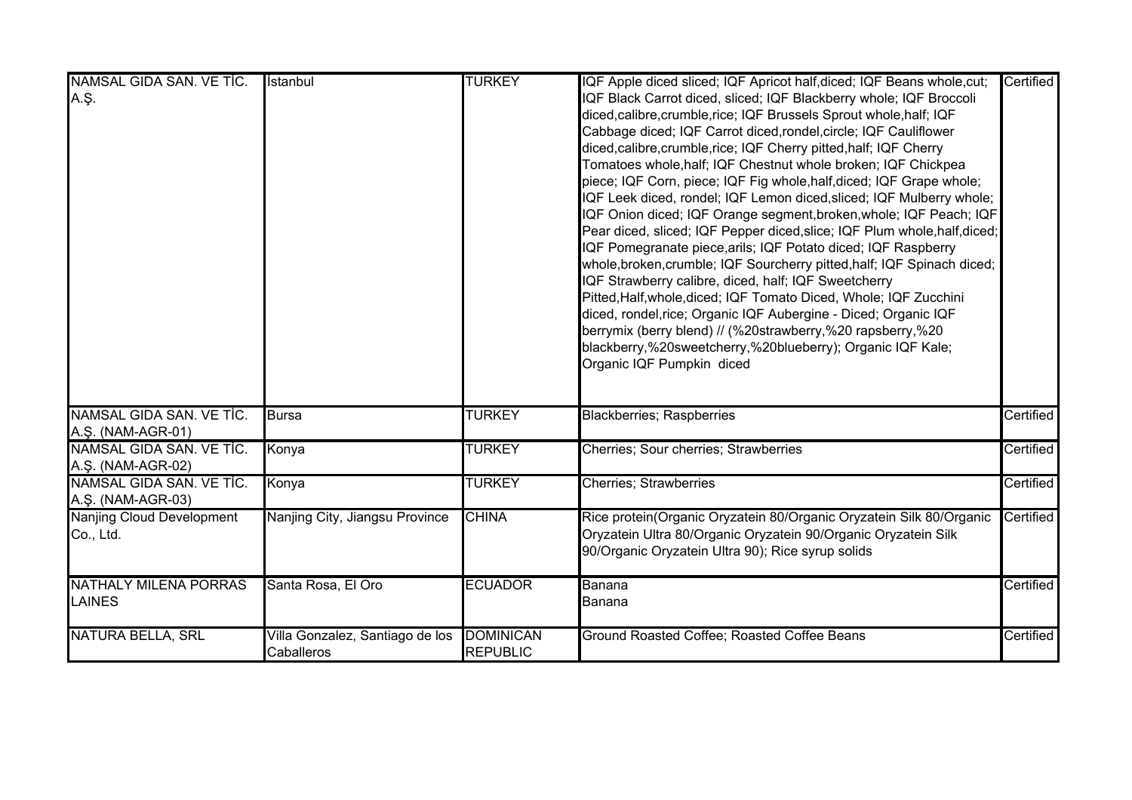| NAMSAL GIDA SAN. VE TİC.                      | İstanbul                                      | <b>TURKEY</b>                       | IQF Apple diced sliced; IQF Apricot half, diced; IQF Beans whole, cut;                                                                                                                                                                                                                                                                                                                                                                                                                                                                                                                                                                                                                                                                                                                                                                                                                                                                                                                                                                                                                                                                                     | <b>Certified</b> |
|-----------------------------------------------|-----------------------------------------------|-------------------------------------|------------------------------------------------------------------------------------------------------------------------------------------------------------------------------------------------------------------------------------------------------------------------------------------------------------------------------------------------------------------------------------------------------------------------------------------------------------------------------------------------------------------------------------------------------------------------------------------------------------------------------------------------------------------------------------------------------------------------------------------------------------------------------------------------------------------------------------------------------------------------------------------------------------------------------------------------------------------------------------------------------------------------------------------------------------------------------------------------------------------------------------------------------------|------------------|
| A.Ş.                                          |                                               |                                     | IQF Black Carrot diced, sliced; IQF Blackberry whole; IQF Broccoli<br>diced, calibre, crumble, rice; IQF Brussels Sprout whole, half; IQF<br>Cabbage diced; IQF Carrot diced, rondel, circle; IQF Cauliflower<br>diced, calibre, crumble, rice; IQF Cherry pitted, half; IQF Cherry<br>Tomatoes whole,half; IQF Chestnut whole broken; IQF Chickpea<br>piece; IQF Corn, piece; IQF Fig whole, half, diced; IQF Grape whole;<br>IQF Leek diced, rondel; IQF Lemon diced, sliced; IQF Mulberry whole;<br>IQF Onion diced; IQF Orange segment, broken, whole; IQF Peach; IQF<br>Pear diced, sliced; IQF Pepper diced, slice; IQF Plum whole, half, diced;<br>IQF Pomegranate piece, arils; IQF Potato diced; IQF Raspberry<br>whole, broken, crumble; IQF Sourcherry pitted, half; IQF Spinach diced;<br>IQF Strawberry calibre, diced, half; IQF Sweetcherry<br>Pitted, Half, whole, diced; IQF Tomato Diced, Whole; IQF Zucchini<br>diced, rondel,rice; Organic IQF Aubergine - Diced; Organic IQF<br>berrymix (berry blend) // (%20strawberry,%20 rapsberry,%20<br>blackberry,%20sweetcherry,%20blueberry); Organic IQF Kale;<br>Organic IQF Pumpkin diced |                  |
| NAMSAL GIDA SAN. VE TİC.<br>A.Ş. (NAM-AGR-01) | <b>Bursa</b>                                  | <b>TURKEY</b>                       | <b>Blackberries; Raspberries</b>                                                                                                                                                                                                                                                                                                                                                                                                                                                                                                                                                                                                                                                                                                                                                                                                                                                                                                                                                                                                                                                                                                                           | Certified        |
| NAMSAL GIDA SAN. VE TİC.<br>A.Ş. (NAM-AGR-02) | Konya                                         | <b>TURKEY</b>                       | Cherries; Sour cherries; Strawberries                                                                                                                                                                                                                                                                                                                                                                                                                                                                                                                                                                                                                                                                                                                                                                                                                                                                                                                                                                                                                                                                                                                      | Certified        |
| NAMSAL GIDA SAN. VE TİC.<br>A.Ş. (NAM-AGR-03) | Konya                                         | <b>TURKEY</b>                       | <b>Cherries; Strawberries</b>                                                                                                                                                                                                                                                                                                                                                                                                                                                                                                                                                                                                                                                                                                                                                                                                                                                                                                                                                                                                                                                                                                                              | Certified        |
| Nanjing Cloud Development<br>Co., Ltd.        | Nanjing City, Jiangsu Province                | <b>CHINA</b>                        | Rice protein(Organic Oryzatein 80/Organic Oryzatein Silk 80/Organic<br>Oryzatein Ultra 80/Organic Oryzatein 90/Organic Oryzatein Silk<br>90/Organic Oryzatein Ultra 90); Rice syrup solids                                                                                                                                                                                                                                                                                                                                                                                                                                                                                                                                                                                                                                                                                                                                                                                                                                                                                                                                                                 | Certified        |
| <b>NATHALY MILENA PORRAS</b><br><b>LAINES</b> | Santa Rosa, El Oro                            | <b>ECUADOR</b>                      | Banana<br>Banana                                                                                                                                                                                                                                                                                                                                                                                                                                                                                                                                                                                                                                                                                                                                                                                                                                                                                                                                                                                                                                                                                                                                           | Certified        |
| <b>NATURA BELLA, SRL</b>                      | Villa Gonzalez, Santiago de los<br>Caballeros | <b>DOMINICAN</b><br><b>REPUBLIC</b> | Ground Roasted Coffee; Roasted Coffee Beans                                                                                                                                                                                                                                                                                                                                                                                                                                                                                                                                                                                                                                                                                                                                                                                                                                                                                                                                                                                                                                                                                                                | Certified        |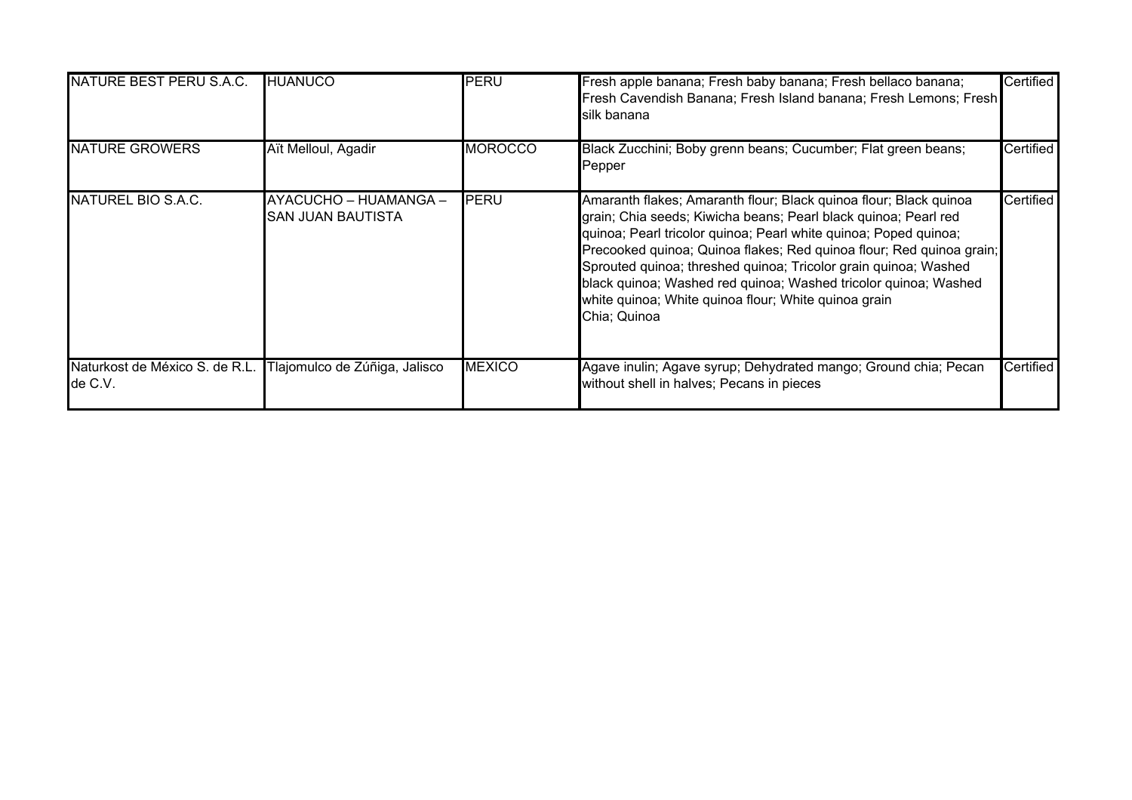| NATURE BEST PERU S.A.C.                   | <b>HUANUCO</b>                                    | PERU           | Fresh apple banana; Fresh baby banana; Fresh bellaco banana;<br>Fresh Cavendish Banana; Fresh Island banana; Fresh Lemons; Fresh<br>silk banana                                                                                                                                                                                                                                                                                                                                                | Certified |
|-------------------------------------------|---------------------------------------------------|----------------|------------------------------------------------------------------------------------------------------------------------------------------------------------------------------------------------------------------------------------------------------------------------------------------------------------------------------------------------------------------------------------------------------------------------------------------------------------------------------------------------|-----------|
| <b>NATURE GROWERS</b>                     | Aït Melloul, Agadir                               | <b>MOROCCO</b> | Black Zucchini; Boby grenn beans; Cucumber; Flat green beans;<br>Pepper                                                                                                                                                                                                                                                                                                                                                                                                                        | Certified |
| NATUREL BIO S.A.C.                        | AYACUCHO - HUAMANGA -<br><b>SAN JUAN BAUTISTA</b> | PERU           | Amaranth flakes; Amaranth flour; Black quinoa flour; Black quinoa<br>grain; Chia seeds; Kiwicha beans; Pearl black quinoa; Pearl red<br>quinoa; Pearl tricolor quinoa; Pearl white quinoa; Poped quinoa;<br>Precooked quinoa; Quinoa flakes; Red quinoa flour; Red quinoa grain;<br>Sprouted quinoa; threshed quinoa; Tricolor grain quinoa; Washed<br>black quinoa; Washed red quinoa; Washed tricolor quinoa; Washed<br>white quinoa; White quinoa flour; White quinoa grain<br>Chia; Quinoa | Certified |
| Naturkost de México S. de R.L.<br>de C.V. | Tlajomulco de Zúñiga, Jalisco                     | <b>MEXICO</b>  | Agave inulin; Agave syrup; Dehydrated mango; Ground chia; Pecan<br>without shell in halves; Pecans in pieces                                                                                                                                                                                                                                                                                                                                                                                   | Certified |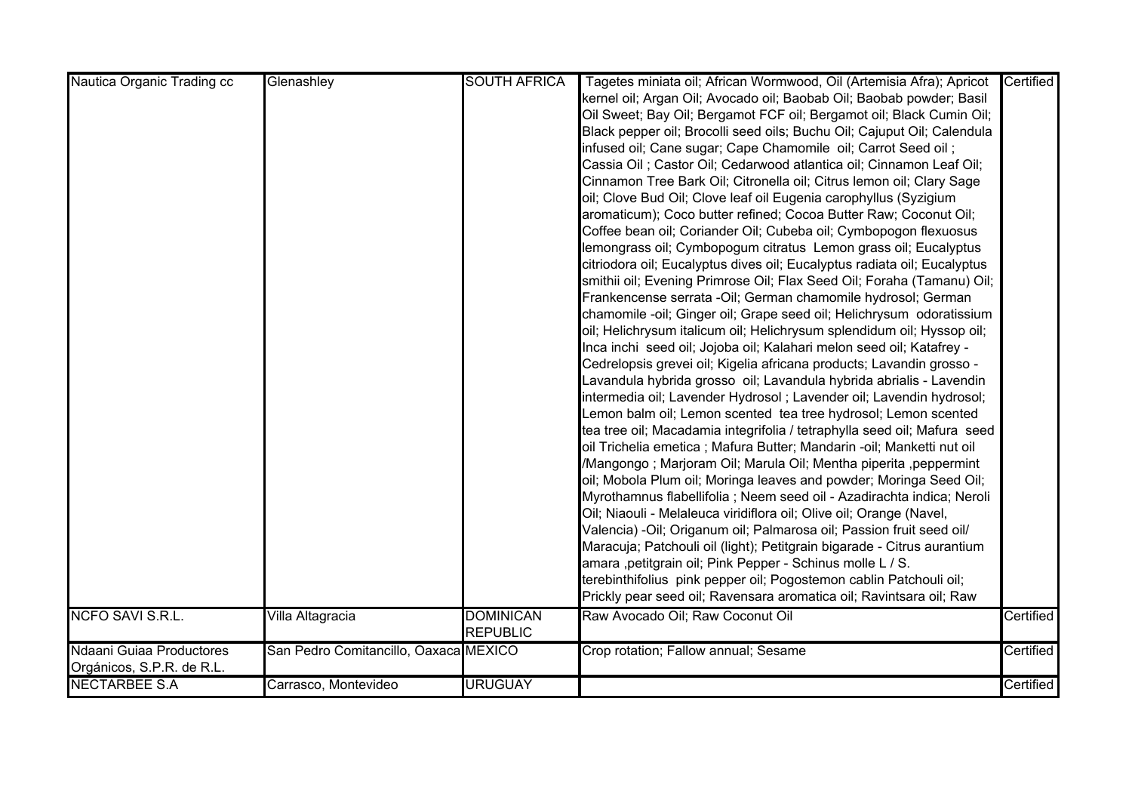| Nautica Organic Trading cc | Glenashley                            | <b>SOUTH AFRICA</b> | Tagetes miniata oil; African Wormwood, Oil (Artemisia Afra); Apricot     | Certified |
|----------------------------|---------------------------------------|---------------------|--------------------------------------------------------------------------|-----------|
|                            |                                       |                     | kernel oil; Argan Oil; Avocado oil; Baobab Oil; Baobab powder; Basil     |           |
|                            |                                       |                     | Oil Sweet; Bay Oil; Bergamot FCF oil; Bergamot oil; Black Cumin Oil;     |           |
|                            |                                       |                     | Black pepper oil; Brocolli seed oils; Buchu Oil; Cajuput Oil; Calendula  |           |
|                            |                                       |                     | infused oil; Cane sugar; Cape Chamomile oil; Carrot Seed oil;            |           |
|                            |                                       |                     | Cassia Oil ; Castor Oil; Cedarwood atlantica oil; Cinnamon Leaf Oil;     |           |
|                            |                                       |                     | Cinnamon Tree Bark Oil; Citronella oil; Citrus lemon oil; Clary Sage     |           |
|                            |                                       |                     | oil; Clove Bud Oil; Clove leaf oil Eugenia carophyllus (Syzigium         |           |
|                            |                                       |                     | aromaticum); Coco butter refined; Cocoa Butter Raw; Coconut Oil;         |           |
|                            |                                       |                     | Coffee bean oil; Coriander Oil; Cubeba oil; Cymbopogon flexuosus         |           |
|                            |                                       |                     | lemongrass oil; Cymbopogum citratus Lemon grass oil; Eucalyptus          |           |
|                            |                                       |                     | citriodora oil; Eucalyptus dives oil; Eucalyptus radiata oil; Eucalyptus |           |
|                            |                                       |                     | smithii oil; Evening Primrose Oil; Flax Seed Oil; Foraha (Tamanu) Oil;   |           |
|                            |                                       |                     | Frankencense serrata - Oil; German chamomile hydrosol; German            |           |
|                            |                                       |                     | chamomile -oil; Ginger oil; Grape seed oil; Helichrysum odoratissium     |           |
|                            |                                       |                     | oil; Helichrysum italicum oil; Helichrysum splendidum oil; Hyssop oil;   |           |
|                            |                                       |                     | Inca inchi seed oil; Jojoba oil; Kalahari melon seed oil; Katafrey -     |           |
|                            |                                       |                     | Cedrelopsis grevei oil; Kigelia africana products; Lavandin grosso -     |           |
|                            |                                       |                     | Lavandula hybrida grosso oil; Lavandula hybrida abrialis - Lavendin      |           |
|                            |                                       |                     | intermedia oil; Lavender Hydrosol ; Lavender oil; Lavendin hydrosol;     |           |
|                            |                                       |                     | Lemon balm oil; Lemon scented tea tree hydrosol; Lemon scented           |           |
|                            |                                       |                     | tea tree oil; Macadamia integrifolia / tetraphylla seed oil; Mafura seed |           |
|                            |                                       |                     | oil Trichelia emetica ; Mafura Butter; Mandarin -oil; Manketti nut oil   |           |
|                            |                                       |                     | /Mangongo ; Marjoram Oil; Marula Oil; Mentha piperita ,peppermint        |           |
|                            |                                       |                     | oil; Mobola Plum oil; Moringa leaves and powder; Moringa Seed Oil;       |           |
|                            |                                       |                     | Myrothamnus flabellifolia ; Neem seed oil - Azadirachta indica; Neroli   |           |
|                            |                                       |                     | Oil; Niaouli - Melaleuca viridiflora oil; Olive oil; Orange (Navel,      |           |
|                            |                                       |                     | Valencia) - Oil; Origanum oil; Palmarosa oil; Passion fruit seed oil/    |           |
|                            |                                       |                     | Maracuja; Patchouli oil (light); Petitgrain bigarade - Citrus aurantium  |           |
|                            |                                       |                     | amara ,petitgrain oil; Pink Pepper - Schinus molle L / S.                |           |
|                            |                                       |                     | terebinthifolius pink pepper oil; Pogostemon cablin Patchouli oil;       |           |
|                            |                                       |                     | Prickly pear seed oil; Ravensara aromatica oil; Ravintsara oil; Raw      |           |
| <b>NCFO SAVI S.R.L.</b>    | Villa Altagracia                      | <b>DOMINICAN</b>    | Raw Avocado Oil; Raw Coconut Oil                                         | Certified |
|                            |                                       | <b>REPUBLIC</b>     |                                                                          |           |
| Ndaani Guiaa Productores   | San Pedro Comitancillo, Oaxaca MEXICO |                     | Crop rotation; Fallow annual; Sesame                                     | Certified |
| Orgánicos, S.P.R. de R.L.  |                                       |                     |                                                                          |           |
| <b>NECTARBEE S.A</b>       | Carrasco, Montevideo                  | <b>URUGUAY</b>      |                                                                          | Certified |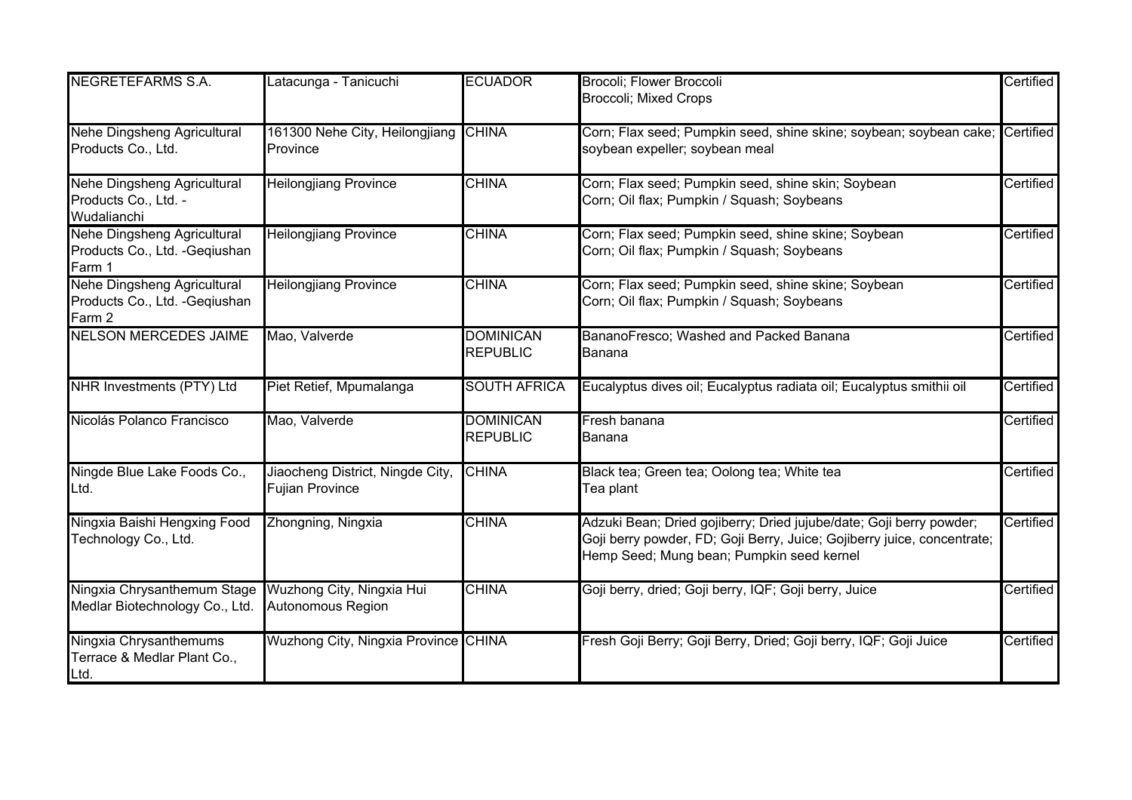| <b>NEGRETEFARMS S.A.</b>                                                | Latacunga - Tanicuchi                                      | <b>ECUADOR</b>                      | Brocoli; Flower Broccoli                                                                                                                                                                    | Certified |
|-------------------------------------------------------------------------|------------------------------------------------------------|-------------------------------------|---------------------------------------------------------------------------------------------------------------------------------------------------------------------------------------------|-----------|
|                                                                         |                                                            |                                     | <b>Broccoli</b> ; Mixed Crops                                                                                                                                                               |           |
| Nehe Dingsheng Agricultural<br>Products Co., Ltd.                       | 161300 Nehe City, Heilongjiang CHINA<br>Province           |                                     | Corn; Flax seed; Pumpkin seed, shine skine; soybean; soybean cake;<br>soybean expeller; soybean meal                                                                                        | Certified |
| Nehe Dingsheng Agricultural<br>Products Co., Ltd. -<br>Wudalianchi      | <b>Heilongjiang Province</b>                               | <b>CHINA</b>                        | Corn; Flax seed; Pumpkin seed, shine skin; Soybean<br>Corn; Oil flax; Pumpkin / Squash; Soybeans                                                                                            | Certified |
| Nehe Dingsheng Agricultural<br>Products Co., Ltd. - Geqiushan<br>Farm 1 | <b>Heilongjiang Province</b>                               | <b>CHINA</b>                        | Corn; Flax seed; Pumpkin seed, shine skine; Soybean<br>Corn; Oil flax; Pumpkin / Squash; Soybeans                                                                                           | Certified |
| Nehe Dingsheng Agricultural<br>Products Co., Ltd. - Geqiushan<br>Farm 2 | <b>Heilongjiang Province</b>                               | <b>CHINA</b>                        | Corn; Flax seed; Pumpkin seed, shine skine; Soybean<br>Corn; Oil flax; Pumpkin / Squash; Soybeans                                                                                           | Certified |
| <b>NELSON MERCEDES JAIME</b>                                            | Mao, Valverde                                              | <b>DOMINICAN</b><br><b>REPUBLIC</b> | BananoFresco; Washed and Packed Banana<br>Banana                                                                                                                                            | Certified |
| NHR Investments (PTY) Ltd                                               | Piet Retief, Mpumalanga                                    | <b>SOUTH AFRICA</b>                 | Eucalyptus dives oil; Eucalyptus radiata oil; Eucalyptus smithii oil                                                                                                                        | Certified |
| Nicolás Polanco Francisco                                               | Mao, Valverde                                              | <b>DOMINICAN</b><br><b>REPUBLIC</b> | Fresh banana<br>Banana                                                                                                                                                                      | Certified |
| Ningde Blue Lake Foods Co.,<br>Ltd.                                     | Jiaocheng District, Ningde City,<br><b>Fujian Province</b> | <b>CHINA</b>                        | Black tea; Green tea; Oolong tea; White tea<br>Tea plant                                                                                                                                    | Certified |
| Ningxia Baishi Hengxing Food<br>Technology Co., Ltd.                    | Zhongning, Ningxia                                         | <b>CHINA</b>                        | Adzuki Bean; Dried gojiberry; Dried jujube/date; Goji berry powder;<br>Goji berry powder, FD; Goji Berry, Juice; Gojiberry juice, concentrate;<br>Hemp Seed; Mung bean; Pumpkin seed kernel | Certified |
| Ningxia Chrysanthemum Stage<br>Medlar Biotechnology Co., Ltd.           | Wuzhong City, Ningxia Hui<br>Autonomous Region             | <b>CHINA</b>                        | Goji berry, dried; Goji berry, IQF; Goji berry, Juice                                                                                                                                       | Certified |
| Ningxia Chrysanthemums<br>Terrace & Medlar Plant Co.,<br>Ltd.           | Wuzhong City, Ningxia Province CHINA                       |                                     | Fresh Goji Berry; Goji Berry, Dried; Goji berry, IQF; Goji Juice                                                                                                                            | Certified |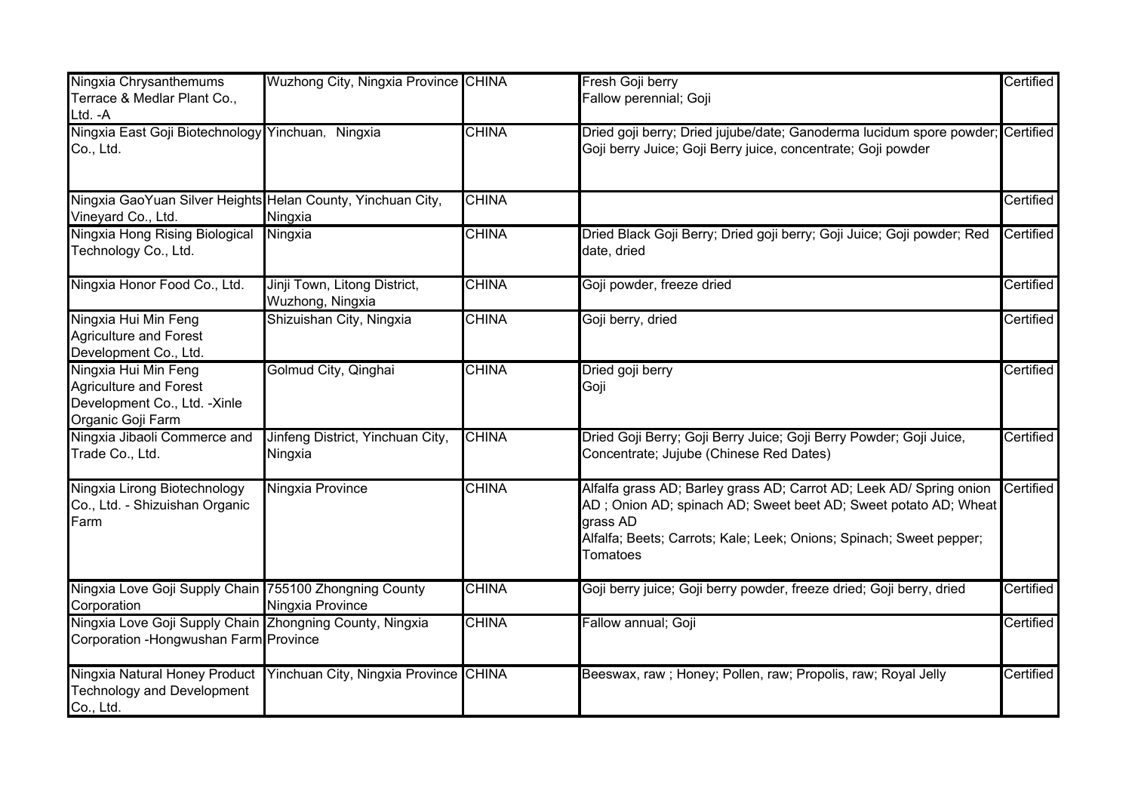| Ningxia Chrysanthemums<br>Terrace & Medlar Plant Co.,<br>Ltd. - A                                          | Wuzhong City, Ningxia Province CHINA                                |              | Fresh Goji berry<br>Fallow perennial; Goji                                                                                                                                                                                            | Certified |
|------------------------------------------------------------------------------------------------------------|---------------------------------------------------------------------|--------------|---------------------------------------------------------------------------------------------------------------------------------------------------------------------------------------------------------------------------------------|-----------|
| Ningxia East Goji Biotechnology Yinchuan, Ningxia<br>Co., Ltd.                                             |                                                                     | <b>CHINA</b> | Dried goji berry; Dried jujube/date; Ganoderma lucidum spore powder; Certified<br>Goji berry Juice; Goji Berry juice, concentrate; Goji powder                                                                                        |           |
| Ningxia GaoYuan Silver Heights Helan County, Yinchuan City,<br>Vineyard Co., Ltd.                          | Ningxia                                                             | <b>CHINA</b> |                                                                                                                                                                                                                                       | Certified |
| Ningxia Hong Rising Biological<br>Technology Co., Ltd.                                                     | Ningxia                                                             | <b>CHINA</b> | Dried Black Goji Berry; Dried goji berry; Goji Juice; Goji powder; Red<br>date, dried                                                                                                                                                 | Certified |
| Ningxia Honor Food Co., Ltd.                                                                               | Jinji Town, Litong District,<br>Wuzhong, Ningxia                    | <b>CHINA</b> | Goji powder, freeze dried                                                                                                                                                                                                             | Certified |
| Ningxia Hui Min Feng<br><b>Agriculture and Forest</b><br>Development Co., Ltd.                             | Shizuishan City, Ningxia                                            | <b>CHINA</b> | Goji berry, dried                                                                                                                                                                                                                     | Certified |
| Ningxia Hui Min Feng<br><b>Agriculture and Forest</b><br>Development Co., Ltd. -Xinle<br>Organic Goji Farm | Golmud City, Qinghai                                                | <b>CHINA</b> | Dried goji berry<br>Goji                                                                                                                                                                                                              | Certified |
| Ningxia Jibaoli Commerce and<br>Trade Co., Ltd.                                                            | Jinfeng District, Yinchuan City,<br>Ningxia                         | <b>CHINA</b> | Dried Goji Berry; Goji Berry Juice; Goji Berry Powder; Goji Juice,<br>Concentrate; Jujube (Chinese Red Dates)                                                                                                                         | Certified |
| Ningxia Lirong Biotechnology<br>Co., Ltd. - Shizuishan Organic<br>Farm                                     | Ningxia Province                                                    | <b>CHINA</b> | Alfalfa grass AD; Barley grass AD; Carrot AD; Leek AD/ Spring onion<br>AD; Onion AD; spinach AD; Sweet beet AD; Sweet potato AD; Wheat<br>grass AD<br>Alfalfa; Beets; Carrots; Kale; Leek; Onions; Spinach; Sweet pepper;<br>Tomatoes | Certified |
| Ningxia Love Goji Supply Chain 755100 Zhongning County<br>Corporation                                      | Ningxia Province                                                    | <b>CHINA</b> | Goji berry juice; Goji berry powder, freeze dried; Goji berry, dried                                                                                                                                                                  | Certified |
| Ningxia Love Goji Supply Chain Zhongning County, Ningxia<br>Corporation - Hongwushan Farm Province         |                                                                     | <b>CHINA</b> | Fallow annual; Goji                                                                                                                                                                                                                   | Certified |
| <b>Technology and Development</b><br>Co., Ltd.                                                             | Ningxia Natural Honey Product Yinchuan City, Ningxia Province CHINA |              | Beeswax, raw; Honey; Pollen, raw; Propolis, raw; Royal Jelly                                                                                                                                                                          | Certified |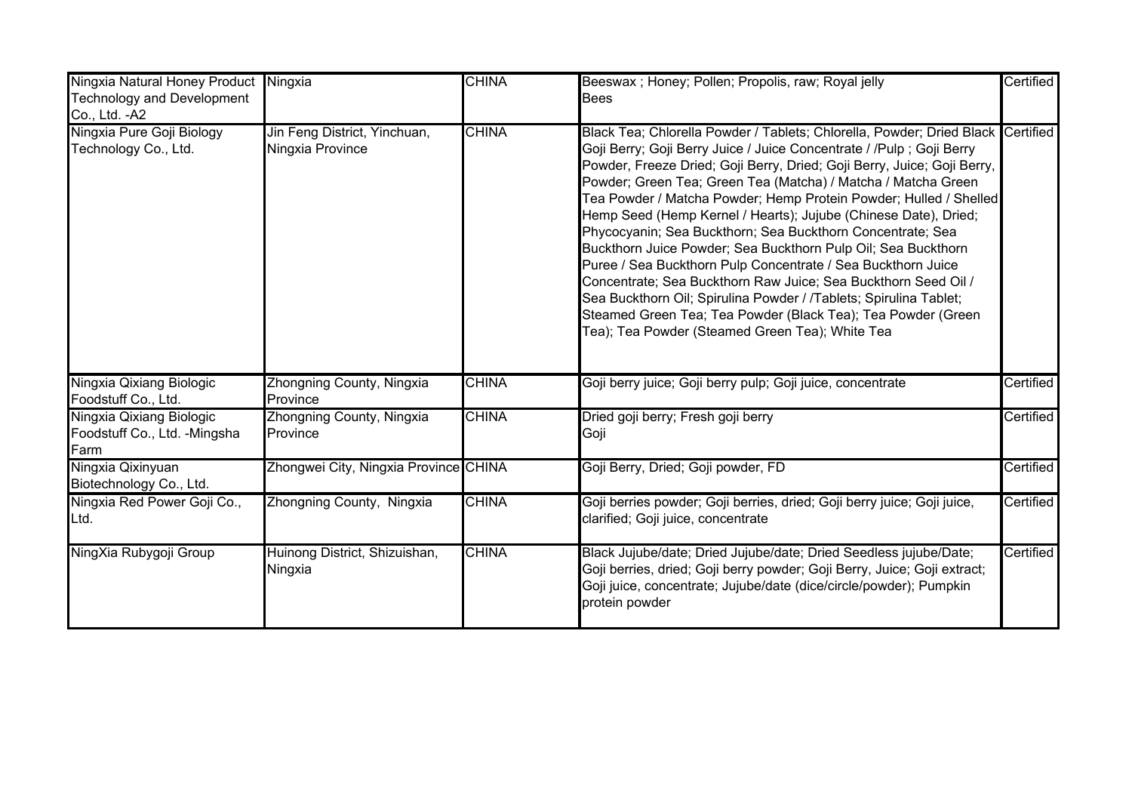| Ningxia Natural Honey Product<br><b>Technology and Development</b><br>Co., Ltd. - A2 | Ningxia                                          | <b>CHINA</b> | Beeswax; Honey; Pollen; Propolis, raw; Royal jelly<br><b>Bees</b>                                                                                                                                                                                                                                                                                                                                                                                                                                                                                                                                                                                                                                                                                                                                                                                                                                     | Certified |
|--------------------------------------------------------------------------------------|--------------------------------------------------|--------------|-------------------------------------------------------------------------------------------------------------------------------------------------------------------------------------------------------------------------------------------------------------------------------------------------------------------------------------------------------------------------------------------------------------------------------------------------------------------------------------------------------------------------------------------------------------------------------------------------------------------------------------------------------------------------------------------------------------------------------------------------------------------------------------------------------------------------------------------------------------------------------------------------------|-----------|
| Ningxia Pure Goji Biology<br>Technology Co., Ltd.                                    | Jin Feng District, Yinchuan,<br>Ningxia Province | <b>CHINA</b> | Black Tea; Chlorella Powder / Tablets; Chlorella, Powder; Dried Black Certified<br>Goji Berry; Goji Berry Juice / Juice Concentrate / /Pulp ; Goji Berry<br>Powder, Freeze Dried; Goji Berry, Dried; Goji Berry, Juice; Goji Berry,<br>Powder; Green Tea; Green Tea (Matcha) / Matcha / Matcha Green<br>Tea Powder / Matcha Powder; Hemp Protein Powder; Hulled / Shelled<br>Hemp Seed (Hemp Kernel / Hearts); Jujube (Chinese Date), Dried;<br>Phycocyanin; Sea Buckthorn; Sea Buckthorn Concentrate; Sea<br>Buckthorn Juice Powder; Sea Buckthorn Pulp Oil; Sea Buckthorn<br>Puree / Sea Buckthorn Pulp Concentrate / Sea Buckthorn Juice<br>Concentrate; Sea Buckthorn Raw Juice; Sea Buckthorn Seed Oil /<br>Sea Buckthorn Oil; Spirulina Powder / /Tablets; Spirulina Tablet;<br>Steamed Green Tea; Tea Powder (Black Tea); Tea Powder (Green<br>Tea); Tea Powder (Steamed Green Tea); White Tea |           |
| Ningxia Qixiang Biologic<br>Foodstuff Co., Ltd.                                      | Zhongning County, Ningxia<br>Province            | <b>CHINA</b> | Goji berry juice; Goji berry pulp; Goji juice, concentrate                                                                                                                                                                                                                                                                                                                                                                                                                                                                                                                                                                                                                                                                                                                                                                                                                                            | Certified |
| Ningxia Qixiang Biologic<br>Foodstuff Co., Ltd. - Mingsha<br>Farm                    | Zhongning County, Ningxia<br>Province            | <b>CHINA</b> | Dried goji berry; Fresh goji berry<br>Goji                                                                                                                                                                                                                                                                                                                                                                                                                                                                                                                                                                                                                                                                                                                                                                                                                                                            | Certified |
| Ningxia Qixinyuan<br>Biotechnology Co., Ltd.                                         | Zhongwei City, Ningxia Province CHINA            |              | Goji Berry, Dried; Goji powder, FD                                                                                                                                                                                                                                                                                                                                                                                                                                                                                                                                                                                                                                                                                                                                                                                                                                                                    | Certified |
| Ningxia Red Power Goji Co.,<br>Ltd.                                                  | Zhongning County, Ningxia                        | <b>CHINA</b> | Goji berries powder; Goji berries, dried; Goji berry juice; Goji juice,<br>clarified; Goji juice, concentrate                                                                                                                                                                                                                                                                                                                                                                                                                                                                                                                                                                                                                                                                                                                                                                                         | Certified |
| NingXia Rubygoji Group                                                               | Huinong District, Shizuishan,<br>Ningxia         | <b>CHINA</b> | Black Jujube/date; Dried Jujube/date; Dried Seedless jujube/Date;<br>Goji berries, dried; Goji berry powder; Goji Berry, Juice; Goji extract;<br>Goji juice, concentrate; Jujube/date (dice/circle/powder); Pumpkin<br>protein powder                                                                                                                                                                                                                                                                                                                                                                                                                                                                                                                                                                                                                                                                 | Certified |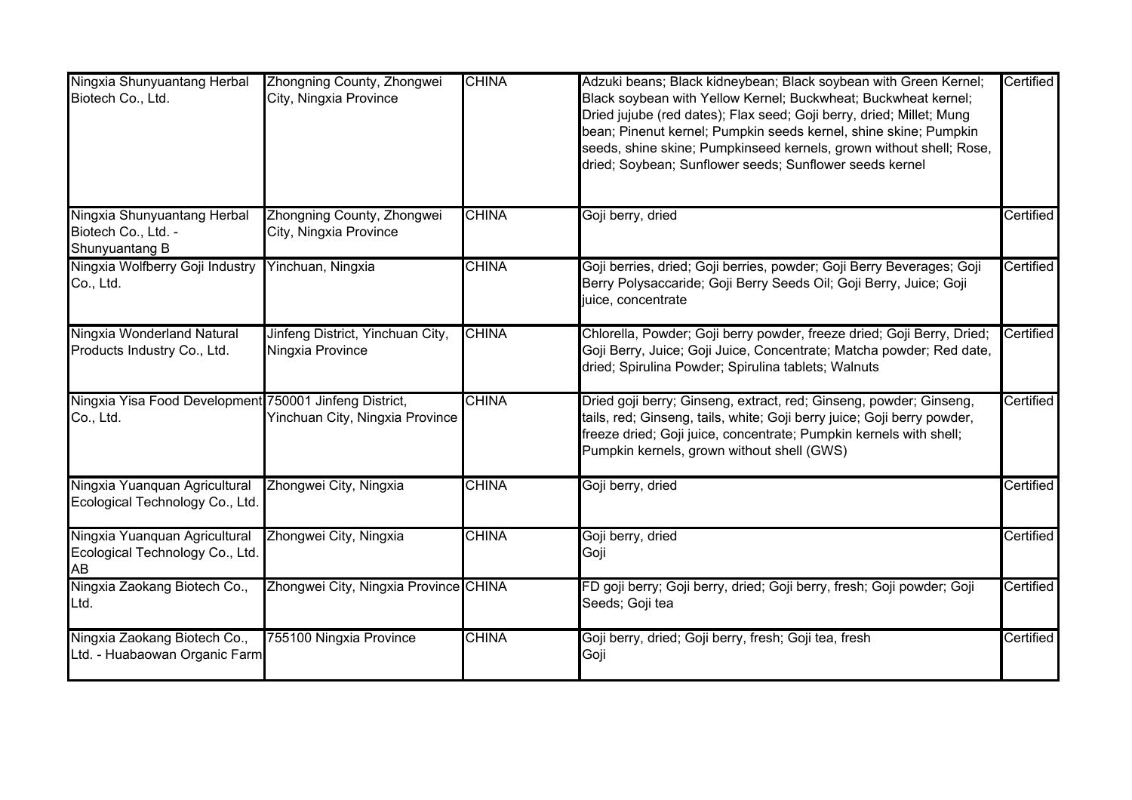| Ningxia Shunyuantang Herbal<br>Biotech Co., Ltd.                       | Zhongning County, Zhongwei<br>City, Ningxia Province | <b>CHINA</b> | Adzuki beans; Black kidneybean; Black soybean with Green Kernel;<br>Black soybean with Yellow Kernel; Buckwheat; Buckwheat kernel;<br>Dried jujube (red dates); Flax seed; Goji berry, dried; Millet; Mung<br>bean; Pinenut kernel; Pumpkin seeds kernel, shine skine; Pumpkin<br>seeds, shine skine; Pumpkinseed kernels, grown without shell; Rose,<br>dried; Soybean; Sunflower seeds; Sunflower seeds kernel | Certified |
|------------------------------------------------------------------------|------------------------------------------------------|--------------|------------------------------------------------------------------------------------------------------------------------------------------------------------------------------------------------------------------------------------------------------------------------------------------------------------------------------------------------------------------------------------------------------------------|-----------|
| Ningxia Shunyuantang Herbal<br>Biotech Co., Ltd. -<br>Shunyuantang B   | Zhongning County, Zhongwei<br>City, Ningxia Province | <b>CHINA</b> | Goji berry, dried                                                                                                                                                                                                                                                                                                                                                                                                | Certified |
| Ningxia Wolfberry Goji Industry<br>Co., Ltd.                           | Yinchuan, Ningxia                                    | <b>CHINA</b> | Goji berries, dried; Goji berries, powder; Goji Berry Beverages; Goji<br>Berry Polysaccaride; Goji Berry Seeds Oil; Goji Berry, Juice; Goji<br>juice, concentrate                                                                                                                                                                                                                                                | Certified |
| Ningxia Wonderland Natural<br>Products Industry Co., Ltd.              | Jinfeng District, Yinchuan City,<br>Ningxia Province | <b>CHINA</b> | Chlorella, Powder; Goji berry powder, freeze dried; Goji Berry, Dried;<br>Goji Berry, Juice; Goji Juice, Concentrate; Matcha powder; Red date,<br>dried; Spirulina Powder; Spirulina tablets; Walnuts                                                                                                                                                                                                            | Certified |
| Ningxia Yisa Food Development 750001 Jinfeng District,<br>Co., Ltd.    | Yinchuan City, Ningxia Province                      | <b>CHINA</b> | Dried goji berry; Ginseng, extract, red; Ginseng, powder; Ginseng,<br>tails, red; Ginseng, tails, white; Goji berry juice; Goji berry powder,<br>freeze dried; Goji juice, concentrate; Pumpkin kernels with shell;<br>Pumpkin kernels, grown without shell (GWS)                                                                                                                                                | Certified |
| Ningxia Yuanquan Agricultural<br>Ecological Technology Co., Ltd.       | Zhongwei City, Ningxia                               | <b>CHINA</b> | Goji berry, dried                                                                                                                                                                                                                                                                                                                                                                                                | Certified |
| Ningxia Yuanquan Agricultural<br>Ecological Technology Co., Ltd.<br>AB | Zhongwei City, Ningxia                               | <b>CHINA</b> | Goji berry, dried<br>Goji                                                                                                                                                                                                                                                                                                                                                                                        | Certified |
| Ningxia Zaokang Biotech Co.,<br>Ltd.                                   | Zhongwei City, Ningxia Province CHINA                |              | FD goji berry; Goji berry, dried; Goji berry, fresh; Goji powder; Goji<br>Seeds; Goji tea                                                                                                                                                                                                                                                                                                                        | Certified |
| Ningxia Zaokang Biotech Co.,<br>Ltd. - Huabaowan Organic Farm          | 755100 Ningxia Province                              | <b>CHINA</b> | Goji berry, dried; Goji berry, fresh; Goji tea, fresh<br>Goji                                                                                                                                                                                                                                                                                                                                                    | Certified |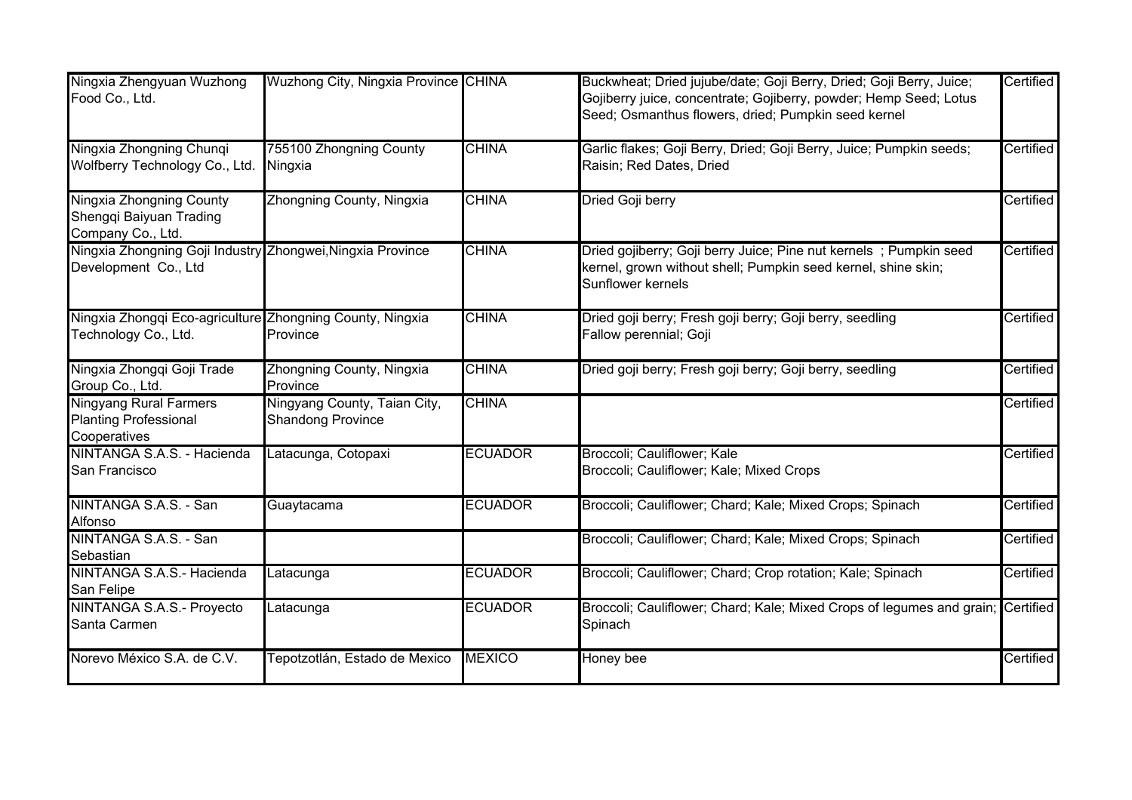| Ningxia Zhengyuan Wuzhong<br>Food Co., Ltd.                                        | Wuzhong City, Ningxia Province CHINA                     |                | Buckwheat; Dried jujube/date; Goji Berry, Dried; Goji Berry, Juice;<br>Gojiberry juice, concentrate; Gojiberry, powder; Hemp Seed; Lotus<br>Seed; Osmanthus flowers, dried; Pumpkin seed kernel | Certified |
|------------------------------------------------------------------------------------|----------------------------------------------------------|----------------|-------------------------------------------------------------------------------------------------------------------------------------------------------------------------------------------------|-----------|
| Ningxia Zhongning Chunqi<br>Wolfberry Technology Co., Ltd.                         | 755100 Zhongning County<br>Ningxia                       | <b>CHINA</b>   | Garlic flakes; Goji Berry, Dried; Goji Berry, Juice; Pumpkin seeds;<br>Raisin; Red Dates, Dried                                                                                                 | Certified |
| Ningxia Zhongning County<br>Shengqi Baiyuan Trading<br>Company Co., Ltd.           | Zhongning County, Ningxia                                | <b>CHINA</b>   | Dried Goji berry                                                                                                                                                                                | Certified |
| Ningxia Zhongning Goji Industry Zhongwei, Ningxia Province<br>Development Co., Ltd |                                                          | <b>CHINA</b>   | Dried gojiberry; Goji berry Juice; Pine nut kernels; Pumpkin seed<br>kernel, grown without shell; Pumpkin seed kernel, shine skin;<br>Sunflower kernels                                         | Certified |
| Ningxia Zhongqi Eco-agriculture Zhongning County, Ningxia<br>Technology Co., Ltd.  | Province                                                 | <b>CHINA</b>   | Dried goji berry; Fresh goji berry; Goji berry, seedling<br>Fallow perennial; Goji                                                                                                              | Certified |
| Ningxia Zhongqi Goji Trade<br>Group Co., Ltd.                                      | Zhongning County, Ningxia<br>Province                    | <b>CHINA</b>   | Dried goji berry; Fresh goji berry; Goji berry, seedling                                                                                                                                        | Certified |
| <b>Ningyang Rural Farmers</b><br><b>Planting Professional</b><br>Cooperatives      | Ningyang County, Taian City,<br><b>Shandong Province</b> | <b>CHINA</b>   |                                                                                                                                                                                                 | Certified |
| NINTANGA S.A.S. - Hacienda<br>San Francisco                                        | Latacunga, Cotopaxi                                      | <b>ECUADOR</b> | Broccoli; Cauliflower; Kale<br>Broccoli; Cauliflower; Kale; Mixed Crops                                                                                                                         | Certified |
| NINTANGA S.A.S. - San<br>Alfonso                                                   | Guaytacama                                               | <b>ECUADOR</b> | Broccoli; Cauliflower; Chard; Kale; Mixed Crops; Spinach                                                                                                                                        | Certified |
| NINTANGA S.A.S. - San<br>Sebastian                                                 |                                                          |                | Broccoli; Cauliflower; Chard; Kale; Mixed Crops; Spinach                                                                                                                                        | Certified |
| NINTANGA S.A.S.- Hacienda<br>San Felipe                                            | Latacunga                                                | <b>ECUADOR</b> | Broccoli; Cauliflower; Chard; Crop rotation; Kale; Spinach                                                                                                                                      | Certified |
| NINTANGA S.A.S.- Proyecto<br>Santa Carmen                                          | Latacunga                                                | <b>ECUADOR</b> | Broccoli; Cauliflower; Chard; Kale; Mixed Crops of legumes and grain; Certified<br>Spinach                                                                                                      |           |
| Norevo México S.A. de C.V.                                                         | Tepotzotlán, Estado de Mexico                            | <b>MEXICO</b>  | Honey bee                                                                                                                                                                                       | Certified |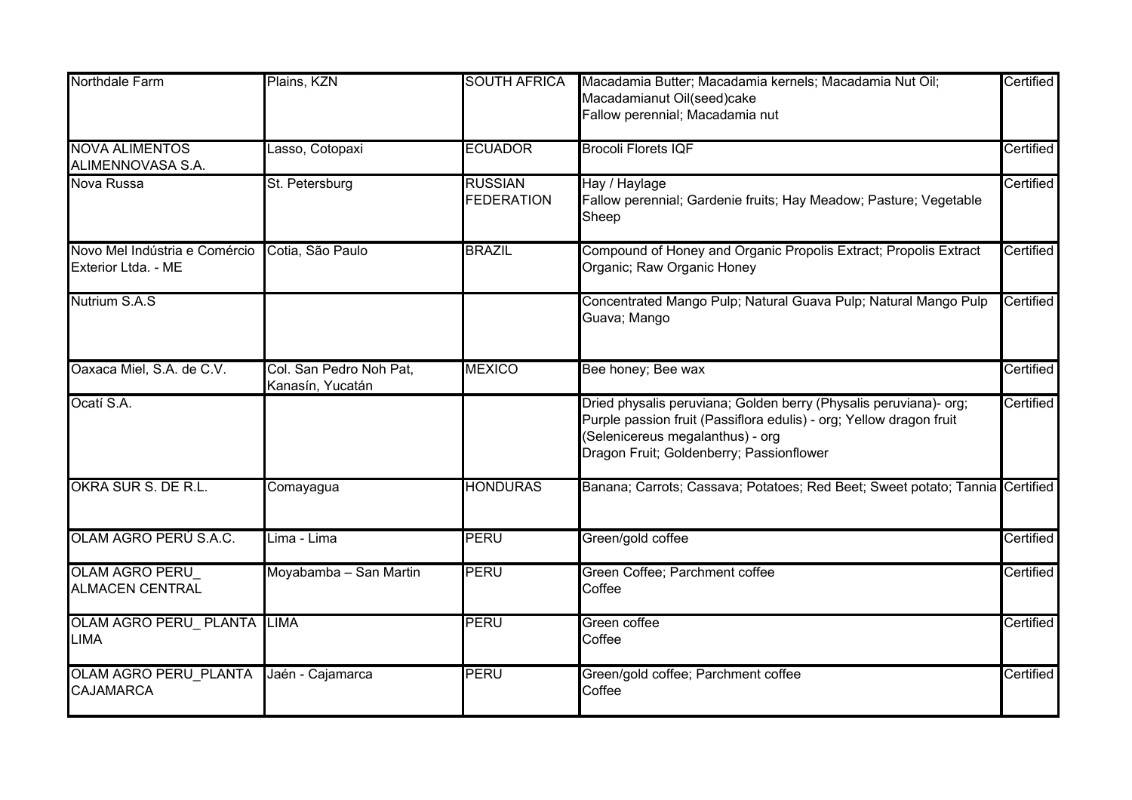| <b>Northdale Farm</b>                                | Plains, KZN                                 | <b>SOUTH AFRICA</b>                 | Macadamia Butter; Macadamia kernels; Macadamia Nut Oil;<br>Macadamianut Oil(seed)cake                                                                                                                                    | Certified |
|------------------------------------------------------|---------------------------------------------|-------------------------------------|--------------------------------------------------------------------------------------------------------------------------------------------------------------------------------------------------------------------------|-----------|
|                                                      |                                             |                                     | Fallow perennial; Macadamia nut                                                                                                                                                                                          |           |
| <b>NOVA ALIMENTOS</b><br>ALIMENNOVASA S.A.           | Lasso, Cotopaxi                             | <b>ECUADOR</b>                      | <b>Brocoli Florets IQF</b>                                                                                                                                                                                               | Certified |
| Nova Russa                                           | St. Petersburg                              | <b>RUSSIAN</b><br><b>FEDERATION</b> | Hay / Haylage<br>Fallow perennial; Gardenie fruits; Hay Meadow; Pasture; Vegetable<br>Sheep                                                                                                                              | Certified |
| Novo Mel Indústria e Comércio<br>Exterior Ltda. - ME | Cotia, São Paulo                            | <b>BRAZIL</b>                       | Compound of Honey and Organic Propolis Extract; Propolis Extract<br>Organic; Raw Organic Honey                                                                                                                           | Certified |
| Nutrium S.A.S                                        |                                             |                                     | Concentrated Mango Pulp; Natural Guava Pulp; Natural Mango Pulp<br>Guava; Mango                                                                                                                                          | Certified |
| Oaxaca Miel, S.A. de C.V.                            | Col. San Pedro Noh Pat,<br>Kanasín, Yucatán | <b>MEXICO</b>                       | Bee honey; Bee wax                                                                                                                                                                                                       | Certified |
| Ocatí S.A.                                           |                                             |                                     | Dried physalis peruviana; Golden berry (Physalis peruviana)- org;<br>Purple passion fruit (Passiflora edulis) - org; Yellow dragon fruit<br>(Selenicereus megalanthus) - org<br>Dragon Fruit; Goldenberry; Passionflower | Certified |
| OKRA SUR S. DE R.L.                                  | Comayagua                                   | <b>HONDURAS</b>                     | Banana; Carrots; Cassava; Potatoes; Red Beet; Sweet potato; Tannia Certified                                                                                                                                             |           |
| OLAM AGRO PERÚ S.A.C.                                | Lima - Lima                                 | PERU                                | Green/gold coffee                                                                                                                                                                                                        | Certified |
| <b>OLAM AGRO PERU</b><br><b>ALMACEN CENTRAL</b>      | Moyabamba - San Martin                      | <b>PERU</b>                         | Green Coffee; Parchment coffee<br>Coffee                                                                                                                                                                                 | Certified |
| OLAM AGRO PERU_PLANTA LIMA<br><b>LIMA</b>            |                                             | <b>PERU</b>                         | Green coffee<br>Coffee                                                                                                                                                                                                   | Certified |
| <b>OLAM AGRO PERU PLANTA</b><br><b>CAJAMARCA</b>     | Jaén - Cajamarca                            | <b>PERU</b>                         | Green/gold coffee; Parchment coffee<br>Coffee                                                                                                                                                                            | Certified |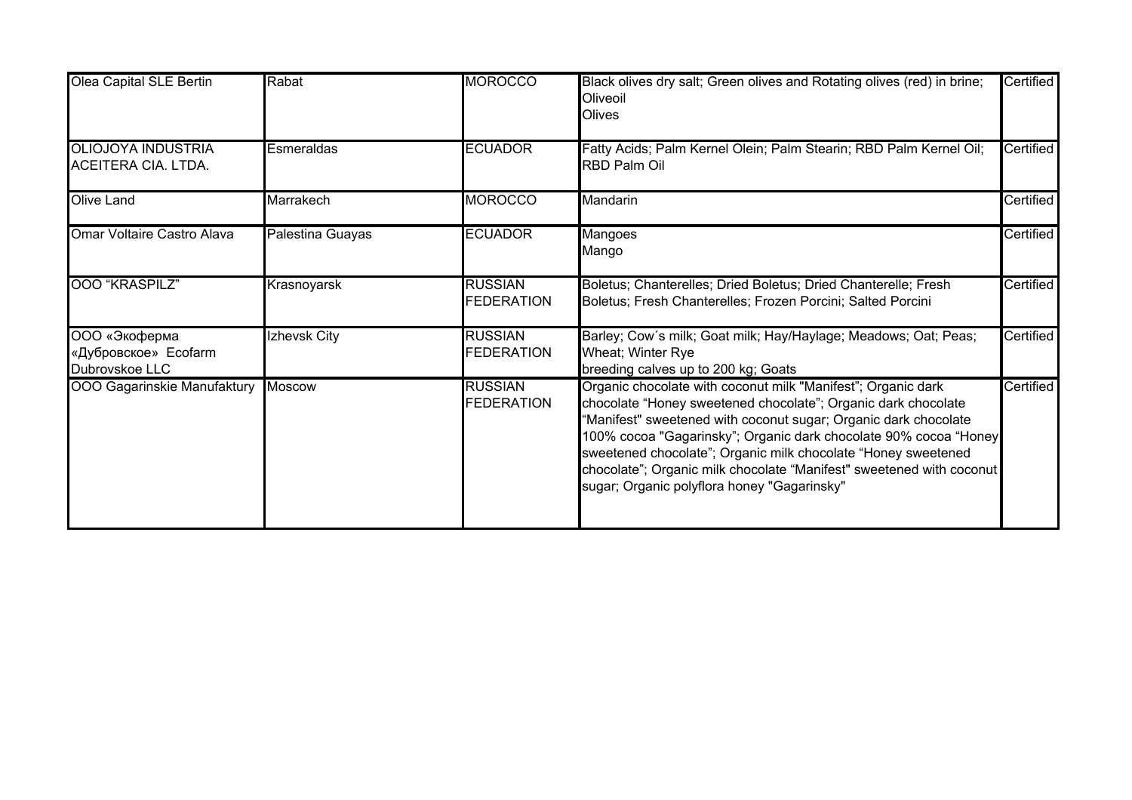| Olea Capital SLE Bertin                                 | Rabat            | <b>MOROCCO</b>                      | Black olives dry salt; Green olives and Rotating olives (red) in brine;<br>Oliveoil<br>Olives                                                                                                                                                                                                                                                                                                                                                                | Certified        |
|---------------------------------------------------------|------------------|-------------------------------------|--------------------------------------------------------------------------------------------------------------------------------------------------------------------------------------------------------------------------------------------------------------------------------------------------------------------------------------------------------------------------------------------------------------------------------------------------------------|------------------|
| <b>OLIOJOYA INDUSTRIA</b><br>ACEITERA CIA. LTDA.        | Esmeraldas       | <b>ECUADOR</b>                      | Fatty Acids; Palm Kernel Olein; Palm Stearin; RBD Palm Kernel Oil;<br><b>RBD Palm Oil</b>                                                                                                                                                                                                                                                                                                                                                                    | Certified        |
| Olive Land                                              | Marrakech        | <b>MOROCCO</b>                      | Mandarin                                                                                                                                                                                                                                                                                                                                                                                                                                                     | Certified        |
| Omar Voltaire Castro Alava                              | Palestina Guayas | <b>ECUADOR</b>                      | Mangoes<br>Mango                                                                                                                                                                                                                                                                                                                                                                                                                                             | <b>Certified</b> |
| 000 "KRASPILZ"                                          | Krasnoyarsk      | <b>RUSSIAN</b><br><b>FEDERATION</b> | Boletus; Chanterelles; Dried Boletus; Dried Chanterelle; Fresh<br>Boletus; Fresh Chanterelles; Frozen Porcini; Salted Porcini                                                                                                                                                                                                                                                                                                                                | Certified        |
| ООО «Экоферма<br>«Дубровское» Ecofarm<br>Dubrovskoe LLC | Izhevsk City     | <b>RUSSIAN</b><br><b>FEDERATION</b> | Barley; Cow's milk; Goat milk; Hay/Haylage; Meadows; Oat; Peas;<br>Wheat; Winter Rye<br>breeding calves up to 200 kg; Goats                                                                                                                                                                                                                                                                                                                                  | Certified        |
| OOO Gagarinskie Manufaktury                             | <b>Moscow</b>    | <b>RUSSIAN</b><br><b>FEDERATION</b> | Organic chocolate with coconut milk "Manifest"; Organic dark<br>chocolate "Honey sweetened chocolate"; Organic dark chocolate<br>'Manifest" sweetened with coconut sugar; Organic dark chocolate<br>100% cocoa "Gagarinsky"; Organic dark chocolate 90% cocoa "Honey<br>sweetened chocolate"; Organic milk chocolate "Honey sweetened<br>chocolate"; Organic milk chocolate "Manifest" sweetened with coconut<br>sugar; Organic polyflora honey "Gagarinsky" | Certified        |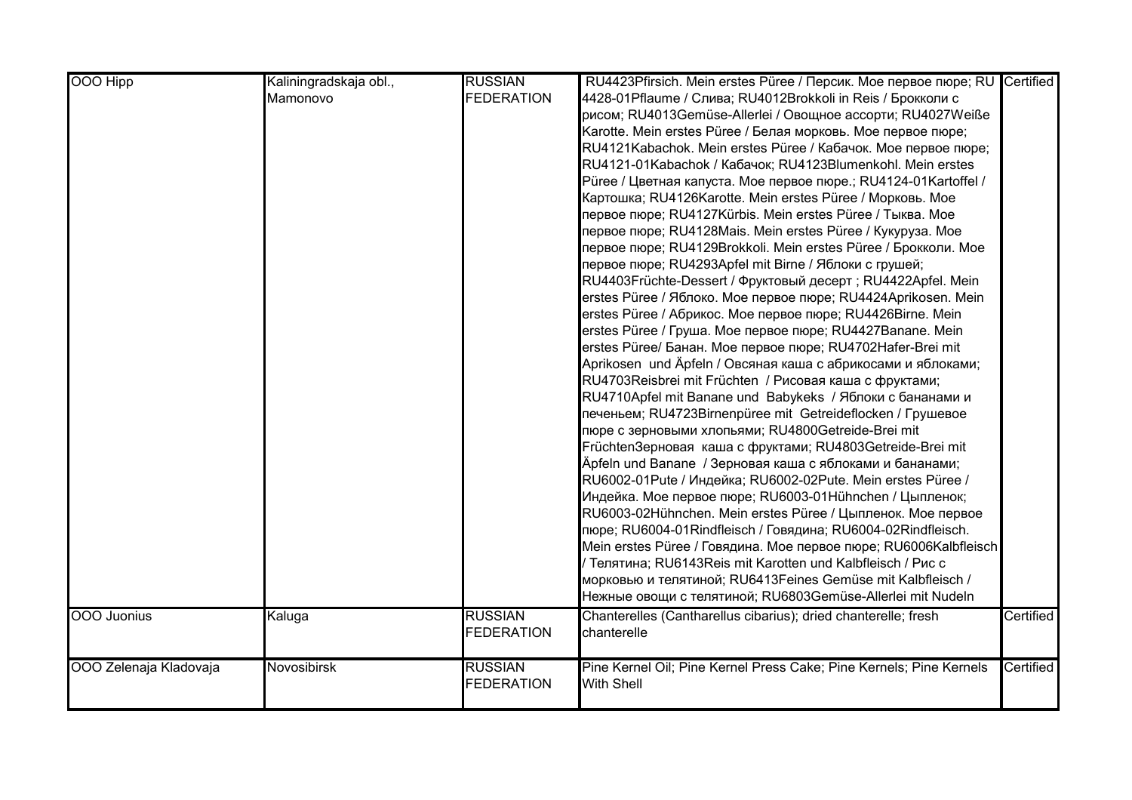| <b>OOO Hipp</b>        | Kaliningradskaja obl., | <b>RUSSIAN</b>    | RU4423Pfirsich. Mein erstes Püree / Персик. Мое первое пюре; RU Certified |           |
|------------------------|------------------------|-------------------|---------------------------------------------------------------------------|-----------|
|                        | Mamonovo               | <b>FEDERATION</b> | 4428-01 Pflaume / Слива; RU4012 Brokkoli in Reis / Брокколи с             |           |
|                        |                        |                   | рисом; RU4013Gemüse-Allerlei / Овощное ассорти; RU4027Weiße               |           |
|                        |                        |                   | Karotte. Mein erstes Püree / Белая морковь. Мое первое пюре;              |           |
|                        |                        |                   | RU4121Kabachok. Mein erstes Püree / Кабачок. Мое первое пюре;             |           |
|                        |                        |                   | RU4121-01Kabachok / Кабачок; RU4123Blumenkohl. Mein erstes                |           |
|                        |                        |                   | Рüree / Цветная капуста. Мое первое пюре.; RU4124-01Kartoffel /           |           |
|                        |                        |                   | Картошка; RU4126Karotte. Mein erstes Püree / Морковь. Мое                 |           |
|                        |                        |                   | первое пюре; RU4127Kürbis. Mein erstes Püree / Тыква. Moe                 |           |
|                        |                        |                   | первое пюре; RU4128Mais. Mein erstes Püree / Кукуруза. Moe                |           |
|                        |                        |                   | первое пюре; RU4129Brokkoli. Mein erstes Püree / Брокколи. Moe            |           |
|                        |                        |                   | первое пюре; RU4293Apfel mit Birne / Яблоки с грушей;                     |           |
|                        |                        |                   | RU4403Früchte-Dessert / Фруктовый десерт; RU4422Apfel. Mein               |           |
|                        |                        |                   | erstes Püree / Яблоко. Мое первое пюре; RU4424Aprikosen. Mein             |           |
|                        |                        |                   | erstes Püree / Абрикос. Мое первое пюре; RU4426Birne. Mein                |           |
|                        |                        |                   | erstes Püree / Груша. Мое первое пюре; RU4427Banane. Mein                 |           |
|                        |                        |                   | erstes Püree/ Банан. Moe первое пюре; RU4702Hafer-Brei mit                |           |
|                        |                        |                   | Aprikosen und Äpfeln / Овсяная каша с абрикосами и яблоками;              |           |
|                        |                        |                   | RU4703Reisbrei mit Früchten / Рисовая каша с фруктами;                    |           |
|                        |                        |                   | RU4710Apfel mit Banane und Babykeks / Яблоки с бананами и                 |           |
|                        |                        |                   | печеньем; RU4723Birnenpüree mit Getreideflocken / Грушевое                |           |
|                        |                        |                   | пюре с зерновыми хлопьями; RU4800Getreide-Brei mit                        |           |
|                        |                        |                   | FrüchtenЗерновая каша с фруктами; RU4803Getreide-Brei mit                 |           |
|                        |                        |                   | Äpfeln und Banane / Зерновая каша с яблоками и бананами;                  |           |
|                        |                        |                   | RU6002-01Pute / Индейка; RU6002-02Pute. Mein erstes Püree /               |           |
|                        |                        |                   | Индейка. Мое первое пюре; RU6003-01 Hühnchen / Цыпленок;                  |           |
|                        |                        |                   | RU6003-02Hühnchen. Mein erstes Püree / Цыпленок. Мое первое               |           |
|                        |                        |                   | пюре; RU6004-01 Rindfleisch / Говядина; RU6004-02 Rindfleisch.            |           |
|                        |                        |                   | Mein erstes Püree / Говядина. Мое первое пюре; RU6006Kalbfleisch          |           |
|                        |                        |                   | Teлятина; RU6143Reis mit Karotten und Kalbfleisch / Рис с                 |           |
|                        |                        |                   | морковью и телятиной; RU6413Feines Gemüse mit Kalbfleisch /               |           |
|                        |                        |                   | Нежные овощи с телятиной; RU6803Gemüse-Allerlei mit Nudeln                |           |
| OOO Juonius            | Kaluga                 | <b>RUSSIAN</b>    | Chanterelles (Cantharellus cibarius); dried chanterelle; fresh            | Certified |
|                        |                        | <b>FEDERATION</b> | chanterelle                                                               |           |
| OOO Zelenaja Kladovaja | <b>Novosibirsk</b>     | <b>RUSSIAN</b>    | Pine Kernel Oil; Pine Kernel Press Cake; Pine Kernels; Pine Kernels       | Certified |
|                        |                        | <b>FEDERATION</b> | <b>With Shell</b>                                                         |           |
|                        |                        |                   |                                                                           |           |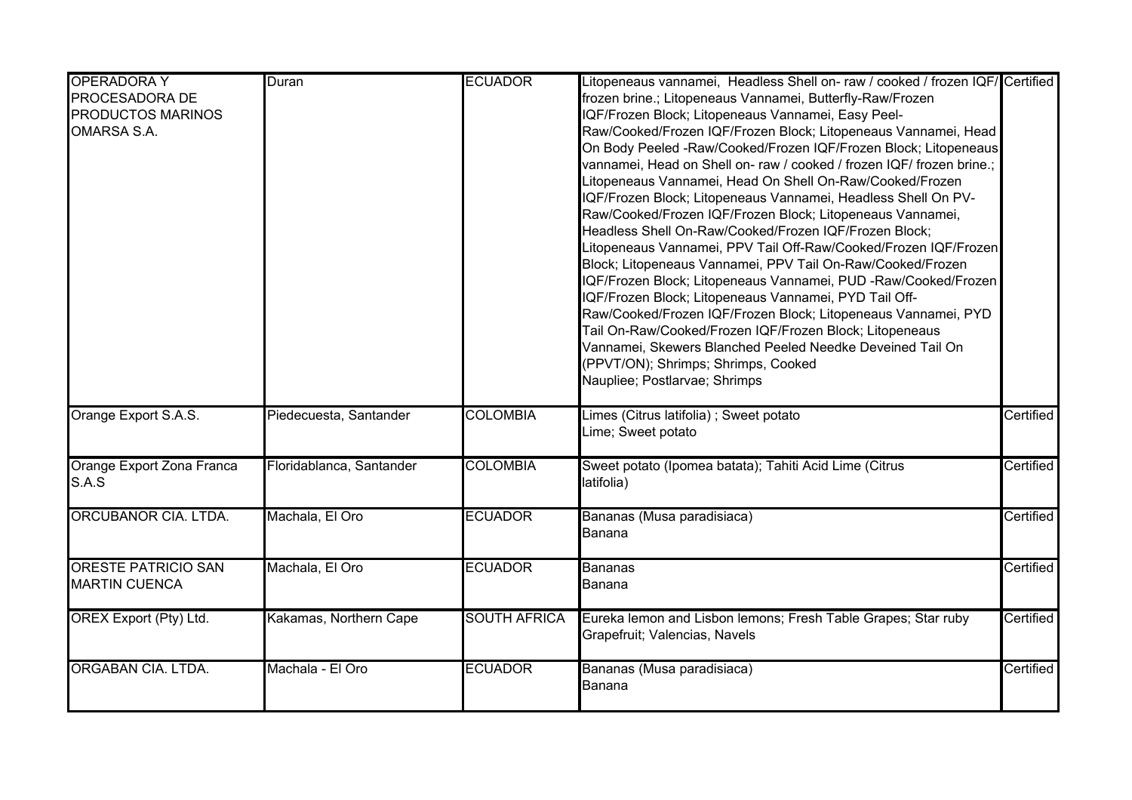| <b>OPERADORA Y</b>         | Duran                    | <b>ECUADOR</b>      | Litopeneaus vannamei, Headless Shell on-raw / cooked / frozen IQF/Certified                    |           |
|----------------------------|--------------------------|---------------------|------------------------------------------------------------------------------------------------|-----------|
| PROCESADORA DE             |                          |                     | frozen brine.; Litopeneaus Vannamei, Butterfly-Raw/Frozen                                      |           |
| PRODUCTOS MARINOS          |                          |                     | IQF/Frozen Block; Litopeneaus Vannamei, Easy Peel-                                             |           |
| <b>OMARSA S.A.</b>         |                          |                     | Raw/Cooked/Frozen IQF/Frozen Block; Litopeneaus Vannamei, Head                                 |           |
|                            |                          |                     | On Body Peeled -Raw/Cooked/Frozen IQF/Frozen Block; Litopeneaus                                |           |
|                            |                          |                     | vannamei, Head on Shell on-raw / cooked / frozen IQF/ frozen brine.;                           |           |
|                            |                          |                     | Litopeneaus Vannamei, Head On Shell On-Raw/Cooked/Frozen                                       |           |
|                            |                          |                     | IQF/Frozen Block; Litopeneaus Vannamei, Headless Shell On PV-                                  |           |
|                            |                          |                     | Raw/Cooked/Frozen IQF/Frozen Block; Litopeneaus Vannamei,                                      |           |
|                            |                          |                     | Headless Shell On-Raw/Cooked/Frozen IQF/Frozen Block;                                          |           |
|                            |                          |                     | Litopeneaus Vannamei, PPV Tail Off-Raw/Cooked/Frozen IQF/Frozen                                |           |
|                            |                          |                     | Block; Litopeneaus Vannamei, PPV Tail On-Raw/Cooked/Frozen                                     |           |
|                            |                          |                     | IQF/Frozen Block; Litopeneaus Vannamei, PUD -Raw/Cooked/Frozen                                 |           |
|                            |                          |                     | IQF/Frozen Block; Litopeneaus Vannamei, PYD Tail Off-                                          |           |
|                            |                          |                     | Raw/Cooked/Frozen IQF/Frozen Block; Litopeneaus Vannamei, PYD                                  |           |
|                            |                          |                     | Tail On-Raw/Cooked/Frozen IQF/Frozen Block; Litopeneaus                                        |           |
|                            |                          |                     | Vannamei, Skewers Blanched Peeled Needke Deveined Tail On                                      |           |
|                            |                          |                     | (PPVT/ON); Shrimps; Shrimps, Cooked                                                            |           |
|                            |                          |                     | Naupliee; Postlarvae; Shrimps                                                                  |           |
|                            |                          |                     |                                                                                                |           |
| Orange Export S.A.S.       | Piedecuesta, Santander   | <b>COLOMBIA</b>     | Limes (Citrus latifolia) ; Sweet potato                                                        | Certified |
|                            |                          |                     | Lime; Sweet potato                                                                             |           |
| Orange Export Zona Franca  | Floridablanca, Santander | <b>COLOMBIA</b>     | Sweet potato (Ipomea batata); Tahiti Acid Lime (Citrus                                         | Certified |
| S.A.S                      |                          |                     | latifolia)                                                                                     |           |
|                            |                          |                     |                                                                                                |           |
| ORCUBANOR CIA. LTDA.       | Machala, El Oro          | <b>ECUADOR</b>      | Bananas (Musa paradisiaca)                                                                     | Certified |
|                            |                          |                     | Banana                                                                                         |           |
| <b>ORESTE PATRICIO SAN</b> | Machala, El Oro          | <b>ECUADOR</b>      | Bananas                                                                                        | Certified |
| <b>MARTIN CUENCA</b>       |                          |                     | Banana                                                                                         |           |
|                            |                          | <b>SOUTH AFRICA</b> |                                                                                                | Certified |
| OREX Export (Pty) Ltd.     | Kakamas, Northern Cape   |                     | Eureka lemon and Lisbon lemons; Fresh Table Grapes; Star ruby<br>Grapefruit; Valencias, Navels |           |
|                            |                          |                     |                                                                                                |           |
| ORGABAN CIA. LTDA.         | Machala - El Oro         | <b>ECUADOR</b>      | Bananas (Musa paradisiaca)                                                                     | Certified |
|                            |                          |                     | Banana                                                                                         |           |
|                            |                          |                     |                                                                                                |           |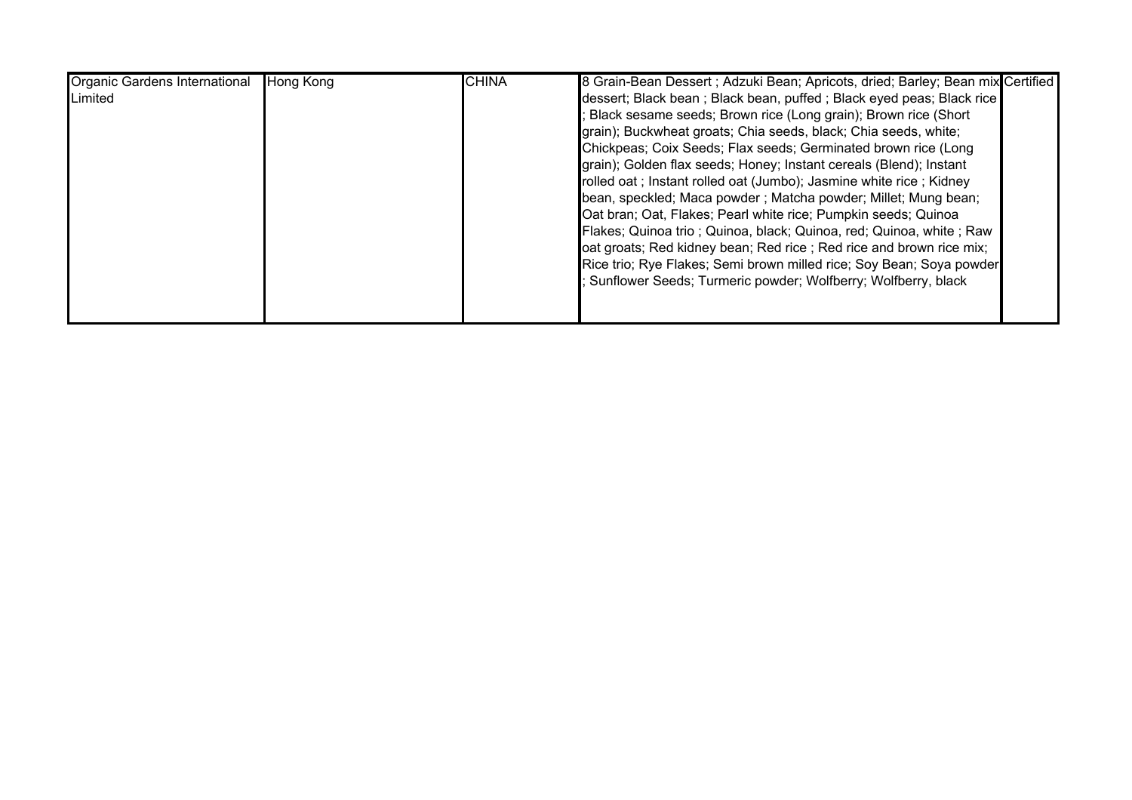| Organic Gardens International | <b>Hong Kong</b> | <b>CHINA</b> | 8 Grain-Bean Dessert; Adzuki Bean; Apricots, dried; Barley; Bean mix Certified |
|-------------------------------|------------------|--------------|--------------------------------------------------------------------------------|
| Limited                       |                  |              | dessert; Black bean; Black bean, puffed; Black eyed peas; Black rice           |
|                               |                  |              | Black sesame seeds; Brown rice (Long grain); Brown rice (Short                 |
|                               |                  |              | grain); Buckwheat groats; Chia seeds, black; Chia seeds, white;                |
|                               |                  |              | Chickpeas; Coix Seeds; Flax seeds; Germinated brown rice (Long                 |
|                               |                  |              | grain); Golden flax seeds; Honey; Instant cereals (Blend); Instant             |
|                               |                  |              | rolled oat; Instant rolled oat (Jumbo); Jasmine white rice; Kidney             |
|                               |                  |              | bean, speckled; Maca powder; Matcha powder; Millet; Mung bean;                 |
|                               |                  |              | Oat bran; Oat, Flakes; Pearl white rice; Pumpkin seeds; Quinoa                 |
|                               |                  |              | Flakes; Quinoa trio; Quinoa, black; Quinoa, red; Quinoa, white; Raw            |
|                               |                  |              | oat groats; Red kidney bean; Red rice; Red rice and brown rice mix;            |
|                               |                  |              | Rice trio; Rye Flakes; Semi brown milled rice; Soy Bean; Soya powder           |
|                               |                  |              | Sunflower Seeds; Turmeric powder; Wolfberry; Wolfberry, black                  |
|                               |                  |              |                                                                                |
|                               |                  |              |                                                                                |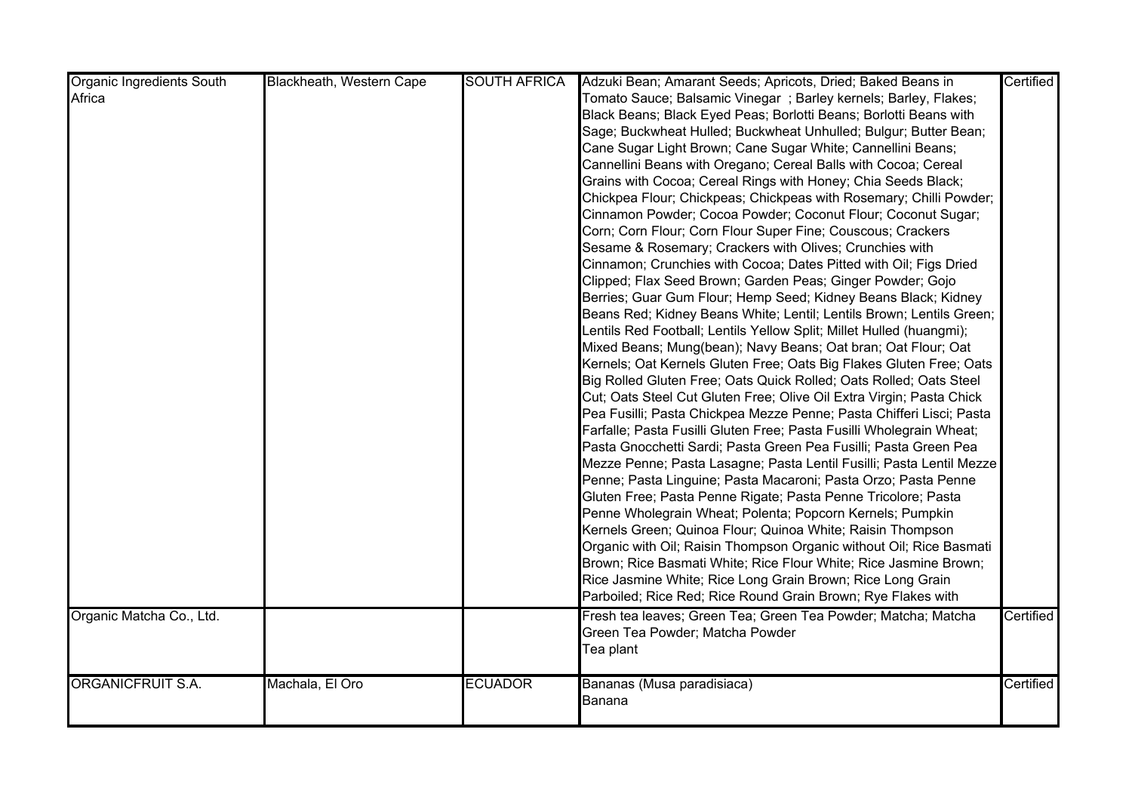| <b>Organic Ingredients South</b> | Blackheath, Western Cape | <b>SOUTH AFRICA</b> | Adzuki Bean; Amarant Seeds; Apricots, Dried; Baked Beans in          | Certified |
|----------------------------------|--------------------------|---------------------|----------------------------------------------------------------------|-----------|
| Africa                           |                          |                     | Tomato Sauce; Balsamic Vinegar; Barley kernels; Barley, Flakes;      |           |
|                                  |                          |                     | Black Beans; Black Eyed Peas; Borlotti Beans; Borlotti Beans with    |           |
|                                  |                          |                     | Sage; Buckwheat Hulled; Buckwheat Unhulled; Bulgur; Butter Bean;     |           |
|                                  |                          |                     | Cane Sugar Light Brown; Cane Sugar White; Cannellini Beans;          |           |
|                                  |                          |                     | Cannellini Beans with Oregano; Cereal Balls with Cocoa; Cereal       |           |
|                                  |                          |                     | Grains with Cocoa; Cereal Rings with Honey; Chia Seeds Black;        |           |
|                                  |                          |                     | Chickpea Flour; Chickpeas; Chickpeas with Rosemary; Chilli Powder;   |           |
|                                  |                          |                     | Cinnamon Powder; Cocoa Powder; Coconut Flour; Coconut Sugar;         |           |
|                                  |                          |                     | Corn; Corn Flour; Corn Flour Super Fine; Couscous; Crackers          |           |
|                                  |                          |                     | Sesame & Rosemary; Crackers with Olives; Crunchies with              |           |
|                                  |                          |                     | Cinnamon; Crunchies with Cocoa; Dates Pitted with Oil; Figs Dried    |           |
|                                  |                          |                     | Clipped; Flax Seed Brown; Garden Peas; Ginger Powder; Gojo           |           |
|                                  |                          |                     | Berries; Guar Gum Flour; Hemp Seed; Kidney Beans Black; Kidney       |           |
|                                  |                          |                     | Beans Red; Kidney Beans White; Lentil; Lentils Brown; Lentils Green; |           |
|                                  |                          |                     | Lentils Red Football; Lentils Yellow Split; Millet Hulled (huangmi); |           |
|                                  |                          |                     | Mixed Beans; Mung(bean); Navy Beans; Oat bran; Oat Flour; Oat        |           |
|                                  |                          |                     | Kernels; Oat Kernels Gluten Free; Oats Big Flakes Gluten Free; Oats  |           |
|                                  |                          |                     | Big Rolled Gluten Free; Oats Quick Rolled; Oats Rolled; Oats Steel   |           |
|                                  |                          |                     | Cut; Oats Steel Cut Gluten Free; Olive Oil Extra Virgin; Pasta Chick |           |
|                                  |                          |                     | Pea Fusilli; Pasta Chickpea Mezze Penne; Pasta Chifferi Lisci; Pasta |           |
|                                  |                          |                     | Farfalle; Pasta Fusilli Gluten Free; Pasta Fusilli Wholegrain Wheat; |           |
|                                  |                          |                     | Pasta Gnocchetti Sardi; Pasta Green Pea Fusilli; Pasta Green Pea     |           |
|                                  |                          |                     | Mezze Penne; Pasta Lasagne; Pasta Lentil Fusilli; Pasta Lentil Mezze |           |
|                                  |                          |                     | Penne; Pasta Linguine; Pasta Macaroni; Pasta Orzo; Pasta Penne       |           |
|                                  |                          |                     | Gluten Free; Pasta Penne Rigate; Pasta Penne Tricolore; Pasta        |           |
|                                  |                          |                     | Penne Wholegrain Wheat; Polenta; Popcorn Kernels; Pumpkin            |           |
|                                  |                          |                     | Kernels Green; Quinoa Flour; Quinoa White; Raisin Thompson           |           |
|                                  |                          |                     | Organic with Oil; Raisin Thompson Organic without Oil; Rice Basmati  |           |
|                                  |                          |                     | Brown; Rice Basmati White; Rice Flour White; Rice Jasmine Brown;     |           |
|                                  |                          |                     | Rice Jasmine White; Rice Long Grain Brown; Rice Long Grain           |           |
|                                  |                          |                     | Parboiled; Rice Red; Rice Round Grain Brown; Rye Flakes with         |           |
| Organic Matcha Co., Ltd.         |                          |                     | Fresh tea leaves; Green Tea; Green Tea Powder; Matcha; Matcha        | Certified |
|                                  |                          |                     | Green Tea Powder; Matcha Powder                                      |           |
|                                  |                          |                     | Tea plant                                                            |           |
|                                  |                          |                     |                                                                      |           |
| ORGANICFRUIT S.A.                | Machala, El Oro          | <b>ECUADOR</b>      | Bananas (Musa paradisiaca)                                           | Certified |
|                                  |                          |                     | Banana                                                               |           |
|                                  |                          |                     |                                                                      |           |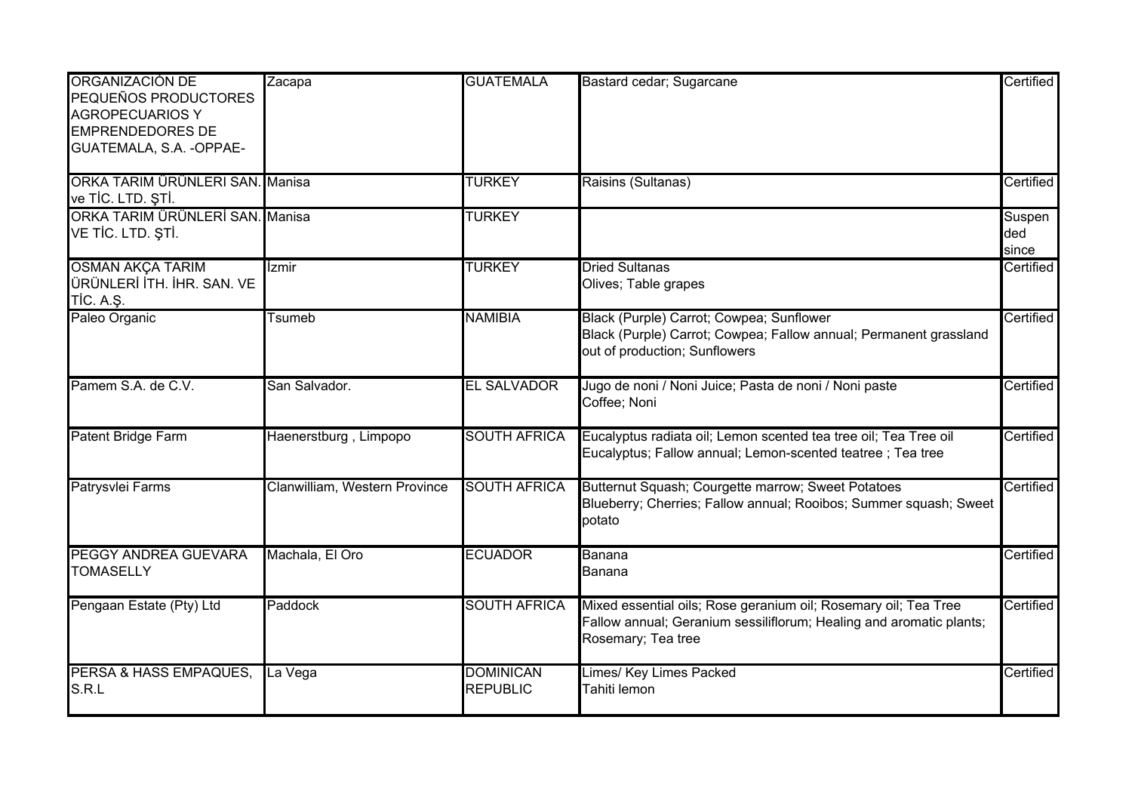| ORGANIZACIÓN DE<br>PEQUEÑOS PRODUCTORES<br><b>AGROPECUARIOS Y</b><br><b>EMPRENDEDORES DE</b><br>GUATEMALA, S.A. - OPPAE- | Zacapa                        | <b>GUATEMALA</b>                    | Bastard cedar; Sugarcane                                                                                                                                     | Certified              |
|--------------------------------------------------------------------------------------------------------------------------|-------------------------------|-------------------------------------|--------------------------------------------------------------------------------------------------------------------------------------------------------------|------------------------|
| ORKA TARIM ÜRÜNLERI SAN. Manisa<br>ve TİC. LTD. ŞTİ.                                                                     |                               | <b>TURKEY</b>                       | Raisins (Sultanas)                                                                                                                                           | Certified              |
| ORKA TARIM ÜRÜNLERİ SAN. Manisa<br>VE TİC. LTD. ŞTİ.                                                                     |                               | <b>TURKEY</b>                       |                                                                                                                                                              | Suspen<br>ded<br>since |
| <b>OSMAN AKÇA TARIM</b><br>ÜRÜNLERİ İTH. İHR. SAN. VE<br><b>TİC. A.Ş.</b>                                                | <i>Izmir</i>                  | <b>TURKEY</b>                       | <b>Dried Sultanas</b><br>Olives; Table grapes                                                                                                                | Certified              |
| Paleo Organic                                                                                                            | Tsumeb                        | <b>NAMIBIA</b>                      | Black (Purple) Carrot; Cowpea; Sunflower<br>Black (Purple) Carrot; Cowpea; Fallow annual; Permanent grassland<br>out of production; Sunflowers               | Certified              |
| Pamem S.A. de C.V.                                                                                                       | San Salvador.                 | <b>EL SALVADOR</b>                  | Jugo de noni / Noni Juice; Pasta de noni / Noni paste<br>Coffee; Noni                                                                                        | Certified              |
| Patent Bridge Farm                                                                                                       | Haenerstburg, Limpopo         | <b>SOUTH AFRICA</b>                 | Eucalyptus radiata oil; Lemon scented tea tree oil; Tea Tree oil<br>Eucalyptus; Fallow annual; Lemon-scented teatree; Tea tree                               | Certified              |
| Patrysvlei Farms                                                                                                         | Clanwilliam, Western Province | <b>SOUTH AFRICA</b>                 | Butternut Squash; Courgette marrow; Sweet Potatoes<br>Blueberry; Cherries; Fallow annual; Rooibos; Summer squash; Sweet<br>potato                            | Certified              |
| PEGGY ANDREA GUEVARA<br><b>TOMASELLY</b>                                                                                 | Machala, El Oro               | <b>ECUADOR</b>                      | Banana<br>Banana                                                                                                                                             | Certified              |
| Pengaan Estate (Pty) Ltd                                                                                                 | Paddock                       | <b>SOUTH AFRICA</b>                 | Mixed essential oils; Rose geranium oil; Rosemary oil; Tea Tree<br>Fallow annual; Geranium sessiliflorum; Healing and aromatic plants;<br>Rosemary; Tea tree | Certified              |
| PERSA & HASS EMPAQUES,<br>S.R.L                                                                                          | La Vega                       | <b>DOMINICAN</b><br><b>REPUBLIC</b> | Limes/ Key Limes Packed<br>Tahiti lemon                                                                                                                      | Certified              |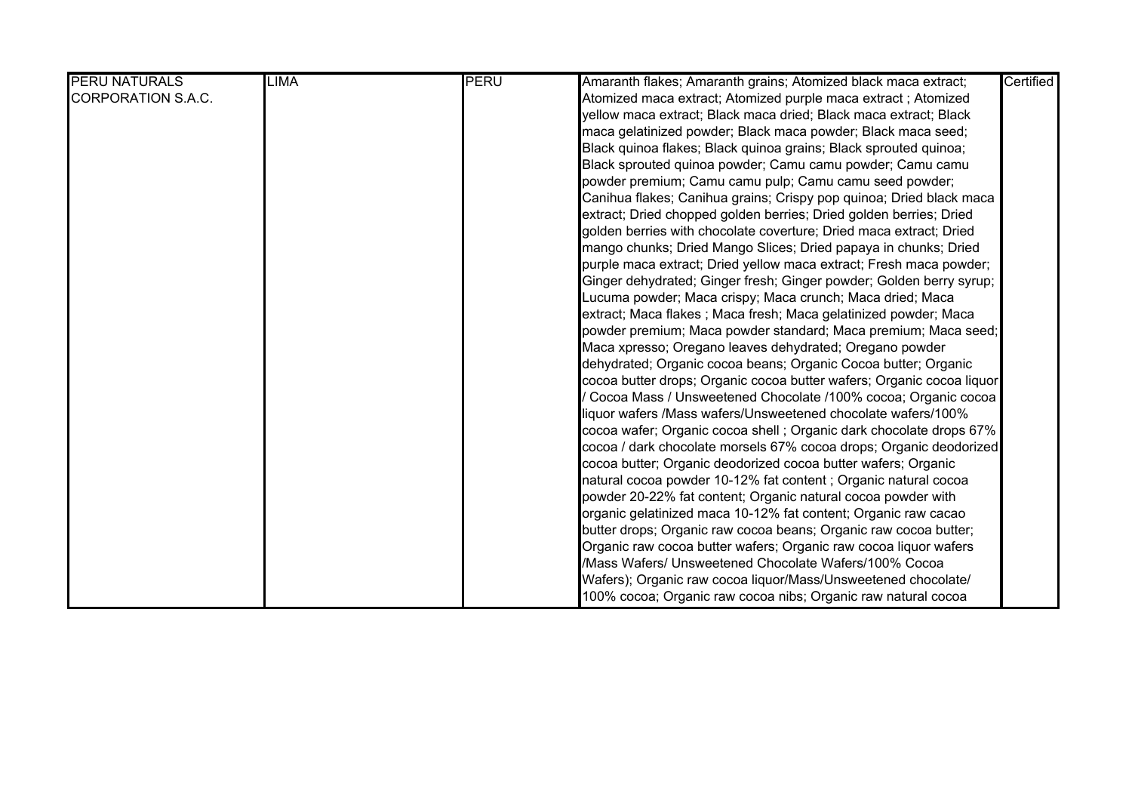| <b>PERU NATURALS</b>      | <b>LIMA</b> | PERU | Amaranth flakes; Amaranth grains; Atomized black maca extract;        | Certified |
|---------------------------|-------------|------|-----------------------------------------------------------------------|-----------|
| <b>CORPORATION S.A.C.</b> |             |      | Atomized maca extract; Atomized purple maca extract; Atomized         |           |
|                           |             |      | yellow maca extract; Black maca dried; Black maca extract; Black      |           |
|                           |             |      | maca gelatinized powder; Black maca powder; Black maca seed;          |           |
|                           |             |      | Black quinoa flakes; Black quinoa grains; Black sprouted quinoa;      |           |
|                           |             |      | Black sprouted quinoa powder; Camu camu powder; Camu camu             |           |
|                           |             |      | powder premium; Camu camu pulp; Camu camu seed powder;                |           |
|                           |             |      | Canihua flakes; Canihua grains; Crispy pop quinoa; Dried black maca   |           |
|                           |             |      | extract; Dried chopped golden berries; Dried golden berries; Dried    |           |
|                           |             |      | golden berries with chocolate coverture; Dried maca extract; Dried    |           |
|                           |             |      | mango chunks; Dried Mango Slices; Dried papaya in chunks; Dried       |           |
|                           |             |      | purple maca extract; Dried yellow maca extract; Fresh maca powder;    |           |
|                           |             |      | Ginger dehydrated; Ginger fresh; Ginger powder; Golden berry syrup;   |           |
|                           |             |      | Lucuma powder; Maca crispy; Maca crunch; Maca dried; Maca             |           |
|                           |             |      | extract; Maca flakes ; Maca fresh; Maca gelatinized powder; Maca      |           |
|                           |             |      | powder premium; Maca powder standard; Maca premium; Maca seed;        |           |
|                           |             |      | Maca xpresso; Oregano leaves dehydrated; Oregano powder               |           |
|                           |             |      | dehydrated; Organic cocoa beans; Organic Cocoa butter; Organic        |           |
|                           |             |      | cocoa butter drops; Organic cocoa butter wafers; Organic cocoa liquor |           |
|                           |             |      | Cocoa Mass / Unsweetened Chocolate /100% cocoa; Organic cocoa         |           |
|                           |             |      | liquor wafers /Mass wafers/Unsweetened chocolate wafers/100%          |           |
|                           |             |      | cocoa wafer; Organic cocoa shell ; Organic dark chocolate drops 67%   |           |
|                           |             |      | cocoa / dark chocolate morsels 67% cocoa drops; Organic deodorized    |           |
|                           |             |      | cocoa butter; Organic deodorized cocoa butter wafers; Organic         |           |
|                           |             |      | natural cocoa powder 10-12% fat content; Organic natural cocoa        |           |
|                           |             |      | powder 20-22% fat content; Organic natural cocoa powder with          |           |
|                           |             |      | organic gelatinized maca 10-12% fat content; Organic raw cacao        |           |
|                           |             |      | butter drops; Organic raw cocoa beans; Organic raw cocoa butter;      |           |
|                           |             |      | Organic raw cocoa butter wafers; Organic raw cocoa liquor wafers      |           |
|                           |             |      | /Mass Wafers/ Unsweetened Chocolate Wafers/100% Cocoa                 |           |
|                           |             |      | Wafers); Organic raw cocoa liquor/Mass/Unsweetened chocolate/         |           |
|                           |             |      | 100% cocoa; Organic raw cocoa nibs; Organic raw natural cocoa         |           |

powder 14-16% fat content; Organic roasted cocoa nibs; Organic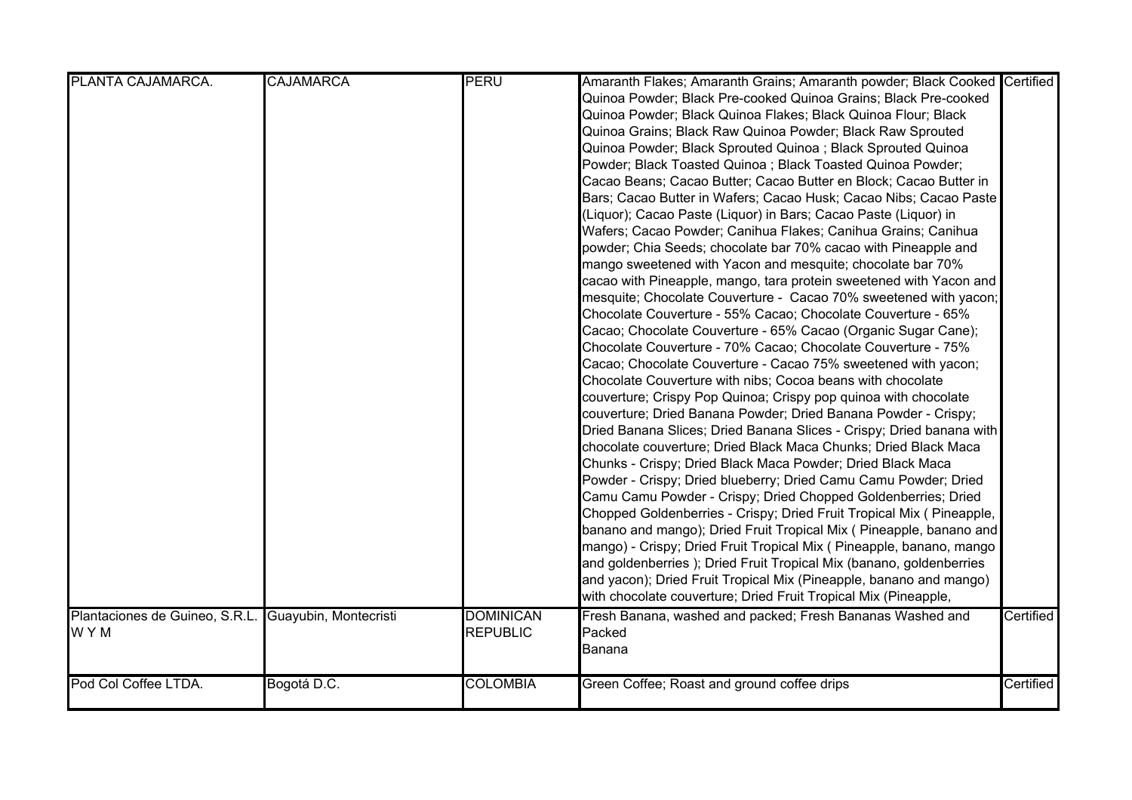| PLANTA CAJAMARCA.                                             | <b>CAJAMARCA</b> | <b>PERU</b>                         | Amaranth Flakes; Amaranth Grains; Amaranth powder; Black Cooked Certified<br>Quinoa Powder; Black Pre-cooked Quinoa Grains; Black Pre-cooked<br>Quinoa Powder; Black Quinoa Flakes; Black Quinoa Flour; Black<br>Quinoa Grains; Black Raw Quinoa Powder; Black Raw Sprouted<br>Quinoa Powder; Black Sprouted Quinoa ; Black Sprouted Quinoa                                                                                                                                                                                                                                                                                                                                                                                                                                                                                                                                                                                                                                                                                                                                                                                                                                                                                                                                                                                                                                                                                                                                                                                                                                                                                                                                                                                                                                                                |           |
|---------------------------------------------------------------|------------------|-------------------------------------|------------------------------------------------------------------------------------------------------------------------------------------------------------------------------------------------------------------------------------------------------------------------------------------------------------------------------------------------------------------------------------------------------------------------------------------------------------------------------------------------------------------------------------------------------------------------------------------------------------------------------------------------------------------------------------------------------------------------------------------------------------------------------------------------------------------------------------------------------------------------------------------------------------------------------------------------------------------------------------------------------------------------------------------------------------------------------------------------------------------------------------------------------------------------------------------------------------------------------------------------------------------------------------------------------------------------------------------------------------------------------------------------------------------------------------------------------------------------------------------------------------------------------------------------------------------------------------------------------------------------------------------------------------------------------------------------------------------------------------------------------------------------------------------------------------|-----------|
|                                                               |                  |                                     | Powder; Black Toasted Quinoa ; Black Toasted Quinoa Powder;<br>Cacao Beans; Cacao Butter; Cacao Butter en Block; Cacao Butter in<br>Bars; Cacao Butter in Wafers; Cacao Husk; Cacao Nibs; Cacao Paste<br>(Liquor); Cacao Paste (Liquor) in Bars; Cacao Paste (Liquor) in<br>Wafers; Cacao Powder; Canihua Flakes; Canihua Grains; Canihua<br>powder; Chia Seeds; chocolate bar 70% cacao with Pineapple and<br>mango sweetened with Yacon and mesquite; chocolate bar 70%<br>cacao with Pineapple, mango, tara protein sweetened with Yacon and<br>mesquite; Chocolate Couverture - Cacao 70% sweetened with yacon;<br>Chocolate Couverture - 55% Cacao; Chocolate Couverture - 65%<br>Cacao; Chocolate Couverture - 65% Cacao (Organic Sugar Cane);<br>Chocolate Couverture - 70% Cacao; Chocolate Couverture - 75%<br>Cacao; Chocolate Couverture - Cacao 75% sweetened with yacon;<br>Chocolate Couverture with nibs; Cocoa beans with chocolate<br>couverture; Crispy Pop Quinoa; Crispy pop quinoa with chocolate<br>couverture; Dried Banana Powder; Dried Banana Powder - Crispy;<br>Dried Banana Slices; Dried Banana Slices - Crispy; Dried banana with<br>chocolate couverture; Dried Black Maca Chunks; Dried Black Maca<br>Chunks - Crispy; Dried Black Maca Powder; Dried Black Maca<br>Powder - Crispy; Dried blueberry; Dried Camu Camu Powder; Dried<br>Camu Camu Powder - Crispy; Dried Chopped Goldenberries; Dried<br>Chopped Goldenberries - Crispy; Dried Fruit Tropical Mix ( Pineapple,<br>banano and mango); Dried Fruit Tropical Mix ( Pineapple, banano and<br>mango) - Crispy; Dried Fruit Tropical Mix ( Pineapple, banano, mango<br>and goldenberries); Dried Fruit Tropical Mix (banano, goldenberries<br>and yacon); Dried Fruit Tropical Mix (Pineapple, banano and mango) |           |
| Plantaciones de Guineo, S.R.L. Guayubin, Montecristi<br>W Y M |                  | <b>DOMINICAN</b><br><b>REPUBLIC</b> | with chocolate couverture; Dried Fruit Tropical Mix (Pineapple,<br>Fresh Banana, washed and packed; Fresh Bananas Washed and<br>Packed<br>Banana                                                                                                                                                                                                                                                                                                                                                                                                                                                                                                                                                                                                                                                                                                                                                                                                                                                                                                                                                                                                                                                                                                                                                                                                                                                                                                                                                                                                                                                                                                                                                                                                                                                           | Certified |
| Pod Col Coffee LTDA.                                          | Bogotá D.C.      | <b>COLOMBIA</b>                     | Green Coffee; Roast and ground coffee drips                                                                                                                                                                                                                                                                                                                                                                                                                                                                                                                                                                                                                                                                                                                                                                                                                                                                                                                                                                                                                                                                                                                                                                                                                                                                                                                                                                                                                                                                                                                                                                                                                                                                                                                                                                | Certified |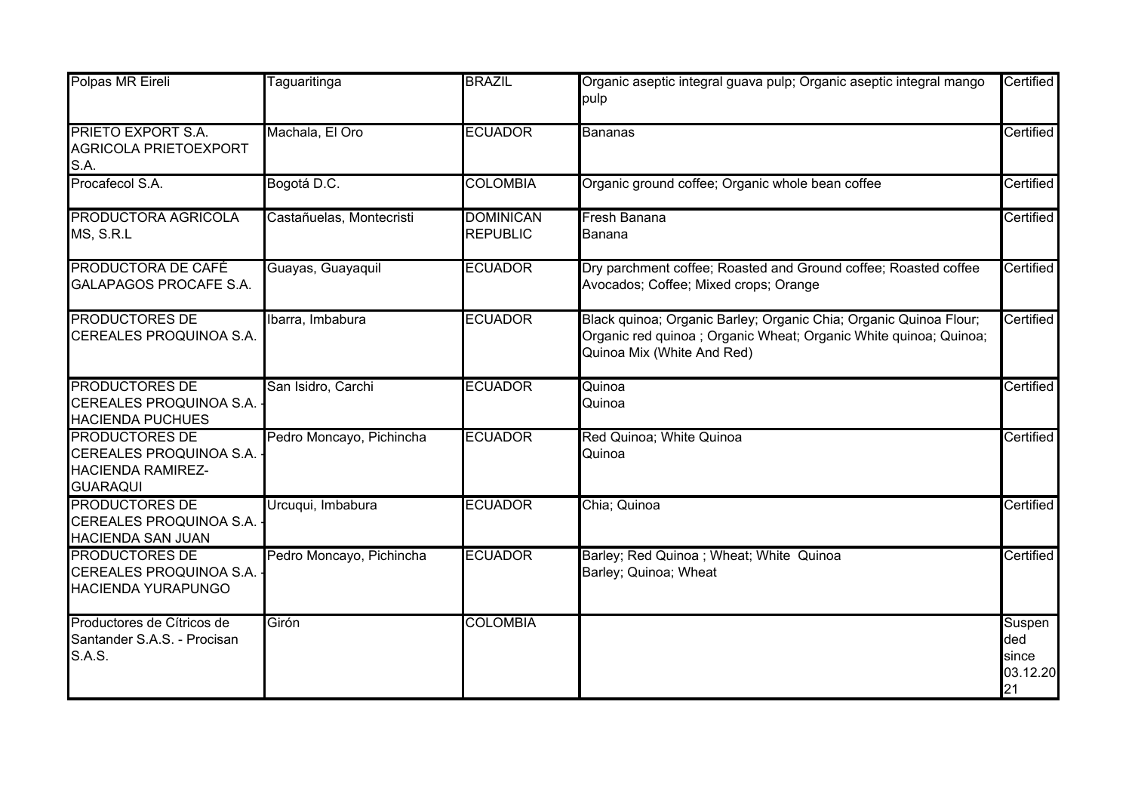| Polpas MR Eireli                                                                                | Taguaritinga             | <b>BRAZIL</b>                       | Organic aseptic integral guava pulp; Organic aseptic integral mango<br>pulp                                                                                          | Certified                                |
|-------------------------------------------------------------------------------------------------|--------------------------|-------------------------------------|----------------------------------------------------------------------------------------------------------------------------------------------------------------------|------------------------------------------|
| PRIETO EXPORT S.A.<br><b>AGRICOLA PRIETOEXPORT</b><br>S.A.                                      | Machala, El Oro          | <b>ECUADOR</b>                      | <b>Bananas</b>                                                                                                                                                       | Certified                                |
| Procafecol S.A.                                                                                 | Bogotá D.C.              | <b>COLOMBIA</b>                     | Organic ground coffee; Organic whole bean coffee                                                                                                                     | Certified                                |
| PRODUCTORA AGRICOLA<br>MS, S.R.L                                                                | Castañuelas, Montecristi | <b>DOMINICAN</b><br><b>REPUBLIC</b> | Fresh Banana<br>Banana                                                                                                                                               | Certified                                |
| PRODUCTORA DE CAFÉ<br><b>GALAPAGOS PROCAFE S.A.</b>                                             | Guayas, Guayaquil        | <b>ECUADOR</b>                      | Dry parchment coffee; Roasted and Ground coffee; Roasted coffee<br>Avocados; Coffee; Mixed crops; Orange                                                             | Certified                                |
| <b>PRODUCTORES DE</b><br>CEREALES PROQUINOA S.A.                                                | Ibarra, Imbabura         | <b>ECUADOR</b>                      | Black quinoa; Organic Barley; Organic Chia; Organic Quinoa Flour;<br>Organic red quinoa ; Organic Wheat; Organic White quinoa; Quinoa;<br>Quinoa Mix (White And Red) | Certified                                |
| <b>PRODUCTORES DE</b><br>CEREALES PROQUINOA S.A.<br><b>HACIENDA PUCHUES</b>                     | San Isidro, Carchi       | <b>ECUADOR</b>                      | Quinoa<br>Quinoa                                                                                                                                                     | Certified                                |
| <b>PRODUCTORES DE</b><br>CEREALES PROQUINOA S.A.<br><b>HACIENDA RAMIREZ-</b><br><b>GUARAQUI</b> | Pedro Moncayo, Pichincha | <b>ECUADOR</b>                      | Red Quinoa; White Quinoa<br>Quinoa                                                                                                                                   | Certified                                |
| <b>PRODUCTORES DE</b><br>CEREALES PROQUINOA S.A.<br><b>HACIENDA SAN JUAN</b>                    | Urcuqui, Imbabura        | <b>ECUADOR</b>                      | Chia; Quinoa                                                                                                                                                         | Certified                                |
| <b>PRODUCTORES DE</b><br>CEREALES PROQUINOA S.A.<br>HACIENDA YURAPUNGO                          | Pedro Moncayo, Pichincha | <b>ECUADOR</b>                      | Barley; Red Quinoa ; Wheat; White Quinoa<br>Barley; Quinoa; Wheat                                                                                                    | Certified                                |
| Productores de Cítricos de<br>Santander S.A.S. - Procisan<br><b>S.A.S.</b>                      | Girón                    | <b>COLOMBIA</b>                     |                                                                                                                                                                      | Suspen<br>ded<br>since<br>03.12.20<br>21 |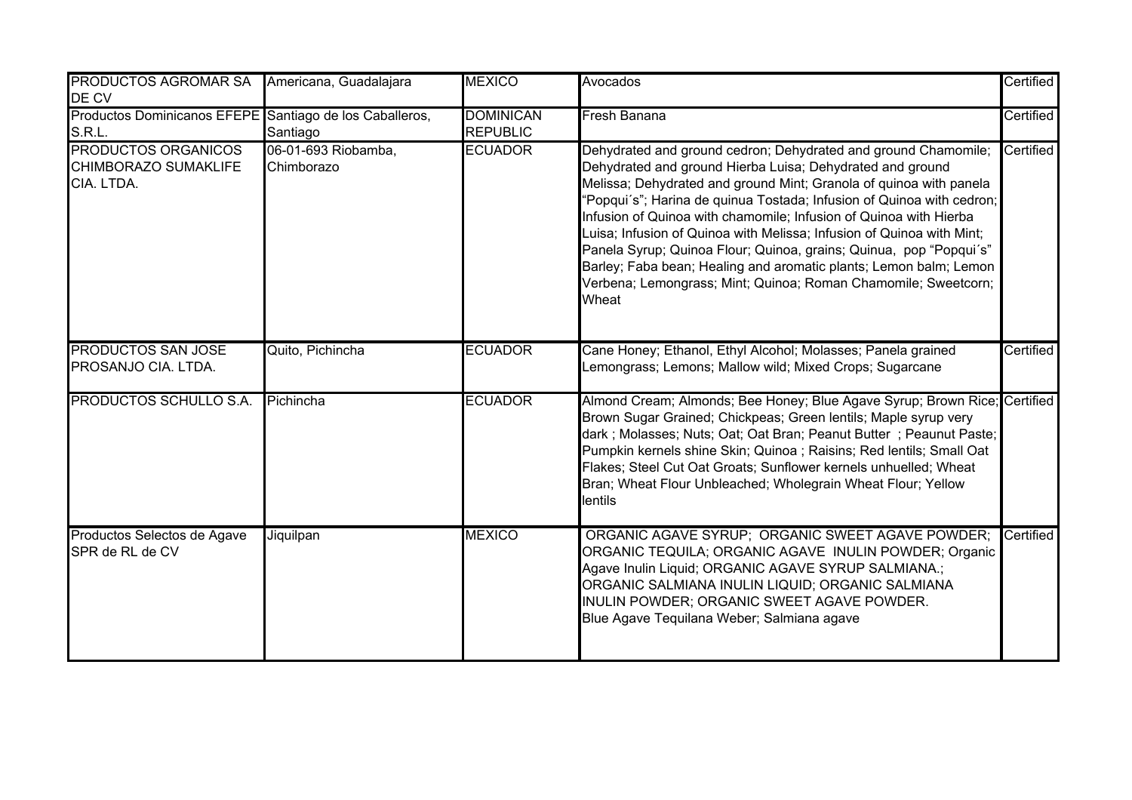| PRODUCTOS AGROMAR SA<br>DE CV                                     | Americana, Guadalajara            | <b>MEXICO</b>                       | Avocados                                                                                                                                                                                                                                                                                                                                                                                                                                                                                                                                                                                                                                       | Certified |
|-------------------------------------------------------------------|-----------------------------------|-------------------------------------|------------------------------------------------------------------------------------------------------------------------------------------------------------------------------------------------------------------------------------------------------------------------------------------------------------------------------------------------------------------------------------------------------------------------------------------------------------------------------------------------------------------------------------------------------------------------------------------------------------------------------------------------|-----------|
| Productos Dominicanos EFEPE Santiago de los Caballeros,<br>S.R.L. | Santiago                          | <b>DOMINICAN</b><br><b>REPUBLIC</b> | Fresh Banana                                                                                                                                                                                                                                                                                                                                                                                                                                                                                                                                                                                                                                   | Certified |
| PRODUCTOS ORGANICOS<br>CHIMBORAZO SUMAKLIFE<br>CIA. LTDA.         | 06-01-693 Riobamba,<br>Chimborazo | <b>ECUADOR</b>                      | Dehydrated and ground cedron; Dehydrated and ground Chamomile;<br>Dehydrated and ground Hierba Luisa; Dehydrated and ground<br>Melissa; Dehydrated and ground Mint; Granola of quinoa with panela<br>'Popqui's"; Harina de quinua Tostada; Infusion of Quinoa with cedron;<br>Infusion of Quinoa with chamomile; Infusion of Quinoa with Hierba<br>Luisa; Infusion of Quinoa with Melissa; Infusion of Quinoa with Mint;<br>Panela Syrup; Quinoa Flour; Quinoa, grains; Quinua, pop "Popqui's"<br>Barley; Faba bean; Healing and aromatic plants; Lemon balm; Lemon<br>Verbena; Lemongrass; Mint; Quinoa; Roman Chamomile; Sweetcorn;<br>Wheat | Certified |
| <b>PRODUCTOS SAN JOSE</b><br>PROSANJO CIA. LTDA.                  | Quito, Pichincha                  | <b>ECUADOR</b>                      | Cane Honey; Ethanol, Ethyl Alcohol; Molasses; Panela grained<br>Lemongrass; Lemons; Mallow wild; Mixed Crops; Sugarcane                                                                                                                                                                                                                                                                                                                                                                                                                                                                                                                        | Certified |
| PRODUCTOS SCHULLO S.A.                                            | Pichincha                         | <b>ECUADOR</b>                      | Almond Cream; Almonds; Bee Honey; Blue Agave Syrup; Brown Rice; Certified<br>Brown Sugar Grained; Chickpeas; Green lentils; Maple syrup very<br>dark; Molasses; Nuts; Oat; Oat Bran; Peanut Butter; Peaunut Paste;<br>Pumpkin kernels shine Skin; Quinoa ; Raisins; Red lentils; Small Oat<br>Flakes; Steel Cut Oat Groats; Sunflower kernels unhuelled; Wheat<br>Bran; Wheat Flour Unbleached; Wholegrain Wheat Flour; Yellow<br>lentils                                                                                                                                                                                                      |           |
| Productos Selectos de Agave<br>SPR de RL de CV                    | Jiquilpan                         | <b>MEXICO</b>                       | ORGANIC AGAVE SYRUP; ORGANIC SWEET AGAVE POWDER;<br>ORGANIC TEQUILA; ORGANIC AGAVE INULIN POWDER; Organic<br>Agave Inulin Liquid; ORGANIC AGAVE SYRUP SALMIANA.;<br>ORGANIC SALMIANA INULIN LIQUID; ORGANIC SALMIANA<br>INULIN POWDER; ORGANIC SWEET AGAVE POWDER.<br>Blue Agave Tequilana Weber; Salmiana agave                                                                                                                                                                                                                                                                                                                               | Certified |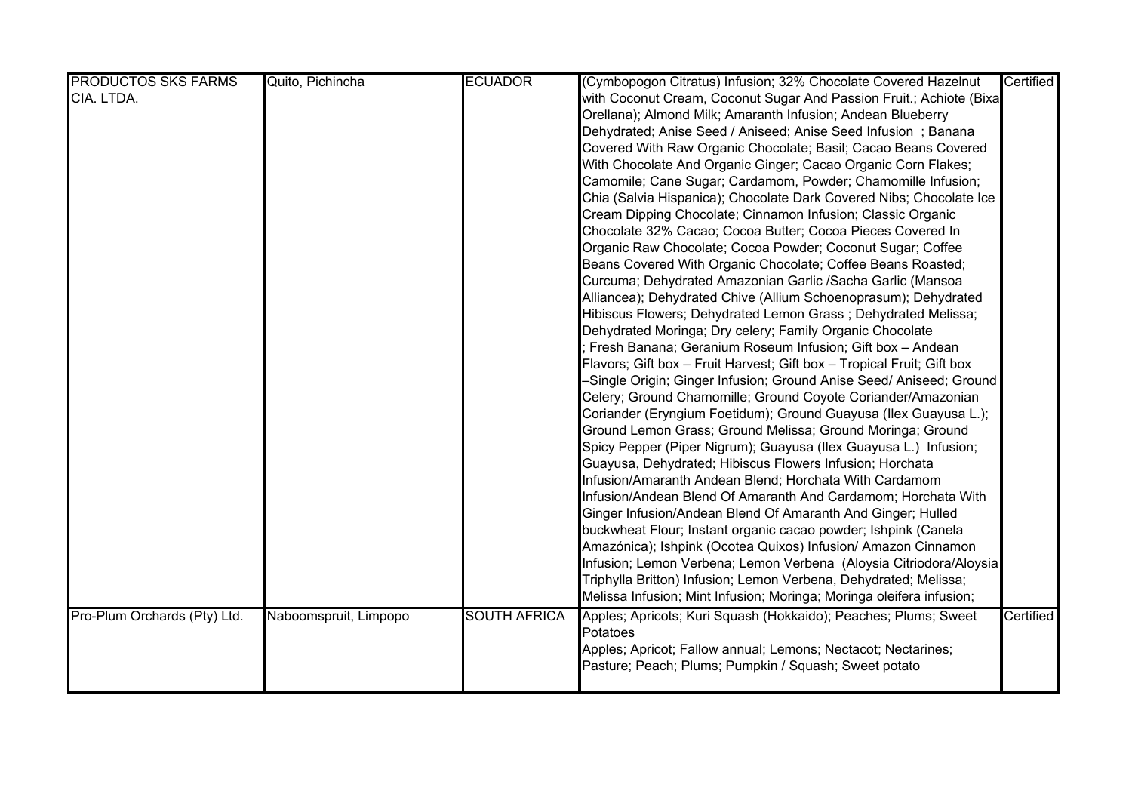| <b>PRODUCTOS SKS FARMS</b>   | Quito, Pichincha      | <b>ECUADOR</b>      | (Cymbopogon Citratus) Infusion; 32% Chocolate Covered Hazelnut         | Certified |
|------------------------------|-----------------------|---------------------|------------------------------------------------------------------------|-----------|
| CIA. LTDA.                   |                       |                     | with Coconut Cream, Coconut Sugar And Passion Fruit.; Achiote (Bixa    |           |
|                              |                       |                     | Orellana); Almond Milk; Amaranth Infusion; Andean Blueberry            |           |
|                              |                       |                     | Dehydrated; Anise Seed / Aniseed; Anise Seed Infusion; Banana          |           |
|                              |                       |                     | Covered With Raw Organic Chocolate; Basil; Cacao Beans Covered         |           |
|                              |                       |                     | With Chocolate And Organic Ginger; Cacao Organic Corn Flakes;          |           |
|                              |                       |                     | Camomile; Cane Sugar; Cardamom, Powder; Chamomille Infusion;           |           |
|                              |                       |                     | Chia (Salvia Hispanica); Chocolate Dark Covered Nibs; Chocolate Ice    |           |
|                              |                       |                     | Cream Dipping Chocolate; Cinnamon Infusion; Classic Organic            |           |
|                              |                       |                     | Chocolate 32% Cacao; Cocoa Butter; Cocoa Pieces Covered In             |           |
|                              |                       |                     | Organic Raw Chocolate; Cocoa Powder; Coconut Sugar; Coffee             |           |
|                              |                       |                     | Beans Covered With Organic Chocolate; Coffee Beans Roasted;            |           |
|                              |                       |                     | Curcuma; Dehydrated Amazonian Garlic /Sacha Garlic (Mansoa             |           |
|                              |                       |                     | Alliancea); Dehydrated Chive (Allium Schoenoprasum); Dehydrated        |           |
|                              |                       |                     | Hibiscus Flowers; Dehydrated Lemon Grass; Dehydrated Melissa;          |           |
|                              |                       |                     | Dehydrated Moringa; Dry celery; Family Organic Chocolate               |           |
|                              |                       |                     | Fresh Banana; Geranium Roseum Infusion; Gift box - Andean              |           |
|                              |                       |                     | Flavors; Gift box - Fruit Harvest; Gift box - Tropical Fruit; Gift box |           |
|                              |                       |                     | -Single Origin; Ginger Infusion; Ground Anise Seed/ Aniseed; Ground    |           |
|                              |                       |                     | Celery; Ground Chamomille; Ground Coyote Coriander/Amazonian           |           |
|                              |                       |                     | Coriander (Eryngium Foetidum); Ground Guayusa (Ilex Guayusa L.);       |           |
|                              |                       |                     | Ground Lemon Grass; Ground Melissa; Ground Moringa; Ground             |           |
|                              |                       |                     | Spicy Pepper (Piper Nigrum); Guayusa (Ilex Guayusa L.) Infusion;       |           |
|                              |                       |                     | Guayusa, Dehydrated; Hibiscus Flowers Infusion; Horchata               |           |
|                              |                       |                     | Infusion/Amaranth Andean Blend; Horchata With Cardamom                 |           |
|                              |                       |                     | Infusion/Andean Blend Of Amaranth And Cardamom; Horchata With          |           |
|                              |                       |                     | Ginger Infusion/Andean Blend Of Amaranth And Ginger; Hulled            |           |
|                              |                       |                     | buckwheat Flour; Instant organic cacao powder; Ishpink (Canela         |           |
|                              |                       |                     | Amazónica); Ishpink (Ocotea Quixos) Infusion/ Amazon Cinnamon          |           |
|                              |                       |                     | Infusion; Lemon Verbena; Lemon Verbena (Aloysia Citriodora/Aloysia     |           |
|                              |                       |                     | Triphylla Britton) Infusion; Lemon Verbena, Dehydrated; Melissa;       |           |
|                              |                       |                     | Melissa Infusion; Mint Infusion; Moringa; Moringa oleifera infusion;   |           |
| Pro-Plum Orchards (Pty) Ltd. | Naboomspruit, Limpopo | <b>SOUTH AFRICA</b> | Apples; Apricots; Kuri Squash (Hokkaido); Peaches; Plums; Sweet        | Certified |
|                              |                       |                     | Potatoes                                                               |           |
|                              |                       |                     | Apples; Apricot; Fallow annual; Lemons; Nectacot; Nectarines;          |           |
|                              |                       |                     | Pasture; Peach; Plums; Pumpkin / Squash; Sweet potato                  |           |
|                              |                       |                     |                                                                        |           |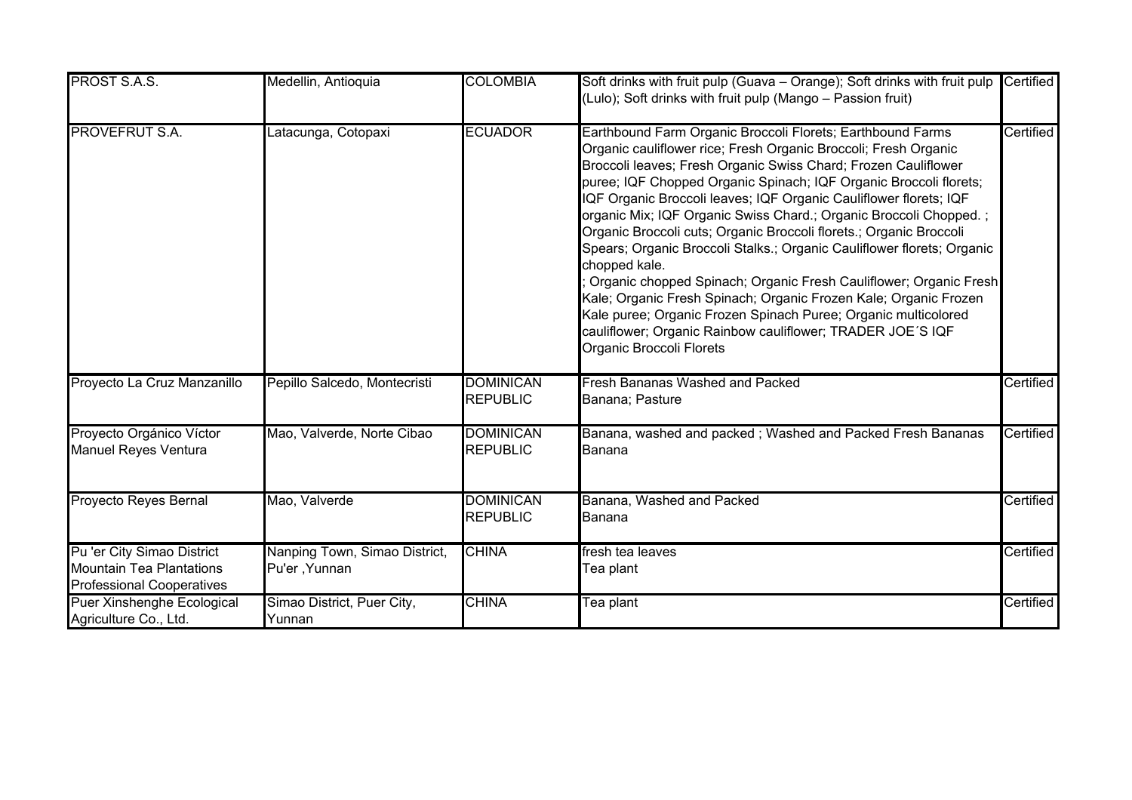| PROST S.A.S.                                                                                      | Medellin, Antioquia                            | <b>COLOMBIA</b>                     | Soft drinks with fruit pulp (Guava - Orange); Soft drinks with fruit pulp<br>(Lulo); Soft drinks with fruit pulp (Mango - Passion fruit)                                                                                                                                                                                                                                                                                                                                                                                                                                                                                                                                                                                                                                                                                                                                             | Certified |
|---------------------------------------------------------------------------------------------------|------------------------------------------------|-------------------------------------|--------------------------------------------------------------------------------------------------------------------------------------------------------------------------------------------------------------------------------------------------------------------------------------------------------------------------------------------------------------------------------------------------------------------------------------------------------------------------------------------------------------------------------------------------------------------------------------------------------------------------------------------------------------------------------------------------------------------------------------------------------------------------------------------------------------------------------------------------------------------------------------|-----------|
| <b>PROVEFRUT S.A.</b>                                                                             | Latacunga, Cotopaxi                            | <b>ECUADOR</b>                      | Earthbound Farm Organic Broccoli Florets; Earthbound Farms<br>Organic cauliflower rice; Fresh Organic Broccoli; Fresh Organic<br>Broccoli leaves; Fresh Organic Swiss Chard; Frozen Cauliflower<br>puree; IQF Chopped Organic Spinach; IQF Organic Broccoli florets;<br>IQF Organic Broccoli leaves; IQF Organic Cauliflower florets; IQF<br>organic Mix; IQF Organic Swiss Chard.; Organic Broccoli Chopped.;<br>Organic Broccoli cuts; Organic Broccoli florets.; Organic Broccoli<br>Spears; Organic Broccoli Stalks.; Organic Cauliflower florets; Organic<br>chopped kale.<br>Organic chopped Spinach; Organic Fresh Cauliflower; Organic Fresh<br>Kale; Organic Fresh Spinach; Organic Frozen Kale; Organic Frozen<br>Kale puree; Organic Frozen Spinach Puree; Organic multicolored<br>cauliflower; Organic Rainbow cauliflower; TRADER JOE'S IQF<br>Organic Broccoli Florets | Certified |
| Proyecto La Cruz Manzanillo                                                                       | Pepillo Salcedo, Montecristi                   | <b>DOMINICAN</b><br><b>REPUBLIC</b> | <b>Fresh Bananas Washed and Packed</b><br>Banana; Pasture                                                                                                                                                                                                                                                                                                                                                                                                                                                                                                                                                                                                                                                                                                                                                                                                                            | Certified |
| Proyecto Orgánico Víctor<br><b>Manuel Reyes Ventura</b>                                           | Mao, Valverde, Norte Cibao                     | <b>DOMINICAN</b><br><b>REPUBLIC</b> | Banana, washed and packed; Washed and Packed Fresh Bananas<br>Banana                                                                                                                                                                                                                                                                                                                                                                                                                                                                                                                                                                                                                                                                                                                                                                                                                 | Certified |
| Proyecto Reyes Bernal                                                                             | Mao, Valverde                                  | <b>DOMINICAN</b><br><b>REPUBLIC</b> | Banana, Washed and Packed<br>Banana                                                                                                                                                                                                                                                                                                                                                                                                                                                                                                                                                                                                                                                                                                                                                                                                                                                  | Certified |
| Pu 'er City Simao District<br><b>Mountain Tea Plantations</b><br><b>Professional Cooperatives</b> | Nanping Town, Simao District,<br>Pu'er, Yunnan | <b>CHINA</b>                        | fresh tea leaves<br>Tea plant                                                                                                                                                                                                                                                                                                                                                                                                                                                                                                                                                                                                                                                                                                                                                                                                                                                        | Certified |
| Puer Xinshenghe Ecological<br>Agriculture Co., Ltd.                                               | Simao District, Puer City,<br>Yunnan           | <b>CHINA</b>                        | Tea plant                                                                                                                                                                                                                                                                                                                                                                                                                                                                                                                                                                                                                                                                                                                                                                                                                                                                            | Certified |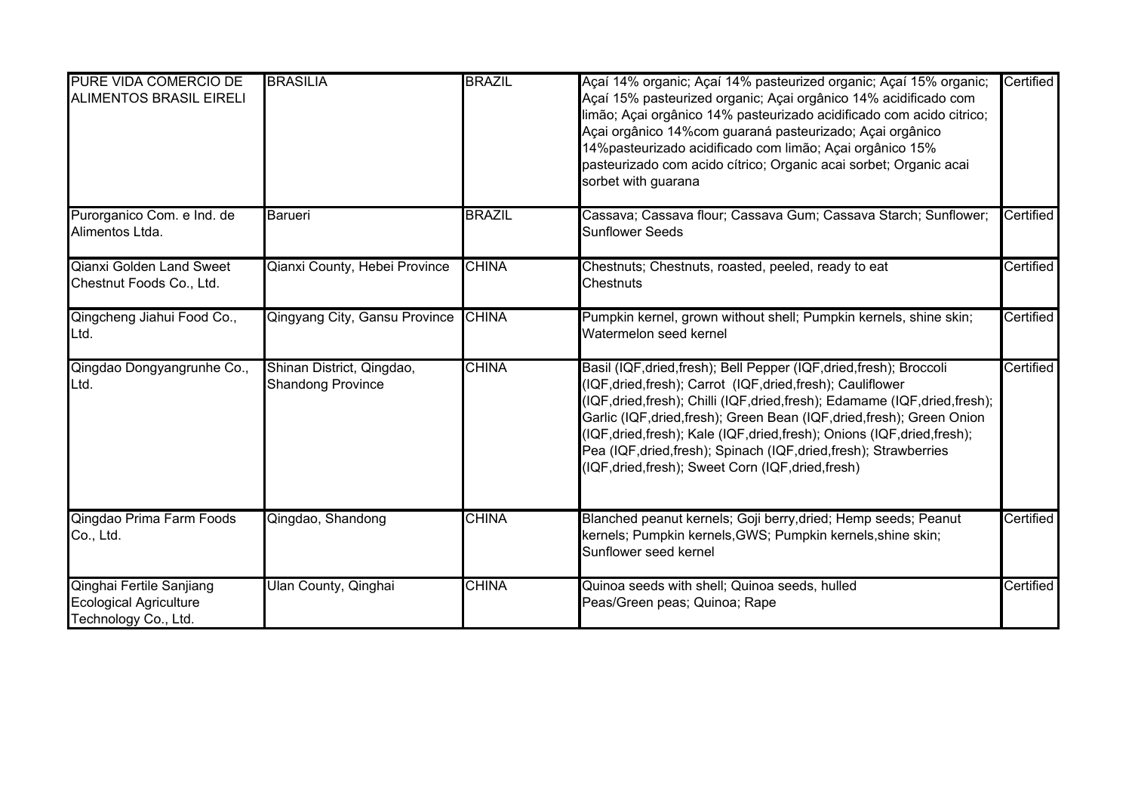| PURE VIDA COMERCIO DE<br><b>ALIMENTOS BRASIL EIRELI</b>                           | <b>BRASILIA</b>                                       | <b>BRAZIL</b> | Açaí 14% organic; Açaí 14% pasteurized organic; Açaí 15% organic;<br>Açaí 15% pasteurized organic; Açai orgânico 14% acidificado com<br>limão; Açai orgânico 14% pasteurizado acidificado com acido citrico;<br>Açai orgânico 14% com guaraná pasteurizado; Açai orgânico<br>14% pasteurizado acidificado com limão; Açai orgânico 15%<br>pasteurizado com acido cítrico; Organic acai sorbet; Organic acai<br>sorbet with guarana                                                                              | Certified |
|-----------------------------------------------------------------------------------|-------------------------------------------------------|---------------|-----------------------------------------------------------------------------------------------------------------------------------------------------------------------------------------------------------------------------------------------------------------------------------------------------------------------------------------------------------------------------------------------------------------------------------------------------------------------------------------------------------------|-----------|
| Purorganico Com. e Ind. de<br>Alimentos Ltda.                                     | <b>Barueri</b>                                        | <b>BRAZIL</b> | Cassava; Cassava flour; Cassava Gum; Cassava Starch; Sunflower;<br><b>Sunflower Seeds</b>                                                                                                                                                                                                                                                                                                                                                                                                                       | Certified |
| <b>Qianxi Golden Land Sweet</b><br>Chestnut Foods Co., Ltd.                       | Qianxi County, Hebei Province                         | <b>CHINA</b>  | Chestnuts; Chestnuts, roasted, peeled, ready to eat<br>Chestnuts                                                                                                                                                                                                                                                                                                                                                                                                                                                | Certified |
| Qingcheng Jiahui Food Co.,<br>Ltd.                                                | Qingyang City, Gansu Province                         | <b>CHINA</b>  | Pumpkin kernel, grown without shell; Pumpkin kernels, shine skin;<br>Watermelon seed kernel                                                                                                                                                                                                                                                                                                                                                                                                                     | Certified |
| Qingdao Dongyangrunhe Co.,<br>Ltd.                                                | Shinan District, Qingdao,<br><b>Shandong Province</b> | <b>CHINA</b>  | Basil (IQF, dried, fresh); Bell Pepper (IQF, dried, fresh); Broccoli<br>(IQF,dried,fresh);        Carrot (IQF,dried,fresh);        Cauliflower<br>(IQF, dried, fresh); Chilli (IQF, dried, fresh); Edamame (IQF, dried, fresh);<br>Garlic (IQF, dried, fresh); Green Bean (IQF, dried, fresh); Green Onion<br>(IQF,dried,fresh); Kale (IQF,dried,fresh); Onions (IQF,dried,fresh);<br>Pea (IQF, dried, fresh); Spinach (IQF, dried, fresh); Strawberries<br>(IQF, dried, fresh); Sweet Corn (IQF, dried, fresh) | Certified |
| Qingdao Prima Farm Foods<br>Co., Ltd.                                             | Qingdao, Shandong                                     | <b>CHINA</b>  | Blanched peanut kernels; Goji berry, dried; Hemp seeds; Peanut<br>kernels; Pumpkin kernels, GWS; Pumpkin kernels, shine skin;<br>Sunflower seed kernel                                                                                                                                                                                                                                                                                                                                                          | Certified |
| Qinghai Fertile Sanjiang<br><b>Ecological Agriculture</b><br>Technology Co., Ltd. | Ulan County, Qinghai                                  | <b>CHINA</b>  | Quinoa seeds with shell; Quinoa seeds, hulled<br>Peas/Green peas; Quinoa; Rape                                                                                                                                                                                                                                                                                                                                                                                                                                  | Certified |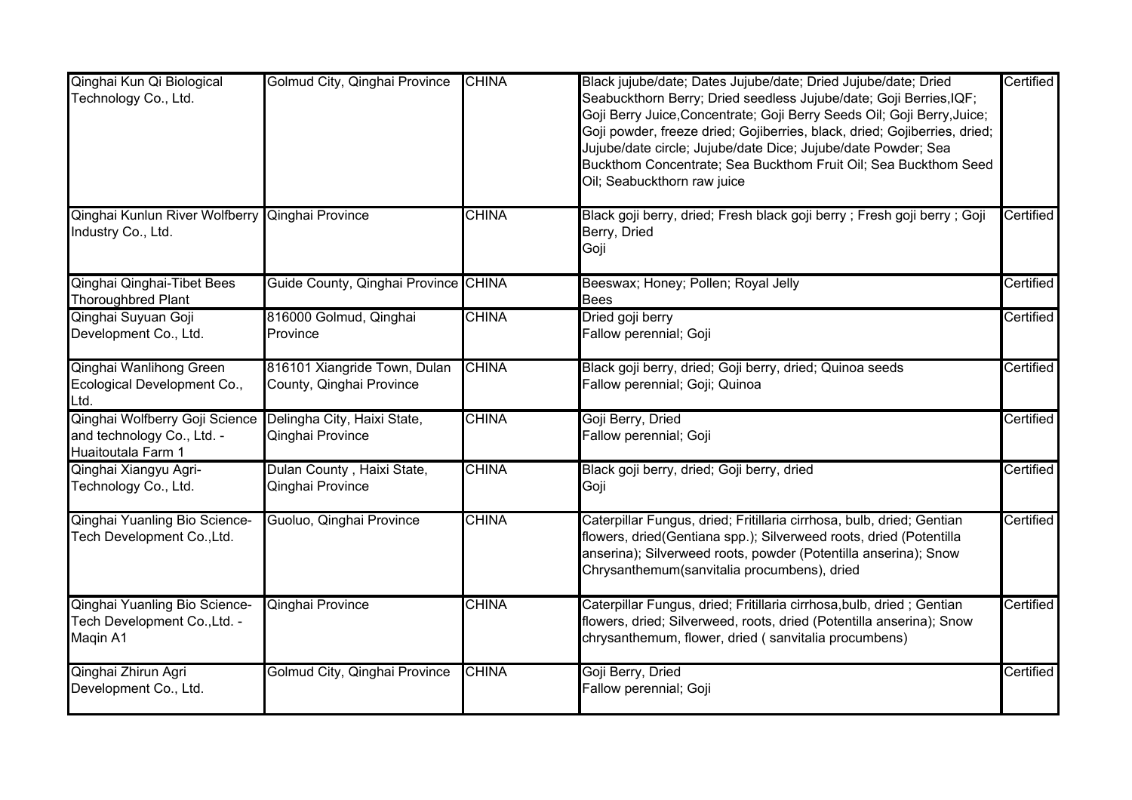| Qinghai Kun Qi Biological<br>Technology Co., Ltd.                                                              | Golmud City, Qinghai Province                            | <b>CHINA</b> | Black jujube/date; Dates Jujube/date; Dried Jujube/date; Dried<br>Seabuckthorn Berry; Dried seedless Jujube/date; Goji Berries, IQF;<br>Goji Berry Juice, Concentrate; Goji Berry Seeds Oil; Goji Berry, Juice;<br>Goji powder, freeze dried; Gojiberries, black, dried; Gojiberries, dried;<br>Jujube/date circle; Jujube/date Dice; Jujube/date Powder; Sea<br>Buckthom Concentrate; Sea Buckthom Fruit Oil; Sea Buckthom Seed<br>Oil; Seabuckthorn raw juice | Certified |
|----------------------------------------------------------------------------------------------------------------|----------------------------------------------------------|--------------|-----------------------------------------------------------------------------------------------------------------------------------------------------------------------------------------------------------------------------------------------------------------------------------------------------------------------------------------------------------------------------------------------------------------------------------------------------------------|-----------|
| Qinghai Kunlun River Wolfberry Qinghai Province<br>Industry Co., Ltd.                                          |                                                          | <b>CHINA</b> | Black goji berry, dried; Fresh black goji berry; Fresh goji berry; Goji<br>Berry, Dried<br>Goji                                                                                                                                                                                                                                                                                                                                                                 | Certified |
| Qinghai Qinghai-Tibet Bees<br><b>Thoroughbred Plant</b>                                                        | Guide County, Qinghai Province CHINA                     |              | Beeswax; Honey; Pollen; Royal Jelly<br><b>Bees</b>                                                                                                                                                                                                                                                                                                                                                                                                              | Certified |
| Qinghai Suyuan Goji<br>Development Co., Ltd.                                                                   | 816000 Golmud, Qinghai<br>Province                       | <b>CHINA</b> | Dried goji berry<br>Fallow perennial; Goji                                                                                                                                                                                                                                                                                                                                                                                                                      | Certified |
| Qinghai Wanlihong Green<br>Ecological Development Co.,<br>Ltd.                                                 | 816101 Xiangride Town, Dulan<br>County, Qinghai Province | <b>CHINA</b> | Black goji berry, dried; Goji berry, dried; Quinoa seeds<br>Fallow perennial; Goji; Quinoa                                                                                                                                                                                                                                                                                                                                                                      | Certified |
| Qinghai Wolfberry Goji Science Delingha City, Haixi State,<br>and technology Co., Ltd. -<br>Huaitoutala Farm 1 | Qinghai Province                                         | <b>CHINA</b> | Goji Berry, Dried<br>Fallow perennial; Goji                                                                                                                                                                                                                                                                                                                                                                                                                     | Certified |
| Qinghai Xiangyu Agri-<br>Technology Co., Ltd.                                                                  | Dulan County, Haixi State,<br>Qinghai Province           | <b>CHINA</b> | Black goji berry, dried; Goji berry, dried<br>Goji                                                                                                                                                                                                                                                                                                                                                                                                              | Certified |
| Qinghai Yuanling Bio Science-<br>Tech Development Co., Ltd.                                                    | Guoluo, Qinghai Province                                 | <b>CHINA</b> | Caterpillar Fungus, dried; Fritillaria cirrhosa, bulb, dried; Gentian<br>flowers, dried(Gentiana spp.); Silverweed roots, dried (Potentilla<br>anserina); Silverweed roots, powder (Potentilla anserina); Snow<br>Chrysanthemum(sanvitalia procumbens), dried                                                                                                                                                                                                   | Certified |
| Qinghai Yuanling Bio Science-<br>Tech Development Co., Ltd. -<br>Maqin A1                                      | Qinghai Province                                         | <b>CHINA</b> | Caterpillar Fungus, dried; Fritillaria cirrhosa, bulb, dried; Gentian<br>flowers, dried; Silverweed, roots, dried (Potentilla anserina); Snow<br>chrysanthemum, flower, dried (sanvitalia procumbens)                                                                                                                                                                                                                                                           | Certified |
| Qinghai Zhirun Agri<br>Development Co., Ltd.                                                                   | Golmud City, Qinghai Province                            | <b>CHINA</b> | Goji Berry, Dried<br>Fallow perennial; Goji                                                                                                                                                                                                                                                                                                                                                                                                                     | Certified |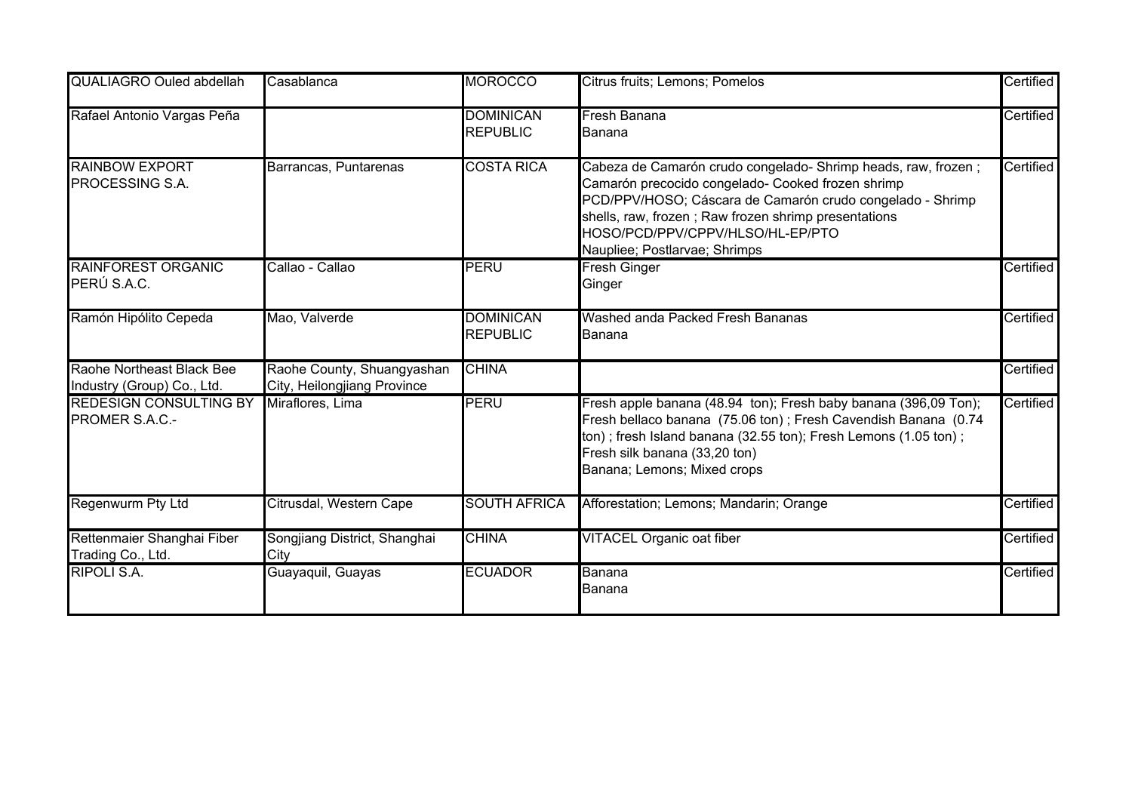| <b>QUALIAGRO Ouled abdellah</b>                         | Casablanca                                                | <b>MOROCCO</b>                      | Citrus fruits; Lemons; Pomelos                                                                                                                                                                                                                                                                               | Certified |
|---------------------------------------------------------|-----------------------------------------------------------|-------------------------------------|--------------------------------------------------------------------------------------------------------------------------------------------------------------------------------------------------------------------------------------------------------------------------------------------------------------|-----------|
| Rafael Antonio Vargas Peña                              |                                                           | <b>DOMINICAN</b><br><b>REPUBLIC</b> | Fresh Banana<br>Banana                                                                                                                                                                                                                                                                                       | Certified |
| <b>RAINBOW EXPORT</b><br><b>PROCESSING S.A.</b>         | Barrancas, Puntarenas                                     | <b>COSTA RICA</b>                   | Cabeza de Camarón crudo congelado- Shrimp heads, raw, frozen;<br>Camarón precocido congelado- Cooked frozen shrimp<br>PCD/PPV/HOSO; Cáscara de Camarón crudo congelado - Shrimp<br>shells, raw, frozen; Raw frozen shrimp presentations<br>HOSO/PCD/PPV/CPPV/HLSO/HL-EP/PTO<br>Naupliee; Postlarvae; Shrimps | Certified |
| <b>RAINFOREST ORGANIC</b><br>PERÚ S.A.C.                | Callao - Callao                                           | PERU                                | Fresh Ginger<br>Ginger                                                                                                                                                                                                                                                                                       | Certified |
| Ramón Hipólito Cepeda                                   | Mao, Valverde                                             | <b>DOMINICAN</b><br><b>REPUBLIC</b> | Washed anda Packed Fresh Bananas<br>Banana                                                                                                                                                                                                                                                                   | Certified |
| Raohe Northeast Black Bee<br>Industry (Group) Co., Ltd. | Raohe County, Shuangyashan<br>City, Heilongjiang Province | <b>CHINA</b>                        |                                                                                                                                                                                                                                                                                                              | Certified |
| <b>REDESIGN CONSULTING BY</b><br><b>PROMER S.A.C.-</b>  | Miraflores, Lima                                          | <b>PERU</b>                         | Fresh apple banana (48.94 ton); Fresh baby banana (396,09 Ton);<br>Fresh bellaco banana (75.06 ton); Fresh Cavendish Banana (0.74<br>ton) ; fresh Island banana (32.55 ton); Fresh Lemons (1.05 ton) ;<br>Fresh silk banana (33,20 ton)<br>Banana; Lemons; Mixed crops                                       | Certified |
| <b>Regenwurm Pty Ltd</b>                                | Citrusdal, Western Cape                                   | <b>SOUTH AFRICA</b>                 | Afforestation; Lemons; Mandarin; Orange                                                                                                                                                                                                                                                                      | Certified |
| Rettenmaier Shanghai Fiber<br>Trading Co., Ltd.         | Songjiang District, Shanghai<br>City                      | <b>CHINA</b>                        | <b>VITACEL Organic oat fiber</b>                                                                                                                                                                                                                                                                             | Certified |
| <b>RIPOLI S.A.</b>                                      | Guayaquil, Guayas                                         | <b>ECUADOR</b>                      | Banana<br>Banana                                                                                                                                                                                                                                                                                             | Certified |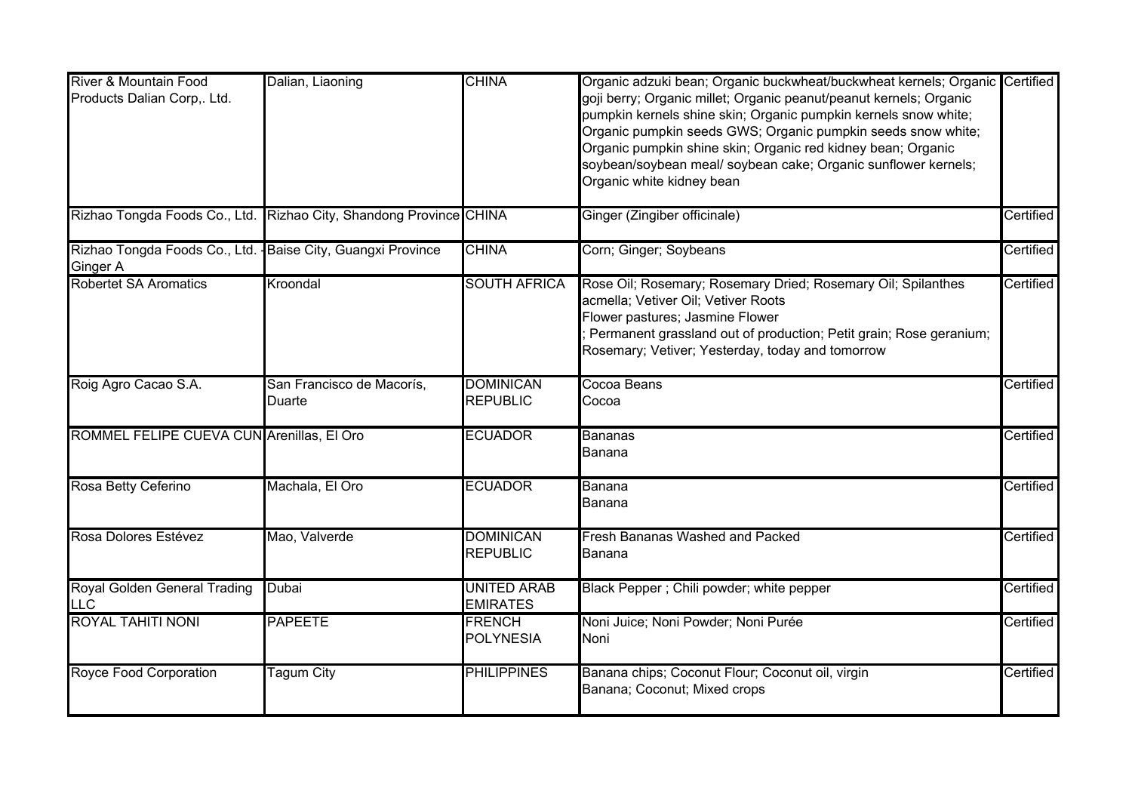| River & Mountain Food                                        | Dalian, Liaoning                                                   | <b>CHINA</b>        | Organic adzuki bean; Organic buckwheat/buckwheat kernels; Organic Certified |           |
|--------------------------------------------------------------|--------------------------------------------------------------------|---------------------|-----------------------------------------------------------------------------|-----------|
| Products Dalian Corp,. Ltd.                                  |                                                                    |                     | goji berry; Organic millet; Organic peanut/peanut kernels; Organic          |           |
|                                                              |                                                                    |                     | pumpkin kernels shine skin; Organic pumpkin kernels snow white;             |           |
|                                                              |                                                                    |                     | Organic pumpkin seeds GWS; Organic pumpkin seeds snow white;                |           |
|                                                              |                                                                    |                     | Organic pumpkin shine skin; Organic red kidney bean; Organic                |           |
|                                                              |                                                                    |                     | soybean/soybean meal/ soybean cake; Organic sunflower kernels;              |           |
|                                                              |                                                                    |                     | Organic white kidney bean                                                   |           |
|                                                              | Rizhao Tongda Foods Co., Ltd. Rizhao City, Shandong Province CHINA |                     | Ginger (Zingiber officinale)                                                | Certified |
| Rizhao Tongda Foods Co., Ltd. - Baise City, Guangxi Province |                                                                    | <b>CHINA</b>        | Corn; Ginger; Soybeans                                                      | Certified |
| Ginger A                                                     |                                                                    |                     |                                                                             |           |
| <b>Robertet SA Aromatics</b>                                 | Kroondal                                                           | <b>SOUTH AFRICA</b> | Rose Oil; Rosemary; Rosemary Dried; Rosemary Oil; Spilanthes                | Certified |
|                                                              |                                                                    |                     | acmella; Vetiver Oil; Vetiver Roots                                         |           |
|                                                              |                                                                    |                     | Flower pastures; Jasmine Flower                                             |           |
|                                                              |                                                                    |                     | Permanent grassland out of production; Petit grain; Rose geranium;          |           |
|                                                              |                                                                    |                     | Rosemary; Vetiver; Yesterday, today and tomorrow                            |           |
| Roig Agro Cacao S.A.                                         | San Francisco de Macorís,                                          | <b>DOMINICAN</b>    | Cocoa Beans                                                                 | Certified |
|                                                              | Duarte                                                             | <b>REPUBLIC</b>     | Cocoa                                                                       |           |
| ROMMEL FELIPE CUEVA CUN Arenillas, El Oro                    |                                                                    | <b>ECUADOR</b>      | <b>Bananas</b>                                                              | Certified |
|                                                              |                                                                    |                     | Banana                                                                      |           |
| Rosa Betty Ceferino                                          | Machala, El Oro                                                    | <b>ECUADOR</b>      | Banana                                                                      | Certified |
|                                                              |                                                                    |                     | Banana                                                                      |           |
| Rosa Dolores Estévez                                         | Mao, Valverde                                                      | <b>DOMINICAN</b>    | <b>Fresh Bananas Washed and Packed</b>                                      | Certified |
|                                                              |                                                                    | <b>REPUBLIC</b>     | Banana                                                                      |           |
| Royal Golden General Trading                                 | Dubai                                                              | <b>UNITED ARAB</b>  | Black Pepper; Chili powder; white pepper                                    | Certified |
| <b>LLC</b>                                                   |                                                                    | <b>EMIRATES</b>     |                                                                             |           |
| <b>ROYAL TAHITI NONI</b>                                     | <b>PAPEETE</b>                                                     | <b>FRENCH</b>       | Noni Juice; Noni Powder; Noni Purée                                         | Certified |
|                                                              |                                                                    | <b>POLYNESIA</b>    | Noni                                                                        |           |
| <b>Royce Food Corporation</b>                                | <b>Tagum City</b>                                                  | <b>PHILIPPINES</b>  | Banana chips; Coconut Flour; Coconut oil, virgin                            | Certified |
|                                                              |                                                                    |                     | Banana; Coconut; Mixed crops                                                |           |
|                                                              |                                                                    |                     |                                                                             |           |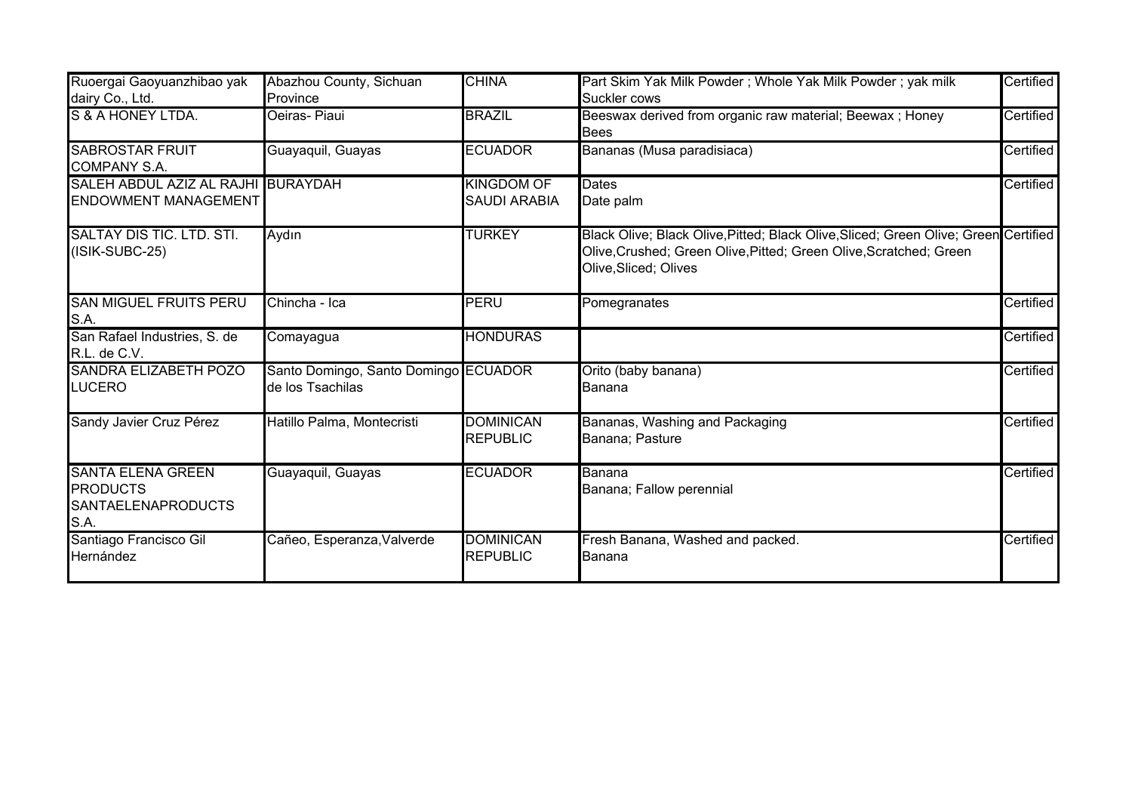| Ruoergai Gaoyuanzhibao yak<br>dairy Co., Ltd.                                    | Abazhou County, Sichuan<br>Province                      | <b>CHINA</b>                             | Part Skim Yak Milk Powder; Whole Yak Milk Powder; yak milk<br>Suckler cows                                                                                                         | Certified |
|----------------------------------------------------------------------------------|----------------------------------------------------------|------------------------------------------|------------------------------------------------------------------------------------------------------------------------------------------------------------------------------------|-----------|
| S & A HONEY LTDA.                                                                | Oeiras-Piaui                                             | <b>BRAZIL</b>                            | Beeswax derived from organic raw material; Beewax ; Honey<br><b>Bees</b>                                                                                                           | Certified |
| <b>SABROSTAR FRUIT</b><br><b>COMPANY S.A.</b>                                    | Guayaquil, Guayas                                        | <b>ECUADOR</b>                           | Bananas (Musa paradisiaca)                                                                                                                                                         | Certified |
| SALEH ABDUL AZIZ AL RAJHI BURAYDAH<br><b>ENDOWMENT MANAGEMENT</b>                |                                                          | <b>KINGDOM OF</b><br><b>SAUDI ARABIA</b> | Dates<br>Date palm                                                                                                                                                                 | Certified |
| <b>SALTAY DIS TIC. LTD. STI.</b><br>(ISIK-SUBC-25)                               | Aydın                                                    | <b>TURKEY</b>                            | Black Olive; Black Olive, Pitted; Black Olive, Sliced; Green Olive; Green Certified<br>Olive, Crushed; Green Olive, Pitted; Green Olive, Scratched; Green<br>Olive, Sliced; Olives |           |
| <b>SAN MIGUEL FRUITS PERU</b><br>S.A.                                            | Chincha - Ica                                            | PERU                                     | Pomegranates                                                                                                                                                                       | Certified |
| San Rafael Industries, S. de<br>R.L. de C.V.                                     | Comayagua                                                | <b>HONDURAS</b>                          |                                                                                                                                                                                    | Certified |
| <b>SANDRA ELIZABETH POZO</b><br><b>LUCERO</b>                                    | Santo Domingo, Santo Domingo ECUADOR<br>de los Tsachilas |                                          | Orito (baby banana)<br>Banana                                                                                                                                                      | Certified |
| Sandy Javier Cruz Pérez                                                          | Hatillo Palma, Montecristi                               | <b>DOMINICAN</b><br><b>REPUBLIC</b>      | Bananas, Washing and Packaging<br>Banana; Pasture                                                                                                                                  | Certified |
| <b>SANTA ELENA GREEN</b><br><b>PRODUCTS</b><br><b>SANTAELENAPRODUCTS</b><br>S.A. | Guayaquil, Guayas                                        | <b>ECUADOR</b>                           | Banana<br>Banana; Fallow perennial                                                                                                                                                 | Certified |
| Santiago Francisco Gil<br>Hernández                                              | Cañeo, Esperanza, Valverde                               | <b>DOMINICAN</b><br><b>REPUBLIC</b>      | Fresh Banana, Washed and packed.<br>Banana                                                                                                                                         | Certified |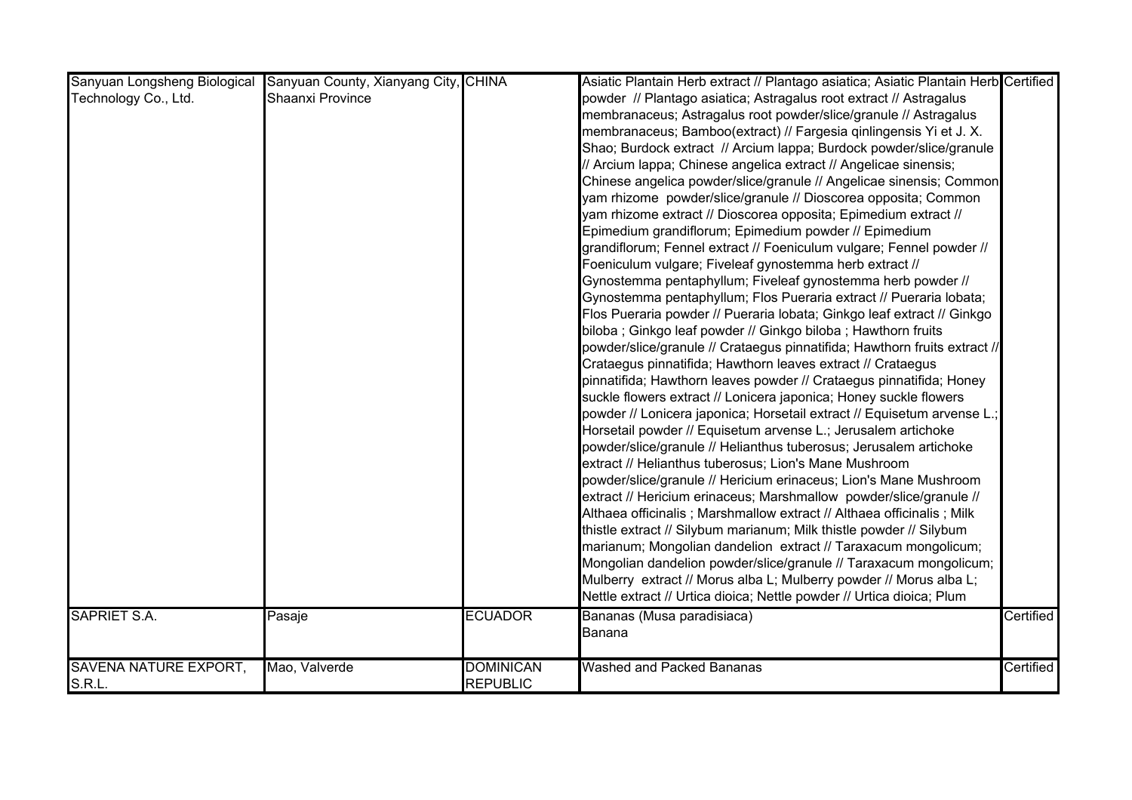| Sanyuan Longsheng Biological | Sanyuan County, Xianyang City, CHINA |                  | Asiatic Plantain Herb extract // Plantago asiatica; Asiatic Plantain Herb Certified |           |
|------------------------------|--------------------------------------|------------------|-------------------------------------------------------------------------------------|-----------|
| Technology Co., Ltd.         | Shaanxi Province                     |                  | powder // Plantago asiatica; Astragalus root extract // Astragalus                  |           |
|                              |                                      |                  | membranaceus; Astragalus root powder/slice/granule // Astragalus                    |           |
|                              |                                      |                  | membranaceus; Bamboo(extract) // Fargesia qinlingensis Yi et J. X.                  |           |
|                              |                                      |                  | Shao; Burdock extract // Arcium lappa; Burdock powder/slice/granule                 |           |
|                              |                                      |                  | // Arcium lappa; Chinese angelica extract // Angelicae sinensis;                    |           |
|                              |                                      |                  | Chinese angelica powder/slice/granule // Angelicae sinensis; Common                 |           |
|                              |                                      |                  | yam rhizome powder/slice/granule // Dioscorea opposita; Common                      |           |
|                              |                                      |                  | yam rhizome extract // Dioscorea opposita; Epimedium extract //                     |           |
|                              |                                      |                  | Epimedium grandiflorum; Epimedium powder // Epimedium                               |           |
|                              |                                      |                  | grandiflorum; Fennel extract // Foeniculum vulgare; Fennel powder //                |           |
|                              |                                      |                  | Foeniculum vulgare; Fiveleaf gynostemma herb extract //                             |           |
|                              |                                      |                  | Gynostemma pentaphyllum; Fiveleaf gynostemma herb powder //                         |           |
|                              |                                      |                  | Gynostemma pentaphyllum; Flos Pueraria extract // Pueraria lobata;                  |           |
|                              |                                      |                  | Flos Pueraria powder // Pueraria lobata; Ginkgo leaf extract // Ginkgo              |           |
|                              |                                      |                  | biloba; Ginkgo leaf powder // Ginkgo biloba; Hawthorn fruits                        |           |
|                              |                                      |                  | powder/slice/granule // Crataegus pinnatifida; Hawthorn fruits extract //           |           |
|                              |                                      |                  | Crataegus pinnatifida; Hawthorn leaves extract // Crataegus                         |           |
|                              |                                      |                  | pinnatifida; Hawthorn leaves powder // Crataegus pinnatifida; Honey                 |           |
|                              |                                      |                  | suckle flowers extract // Lonicera japonica; Honey suckle flowers                   |           |
|                              |                                      |                  | powder // Lonicera japonica; Horsetail extract // Equisetum arvense L.;             |           |
|                              |                                      |                  | Horsetail powder // Equisetum arvense L.; Jerusalem artichoke                       |           |
|                              |                                      |                  | powder/slice/granule // Helianthus tuberosus; Jerusalem artichoke                   |           |
|                              |                                      |                  | extract // Helianthus tuberosus; Lion's Mane Mushroom                               |           |
|                              |                                      |                  | powder/slice/granule // Hericium erinaceus; Lion's Mane Mushroom                    |           |
|                              |                                      |                  | extract // Hericium erinaceus; Marshmallow powder/slice/granule //                  |           |
|                              |                                      |                  | Althaea officinalis; Marshmallow extract // Althaea officinalis; Milk               |           |
|                              |                                      |                  | thistle extract // Silybum marianum; Milk thistle powder // Silybum                 |           |
|                              |                                      |                  | marianum; Mongolian dandelion extract // Taraxacum mongolicum;                      |           |
|                              |                                      |                  | Mongolian dandelion powder/slice/granule // Taraxacum mongolicum;                   |           |
|                              |                                      |                  | Mulberry extract // Morus alba L; Mulberry powder // Morus alba L;                  |           |
|                              |                                      |                  | Nettle extract // Urtica dioica; Nettle powder // Urtica dioica; Plum               |           |
| <b>SAPRIET S.A.</b>          | Pasaje                               | <b>ECUADOR</b>   | Bananas (Musa paradisiaca)                                                          | Certified |
|                              |                                      |                  | Banana                                                                              |           |
|                              |                                      |                  |                                                                                     |           |
| <b>SAVENA NATURE EXPORT,</b> | Mao, Valverde                        | <b>DOMINICAN</b> | <b>Washed and Packed Bananas</b>                                                    | Certified |
| S.R.L.                       |                                      | <b>REPUBLIC</b>  |                                                                                     |           |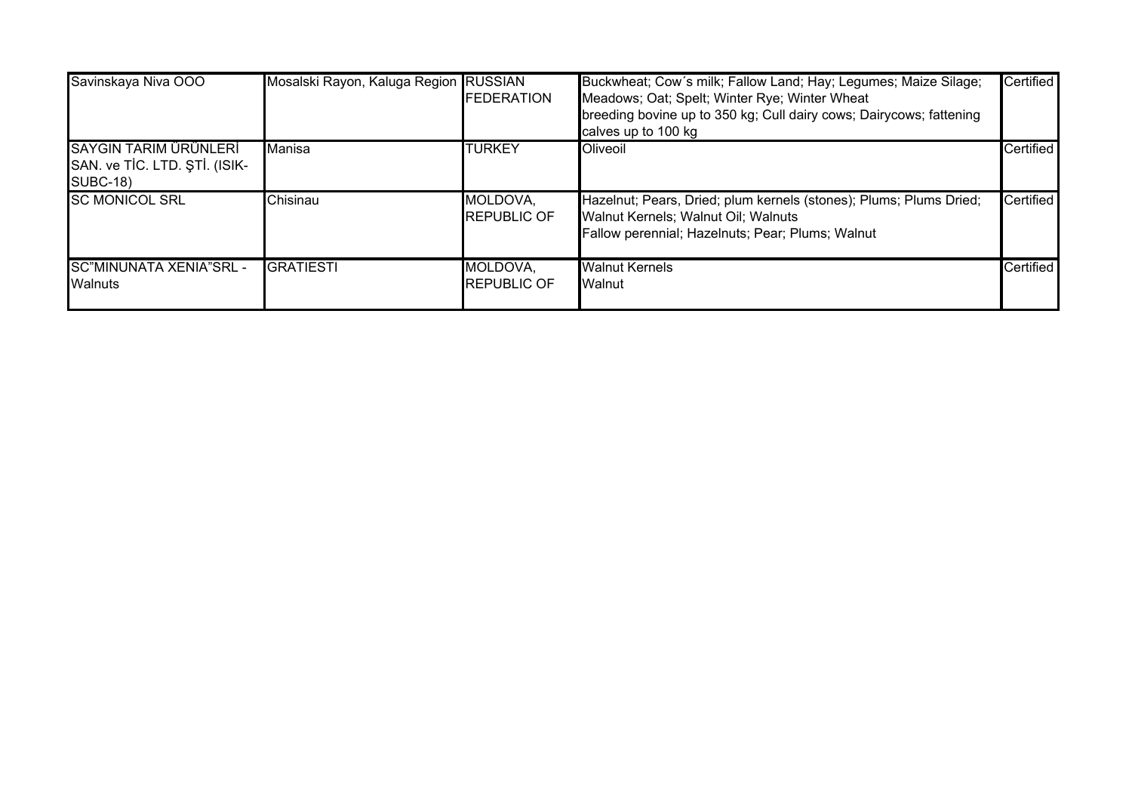| Savinskaya Niva OOO                                                       | Mosalski Rayon, Kaluga Region RUSSIAN | <b>FEDERATION</b>               | Buckwheat; Cow's milk; Fallow Land; Hay; Legumes; Maize Silage;<br>Meadows; Oat; Spelt; Winter Rye; Winter Wheat<br>breeding bovine up to 350 kg; Cull dairy cows; Dairycows; fattening<br>calves up to 100 kg | <b>Certified</b> |
|---------------------------------------------------------------------------|---------------------------------------|---------------------------------|----------------------------------------------------------------------------------------------------------------------------------------------------------------------------------------------------------------|------------------|
| SAYGIN TARIM ÜRÜNLERİ<br>SAN. ve TİC. LTD. ŞTİ. (ISIK-<br><b>SUBC-18)</b> | Manisa                                | ITURKEY                         | Oliveoil                                                                                                                                                                                                       | Certified        |
| <b>SC MONICOL SRL</b>                                                     | Chisinau                              | MOLDOVA,<br><b>IREPUBLIC OF</b> | Hazelnut; Pears, Dried; plum kernels (stones); Plums; Plums Dried;<br>Walnut Kernels; Walnut Oil; Walnuts<br>Fallow perennial; Hazelnuts; Pear; Plums; Walnut                                                  | Certified        |
| SC"MINUNATA XENIA"SRL -<br><b>Walnuts</b>                                 | <b>GRATIESTI</b>                      | MOLDOVA,<br><b>REPUBLIC OF</b>  | <b>Walnut Kernels</b><br>Walnut                                                                                                                                                                                | Certified        |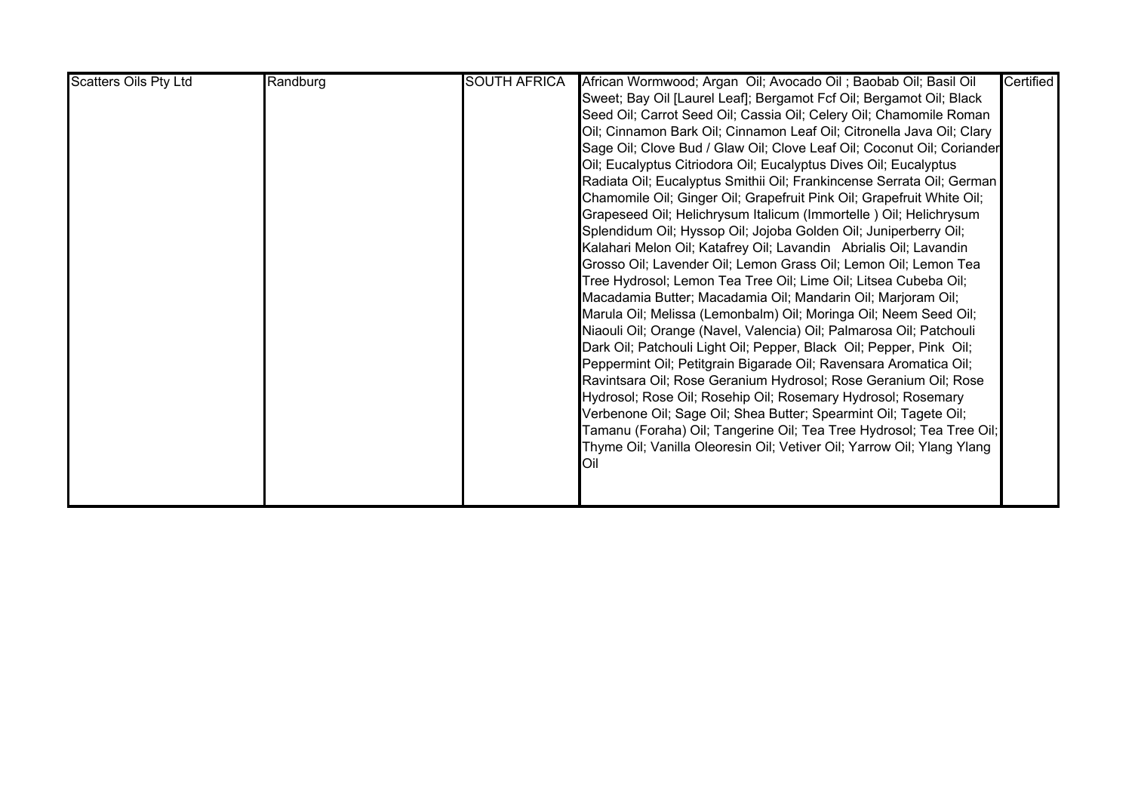| <b>Scatters Oils Pty Ltd</b> | Randburg | <b>SOUTH AFRICA</b> | African Wormwood; Argan Oil; Avocado Oil; Baobab Oil; Basil Oil        | Certified |
|------------------------------|----------|---------------------|------------------------------------------------------------------------|-----------|
|                              |          |                     | Sweet; Bay Oil [Laurel Leaf]; Bergamot Fcf Oil; Bergamot Oil; Black    |           |
|                              |          |                     | Seed Oil; Carrot Seed Oil; Cassia Oil; Celery Oil; Chamomile Roman     |           |
|                              |          |                     | Oil; Cinnamon Bark Oil; Cinnamon Leaf Oil; Citronella Java Oil; Clary  |           |
|                              |          |                     | Sage Oil; Clove Bud / Glaw Oil; Clove Leaf Oil; Coconut Oil; Coriander |           |
|                              |          |                     | Oil; Eucalyptus Citriodora Oil; Eucalyptus Dives Oil; Eucalyptus       |           |
|                              |          |                     | Radiata Oil; Eucalyptus Smithii Oil; Frankincense Serrata Oil; German  |           |
|                              |          |                     | Chamomile Oil; Ginger Oil; Grapefruit Pink Oil; Grapefruit White Oil;  |           |
|                              |          |                     | Grapeseed Oil; Helichrysum Italicum (Immortelle) Oil; Helichrysum      |           |
|                              |          |                     | Splendidum Oil; Hyssop Oil; Jojoba Golden Oil; Juniperberry Oil;       |           |
|                              |          |                     | Kalahari Melon Oil; Katafrey Oil; Lavandin Abrialis Oil; Lavandin      |           |
|                              |          |                     | Grosso Oil; Lavender Oil; Lemon Grass Oil; Lemon Oil; Lemon Tea        |           |
|                              |          |                     | Tree Hydrosol; Lemon Tea Tree Oil; Lime Oil; Litsea Cubeba Oil;        |           |
|                              |          |                     | Macadamia Butter; Macadamia Oil; Mandarin Oil; Marjoram Oil;           |           |
|                              |          |                     | Marula Oil; Melissa (Lemonbalm) Oil; Moringa Oil; Neem Seed Oil;       |           |
|                              |          |                     | Niaouli Oil; Orange (Navel, Valencia) Oil; Palmarosa Oil; Patchouli    |           |
|                              |          |                     | Dark Oil; Patchouli Light Oil; Pepper, Black Oil; Pepper, Pink Oil;    |           |
|                              |          |                     | Peppermint Oil; Petitgrain Bigarade Oil; Ravensara Aromatica Oil;      |           |
|                              |          |                     | Ravintsara Oil; Rose Geranium Hydrosol; Rose Geranium Oil; Rose        |           |
|                              |          |                     | Hydrosol; Rose Oil; Rosehip Oil; Rosemary Hydrosol; Rosemary           |           |
|                              |          |                     | Verbenone Oil; Sage Oil; Shea Butter; Spearmint Oil; Tagete Oil;       |           |
|                              |          |                     | Tamanu (Foraha) Oil; Tangerine Oil; Tea Tree Hydrosol; Tea Tree Oil;   |           |
|                              |          |                     | Thyme Oil; Vanilla Oleoresin Oil; Vetiver Oil; Yarrow Oil; Ylang Ylang |           |
|                              |          |                     | Oil                                                                    |           |
|                              |          |                     |                                                                        |           |
|                              |          |                     |                                                                        |           |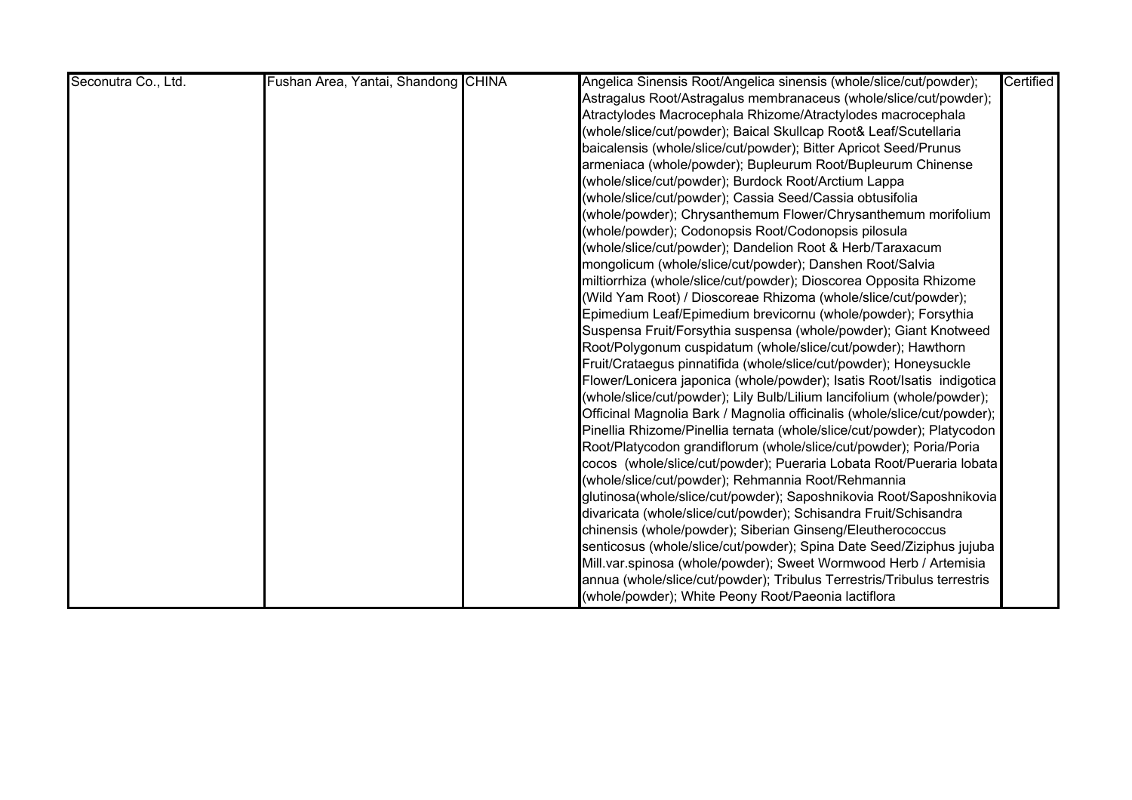| Seconutra Co., Ltd. | Fushan Area, Yantai, Shandong CHINA | Angelica Sinensis Root/Angelica sinensis (whole/slice/cut/powder);       | Certified |
|---------------------|-------------------------------------|--------------------------------------------------------------------------|-----------|
|                     |                                     | Astragalus Root/Astragalus membranaceus (whole/slice/cut/powder);        |           |
|                     |                                     | Atractylodes Macrocephala Rhizome/Atractylodes macrocephala              |           |
|                     |                                     | (whole/slice/cut/powder); Baical Skullcap Root& Leaf/Scutellaria         |           |
|                     |                                     | baicalensis (whole/slice/cut/powder); Bitter Apricot Seed/Prunus         |           |
|                     |                                     | armeniaca (whole/powder); Bupleurum Root/Bupleurum Chinense              |           |
|                     |                                     | (whole/slice/cut/powder); Burdock Root/Arctium Lappa                     |           |
|                     |                                     | (whole/slice/cut/powder); Cassia Seed/Cassia obtusifolia                 |           |
|                     |                                     | (whole/powder); Chrysanthemum Flower/Chrysanthemum morifolium            |           |
|                     |                                     | (whole/powder); Codonopsis Root/Codonopsis pilosula                      |           |
|                     |                                     | (whole/slice/cut/powder); Dandelion Root & Herb/Taraxacum                |           |
|                     |                                     | mongolicum (whole/slice/cut/powder); Danshen Root/Salvia                 |           |
|                     |                                     | miltiorrhiza (whole/slice/cut/powder); Dioscorea Opposita Rhizome        |           |
|                     |                                     | (Wild Yam Root) / Dioscoreae Rhizoma (whole/slice/cut/powder);           |           |
|                     |                                     | Epimedium Leaf/Epimedium brevicornu (whole/powder); Forsythia            |           |
|                     |                                     | Suspensa Fruit/Forsythia suspensa (whole/powder); Giant Knotweed         |           |
|                     |                                     | Root/Polygonum cuspidatum (whole/slice/cut/powder); Hawthorn             |           |
|                     |                                     | Fruit/Crataegus pinnatifida (whole/slice/cut/powder); Honeysuckle        |           |
|                     |                                     | Flower/Lonicera japonica (whole/powder); Isatis Root/Isatis indigotica   |           |
|                     |                                     | (whole/slice/cut/powder); Lily Bulb/Lilium lancifolium (whole/powder);   |           |
|                     |                                     | Officinal Magnolia Bark / Magnolia officinalis (whole/slice/cut/powder); |           |
|                     |                                     | Pinellia Rhizome/Pinellia ternata (whole/slice/cut/powder); Platycodon   |           |
|                     |                                     | Root/Platycodon grandiflorum (whole/slice/cut/powder); Poria/Poria       |           |
|                     |                                     | cocos (whole/slice/cut/powder); Pueraria Lobata Root/Pueraria lobata     |           |
|                     |                                     | (whole/slice/cut/powder); Rehmannia Root/Rehmannia                       |           |
|                     |                                     | glutinosa(whole/slice/cut/powder); Saposhnikovia Root/Saposhnikovia      |           |
|                     |                                     | divaricata (whole/slice/cut/powder); Schisandra Fruit/Schisandra         |           |
|                     |                                     | chinensis (whole/powder); Siberian Ginseng/Eleutherococcus               |           |
|                     |                                     | senticosus (whole/slice/cut/powder); Spina Date Seed/Ziziphus jujuba     |           |
|                     |                                     | Mill.var.spinosa (whole/powder); Sweet Wormwood Herb / Artemisia         |           |
|                     |                                     | annua (whole/slice/cut/powder); Tribulus Terrestris/Tribulus terrestris  |           |
|                     |                                     | (whole/powder); White Peony Root/Paeonia lactiflora                      |           |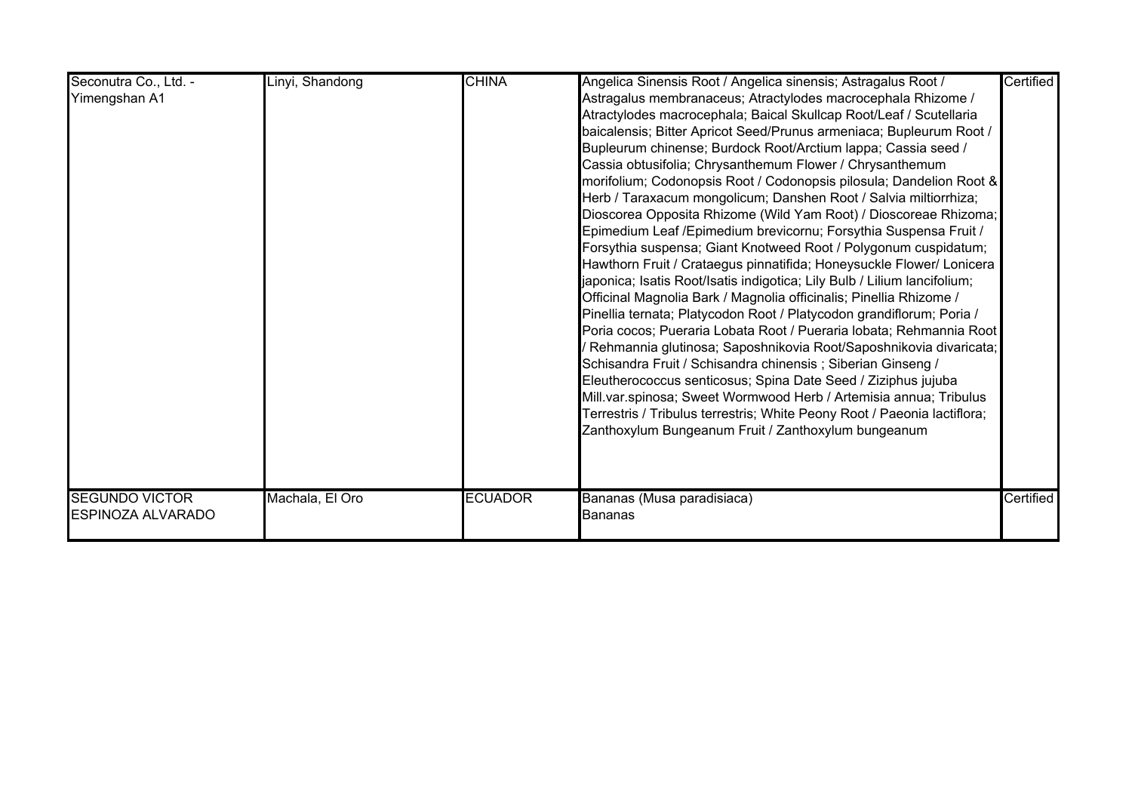| Seconutra Co., Ltd. -<br>Yimengshan A1            | Linyi, Shandong | <b>CHINA</b>   | Angelica Sinensis Root / Angelica sinensis; Astragalus Root /<br>Astragalus membranaceus; Atractylodes macrocephala Rhizome /<br>Atractylodes macrocephala; Baical Skullcap Root/Leaf / Scutellaria<br>baicalensis; Bitter Apricot Seed/Prunus armeniaca; Bupleurum Root /<br>Bupleurum chinense; Burdock Root/Arctium lappa; Cassia seed /<br>Cassia obtusifolia; Chrysanthemum Flower / Chrysanthemum<br>morifolium; Codonopsis Root / Codonopsis pilosula; Dandelion Root &<br>Herb / Taraxacum mongolicum; Danshen Root / Salvia miltiorrhiza;<br>Dioscorea Opposita Rhizome (Wild Yam Root) / Dioscoreae Rhizoma;<br>Epimedium Leaf / Epimedium brevicornu; Forsythia Suspensa Fruit /<br>Forsythia suspensa; Giant Knotweed Root / Polygonum cuspidatum;<br>Hawthorn Fruit / Crataegus pinnatifida; Honeysuckle Flower/ Lonicera<br>japonica; Isatis Root/Isatis indigotica; Lily Bulb / Lilium lancifolium;<br>Officinal Magnolia Bark / Magnolia officinalis; Pinellia Rhizome /<br>Pinellia ternata; Platycodon Root / Platycodon grandiflorum; Poria /<br>Poria cocos; Pueraria Lobata Root / Pueraria lobata; Rehmannia Root<br>Rehmannia glutinosa; Saposhnikovia Root/Saposhnikovia divaricata;<br>Schisandra Fruit / Schisandra chinensis; Siberian Ginseng /<br>Eleutherococcus senticosus; Spina Date Seed / Ziziphus jujuba<br>Mill.var.spinosa; Sweet Wormwood Herb / Artemisia annua; Tribulus<br>Terrestris / Tribulus terrestris; White Peony Root / Paeonia lactiflora;<br>Zanthoxylum Bungeanum Fruit / Zanthoxylum bungeanum | Certified |
|---------------------------------------------------|-----------------|----------------|------------------------------------------------------------------------------------------------------------------------------------------------------------------------------------------------------------------------------------------------------------------------------------------------------------------------------------------------------------------------------------------------------------------------------------------------------------------------------------------------------------------------------------------------------------------------------------------------------------------------------------------------------------------------------------------------------------------------------------------------------------------------------------------------------------------------------------------------------------------------------------------------------------------------------------------------------------------------------------------------------------------------------------------------------------------------------------------------------------------------------------------------------------------------------------------------------------------------------------------------------------------------------------------------------------------------------------------------------------------------------------------------------------------------------------------------------------------------------------------------------------------------------------------------------|-----------|
| <b>SEGUNDO VICTOR</b><br><b>ESPINOZA ALVARADO</b> | Machala, El Oro | <b>ECUADOR</b> | Bananas (Musa paradisiaca)<br><b>Bananas</b>                                                                                                                                                                                                                                                                                                                                                                                                                                                                                                                                                                                                                                                                                                                                                                                                                                                                                                                                                                                                                                                                                                                                                                                                                                                                                                                                                                                                                                                                                                         | Certified |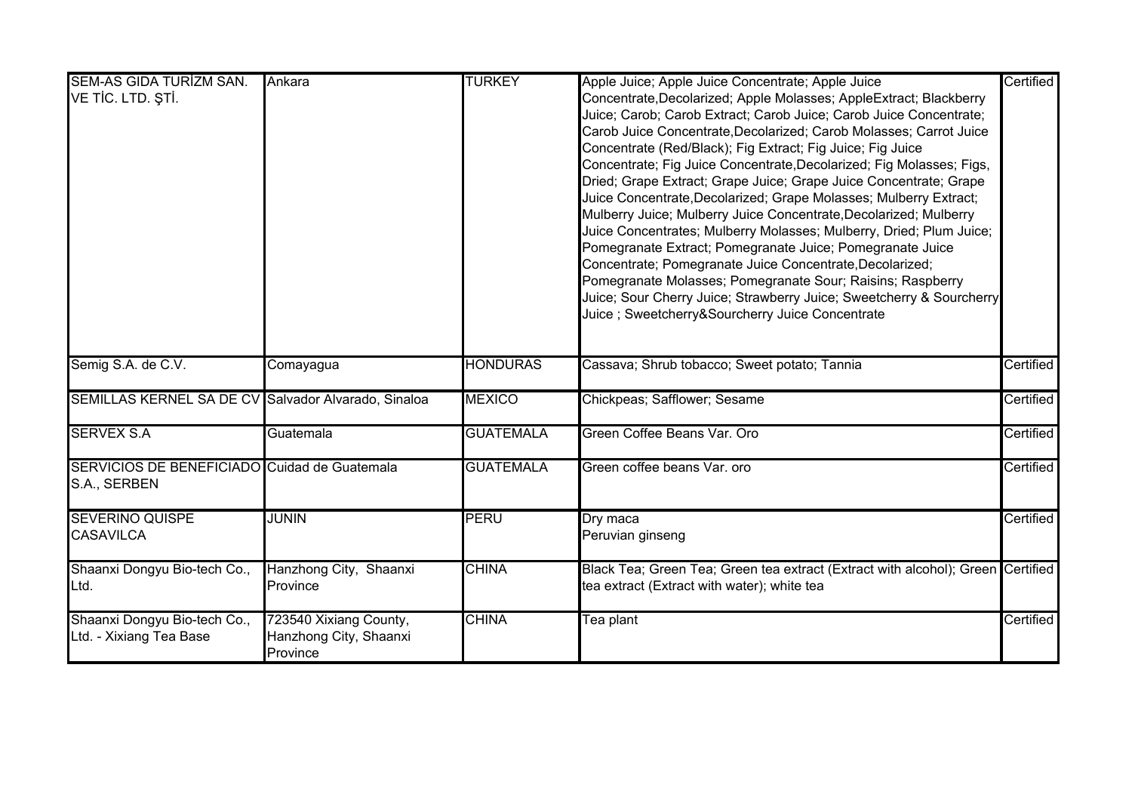| <b>SEM-AS GIDA TURİZM SAN.</b>                      | Ankara                 | <b>TURKEY</b>    | Apple Juice; Apple Juice Concentrate; Apple Juice                               | Certified |
|-----------------------------------------------------|------------------------|------------------|---------------------------------------------------------------------------------|-----------|
| VE TIC. LTD. ȘTI.                                   |                        |                  | Concentrate, Decolarized; Apple Molasses; AppleExtract; Blackberry              |           |
|                                                     |                        |                  | Juice; Carob; Carob Extract; Carob Juice; Carob Juice Concentrate;              |           |
|                                                     |                        |                  | Carob Juice Concentrate, Decolarized; Carob Molasses; Carrot Juice              |           |
|                                                     |                        |                  | Concentrate (Red/Black); Fig Extract; Fig Juice; Fig Juice                      |           |
|                                                     |                        |                  | Concentrate; Fig Juice Concentrate, Decolarized; Fig Molasses; Figs,            |           |
|                                                     |                        |                  | Dried; Grape Extract; Grape Juice; Grape Juice Concentrate; Grape               |           |
|                                                     |                        |                  | Juice Concentrate, Decolarized; Grape Molasses; Mulberry Extract;               |           |
|                                                     |                        |                  | Mulberry Juice; Mulberry Juice Concentrate, Decolarized; Mulberry               |           |
|                                                     |                        |                  | Juice Concentrates; Mulberry Molasses; Mulberry, Dried; Plum Juice;             |           |
|                                                     |                        |                  | Pomegranate Extract; Pomegranate Juice; Pomegranate Juice                       |           |
|                                                     |                        |                  | Concentrate; Pomegranate Juice Concentrate, Decolarized;                        |           |
|                                                     |                        |                  | Pomegranate Molasses; Pomegranate Sour; Raisins; Raspberry                      |           |
|                                                     |                        |                  | Juice; Sour Cherry Juice; Strawberry Juice; Sweetcherry & Sourcherry            |           |
|                                                     |                        |                  | Juice; Sweetcherry&Sourcherry Juice Concentrate                                 |           |
|                                                     |                        |                  |                                                                                 |           |
|                                                     |                        |                  |                                                                                 |           |
| Semig S.A. de C.V.                                  | Comayagua              | <b>HONDURAS</b>  | Cassava; Shrub tobacco; Sweet potato; Tannia                                    | Certified |
| SEMILLAS KERNEL SA DE CV Salvador Alvarado, Sinaloa |                        | <b>MEXICO</b>    | Chickpeas; Safflower; Sesame                                                    | Certified |
| <b>SERVEX S.A</b>                                   | Guatemala              | <b>GUATEMALA</b> | Green Coffee Beans Var. Oro                                                     | Certified |
| SERVICIOS DE BENEFICIADO Cuidad de Guatemala        |                        | <b>GUATEMALA</b> | Green coffee beans Var. oro                                                     | Certified |
| S.A., SERBEN                                        |                        |                  |                                                                                 |           |
|                                                     |                        |                  |                                                                                 |           |
| <b>SEVERINO QUISPE</b>                              | <b>JUNIN</b>           | PERU             | Dry maca                                                                        | Certified |
| <b>CASAVILCA</b>                                    |                        |                  | Peruvian ginseng                                                                |           |
|                                                     |                        |                  |                                                                                 |           |
| Shaanxi Dongyu Bio-tech Co.,                        | Hanzhong City, Shaanxi | <b>CHINA</b>     | Black Tea; Green Tea; Green tea extract (Extract with alcohol); Green Certified |           |
| Ltd.                                                | Province               |                  | tea extract (Extract with water); white tea                                     |           |
|                                                     |                        |                  |                                                                                 |           |
| Shaanxi Dongyu Bio-tech Co.,                        | 723540 Xixiang County, | <b>CHINA</b>     | Tea plant                                                                       | Certified |
| Ltd. - Xixiang Tea Base                             | Hanzhong City, Shaanxi |                  |                                                                                 |           |
|                                                     | Province               |                  |                                                                                 |           |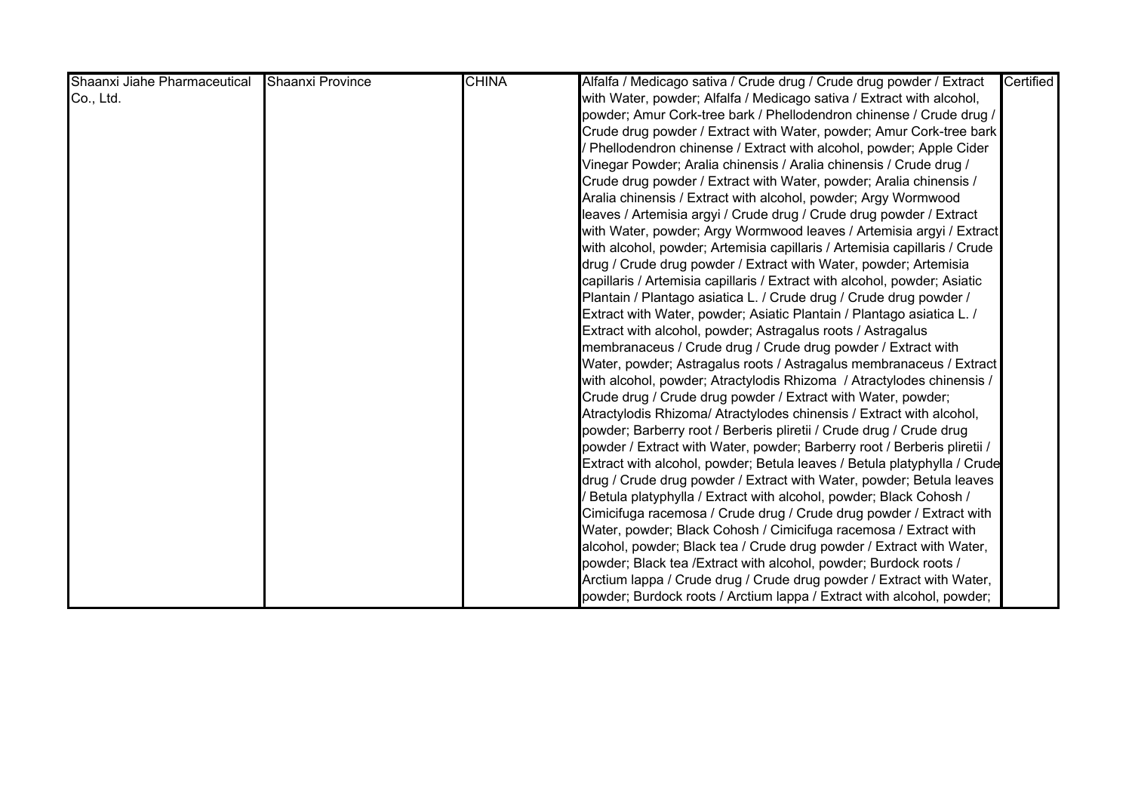| Shaanxi Jiahe Pharmaceutical | Shaanxi Province | <b>CHINA</b> | Alfalfa / Medicago sativa / Crude drug / Crude drug powder / Extract      | Certified |
|------------------------------|------------------|--------------|---------------------------------------------------------------------------|-----------|
| Co., Ltd.                    |                  |              | with Water, powder; Alfalfa / Medicago sativa / Extract with alcohol,     |           |
|                              |                  |              | powder; Amur Cork-tree bark / Phellodendron chinense / Crude drug /       |           |
|                              |                  |              | Crude drug powder / Extract with Water, powder; Amur Cork-tree bark       |           |
|                              |                  |              | Phellodendron chinense / Extract with alcohol, powder; Apple Cider        |           |
|                              |                  |              | Vinegar Powder; Aralia chinensis / Aralia chinensis / Crude drug /        |           |
|                              |                  |              | Crude drug powder / Extract with Water, powder; Aralia chinensis /        |           |
|                              |                  |              | Aralia chinensis / Extract with alcohol, powder; Argy Wormwood            |           |
|                              |                  |              | leaves / Artemisia argyi / Crude drug / Crude drug powder / Extract       |           |
|                              |                  |              | with Water, powder; Argy Wormwood leaves / Artemisia argyi / Extract      |           |
|                              |                  |              | with alcohol, powder; Artemisia capillaris / Artemisia capillaris / Crude |           |
|                              |                  |              | drug / Crude drug powder / Extract with Water, powder; Artemisia          |           |
|                              |                  |              | capillaris / Artemisia capillaris / Extract with alcohol, powder; Asiatic |           |
|                              |                  |              | Plantain / Plantago asiatica L. / Crude drug / Crude drug powder /        |           |
|                              |                  |              | Extract with Water, powder; Asiatic Plantain / Plantago asiatica L. /     |           |
|                              |                  |              | Extract with alcohol, powder; Astragalus roots / Astragalus               |           |
|                              |                  |              | membranaceus / Crude drug / Crude drug powder / Extract with              |           |
|                              |                  |              | Water, powder; Astragalus roots / Astragalus membranaceus / Extract       |           |
|                              |                  |              | with alcohol, powder; Atractylodis Rhizoma / Atractylodes chinensis /     |           |
|                              |                  |              | Crude drug / Crude drug powder / Extract with Water, powder;              |           |
|                              |                  |              | Atractylodis Rhizoma/ Atractylodes chinensis / Extract with alcohol,      |           |
|                              |                  |              | powder; Barberry root / Berberis pliretii / Crude drug / Crude drug       |           |
|                              |                  |              | powder / Extract with Water, powder; Barberry root / Berberis pliretii /  |           |
|                              |                  |              | Extract with alcohol, powder; Betula leaves / Betula platyphylla / Crude  |           |
|                              |                  |              | drug / Crude drug powder / Extract with Water, powder; Betula leaves      |           |
|                              |                  |              | Betula platyphylla / Extract with alcohol, powder; Black Cohosh /         |           |
|                              |                  |              | Cimicifuga racemosa / Crude drug / Crude drug powder / Extract with       |           |
|                              |                  |              | Water, powder; Black Cohosh / Cimicifuga racemosa / Extract with          |           |
|                              |                  |              | alcohol, powder; Black tea / Crude drug powder / Extract with Water,      |           |
|                              |                  |              | powder; Black tea /Extract with alcohol, powder; Burdock roots /          |           |
|                              |                  |              | Arctium lappa / Crude drug / Crude drug powder / Extract with Water,      |           |
|                              |                  |              | powder; Burdock roots / Arctium lappa / Extract with alcohol, powder;     |           |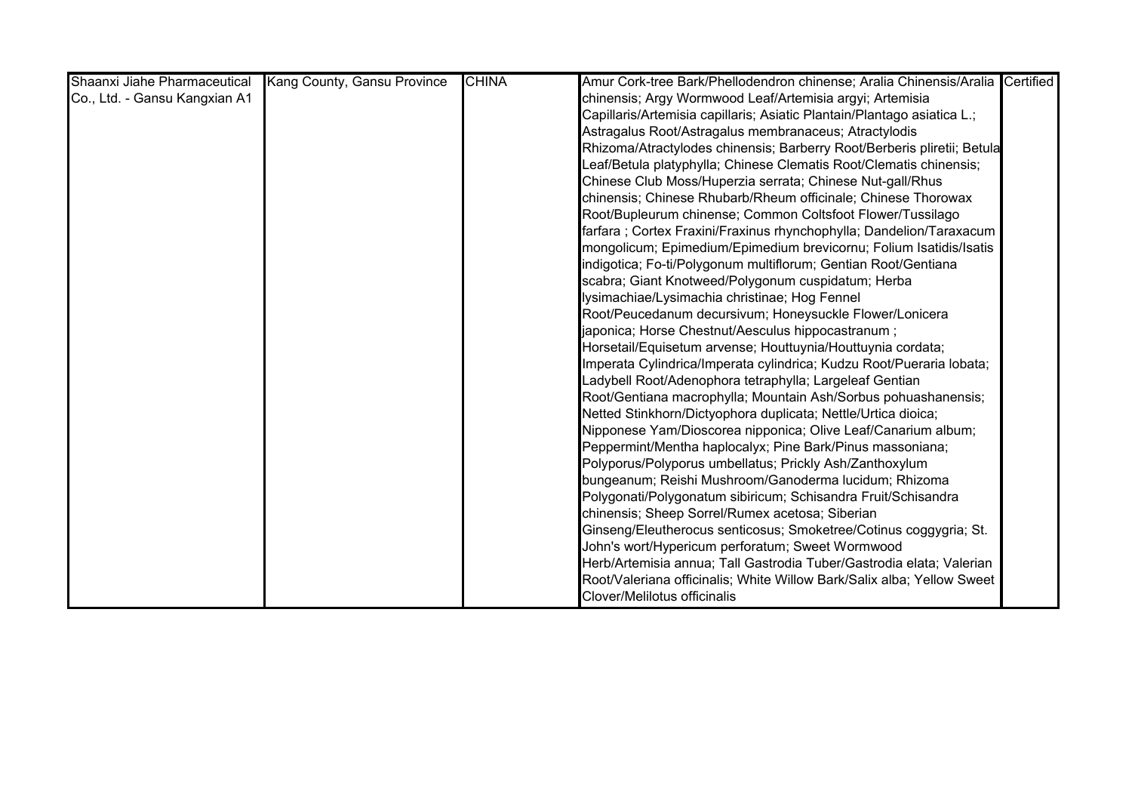| Shaanxi Jiahe Pharmaceutical  | Kang County, Gansu Province | <b>CHINA</b> | Amur Cork-tree Bark/Phellodendron chinense; Aralia Chinensis/Aralia Certified |  |
|-------------------------------|-----------------------------|--------------|-------------------------------------------------------------------------------|--|
| Co., Ltd. - Gansu Kangxian A1 |                             |              | chinensis; Argy Wormwood Leaf/Artemisia argyi; Artemisia                      |  |
|                               |                             |              | Capillaris/Artemisia capillaris; Asiatic Plantain/Plantago asiatica L.;       |  |
|                               |                             |              | Astragalus Root/Astragalus membranaceus; Atractylodis                         |  |
|                               |                             |              | Rhizoma/Atractylodes chinensis; Barberry Root/Berberis pliretii; Betula       |  |
|                               |                             |              | Leaf/Betula platyphylla; Chinese Clematis Root/Clematis chinensis;            |  |
|                               |                             |              | Chinese Club Moss/Huperzia serrata; Chinese Nut-gall/Rhus                     |  |
|                               |                             |              | chinensis; Chinese Rhubarb/Rheum officinale; Chinese Thorowax                 |  |
|                               |                             |              | Root/Bupleurum chinense; Common Coltsfoot Flower/Tussilago                    |  |
|                               |                             |              | farfara; Cortex Fraxini/Fraxinus rhynchophylla; Dandelion/Taraxacum           |  |
|                               |                             |              | mongolicum; Epimedium/Epimedium brevicornu; Folium Isatidis/Isatis            |  |
|                               |                             |              | indigotica; Fo-ti/Polygonum multiflorum; Gentian Root/Gentiana                |  |
|                               |                             |              | scabra; Giant Knotweed/Polygonum cuspidatum; Herba                            |  |
|                               |                             |              | lysimachiae/Lysimachia christinae; Hog Fennel                                 |  |
|                               |                             |              | Root/Peucedanum decursivum; Honeysuckle Flower/Lonicera                       |  |
|                               |                             |              | japonica; Horse Chestnut/Aesculus hippocastranum;                             |  |
|                               |                             |              | Horsetail/Equisetum arvense; Houttuynia/Houttuynia cordata;                   |  |
|                               |                             |              | Imperata Cylindrica/Imperata cylindrica; Kudzu Root/Pueraria lobata;          |  |
|                               |                             |              | Ladybell Root/Adenophora tetraphylla; Largeleaf Gentian                       |  |
|                               |                             |              | Root/Gentiana macrophylla; Mountain Ash/Sorbus pohuashanensis;                |  |
|                               |                             |              | Netted Stinkhorn/Dictyophora duplicata; Nettle/Urtica dioica;                 |  |
|                               |                             |              | Nipponese Yam/Dioscorea nipponica; Olive Leaf/Canarium album;                 |  |
|                               |                             |              | Peppermint/Mentha haplocalyx; Pine Bark/Pinus massoniana;                     |  |
|                               |                             |              | Polyporus/Polyporus umbellatus; Prickly Ash/Zanthoxylum                       |  |
|                               |                             |              | bungeanum; Reishi Mushroom/Ganoderma lucidum; Rhizoma                         |  |
|                               |                             |              | Polygonati/Polygonatum sibiricum; Schisandra Fruit/Schisandra                 |  |
|                               |                             |              | chinensis; Sheep Sorrel/Rumex acetosa; Siberian                               |  |
|                               |                             |              | Ginseng/Eleutherocus senticosus; Smoketree/Cotinus coggygria; St.             |  |
|                               |                             |              | John's wort/Hypericum perforatum; Sweet Wormwood                              |  |
|                               |                             |              | Herb/Artemisia annua; Tall Gastrodia Tuber/Gastrodia elata; Valerian          |  |
|                               |                             |              | Root/Valeriana officinalis; White Willow Bark/Salix alba; Yellow Sweet        |  |
|                               |                             |              | Clover/Melilotus officinalis                                                  |  |

Herbs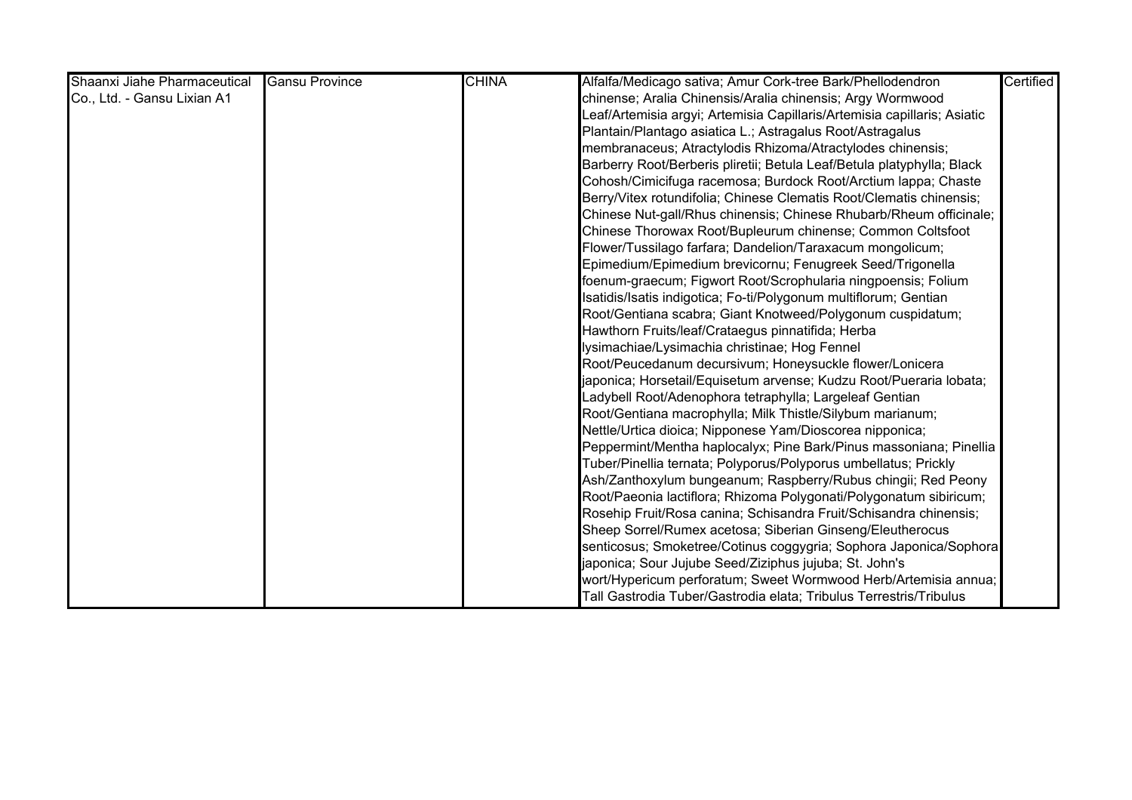| Shaanxi Jiahe Pharmaceutical | <b>Gansu Province</b> | <b>CHINA</b> | Alfalfa/Medicago sativa; Amur Cork-tree Bark/Phellodendron               | Certified |
|------------------------------|-----------------------|--------------|--------------------------------------------------------------------------|-----------|
| Co., Ltd. - Gansu Lixian A1  |                       |              | chinense; Aralia Chinensis/Aralia chinensis; Argy Wormwood               |           |
|                              |                       |              | Leaf/Artemisia argyi; Artemisia Capillaris/Artemisia capillaris; Asiatic |           |
|                              |                       |              | Plantain/Plantago asiatica L.; Astragalus Root/Astragalus                |           |
|                              |                       |              | membranaceus; Atractylodis Rhizoma/Atractylodes chinensis;               |           |
|                              |                       |              | Barberry Root/Berberis pliretii; Betula Leaf/Betula platyphylla; Black   |           |
|                              |                       |              | Cohosh/Cimicifuga racemosa; Burdock Root/Arctium lappa; Chaste           |           |
|                              |                       |              | Berry/Vitex rotundifolia; Chinese Clematis Root/Clematis chinensis;      |           |
|                              |                       |              | Chinese Nut-gall/Rhus chinensis; Chinese Rhubarb/Rheum officinale;       |           |
|                              |                       |              | Chinese Thorowax Root/Bupleurum chinense; Common Coltsfoot               |           |
|                              |                       |              | Flower/Tussilago farfara; Dandelion/Taraxacum mongolicum;                |           |
|                              |                       |              | Epimedium/Epimedium brevicornu; Fenugreek Seed/Trigonella                |           |
|                              |                       |              | foenum-graecum; Figwort Root/Scrophularia ningpoensis; Folium            |           |
|                              |                       |              | Isatidis/Isatis indigotica; Fo-ti/Polygonum multiflorum; Gentian         |           |
|                              |                       |              | Root/Gentiana scabra; Giant Knotweed/Polygonum cuspidatum;               |           |
|                              |                       |              | Hawthorn Fruits/leaf/Crataegus pinnatifida; Herba                        |           |
|                              |                       |              | lysimachiae/Lysimachia christinae; Hog Fennel                            |           |
|                              |                       |              | Root/Peucedanum decursivum; Honeysuckle flower/Lonicera                  |           |
|                              |                       |              | japonica; Horsetail/Equisetum arvense; Kudzu Root/Pueraria lobata;       |           |
|                              |                       |              | Ladybell Root/Adenophora tetraphylla; Largeleaf Gentian                  |           |
|                              |                       |              | Root/Gentiana macrophylla; Milk Thistle/Silybum marianum;                |           |
|                              |                       |              | Nettle/Urtica dioica; Nipponese Yam/Dioscorea nipponica;                 |           |
|                              |                       |              | Peppermint/Mentha haplocalyx; Pine Bark/Pinus massoniana; Pinellia       |           |
|                              |                       |              | Tuber/Pinellia ternata; Polyporus/Polyporus umbellatus; Prickly          |           |
|                              |                       |              | Ash/Zanthoxylum bungeanum; Raspberry/Rubus chingii; Red Peony            |           |
|                              |                       |              | Root/Paeonia lactiflora; Rhizoma Polygonati/Polygonatum sibiricum;       |           |
|                              |                       |              | Rosehip Fruit/Rosa canina; Schisandra Fruit/Schisandra chinensis;        |           |
|                              |                       |              | Sheep Sorrel/Rumex acetosa; Siberian Ginseng/Eleutherocus                |           |
|                              |                       |              | senticosus; Smoketree/Cotinus coggygria; Sophora Japonica/Sophora        |           |
|                              |                       |              | japonica; Sour Jujube Seed/Ziziphus jujuba; St. John's                   |           |
|                              |                       |              | wort/Hypericum perforatum; Sweet Wormwood Herb/Artemisia annua;          |           |
|                              |                       |              | Tall Gastrodia Tuber/Gastrodia elata; Tribulus Terrestris/Tribulus       |           |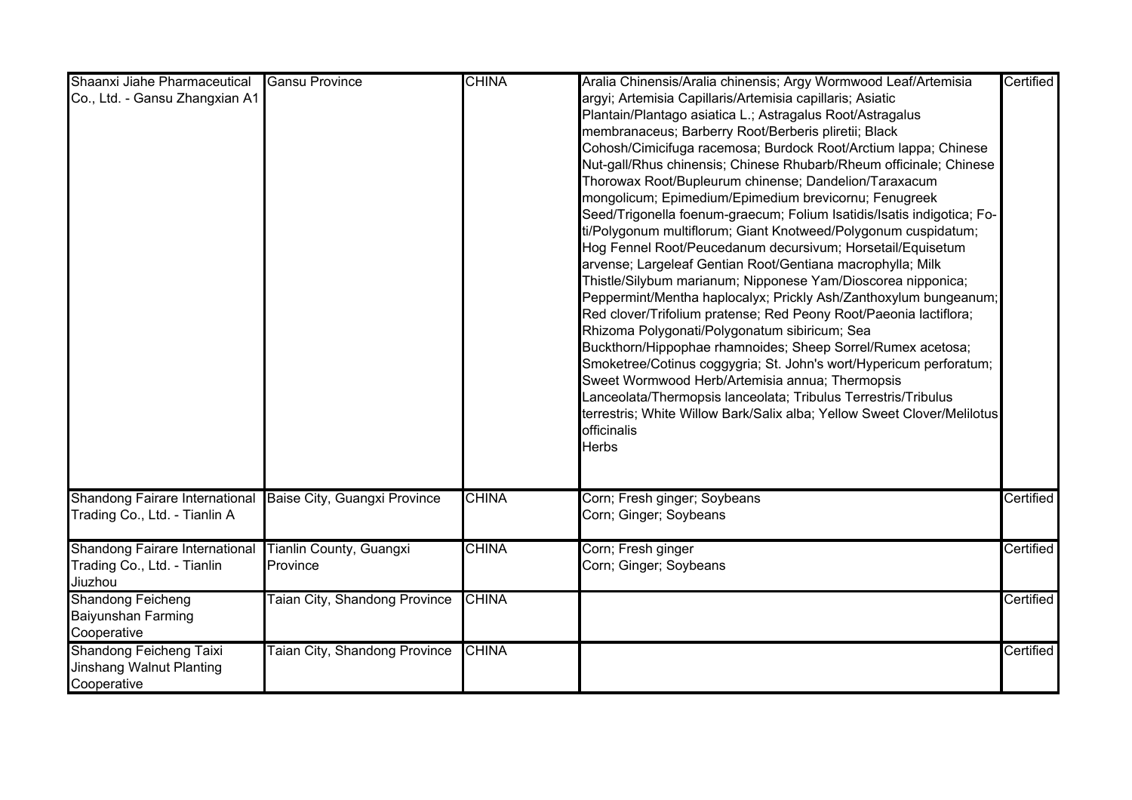| Shaanxi Jiahe Pharmaceutical   | <b>Gansu Province</b>                | <b>CHINA</b> | Aralia Chinensis/Aralia chinensis; Argy Wormwood Leaf/Artemisia         | Certified |
|--------------------------------|--------------------------------------|--------------|-------------------------------------------------------------------------|-----------|
| Co., Ltd. - Gansu Zhangxian A1 |                                      |              | argyi; Artemisia Capillaris/Artemisia capillaris; Asiatic               |           |
|                                |                                      |              | Plantain/Plantago asiatica L.; Astragalus Root/Astragalus               |           |
|                                |                                      |              | membranaceus; Barberry Root/Berberis pliretii; Black                    |           |
|                                |                                      |              | Cohosh/Cimicifuga racemosa; Burdock Root/Arctium lappa; Chinese         |           |
|                                |                                      |              | Nut-gall/Rhus chinensis; Chinese Rhubarb/Rheum officinale; Chinese      |           |
|                                |                                      |              | Thorowax Root/Bupleurum chinense; Dandelion/Taraxacum                   |           |
|                                |                                      |              | mongolicum; Epimedium/Epimedium brevicornu; Fenugreek                   |           |
|                                |                                      |              | Seed/Trigonella foenum-graecum; Folium Isatidis/Isatis indigotica; Fo-  |           |
|                                |                                      |              | ti/Polygonum multiflorum; Giant Knotweed/Polygonum cuspidatum;          |           |
|                                |                                      |              | Hog Fennel Root/Peucedanum decursivum; Horsetail/Equisetum              |           |
|                                |                                      |              | arvense; Largeleaf Gentian Root/Gentiana macrophylla; Milk              |           |
|                                |                                      |              | Thistle/Silybum marianum; Nipponese Yam/Dioscorea nipponica;            |           |
|                                |                                      |              | Peppermint/Mentha haplocalyx; Prickly Ash/Zanthoxylum bungeanum;        |           |
|                                |                                      |              | Red clover/Trifolium pratense; Red Peony Root/Paeonia lactiflora;       |           |
|                                |                                      |              |                                                                         |           |
|                                |                                      |              | Rhizoma Polygonati/Polygonatum sibiricum; Sea                           |           |
|                                |                                      |              | Buckthorn/Hippophae rhamnoides; Sheep Sorrel/Rumex acetosa;             |           |
|                                |                                      |              | Smoketree/Cotinus coggygria; St. John's wort/Hypericum perforatum;      |           |
|                                |                                      |              | Sweet Wormwood Herb/Artemisia annua; Thermopsis                         |           |
|                                |                                      |              | anceolata/Thermopsis lanceolata; Tribulus Terrestris/Tribulus           |           |
|                                |                                      |              | terrestris; White Willow Bark/Salix alba; Yellow Sweet Clover/Melilotus |           |
|                                |                                      |              | officinalis                                                             |           |
|                                |                                      |              | <b>Herbs</b>                                                            |           |
|                                |                                      |              |                                                                         |           |
| Shandong Fairare International | Baise City, Guangxi Province         | <b>CHINA</b> | Corn; Fresh ginger; Soybeans                                            | Certified |
| Trading Co., Ltd. - Tianlin A  |                                      |              | Corn; Ginger; Soybeans                                                  |           |
|                                |                                      | <b>CHINA</b> |                                                                         | Certified |
| Shandong Fairare International | Tianlin County, Guangxi              |              | Corn; Fresh ginger                                                      |           |
| Trading Co., Ltd. - Tianlin    | Province                             |              | Corn; Ginger; Soybeans                                                  |           |
| Jiuzhou                        |                                      |              |                                                                         |           |
| <b>Shandong Feicheng</b>       | <b>Taian City, Shandong Province</b> | <b>CHINA</b> |                                                                         | Certified |
| Baiyunshan Farming             |                                      |              |                                                                         |           |
| Cooperative                    |                                      |              |                                                                         |           |
| <b>Shandong Feicheng Taixi</b> | <b>Taian City, Shandong Province</b> | <b>CHINA</b> |                                                                         | Certified |
| Jinshang Walnut Planting       |                                      |              |                                                                         |           |
| Cooperative                    |                                      |              |                                                                         |           |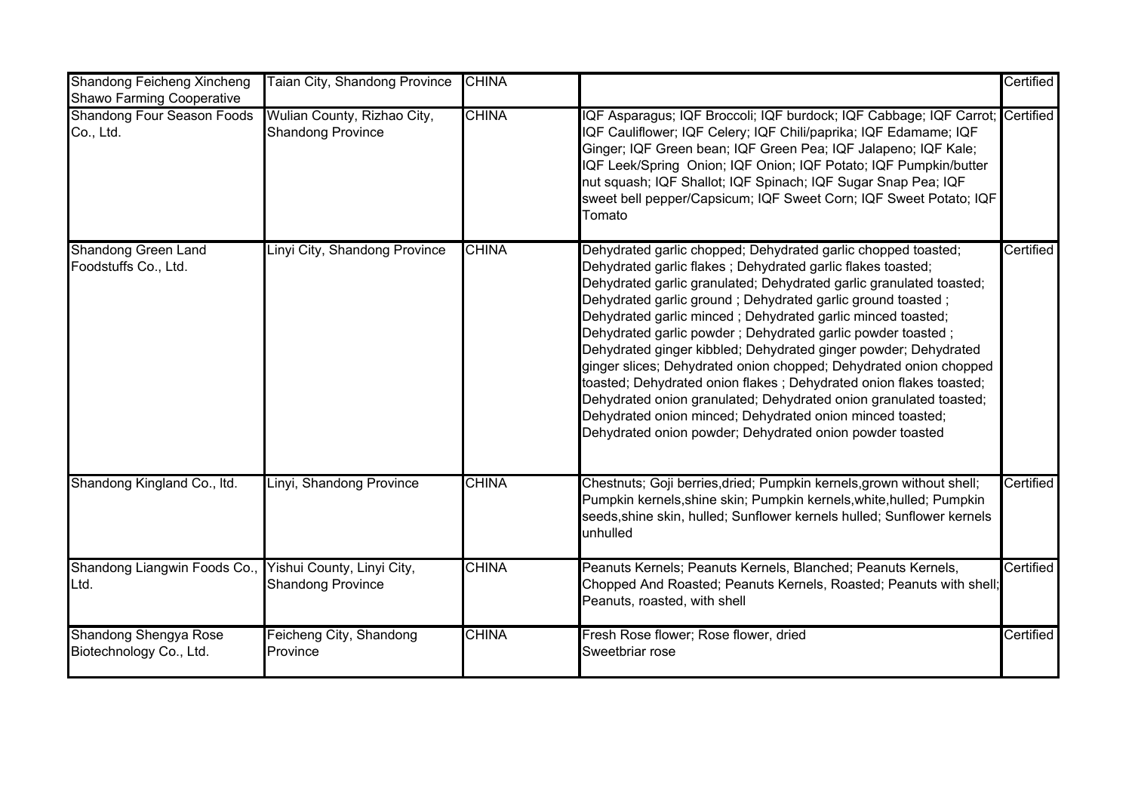| <b>Shandong Feicheng Xincheng</b><br>Shawo Farming Cooperative | Taian City, Shandong Province                           | <b>CHINA</b> |                                                                                                                                                                                                                                                                                                                                                                                                                                                                                                                                                                                                                                                                                                                                                                                                              | Certified |
|----------------------------------------------------------------|---------------------------------------------------------|--------------|--------------------------------------------------------------------------------------------------------------------------------------------------------------------------------------------------------------------------------------------------------------------------------------------------------------------------------------------------------------------------------------------------------------------------------------------------------------------------------------------------------------------------------------------------------------------------------------------------------------------------------------------------------------------------------------------------------------------------------------------------------------------------------------------------------------|-----------|
| <b>Shandong Four Season Foods</b><br>Co., Ltd.                 | Wulian County, Rizhao City,<br><b>Shandong Province</b> | <b>CHINA</b> | IQF Asparagus; IQF Broccoli; IQF burdock; IQF Cabbage; IQF Carrot; Certified<br>IQF Cauliflower; IQF Celery; IQF Chili/paprika; IQF Edamame; IQF<br>Ginger; IQF Green bean; IQF Green Pea; IQF Jalapeno; IQF Kale;<br>IQF Leek/Spring Onion; IQF Onion; IQF Potato; IQF Pumpkin/butter<br>nut squash; IQF Shallot; IQF Spinach; IQF Sugar Snap Pea; IQF<br>sweet bell pepper/Capsicum; IQF Sweet Corn; IQF Sweet Potato; IQF<br>Tomato                                                                                                                                                                                                                                                                                                                                                                       |           |
| <b>Shandong Green Land</b><br>Foodstuffs Co., Ltd.             | Linyi City, Shandong Province                           | <b>CHINA</b> | Dehydrated garlic chopped; Dehydrated garlic chopped toasted;<br>Dehydrated garlic flakes; Dehydrated garlic flakes toasted;<br>Dehydrated garlic granulated; Dehydrated garlic granulated toasted;<br>Dehydrated garlic ground; Dehydrated garlic ground toasted;<br>Dehydrated garlic minced; Dehydrated garlic minced toasted;<br>Dehydrated garlic powder; Dehydrated garlic powder toasted;<br>Dehydrated ginger kibbled; Dehydrated ginger powder; Dehydrated<br>ginger slices; Dehydrated onion chopped; Dehydrated onion chopped<br>toasted; Dehydrated onion flakes; Dehydrated onion flakes toasted;<br>Dehydrated onion granulated; Dehydrated onion granulated toasted;<br>Dehydrated onion minced; Dehydrated onion minced toasted;<br>Dehydrated onion powder; Dehydrated onion powder toasted | Certified |
| Shandong Kingland Co., Itd.                                    | Linyi, Shandong Province                                | <b>CHINA</b> | Chestnuts; Goji berries, dried; Pumpkin kernels, grown without shell;<br>Pumpkin kernels, shine skin; Pumpkin kernels, white, hulled; Pumpkin<br>seeds, shine skin, hulled; Sunflower kernels hulled; Sunflower kernels<br>unhulled                                                                                                                                                                                                                                                                                                                                                                                                                                                                                                                                                                          | Certified |
| Shandong Liangwin Foods Co.,<br>Ltd.                           | Yishui County, Linyi City,<br><b>Shandong Province</b>  | <b>CHINA</b> | Peanuts Kernels; Peanuts Kernels, Blanched; Peanuts Kernels,<br>Chopped And Roasted; Peanuts Kernels, Roasted; Peanuts with shell;<br>Peanuts, roasted, with shell                                                                                                                                                                                                                                                                                                                                                                                                                                                                                                                                                                                                                                           | Certified |
| <b>Shandong Shengya Rose</b><br>Biotechnology Co., Ltd.        | Feicheng City, Shandong<br>Province                     | <b>CHINA</b> | Fresh Rose flower; Rose flower, dried<br>Sweetbriar rose                                                                                                                                                                                                                                                                                                                                                                                                                                                                                                                                                                                                                                                                                                                                                     | Certified |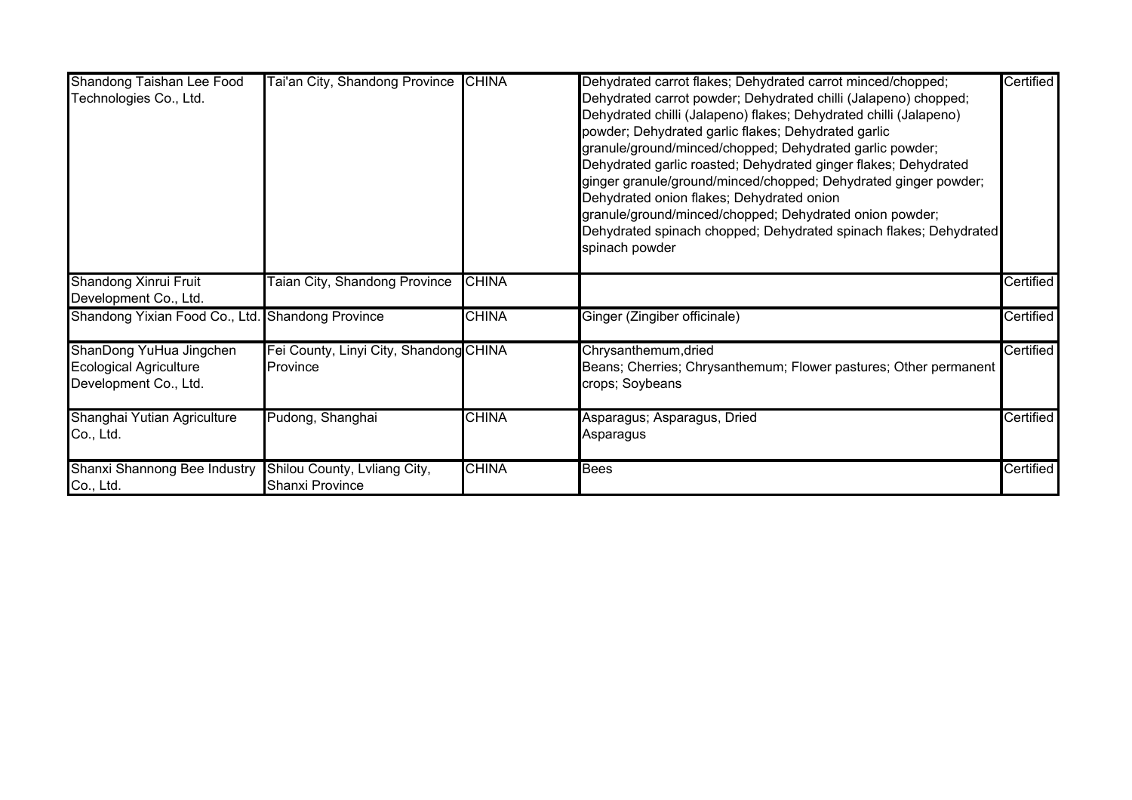| Shandong Taishan Lee Food<br>Technologies Co., Ltd.                               | Tai'an City, Shandong Province                            | <b>CHINA</b> | Dehydrated carrot flakes; Dehydrated carrot minced/chopped;<br>Dehydrated carrot powder; Dehydrated chilli (Jalapeno) chopped;<br>Dehydrated chilli (Jalapeno) flakes; Dehydrated chilli (Jalapeno)<br>powder; Dehydrated garlic flakes; Dehydrated garlic<br>granule/ground/minced/chopped; Dehydrated garlic powder;<br>Dehydrated garlic roasted; Dehydrated ginger flakes; Dehydrated<br>ginger granule/ground/minced/chopped; Dehydrated ginger powder;<br>Dehydrated onion flakes; Dehydrated onion<br>granule/ground/minced/chopped; Dehydrated onion powder;<br>Dehydrated spinach chopped; Dehydrated spinach flakes; Dehydrated<br>spinach powder | Certified |
|-----------------------------------------------------------------------------------|-----------------------------------------------------------|--------------|-------------------------------------------------------------------------------------------------------------------------------------------------------------------------------------------------------------------------------------------------------------------------------------------------------------------------------------------------------------------------------------------------------------------------------------------------------------------------------------------------------------------------------------------------------------------------------------------------------------------------------------------------------------|-----------|
| Shandong Xinrui Fruit<br>Development Co., Ltd.                                    | <b>Taian City, Shandong Province</b>                      | <b>CHINA</b> |                                                                                                                                                                                                                                                                                                                                                                                                                                                                                                                                                                                                                                                             | Certified |
| Shandong Yixian Food Co., Ltd. Shandong Province                                  |                                                           | <b>CHINA</b> | Ginger (Zingiber officinale)                                                                                                                                                                                                                                                                                                                                                                                                                                                                                                                                                                                                                                | Certified |
| ShanDong YuHua Jingchen<br><b>Ecological Agriculture</b><br>Development Co., Ltd. | Fei County, Linyi City, Shandong CHINA<br><b>Province</b> |              | Chrysanthemum, dried<br>Beans; Cherries; Chrysanthemum; Flower pastures; Other permanent<br>crops; Soybeans                                                                                                                                                                                                                                                                                                                                                                                                                                                                                                                                                 | Certified |
| Shanghai Yutian Agriculture<br>Co., Ltd.                                          | Pudong, Shanghai                                          | <b>CHINA</b> | Asparagus; Asparagus, Dried<br>Asparagus                                                                                                                                                                                                                                                                                                                                                                                                                                                                                                                                                                                                                    | Certified |
| Shanxi Shannong Bee Industry<br>Co., Ltd.                                         | Shilou County, Lvliang City,<br>Shanxi Province           | <b>CHINA</b> | <b>Bees</b>                                                                                                                                                                                                                                                                                                                                                                                                                                                                                                                                                                                                                                                 | Certified |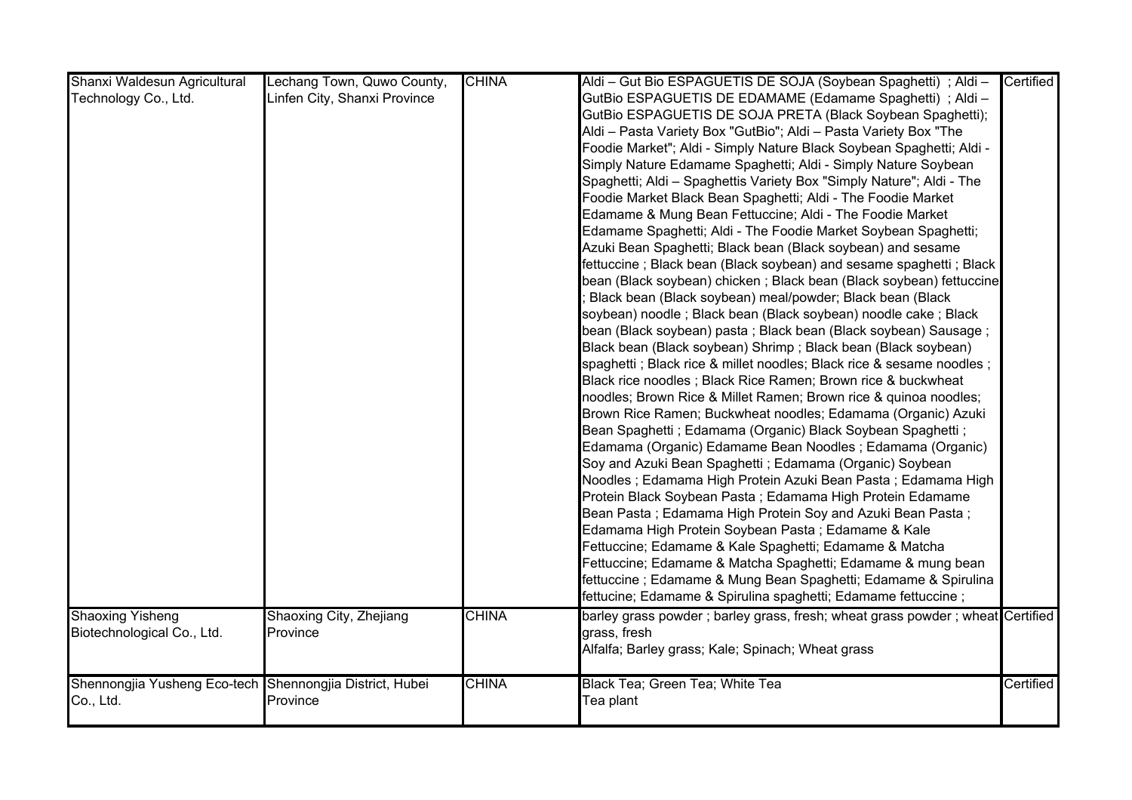| Shanxi Waldesun Agricultural                             | Lechang Town, Quwo County,   | <b>CHINA</b> | Aldi - Gut Bio ESPAGUETIS DE SOJA (Soybean Spaghetti) ; Aldi -                | Certified |
|----------------------------------------------------------|------------------------------|--------------|-------------------------------------------------------------------------------|-----------|
| Technology Co., Ltd.                                     | Linfen City, Shanxi Province |              | GutBio ESPAGUETIS DE EDAMAME (Edamame Spaghetti) ; Aldi -                     |           |
|                                                          |                              |              | GutBio ESPAGUETIS DE SOJA PRETA (Black Soybean Spaghetti);                    |           |
|                                                          |                              |              | Aldi - Pasta Variety Box "GutBio"; Aldi - Pasta Variety Box "The              |           |
|                                                          |                              |              | Foodie Market"; Aldi - Simply Nature Black Soybean Spaghetti; Aldi -          |           |
|                                                          |                              |              | Simply Nature Edamame Spaghetti; Aldi - Simply Nature Soybean                 |           |
|                                                          |                              |              | Spaghetti; Aldi - Spaghettis Variety Box "Simply Nature"; Aldi - The          |           |
|                                                          |                              |              | Foodie Market Black Bean Spaghetti; Aldi - The Foodie Market                  |           |
|                                                          |                              |              | Edamame & Mung Bean Fettuccine; Aldi - The Foodie Market                      |           |
|                                                          |                              |              | Edamame Spaghetti; Aldi - The Foodie Market Soybean Spaghetti;                |           |
|                                                          |                              |              | Azuki Bean Spaghetti; Black bean (Black soybean) and sesame                   |           |
|                                                          |                              |              | fettuccine; Black bean (Black soybean) and sesame spaghetti; Black            |           |
|                                                          |                              |              | bean (Black soybean) chicken ; Black bean (Black soybean) fettuccine          |           |
|                                                          |                              |              | Black bean (Black soybean) meal/powder; Black bean (Black                     |           |
|                                                          |                              |              | soybean) noodle; Black bean (Black soybean) noodle cake; Black                |           |
|                                                          |                              |              | bean (Black soybean) pasta; Black bean (Black soybean) Sausage;               |           |
|                                                          |                              |              | Black bean (Black soybean) Shrimp; Black bean (Black soybean)                 |           |
|                                                          |                              |              | spaghetti ; Black rice & millet noodles; Black rice & sesame noodles ;        |           |
|                                                          |                              |              | Black rice noodles; Black Rice Ramen; Brown rice & buckwheat                  |           |
|                                                          |                              |              | noodles; Brown Rice & Millet Ramen; Brown rice & quinoa noodles;              |           |
|                                                          |                              |              | Brown Rice Ramen; Buckwheat noodles; Edamama (Organic) Azuki                  |           |
|                                                          |                              |              | Bean Spaghetti ; Edamama (Organic) Black Soybean Spaghetti ;                  |           |
|                                                          |                              |              | Edamama (Organic) Edamame Bean Noodles; Edamama (Organic)                     |           |
|                                                          |                              |              | Soy and Azuki Bean Spaghetti; Edamama (Organic) Soybean                       |           |
|                                                          |                              |              | Noodles; Edamama High Protein Azuki Bean Pasta; Edamama High                  |           |
|                                                          |                              |              | Protein Black Soybean Pasta; Edamama High Protein Edamame                     |           |
|                                                          |                              |              | Bean Pasta; Edamama High Protein Soy and Azuki Bean Pasta;                    |           |
|                                                          |                              |              | Edamama High Protein Soybean Pasta; Edamame & Kale                            |           |
|                                                          |                              |              | Fettuccine; Edamame & Kale Spaghetti; Edamame & Matcha                        |           |
|                                                          |                              |              | Fettuccine; Edamame & Matcha Spaghetti; Edamame & mung bean                   |           |
|                                                          |                              |              | fettuccine; Edamame & Mung Bean Spaghetti; Edamame & Spirulina                |           |
|                                                          |                              |              | fettucine; Edamame & Spirulina spaghetti; Edamame fettuccine;                 |           |
| <b>Shaoxing Yisheng</b>                                  | Shaoxing City, Zhejiang      | <b>CHINA</b> | barley grass powder; barley grass, fresh; wheat grass powder; wheat Certified |           |
| Biotechnological Co., Ltd.                               | Province                     |              | grass, fresh                                                                  |           |
|                                                          |                              |              | Alfalfa; Barley grass; Kale; Spinach; Wheat grass                             |           |
|                                                          |                              |              |                                                                               |           |
| Shennongjia Yusheng Eco-tech Shennongjia District, Hubei |                              | <b>CHINA</b> | Black Tea; Green Tea; White Tea                                               | Certified |
| Co., Ltd.                                                | Province                     |              | Tea plant                                                                     |           |
|                                                          |                              |              |                                                                               |           |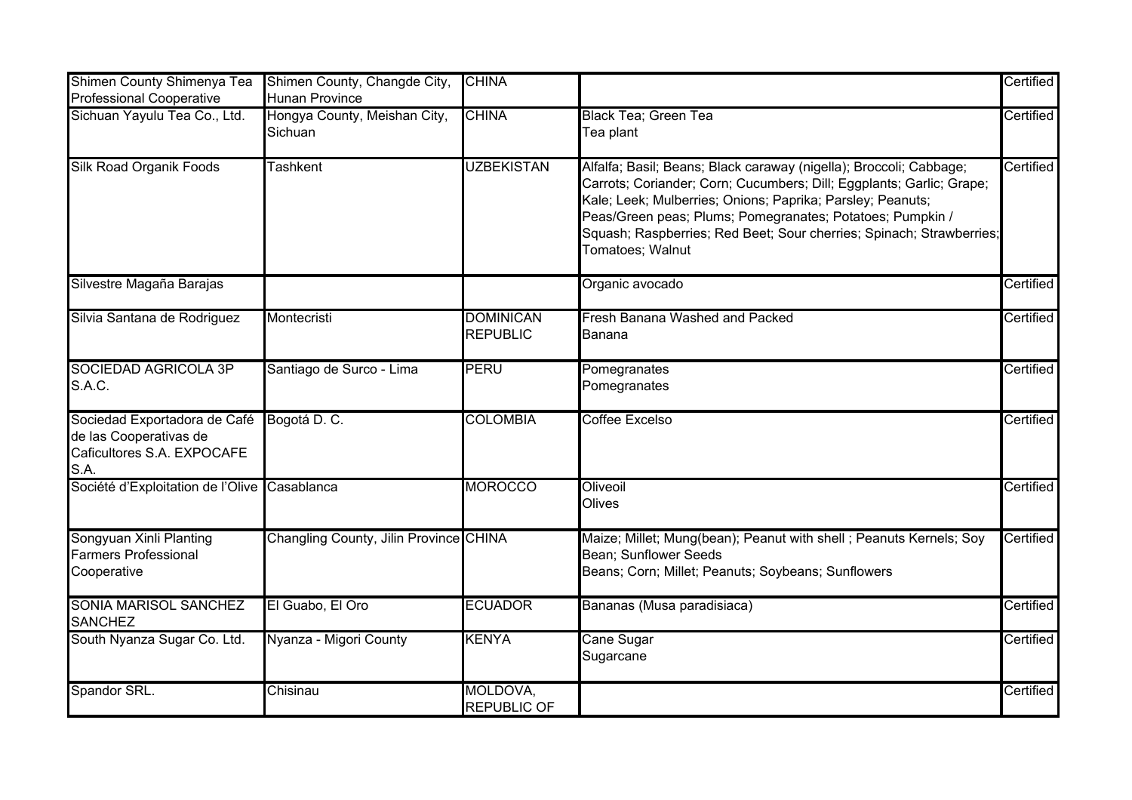| Shimen County Shimenya Tea<br><b>Professional Cooperative</b>                                | Shimen County, Changde City,<br><b>Hunan Province</b> | <b>CHINA</b>                        |                                                                                                                                                                                                                                                                                                                                                                   | Certified |
|----------------------------------------------------------------------------------------------|-------------------------------------------------------|-------------------------------------|-------------------------------------------------------------------------------------------------------------------------------------------------------------------------------------------------------------------------------------------------------------------------------------------------------------------------------------------------------------------|-----------|
| Sichuan Yayulu Tea Co., Ltd.                                                                 | Hongya County, Meishan City,<br>Sichuan               | <b>CHINA</b>                        | <b>Black Tea; Green Tea</b><br>Tea plant                                                                                                                                                                                                                                                                                                                          | Certified |
| <b>Silk Road Organik Foods</b>                                                               | <b>Tashkent</b>                                       | <b>UZBEKISTAN</b>                   | Alfalfa; Basil; Beans; Black caraway (nigella); Broccoli; Cabbage;<br>Carrots; Coriander; Corn; Cucumbers; Dill; Eggplants; Garlic; Grape;<br>Kale; Leek; Mulberries; Onions; Paprika; Parsley; Peanuts;<br>Peas/Green peas; Plums; Pomegranates; Potatoes; Pumpkin /<br>Squash; Raspberries; Red Beet; Sour cherries; Spinach; Strawberries;<br>Tomatoes; Walnut | Certified |
| Silvestre Magaña Barajas                                                                     |                                                       |                                     | Organic avocado                                                                                                                                                                                                                                                                                                                                                   | Certified |
| Silvia Santana de Rodriguez                                                                  | Montecristi                                           | <b>DOMINICAN</b><br><b>REPUBLIC</b> | <b>Fresh Banana Washed and Packed</b><br>Banana                                                                                                                                                                                                                                                                                                                   | Certified |
| <b>SOCIEDAD AGRICOLA 3P</b><br>S.A.C.                                                        | Santiago de Surco - Lima                              | <b>PERU</b>                         | Pomegranates<br>Pomegranates                                                                                                                                                                                                                                                                                                                                      | Certified |
| Sociedad Exportadora de Café<br>de las Cooperativas de<br>Caficultores S.A. EXPOCAFE<br>S.A. | Bogotá D. C.                                          | <b>COLOMBIA</b>                     | <b>Coffee Excelso</b>                                                                                                                                                                                                                                                                                                                                             | Certified |
| Société d'Exploitation de l'Olive Casablanca                                                 |                                                       | <b>MOROCCO</b>                      | Oliveoil<br>Olives                                                                                                                                                                                                                                                                                                                                                | Certified |
| Songyuan Xinli Planting<br><b>Farmers Professional</b><br>Cooperative                        | Changling County, Jilin Province CHINA                |                                     | Maize; Millet; Mung(bean); Peanut with shell ; Peanuts Kernels; Soy<br>Bean; Sunflower Seeds<br>Beans; Corn; Millet; Peanuts; Soybeans; Sunflowers                                                                                                                                                                                                                | Certified |
| <b>SONIA MARISOL SANCHEZ</b><br><b>SANCHEZ</b>                                               | El Guabo, El Oro                                      | <b>ECUADOR</b>                      | Bananas (Musa paradisiaca)                                                                                                                                                                                                                                                                                                                                        | Certified |
| South Nyanza Sugar Co. Ltd.                                                                  | Nyanza - Migori County                                | <b>KENYA</b>                        | Cane Sugar<br>Sugarcane                                                                                                                                                                                                                                                                                                                                           | Certified |
| Spandor SRL.                                                                                 | Chisinau                                              | MOLDOVA,<br><b>REPUBLIC OF</b>      |                                                                                                                                                                                                                                                                                                                                                                   | Certified |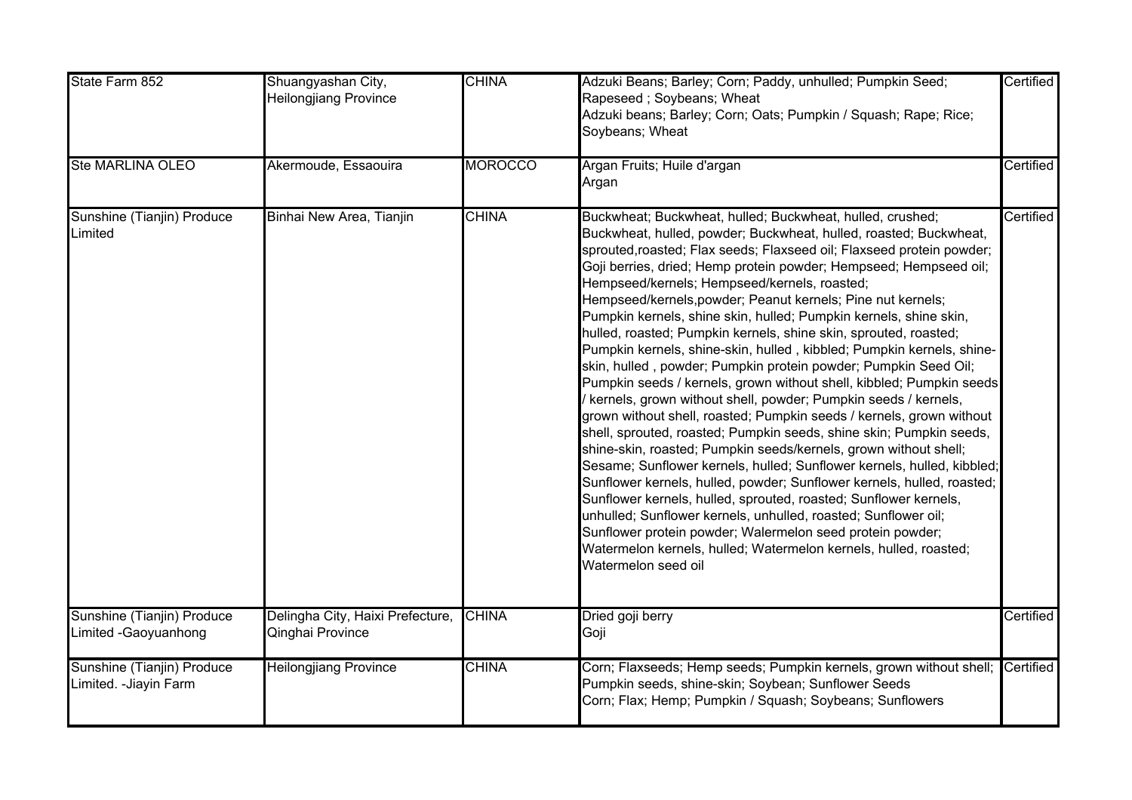| State Farm 852                                       | Shuangyashan City,<br>Heilongjiang Province          | <b>CHINA</b>   | Adzuki Beans; Barley; Corn; Paddy, unhulled; Pumpkin Seed;<br>Rapeseed; Soybeans; Wheat<br>Adzuki beans; Barley; Corn; Oats; Pumpkin / Squash; Rape; Rice;<br>Soybeans; Wheat                                                                                                                                                                                                                                                                                                                                                                                                                                                                                                                                                                                                                                                                                                                                                                                                                                                                                                                                                                                                                                                                                                                                                                                                                                                                                                                   | Certified |
|------------------------------------------------------|------------------------------------------------------|----------------|-------------------------------------------------------------------------------------------------------------------------------------------------------------------------------------------------------------------------------------------------------------------------------------------------------------------------------------------------------------------------------------------------------------------------------------------------------------------------------------------------------------------------------------------------------------------------------------------------------------------------------------------------------------------------------------------------------------------------------------------------------------------------------------------------------------------------------------------------------------------------------------------------------------------------------------------------------------------------------------------------------------------------------------------------------------------------------------------------------------------------------------------------------------------------------------------------------------------------------------------------------------------------------------------------------------------------------------------------------------------------------------------------------------------------------------------------------------------------------------------------|-----------|
| <b>Ste MARLINA OLEO</b>                              | Akermoude, Essaouira                                 | <b>MOROCCO</b> | Argan Fruits; Huile d'argan<br>Argan                                                                                                                                                                                                                                                                                                                                                                                                                                                                                                                                                                                                                                                                                                                                                                                                                                                                                                                                                                                                                                                                                                                                                                                                                                                                                                                                                                                                                                                            | Certified |
| Sunshine (Tianjin) Produce<br>Limited                | Binhai New Area, Tianjin                             | <b>CHINA</b>   | Buckwheat; Buckwheat, hulled; Buckwheat, hulled, crushed;<br>Buckwheat, hulled, powder; Buckwheat, hulled, roasted; Buckwheat,<br>sprouted, roasted; Flax seeds; Flaxseed oil; Flaxseed protein powder;<br>Goji berries, dried; Hemp protein powder; Hempseed; Hempseed oil;<br>Hempseed/kernels; Hempseed/kernels, roasted;<br>Hempseed/kernels, powder; Peanut kernels; Pine nut kernels;<br>Pumpkin kernels, shine skin, hulled; Pumpkin kernels, shine skin,<br>hulled, roasted; Pumpkin kernels, shine skin, sprouted, roasted;<br>Pumpkin kernels, shine-skin, hulled, kibbled; Pumpkin kernels, shine-<br>skin, hulled, powder; Pumpkin protein powder; Pumpkin Seed Oil;<br>Pumpkin seeds / kernels, grown without shell, kibbled; Pumpkin seeds<br>kernels, grown without shell, powder; Pumpkin seeds / kernels,<br>grown without shell, roasted; Pumpkin seeds / kernels, grown without<br>shell, sprouted, roasted; Pumpkin seeds, shine skin; Pumpkin seeds,<br>shine-skin, roasted; Pumpkin seeds/kernels, grown without shell;<br>Sesame; Sunflower kernels, hulled; Sunflower kernels, hulled, kibbled;<br>Sunflower kernels, hulled, powder; Sunflower kernels, hulled, roasted;<br>Sunflower kernels, hulled, sprouted, roasted; Sunflower kernels,<br>unhulled; Sunflower kernels, unhulled, roasted; Sunflower oil;<br>Sunflower protein powder; Walermelon seed protein powder;<br>Watermelon kernels, hulled; Watermelon kernels, hulled, roasted;<br>Watermelon seed oil | Certified |
| Sunshine (Tianjin) Produce<br>Limited -Gaoyuanhong   | Delingha City, Haixi Prefecture,<br>Qinghai Province | <b>CHINA</b>   | Dried goji berry<br>Goji                                                                                                                                                                                                                                                                                                                                                                                                                                                                                                                                                                                                                                                                                                                                                                                                                                                                                                                                                                                                                                                                                                                                                                                                                                                                                                                                                                                                                                                                        | Certified |
| Sunshine (Tianjin) Produce<br>Limited. - Jiayin Farm | <b>Heilongjiang Province</b>                         | <b>CHINA</b>   | Corn; Flaxseeds; Hemp seeds; Pumpkin kernels, grown without shell;<br>Pumpkin seeds, shine-skin; Soybean; Sunflower Seeds<br>Corn; Flax; Hemp; Pumpkin / Squash; Soybeans; Sunflowers                                                                                                                                                                                                                                                                                                                                                                                                                                                                                                                                                                                                                                                                                                                                                                                                                                                                                                                                                                                                                                                                                                                                                                                                                                                                                                           | Certified |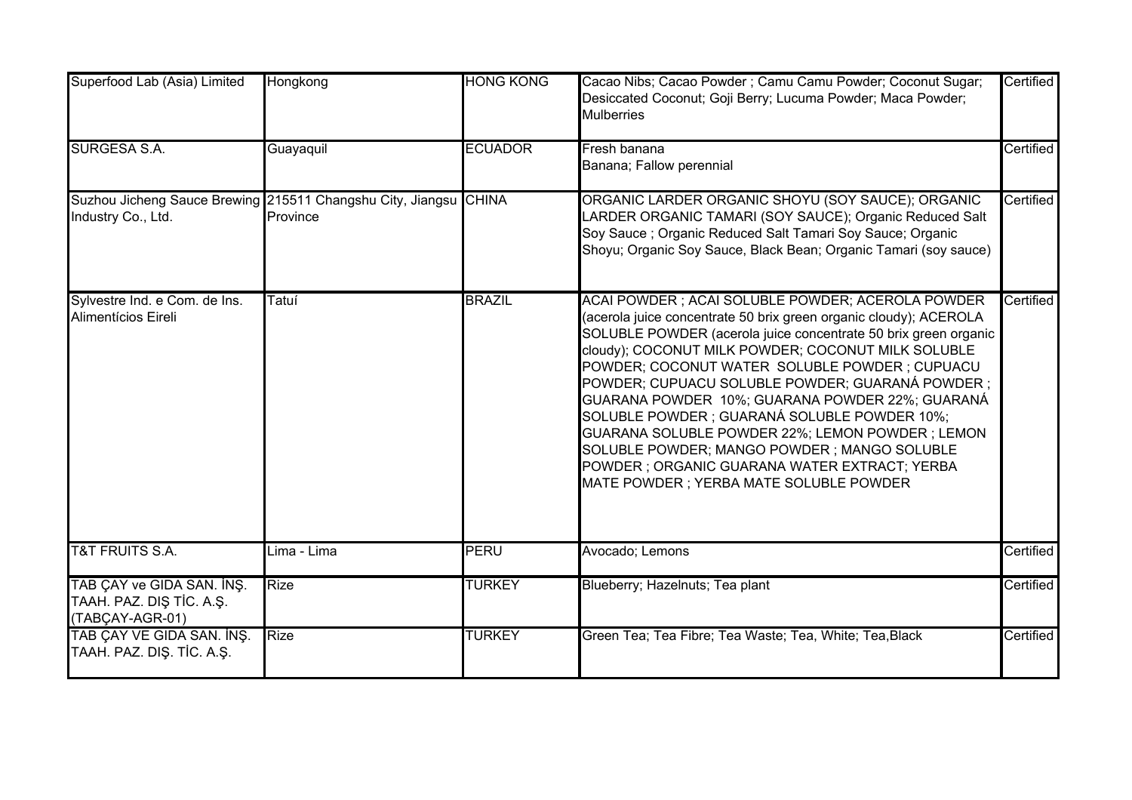| Superfood Lab (Asia) Limited                                             | Hongkong                                                                     | <b>HONG KONG</b> | Cacao Nibs; Cacao Powder; Camu Camu Powder; Coconut Sugar;<br>Desiccated Coconut; Goji Berry; Lucuma Powder; Maca Powder;<br><b>Mulberries</b>                                                                                                                                                                                                                                                                                                                                                                                                                                                                                                        | Certified |
|--------------------------------------------------------------------------|------------------------------------------------------------------------------|------------------|-------------------------------------------------------------------------------------------------------------------------------------------------------------------------------------------------------------------------------------------------------------------------------------------------------------------------------------------------------------------------------------------------------------------------------------------------------------------------------------------------------------------------------------------------------------------------------------------------------------------------------------------------------|-----------|
| <b>SURGESA S.A.</b>                                                      | Guayaquil                                                                    | <b>ECUADOR</b>   | Fresh banana<br>Banana; Fallow perennial                                                                                                                                                                                                                                                                                                                                                                                                                                                                                                                                                                                                              | Certified |
| Industry Co., Ltd.                                                       | Suzhou Jicheng Sauce Brewing 215511 Changshu City, Jiangsu CHINA<br>Province |                  | ORGANIC LARDER ORGANIC SHOYU (SOY SAUCE); ORGANIC<br>LARDER ORGANIC TAMARI (SOY SAUCE); Organic Reduced Salt<br>Soy Sauce; Organic Reduced Salt Tamari Soy Sauce; Organic<br>Shoyu; Organic Soy Sauce, Black Bean; Organic Tamari (soy sauce)                                                                                                                                                                                                                                                                                                                                                                                                         | Certified |
| Sylvestre Ind. e Com. de Ins.<br>Alimentícios Eireli                     | Tatuí                                                                        | <b>BRAZIL</b>    | ACAI POWDER; ACAI SOLUBLE POWDER; ACEROLA POWDER<br>(acerola juice concentrate 50 brix green organic cloudy); ACEROLA<br>SOLUBLE POWDER (acerola juice concentrate 50 brix green organic<br>cloudy); COCONUT MILK POWDER; COCONUT MILK SOLUBLE<br>POWDER; COCONUT WATER SOLUBLE POWDER; CUPUACU<br>POWDER; CUPUACU SOLUBLE POWDER; GUARANÁ POWDER ;<br>GUARANA POWDER 10%; GUARANA POWDER 22%; GUARANÁ<br>SOLUBLE POWDER ; GUARANÁ SOLUBLE POWDER 10%;<br>GUARANA SOLUBLE POWDER 22%; LEMON POWDER ; LEMON<br>SOLUBLE POWDER; MANGO POWDER; MANGO SOLUBLE<br>POWDER ; ORGANIC GUARANA WATER EXTRACT; YERBA<br>MATE POWDER ; YERBA MATE SOLUBLE POWDER | Certified |
| <b>T&amp;T FRUITS S.A.</b>                                               | Lima - Lima                                                                  | <b>PERU</b>      | Avocado; Lemons                                                                                                                                                                                                                                                                                                                                                                                                                                                                                                                                                                                                                                       | Certified |
| TAB ÇAY ve GIDA SAN. İNŞ.<br>TAAH. PAZ. DIŞ TİC. A.Ş.<br>(TABÇAY-AGR-01) | <b>Rize</b>                                                                  | <b>TURKEY</b>    | Blueberry; Hazelnuts; Tea plant                                                                                                                                                                                                                                                                                                                                                                                                                                                                                                                                                                                                                       | Certified |
| TAB ÇAY VE GIDA SAN. İNŞ.<br>TAAH. PAZ. DIŞ. TİC. A.Ş.                   | <b>Rize</b>                                                                  | <b>TURKEY</b>    | Green Tea; Tea Fibre; Tea Waste; Tea, White; Tea, Black                                                                                                                                                                                                                                                                                                                                                                                                                                                                                                                                                                                               | Certified |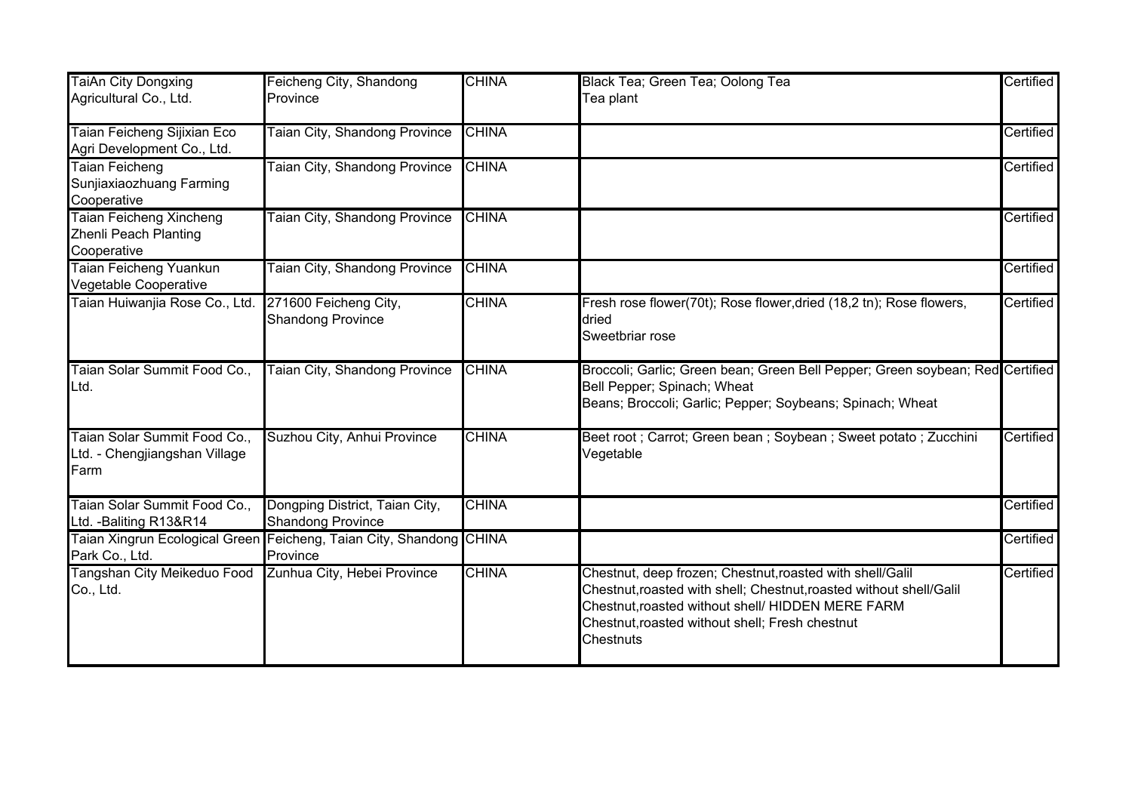| <b>TaiAn City Dongxing</b>                                             | Feicheng City, Shandong                                                         | <b>CHINA</b> | Black Tea; Green Tea; Oolong Tea                                                                                                                                                                                                                             | Certified |
|------------------------------------------------------------------------|---------------------------------------------------------------------------------|--------------|--------------------------------------------------------------------------------------------------------------------------------------------------------------------------------------------------------------------------------------------------------------|-----------|
| Agricultural Co., Ltd.                                                 | Province                                                                        |              | Tea plant                                                                                                                                                                                                                                                    |           |
| Taian Feicheng Sijixian Eco<br>Agri Development Co., Ltd.              | <b>Taian City, Shandong Province</b>                                            | <b>CHINA</b> |                                                                                                                                                                                                                                                              | Certified |
| <b>Taian Feicheng</b><br>Sunjiaxiaozhuang Farming<br>Cooperative       | Taian City, Shandong Province                                                   | <b>CHINA</b> |                                                                                                                                                                                                                                                              | Certified |
| <b>Taian Feicheng Xincheng</b><br>Zhenli Peach Planting<br>Cooperative | <b>Taian City, Shandong Province</b>                                            | <b>CHINA</b> |                                                                                                                                                                                                                                                              | Certified |
| Taian Feicheng Yuankun<br>Vegetable Cooperative                        | Taian City, Shandong Province                                                   | <b>CHINA</b> |                                                                                                                                                                                                                                                              | Certified |
| Taian Huiwanjia Rose Co., Ltd.                                         | 271600 Feicheng City,<br><b>Shandong Province</b>                               | <b>CHINA</b> | Fresh rose flower(70t); Rose flower, dried (18,2 tn); Rose flowers,<br>dried<br>Sweetbriar rose                                                                                                                                                              | Certified |
| Taian Solar Summit Food Co.,<br>Ltd.                                   | Taian City, Shandong Province                                                   | <b>CHINA</b> | Broccoli; Garlic; Green bean; Green Bell Pepper; Green soybean; Red Certified<br>Bell Pepper; Spinach; Wheat<br>Beans; Broccoli; Garlic; Pepper; Soybeans; Spinach; Wheat                                                                                    |           |
| Taian Solar Summit Food Co.,<br>Ltd. - Chengjiangshan Village<br>Farm  | Suzhou City, Anhui Province                                                     | <b>CHINA</b> | Beet root ; Carrot; Green bean ; Soybean ; Sweet potato ; Zucchini<br>Vegetable                                                                                                                                                                              | Certified |
| Taian Solar Summit Food Co.,<br>Ltd. - Baliting R13&R14                | Dongping District, Taian City,<br>Shandong Province                             | <b>CHINA</b> |                                                                                                                                                                                                                                                              | Certified |
| Park Co., Ltd.                                                         | Taian Xingrun Ecological Green Feicheng, Taian City, Shandong CHINA<br>Province |              |                                                                                                                                                                                                                                                              | Certified |
| Tangshan City Meikeduo Food<br>Co., Ltd.                               | Zunhua City, Hebei Province                                                     | <b>CHINA</b> | Chestnut, deep frozen; Chestnut, roasted with shell/Galil<br>Chestnut, roasted with shell; Chestnut, roasted without shell/Galil<br>Chestnut, roasted without shell/ HIDDEN MERE FARM<br>Chestnut, roasted without shell; Fresh chestnut<br><b>Chestnuts</b> | Certified |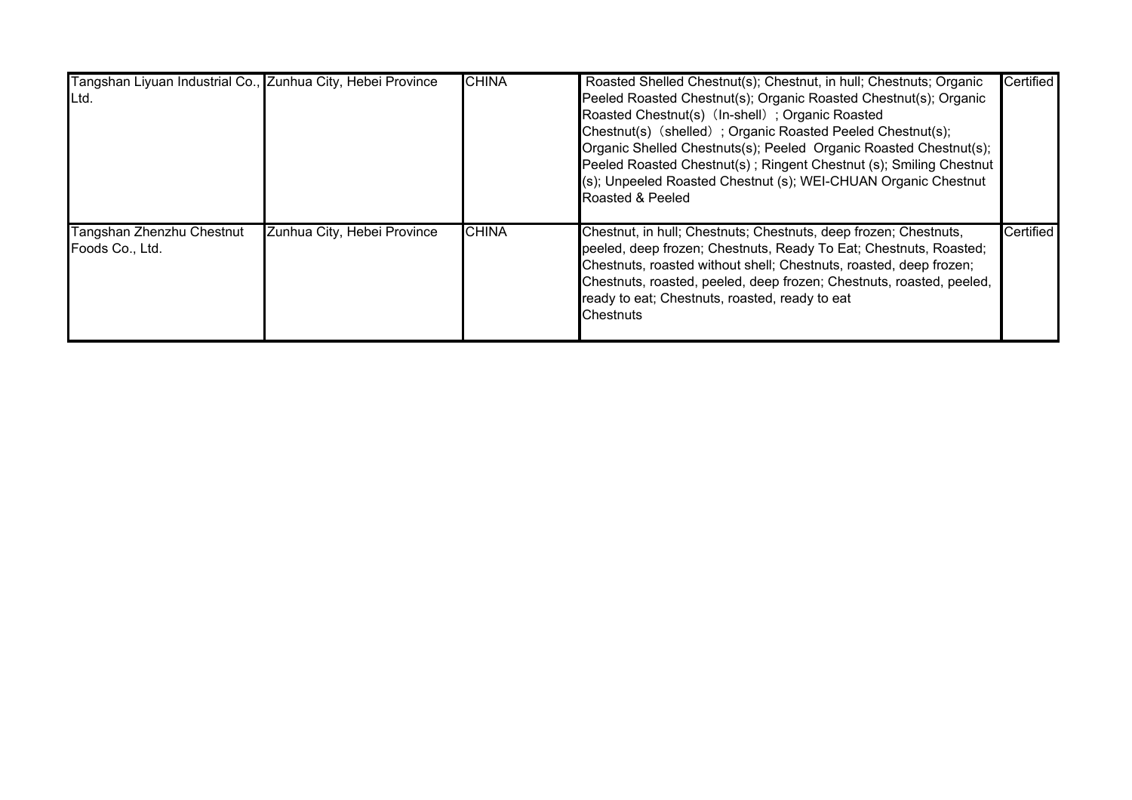| Tangshan Liyuan Industrial Co., Zunhua City, Hebei Province<br>ILtd. |                             | <b>CHINA</b> | Roasted Shelled Chestnut(s); Chestnut, in hull; Chestnuts; Organic<br>Peeled Roasted Chestnut(s); Organic Roasted Chestnut(s); Organic<br>Roasted Chestnut(s) (In-shell); Organic Roasted<br>Chestnut(s) (shelled); Organic Roasted Peeled Chestnut(s);<br>Organic Shelled Chestnuts(s); Peeled Organic Roasted Chestnut(s);<br>Peeled Roasted Chestnut(s); Ringent Chestnut (s); Smiling Chestnut<br>(s); Unpeeled Roasted Chestnut (s); WEI-CHUAN Organic Chestnut<br>Roasted & Peeled | Certified |
|----------------------------------------------------------------------|-----------------------------|--------------|------------------------------------------------------------------------------------------------------------------------------------------------------------------------------------------------------------------------------------------------------------------------------------------------------------------------------------------------------------------------------------------------------------------------------------------------------------------------------------------|-----------|
| Tangshan Zhenzhu Chestnut<br>Foods Co., Ltd.                         | Zunhua City, Hebei Province | <b>CHINA</b> | Chestnut, in hull; Chestnuts; Chestnuts, deep frozen; Chestnuts,<br>peeled, deep frozen; Chestnuts, Ready To Eat; Chestnuts, Roasted;<br>Chestnuts, roasted without shell; Chestnuts, roasted, deep frozen;<br>Chestnuts, roasted, peeled, deep frozen; Chestnuts, roasted, peeled,<br>ready to eat; Chestnuts, roasted, ready to eat<br><b>Chestnuts</b>                                                                                                                                | Certified |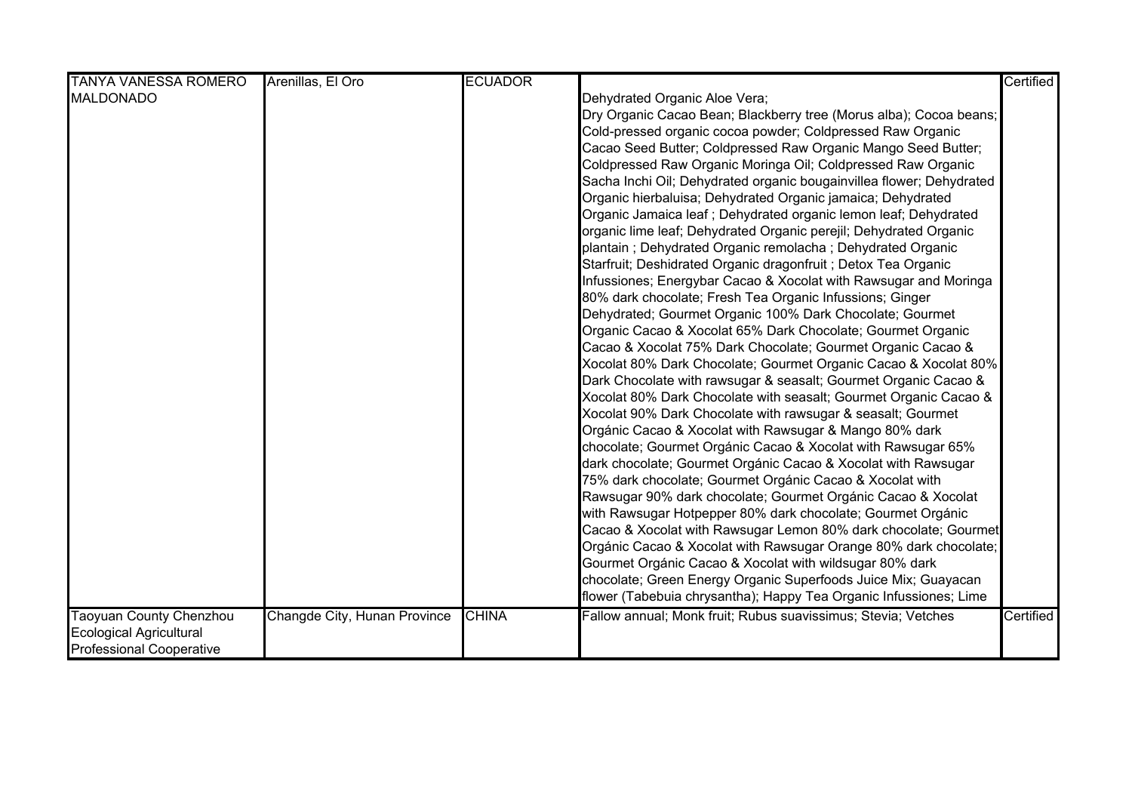|                                                                                                     |                              |                |                                                                                                                                                                                                                                                                                                                                                                                                                                                                                                                                                                                                                                                                                                                                                                                                                                                        | Certified |
|-----------------------------------------------------------------------------------------------------|------------------------------|----------------|--------------------------------------------------------------------------------------------------------------------------------------------------------------------------------------------------------------------------------------------------------------------------------------------------------------------------------------------------------------------------------------------------------------------------------------------------------------------------------------------------------------------------------------------------------------------------------------------------------------------------------------------------------------------------------------------------------------------------------------------------------------------------------------------------------------------------------------------------------|-----------|
| <b>TANYA VANESSA ROMERO</b><br><b>MALDONADO</b>                                                     | Arenillas, El Oro            | <b>ECUADOR</b> | Dehydrated Organic Aloe Vera;<br>Dry Organic Cacao Bean; Blackberry tree (Morus alba); Cocoa beans;<br>Cold-pressed organic cocoa powder; Coldpressed Raw Organic<br>Cacao Seed Butter; Coldpressed Raw Organic Mango Seed Butter;<br>Coldpressed Raw Organic Moringa Oil; Coldpressed Raw Organic<br>Sacha Inchi Oil; Dehydrated organic bougainvillea flower; Dehydrated<br>Organic hierbaluisa; Dehydrated Organic jamaica; Dehydrated<br>Organic Jamaica leaf ; Dehydrated organic lemon leaf; Dehydrated<br>organic lime leaf; Dehydrated Organic perejil; Dehydrated Organic<br>plantain ; Dehydrated Organic remolacha ; Dehydrated Organic<br>Starfruit; Deshidrated Organic dragonfruit ; Detox Tea Organic                                                                                                                                   |           |
|                                                                                                     |                              |                | Infussiones; Energybar Cacao & Xocolat with Rawsugar and Moringa<br>80% dark chocolate; Fresh Tea Organic Infussions; Ginger<br>Dehydrated; Gourmet Organic 100% Dark Chocolate; Gourmet<br>Organic Cacao & Xocolat 65% Dark Chocolate; Gourmet Organic<br>Cacao & Xocolat 75% Dark Chocolate; Gourmet Organic Cacao &<br>Xocolat 80% Dark Chocolate; Gourmet Organic Cacao & Xocolat 80%<br>Dark Chocolate with rawsugar & seasalt; Gourmet Organic Cacao &<br>Xocolat 80% Dark Chocolate with seasalt; Gourmet Organic Cacao &<br>Xocolat 90% Dark Chocolate with rawsugar & seasalt; Gourmet<br>Orgánic Cacao & Xocolat with Rawsugar & Mango 80% dark<br>chocolate; Gourmet Orgánic Cacao & Xocolat with Rawsugar 65%<br>dark chocolate; Gourmet Orgánic Cacao & Xocolat with Rawsugar<br>75% dark chocolate; Gourmet Orgánic Cacao & Xocolat with |           |
|                                                                                                     |                              |                | Rawsugar 90% dark chocolate; Gourmet Orgánic Cacao & Xocolat<br>with Rawsugar Hotpepper 80% dark chocolate; Gourmet Orgánic<br>Cacao & Xocolat with Rawsugar Lemon 80% dark chocolate; Gourmet<br>Orgánic Cacao & Xocolat with Rawsugar Orange 80% dark chocolate;<br>Gourmet Orgánic Cacao & Xocolat with wildsugar 80% dark<br>chocolate; Green Energy Organic Superfoods Juice Mix; Guayacan<br>flower (Tabebuia chrysantha); Happy Tea Organic Infussiones; Lime                                                                                                                                                                                                                                                                                                                                                                                   |           |
| <b>Taoyuan County Chenzhou</b><br><b>Ecological Agricultural</b><br><b>Professional Cooperative</b> | Changde City, Hunan Province | <b>CHINA</b>   | Fallow annual; Monk fruit; Rubus suavissimus; Stevia; Vetches                                                                                                                                                                                                                                                                                                                                                                                                                                                                                                                                                                                                                                                                                                                                                                                          | Certified |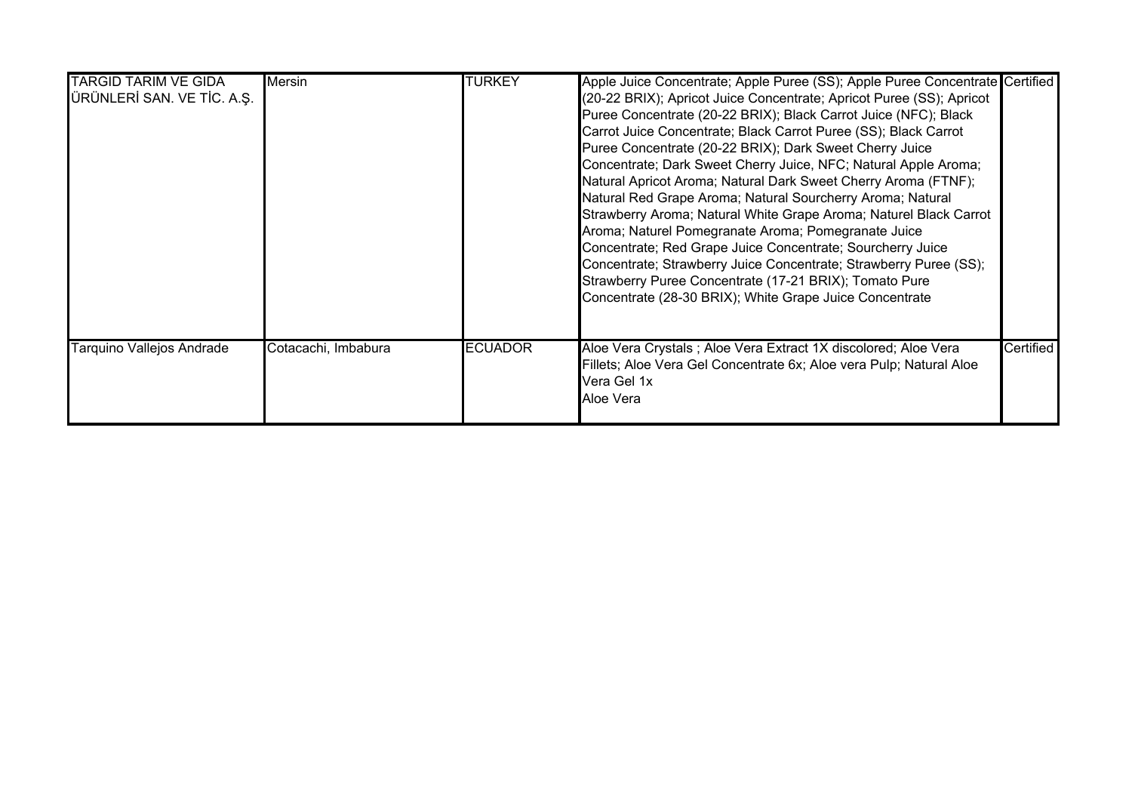| <b>TARGID TARIM VE GIDA</b><br>ÜRÜNLERİ SAN. VE TİC. A.Ş. | <b>Mersin</b>       | <b>TURKEY</b>  | Apple Juice Concentrate; Apple Puree (SS); Apple Puree Concentrate Certified<br>(20-22 BRIX); Apricot Juice Concentrate; Apricot Puree (SS); Apricot<br>Puree Concentrate (20-22 BRIX); Black Carrot Juice (NFC); Black<br>Carrot Juice Concentrate; Black Carrot Puree (SS); Black Carrot<br>Puree Concentrate (20-22 BRIX); Dark Sweet Cherry Juice<br>Concentrate; Dark Sweet Cherry Juice, NFC; Natural Apple Aroma;<br>Natural Apricot Aroma; Natural Dark Sweet Cherry Aroma (FTNF);<br>Natural Red Grape Aroma; Natural Sourcherry Aroma; Natural<br>Strawberry Aroma; Natural White Grape Aroma; Naturel Black Carrot<br>Aroma; Naturel Pomegranate Aroma; Pomegranate Juice<br>Concentrate; Red Grape Juice Concentrate; Sourcherry Juice<br>Concentrate; Strawberry Juice Concentrate; Strawberry Puree (SS);<br>Strawberry Puree Concentrate (17-21 BRIX); Tomato Pure<br>Concentrate (28-30 BRIX); White Grape Juice Concentrate |           |
|-----------------------------------------------------------|---------------------|----------------|----------------------------------------------------------------------------------------------------------------------------------------------------------------------------------------------------------------------------------------------------------------------------------------------------------------------------------------------------------------------------------------------------------------------------------------------------------------------------------------------------------------------------------------------------------------------------------------------------------------------------------------------------------------------------------------------------------------------------------------------------------------------------------------------------------------------------------------------------------------------------------------------------------------------------------------------|-----------|
| Tarquino Vallejos Andrade                                 | Cotacachi, Imbabura | <b>ECUADOR</b> | Aloe Vera Crystals; Aloe Vera Extract 1X discolored; Aloe Vera<br>Fillets; Aloe Vera Gel Concentrate 6x; Aloe vera Pulp; Natural Aloe<br>Vera Gel 1x<br>Aloe Vera                                                                                                                                                                                                                                                                                                                                                                                                                                                                                                                                                                                                                                                                                                                                                                            | Certified |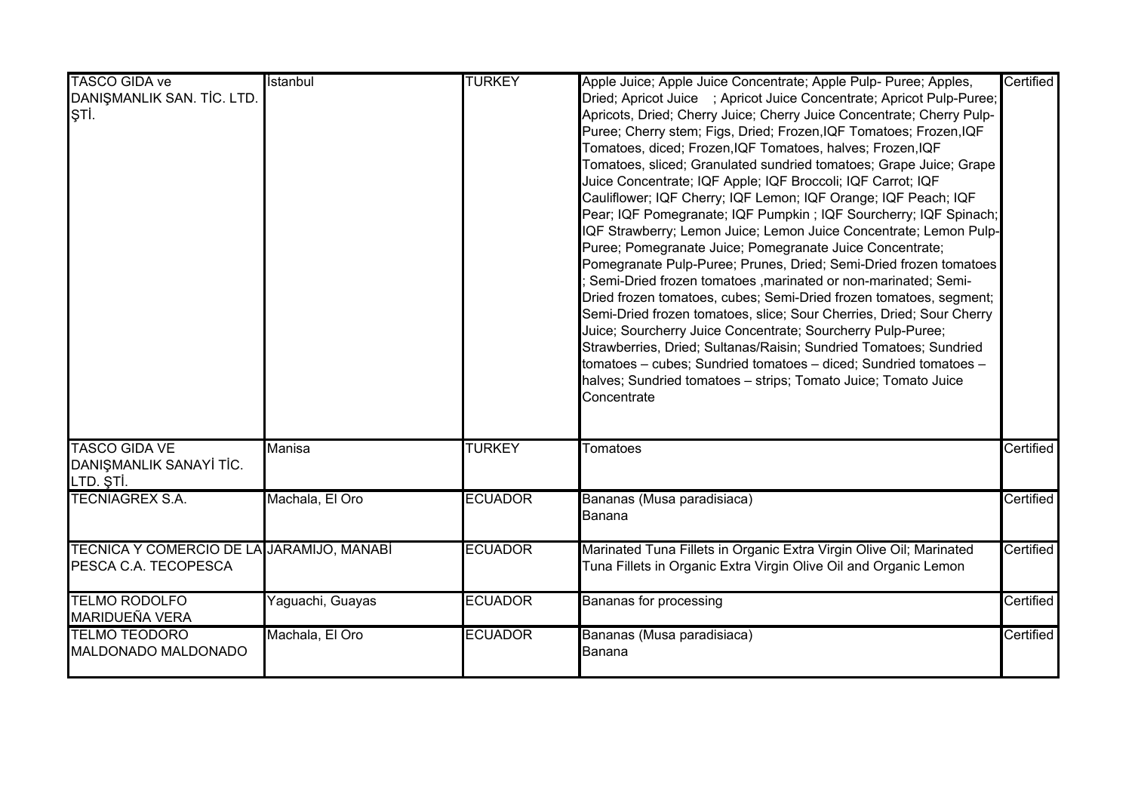| <b>TASCO GIDA ve</b>                      | İstanbul         | <b>TURKEY</b>  | Apple Juice; Apple Juice Concentrate; Apple Pulp- Puree; Apples,      | Certified |
|-------------------------------------------|------------------|----------------|-----------------------------------------------------------------------|-----------|
| DANIŞMANLIK SAN. TİC. LTD.                |                  |                | Dried; Apricot Juice ; Apricot Juice Concentrate; Apricot Pulp-Puree; |           |
| ļŞТİ.                                     |                  |                | Apricots, Dried; Cherry Juice; Cherry Juice Concentrate; Cherry Pulp- |           |
|                                           |                  |                | Puree; Cherry stem; Figs, Dried; Frozen, IQF Tomatoes; Frozen, IQF    |           |
|                                           |                  |                | Tomatoes, diced; Frozen, IQF Tomatoes, halves; Frozen, IQF            |           |
|                                           |                  |                | Tomatoes, sliced; Granulated sundried tomatoes; Grape Juice; Grape    |           |
|                                           |                  |                | Juice Concentrate; IQF Apple; IQF Broccoli; IQF Carrot; IQF           |           |
|                                           |                  |                | Cauliflower; IQF Cherry; IQF Lemon; IQF Orange; IQF Peach; IQF        |           |
|                                           |                  |                | Pear; IQF Pomegranate; IQF Pumpkin ; IQF Sourcherry; IQF Spinach;     |           |
|                                           |                  |                | IQF Strawberry; Lemon Juice; Lemon Juice Concentrate; Lemon Pulp-     |           |
|                                           |                  |                | Puree; Pomegranate Juice; Pomegranate Juice Concentrate;              |           |
|                                           |                  |                |                                                                       |           |
|                                           |                  |                | Pomegranate Pulp-Puree; Prunes, Dried; Semi-Dried frozen tomatoes     |           |
|                                           |                  |                | Semi-Dried frozen tomatoes , marinated or non-marinated; Semi-        |           |
|                                           |                  |                | Dried frozen tomatoes, cubes; Semi-Dried frozen tomatoes, segment;    |           |
|                                           |                  |                | Semi-Dried frozen tomatoes, slice; Sour Cherries, Dried; Sour Cherry  |           |
|                                           |                  |                | Juice; Sourcherry Juice Concentrate; Sourcherry Pulp-Puree;           |           |
|                                           |                  |                | Strawberries, Dried; Sultanas/Raisin; Sundried Tomatoes; Sundried     |           |
|                                           |                  |                | tomatoes - cubes; Sundried tomatoes - diced; Sundried tomatoes -      |           |
|                                           |                  |                | halves; Sundried tomatoes - strips; Tomato Juice; Tomato Juice        |           |
|                                           |                  |                | Concentrate                                                           |           |
|                                           |                  |                |                                                                       |           |
| <b>TASCO GIDA VE</b>                      | <b>Manisa</b>    | <b>TURKEY</b>  | Tomatoes                                                              | Certified |
| DANIŞMANLIK SANAYİ TİC.                   |                  |                |                                                                       |           |
| LTD. ȘTİ.                                 |                  |                |                                                                       |           |
| <b>TECNIAGREX S.A.</b>                    | Machala, El Oro  | <b>ECUADOR</b> | Bananas (Musa paradisiaca)                                            | Certified |
|                                           |                  |                | Banana                                                                |           |
| TECNICA Y COMERCIO DE LA JARAMIJO, MANABÍ |                  | <b>ECUADOR</b> | Marinated Tuna Fillets in Organic Extra Virgin Olive Oil; Marinated   | Certified |
| PESCA C.A. TECOPESCA                      |                  |                | Tuna Fillets in Organic Extra Virgin Olive Oil and Organic Lemon      |           |
|                                           |                  |                |                                                                       |           |
| <b>TELMO RODOLFO</b>                      | Yaguachi, Guayas | <b>ECUADOR</b> | Bananas for processing                                                | Certified |
| <b>MARIDUEÑA VERA</b>                     |                  |                |                                                                       |           |
| <b>TELMO TEODORO</b>                      | Machala, El Oro  | <b>ECUADOR</b> | Bananas (Musa paradisiaca)                                            | Certified |
| MALDONADO MALDONADO                       |                  |                | Banana                                                                |           |
|                                           |                  |                |                                                                       |           |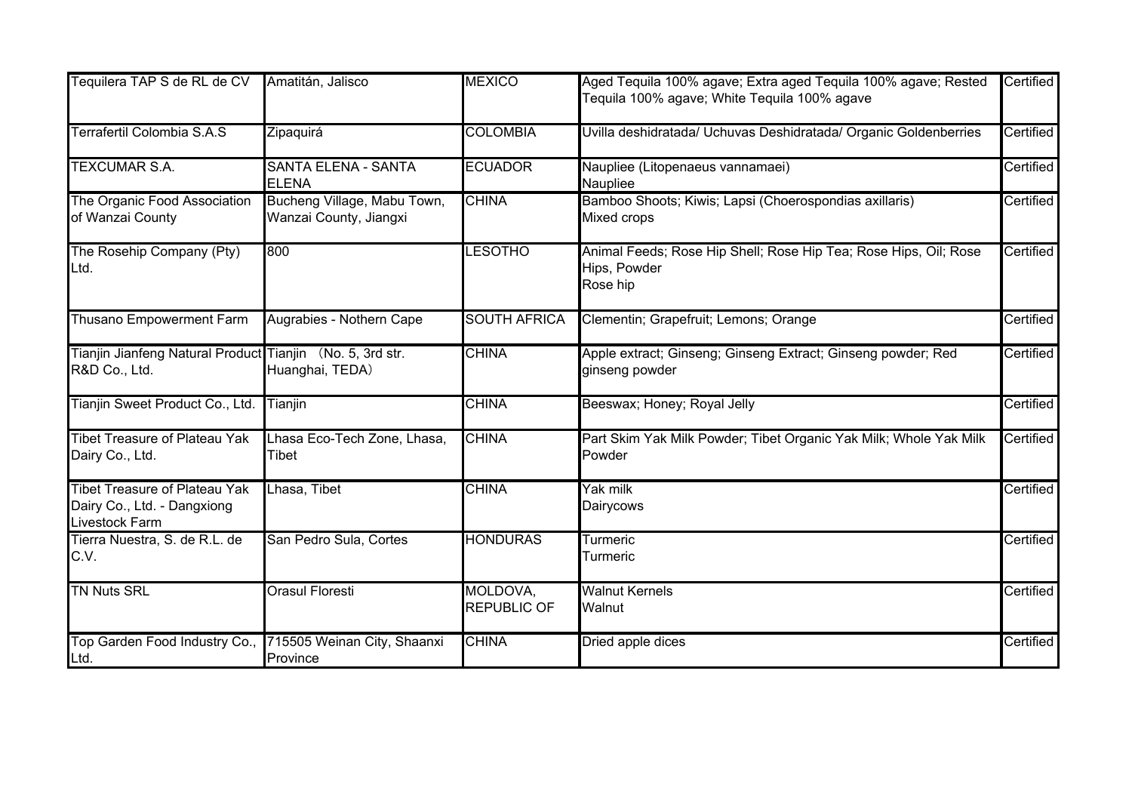| Tequilera TAP S de RL de CV                                                                  | Amatitán, Jalisco                                     | <b>MEXICO</b>                  | Aged Tequila 100% agave; Extra aged Tequila 100% agave; Rested<br>Tequila 100% agave; White Tequila 100% agave | Certified |
|----------------------------------------------------------------------------------------------|-------------------------------------------------------|--------------------------------|----------------------------------------------------------------------------------------------------------------|-----------|
| Terrafertil Colombia S.A.S                                                                   | Zipaquirá                                             | <b>COLOMBIA</b>                | Uvilla deshidratada/ Uchuvas Deshidratada/ Organic Goldenberries                                               | Certified |
| <b>TEXCUMAR S.A.</b>                                                                         | <b>SANTA ELENA - SANTA</b><br><b>ELENA</b>            | <b>ECUADOR</b>                 | Naupliee (Litopenaeus vannamaei)<br>Naupliee                                                                   | Certified |
| The Organic Food Association<br>of Wanzai County                                             | Bucheng Village, Mabu Town,<br>Wanzai County, Jiangxi | <b>CHINA</b>                   | Bamboo Shoots; Kiwis; Lapsi (Choerospondias axillaris)<br>Mixed crops                                          | Certified |
| The Rosehip Company (Pty)<br>Ltd.                                                            | 800                                                   | <b>LESOTHO</b>                 | Animal Feeds; Rose Hip Shell; Rose Hip Tea; Rose Hips, Oil; Rose<br>Hips, Powder<br>Rose hip                   | Certified |
| Thusano Empowerment Farm                                                                     | Augrabies - Nothern Cape                              | <b>SOUTH AFRICA</b>            | Clementin; Grapefruit; Lemons; Orange                                                                          | Certified |
| Tianjin Jianfeng Natural Product Tianjin (No. 5, 3rd str.<br>R&D Co., Ltd.                   | Huanghai, TEDA)                                       | <b>CHINA</b>                   | Apple extract; Ginseng; Ginseng Extract; Ginseng powder; Red<br>ginseng powder                                 | Certified |
| Tianjin Sweet Product Co., Ltd.                                                              | Tianjin                                               | <b>CHINA</b>                   | Beeswax; Honey; Royal Jelly                                                                                    | Certified |
| <b>Tibet Treasure of Plateau Yak</b><br>Dairy Co., Ltd.                                      | Lhasa Eco-Tech Zone, Lhasa,<br>Tibet                  | <b>CHINA</b>                   | Part Skim Yak Milk Powder; Tibet Organic Yak Milk; Whole Yak Milk<br>Powder                                    | Certified |
| <b>Tibet Treasure of Plateau Yak</b><br>Dairy Co., Ltd. - Dangxiong<br><b>Livestock Farm</b> | Lhasa, Tibet                                          | <b>CHINA</b>                   | Yak milk<br>Dairycows                                                                                          | Certified |
| Tierra Nuestra, S. de R.L. de<br>C.V.                                                        | San Pedro Sula, Cortes                                | <b>HONDURAS</b>                | Turmeric<br>Turmeric                                                                                           | Certified |
| <b>TN Nuts SRL</b>                                                                           | <b>Orasul Floresti</b>                                | MOLDOVA,<br><b>REPUBLIC OF</b> | <b>Walnut Kernels</b><br>Walnut                                                                                | Certified |
| Top Garden Food Industry Co.,<br>Ltd.                                                        | 715505 Weinan City, Shaanxi<br>Province               | <b>CHINA</b>                   | Dried apple dices                                                                                              | Certified |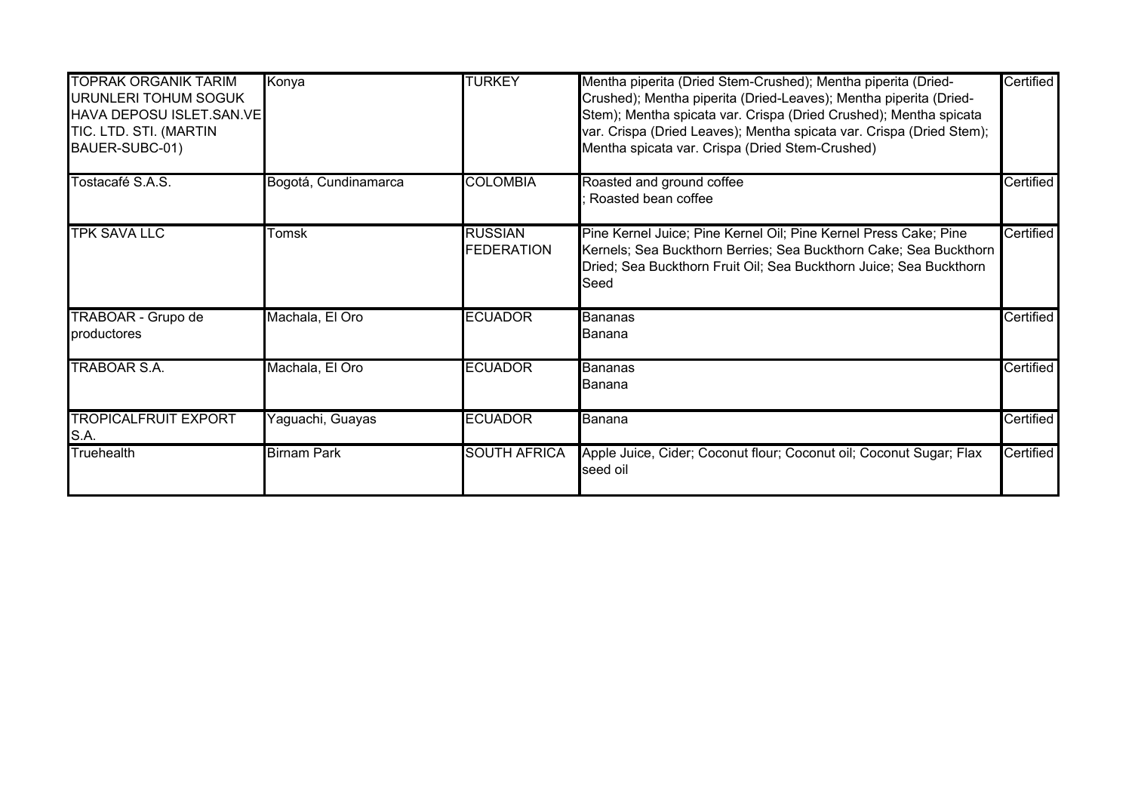| <b>TOPRAK ORGANIK TARIM</b><br>URUNLERI TOHUM SOGUK<br><b>HAVA DEPOSU ISLET.SAN.VE</b><br>TIC. LTD. STI. (MARTIN<br>BAUER-SUBC-01) | Konya                | <b>TURKEY</b>                       | Mentha piperita (Dried Stem-Crushed); Mentha piperita (Dried-<br>Crushed); Mentha piperita (Dried-Leaves); Mentha piperita (Dried-<br>Stem); Mentha spicata var. Crispa (Dried Crushed); Mentha spicata<br>var. Crispa (Dried Leaves); Mentha spicata var. Crispa (Dried Stem);<br>Mentha spicata var. Crispa (Dried Stem-Crushed) | Certified |
|------------------------------------------------------------------------------------------------------------------------------------|----------------------|-------------------------------------|------------------------------------------------------------------------------------------------------------------------------------------------------------------------------------------------------------------------------------------------------------------------------------------------------------------------------------|-----------|
| Tostacafé S.A.S.                                                                                                                   | Bogotá, Cundinamarca | <b>COLOMBIA</b>                     | Roasted and ground coffee<br>Roasted bean coffee                                                                                                                                                                                                                                                                                   | Certified |
| <b>TPK SAVA LLC</b>                                                                                                                | Tomsk                | <b>RUSSIAN</b><br><b>FEDERATION</b> | Pine Kernel Juice; Pine Kernel Oil; Pine Kernel Press Cake; Pine<br>Kernels; Sea Buckthorn Berries; Sea Buckthorn Cake; Sea Buckthorn<br>Dried; Sea Buckthorn Fruit Oil; Sea Buckthorn Juice; Sea Buckthorn<br>Seed                                                                                                                | Certified |
| TRABOAR - Grupo de<br>productores                                                                                                  | Machala, El Oro      | <b>ECUADOR</b>                      | Bananas<br>lBanana                                                                                                                                                                                                                                                                                                                 | Certified |
| TRABOAR S.A.                                                                                                                       | Machala, El Oro      | <b>ECUADOR</b>                      | Bananas<br>lBanana                                                                                                                                                                                                                                                                                                                 | Certified |
| <b>TROPICALFRUIT EXPORT</b><br>S.A.                                                                                                | Yaguachi, Guayas     | <b>ECUADOR</b>                      | <b>Banana</b>                                                                                                                                                                                                                                                                                                                      | Certified |
| Truehealth                                                                                                                         | <b>Birnam Park</b>   | <b>SOUTH AFRICA</b>                 | Apple Juice, Cider; Coconut flour; Coconut oil; Coconut Sugar; Flax<br>seed oil                                                                                                                                                                                                                                                    | Certified |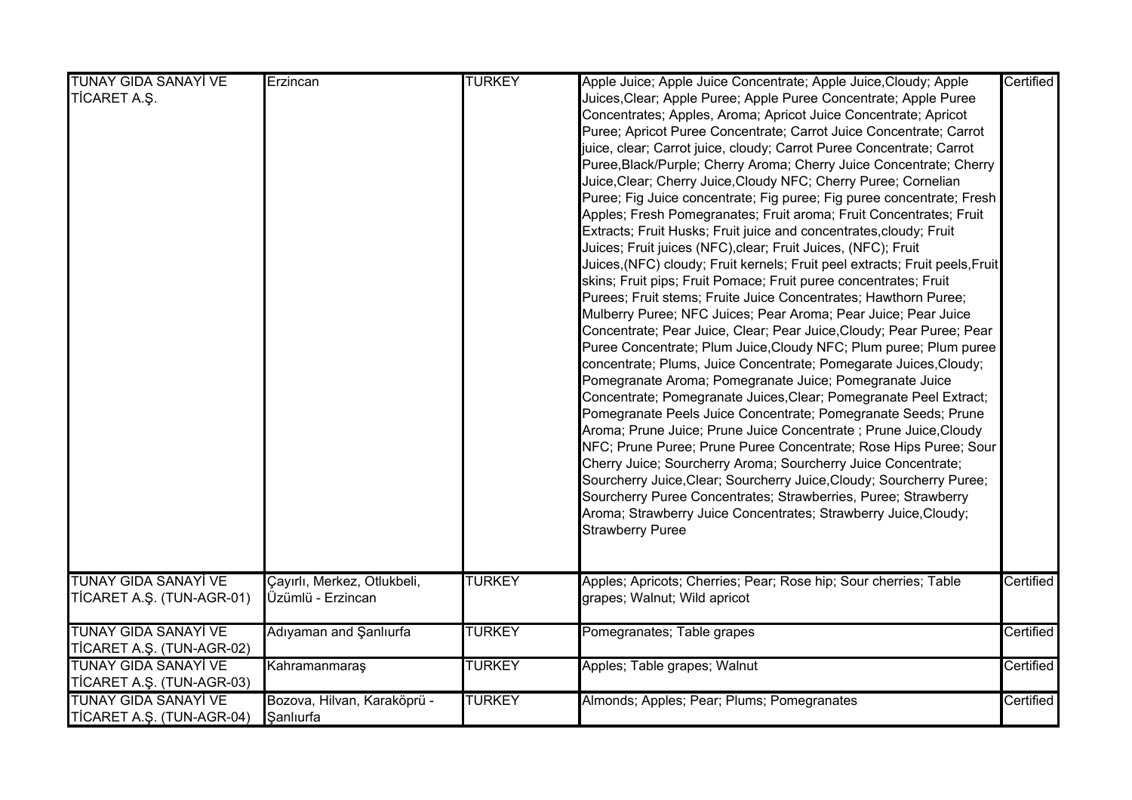| <b>TUNAY GIDA SANAYİ VE</b><br>TİCARET A.Ş.              | Erzincan                                         | <b>TURKEY</b> | Apple Juice; Apple Juice Concentrate; Apple Juice, Cloudy; Apple<br>Juices, Clear; Apple Puree; Apple Puree Concentrate; Apple Puree<br>Concentrates; Apples, Aroma; Apricot Juice Concentrate; Apricot<br>Puree; Apricot Puree Concentrate; Carrot Juice Concentrate; Carrot<br>juice, clear; Carrot juice, cloudy; Carrot Puree Concentrate; Carrot<br>Puree, Black/Purple; Cherry Aroma; Cherry Juice Concentrate; Cherry<br>Juice, Clear; Cherry Juice, Cloudy NFC; Cherry Puree; Cornelian<br>Puree; Fig Juice concentrate; Fig puree; Fig puree concentrate; Fresh<br>Apples; Fresh Pomegranates; Fruit aroma; Fruit Concentrates; Fruit<br>Extracts; Fruit Husks; Fruit juice and concentrates, cloudy; Fruit<br>Juices; Fruit juices (NFC), clear; Fruit Juices, (NFC); Fruit<br>Juices, (NFC) cloudy; Fruit kernels; Fruit peel extracts; Fruit peels, Fruit<br>skins; Fruit pips; Fruit Pomace; Fruit puree concentrates; Fruit<br>Purees; Fruit stems; Fruite Juice Concentrates; Hawthorn Puree;<br>Mulberry Puree; NFC Juices; Pear Aroma; Pear Juice; Pear Juice<br>Concentrate; Pear Juice, Clear; Pear Juice, Cloudy; Pear Puree; Pear<br>Puree Concentrate; Plum Juice, Cloudy NFC; Plum puree; Plum puree<br>concentrate; Plums, Juice Concentrate; Pomegarate Juices, Cloudy;<br>Pomegranate Aroma; Pomegranate Juice; Pomegranate Juice<br>Concentrate; Pomegranate Juices, Clear; Pomegranate Peel Extract;<br>Pomegranate Peels Juice Concentrate; Pomegranate Seeds; Prune<br>Aroma; Prune Juice; Prune Juice Concentrate ; Prune Juice, Cloudy<br>NFC; Prune Puree; Prune Puree Concentrate; Rose Hips Puree; Sour<br>Cherry Juice; Sourcherry Aroma; Sourcherry Juice Concentrate;<br>Sourcherry Juice, Clear; Sourcherry Juice, Cloudy; Sourcherry Puree;<br>Sourcherry Puree Concentrates; Strawberries, Puree; Strawberry<br>Aroma; Strawberry Juice Concentrates; Strawberry Juice, Cloudy;<br><b>Strawberry Puree</b> | Certified |  |
|----------------------------------------------------------|--------------------------------------------------|---------------|-----------------------------------------------------------------------------------------------------------------------------------------------------------------------------------------------------------------------------------------------------------------------------------------------------------------------------------------------------------------------------------------------------------------------------------------------------------------------------------------------------------------------------------------------------------------------------------------------------------------------------------------------------------------------------------------------------------------------------------------------------------------------------------------------------------------------------------------------------------------------------------------------------------------------------------------------------------------------------------------------------------------------------------------------------------------------------------------------------------------------------------------------------------------------------------------------------------------------------------------------------------------------------------------------------------------------------------------------------------------------------------------------------------------------------------------------------------------------------------------------------------------------------------------------------------------------------------------------------------------------------------------------------------------------------------------------------------------------------------------------------------------------------------------------------------------------------------------------------------------------------------------------------------------------------------------------------|-----------|--|
| <b>TUNAY GIDA SANAYİ VE</b><br>TİCARET A.Ş. (TUN-AGR-01) | Çayırlı, Merkez, Otlukbeli,<br>Üzümlü - Erzincan | <b>TURKEY</b> | Apples; Apricots; Cherries; Pear; Rose hip; Sour cherries; Table<br>grapes; Walnut; Wild apricot                                                                                                                                                                                                                                                                                                                                                                                                                                                                                                                                                                                                                                                                                                                                                                                                                                                                                                                                                                                                                                                                                                                                                                                                                                                                                                                                                                                                                                                                                                                                                                                                                                                                                                                                                                                                                                                    | Certified |  |
| <b>TUNAY GIDA SANAYİ VE</b><br>TİCARET A.Ş. (TUN-AGR-02) | Adıyaman and Şanlıurfa                           | <b>TURKEY</b> | Pomegranates; Table grapes                                                                                                                                                                                                                                                                                                                                                                                                                                                                                                                                                                                                                                                                                                                                                                                                                                                                                                                                                                                                                                                                                                                                                                                                                                                                                                                                                                                                                                                                                                                                                                                                                                                                                                                                                                                                                                                                                                                          | Certified |  |
| <b>TUNAY GIDA SANAYİ VE</b><br>TİCARET A.Ş. (TUN-AGR-03) | Kahramanmaraş                                    | <b>TURKEY</b> | Apples; Table grapes; Walnut                                                                                                                                                                                                                                                                                                                                                                                                                                                                                                                                                                                                                                                                                                                                                                                                                                                                                                                                                                                                                                                                                                                                                                                                                                                                                                                                                                                                                                                                                                                                                                                                                                                                                                                                                                                                                                                                                                                        | Certified |  |
| <b>TUNAY GIDA SANAYİ VE</b><br>TİCARET A.Ş. (TUN-AGR-04) | Bozova, Hilvan, Karaköprü -<br>Sanlıurfa         | <b>TURKEY</b> | Almonds; Apples; Pear; Plums; Pomegranates                                                                                                                                                                                                                                                                                                                                                                                                                                                                                                                                                                                                                                                                                                                                                                                                                                                                                                                                                                                                                                                                                                                                                                                                                                                                                                                                                                                                                                                                                                                                                                                                                                                                                                                                                                                                                                                                                                          | Certified |  |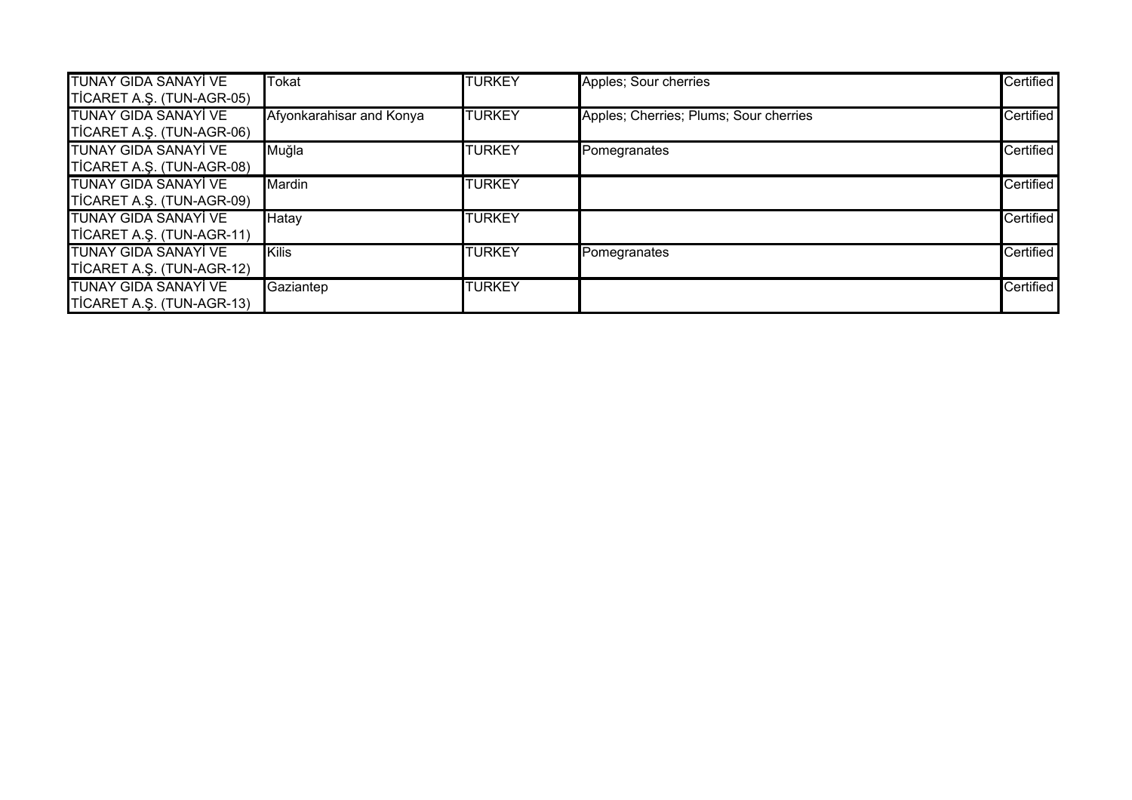| <b>TUNAY GIDA SANAYİ VE</b> | Tokat                    | <b>TURKEY</b> | Apples; Sour cherries                  | Certified        |
|-----------------------------|--------------------------|---------------|----------------------------------------|------------------|
| TICARET A.Ş. (TUN-AGR-05)   |                          |               |                                        |                  |
| TUNAY GIDA SANAYİ VE        | Afyonkarahisar and Konya | <b>TURKEY</b> | Apples; Cherries; Plums; Sour cherries | Certified        |
| TICARET A.Ş. (TUN-AGR-06)   |                          |               |                                        |                  |
| <b>TUNAY GIDA SANAYİ VE</b> | Muğla                    | <b>TURKEY</b> | Pomegranates                           | <b>Certified</b> |
| TICARET A.Ş. (TUN-AGR-08)   |                          |               |                                        |                  |
| <b>TUNAY GIDA SANAYİ VE</b> | Mardin                   | <b>TURKEY</b> |                                        | <b>Certified</b> |
| TICARET A.Ş. (TUN-AGR-09)   |                          |               |                                        |                  |
| TUNAY GIDA SANAYİ VE        | Hatay                    | <b>TURKEY</b> |                                        | Certified        |
| TICARET A.Ş. (TUN-AGR-11)   |                          |               |                                        |                  |
| <b>TUNAY GIDA SANAYİ VE</b> | <b>Kilis</b>             | <b>TURKEY</b> | Pomegranates                           | <b>Certified</b> |
| TICARET A.Ş. (TUN-AGR-12)   |                          |               |                                        |                  |
| <b>TUNAY GIDA SANAYİ VE</b> | Gaziantep                | <b>TURKEY</b> |                                        | Certified        |
| TICARET A.S. (TUN-AGR-13)   |                          |               |                                        |                  |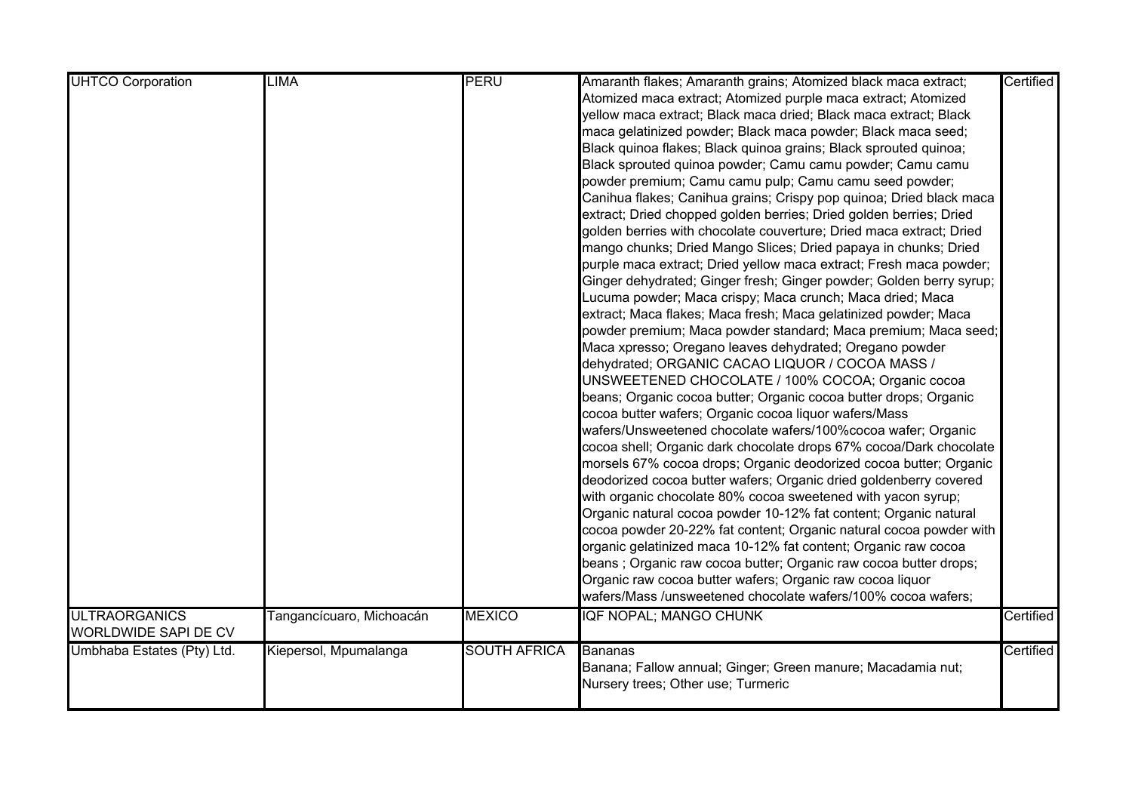| <b>UHTCO Corporation</b>    | <b>LIMA</b>              | <b>PERU</b>         | Amaranth flakes; Amaranth grains; Atomized black maca extract;      | Certified |
|-----------------------------|--------------------------|---------------------|---------------------------------------------------------------------|-----------|
|                             |                          |                     | Atomized maca extract; Atomized purple maca extract; Atomized       |           |
|                             |                          |                     | yellow maca extract; Black maca dried; Black maca extract; Black    |           |
|                             |                          |                     | maca gelatinized powder; Black maca powder; Black maca seed;        |           |
|                             |                          |                     | Black quinoa flakes; Black quinoa grains; Black sprouted quinoa;    |           |
|                             |                          |                     | Black sprouted quinoa powder; Camu camu powder; Camu camu           |           |
|                             |                          |                     | powder premium; Camu camu pulp; Camu camu seed powder;              |           |
|                             |                          |                     | Canihua flakes; Canihua grains; Crispy pop quinoa; Dried black maca |           |
|                             |                          |                     | extract; Dried chopped golden berries; Dried golden berries; Dried  |           |
|                             |                          |                     | golden berries with chocolate couverture; Dried maca extract; Dried |           |
|                             |                          |                     | mango chunks; Dried Mango Slices; Dried papaya in chunks; Dried     |           |
|                             |                          |                     | purple maca extract; Dried yellow maca extract; Fresh maca powder;  |           |
|                             |                          |                     | Ginger dehydrated; Ginger fresh; Ginger powder; Golden berry syrup; |           |
|                             |                          |                     | Lucuma powder; Maca crispy; Maca crunch; Maca dried; Maca           |           |
|                             |                          |                     | extract; Maca flakes; Maca fresh; Maca gelatinized powder; Maca     |           |
|                             |                          |                     | powder premium; Maca powder standard; Maca premium; Maca seed;      |           |
|                             |                          |                     | Maca xpresso; Oregano leaves dehydrated; Oregano powder             |           |
|                             |                          |                     | dehydrated; ORGANIC CACAO LIQUOR / COCOA MASS /                     |           |
|                             |                          |                     | UNSWEETENED CHOCOLATE / 100% COCOA; Organic cocoa                   |           |
|                             |                          |                     | beans; Organic cocoa butter; Organic cocoa butter drops; Organic    |           |
|                             |                          |                     | cocoa butter wafers; Organic cocoa liquor wafers/Mass               |           |
|                             |                          |                     | wafers/Unsweetened chocolate wafers/100%cocoa wafer; Organic        |           |
|                             |                          |                     | cocoa shell; Organic dark chocolate drops 67% cocoa/Dark chocolate  |           |
|                             |                          |                     | morsels 67% cocoa drops; Organic deodorized cocoa butter; Organic   |           |
|                             |                          |                     | deodorized cocoa butter wafers; Organic dried goldenberry covered   |           |
|                             |                          |                     | with organic chocolate 80% cocoa sweetened with yacon syrup;        |           |
|                             |                          |                     | Organic natural cocoa powder 10-12% fat content; Organic natural    |           |
|                             |                          |                     | cocoa powder 20-22% fat content; Organic natural cocoa powder with  |           |
|                             |                          |                     | organic gelatinized maca 10-12% fat content; Organic raw cocoa      |           |
|                             |                          |                     | beans; Organic raw cocoa butter; Organic raw cocoa butter drops;    |           |
|                             |                          |                     | Organic raw cocoa butter wafers; Organic raw cocoa liquor           |           |
|                             |                          |                     | wafers/Mass /unsweetened chocolate wafers/100% cocoa wafers;        |           |
| <b>ULTRAORGANICS</b>        | Tangancícuaro, Michoacán | <b>MEXICO</b>       | IQF NOPAL; MANGO CHUNK                                              | Certified |
| <b>WORLDWIDE SAPI DE CV</b> |                          |                     |                                                                     |           |
| Umbhaba Estates (Pty) Ltd.  | Kiepersol, Mpumalanga    | <b>SOUTH AFRICA</b> | Bananas                                                             | Certified |
|                             |                          |                     | Banana; Fallow annual; Ginger; Green manure; Macadamia nut;         |           |
|                             |                          |                     | Nursery trees; Other use; Turmeric                                  |           |
|                             |                          |                     |                                                                     |           |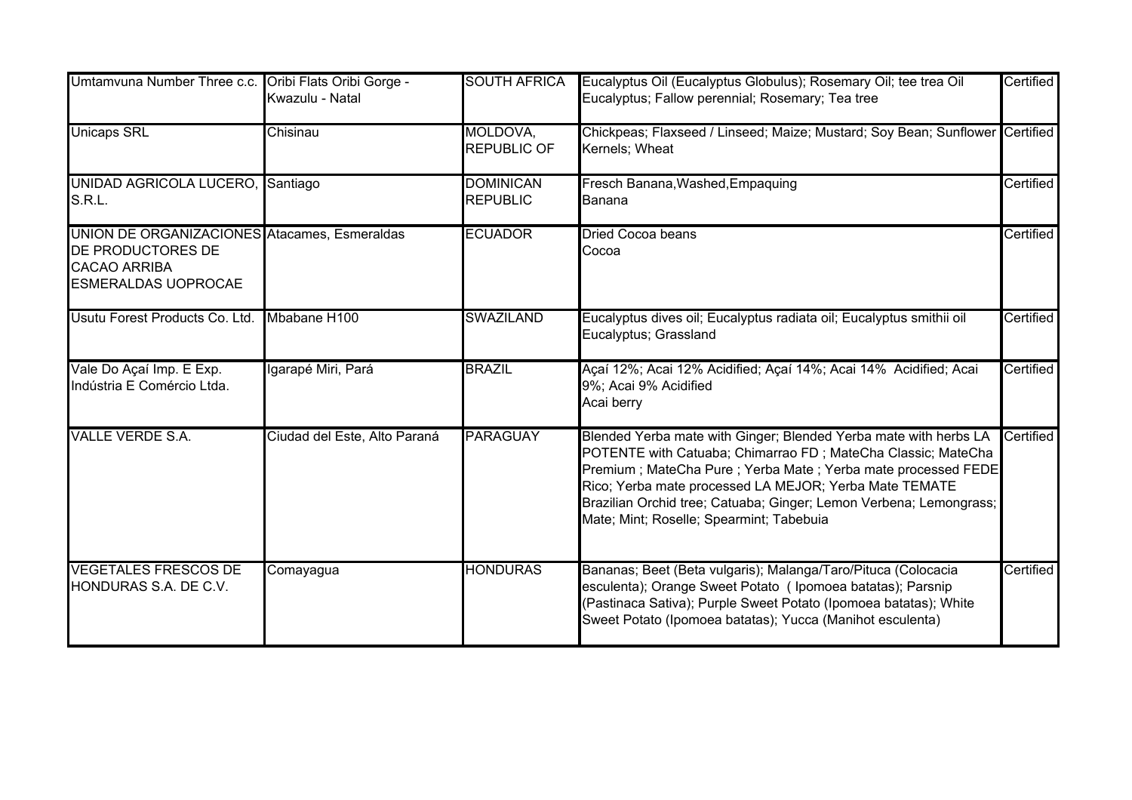| Umtamvuna Number Three c.c.                                                                                            | Oribi Flats Oribi Gorge -<br>Kwazulu - Natal | <b>SOUTH AFRICA</b>                 | Eucalyptus Oil (Eucalyptus Globulus); Rosemary Oil; tee trea Oil<br>Eucalyptus; Fallow perennial; Rosemary; Tea tree                                                                                                                                                                                                                                                         | Certified |
|------------------------------------------------------------------------------------------------------------------------|----------------------------------------------|-------------------------------------|------------------------------------------------------------------------------------------------------------------------------------------------------------------------------------------------------------------------------------------------------------------------------------------------------------------------------------------------------------------------------|-----------|
| <b>Unicaps SRL</b>                                                                                                     | Chisinau                                     | MOLDOVA,<br><b>REPUBLIC OF</b>      | Chickpeas; Flaxseed / Linseed; Maize; Mustard; Soy Bean; Sunflower Certified<br>Kernels; Wheat                                                                                                                                                                                                                                                                               |           |
| <b>UNIDAD AGRICOLA LUCERO,</b><br>S.R.L.                                                                               | Santiago                                     | <b>DOMINICAN</b><br><b>REPUBLIC</b> | Fresch Banana, Washed, Empaquing<br>Banana                                                                                                                                                                                                                                                                                                                                   | Certified |
| UNION DE ORGANIZACIONES Atacames, Esmeraldas<br>DE PRODUCTORES DE<br><b>CACAO ARRIBA</b><br><b>ESMERALDAS UOPROCAE</b> |                                              | <b>ECUADOR</b>                      | Dried Cocoa beans<br>Cocoa                                                                                                                                                                                                                                                                                                                                                   | Certified |
| Usutu Forest Products Co. Ltd.                                                                                         | Mbabane H100                                 | <b>SWAZILAND</b>                    | Eucalyptus dives oil; Eucalyptus radiata oil; Eucalyptus smithii oil<br>Eucalyptus; Grassland                                                                                                                                                                                                                                                                                | Certified |
| Vale Do Açaí Imp. E Exp.<br>Indústria E Comércio Ltda.                                                                 | Igarapé Miri, Pará                           | <b>BRAZIL</b>                       | Açaí 12%; Acai 12% Acidified; Açaí 14%; Acai 14% Acidified; Acai<br>9%; Acai 9% Acidified<br>Acai berry                                                                                                                                                                                                                                                                      | Certified |
| <b>VALLE VERDE S.A.</b>                                                                                                | Ciudad del Este, Alto Paraná                 | <b>PARAGUAY</b>                     | Blended Yerba mate with Ginger; Blended Yerba mate with herbs LA<br>POTENTE with Catuaba; Chimarrao FD; MateCha Classic; MateCha<br>Premium; MateCha Pure; Yerba Mate; Yerba mate processed FEDE<br>Rico; Yerba mate processed LA MEJOR; Yerba Mate TEMATE<br>Brazilian Orchid tree; Catuaba; Ginger; Lemon Verbena; Lemongrass;<br>Mate; Mint; Roselle; Spearmint; Tabebuia | Certified |
| <b>VEGETALES FRESCOS DE</b><br>HONDURAS S.A. DE C.V.                                                                   | Comayagua                                    | <b>HONDURAS</b>                     | Bananas; Beet (Beta vulgaris); Malanga/Taro/Pituca (Colocacia<br>esculenta); Orange Sweet Potato (Ipomoea batatas); Parsnip<br>(Pastinaca Sativa); Purple Sweet Potato (Ipomoea batatas); White<br>Sweet Potato (Ipomoea batatas); Yucca (Manihot esculenta)                                                                                                                 | Certified |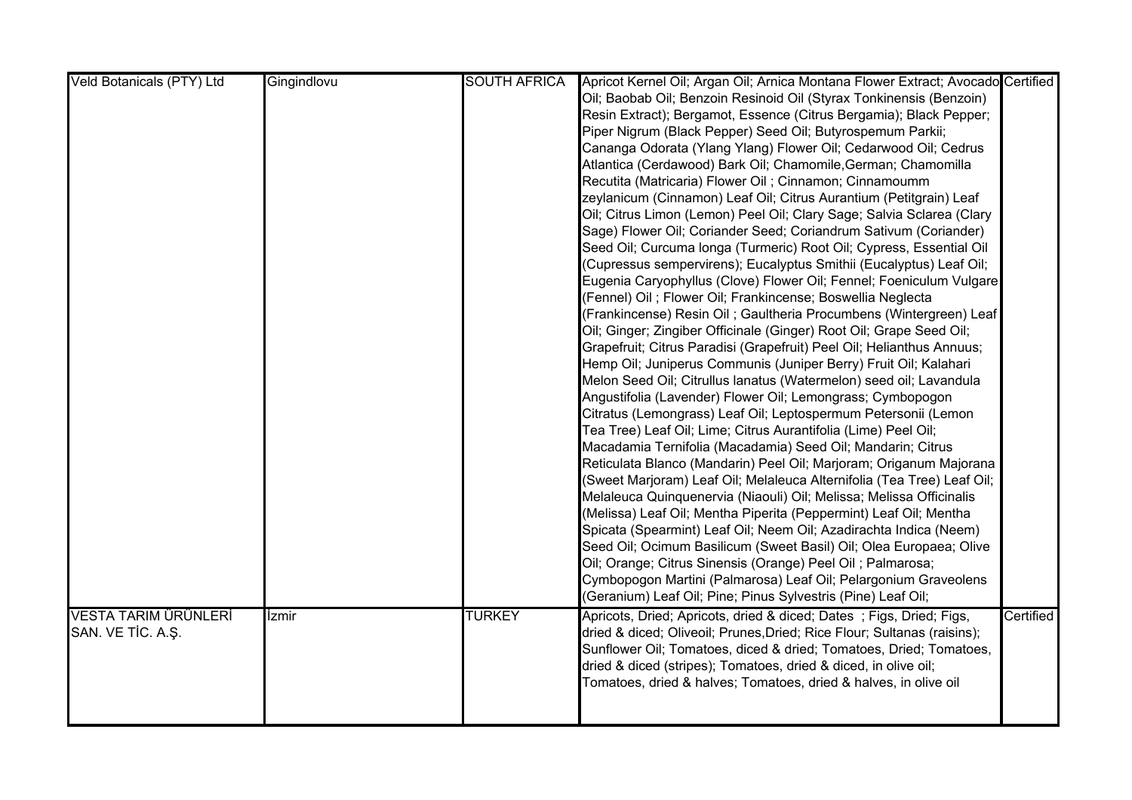| Veld Botanicals (PTY) Ltd   | Gingindlovu | <b>SOUTH AFRICA</b> | Apricot Kernel Oil; Argan Oil; Arnica Montana Flower Extract; Avocado Certified |           |
|-----------------------------|-------------|---------------------|---------------------------------------------------------------------------------|-----------|
|                             |             |                     | Oil; Baobab Oil; Benzoin Resinoid Oil (Styrax Tonkinensis (Benzoin)             |           |
|                             |             |                     | Resin Extract); Bergamot, Essence (Citrus Bergamia); Black Pepper;              |           |
|                             |             |                     | Piper Nigrum (Black Pepper) Seed Oil; Butyrospemum Parkii;                      |           |
|                             |             |                     | Cananga Odorata (Ylang Ylang) Flower Oil; Cedarwood Oil; Cedrus                 |           |
|                             |             |                     | Atlantica (Cerdawood) Bark Oil; Chamomile, German; Chamomilla                   |           |
|                             |             |                     | Recutita (Matricaria) Flower Oil; Cinnamon; Cinnamoumm                          |           |
|                             |             |                     | zeylanicum (Cinnamon) Leaf Oil; Citrus Aurantium (Petitgrain) Leaf              |           |
|                             |             |                     | Oil; Citrus Limon (Lemon) Peel Oil; Clary Sage; Salvia Sclarea (Clary           |           |
|                             |             |                     | Sage) Flower Oil; Coriander Seed; Coriandrum Sativum (Coriander)                |           |
|                             |             |                     | Seed Oil; Curcuma longa (Turmeric) Root Oil; Cypress, Essential Oil             |           |
|                             |             |                     | (Cupressus sempervirens); Eucalyptus Smithii (Eucalyptus) Leaf Oil;             |           |
|                             |             |                     | Eugenia Caryophyllus (Clove) Flower Oil; Fennel; Foeniculum Vulgare             |           |
|                             |             |                     | (Fennel) Oil ; Flower Oil; Frankincense; Boswellia Neglecta                     |           |
|                             |             |                     | (Frankincense) Resin Oil ; Gaultheria Procumbens (Wintergreen) Leaf             |           |
|                             |             |                     | Oil; Ginger; Zingiber Officinale (Ginger) Root Oil; Grape Seed Oil;             |           |
|                             |             |                     | Grapefruit; Citrus Paradisi (Grapefruit) Peel Oil; Helianthus Annuus;           |           |
|                             |             |                     | Hemp Oil; Juniperus Communis (Juniper Berry) Fruit Oil; Kalahari                |           |
|                             |             |                     | Melon Seed Oil; Citrullus lanatus (Watermelon) seed oil; Lavandula              |           |
|                             |             |                     | Angustifolia (Lavender) Flower Oil; Lemongrass; Cymbopogon                      |           |
|                             |             |                     | Citratus (Lemongrass) Leaf Oil; Leptospermum Petersonii (Lemon                  |           |
|                             |             |                     | Tea Tree) Leaf Oil; Lime; Citrus Aurantifolia (Lime) Peel Oil;                  |           |
|                             |             |                     | Macadamia Ternifolia (Macadamia) Seed Oil; Mandarin; Citrus                     |           |
|                             |             |                     | Reticulata Blanco (Mandarin) Peel Oil; Marjoram; Origanum Majorana              |           |
|                             |             |                     | (Sweet Marjoram) Leaf Oil; Melaleuca Alternifolia (Tea Tree) Leaf Oil;          |           |
|                             |             |                     | Melaleuca Quinquenervia (Niaouli) Oil; Melissa; Melissa Officinalis             |           |
|                             |             |                     | (Melissa) Leaf Oil; Mentha Piperita (Peppermint) Leaf Oil; Mentha               |           |
|                             |             |                     | Spicata (Spearmint) Leaf Oil; Neem Oil; Azadirachta Indica (Neem)               |           |
|                             |             |                     | Seed Oil; Ocimum Basilicum (Sweet Basil) Oil; Olea Europaea; Olive              |           |
|                             |             |                     | Oil; Orange; Citrus Sinensis (Orange) Peel Oil ; Palmarosa;                     |           |
|                             |             |                     | Cymbopogon Martini (Palmarosa) Leaf Oil; Pelargonium Graveolens                 |           |
|                             |             |                     | (Geranium) Leaf Oil; Pine; Pinus Sylvestris (Pine) Leaf Oil;                    |           |
| <b>VESTA TARIM ÜRÜNLERİ</b> | İzmir       | <b>TURKEY</b>       | Apricots, Dried; Apricots, dried & diced; Dates; Figs, Dried; Figs,             | Certified |
| SAN. VE TİC. A.Ş.           |             |                     | dried & diced; Oliveoil; Prunes, Dried; Rice Flour; Sultanas (raisins);         |           |
|                             |             |                     | Sunflower Oil; Tomatoes, diced & dried; Tomatoes, Dried; Tomatoes,              |           |
|                             |             |                     | dried & diced (stripes); Tomatoes, dried & diced, in olive oil;                 |           |
|                             |             |                     | Tomatoes, dried & halves; Tomatoes, dried & halves, in olive oil                |           |
|                             |             |                     |                                                                                 |           |
|                             |             |                     |                                                                                 |           |
|                             |             |                     |                                                                                 |           |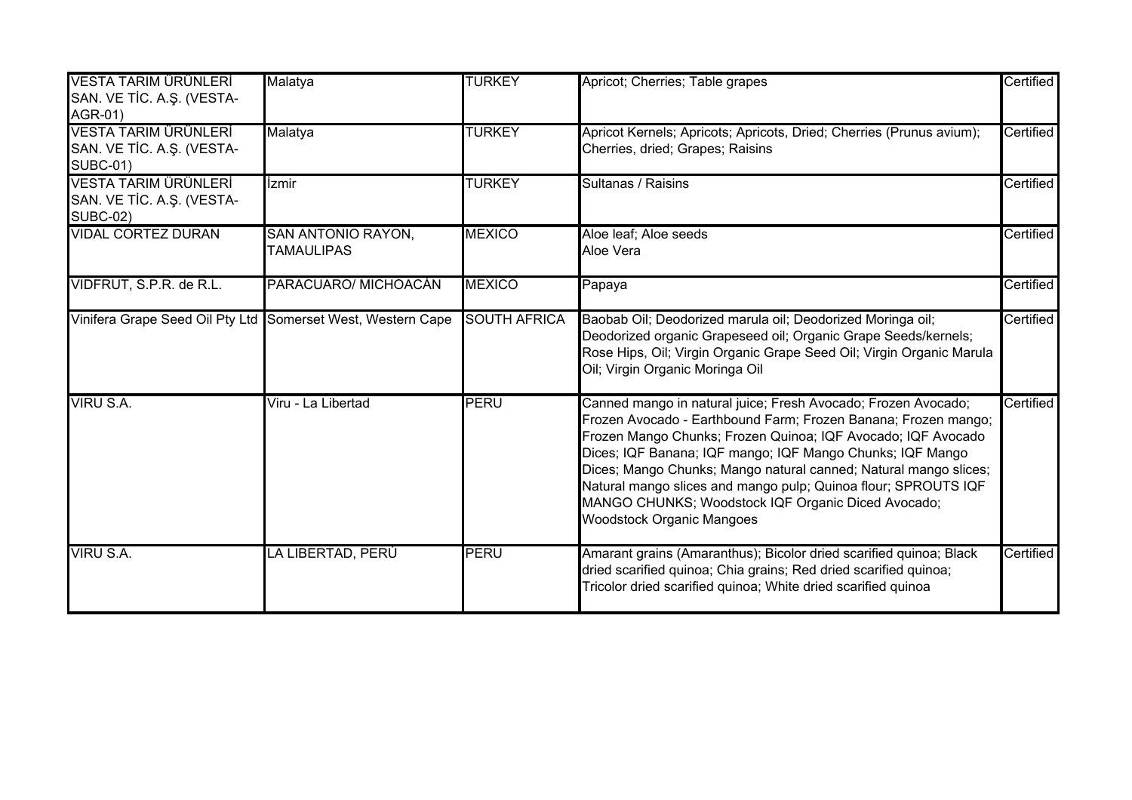| <b>VESTA TARIM ÜRÜNLERİ</b><br>SAN. VE TİC. A.Ş. (VESTA-<br>AGR-01)  | Malatya                                                     | <b>TURKEY</b>       | Apricot; Cherries; Table grapes                                                                                                                                                                                                                                                                                                                                                                                                                                                              | Certified |
|----------------------------------------------------------------------|-------------------------------------------------------------|---------------------|----------------------------------------------------------------------------------------------------------------------------------------------------------------------------------------------------------------------------------------------------------------------------------------------------------------------------------------------------------------------------------------------------------------------------------------------------------------------------------------------|-----------|
| VESTA TARIM ÜRÜNLERİ<br>SAN. VE TİC. A.Ş. (VESTA-<br><b>SUBC-01)</b> | Malatya                                                     | <b>TURKEY</b>       | Apricot Kernels; Apricots; Apricots, Dried; Cherries (Prunus avium);<br>Cherries, dried; Grapes; Raisins                                                                                                                                                                                                                                                                                                                                                                                     | Certified |
| VESTA TARIM ÜRÜNLERİ<br>SAN. VE TİC. A.Ş. (VESTA-<br><b>SUBC-02)</b> | <b>Izmir</b>                                                | <b>TURKEY</b>       | Sultanas / Raisins                                                                                                                                                                                                                                                                                                                                                                                                                                                                           | Certified |
| <b>VIDAL CORTEZ DURAN</b>                                            | <b>SAN ANTONIO RAYON,</b><br><b>TAMAULIPAS</b>              | <b>MEXICO</b>       | Aloe leaf; Aloe seeds<br>Aloe Vera                                                                                                                                                                                                                                                                                                                                                                                                                                                           | Certified |
| VIDFRUT, S.P.R. de R.L.                                              | PARACUARO/ MICHOACÁN                                        | <b>MEXICO</b>       | Papaya                                                                                                                                                                                                                                                                                                                                                                                                                                                                                       | Certified |
|                                                                      | Vinifera Grape Seed Oil Pty Ltd Somerset West, Western Cape | <b>SOUTH AFRICA</b> | Baobab Oil; Deodorized marula oil; Deodorized Moringa oil;<br>Deodorized organic Grapeseed oil; Organic Grape Seeds/kernels;<br>Rose Hips, Oil; Virgin Organic Grape Seed Oil; Virgin Organic Marula<br>Oil; Virgin Organic Moringa Oil                                                                                                                                                                                                                                                      | Certified |
| VIRU S.A.                                                            | Viru - La Libertad                                          | <b>PERU</b>         | Canned mango in natural juice; Fresh Avocado; Frozen Avocado;<br>Frozen Avocado - Earthbound Farm; Frozen Banana; Frozen mango;<br>Frozen Mango Chunks; Frozen Quinoa; IQF Avocado; IQF Avocado<br>Dices; IQF Banana; IQF mango; IQF Mango Chunks; IQF Mango<br>Dices; Mango Chunks; Mango natural canned; Natural mango slices;<br>Natural mango slices and mango pulp; Quinoa flour; SPROUTS IQF<br>MANGO CHUNKS; Woodstock IQF Organic Diced Avocado;<br><b>Woodstock Organic Mangoes</b> | Certified |
| VIRU S.A.                                                            | LA LIBERTAD, PERÚ                                           | PERU                | Amarant grains (Amaranthus); Bicolor dried scarified quinoa; Black<br>dried scarified quinoa; Chia grains; Red dried scarified quinoa;<br>Tricolor dried scarified quinoa; White dried scarified quinoa                                                                                                                                                                                                                                                                                      | Certified |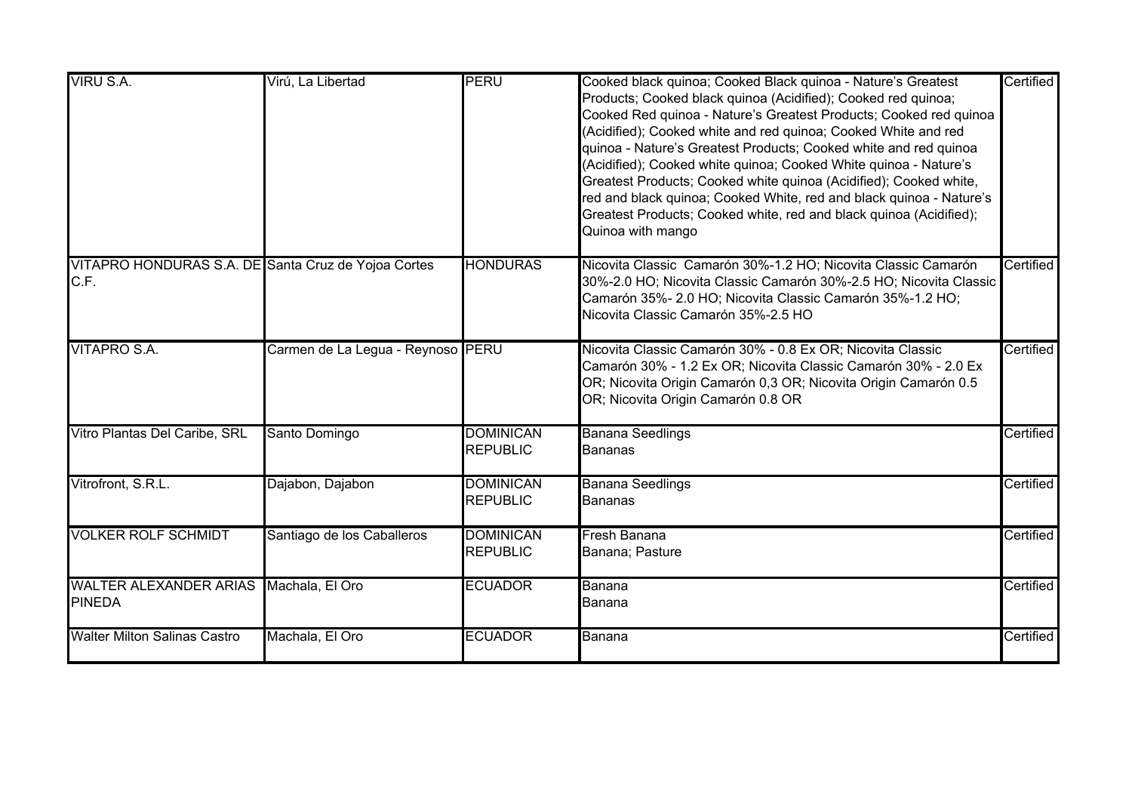| VIRU S.A.                                                   | Virú, La Libertad                 | <b>PERU</b>                         | Cooked black quinoa; Cooked Black quinoa - Nature's Greatest<br>Products; Cooked black quinoa (Acidified); Cooked red quinoa;<br>Cooked Red quinoa - Nature's Greatest Products; Cooked red quinoa<br>(Acidified); Cooked white and red quinoa; Cooked White and red<br>quinoa - Nature's Greatest Products; Cooked white and red quinoa<br>(Acidified); Cooked white quinoa; Cooked White quinoa - Nature's<br>Greatest Products; Cooked white quinoa (Acidified); Cooked white,<br>red and black quinoa; Cooked White, red and black quinoa - Nature's<br>Greatest Products; Cooked white, red and black quinoa (Acidified);<br>Quinoa with mango | Certified |
|-------------------------------------------------------------|-----------------------------------|-------------------------------------|-----------------------------------------------------------------------------------------------------------------------------------------------------------------------------------------------------------------------------------------------------------------------------------------------------------------------------------------------------------------------------------------------------------------------------------------------------------------------------------------------------------------------------------------------------------------------------------------------------------------------------------------------------|-----------|
| VITAPRO HONDURAS S.A. DE Santa Cruz de Yojoa Cortes<br>C.F. |                                   | <b>HONDURAS</b>                     | Nicovita Classic Camarón 30%-1.2 HO; Nicovita Classic Camarón<br>30%-2.0 HO; Nicovita Classic Camarón 30%-2.5 HO; Nicovita Classic<br>Camarón 35%- 2.0 HO; Nicovita Classic Camarón 35%-1.2 HO;<br>Nicovita Classic Camarón 35%-2.5 HO                                                                                                                                                                                                                                                                                                                                                                                                              | Certified |
| <b>VITAPRO S.A.</b>                                         | Carmen de La Legua - Reynoso PERU |                                     | Nicovita Classic Camarón 30% - 0.8 Ex OR; Nicovita Classic<br>Camarón 30% - 1.2 Ex OR; Nicovita Classic Camarón 30% - 2.0 Ex<br>OR; Nicovita Origin Camarón 0,3 OR; Nicovita Origin Camarón 0.5<br>OR; Nicovita Origin Camarón 0.8 OR                                                                                                                                                                                                                                                                                                                                                                                                               | Certified |
| Vitro Plantas Del Caribe, SRL                               | Santo Domingo                     | <b>DOMINICAN</b><br><b>REPUBLIC</b> | <b>Banana Seedlings</b><br><b>Bananas</b>                                                                                                                                                                                                                                                                                                                                                                                                                                                                                                                                                                                                           | Certified |
| Vitrofront, S.R.L.                                          | Dajabon, Dajabon                  | <b>DOMINICAN</b><br><b>REPUBLIC</b> | <b>Banana Seedlings</b><br><b>Bananas</b>                                                                                                                                                                                                                                                                                                                                                                                                                                                                                                                                                                                                           | Certified |
| <b>VOLKER ROLF SCHMIDT</b>                                  | Santiago de los Caballeros        | <b>DOMINICAN</b><br><b>REPUBLIC</b> | Fresh Banana<br>Banana; Pasture                                                                                                                                                                                                                                                                                                                                                                                                                                                                                                                                                                                                                     | Certified |
| <b>WALTER ALEXANDER ARIAS</b><br><b>PINEDA</b>              | Machala, El Oro                   | <b>ECUADOR</b>                      | Banana<br>Banana                                                                                                                                                                                                                                                                                                                                                                                                                                                                                                                                                                                                                                    | Certified |
| <b>Walter Milton Salinas Castro</b>                         | Machala, El Oro                   | <b>ECUADOR</b>                      | <b>Banana</b>                                                                                                                                                                                                                                                                                                                                                                                                                                                                                                                                                                                                                                       | Certified |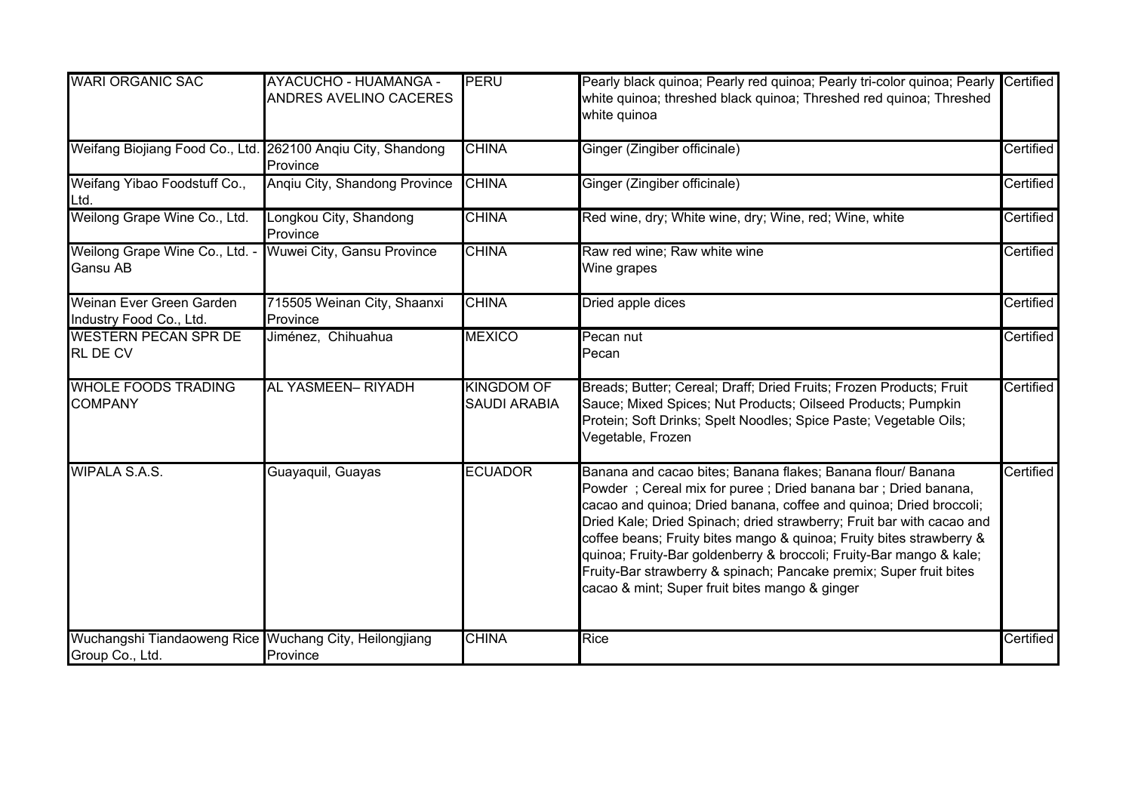| <b>WARI ORGANIC SAC</b>                                                   | <b>AYACUCHO - HUAMANGA -</b><br><b>ANDRES AVELINO CACERES</b> | <b>PERU</b>                              | Pearly black quinoa; Pearly red quinoa; Pearly tri-color quinoa; Pearly Certified<br>white quinoa; threshed black quinoa; Threshed red quinoa; Threshed<br>white quinoa                                                                                                                                                                                                                                                                                                                                                                            |           |
|---------------------------------------------------------------------------|---------------------------------------------------------------|------------------------------------------|----------------------------------------------------------------------------------------------------------------------------------------------------------------------------------------------------------------------------------------------------------------------------------------------------------------------------------------------------------------------------------------------------------------------------------------------------------------------------------------------------------------------------------------------------|-----------|
| Weifang Biojiang Food Co., Ltd. 262100 Angiu City, Shandong               | Province                                                      | <b>CHINA</b>                             | Ginger (Zingiber officinale)                                                                                                                                                                                                                                                                                                                                                                                                                                                                                                                       | Certified |
| Weifang Yibao Foodstuff Co.,<br>Ltd.                                      | Angiu City, Shandong Province                                 | <b>CHINA</b>                             | Ginger (Zingiber officinale)                                                                                                                                                                                                                                                                                                                                                                                                                                                                                                                       | Certified |
| Weilong Grape Wine Co., Ltd.                                              | Longkou City, Shandong<br>Province                            | <b>CHINA</b>                             | Red wine, dry; White wine, dry; Wine, red; Wine, white                                                                                                                                                                                                                                                                                                                                                                                                                                                                                             | Certified |
| Weilong Grape Wine Co., Ltd. -<br><b>Gansu AB</b>                         | Wuwei City, Gansu Province                                    | <b>CHINA</b>                             | Raw red wine; Raw white wine<br>Wine grapes                                                                                                                                                                                                                                                                                                                                                                                                                                                                                                        | Certified |
| Weinan Ever Green Garden<br>Industry Food Co., Ltd.                       | 715505 Weinan City, Shaanxi<br>Province                       | <b>CHINA</b>                             | Dried apple dices                                                                                                                                                                                                                                                                                                                                                                                                                                                                                                                                  | Certified |
| <b>WESTERN PECAN SPR DE</b><br><b>RL DE CV</b>                            | Jiménez, Chihuahua                                            | <b>MEXICO</b>                            | Pecan nut<br>Pecan                                                                                                                                                                                                                                                                                                                                                                                                                                                                                                                                 | Certified |
| <b>WHOLE FOODS TRADING</b><br><b>COMPANY</b>                              | AL YASMEEN- RIYADH                                            | <b>KINGDOM OF</b><br><b>SAUDI ARABIA</b> | Breads; Butter; Cereal; Draff; Dried Fruits; Frozen Products; Fruit<br>Sauce; Mixed Spices; Nut Products; Oilseed Products; Pumpkin<br>Protein; Soft Drinks; Spelt Noodles; Spice Paste; Vegetable Oils;<br>Vegetable, Frozen                                                                                                                                                                                                                                                                                                                      | Certified |
| <b>WIPALA S.A.S.</b>                                                      | Guayaquil, Guayas                                             | <b>ECUADOR</b>                           | Banana and cacao bites; Banana flakes; Banana flour/ Banana<br>Powder; Cereal mix for puree; Dried banana bar; Dried banana,<br>cacao and quinoa; Dried banana, coffee and quinoa; Dried broccoli;<br>Dried Kale; Dried Spinach; dried strawberry; Fruit bar with cacao and<br>coffee beans; Fruity bites mango & quinoa; Fruity bites strawberry &<br>quinoa; Fruity-Bar goldenberry & broccoli; Fruity-Bar mango & kale;<br>Fruity-Bar strawberry & spinach; Pancake premix; Super fruit bites<br>cacao & mint; Super fruit bites mango & ginger | Certified |
| Wuchangshi Tiandaoweng Rice Wuchang City, Heilongjiang<br>Group Co., Ltd. | Province                                                      | <b>CHINA</b>                             | Rice                                                                                                                                                                                                                                                                                                                                                                                                                                                                                                                                               | Certified |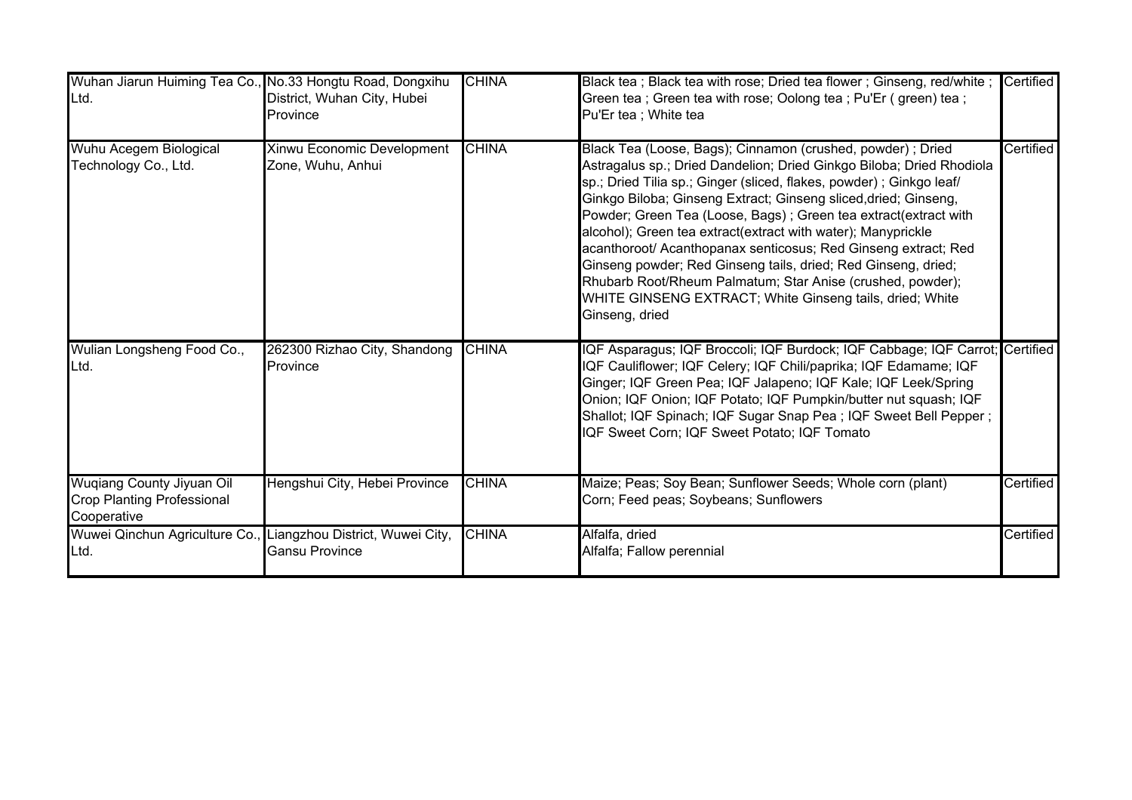| Wuhan Jiarun Huiming Tea Co., No.33 Hongtu Road, Dongxihu<br>Ltd.                    | District, Wuhan City, Hubei<br>Province         | <b>CHINA</b> | Black tea; Black tea with rose; Dried tea flower; Ginseng, red/white;<br>Green tea; Green tea with rose; Oolong tea; Pu'Er (green) tea;<br>Pu'Er tea ; White tea                                                                                                                                                                                                                                                                                                                                                                                                                                                                                                                                 | <b>Certified</b> |
|--------------------------------------------------------------------------------------|-------------------------------------------------|--------------|--------------------------------------------------------------------------------------------------------------------------------------------------------------------------------------------------------------------------------------------------------------------------------------------------------------------------------------------------------------------------------------------------------------------------------------------------------------------------------------------------------------------------------------------------------------------------------------------------------------------------------------------------------------------------------------------------|------------------|
| Wuhu Acegem Biological<br>Technology Co., Ltd.                                       | Xinwu Economic Development<br>Zone, Wuhu, Anhui | <b>CHINA</b> | Black Tea (Loose, Bags); Cinnamon (crushed, powder) ; Dried<br>Astragalus sp.; Dried Dandelion; Dried Ginkgo Biloba; Dried Rhodiola<br>sp.; Dried Tilia sp.; Ginger (sliced, flakes, powder) ; Ginkgo leaf/<br>Ginkgo Biloba; Ginseng Extract; Ginseng sliced, dried; Ginseng,<br>Powder; Green Tea (Loose, Bags); Green tea extract(extract with<br>alcohol); Green tea extract(extract with water); Manyprickle<br>acanthoroot/ Acanthopanax senticosus; Red Ginseng extract; Red<br>Ginseng powder; Red Ginseng tails, dried; Red Ginseng, dried;<br>Rhubarb Root/Rheum Palmatum; Star Anise (crushed, powder);<br>WHITE GINSENG EXTRACT; White Ginseng tails, dried; White<br>Ginseng, dried | Certified        |
| Wulian Longsheng Food Co.,<br>Ltd.                                                   | 262300 Rizhao City, Shandong<br>Province        | <b>CHINA</b> | IQF Asparagus; IQF Broccoli; IQF Burdock; IQF Cabbage; IQF Carrot; Certified<br>IQF Cauliflower; IQF Celery; IQF Chili/paprika; IQF Edamame; IQF<br>Ginger; IQF Green Pea; IQF Jalapeno; IQF Kale; IQF Leek/Spring<br>Onion; IQF Onion; IQF Potato; IQF Pumpkin/butter nut squash; IQF<br>Shallot; IQF Spinach; IQF Sugar Snap Pea; IQF Sweet Bell Pepper;<br>IQF Sweet Corn; IQF Sweet Potato; IQF Tomato                                                                                                                                                                                                                                                                                       |                  |
| <b>Wuqiang County Jiyuan Oil</b><br><b>Crop Planting Professional</b><br>Cooperative | Hengshui City, Hebei Province                   | <b>CHINA</b> | Maize; Peas; Soy Bean; Sunflower Seeds; Whole corn (plant)<br>Corn; Feed peas; Soybeans; Sunflowers                                                                                                                                                                                                                                                                                                                                                                                                                                                                                                                                                                                              | Certified        |
| Wuwei Qinchun Agriculture Co., Liangzhou District, Wuwei City,<br>Ltd.               | <b>Gansu Province</b>                           | <b>CHINA</b> | Alfalfa, dried<br>Alfalfa; Fallow perennial                                                                                                                                                                                                                                                                                                                                                                                                                                                                                                                                                                                                                                                      | Certified        |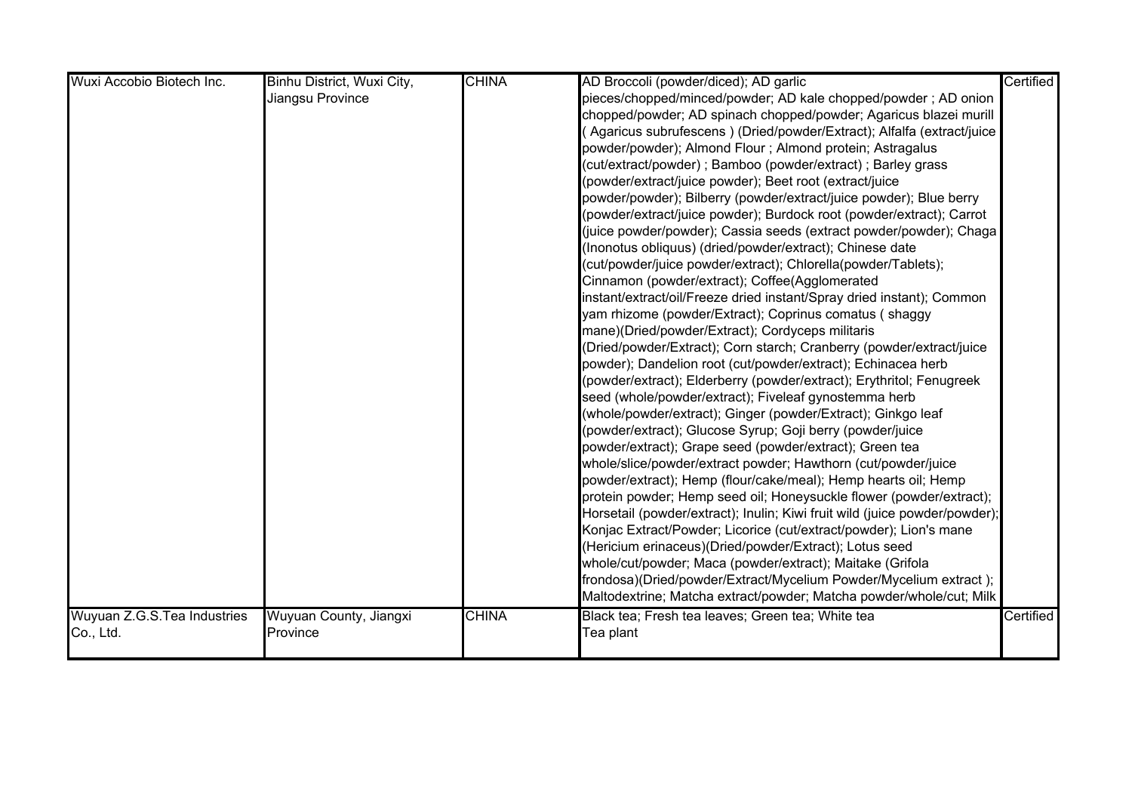| Wuxi Accobio Biotech Inc.   | Binhu District, Wuxi City, | <b>CHINA</b> | AD Broccoli (powder/diced); AD garlic                                      | Certified |
|-----------------------------|----------------------------|--------------|----------------------------------------------------------------------------|-----------|
|                             | Jiangsu Province           |              | pieces/chopped/minced/powder; AD kale chopped/powder ; AD onion            |           |
|                             |                            |              | chopped/powder; AD spinach chopped/powder; Agaricus blazei murill          |           |
|                             |                            |              | (Agaricus subrufescens ) (Dried/powder/Extract); Alfalfa (extract/juice    |           |
|                             |                            |              | powder/powder); Almond Flour ; Almond protein; Astragalus                  |           |
|                             |                            |              | (cut/extract/powder) ; Bamboo (powder/extract) ; Barley grass              |           |
|                             |                            |              | (powder/extract/juice powder); Beet root (extract/juice                    |           |
|                             |                            |              | powder/powder); Bilberry (powder/extract/juice powder); Blue berry         |           |
|                             |                            |              | (powder/extract/juice powder); Burdock root (powder/extract); Carrot       |           |
|                             |                            |              | (juice powder/powder); Cassia seeds (extract powder/powder); Chaga         |           |
|                             |                            |              | (Inonotus obliquus) (dried/powder/extract); Chinese date                   |           |
|                             |                            |              | (cut/powder/juice powder/extract);        Chlorella(powder/Tablets);       |           |
|                             |                            |              | Cinnamon (powder/extract); Coffee(Agglomerated                             |           |
|                             |                            |              | instant/extract/oil/Freeze dried instant/Spray dried instant); Common      |           |
|                             |                            |              | yam rhizome (powder/Extract); Coprinus comatus (shaggy                     |           |
|                             |                            |              | mane)(Dried/powder/Extract); Cordyceps militaris                           |           |
|                             |                            |              | (Dried/powder/Extract); Corn starch; Cranberry (powder/extract/juice       |           |
|                             |                            |              | powder); Dandelion root (cut/powder/extract); Echinacea herb               |           |
|                             |                            |              | (powder/extract); Elderberry (powder/extract); Erythritol; Fenugreek       |           |
|                             |                            |              | seed (whole/powder/extract); Fiveleaf gynostemma herb                      |           |
|                             |                            |              |                                                                            |           |
|                             |                            |              | (powder/extract); Glucose Syrup; Goji berry (powder/juice                  |           |
|                             |                            |              | powder/extract); Grape seed (powder/extract); Green tea                    |           |
|                             |                            |              | whole/slice/powder/extract powder; Hawthorn (cut/powder/juice              |           |
|                             |                            |              | powder/extract); Hemp (flour/cake/meal); Hemp hearts oil; Hemp             |           |
|                             |                            |              | protein powder; Hemp seed oil; Honeysuckle flower (powder/extract);        |           |
|                             |                            |              | Horsetail (powder/extract); Inulin; Kiwi fruit wild (juice powder/powder); |           |
|                             |                            |              | Konjac Extract/Powder; Licorice (cut/extract/powder); Lion's mane          |           |
|                             |                            |              | (Hericium erinaceus)(Dried/powder/Extract); Lotus seed                     |           |
|                             |                            |              | whole/cut/powder; Maca (powder/extract); Maitake (Grifola                  |           |
|                             |                            |              | frondosa)(Dried/powder/Extract/Mycelium Powder/Mycelium extract);          |           |
|                             |                            |              | Maltodextrine; Matcha extract/powder; Matcha powder/whole/cut; Milk        |           |
| Wuyuan Z.G.S.Tea Industries | Wuyuan County, Jiangxi     | <b>CHINA</b> | Black tea; Fresh tea leaves; Green tea; White tea                          | Certified |
| Co., Ltd.                   | Province                   |              | Tea plant                                                                  |           |
|                             |                            |              |                                                                            |           |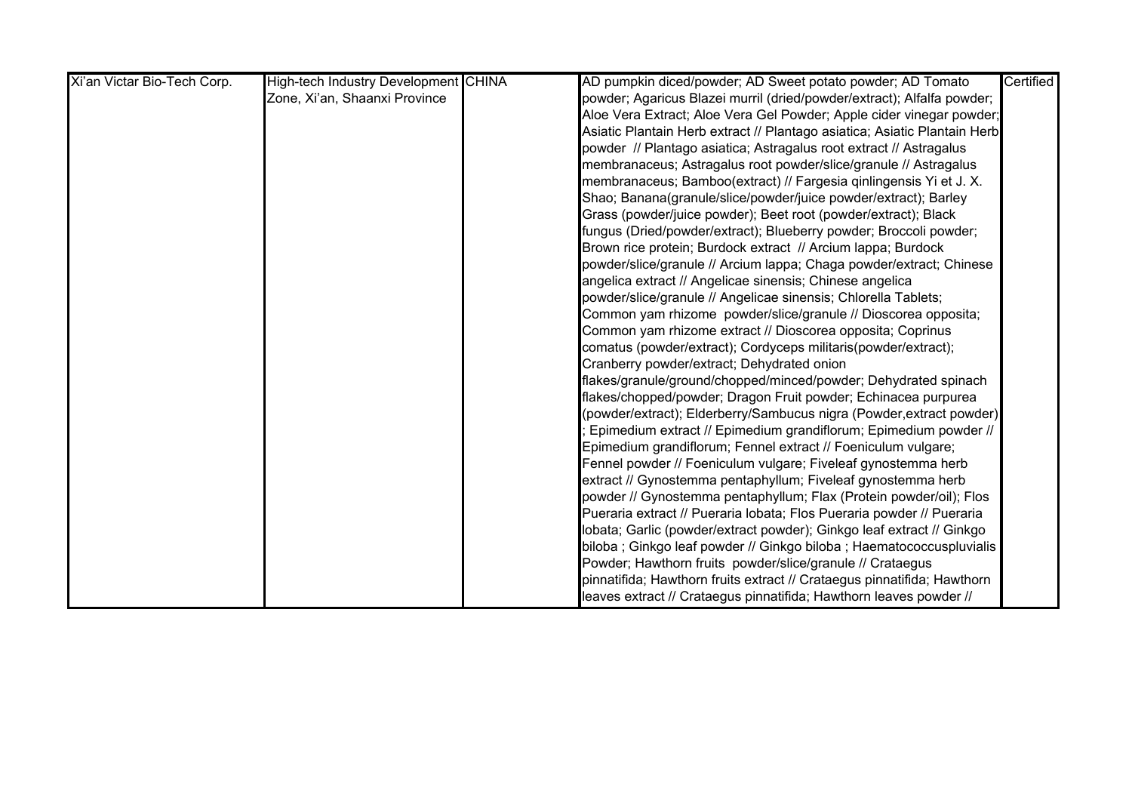| Xi'an Victar Bio-Tech Corp. | <b>High-tech Industry Development CHINA</b> | AD pumpkin diced/powder; AD Sweet potato powder; AD Tomato                | Certified |
|-----------------------------|---------------------------------------------|---------------------------------------------------------------------------|-----------|
|                             | Zone, Xi'an, Shaanxi Province               | powder; Agaricus Blazei murril (dried/powder/extract); Alfalfa powder;    |           |
|                             |                                             | Aloe Vera Extract; Aloe Vera Gel Powder; Apple cider vinegar powder;      |           |
|                             |                                             | Asiatic Plantain Herb extract // Plantago asiatica; Asiatic Plantain Herb |           |
|                             |                                             | powder // Plantago asiatica; Astragalus root extract // Astragalus        |           |
|                             |                                             | membranaceus; Astragalus root powder/slice/granule // Astragalus          |           |
|                             |                                             | membranaceus; Bamboo(extract) // Fargesia qinlingensis Yi et J. X.        |           |
|                             |                                             | Shao; Banana(granule/slice/powder/juice powder/extract); Barley           |           |
|                             |                                             | Grass (powder/juice powder); Beet root (powder/extract); Black            |           |
|                             |                                             | fungus (Dried/powder/extract); Blueberry powder; Broccoli powder;         |           |
|                             |                                             | Brown rice protein; Burdock extract // Arcium lappa; Burdock              |           |
|                             |                                             | powder/slice/granule // Arcium lappa; Chaga powder/extract; Chinese       |           |
|                             |                                             | angelica extract // Angelicae sinensis; Chinese angelica                  |           |
|                             |                                             | powder/slice/granule // Angelicae sinensis; Chlorella Tablets;            |           |
|                             |                                             | Common yam rhizome powder/slice/granule // Dioscorea opposita;            |           |
|                             |                                             | Common yam rhizome extract // Dioscorea opposita; Coprinus                |           |
|                             |                                             | comatus (powder/extract); Cordyceps militaris(powder/extract);            |           |
|                             |                                             | Cranberry powder/extract; Dehydrated onion                                |           |
|                             |                                             | flakes/granule/ground/chopped/minced/powder; Dehydrated spinach           |           |
|                             |                                             | flakes/chopped/powder; Dragon Fruit powder; Echinacea purpurea            |           |
|                             |                                             | (powder/extract); Elderberry/Sambucus nigra (Powder,extract powder)       |           |
|                             |                                             | Epimedium extract // Epimedium grandiflorum; Epimedium powder //          |           |
|                             |                                             | Epimedium grandiflorum; Fennel extract // Foeniculum vulgare;             |           |
|                             |                                             | Fennel powder // Foeniculum vulgare; Fiveleaf gynostemma herb             |           |
|                             |                                             | extract // Gynostemma pentaphyllum; Fiveleaf gynostemma herb              |           |
|                             |                                             | powder // Gynostemma pentaphyllum; Flax (Protein powder/oil); Flos        |           |
|                             |                                             | Pueraria extract // Pueraria lobata; Flos Pueraria powder // Pueraria     |           |
|                             |                                             | lobata; Garlic (powder/extract powder); Ginkgo leaf extract // Ginkgo     |           |
|                             |                                             | biloba; Ginkgo leaf powder // Ginkgo biloba; Haematococcuspluvialis       |           |
|                             |                                             | Powder; Hawthorn fruits powder/slice/granule // Crataegus                 |           |
|                             |                                             | pinnatifida; Hawthorn fruits extract // Crataegus pinnatifida; Hawthorn   |           |
|                             |                                             | leaves extract // Crataegus pinnatifida; Hawthorn leaves powder //        |           |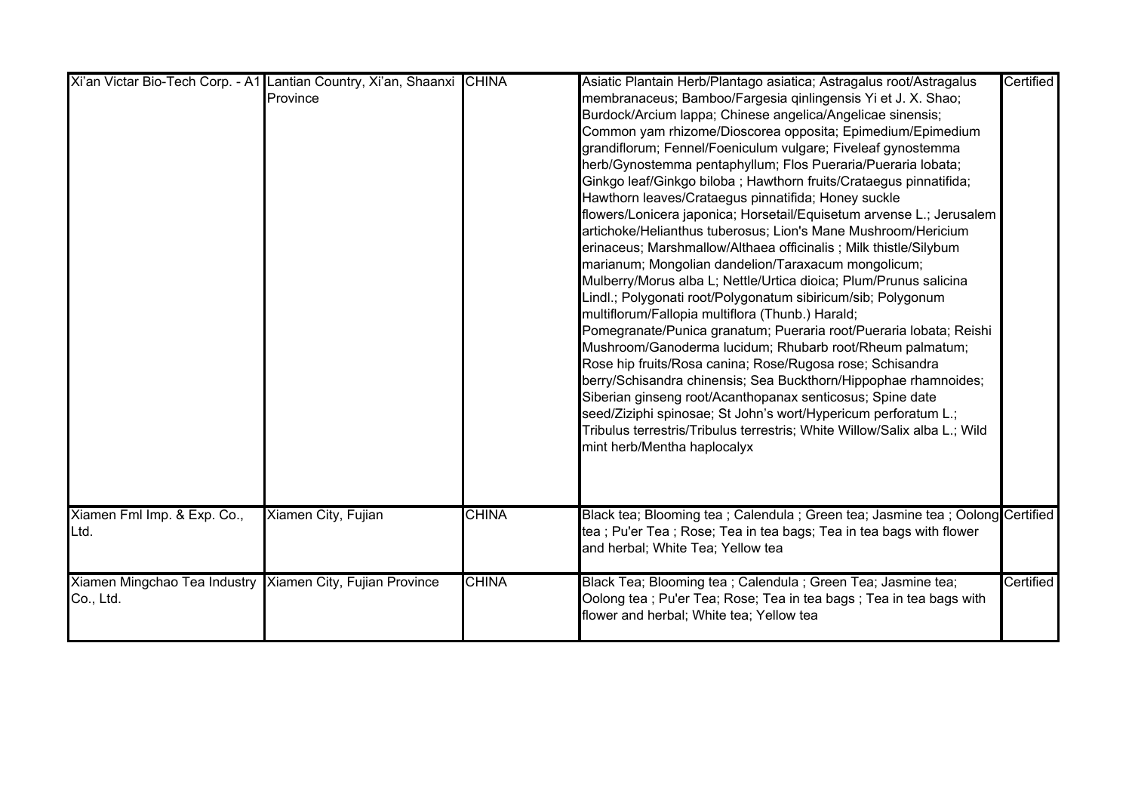|                                                           | Xi'an Victar Bio-Tech Corp. - A1 Lantian Country, Xi'an, Shaanxi CHINA |              | Asiatic Plantain Herb/Plantago asiatica; Astragalus root/Astragalus             | Certified |
|-----------------------------------------------------------|------------------------------------------------------------------------|--------------|---------------------------------------------------------------------------------|-----------|
|                                                           | Province                                                               |              | membranaceus; Bamboo/Fargesia qinlingensis Yi et J. X. Shao;                    |           |
|                                                           |                                                                        |              | Burdock/Arcium lappa; Chinese angelica/Angelicae sinensis;                      |           |
|                                                           |                                                                        |              | Common yam rhizome/Dioscorea opposita; Epimedium/Epimedium                      |           |
|                                                           |                                                                        |              | grandiflorum; Fennel/Foeniculum vulgare; Fiveleaf gynostemma                    |           |
|                                                           |                                                                        |              | herb/Gynostemma pentaphyllum; Flos Pueraria/Pueraria lobata;                    |           |
|                                                           |                                                                        |              | Ginkgo leaf/Ginkgo biloba ; Hawthorn fruits/Crataegus pinnatifida;              |           |
|                                                           |                                                                        |              | Hawthorn leaves/Crataegus pinnatifida; Honey suckle                             |           |
|                                                           |                                                                        |              | flowers/Lonicera japonica; Horsetail/Equisetum arvense L.; Jerusalem            |           |
|                                                           |                                                                        |              | artichoke/Helianthus tuberosus; Lion's Mane Mushroom/Hericium                   |           |
|                                                           |                                                                        |              | erinaceus; Marshmallow/Althaea officinalis; Milk thistle/Silybum                |           |
|                                                           |                                                                        |              | marianum; Mongolian dandelion/Taraxacum mongolicum;                             |           |
|                                                           |                                                                        |              | Mulberry/Morus alba L; Nettle/Urtica dioica; Plum/Prunus salicina               |           |
|                                                           |                                                                        |              | Lindl.; Polygonati root/Polygonatum sibiricum/sib; Polygonum                    |           |
|                                                           |                                                                        |              | multiflorum/Fallopia multiflora (Thunb.) Harald;                                |           |
|                                                           |                                                                        |              | Pomegranate/Punica granatum; Pueraria root/Pueraria lobata; Reishi              |           |
|                                                           |                                                                        |              | Mushroom/Ganoderma lucidum; Rhubarb root/Rheum palmatum;                        |           |
|                                                           |                                                                        |              | Rose hip fruits/Rosa canina; Rose/Rugosa rose; Schisandra                       |           |
|                                                           |                                                                        |              | berry/Schisandra chinensis; Sea Buckthorn/Hippophae rhamnoides;                 |           |
|                                                           |                                                                        |              | Siberian ginseng root/Acanthopanax senticosus; Spine date                       |           |
|                                                           |                                                                        |              | seed/Ziziphi spinosae; St John's wort/Hypericum perforatum L.;                  |           |
|                                                           |                                                                        |              | Tribulus terrestris/Tribulus terrestris; White Willow/Salix alba L.; Wild       |           |
|                                                           |                                                                        |              | mint herb/Mentha haplocalyx                                                     |           |
|                                                           |                                                                        |              |                                                                                 |           |
|                                                           |                                                                        |              |                                                                                 |           |
|                                                           |                                                                        |              |                                                                                 |           |
| Xiamen Fml Imp. & Exp. Co.,                               | Xiamen City, Fujian                                                    | <b>CHINA</b> | Black tea; Blooming tea ; Calendula ; Green tea; Jasmine tea ; Oolong Certified |           |
| Ltd.                                                      |                                                                        |              | tea ; Pu'er Tea ; Rose; Tea in tea bags; Tea in tea bags with flower            |           |
|                                                           |                                                                        |              | and herbal; White Tea; Yellow tea                                               |           |
|                                                           |                                                                        |              |                                                                                 |           |
| Xiamen Mingchao Tea Industry Xiamen City, Fujian Province |                                                                        | <b>CHINA</b> | Black Tea; Blooming tea ; Calendula ; Green Tea; Jasmine tea;                   | Certified |
| Co., Ltd.                                                 |                                                                        |              | Oolong tea ; Pu'er Tea; Rose; Tea in tea bags ; Tea in tea bags with            |           |
|                                                           |                                                                        |              | flower and herbal; White tea; Yellow tea                                        |           |
|                                                           |                                                                        |              |                                                                                 |           |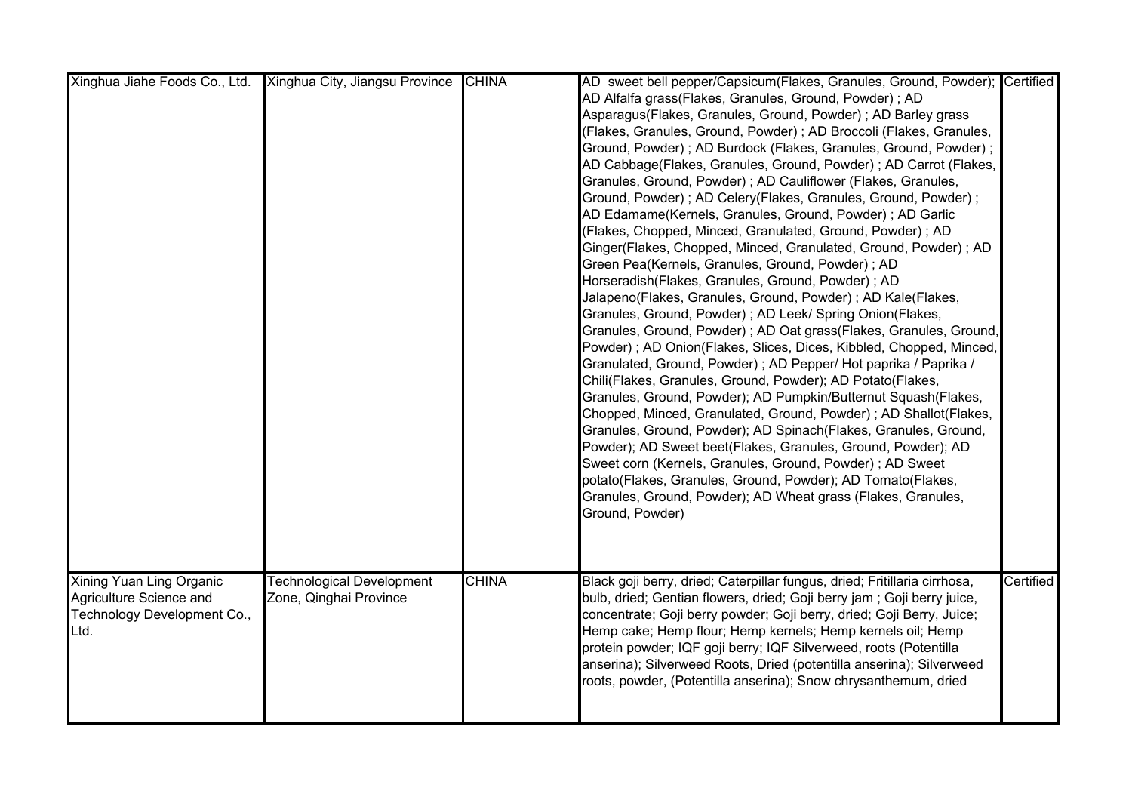| Xinghua Jiahe Foods Co., Ltd.                                                              | Xinghua City, Jiangsu Province                             | <b>CHINA</b> | AD sweet bell pepper/Capsicum(Flakes, Granules, Ground, Powder); Certified<br>AD Alfalfa grass(Flakes, Granules, Ground, Powder) ; AD<br>Asparagus(Flakes, Granules, Ground, Powder) ; AD Barley grass<br>(Flakes, Granules, Ground, Powder) ; AD Broccoli (Flakes, Granules,<br>Ground, Powder) ; AD Burdock (Flakes, Granules, Ground, Powder) ;<br>AD Cabbage(Flakes, Granules, Ground, Powder); AD Carrot (Flakes,<br>Granules, Ground, Powder) ; AD Cauliflower (Flakes, Granules,<br>Ground, Powder) ; AD Celery(Flakes, Granules, Ground, Powder) ;<br>AD Edamame(Kernels, Granules, Ground, Powder) ; AD Garlic<br>(Flakes, Chopped, Minced, Granulated, Ground, Powder); AD<br>Ginger(Flakes, Chopped, Minced, Granulated, Ground, Powder); AD<br>Green Pea(Kernels, Granules, Ground, Powder) ; AD<br>Horseradish(Flakes, Granules, Ground, Powder) ; AD<br>Jalapeno(Flakes, Granules, Ground, Powder) ; AD Kale(Flakes,<br>Granules, Ground, Powder); AD Leek/ Spring Onion(Flakes,<br>Granules, Ground, Powder) ; AD Oat grass(Flakes, Granules, Ground,<br>Powder); AD Onion(Flakes, Slices, Dices, Kibbled, Chopped, Minced,<br>Granulated, Ground, Powder); AD Pepper/ Hot paprika / Paprika /<br>Chili(Flakes, Granules, Ground, Powder); AD Potato(Flakes,<br>Granules, Ground, Powder); AD Pumpkin/Butternut Squash(Flakes,<br>Chopped, Minced, Granulated, Ground, Powder); AD Shallot(Flakes,<br>Granules, Ground, Powder); AD Spinach(Flakes, Granules, Ground,<br>Powder); AD Sweet beet(Flakes, Granules, Ground, Powder); AD<br>Sweet corn (Kernels, Granules, Ground, Powder) ; AD Sweet<br>potato(Flakes, Granules, Ground, Powder); AD Tomato(Flakes,<br>Granules, Ground, Powder); AD Wheat grass (Flakes, Granules,<br>Ground, Powder) |           |
|--------------------------------------------------------------------------------------------|------------------------------------------------------------|--------------|---------------------------------------------------------------------------------------------------------------------------------------------------------------------------------------------------------------------------------------------------------------------------------------------------------------------------------------------------------------------------------------------------------------------------------------------------------------------------------------------------------------------------------------------------------------------------------------------------------------------------------------------------------------------------------------------------------------------------------------------------------------------------------------------------------------------------------------------------------------------------------------------------------------------------------------------------------------------------------------------------------------------------------------------------------------------------------------------------------------------------------------------------------------------------------------------------------------------------------------------------------------------------------------------------------------------------------------------------------------------------------------------------------------------------------------------------------------------------------------------------------------------------------------------------------------------------------------------------------------------------------------------------------------------------------------------------------------------------------------------------------------------|-----------|
| Xining Yuan Ling Organic<br>Agriculture Science and<br>Technology Development Co.,<br>Ltd. | <b>Technological Development</b><br>Zone, Qinghai Province | <b>CHINA</b> | Black goji berry, dried; Caterpillar fungus, dried; Fritillaria cirrhosa,<br>bulb, dried; Gentian flowers, dried; Goji berry jam; Goji berry juice,<br>concentrate; Goji berry powder; Goji berry, dried; Goji Berry, Juice;<br>Hemp cake; Hemp flour; Hemp kernels; Hemp kernels oil; Hemp<br>protein powder; IQF goji berry; IQF Silverweed, roots (Potentilla<br>anserina); Silverweed Roots, Dried (potentilla anserina); Silverweed<br>roots, powder, (Potentilla anserina); Snow chrysanthemum, dried                                                                                                                                                                                                                                                                                                                                                                                                                                                                                                                                                                                                                                                                                                                                                                                                                                                                                                                                                                                                                                                                                                                                                                                                                                                         | Certified |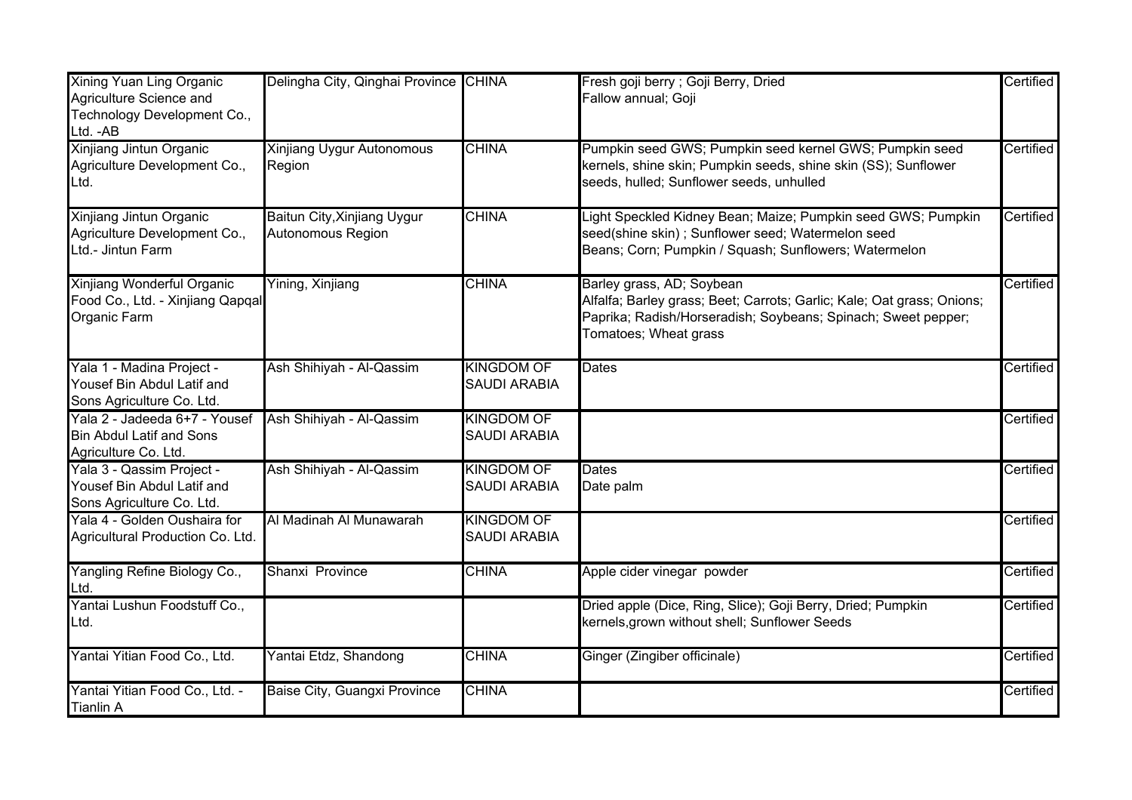| Xining Yuan Ling Organic<br>Agriculture Science and<br>Technology Development Co.,<br>Ltd. - AB | Delingha City, Qinghai Province CHINA            |                                          | Fresh goji berry ; Goji Berry, Dried<br>Fallow annual; Goji                                                                                                                                   | Certified |
|-------------------------------------------------------------------------------------------------|--------------------------------------------------|------------------------------------------|-----------------------------------------------------------------------------------------------------------------------------------------------------------------------------------------------|-----------|
| Xinjiang Jintun Organic<br>Agriculture Development Co.,<br>Ltd.                                 | <b>Xinjiang Uygur Autonomous</b><br>Region       | <b>CHINA</b>                             | Pumpkin seed GWS; Pumpkin seed kernel GWS; Pumpkin seed<br>kernels, shine skin; Pumpkin seeds, shine skin (SS); Sunflower<br>seeds, hulled; Sunflower seeds, unhulled                         | Certified |
| Xinjiang Jintun Organic<br>Agriculture Development Co.,<br>Ltd.- Jintun Farm                    | Baitun City, Xinjiang Uygur<br>Autonomous Region | <b>CHINA</b>                             | Light Speckled Kidney Bean; Maize; Pumpkin seed GWS; Pumpkin<br>seed(shine skin) ; Sunflower seed; Watermelon seed<br>Beans; Corn; Pumpkin / Squash; Sunflowers; Watermelon                   | Certified |
| Xinjiang Wonderful Organic<br>Food Co., Ltd. - Xinjiang Qapqal<br>Organic Farm                  | Yining, Xinjiang                                 | <b>CHINA</b>                             | Barley grass, AD; Soybean<br>Alfalfa; Barley grass; Beet; Carrots; Garlic; Kale; Oat grass; Onions;<br>Paprika; Radish/Horseradish; Soybeans; Spinach; Sweet pepper;<br>Tomatoes; Wheat grass | Certified |
| Yala 1 - Madina Project -<br>Yousef Bin Abdul Latif and<br>Sons Agriculture Co. Ltd.            | Ash Shihiyah - Al-Qassim                         | <b>KINGDOM OF</b><br><b>SAUDI ARABIA</b> | Dates                                                                                                                                                                                         | Certified |
| Yala 2 - Jadeeda 6+7 - Yousef<br><b>Bin Abdul Latif and Sons</b><br>Agriculture Co. Ltd.        | Ash Shihiyah - Al-Qassim                         | <b>KINGDOM OF</b><br><b>SAUDI ARABIA</b> |                                                                                                                                                                                               | Certified |
| Yala 3 - Qassim Project -<br>Yousef Bin Abdul Latif and<br>Sons Agriculture Co. Ltd.            | Ash Shihiyah - Al-Qassim                         | <b>KINGDOM OF</b><br><b>SAUDI ARABIA</b> | <b>Dates</b><br>Date palm                                                                                                                                                                     | Certified |
| Yala 4 - Golden Oushaira for<br>Agricultural Production Co. Ltd.                                | Al Madinah Al Munawarah                          | <b>KINGDOM OF</b><br><b>SAUDI ARABIA</b> |                                                                                                                                                                                               | Certified |
| Yangling Refine Biology Co.,<br>Ltd.                                                            | Shanxi Province                                  | <b>CHINA</b>                             | Apple cider vinegar powder                                                                                                                                                                    | Certified |
| Yantai Lushun Foodstuff Co.,<br>Ltd.                                                            |                                                  |                                          | Dried apple (Dice, Ring, Slice); Goji Berry, Dried; Pumpkin<br>kernels,grown without shell; Sunflower Seeds                                                                                   | Certified |
| Yantai Yitian Food Co., Ltd.                                                                    | Yantai Etdz, Shandong                            | <b>CHINA</b>                             | Ginger (Zingiber officinale)                                                                                                                                                                  | Certified |
| Yantai Yitian Food Co., Ltd. -<br><b>Tianlin A</b>                                              | Baise City, Guangxi Province                     | <b>CHINA</b>                             |                                                                                                                                                                                               | Certified |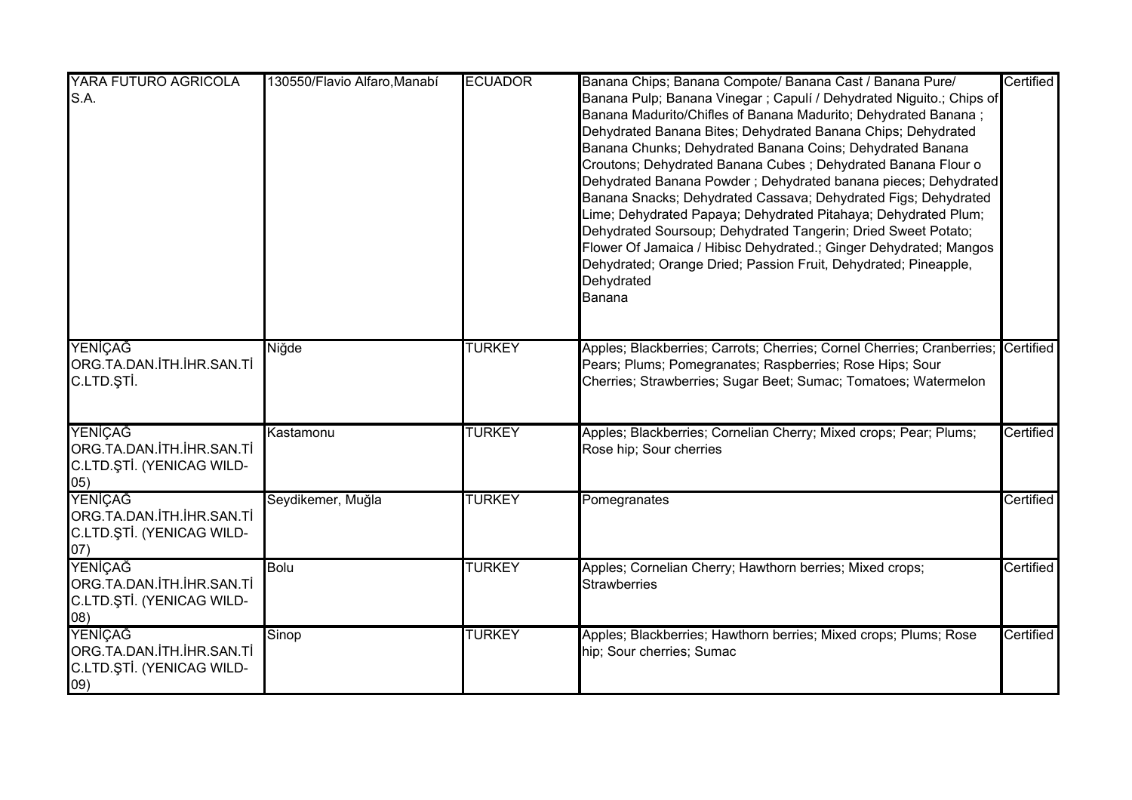| YARA FUTURO AGRICOLA<br>S.A.                                              | 130550/Flavio Alfaro, Manabí | <b>ECUADOR</b> | Banana Chips; Banana Compote/ Banana Cast / Banana Pure/<br>Banana Pulp; Banana Vinegar ; Capulí / Dehydrated Niguito.; Chips of<br>Banana Madurito/Chifles of Banana Madurito; Dehydrated Banana;<br>Dehydrated Banana Bites; Dehydrated Banana Chips; Dehydrated<br>Banana Chunks; Dehydrated Banana Coins; Dehydrated Banana<br>Croutons; Dehydrated Banana Cubes ; Dehydrated Banana Flour o<br>Dehydrated Banana Powder; Dehydrated banana pieces; Dehydrated<br>Banana Snacks; Dehydrated Cassava; Dehydrated Figs; Dehydrated<br>Lime; Dehydrated Papaya; Dehydrated Pitahaya; Dehydrated Plum;<br>Dehydrated Soursoup; Dehydrated Tangerin; Dried Sweet Potato;<br>Flower Of Jamaica / Hibisc Dehydrated.; Ginger Dehydrated; Mangos<br>Dehydrated; Orange Dried; Passion Fruit, Dehydrated; Pineapple,<br>Dehydrated<br>Banana | Certified |
|---------------------------------------------------------------------------|------------------------------|----------------|-----------------------------------------------------------------------------------------------------------------------------------------------------------------------------------------------------------------------------------------------------------------------------------------------------------------------------------------------------------------------------------------------------------------------------------------------------------------------------------------------------------------------------------------------------------------------------------------------------------------------------------------------------------------------------------------------------------------------------------------------------------------------------------------------------------------------------------------|-----------|
| YENİÇAĞ<br>ORG.TA.DAN.İTH.İHR.SAN.Tİ<br>C.LTD.ŞTİ.                        | Niğde                        | <b>TURKEY</b>  | Apples; Blackberries; Carrots; Cherries; Cornel Cherries; Cranberries; Certified<br>Pears; Plums; Pomegranates; Raspberries; Rose Hips; Sour<br>Cherries; Strawberries; Sugar Beet; Sumac; Tomatoes; Watermelon                                                                                                                                                                                                                                                                                                                                                                                                                                                                                                                                                                                                                         |           |
| YENİÇAĞ<br>ORG.TA.DAN.İTH.İHR.SAN.Tİ<br>C.LTD.ŞTİ. (YENICAG WILD-<br>05)  | Kastamonu                    | <b>TURKEY</b>  | Apples; Blackberries; Cornelian Cherry; Mixed crops; Pear; Plums;<br>Rose hip; Sour cherries                                                                                                                                                                                                                                                                                                                                                                                                                                                                                                                                                                                                                                                                                                                                            | Certified |
| YENİÇAĞ<br>ORG.TA.DAN.İTH.İHR.SAN.Tİ<br>C.LTD.ŞTİ. (YENICAG WILD-<br>(07) | Seydikemer, Muğla            | <b>TURKEY</b>  | Pomegranates                                                                                                                                                                                                                                                                                                                                                                                                                                                                                                                                                                                                                                                                                                                                                                                                                            | Certified |
| YENİÇAĞ<br>ORG.TA.DAN.İTH.İHR.SAN.Tİ<br>C.LTD.ŞTİ. (YENICAG WILD-<br>(80) | <b>Bolu</b>                  | <b>TURKEY</b>  | Apples; Cornelian Cherry; Hawthorn berries; Mixed crops;<br><b>Strawberries</b>                                                                                                                                                                                                                                                                                                                                                                                                                                                                                                                                                                                                                                                                                                                                                         | Certified |
| YENİÇAĞ<br>ORG.TA.DAN.İTH.İHR.SAN.Tİ<br>C.LTD.ŞTİ. (YENICAG WILD-<br>(09) | Sinop                        | <b>TURKEY</b>  | Apples; Blackberries; Hawthorn berries; Mixed crops; Plums; Rose<br>hip; Sour cherries; Sumac                                                                                                                                                                                                                                                                                                                                                                                                                                                                                                                                                                                                                                                                                                                                           | Certified |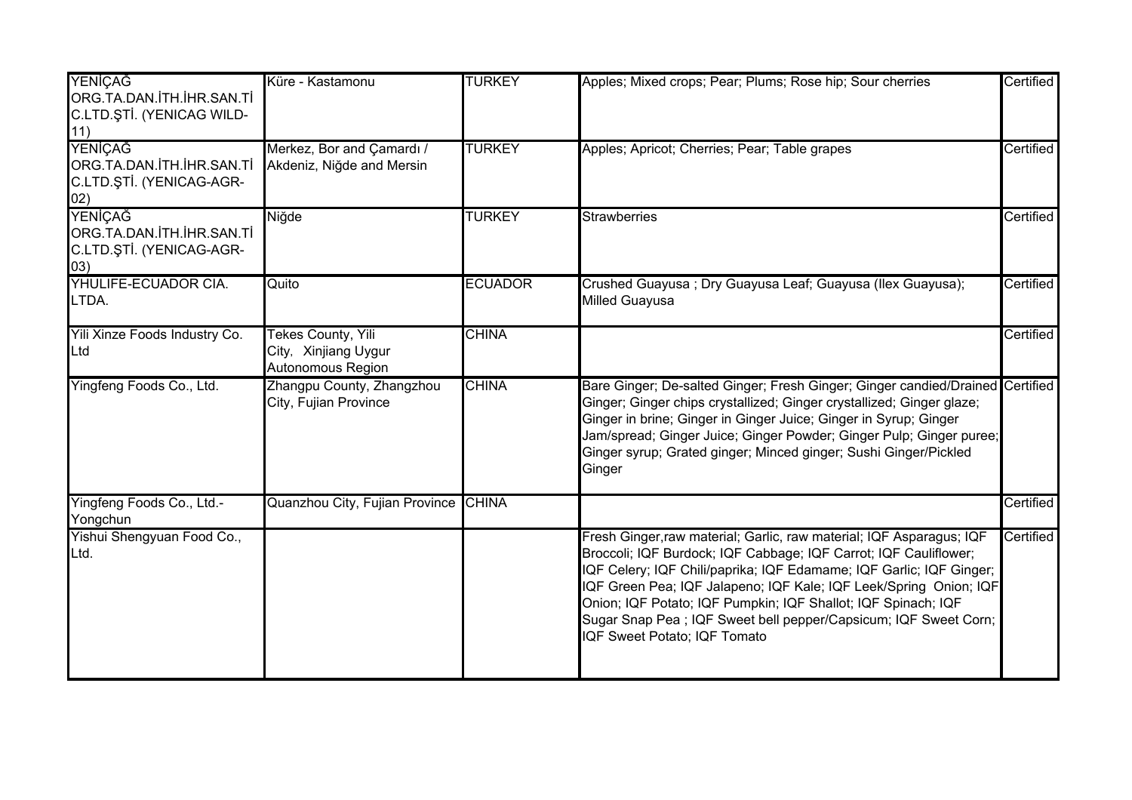| YENİÇAĞ<br>ORG.TA.DAN.İTH.İHR.SAN.Tİ<br>C.LTD.ŞTİ. (YENICAG WILD-<br>11)       | Küre - Kastamonu                                                | <b>TURKEY</b>  | Apples; Mixed crops; Pear; Plums; Rose hip; Sour cherries                                                                                                                                                                                                                                                                                                                                                                                                 | Certified |
|--------------------------------------------------------------------------------|-----------------------------------------------------------------|----------------|-----------------------------------------------------------------------------------------------------------------------------------------------------------------------------------------------------------------------------------------------------------------------------------------------------------------------------------------------------------------------------------------------------------------------------------------------------------|-----------|
| <b>YENİÇAĞ</b><br>ORG.TA.DAN.İTH.İHR.SAN.Tİ<br>C.LTD.ŞTİ. (YENICAG-AGR-<br>02) | Merkez, Bor and Çamardı /<br>Akdeniz, Niğde and Mersin          | <b>TURKEY</b>  | Apples; Apricot; Cherries; Pear; Table grapes                                                                                                                                                                                                                                                                                                                                                                                                             | Certified |
| YENİÇAĞ<br>ORG.TA.DAN.İTH.İHR.SAN.Tİ<br>C.LTD.ŞTİ. (YENICAG-AGR-<br>(03)       | Niğde                                                           | <b>TURKEY</b>  | <b>Strawberries</b>                                                                                                                                                                                                                                                                                                                                                                                                                                       | Certified |
| YHULIFE-ECUADOR CIA.<br>LTDA.                                                  | Quito                                                           | <b>ECUADOR</b> | Crushed Guayusa; Dry Guayusa Leaf; Guayusa (Ilex Guayusa);<br><b>Milled Guayusa</b>                                                                                                                                                                                                                                                                                                                                                                       | Certified |
| Yili Xinze Foods Industry Co.<br>Ltd                                           | Tekes County, Yili<br>City, Xinjiang Uygur<br>Autonomous Region | <b>CHINA</b>   |                                                                                                                                                                                                                                                                                                                                                                                                                                                           | Certified |
| Yingfeng Foods Co., Ltd.                                                       | Zhangpu County, Zhangzhou<br>City, Fujian Province              | <b>CHINA</b>   | Bare Ginger; De-salted Ginger; Fresh Ginger; Ginger candied/Drained Certified<br>Ginger; Ginger chips crystallized; Ginger crystallized; Ginger glaze;<br>Ginger in brine; Ginger in Ginger Juice; Ginger in Syrup; Ginger<br>Jam/spread; Ginger Juice; Ginger Powder; Ginger Pulp; Ginger puree;<br>Ginger syrup; Grated ginger; Minced ginger; Sushi Ginger/Pickled<br>Ginger                                                                           |           |
| Yingfeng Foods Co., Ltd.-<br>Yongchun                                          | Quanzhou City, Fujian Province CHINA                            |                |                                                                                                                                                                                                                                                                                                                                                                                                                                                           | Certified |
| Yishui Shengyuan Food Co.,<br>Ltd.                                             |                                                                 |                | Fresh Ginger, raw material; Garlic, raw material; IQF Asparagus; IQF<br>Broccoli; IQF Burdock; IQF Cabbage; IQF Carrot; IQF Cauliflower;<br>IQF Celery; IQF Chili/paprika; IQF Edamame; IQF Garlic; IQF Ginger;<br>IQF Green Pea; IQF Jalapeno; IQF Kale; IQF Leek/Spring Onion; IQF<br>Onion; IQF Potato; IQF Pumpkin; IQF Shallot; IQF Spinach; IQF<br>Sugar Snap Pea ; IQF Sweet bell pepper/Capsicum; IQF Sweet Corn;<br>IQF Sweet Potato; IQF Tomato | Certified |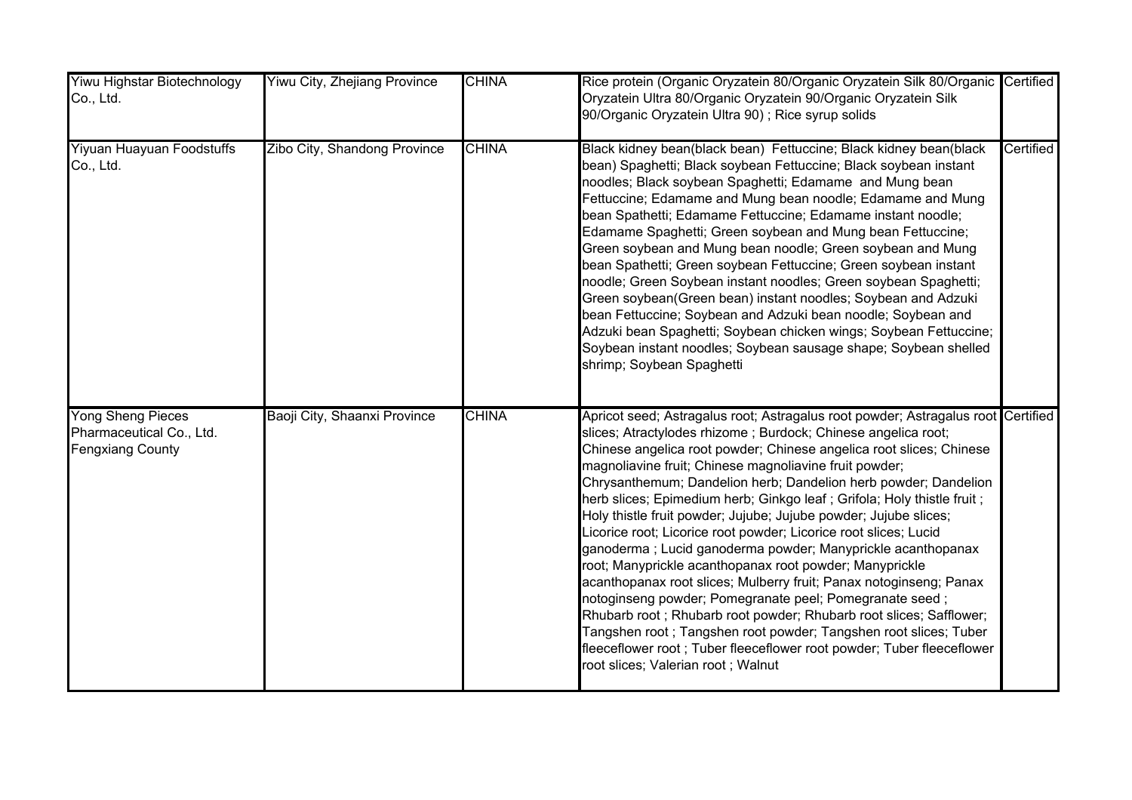| Yiwu Highstar Biotechnology<br>Co., Ltd.                                        | Yiwu City, Zhejiang Province | <b>CHINA</b> | Rice protein (Organic Oryzatein 80/Organic Oryzatein Silk 80/Organic Certified<br>Oryzatein Ultra 80/Organic Oryzatein 90/Organic Oryzatein Silk<br>90/Organic Oryzatein Ultra 90); Rice syrup solids                                                                                                                                                                                                                                                                                                                                                                                                                                                                                                                                                                                                                                                                                                                                                                                                                                                                                          |           |
|---------------------------------------------------------------------------------|------------------------------|--------------|------------------------------------------------------------------------------------------------------------------------------------------------------------------------------------------------------------------------------------------------------------------------------------------------------------------------------------------------------------------------------------------------------------------------------------------------------------------------------------------------------------------------------------------------------------------------------------------------------------------------------------------------------------------------------------------------------------------------------------------------------------------------------------------------------------------------------------------------------------------------------------------------------------------------------------------------------------------------------------------------------------------------------------------------------------------------------------------------|-----------|
| Yiyuan Huayuan Foodstuffs<br>Co., Ltd.                                          | Zibo City, Shandong Province | <b>CHINA</b> | Black kidney bean(black bean) Fettuccine; Black kidney bean(black<br>bean) Spaghetti; Black soybean Fettuccine; Black soybean instant<br>noodles; Black soybean Spaghetti; Edamame and Mung bean<br>Fettuccine; Edamame and Mung bean noodle; Edamame and Mung<br>bean Spathetti; Edamame Fettuccine; Edamame instant noodle;<br>Edamame Spaghetti; Green soybean and Mung bean Fettuccine;<br>Green soybean and Mung bean noodle; Green soybean and Mung<br>bean Spathetti; Green soybean Fettuccine; Green soybean instant<br>noodle; Green Soybean instant noodles; Green soybean Spaghetti;<br>Green soybean(Green bean) instant noodles; Soybean and Adzuki<br>bean Fettuccine; Soybean and Adzuki bean noodle; Soybean and<br>Adzuki bean Spaghetti; Soybean chicken wings; Soybean Fettuccine;<br>Soybean instant noodles; Soybean sausage shape; Soybean shelled<br>shrimp; Soybean Spaghetti                                                                                                                                                                                          | Certified |
| <b>Yong Sheng Pieces</b><br>Pharmaceutical Co., Ltd.<br><b>Fengxiang County</b> | Baoji City, Shaanxi Province | <b>CHINA</b> | Apricot seed; Astragalus root; Astragalus root powder; Astragalus root Certified<br>slices; Atractylodes rhizome; Burdock; Chinese angelica root;<br>Chinese angelica root powder; Chinese angelica root slices; Chinese<br>magnoliavine fruit; Chinese magnoliavine fruit powder;<br>Chrysanthemum; Dandelion herb; Dandelion herb powder; Dandelion<br>herb slices; Epimedium herb; Ginkgo leaf; Grifola; Holy thistle fruit;<br>Holy thistle fruit powder; Jujube; Jujube powder; Jujube slices;<br>Licorice root; Licorice root powder; Licorice root slices; Lucid<br>ganoderma ; Lucid ganoderma powder; Manyprickle acanthopanax<br>root; Manyprickle acanthopanax root powder; Manyprickle<br>acanthopanax root slices; Mulberry fruit; Panax notoginseng; Panax<br>notoginseng powder; Pomegranate peel; Pomegranate seed;<br>Rhubarb root; Rhubarb root powder; Rhubarb root slices; Safflower;<br>Tangshen root ; Tangshen root powder; Tangshen root slices; Tuber<br>fleeceflower root; Tuber fleeceflower root powder; Tuber fleeceflower<br>root slices; Valerian root ; Walnut |           |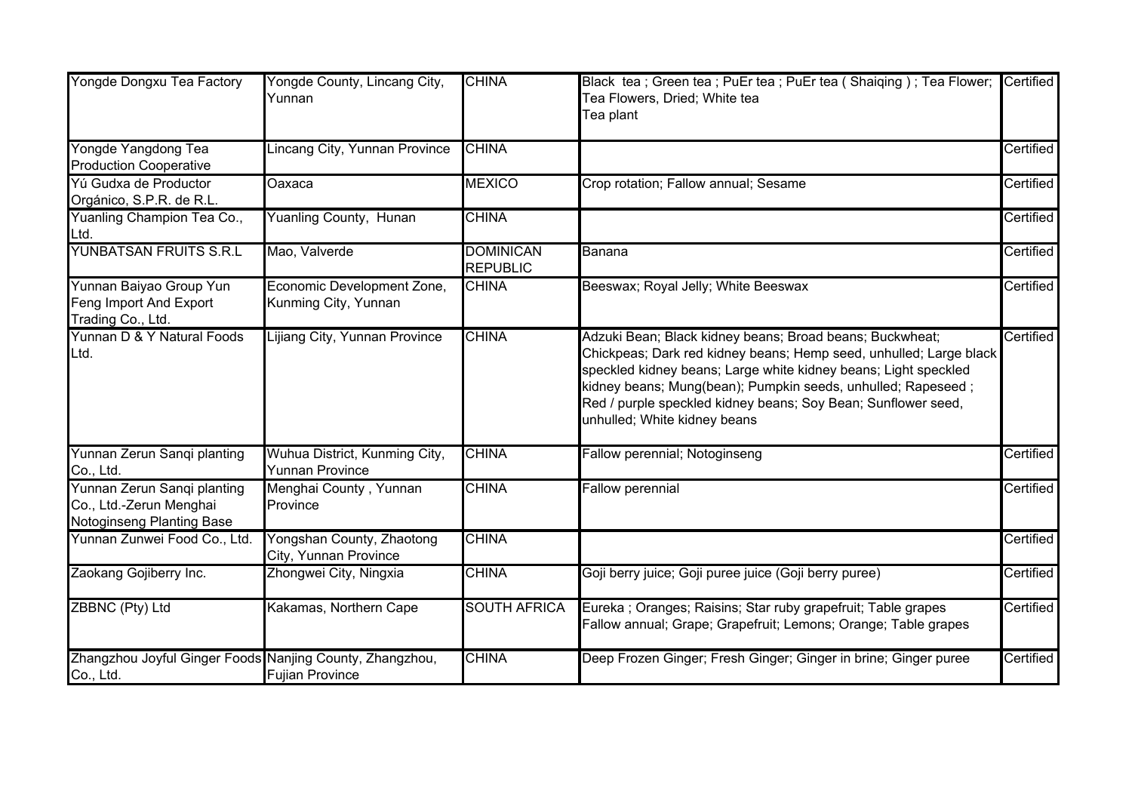| Yongde Dongxu Tea Factory                                                           | Yongde County, Lincang City,<br>Yunnan                  | <b>CHINA</b>                        | Black tea; Green tea; PuEr tea; PuEr tea (Shaiqing); Tea Flower;<br>Tea Flowers, Dried; White tea<br>Tea plant                                                                                                                                                                                                                                                     | Certified |
|-------------------------------------------------------------------------------------|---------------------------------------------------------|-------------------------------------|--------------------------------------------------------------------------------------------------------------------------------------------------------------------------------------------------------------------------------------------------------------------------------------------------------------------------------------------------------------------|-----------|
| Yongde Yangdong Tea<br><b>Production Cooperative</b>                                | Lincang City, Yunnan Province                           | <b>CHINA</b>                        |                                                                                                                                                                                                                                                                                                                                                                    | Certified |
| Yú Gudxa de Productor<br>Orgánico, S.P.R. de R.L.                                   | Oaxaca                                                  | <b>MEXICO</b>                       | Crop rotation; Fallow annual; Sesame                                                                                                                                                                                                                                                                                                                               | Certified |
| Yuanling Champion Tea Co.,<br>Ltd.                                                  | <b>Yuanling County, Hunan</b>                           | <b>CHINA</b>                        |                                                                                                                                                                                                                                                                                                                                                                    | Certified |
| YUNBATSAN FRUITS S.R.L                                                              | Mao, Valverde                                           | <b>DOMINICAN</b><br><b>REPUBLIC</b> | Banana                                                                                                                                                                                                                                                                                                                                                             | Certified |
| Yunnan Baiyao Group Yun<br>Feng Import And Export<br>Trading Co., Ltd.              | Economic Development Zone,<br>Kunming City, Yunnan      | <b>CHINA</b>                        | Beeswax; Royal Jelly; White Beeswax                                                                                                                                                                                                                                                                                                                                | Certified |
| Yunnan D & Y Natural Foods<br>Ltd.                                                  | Lijiang City, Yunnan Province                           | <b>CHINA</b>                        | Adzuki Bean; Black kidney beans; Broad beans; Buckwheat;<br>Chickpeas; Dark red kidney beans; Hemp seed, unhulled; Large black<br>speckled kidney beans; Large white kidney beans; Light speckled<br>kidney beans; Mung(bean); Pumpkin seeds, unhulled; Rapeseed;<br>Red / purple speckled kidney beans; Soy Bean; Sunflower seed,<br>unhulled; White kidney beans | Certified |
| Yunnan Zerun Sanqi planting<br>Co., Ltd.                                            | Wuhua District, Kunming City,<br><b>Yunnan Province</b> | <b>CHINA</b>                        | Fallow perennial; Notoginseng                                                                                                                                                                                                                                                                                                                                      | Certified |
| Yunnan Zerun Sanqi planting<br>Co., Ltd.-Zerun Menghai<br>Notoginseng Planting Base | Menghai County, Yunnan<br>Province                      | <b>CHINA</b>                        | <b>Fallow perennial</b>                                                                                                                                                                                                                                                                                                                                            | Certified |
| Yunnan Zunwei Food Co., Ltd.                                                        | Yongshan County, Zhaotong<br>City, Yunnan Province      | <b>CHINA</b>                        |                                                                                                                                                                                                                                                                                                                                                                    | Certified |
| Zaokang Gojiberry Inc.                                                              | Zhongwei City, Ningxia                                  | <b>CHINA</b>                        | Goji berry juice; Goji puree juice (Goji berry puree)                                                                                                                                                                                                                                                                                                              | Certified |
| ZBBNC (Pty) Ltd                                                                     | Kakamas, Northern Cape                                  | <b>SOUTH AFRICA</b>                 | Eureka; Oranges; Raisins; Star ruby grapefruit; Table grapes<br>Fallow annual; Grape; Grapefruit; Lemons; Orange; Table grapes                                                                                                                                                                                                                                     | Certified |
| Zhangzhou Joyful Ginger Foods Nanjing County, Zhangzhou,<br>Co., Ltd.               | <b>Fujian Province</b>                                  | <b>CHINA</b>                        | Deep Frozen Ginger; Fresh Ginger; Ginger in brine; Ginger puree                                                                                                                                                                                                                                                                                                    | Certified |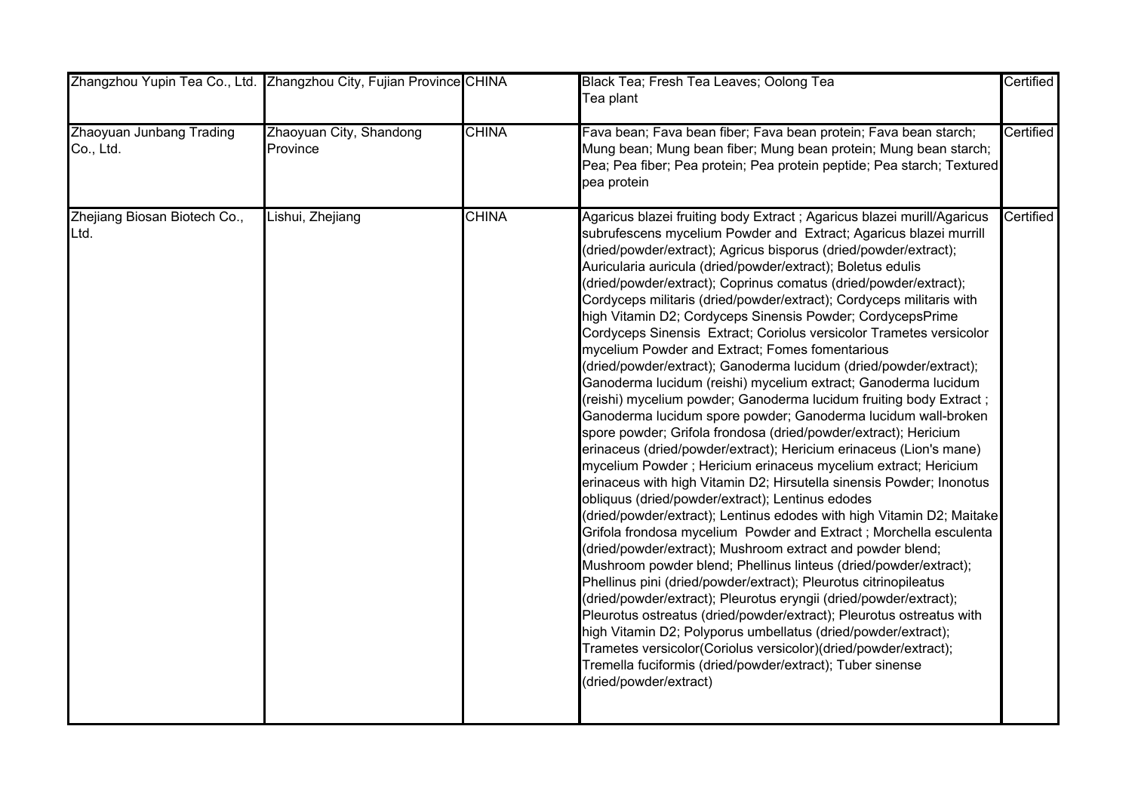| Zhangzhou Yupin Tea Co., Ltd. Zhangzhou City, Fujian Province CHINA |                                     |              | Black Tea; Fresh Tea Leaves; Oolong Tea<br>Tea plant                                                                                                                                                                                                                                                                                                                                                                                                                                                                                                                                                                                                                                                                                                                                                                                                                                                                                                                                                                                                                                                                                                                                                                                                                                                                                                                                                                                                                                                                                                                                                                                                                                                                                                                                                                                                                                                                                                                  | Certified |
|---------------------------------------------------------------------|-------------------------------------|--------------|-----------------------------------------------------------------------------------------------------------------------------------------------------------------------------------------------------------------------------------------------------------------------------------------------------------------------------------------------------------------------------------------------------------------------------------------------------------------------------------------------------------------------------------------------------------------------------------------------------------------------------------------------------------------------------------------------------------------------------------------------------------------------------------------------------------------------------------------------------------------------------------------------------------------------------------------------------------------------------------------------------------------------------------------------------------------------------------------------------------------------------------------------------------------------------------------------------------------------------------------------------------------------------------------------------------------------------------------------------------------------------------------------------------------------------------------------------------------------------------------------------------------------------------------------------------------------------------------------------------------------------------------------------------------------------------------------------------------------------------------------------------------------------------------------------------------------------------------------------------------------------------------------------------------------------------------------------------------------|-----------|
| Zhaoyuan Junbang Trading<br>Co., Ltd.                               | Zhaoyuan City, Shandong<br>Province | <b>CHINA</b> | Fava bean; Fava bean fiber; Fava bean protein; Fava bean starch;<br>Mung bean; Mung bean fiber; Mung bean protein; Mung bean starch;<br>Pea; Pea fiber; Pea protein; Pea protein peptide; Pea starch; Textured<br>pea protein                                                                                                                                                                                                                                                                                                                                                                                                                                                                                                                                                                                                                                                                                                                                                                                                                                                                                                                                                                                                                                                                                                                                                                                                                                                                                                                                                                                                                                                                                                                                                                                                                                                                                                                                         | Certified |
| Zhejiang Biosan Biotech Co.,<br>Ltd.                                | Lishui, Zhejiang                    | <b>CHINA</b> | Agaricus blazei fruiting body Extract ; Agaricus blazei murill/Agaricus<br>subrufescens mycelium Powder and Extract; Agaricus blazei murrill<br>(dried/powder/extract); Agricus bisporus (dried/powder/extract);<br>Auricularia auricula (dried/powder/extract); Boletus edulis<br>(dried/powder/extract); Coprinus comatus (dried/powder/extract);<br>Cordyceps militaris (dried/powder/extract); Cordyceps militaris with<br>high Vitamin D2; Cordyceps Sinensis Powder; CordycepsPrime<br>Cordyceps Sinensis Extract; Coriolus versicolor Trametes versicolor<br>mycelium Powder and Extract; Fomes fomentarious<br>(dried/powder/extract); Ganoderma lucidum (dried/powder/extract);<br>Ganoderma lucidum (reishi) mycelium extract; Ganoderma lucidum<br>(reishi) mycelium powder; Ganoderma lucidum fruiting body Extract ;<br>Ganoderma lucidum spore powder; Ganoderma lucidum wall-broken<br>spore powder; Grifola frondosa (dried/powder/extract); Hericium<br>erinaceus (dried/powder/extract); Hericium erinaceus (Lion's mane)<br>mycelium Powder; Hericium erinaceus mycelium extract; Hericium<br>erinaceus with high Vitamin D2; Hirsutella sinensis Powder; Inonotus<br>obliquus (dried/powder/extract); Lentinus edodes<br>(dried/powder/extract); Lentinus edodes with high Vitamin D2; Maitake<br>Grifola frondosa mycelium Powder and Extract; Morchella esculenta<br>(dried/powder/extract); Mushroom extract and powder blend;<br>Mushroom powder blend; Phellinus linteus (dried/powder/extract);<br>Phellinus pini (dried/powder/extract); Pleurotus citrinopileatus<br>(dried/powder/extract); Pleurotus eryngii (dried/powder/extract);<br>Pleurotus ostreatus (dried/powder/extract); Pleurotus ostreatus with<br>high Vitamin D2; Polyporus umbellatus (dried/powder/extract);<br>Trametes versicolor(Coriolus versicolor)(dried/powder/extract);<br>Tremella fuciformis (dried/powder/extract); Tuber sinense<br>(dried/powder/extract) | Certified |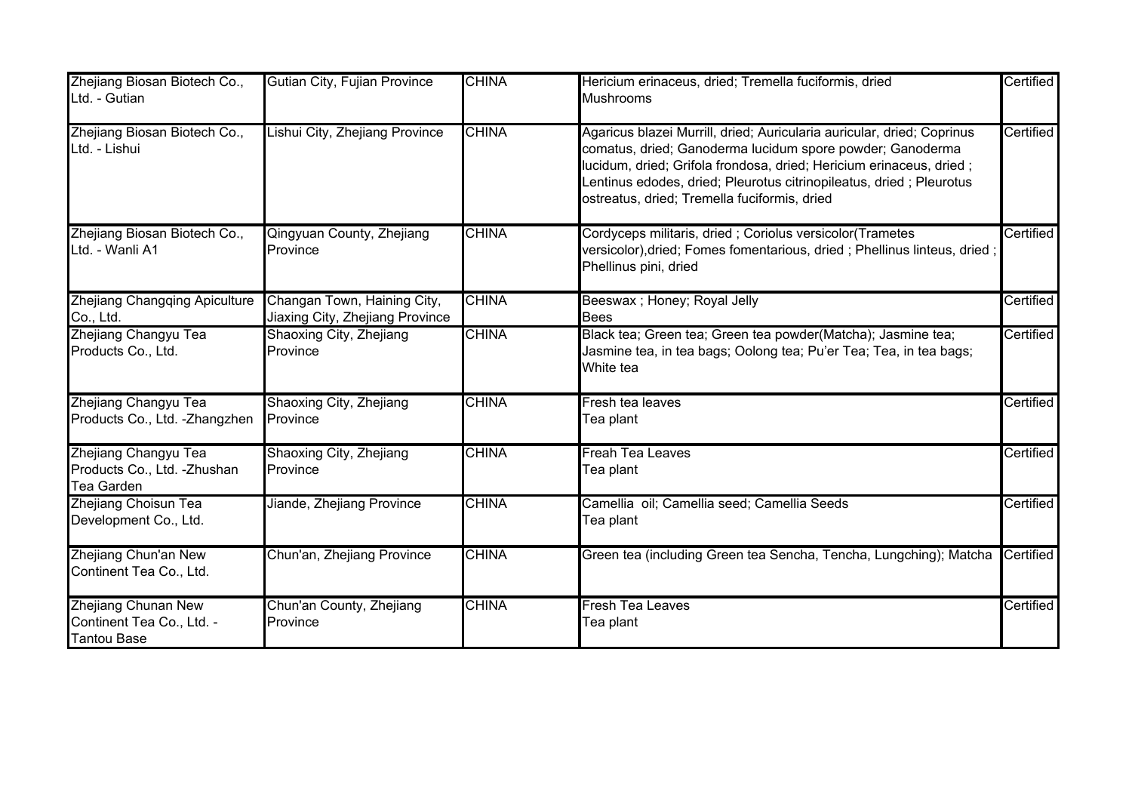| Zhejiang Biosan Biotech Co.,<br>Ltd. - Gutian                                 | Gutian City, Fujian Province                                   | <b>CHINA</b> | Hericium erinaceus, dried; Tremella fuciformis, dried<br><b>Mushrooms</b>                                                                                                                                                                                                                                                          | Certified |
|-------------------------------------------------------------------------------|----------------------------------------------------------------|--------------|------------------------------------------------------------------------------------------------------------------------------------------------------------------------------------------------------------------------------------------------------------------------------------------------------------------------------------|-----------|
| Zhejiang Biosan Biotech Co.,<br>Ltd. - Lishui                                 | Lishui City, Zhejiang Province                                 | <b>CHINA</b> | Agaricus blazei Murrill, dried; Auricularia auricular, dried; Coprinus<br>comatus, dried; Ganoderma lucidum spore powder; Ganoderma<br>lucidum, dried; Grifola frondosa, dried; Hericium erinaceus, dried;<br>Lentinus edodes, dried; Pleurotus citrinopileatus, dried ; Pleurotus<br>ostreatus, dried; Tremella fuciformis, dried | Certified |
| Zhejiang Biosan Biotech Co.,<br>Ltd. - Wanli A1                               | Qingyuan County, Zhejiang<br>Province                          | <b>CHINA</b> | Cordyceps militaris, dried ; Coriolus versicolor(Trametes<br>versicolor),dried; Fomes fomentarious, dried ; Phellinus linteus, dried ;<br>Phellinus pini, dried                                                                                                                                                                    | Certified |
| Zhejiang Changqing Apiculture<br>Co., Ltd.                                    | Changan Town, Haining City,<br>Jiaxing City, Zhejiang Province | <b>CHINA</b> | Beeswax ; Honey; Royal Jelly<br><b>Bees</b>                                                                                                                                                                                                                                                                                        | Certified |
| Zhejiang Changyu Tea<br>Products Co., Ltd.                                    | Shaoxing City, Zhejiang<br>Province                            | <b>CHINA</b> | Black tea; Green tea; Green tea powder(Matcha); Jasmine tea;<br>Jasmine tea, in tea bags; Oolong tea; Pu'er Tea; Tea, in tea bags;<br>White tea                                                                                                                                                                                    | Certified |
| Zhejiang Changyu Tea<br>Products Co., Ltd. - Zhangzhen                        | <b>Shaoxing City, Zhejiang</b><br>Province                     | <b>CHINA</b> | Fresh tea leaves<br>Tea plant                                                                                                                                                                                                                                                                                                      | Certified |
| Zhejiang Changyu Tea<br>Products Co., Ltd. - Zhushan<br><b>Tea Garden</b>     | Shaoxing City, Zhejiang<br>Province                            | <b>CHINA</b> | $\overline{\mathsf{Freah}\ \mathsf{Tea}\ \mathsf{Leaves}}$<br>Tea plant                                                                                                                                                                                                                                                            | Certified |
| Zhejiang Choisun Tea<br>Development Co., Ltd.                                 | Jiande, Zhejiang Province                                      | <b>CHINA</b> | Camellia oil; Camellia seed; Camellia Seeds<br>Tea plant                                                                                                                                                                                                                                                                           | Certified |
| Zhejiang Chun'an New<br>Continent Tea Co., Ltd.                               | Chun'an, Zhejiang Province                                     | <b>CHINA</b> | Green tea (including Green tea Sencha, Tencha, Lungching); Matcha                                                                                                                                                                                                                                                                  | Certified |
| <b>Zhejiang Chunan New</b><br>Continent Tea Co., Ltd. -<br><b>Tantou Base</b> | Chun'an County, Zhejiang<br>Province                           | <b>CHINA</b> | Fresh Tea Leaves<br>Tea plant                                                                                                                                                                                                                                                                                                      | Certified |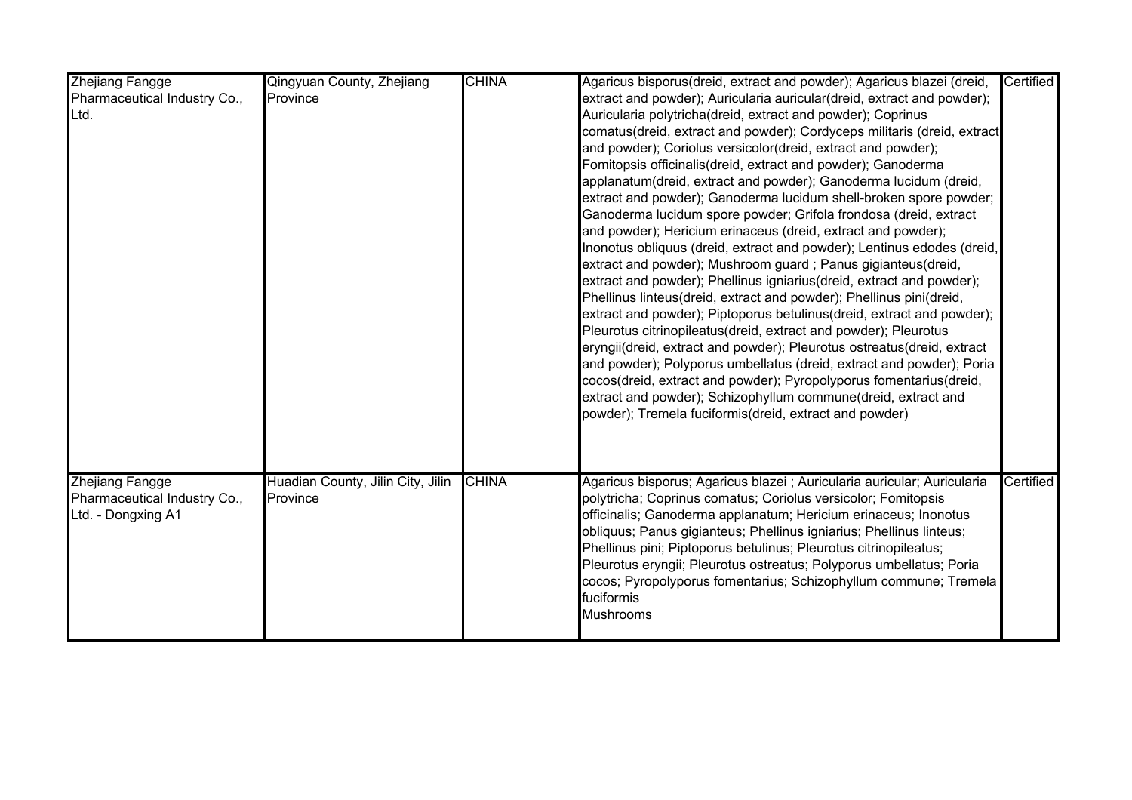| <b>Zhejiang Fangge</b><br>Pharmaceutical Industry Co.,<br>Ltd.        | Qingyuan County, Zhejiang<br>Province         | <b>CHINA</b> | Agaricus bisporus(dreid, extract and powder); Agaricus blazei (dreid,<br>extract and powder); Auricularia auricular(dreid, extract and powder);<br>Auricularia polytricha(dreid, extract and powder); Coprinus<br>comatus(dreid, extract and powder); Cordyceps militaris (dreid, extract<br>and powder); Coriolus versicolor(dreid, extract and powder);<br>Fomitopsis officinalis(dreid, extract and powder); Ganoderma<br>applanatum(dreid, extract and powder); Ganoderma lucidum (dreid,<br>extract and powder); Ganoderma lucidum shell-broken spore powder;<br>Ganoderma lucidum spore powder; Grifola frondosa (dreid, extract<br>and powder); Hericium erinaceus (dreid, extract and powder);<br>Inonotus obliquus (dreid, extract and powder); Lentinus edodes (dreid,<br>extract and powder); Mushroom guard ; Panus gigianteus(dreid,<br>extract and powder); Phellinus igniarius(dreid, extract and powder);<br>Phellinus linteus(dreid, extract and powder); Phellinus pini(dreid,<br>extract and powder); Piptoporus betulinus(dreid, extract and powder);<br>Pleurotus citrinopileatus(dreid, extract and powder); Pleurotus<br>eryngii(dreid, extract and powder); Pleurotus ostreatus(dreid, extract<br>and powder); Polyporus umbellatus (dreid, extract and powder); Poria | Certified |
|-----------------------------------------------------------------------|-----------------------------------------------|--------------|------------------------------------------------------------------------------------------------------------------------------------------------------------------------------------------------------------------------------------------------------------------------------------------------------------------------------------------------------------------------------------------------------------------------------------------------------------------------------------------------------------------------------------------------------------------------------------------------------------------------------------------------------------------------------------------------------------------------------------------------------------------------------------------------------------------------------------------------------------------------------------------------------------------------------------------------------------------------------------------------------------------------------------------------------------------------------------------------------------------------------------------------------------------------------------------------------------------------------------------------------------------------------------------------|-----------|
| Zhejiang Fangge<br>Pharmaceutical Industry Co.,<br>Ltd. - Dongxing A1 | Huadian County, Jilin City, Jilin<br>Province | <b>CHINA</b> | powder); Tremela fuciformis(dreid, extract and powder)<br>Agaricus bisporus; Agaricus blazei ; Auricularia auricular; Auricularia<br>polytricha; Coprinus comatus; Coriolus versicolor; Fomitopsis<br>officinalis; Ganoderma applanatum; Hericium erinaceus; Inonotus<br>obliquus; Panus gigianteus; Phellinus igniarius; Phellinus linteus;<br>Phellinus pini; Piptoporus betulinus; Pleurotus citrinopileatus;<br>Pleurotus eryngii; Pleurotus ostreatus; Polyporus umbellatus; Poria<br>cocos; Pyropolyporus fomentarius; Schizophyllum commune; Tremela<br>fuciformis<br>Mushrooms                                                                                                                                                                                                                                                                                                                                                                                                                                                                                                                                                                                                                                                                                                         | Certified |